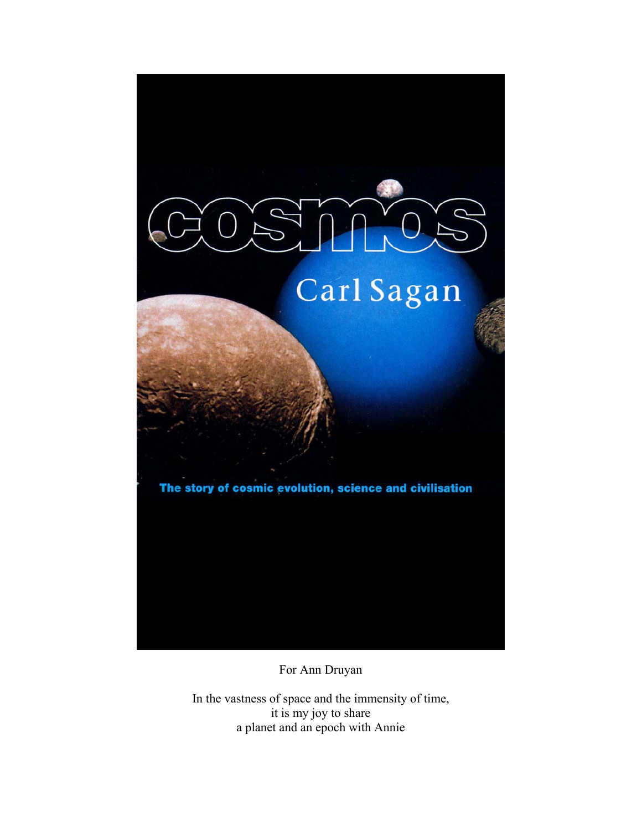

For Ann Druyan

In the vastness of space and the immensity of time, it is my joy to share a planet and an epoch with Annie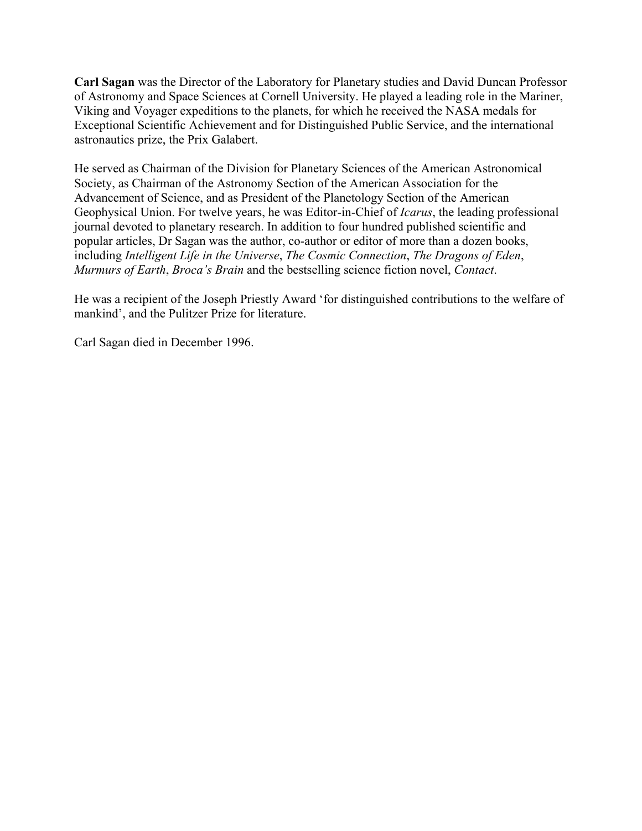**Carl Sagan** was the Director of the Laboratory for Planetary studies and David Duncan Professor of Astronomy and Space Sciences at Cornell University. He played a leading role in the Mariner, Viking and Voyager expeditions to the planets, for which he received the NASA medals for Exceptional Scientific Achievement and for Distinguished Public Service, and the international astronautics prize, the Prix Galabert.

He served as Chairman of the Division for Planetary Sciences of the American Astronomical Society, as Chairman of the Astronomy Section of the American Association for the Advancement of Science, and as President of the Planetology Section of the American Geophysical Union. For twelve years, he was Editor-in-Chief of *Icarus*, the leading professional journal devoted to planetary research. In addition to four hundred published scientific and popular articles, Dr Sagan was the author, co-author or editor of more than a dozen books, including *Intelligent Life in the Universe*, *The Cosmic Connection*, *The Dragons of Eden*, *Murmurs of Earth*, *Broca's Brain* and the bestselling science fiction novel, *Contact*.

He was a recipient of the Joseph Priestly Award 'for distinguished contributions to the welfare of mankind', and the Pulitzer Prize for literature.

Carl Sagan died in December 1996.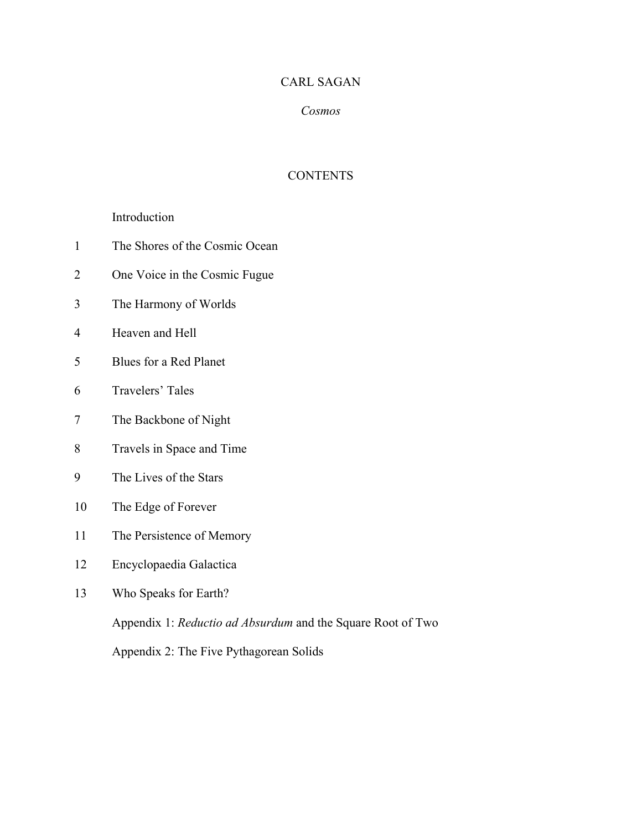# CARL SAGAN

## *Cosmos*

## **CONTENTS**

## Introduction

- 1 The Shores of the Cosmic Ocean
- 2 One Voice in the Cosmic Fugue
- 3 The Harmony of Worlds
- 4 Heaven and Hell
- 5 Blues for a Red Planet
- 6 Travelers' Tales
- 7 The Backbone of Night
- 8 Travels in Space and Time
- 9 The Lives of the Stars
- 10 The Edge of Forever
- 11 The Persistence of Memory
- 12 Encyclopaedia Galactica
- 13 Who Speaks for Earth?

Appendix 1: *Reductio ad Absurdum* and the Square Root of Two

Appendix 2: The Five Pythagorean Solids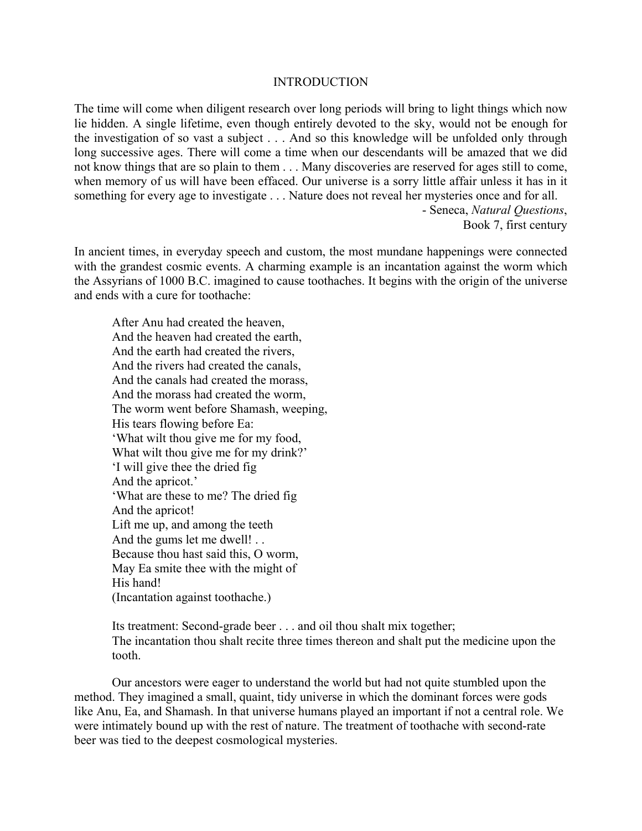### **INTRODUCTION**

The time will come when diligent research over long periods will bring to light things which now lie hidden. A single lifetime, even though entirely devoted to the sky, would not be enough for the investigation of so vast a subject . . . And so this knowledge will be unfolded only through long successive ages. There will come a time when our descendants will be amazed that we did not know things that are so plain to them . . . Many discoveries are reserved for ages still to come, when memory of us will have been effaced. Our universe is a sorry little affair unless it has in it something for every age to investigate . . . Nature does not reveal her mysteries once and for all.

- Seneca, *Natural Questions*, Book 7, first century

In ancient times, in everyday speech and custom, the most mundane happenings were connected with the grandest cosmic events. A charming example is an incantation against the worm which the Assyrians of 1000 B.C. imagined to cause toothaches. It begins with the origin of the universe and ends with a cure for toothache:

After Anu had created the heaven, And the heaven had created the earth, And the earth had created the rivers, And the rivers had created the canals, And the canals had created the morass, And the morass had created the worm, The worm went before Shamash, weeping, His tears flowing before Ea: 'What wilt thou give me for my food, What wilt thou give me for my drink?' 'I will give thee the dried fig And the apricot.' 'What are these to me? The dried fig And the apricot! Lift me up, and among the teeth And the gums let me dwell! . . Because thou hast said this, O worm, May Ea smite thee with the might of His hand! (Incantation against toothache.)

Its treatment: Second-grade beer . . . and oil thou shalt mix together; The incantation thou shalt recite three times thereon and shalt put the medicine upon the tooth.

Our ancestors were eager to understand the world but had not quite stumbled upon the method. They imagined a small, quaint, tidy universe in which the dominant forces were gods like Anu, Ea, and Shamash. In that universe humans played an important if not a central role. We were intimately bound up with the rest of nature. The treatment of toothache with second-rate beer was tied to the deepest cosmological mysteries.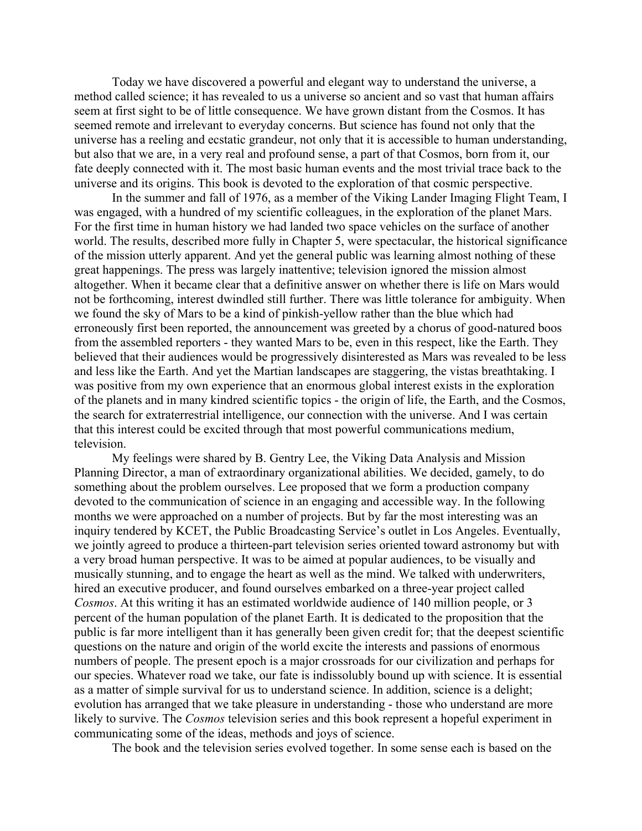Today we have discovered a powerful and elegant way to understand the universe, a method called science; it has revealed to us a universe so ancient and so vast that human affairs seem at first sight to be of little consequence. We have grown distant from the Cosmos. It has seemed remote and irrelevant to everyday concerns. But science has found not only that the universe has a reeling and ecstatic grandeur, not only that it is accessible to human understanding, but also that we are, in a very real and profound sense, a part of that Cosmos, born from it, our fate deeply connected with it. The most basic human events and the most trivial trace back to the universe and its origins. This book is devoted to the exploration of that cosmic perspective.

In the summer and fall of 1976, as a member of the Viking Lander Imaging Flight Team, I was engaged, with a hundred of my scientific colleagues, in the exploration of the planet Mars. For the first time in human history we had landed two space vehicles on the surface of another world. The results, described more fully in Chapter 5, were spectacular, the historical significance of the mission utterly apparent. And yet the general public was learning almost nothing of these great happenings. The press was largely inattentive; television ignored the mission almost altogether. When it became clear that a definitive answer on whether there is life on Mars would not be forthcoming, interest dwindled still further. There was little tolerance for ambiguity. When we found the sky of Mars to be a kind of pinkish-yellow rather than the blue which had erroneously first been reported, the announcement was greeted by a chorus of good-natured boos from the assembled reporters - they wanted Mars to be, even in this respect, like the Earth. They believed that their audiences would be progressively disinterested as Mars was revealed to be less and less like the Earth. And yet the Martian landscapes are staggering, the vistas breathtaking. I was positive from my own experience that an enormous global interest exists in the exploration of the planets and in many kindred scientific topics - the origin of life, the Earth, and the Cosmos, the search for extraterrestrial intelligence, our connection with the universe. And I was certain that this interest could be excited through that most powerful communications medium, television.

My feelings were shared by B. Gentry Lee, the Viking Data Analysis and Mission Planning Director, a man of extraordinary organizational abilities. We decided, gamely, to do something about the problem ourselves. Lee proposed that we form a production company devoted to the communication of science in an engaging and accessible way. In the following months we were approached on a number of projects. But by far the most interesting was an inquiry tendered by KCET, the Public Broadcasting Service's outlet in Los Angeles. Eventually, we jointly agreed to produce a thirteen-part television series oriented toward astronomy but with a very broad human perspective. It was to be aimed at popular audiences, to be visually and musically stunning, and to engage the heart as well as the mind. We talked with underwriters, hired an executive producer, and found ourselves embarked on a three-year project called *Cosmos*. At this writing it has an estimated worldwide audience of 140 million people, or 3 percent of the human population of the planet Earth. It is dedicated to the proposition that the public is far more intelligent than it has generally been given credit for; that the deepest scientific questions on the nature and origin of the world excite the interests and passions of enormous numbers of people. The present epoch is a major crossroads for our civilization and perhaps for our species. Whatever road we take, our fate is indissolubly bound up with science. It is essential as a matter of simple survival for us to understand science. In addition, science is a delight; evolution has arranged that we take pleasure in understanding - those who understand are more likely to survive. The *Cosmos* television series and this book represent a hopeful experiment in communicating some of the ideas, methods and joys of science.

The book and the television series evolved together. In some sense each is based on the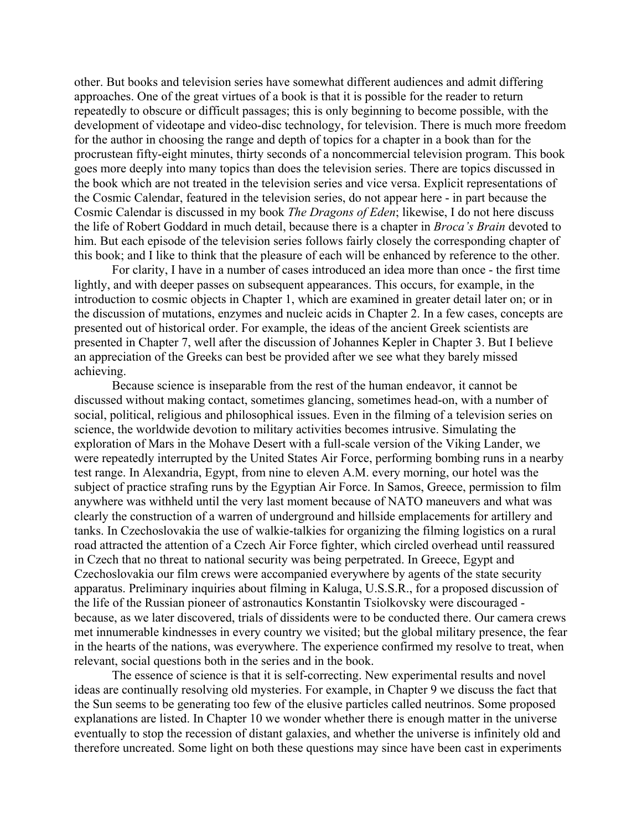other. But books and television series have somewhat different audiences and admit differing approaches. One of the great virtues of a book is that it is possible for the reader to return repeatedly to obscure or difficult passages; this is only beginning to become possible, with the development of videotape and video-disc technology, for television. There is much more freedom for the author in choosing the range and depth of topics for a chapter in a book than for the procrustean fifty-eight minutes, thirty seconds of a noncommercial television program. This book goes more deeply into many topics than does the television series. There are topics discussed in the book which are not treated in the television series and vice versa. Explicit representations of the Cosmic Calendar, featured in the television series, do not appear here - in part because the Cosmic Calendar is discussed in my book *The Dragons of Eden*; likewise, I do not here discuss the life of Robert Goddard in much detail, because there is a chapter in *Broca's Brain* devoted to him. But each episode of the television series follows fairly closely the corresponding chapter of this book; and I like to think that the pleasure of each will be enhanced by reference to the other.

For clarity, I have in a number of cases introduced an idea more than once - the first time lightly, and with deeper passes on subsequent appearances. This occurs, for example, in the introduction to cosmic objects in Chapter 1, which are examined in greater detail later on; or in the discussion of mutations, enzymes and nucleic acids in Chapter 2. In a few cases, concepts are presented out of historical order. For example, the ideas of the ancient Greek scientists are presented in Chapter 7, well after the discussion of Johannes Kepler in Chapter 3. But I believe an appreciation of the Greeks can best be provided after we see what they barely missed achieving.

Because science is inseparable from the rest of the human endeavor, it cannot be discussed without making contact, sometimes glancing, sometimes head-on, with a number of social, political, religious and philosophical issues. Even in the filming of a television series on science, the worldwide devotion to military activities becomes intrusive. Simulating the exploration of Mars in the Mohave Desert with a full-scale version of the Viking Lander, we were repeatedly interrupted by the United States Air Force, performing bombing runs in a nearby test range. In Alexandria, Egypt, from nine to eleven A.M. every morning, our hotel was the subject of practice strafing runs by the Egyptian Air Force. In Samos, Greece, permission to film anywhere was withheld until the very last moment because of NATO maneuvers and what was clearly the construction of a warren of underground and hillside emplacements for artillery and tanks. In Czechoslovakia the use of walkie-talkies for organizing the filming logistics on a rural road attracted the attention of a Czech Air Force fighter, which circled overhead until reassured in Czech that no threat to national security was being perpetrated. In Greece, Egypt and Czechoslovakia our film crews were accompanied everywhere by agents of the state security apparatus. Preliminary inquiries about filming in Kaluga, U.S.S.R., for a proposed discussion of the life of the Russian pioneer of astronautics Konstantin Tsiolkovsky were discouraged because, as we later discovered, trials of dissidents were to be conducted there. Our camera crews met innumerable kindnesses in every country we visited; but the global military presence, the fear in the hearts of the nations, was everywhere. The experience confirmed my resolve to treat, when relevant, social questions both in the series and in the book.

The essence of science is that it is self-correcting. New experimental results and novel ideas are continually resolving old mysteries. For example, in Chapter 9 we discuss the fact that the Sun seems to be generating too few of the elusive particles called neutrinos. Some proposed explanations are listed. In Chapter 10 we wonder whether there is enough matter in the universe eventually to stop the recession of distant galaxies, and whether the universe is infinitely old and therefore uncreated. Some light on both these questions may since have been cast in experiments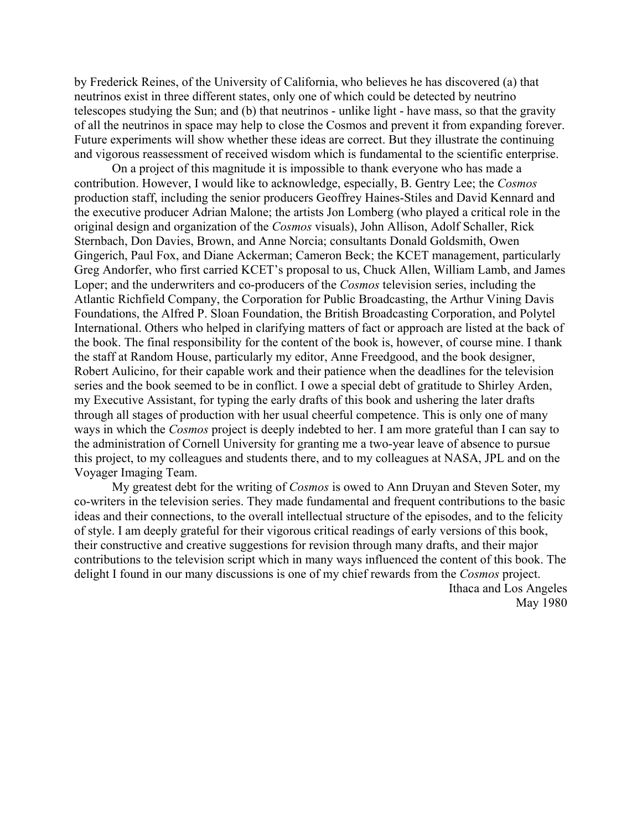by Frederick Reines, of the University of California, who believes he has discovered (a) that neutrinos exist in three different states, only one of which could be detected by neutrino telescopes studying the Sun; and (b) that neutrinos - unlike light - have mass, so that the gravity of all the neutrinos in space may help to close the Cosmos and prevent it from expanding forever. Future experiments will show whether these ideas are correct. But they illustrate the continuing and vigorous reassessment of received wisdom which is fundamental to the scientific enterprise.

On a project of this magnitude it is impossible to thank everyone who has made a contribution. However, I would like to acknowledge, especially, B. Gentry Lee; the *Cosmos* production staff, including the senior producers Geoffrey Haines-Stiles and David Kennard and the executive producer Adrian Malone; the artists Jon Lomberg (who played a critical role in the original design and organization of the *Cosmos* visuals), John Allison, Adolf Schaller, Rick Sternbach, Don Davies, Brown, and Anne Norcia; consultants Donald Goldsmith, Owen Gingerich, Paul Fox, and Diane Ackerman; Cameron Beck; the KCET management, particularly Greg Andorfer, who first carried KCET's proposal to us, Chuck Allen, William Lamb, and James Loper; and the underwriters and co-producers of the *Cosmos* television series, including the Atlantic Richfield Company, the Corporation for Public Broadcasting, the Arthur Vining Davis Foundations, the Alfred P. Sloan Foundation, the British Broadcasting Corporation, and Polytel International. Others who helped in clarifying matters of fact or approach are listed at the back of the book. The final responsibility for the content of the book is, however, of course mine. I thank the staff at Random House, particularly my editor, Anne Freedgood, and the book designer, Robert Aulicino, for their capable work and their patience when the deadlines for the television series and the book seemed to be in conflict. I owe a special debt of gratitude to Shirley Arden, my Executive Assistant, for typing the early drafts of this book and ushering the later drafts through all stages of production with her usual cheerful competence. This is only one of many ways in which the *Cosmos* project is deeply indebted to her. I am more grateful than I can say to the administration of Cornell University for granting me a two-year leave of absence to pursue this project, to my colleagues and students there, and to my colleagues at NASA, JPL and on the Voyager Imaging Team.

My greatest debt for the writing of *Cosmos* is owed to Ann Druyan and Steven Soter, my co-writers in the television series. They made fundamental and frequent contributions to the basic ideas and their connections, to the overall intellectual structure of the episodes, and to the felicity of style. I am deeply grateful for their vigorous critical readings of early versions of this book, their constructive and creative suggestions for revision through many drafts, and their major contributions to the television script which in many ways influenced the content of this book. The delight I found in our many discussions is one of my chief rewards from the *Cosmos* project.

Ithaca and Los Angeles May 1980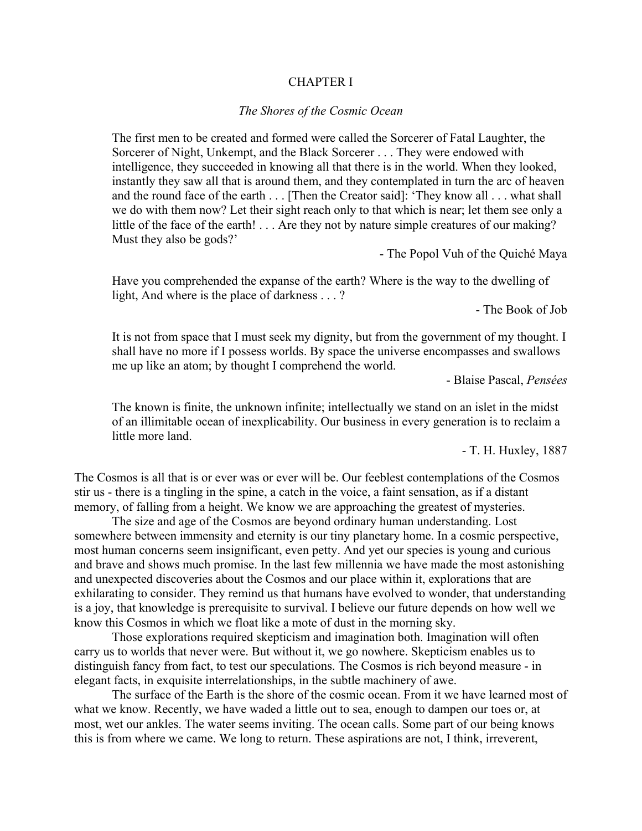## CHAPTER I

#### *The Shores of the Cosmic Ocean*

The first men to be created and formed were called the Sorcerer of Fatal Laughter, the Sorcerer of Night, Unkempt, and the Black Sorcerer . . . They were endowed with intelligence, they succeeded in knowing all that there is in the world. When they looked, instantly they saw all that is around them, and they contemplated in turn the arc of heaven and the round face of the earth . . . [Then the Creator said]: 'They know all . . . what shall we do with them now? Let their sight reach only to that which is near; let them see only a little of the face of the earth! . . . Are they not by nature simple creatures of our making? Must they also be gods?'

- The Popol Vuh of the Quiché Maya

Have you comprehended the expanse of the earth? Where is the way to the dwelling of light, And where is the place of darkness . . . ?

- The Book of Job

It is not from space that I must seek my dignity, but from the government of my thought. I shall have no more if I possess worlds. By space the universe encompasses and swallows me up like an atom; by thought I comprehend the world.

- Blaise Pascal, *Pensées*

The known is finite, the unknown infinite; intellectually we stand on an islet in the midst of an illimitable ocean of inexplicability. Our business in every generation is to reclaim a little more land.

- T. H. Huxley, 1887

The Cosmos is all that is or ever was or ever will be. Our feeblest contemplations of the Cosmos stir us - there is a tingling in the spine, a catch in the voice, a faint sensation, as if a distant memory, of falling from a height. We know we are approaching the greatest of mysteries.

The size and age of the Cosmos are beyond ordinary human understanding. Lost somewhere between immensity and eternity is our tiny planetary home. In a cosmic perspective, most human concerns seem insignificant, even petty. And yet our species is young and curious and brave and shows much promise. In the last few millennia we have made the most astonishing and unexpected discoveries about the Cosmos and our place within it, explorations that are exhilarating to consider. They remind us that humans have evolved to wonder, that understanding is a joy, that knowledge is prerequisite to survival. I believe our future depends on how well we know this Cosmos in which we float like a mote of dust in the morning sky.

Those explorations required skepticism and imagination both. Imagination will often carry us to worlds that never were. But without it, we go nowhere. Skepticism enables us to distinguish fancy from fact, to test our speculations. The Cosmos is rich beyond measure - in elegant facts, in exquisite interrelationships, in the subtle machinery of awe.

The surface of the Earth is the shore of the cosmic ocean. From it we have learned most of what we know. Recently, we have waded a little out to sea, enough to dampen our toes or, at most, wet our ankles. The water seems inviting. The ocean calls. Some part of our being knows this is from where we came. We long to return. These aspirations are not, I think, irreverent,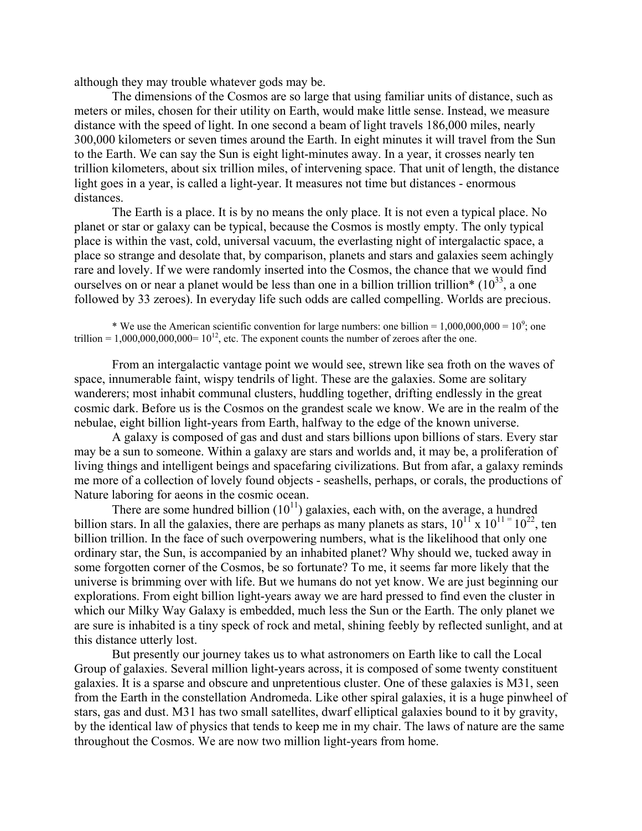although they may trouble whatever gods may be.

The dimensions of the Cosmos are so large that using familiar units of distance, such as meters or miles, chosen for their utility on Earth, would make little sense. Instead, we measure distance with the speed of light. In one second a beam of light travels 186,000 miles, nearly 300,000 kilometers or seven times around the Earth. In eight minutes it will travel from the Sun to the Earth. We can say the Sun is eight light-minutes away. In a year, it crosses nearly ten trillion kilometers, about six trillion miles, of intervening space. That unit of length, the distance light goes in a year, is called a light-year. It measures not time but distances - enormous distances.

The Earth is a place. It is by no means the only place. It is not even a typical place. No planet or star or galaxy can be typical, because the Cosmos is mostly empty. The only typical place is within the vast, cold, universal vacuum, the everlasting night of intergalactic space, a place so strange and desolate that, by comparison, planets and stars and galaxies seem achingly rare and lovely. If we were randomly inserted into the Cosmos, the chance that we would find ourselves on or near a planet would be less than one in a billion trillion trillion\*  $(10^{33}, a \text{ one})$ followed by 33 zeroes). In everyday life such odds are called compelling. Worlds are precious.

\* We use the American scientific convention for large numbers: one billion =  $1,000,000,000 = 10^9$ ; one trillion =  $1,000,000,000,000= 10^{12}$ , etc. The exponent counts the number of zeroes after the one.

From an intergalactic vantage point we would see, strewn like sea froth on the waves of space, innumerable faint, wispy tendrils of light. These are the galaxies. Some are solitary wanderers; most inhabit communal clusters, huddling together, drifting endlessly in the great cosmic dark. Before us is the Cosmos on the grandest scale we know. We are in the realm of the nebulae, eight billion light-years from Earth, halfway to the edge of the known universe.

A galaxy is composed of gas and dust and stars billions upon billions of stars. Every star may be a sun to someone. Within a galaxy are stars and worlds and, it may be, a proliferation of living things and intelligent beings and spacefaring civilizations. But from afar, a galaxy reminds me more of a collection of lovely found objects - seashells, perhaps, or corals, the productions of Nature laboring for aeons in the cosmic ocean.

There are some hundred billion  $(10^{11})$  galaxies, each with, on the average, a hundred billion stars. In all the galaxies, there are perhaps as many planets as stars,  $10^{11} \times 10^{11} = 10^{22}$ , ten billion trillion. In the face of such overpowering numbers, what is the likelihood that only one ordinary star, the Sun, is accompanied by an inhabited planet? Why should we, tucked away in some forgotten corner of the Cosmos, be so fortunate? To me, it seems far more likely that the universe is brimming over with life. But we humans do not yet know. We are just beginning our explorations. From eight billion light-years away we are hard pressed to find even the cluster in which our Milky Way Galaxy is embedded, much less the Sun or the Earth. The only planet we are sure is inhabited is a tiny speck of rock and metal, shining feebly by reflected sunlight, and at this distance utterly lost.

But presently our journey takes us to what astronomers on Earth like to call the Local Group of galaxies. Several million light-years across, it is composed of some twenty constituent galaxies. It is a sparse and obscure and unpretentious cluster. One of these galaxies is M31, seen from the Earth in the constellation Andromeda. Like other spiral galaxies, it is a huge pinwheel of stars, gas and dust. M31 has two small satellites, dwarf elliptical galaxies bound to it by gravity, by the identical law of physics that tends to keep me in my chair. The laws of nature are the same throughout the Cosmos. We are now two million light-years from home.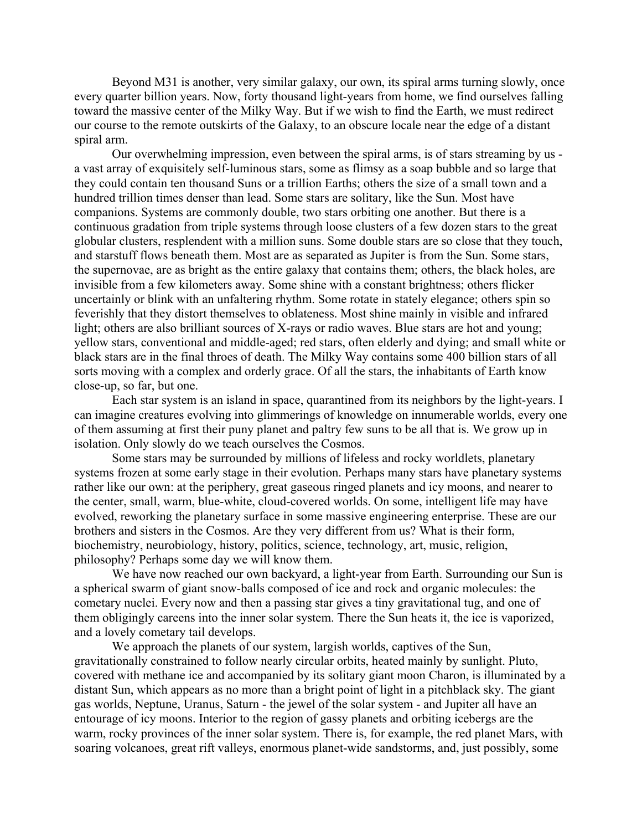Beyond M31 is another, very similar galaxy, our own, its spiral arms turning slowly, once every quarter billion years. Now, forty thousand light-years from home, we find ourselves falling toward the massive center of the Milky Way. But if we wish to find the Earth, we must redirect our course to the remote outskirts of the Galaxy, to an obscure locale near the edge of a distant spiral arm.

Our overwhelming impression, even between the spiral arms, is of stars streaming by us a vast array of exquisitely self-luminous stars, some as flimsy as a soap bubble and so large that they could contain ten thousand Suns or a trillion Earths; others the size of a small town and a hundred trillion times denser than lead. Some stars are solitary, like the Sun. Most have companions. Systems are commonly double, two stars orbiting one another. But there is a continuous gradation from triple systems through loose clusters of a few dozen stars to the great globular clusters, resplendent with a million suns. Some double stars are so close that they touch, and starstuff flows beneath them. Most are as separated as Jupiter is from the Sun. Some stars, the supernovae, are as bright as the entire galaxy that contains them; others, the black holes, are invisible from a few kilometers away. Some shine with a constant brightness; others flicker uncertainly or blink with an unfaltering rhythm. Some rotate in stately elegance; others spin so feverishly that they distort themselves to oblateness. Most shine mainly in visible and infrared light; others are also brilliant sources of X-rays or radio waves. Blue stars are hot and young; yellow stars, conventional and middle-aged; red stars, often elderly and dying; and small white or black stars are in the final throes of death. The Milky Way contains some 400 billion stars of all sorts moving with a complex and orderly grace. Of all the stars, the inhabitants of Earth know close-up, so far, but one.

Each star system is an island in space, quarantined from its neighbors by the light-years. I can imagine creatures evolving into glimmerings of knowledge on innumerable worlds, every one of them assuming at first their puny planet and paltry few suns to be all that is. We grow up in isolation. Only slowly do we teach ourselves the Cosmos.

Some stars may be surrounded by millions of lifeless and rocky worldlets, planetary systems frozen at some early stage in their evolution. Perhaps many stars have planetary systems rather like our own: at the periphery, great gaseous ringed planets and icy moons, and nearer to the center, small, warm, blue-white, cloud-covered worlds. On some, intelligent life may have evolved, reworking the planetary surface in some massive engineering enterprise. These are our brothers and sisters in the Cosmos. Are they very different from us? What is their form, biochemistry, neurobiology, history, politics, science, technology, art, music, religion, philosophy? Perhaps some day we will know them.

We have now reached our own backyard, a light-year from Earth. Surrounding our Sun is a spherical swarm of giant snow-balls composed of ice and rock and organic molecules: the cometary nuclei. Every now and then a passing star gives a tiny gravitational tug, and one of them obligingly careens into the inner solar system. There the Sun heats it, the ice is vaporized, and a lovely cometary tail develops.

We approach the planets of our system, largish worlds, captives of the Sun, gravitationally constrained to follow nearly circular orbits, heated mainly by sunlight. Pluto, covered with methane ice and accompanied by its solitary giant moon Charon, is illuminated by a distant Sun, which appears as no more than a bright point of light in a pitchblack sky. The giant gas worlds, Neptune, Uranus, Saturn - the jewel of the solar system - and Jupiter all have an entourage of icy moons. Interior to the region of gassy planets and orbiting icebergs are the warm, rocky provinces of the inner solar system. There is, for example, the red planet Mars, with soaring volcanoes, great rift valleys, enormous planet-wide sandstorms, and, just possibly, some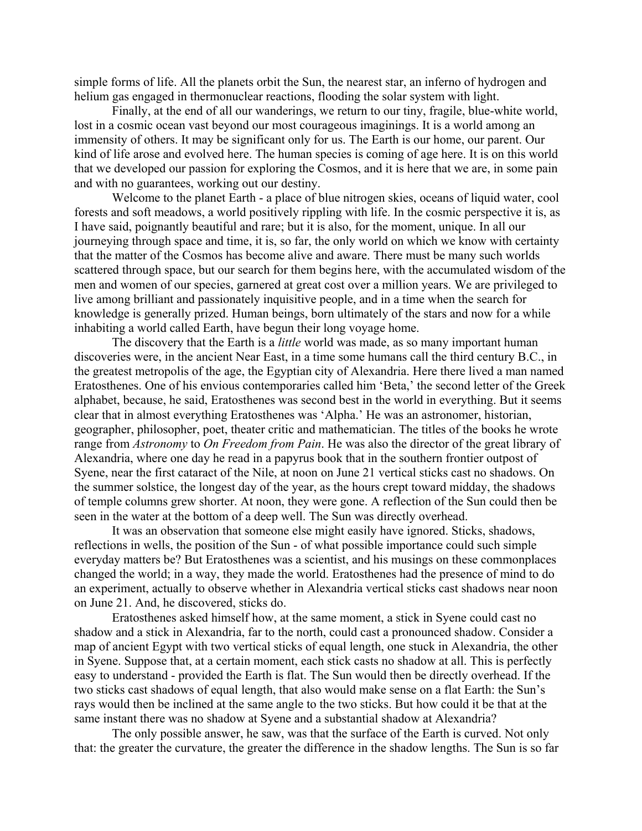simple forms of life. All the planets orbit the Sun, the nearest star, an inferno of hydrogen and helium gas engaged in thermonuclear reactions, flooding the solar system with light.

Finally, at the end of all our wanderings, we return to our tiny, fragile, blue-white world, lost in a cosmic ocean vast beyond our most courageous imaginings. It is a world among an immensity of others. It may be significant only for us. The Earth is our home, our parent. Our kind of life arose and evolved here. The human species is coming of age here. It is on this world that we developed our passion for exploring the Cosmos, and it is here that we are, in some pain and with no guarantees, working out our destiny.

Welcome to the planet Earth - a place of blue nitrogen skies, oceans of liquid water, cool forests and soft meadows, a world positively rippling with life. In the cosmic perspective it is, as I have said, poignantly beautiful and rare; but it is also, for the moment, unique. In all our journeying through space and time, it is, so far, the only world on which we know with certainty that the matter of the Cosmos has become alive and aware. There must be many such worlds scattered through space, but our search for them begins here, with the accumulated wisdom of the men and women of our species, garnered at great cost over a million years. We are privileged to live among brilliant and passionately inquisitive people, and in a time when the search for knowledge is generally prized. Human beings, born ultimately of the stars and now for a while inhabiting a world called Earth, have begun their long voyage home.

The discovery that the Earth is a *little* world was made, as so many important human discoveries were, in the ancient Near East, in a time some humans call the third century B.C., in the greatest metropolis of the age, the Egyptian city of Alexandria. Here there lived a man named Eratosthenes. One of his envious contemporaries called him 'Beta,' the second letter of the Greek alphabet, because, he said, Eratosthenes was second best in the world in everything. But it seems clear that in almost everything Eratosthenes was 'Alpha.' He was an astronomer, historian, geographer, philosopher, poet, theater critic and mathematician. The titles of the books he wrote range from *Astronomy* to *On Freedom from Pain*. He was also the director of the great library of Alexandria, where one day he read in a papyrus book that in the southern frontier outpost of Syene, near the first cataract of the Nile, at noon on June 21 vertical sticks cast no shadows. On the summer solstice, the longest day of the year, as the hours crept toward midday, the shadows of temple columns grew shorter. At noon, they were gone. A reflection of the Sun could then be seen in the water at the bottom of a deep well. The Sun was directly overhead.

It was an observation that someone else might easily have ignored. Sticks, shadows, reflections in wells, the position of the Sun - of what possible importance could such simple everyday matters be? But Eratosthenes was a scientist, and his musings on these commonplaces changed the world; in a way, they made the world. Eratosthenes had the presence of mind to do an experiment, actually to observe whether in Alexandria vertical sticks cast shadows near noon on June 21. And, he discovered, sticks do.

Eratosthenes asked himself how, at the same moment, a stick in Syene could cast no shadow and a stick in Alexandria, far to the north, could cast a pronounced shadow. Consider a map of ancient Egypt with two vertical sticks of equal length, one stuck in Alexandria, the other in Syene. Suppose that, at a certain moment, each stick casts no shadow at all. This is perfectly easy to understand - provided the Earth is flat. The Sun would then be directly overhead. If the two sticks cast shadows of equal length, that also would make sense on a flat Earth: the Sun's rays would then be inclined at the same angle to the two sticks. But how could it be that at the same instant there was no shadow at Syene and a substantial shadow at Alexandria?

The only possible answer, he saw, was that the surface of the Earth is curved. Not only that: the greater the curvature, the greater the difference in the shadow lengths. The Sun is so far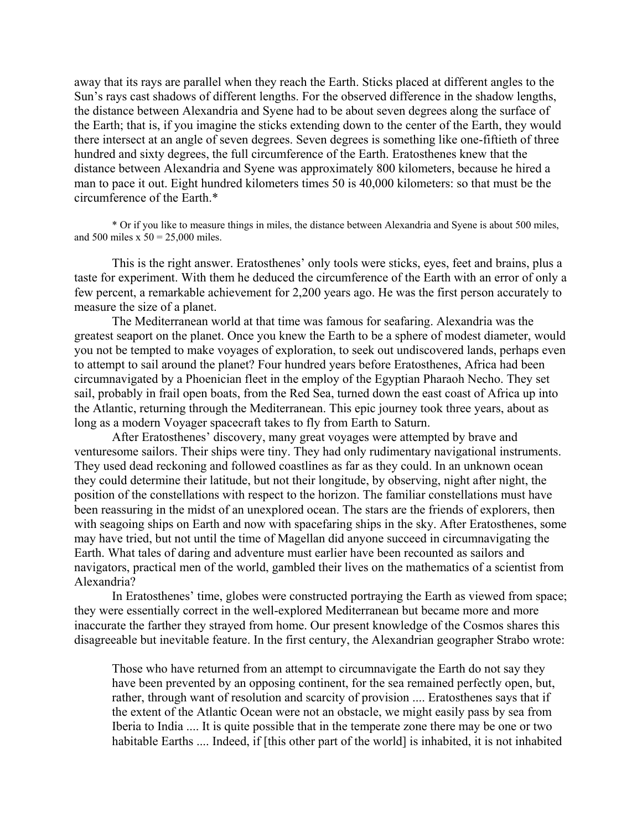away that its rays are parallel when they reach the Earth. Sticks placed at different angles to the Sun's rays cast shadows of different lengths. For the observed difference in the shadow lengths, the distance between Alexandria and Syene had to be about seven degrees along the surface of the Earth; that is, if you imagine the sticks extending down to the center of the Earth, they would there intersect at an angle of seven degrees. Seven degrees is something like one-fiftieth of three hundred and sixty degrees, the full circumference of the Earth. Eratosthenes knew that the distance between Alexandria and Syene was approximately 800 kilometers, because he hired a man to pace it out. Eight hundred kilometers times 50 is 40,000 kilometers: so that must be the circumference of the Earth.\*

\* Or if you like to measure things in miles, the distance between Alexandria and Syene is about 500 miles, and 500 miles  $x$  50 = 25,000 miles.

This is the right answer. Eratosthenes' only tools were sticks, eyes, feet and brains, plus a taste for experiment. With them he deduced the circumference of the Earth with an error of only a few percent, a remarkable achievement for 2,200 years ago. He was the first person accurately to measure the size of a planet.

The Mediterranean world at that time was famous for seafaring. Alexandria was the greatest seaport on the planet. Once you knew the Earth to be a sphere of modest diameter, would you not be tempted to make voyages of exploration, to seek out undiscovered lands, perhaps even to attempt to sail around the planet? Four hundred years before Eratosthenes, Africa had been circumnavigated by a Phoenician fleet in the employ of the Egyptian Pharaoh Necho. They set sail, probably in frail open boats, from the Red Sea, turned down the east coast of Africa up into the Atlantic, returning through the Mediterranean. This epic journey took three years, about as long as a modern Voyager spacecraft takes to fly from Earth to Saturn.

After Eratosthenes' discovery, many great voyages were attempted by brave and venturesome sailors. Their ships were tiny. They had only rudimentary navigational instruments. They used dead reckoning and followed coastlines as far as they could. In an unknown ocean they could determine their latitude, but not their longitude, by observing, night after night, the position of the constellations with respect to the horizon. The familiar constellations must have been reassuring in the midst of an unexplored ocean. The stars are the friends of explorers, then with seagoing ships on Earth and now with spacefaring ships in the sky. After Eratosthenes, some may have tried, but not until the time of Magellan did anyone succeed in circumnavigating the Earth. What tales of daring and adventure must earlier have been recounted as sailors and navigators, practical men of the world, gambled their lives on the mathematics of a scientist from Alexandria?

In Eratosthenes' time, globes were constructed portraying the Earth as viewed from space; they were essentially correct in the well-explored Mediterranean but became more and more inaccurate the farther they strayed from home. Our present knowledge of the Cosmos shares this disagreeable but inevitable feature. In the first century, the Alexandrian geographer Strabo wrote:

Those who have returned from an attempt to circumnavigate the Earth do not say they have been prevented by an opposing continent, for the sea remained perfectly open, but, rather, through want of resolution and scarcity of provision .... Eratosthenes says that if the extent of the Atlantic Ocean were not an obstacle, we might easily pass by sea from Iberia to India .... It is quite possible that in the temperate zone there may be one or two habitable Earths .... Indeed, if [this other part of the world] is inhabited, it is not inhabited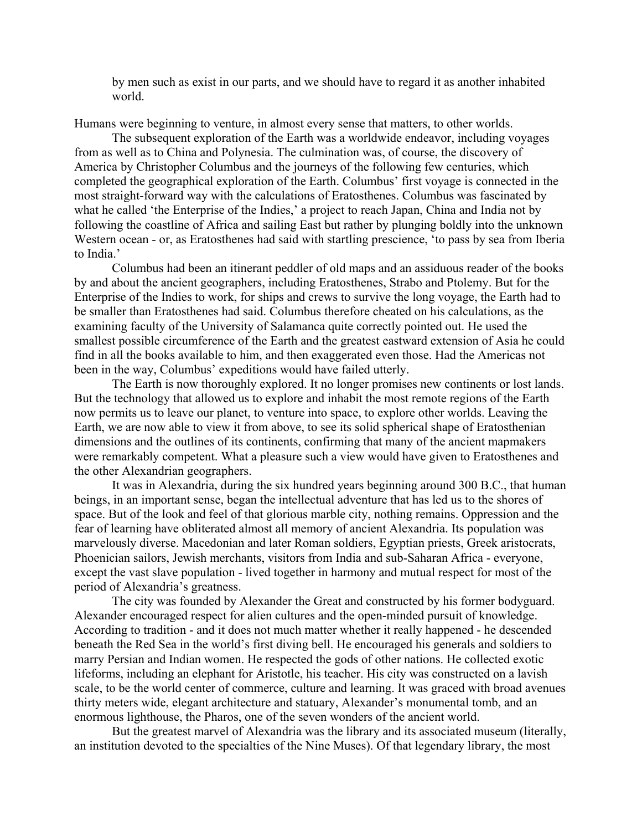by men such as exist in our parts, and we should have to regard it as another inhabited world.

Humans were beginning to venture, in almost every sense that matters, to other worlds.

The subsequent exploration of the Earth was a worldwide endeavor, including voyages from as well as to China and Polynesia. The culmination was, of course, the discovery of America by Christopher Columbus and the journeys of the following few centuries, which completed the geographical exploration of the Earth. Columbus' first voyage is connected in the most straight-forward way with the calculations of Eratosthenes. Columbus was fascinated by what he called 'the Enterprise of the Indies,' a project to reach Japan, China and India not by following the coastline of Africa and sailing East but rather by plunging boldly into the unknown Western ocean - or, as Eratosthenes had said with startling prescience, 'to pass by sea from Iberia to India.'

Columbus had been an itinerant peddler of old maps and an assiduous reader of the books by and about the ancient geographers, including Eratosthenes, Strabo and Ptolemy. But for the Enterprise of the Indies to work, for ships and crews to survive the long voyage, the Earth had to be smaller than Eratosthenes had said. Columbus therefore cheated on his calculations, as the examining faculty of the University of Salamanca quite correctly pointed out. He used the smallest possible circumference of the Earth and the greatest eastward extension of Asia he could find in all the books available to him, and then exaggerated even those. Had the Americas not been in the way, Columbus' expeditions would have failed utterly.

The Earth is now thoroughly explored. It no longer promises new continents or lost lands. But the technology that allowed us to explore and inhabit the most remote regions of the Earth now permits us to leave our planet, to venture into space, to explore other worlds. Leaving the Earth, we are now able to view it from above, to see its solid spherical shape of Eratosthenian dimensions and the outlines of its continents, confirming that many of the ancient mapmakers were remarkably competent. What a pleasure such a view would have given to Eratosthenes and the other Alexandrian geographers.

It was in Alexandria, during the six hundred years beginning around 300 B.C., that human beings, in an important sense, began the intellectual adventure that has led us to the shores of space. But of the look and feel of that glorious marble city, nothing remains. Oppression and the fear of learning have obliterated almost all memory of ancient Alexandria. Its population was marvelously diverse. Macedonian and later Roman soldiers, Egyptian priests, Greek aristocrats, Phoenician sailors, Jewish merchants, visitors from India and sub-Saharan Africa - everyone, except the vast slave population - lived together in harmony and mutual respect for most of the period of Alexandria's greatness.

The city was founded by Alexander the Great and constructed by his former bodyguard. Alexander encouraged respect for alien cultures and the open-minded pursuit of knowledge. According to tradition - and it does not much matter whether it really happened - he descended beneath the Red Sea in the world's first diving bell. He encouraged his generals and soldiers to marry Persian and Indian women. He respected the gods of other nations. He collected exotic lifeforms, including an elephant for Aristotle, his teacher. His city was constructed on a lavish scale, to be the world center of commerce, culture and learning. It was graced with broad avenues thirty meters wide, elegant architecture and statuary, Alexander's monumental tomb, and an enormous lighthouse, the Pharos, one of the seven wonders of the ancient world.

But the greatest marvel of Alexandria was the library and its associated museum (literally, an institution devoted to the specialties of the Nine Muses). Of that legendary library, the most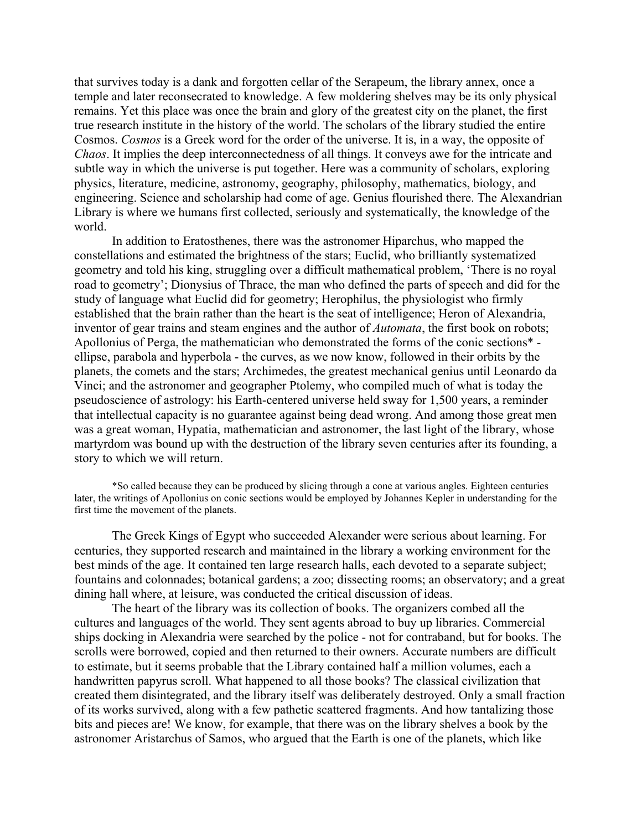that survives today is a dank and forgotten cellar of the Serapeum, the library annex, once a temple and later reconsecrated to knowledge. A few moldering shelves may be its only physical remains. Yet this place was once the brain and glory of the greatest city on the planet, the first true research institute in the history of the world. The scholars of the library studied the entire Cosmos. *Cosmos* is a Greek word for the order of the universe. It is, in a way, the opposite of *Chaos*. It implies the deep interconnectedness of all things. It conveys awe for the intricate and subtle way in which the universe is put together. Here was a community of scholars, exploring physics, literature, medicine, astronomy, geography, philosophy, mathematics, biology, and engineering. Science and scholarship had come of age. Genius flourished there. The Alexandrian Library is where we humans first collected, seriously and systematically, the knowledge of the world.

In addition to Eratosthenes, there was the astronomer Hiparchus, who mapped the constellations and estimated the brightness of the stars; Euclid, who brilliantly systematized geometry and told his king, struggling over a difficult mathematical problem, 'There is no royal road to geometry'; Dionysius of Thrace, the man who defined the parts of speech and did for the study of language what Euclid did for geometry; Herophilus, the physiologist who firmly established that the brain rather than the heart is the seat of intelligence; Heron of Alexandria, inventor of gear trains and steam engines and the author of *Automata*, the first book on robots; Apollonius of Perga, the mathematician who demonstrated the forms of the conic sections\* ellipse, parabola and hyperbola - the curves, as we now know, followed in their orbits by the planets, the comets and the stars; Archimedes, the greatest mechanical genius until Leonardo da Vinci; and the astronomer and geographer Ptolemy, who compiled much of what is today the pseudoscience of astrology: his Earth-centered universe held sway for 1,500 years, a reminder that intellectual capacity is no guarantee against being dead wrong. And among those great men was a great woman, Hypatia, mathematician and astronomer, the last light of the library, whose martyrdom was bound up with the destruction of the library seven centuries after its founding, a story to which we will return.

\*So called because they can be produced by slicing through a cone at various angles. Eighteen centuries later, the writings of Apollonius on conic sections would be employed by Johannes Kepler in understanding for the first time the movement of the planets.

The Greek Kings of Egypt who succeeded Alexander were serious about learning. For centuries, they supported research and maintained in the library a working environment for the best minds of the age. It contained ten large research halls, each devoted to a separate subject; fountains and colonnades; botanical gardens; a zoo; dissecting rooms; an observatory; and a great dining hall where, at leisure, was conducted the critical discussion of ideas.

The heart of the library was its collection of books. The organizers combed all the cultures and languages of the world. They sent agents abroad to buy up libraries. Commercial ships docking in Alexandria were searched by the police - not for contraband, but for books. The scrolls were borrowed, copied and then returned to their owners. Accurate numbers are difficult to estimate, but it seems probable that the Library contained half a million volumes, each a handwritten papyrus scroll. What happened to all those books? The classical civilization that created them disintegrated, and the library itself was deliberately destroyed. Only a small fraction of its works survived, along with a few pathetic scattered fragments. And how tantalizing those bits and pieces are! We know, for example, that there was on the library shelves a book by the astronomer Aristarchus of Samos, who argued that the Earth is one of the planets, which like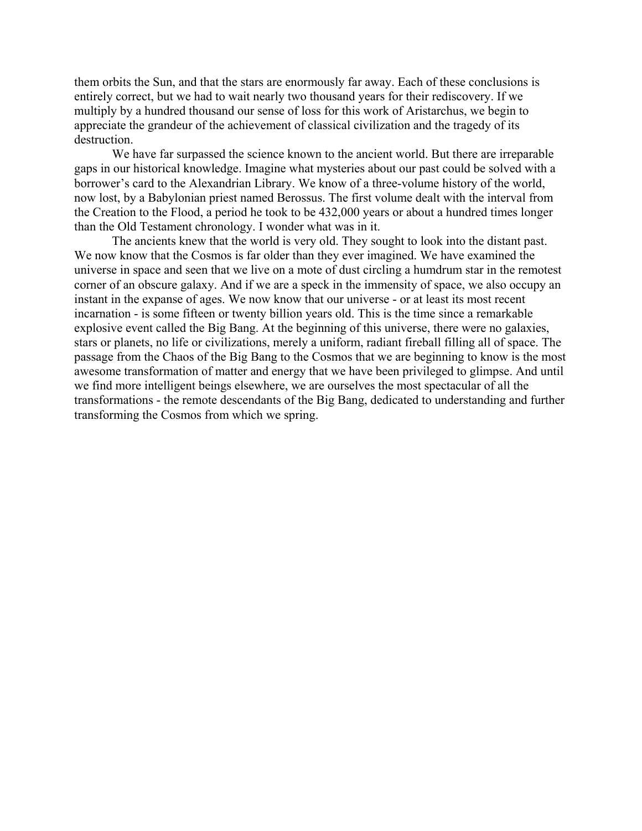them orbits the Sun, and that the stars are enormously far away. Each of these conclusions is entirely correct, but we had to wait nearly two thousand years for their rediscovery. If we multiply by a hundred thousand our sense of loss for this work of Aristarchus, we begin to appreciate the grandeur of the achievement of classical civilization and the tragedy of its destruction.

We have far surpassed the science known to the ancient world. But there are irreparable gaps in our historical knowledge. Imagine what mysteries about our past could be solved with a borrower's card to the Alexandrian Library. We know of a three-volume history of the world, now lost, by a Babylonian priest named Berossus. The first volume dealt with the interval from the Creation to the Flood, a period he took to be 432,000 years or about a hundred times longer than the Old Testament chronology. I wonder what was in it.

The ancients knew that the world is very old. They sought to look into the distant past. We now know that the Cosmos is far older than they ever imagined. We have examined the universe in space and seen that we live on a mote of dust circling a humdrum star in the remotest corner of an obscure galaxy. And if we are a speck in the immensity of space, we also occupy an instant in the expanse of ages. We now know that our universe - or at least its most recent incarnation - is some fifteen or twenty billion years old. This is the time since a remarkable explosive event called the Big Bang. At the beginning of this universe, there were no galaxies, stars or planets, no life or civilizations, merely a uniform, radiant fireball filling all of space. The passage from the Chaos of the Big Bang to the Cosmos that we are beginning to know is the most awesome transformation of matter and energy that we have been privileged to glimpse. And until we find more intelligent beings elsewhere, we are ourselves the most spectacular of all the transformations - the remote descendants of the Big Bang, dedicated to understanding and further transforming the Cosmos from which we spring.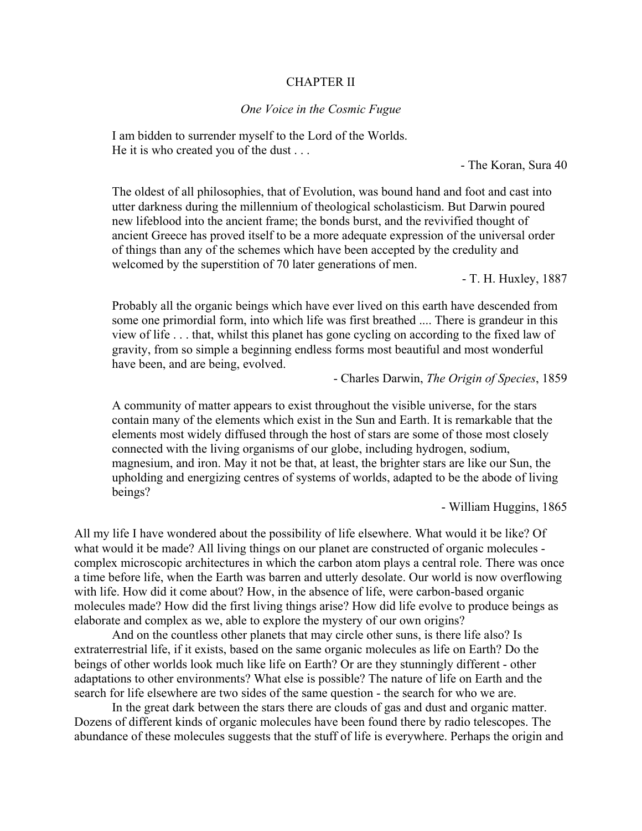## CHAPTER II

## *One Voice in the Cosmic Fugue*

I am bidden to surrender myself to the Lord of the Worlds. He it is who created you of the dust . . .

- The Koran, Sura 40

The oldest of all philosophies, that of Evolution, was bound hand and foot and cast into utter darkness during the millennium of theological scholasticism. But Darwin poured new lifeblood into the ancient frame; the bonds burst, and the revivified thought of ancient Greece has proved itself to be a more adequate expression of the universal order of things than any of the schemes which have been accepted by the credulity and welcomed by the superstition of 70 later generations of men.

- T. H. Huxley, 1887

Probably all the organic beings which have ever lived on this earth have descended from some one primordial form, into which life was first breathed .... There is grandeur in this view of life . . . that, whilst this planet has gone cycling on according to the fixed law of gravity, from so simple a beginning endless forms most beautiful and most wonderful have been, and are being, evolved.

- Charles Darwin, *The Origin of Species*, 1859

A community of matter appears to exist throughout the visible universe, for the stars contain many of the elements which exist in the Sun and Earth. It is remarkable that the elements most widely diffused through the host of stars are some of those most closely connected with the living organisms of our globe, including hydrogen, sodium, magnesium, and iron. May it not be that, at least, the brighter stars are like our Sun, the upholding and energizing centres of systems of worlds, adapted to be the abode of living beings?

- William Huggins, 1865

All my life I have wondered about the possibility of life elsewhere. What would it be like? Of what would it be made? All living things on our planet are constructed of organic molecules complex microscopic architectures in which the carbon atom plays a central role. There was once a time before life, when the Earth was barren and utterly desolate. Our world is now overflowing with life. How did it come about? How, in the absence of life, were carbon-based organic molecules made? How did the first living things arise? How did life evolve to produce beings as elaborate and complex as we, able to explore the mystery of our own origins?

And on the countless other planets that may circle other suns, is there life also? Is extraterrestrial life, if it exists, based on the same organic molecules as life on Earth? Do the beings of other worlds look much like life on Earth? Or are they stunningly different - other adaptations to other environments? What else is possible? The nature of life on Earth and the search for life elsewhere are two sides of the same question - the search for who we are.

In the great dark between the stars there are clouds of gas and dust and organic matter. Dozens of different kinds of organic molecules have been found there by radio telescopes. The abundance of these molecules suggests that the stuff of life is everywhere. Perhaps the origin and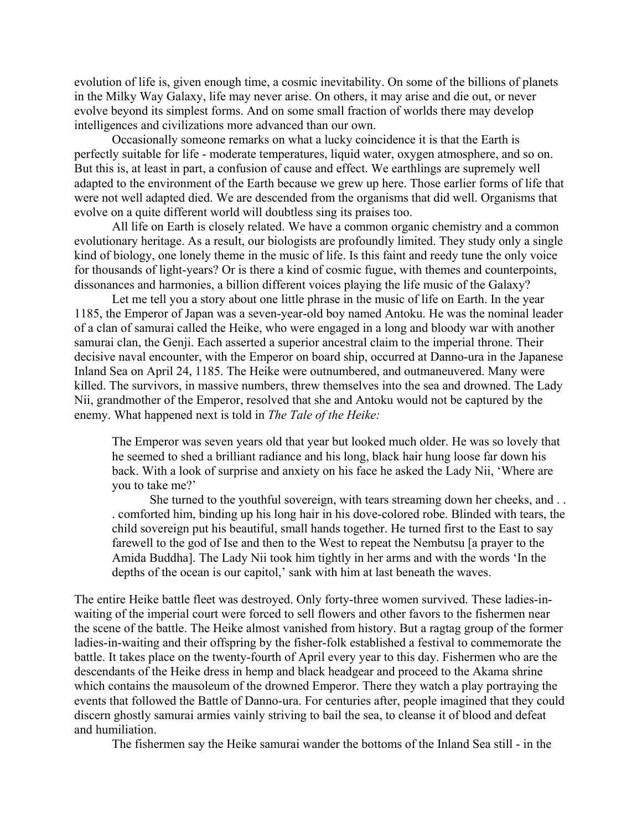evolution of life is, given enough time, a cosmic inevitability. On some of the billions of planets in the Milky Way Galaxy, life may never arise. On others, it may arise and die out, or never evolve beyond its simplest forms. And on some small fraction of worlds there may develop intelligences and civilizations more advanced than our own.

Occasionally someone remarks on what a lucky coincidence it is that the Earth is perfectly suitable for life - moderate temperatures, liquid water, oxygen atmosphere, and so on. But this is, at least in part, a confusion of cause and effect. We earthlings are supremely well adapted to the environment of the Earth because we grew up here. Those earlier forms of life that were not well adapted died. We are descended from the organisms that did well. Organisms that evolve on a quite different world will doubtless sing its praises too.

All life on Earth is closely related. We have a common organic chemistry and a common evolutionary heritage. As a result, our biologists are profoundly limited. They study only a single kind of biology, one lonely theme in the music of life. Is this faint and reedy tune the only voice for thousands of light-years? Or is there a kind of cosmic fugue, with themes and counterpoints, dissonances and harmonies, a billion different voices playing the life music of the Galaxy?

Let me tell you a story about one little phrase in the music of life on Earth. In the year 1185, the Emperor of Japan was a seven-year-old boy named Antoku. He was the nominal leader of a clan of samurai called the Heike, who were engaged in a long and bloody war with another samurai clan, the Genji. Each asserted a superior ancestral claim to the imperial throne. Their decisive naval encounter, with the Emperor on board ship, occurred at Danno-ura in the Japanese Inland Sea on April 24, 1185. The Heike were outnumbered, and outmaneuvered. Many were killed. The survivors, in massive numbers, threw themselves into the sea and drowned. The Lady Nii, grandmother of the Emperor, resolved that she and Antoku would not be captured by the enemy. What happened next is told in *The Tale of the Heike:*

The Emperor was seven years old that year but looked much older. He was so lovely that he seemed to shed a brilliant radiance and his long, black hair hung loose far down his back. With a look of surprise and anxiety on his face he asked the Lady Nii, 'Where are you to take me?'

She turned to the youthful sovereign, with tears streaming down her cheeks, and . . . comforted him, binding up his long hair in his dove-colored robe. Blinded with tears, the child sovereign put his beautiful, small hands together. He turned first to the East to say farewell to the god of Ise and then to the West to repeat the Nembutsu [a prayer to the Amida Buddha]. The Lady Nii took him tightly in her arms and with the words 'In the depths of the ocean is our capitol,' sank with him at last beneath the waves.

The entire Heike battle fleet was destroyed. Only forty-three women survived. These ladies-inwaiting of the imperial court were forced to sell flowers and other favors to the fishermen near the scene of the battle. The Heike almost vanished from history. But a ragtag group of the former ladies-in-waiting and their offspring by the fisher-folk established a festival to commemorate the battle. It takes place on the twenty-fourth of April every year to this day. Fishermen who are the descendants of the Heike dress in hemp and black headgear and proceed to the Akama shrine which contains the mausoleum of the drowned Emperor. There they watch a play portraying the events that followed the Battle of Danno-ura. For centuries after, people imagined that they could discern ghostly samurai armies vainly striving to bail the sea, to cleanse it of blood and defeat and humiliation.

The fishermen say the Heike samurai wander the bottoms of the Inland Sea still - in the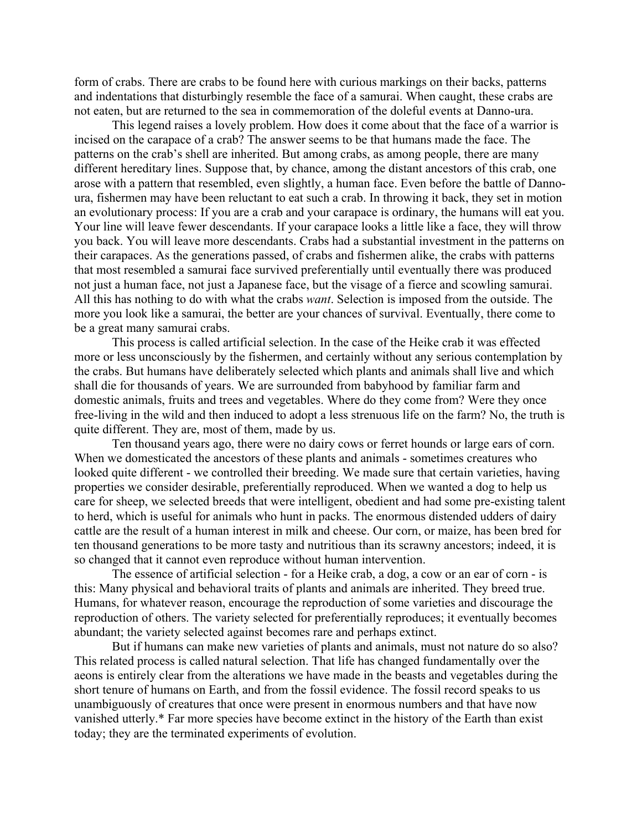form of crabs. There are crabs to be found here with curious markings on their backs, patterns and indentations that disturbingly resemble the face of a samurai. When caught, these crabs are not eaten, but are returned to the sea in commemoration of the doleful events at Danno-ura.

This legend raises a lovely problem. How does it come about that the face of a warrior is incised on the carapace of a crab? The answer seems to be that humans made the face. The patterns on the crab's shell are inherited. But among crabs, as among people, there are many different hereditary lines. Suppose that, by chance, among the distant ancestors of this crab, one arose with a pattern that resembled, even slightly, a human face. Even before the battle of Dannoura, fishermen may have been reluctant to eat such a crab. In throwing it back, they set in motion an evolutionary process: If you are a crab and your carapace is ordinary, the humans will eat you. Your line will leave fewer descendants. If your carapace looks a little like a face, they will throw you back. You will leave more descendants. Crabs had a substantial investment in the patterns on their carapaces. As the generations passed, of crabs and fishermen alike, the crabs with patterns that most resembled a samurai face survived preferentially until eventually there was produced not just a human face, not just a Japanese face, but the visage of a fierce and scowling samurai. All this has nothing to do with what the crabs *want*. Selection is imposed from the outside. The more you look like a samurai, the better are your chances of survival. Eventually, there come to be a great many samurai crabs.

This process is called artificial selection. In the case of the Heike crab it was effected more or less unconsciously by the fishermen, and certainly without any serious contemplation by the crabs. But humans have deliberately selected which plants and animals shall live and which shall die for thousands of years. We are surrounded from babyhood by familiar farm and domestic animals, fruits and trees and vegetables. Where do they come from? Were they once free-living in the wild and then induced to adopt a less strenuous life on the farm? No, the truth is quite different. They are, most of them, made by us.

Ten thousand years ago, there were no dairy cows or ferret hounds or large ears of corn. When we domesticated the ancestors of these plants and animals - sometimes creatures who looked quite different - we controlled their breeding. We made sure that certain varieties, having properties we consider desirable, preferentially reproduced. When we wanted a dog to help us care for sheep, we selected breeds that were intelligent, obedient and had some pre-existing talent to herd, which is useful for animals who hunt in packs. The enormous distended udders of dairy cattle are the result of a human interest in milk and cheese. Our corn, or maize, has been bred for ten thousand generations to be more tasty and nutritious than its scrawny ancestors; indeed, it is so changed that it cannot even reproduce without human intervention.

The essence of artificial selection - for a Heike crab, a dog, a cow or an ear of corn - is this: Many physical and behavioral traits of plants and animals are inherited. They breed true. Humans, for whatever reason, encourage the reproduction of some varieties and discourage the reproduction of others. The variety selected for preferentially reproduces; it eventually becomes abundant; the variety selected against becomes rare and perhaps extinct.

But if humans can make new varieties of plants and animals, must not nature do so also? This related process is called natural selection. That life has changed fundamentally over the aeons is entirely clear from the alterations we have made in the beasts and vegetables during the short tenure of humans on Earth, and from the fossil evidence. The fossil record speaks to us unambiguously of creatures that once were present in enormous numbers and that have now vanished utterly.\* Far more species have become extinct in the history of the Earth than exist today; they are the terminated experiments of evolution.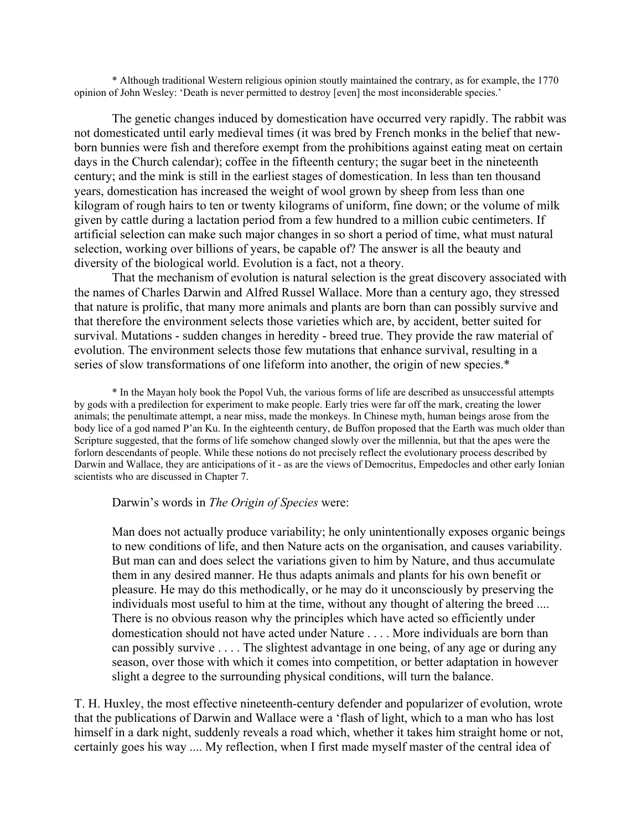\* Although traditional Western religious opinion stoutly maintained the contrary, as for example, the 1770 opinion of John Wesley: 'Death is never permitted to destroy [even] the most inconsiderable species.'

The genetic changes induced by domestication have occurred very rapidly. The rabbit was not domesticated until early medieval times (it was bred by French monks in the belief that newborn bunnies were fish and therefore exempt from the prohibitions against eating meat on certain days in the Church calendar); coffee in the fifteenth century; the sugar beet in the nineteenth century; and the mink is still in the earliest stages of domestication. In less than ten thousand years, domestication has increased the weight of wool grown by sheep from less than one kilogram of rough hairs to ten or twenty kilograms of uniform, fine down; or the volume of milk given by cattle during a lactation period from a few hundred to a million cubic centimeters. If artificial selection can make such major changes in so short a period of time, what must natural selection, working over billions of years, be capable of? The answer is all the beauty and diversity of the biological world. Evolution is a fact, not a theory.

That the mechanism of evolution is natural selection is the great discovery associated with the names of Charles Darwin and Alfred Russel Wallace. More than a century ago, they stressed that nature is prolific, that many more animals and plants are born than can possibly survive and that therefore the environment selects those varieties which are, by accident, better suited for survival. Mutations - sudden changes in heredity - breed true. They provide the raw material of evolution. The environment selects those few mutations that enhance survival, resulting in a series of slow transformations of one lifeform into another, the origin of new species.\*

\* In the Mayan holy book the Popol Vuh, the various forms of life are described as unsuccessful attempts by gods with a predilection for experiment to make people. Early tries were far off the mark, creating the lower animals; the penultimate attempt, a near miss, made the monkeys. In Chinese myth, human beings arose from the body lice of a god named P'an Ku. In the eighteenth century, de Buffon proposed that the Earth was much older than Scripture suggested, that the forms of life somehow changed slowly over the millennia, but that the apes were the forlorn descendants of people. While these notions do not precisely reflect the evolutionary process described by Darwin and Wallace, they are anticipations of it - as are the views of Democritus, Empedocles and other early Ionian scientists who are discussed in Chapter 7.

Darwin's words in *The Origin of Species* were:

Man does not actually produce variability; he only unintentionally exposes organic beings to new conditions of life, and then Nature acts on the organisation, and causes variability. But man can and does select the variations given to him by Nature, and thus accumulate them in any desired manner. He thus adapts animals and plants for his own benefit or pleasure. He may do this methodically, or he may do it unconsciously by preserving the individuals most useful to him at the time, without any thought of altering the breed .... There is no obvious reason why the principles which have acted so efficiently under domestication should not have acted under Nature . . . . More individuals are born than can possibly survive . . . . The slightest advantage in one being, of any age or during any season, over those with which it comes into competition, or better adaptation in however slight a degree to the surrounding physical conditions, will turn the balance.

T. H. Huxley, the most effective nineteenth-century defender and popularizer of evolution, wrote that the publications of Darwin and Wallace were a 'flash of light, which to a man who has lost himself in a dark night, suddenly reveals a road which, whether it takes him straight home or not, certainly goes his way .... My reflection, when I first made myself master of the central idea of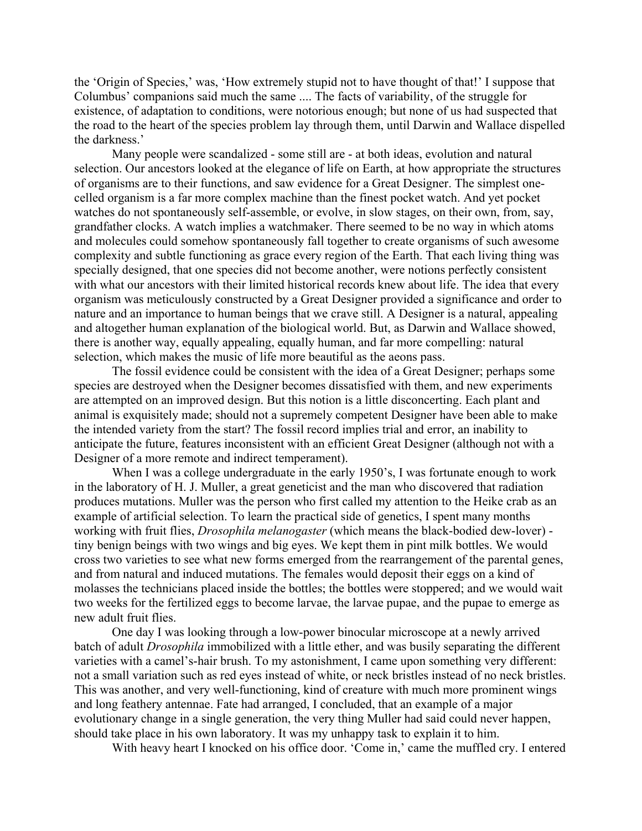the 'Origin of Species,' was, 'How extremely stupid not to have thought of that!' I suppose that Columbus' companions said much the same .... The facts of variability, of the struggle for existence, of adaptation to conditions, were notorious enough; but none of us had suspected that the road to the heart of the species problem lay through them, until Darwin and Wallace dispelled the darkness.'

Many people were scandalized - some still are - at both ideas, evolution and natural selection. Our ancestors looked at the elegance of life on Earth, at how appropriate the structures of organisms are to their functions, and saw evidence for a Great Designer. The simplest onecelled organism is a far more complex machine than the finest pocket watch. And yet pocket watches do not spontaneously self-assemble, or evolve, in slow stages, on their own, from, say, grandfather clocks. A watch implies a watchmaker. There seemed to be no way in which atoms and molecules could somehow spontaneously fall together to create organisms of such awesome complexity and subtle functioning as grace every region of the Earth. That each living thing was specially designed, that one species did not become another, were notions perfectly consistent with what our ancestors with their limited historical records knew about life. The idea that every organism was meticulously constructed by a Great Designer provided a significance and order to nature and an importance to human beings that we crave still. A Designer is a natural, appealing and altogether human explanation of the biological world. But, as Darwin and Wallace showed, there is another way, equally appealing, equally human, and far more compelling: natural selection, which makes the music of life more beautiful as the aeons pass.

The fossil evidence could be consistent with the idea of a Great Designer; perhaps some species are destroyed when the Designer becomes dissatisfied with them, and new experiments are attempted on an improved design. But this notion is a little disconcerting. Each plant and animal is exquisitely made; should not a supremely competent Designer have been able to make the intended variety from the start? The fossil record implies trial and error, an inability to anticipate the future, features inconsistent with an efficient Great Designer (although not with a Designer of a more remote and indirect temperament).

When I was a college undergraduate in the early 1950's, I was fortunate enough to work in the laboratory of H. J. Muller, a great geneticist and the man who discovered that radiation produces mutations. Muller was the person who first called my attention to the Heike crab as an example of artificial selection. To learn the practical side of genetics, I spent many months working with fruit flies, *Drosophila melanogaster* (which means the black-bodied dew-lover) tiny benign beings with two wings and big eyes. We kept them in pint milk bottles. We would cross two varieties to see what new forms emerged from the rearrangement of the parental genes, and from natural and induced mutations. The females would deposit their eggs on a kind of molasses the technicians placed inside the bottles; the bottles were stoppered; and we would wait two weeks for the fertilized eggs to become larvae, the larvae pupae, and the pupae to emerge as new adult fruit flies.

One day I was looking through a low-power binocular microscope at a newly arrived batch of adult *Drosophila* immobilized with a little ether, and was busily separating the different varieties with a camel's-hair brush. To my astonishment, I came upon something very different: not a small variation such as red eyes instead of white, or neck bristles instead of no neck bristles. This was another, and very well-functioning, kind of creature with much more prominent wings and long feathery antennae. Fate had arranged, I concluded, that an example of a major evolutionary change in a single generation, the very thing Muller had said could never happen, should take place in his own laboratory. It was my unhappy task to explain it to him.

With heavy heart I knocked on his office door. 'Come in,' came the muffled cry. I entered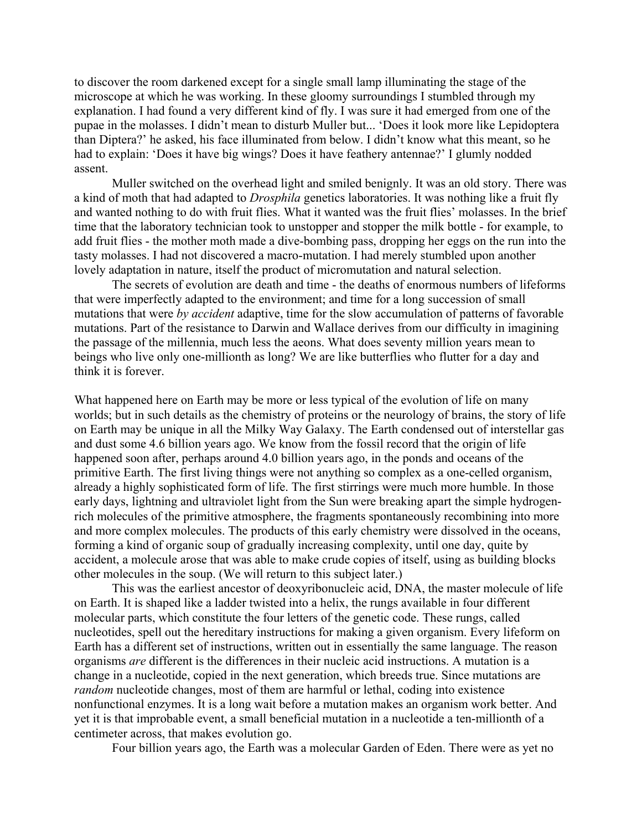to discover the room darkened except for a single small lamp illuminating the stage of the microscope at which he was working. In these gloomy surroundings I stumbled through my explanation. I had found a very different kind of fly. I was sure it had emerged from one of the pupae in the molasses. I didn't mean to disturb Muller but... 'Does it look more like Lepidoptera than Diptera?' he asked, his face illuminated from below. I didn't know what this meant, so he had to explain: 'Does it have big wings? Does it have feathery antennae?' I glumly nodded assent.

Muller switched on the overhead light and smiled benignly. It was an old story. There was a kind of moth that had adapted to *Drosphila* genetics laboratories. It was nothing like a fruit fly and wanted nothing to do with fruit flies. What it wanted was the fruit flies' molasses. In the brief time that the laboratory technician took to unstopper and stopper the milk bottle - for example, to add fruit flies - the mother moth made a dive-bombing pass, dropping her eggs on the run into the tasty molasses. I had not discovered a macro-mutation. I had merely stumbled upon another lovely adaptation in nature, itself the product of micromutation and natural selection.

The secrets of evolution are death and time - the deaths of enormous numbers of lifeforms that were imperfectly adapted to the environment; and time for a long succession of small mutations that were *by accident* adaptive, time for the slow accumulation of patterns of favorable mutations. Part of the resistance to Darwin and Wallace derives from our difficulty in imagining the passage of the millennia, much less the aeons. What does seventy million years mean to beings who live only one-millionth as long? We are like butterflies who flutter for a day and think it is forever.

What happened here on Earth may be more or less typical of the evolution of life on many worlds; but in such details as the chemistry of proteins or the neurology of brains, the story of life on Earth may be unique in all the Milky Way Galaxy. The Earth condensed out of interstellar gas and dust some 4.6 billion years ago. We know from the fossil record that the origin of life happened soon after, perhaps around 4.0 billion years ago, in the ponds and oceans of the primitive Earth. The first living things were not anything so complex as a one-celled organism, already a highly sophisticated form of life. The first stirrings were much more humble. In those early days, lightning and ultraviolet light from the Sun were breaking apart the simple hydrogenrich molecules of the primitive atmosphere, the fragments spontaneously recombining into more and more complex molecules. The products of this early chemistry were dissolved in the oceans, forming a kind of organic soup of gradually increasing complexity, until one day, quite by accident, a molecule arose that was able to make crude copies of itself, using as building blocks other molecules in the soup. (We will return to this subject later.)

This was the earliest ancestor of deoxyribonucleic acid, DNA, the master molecule of life on Earth. It is shaped like a ladder twisted into a helix, the rungs available in four different molecular parts, which constitute the four letters of the genetic code. These rungs, called nucleotides, spell out the hereditary instructions for making a given organism. Every lifeform on Earth has a different set of instructions, written out in essentially the same language. The reason organisms *are* different is the differences in their nucleic acid instructions. A mutation is a change in a nucleotide, copied in the next generation, which breeds true. Since mutations are *random* nucleotide changes, most of them are harmful or lethal, coding into existence nonfunctional enzymes. It is a long wait before a mutation makes an organism work better. And yet it is that improbable event, a small beneficial mutation in a nucleotide a ten-millionth of a centimeter across, that makes evolution go.

Four billion years ago, the Earth was a molecular Garden of Eden. There were as yet no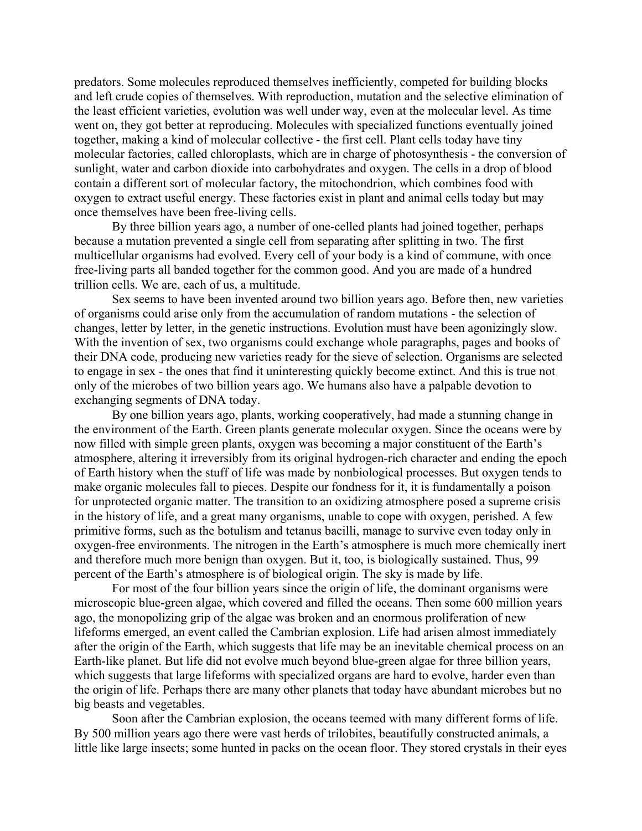predators. Some molecules reproduced themselves inefficiently, competed for building blocks and left crude copies of themselves. With reproduction, mutation and the selective elimination of the least efficient varieties, evolution was well under way, even at the molecular level. As time went on, they got better at reproducing. Molecules with specialized functions eventually joined together, making a kind of molecular collective - the first cell. Plant cells today have tiny molecular factories, called chloroplasts, which are in charge of photosynthesis - the conversion of sunlight, water and carbon dioxide into carbohydrates and oxygen. The cells in a drop of blood contain a different sort of molecular factory, the mitochondrion, which combines food with oxygen to extract useful energy. These factories exist in plant and animal cells today but may once themselves have been free-living cells.

By three billion years ago, a number of one-celled plants had joined together, perhaps because a mutation prevented a single cell from separating after splitting in two. The first multicellular organisms had evolved. Every cell of your body is a kind of commune, with once free-living parts all banded together for the common good. And you are made of a hundred trillion cells. We are, each of us, a multitude.

Sex seems to have been invented around two billion years ago. Before then, new varieties of organisms could arise only from the accumulation of random mutations - the selection of changes, letter by letter, in the genetic instructions. Evolution must have been agonizingly slow. With the invention of sex, two organisms could exchange whole paragraphs, pages and books of their DNA code, producing new varieties ready for the sieve of selection. Organisms are selected to engage in sex - the ones that find it uninteresting quickly become extinct. And this is true not only of the microbes of two billion years ago. We humans also have a palpable devotion to exchanging segments of DNA today.

By one billion years ago, plants, working cooperatively, had made a stunning change in the environment of the Earth. Green plants generate molecular oxygen. Since the oceans were by now filled with simple green plants, oxygen was becoming a major constituent of the Earth's atmosphere, altering it irreversibly from its original hydrogen-rich character and ending the epoch of Earth history when the stuff of life was made by nonbiological processes. But oxygen tends to make organic molecules fall to pieces. Despite our fondness for it, it is fundamentally a poison for unprotected organic matter. The transition to an oxidizing atmosphere posed a supreme crisis in the history of life, and a great many organisms, unable to cope with oxygen, perished. A few primitive forms, such as the botulism and tetanus bacilli, manage to survive even today only in oxygen-free environments. The nitrogen in the Earth's atmosphere is much more chemically inert and therefore much more benign than oxygen. But it, too, is biologically sustained. Thus, 99 percent of the Earth's atmosphere is of biological origin. The sky is made by life.

For most of the four billion years since the origin of life, the dominant organisms were microscopic blue-green algae, which covered and filled the oceans. Then some 600 million years ago, the monopolizing grip of the algae was broken and an enormous proliferation of new lifeforms emerged, an event called the Cambrian explosion. Life had arisen almost immediately after the origin of the Earth, which suggests that life may be an inevitable chemical process on an Earth-like planet. But life did not evolve much beyond blue-green algae for three billion years, which suggests that large lifeforms with specialized organs are hard to evolve, harder even than the origin of life. Perhaps there are many other planets that today have abundant microbes but no big beasts and vegetables.

Soon after the Cambrian explosion, the oceans teemed with many different forms of life. By 500 million years ago there were vast herds of trilobites, beautifully constructed animals, a little like large insects; some hunted in packs on the ocean floor. They stored crystals in their eyes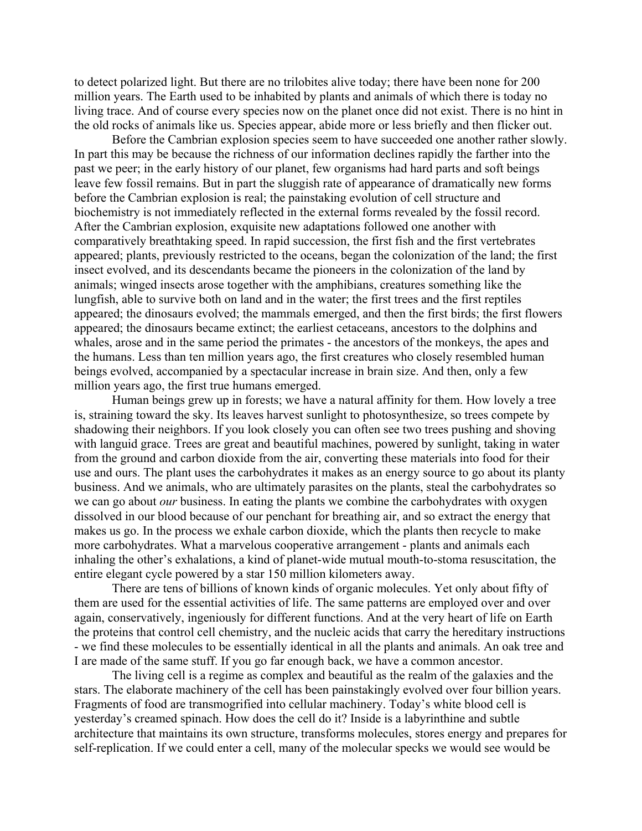to detect polarized light. But there are no trilobites alive today; there have been none for 200 million years. The Earth used to be inhabited by plants and animals of which there is today no living trace. And of course every species now on the planet once did not exist. There is no hint in the old rocks of animals like us. Species appear, abide more or less briefly and then flicker out.

Before the Cambrian explosion species seem to have succeeded one another rather slowly. In part this may be because the richness of our information declines rapidly the farther into the past we peer; in the early history of our planet, few organisms had hard parts and soft beings leave few fossil remains. But in part the sluggish rate of appearance of dramatically new forms before the Cambrian explosion is real; the painstaking evolution of cell structure and biochemistry is not immediately reflected in the external forms revealed by the fossil record. After the Cambrian explosion, exquisite new adaptations followed one another with comparatively breathtaking speed. In rapid succession, the first fish and the first vertebrates appeared; plants, previously restricted to the oceans, began the colonization of the land; the first insect evolved, and its descendants became the pioneers in the colonization of the land by animals; winged insects arose together with the amphibians, creatures something like the lungfish, able to survive both on land and in the water; the first trees and the first reptiles appeared; the dinosaurs evolved; the mammals emerged, and then the first birds; the first flowers appeared; the dinosaurs became extinct; the earliest cetaceans, ancestors to the dolphins and whales, arose and in the same period the primates - the ancestors of the monkeys, the apes and the humans. Less than ten million years ago, the first creatures who closely resembled human beings evolved, accompanied by a spectacular increase in brain size. And then, only a few million years ago, the first true humans emerged.

Human beings grew up in forests; we have a natural affinity for them. How lovely a tree is, straining toward the sky. Its leaves harvest sunlight to photosynthesize, so trees compete by shadowing their neighbors. If you look closely you can often see two trees pushing and shoving with languid grace. Trees are great and beautiful machines, powered by sunlight, taking in water from the ground and carbon dioxide from the air, converting these materials into food for their use and ours. The plant uses the carbohydrates it makes as an energy source to go about its planty business. And we animals, who are ultimately parasites on the plants, steal the carbohydrates so we can go about *our* business. In eating the plants we combine the carbohydrates with oxygen dissolved in our blood because of our penchant for breathing air, and so extract the energy that makes us go. In the process we exhale carbon dioxide, which the plants then recycle to make more carbohydrates. What a marvelous cooperative arrangement - plants and animals each inhaling the other's exhalations, a kind of planet-wide mutual mouth-to-stoma resuscitation, the entire elegant cycle powered by a star 150 million kilometers away.

There are tens of billions of known kinds of organic molecules. Yet only about fifty of them are used for the essential activities of life. The same patterns are employed over and over again, conservatively, ingeniously for different functions. And at the very heart of life on Earth the proteins that control cell chemistry, and the nucleic acids that carry the hereditary instructions - we find these molecules to be essentially identical in all the plants and animals. An oak tree and I are made of the same stuff. If you go far enough back, we have a common ancestor.

The living cell is a regime as complex and beautiful as the realm of the galaxies and the stars. The elaborate machinery of the cell has been painstakingly evolved over four billion years. Fragments of food are transmogrified into cellular machinery. Today's white blood cell is yesterday's creamed spinach. How does the cell do it? Inside is a labyrinthine and subtle architecture that maintains its own structure, transforms molecules, stores energy and prepares for self-replication. If we could enter a cell, many of the molecular specks we would see would be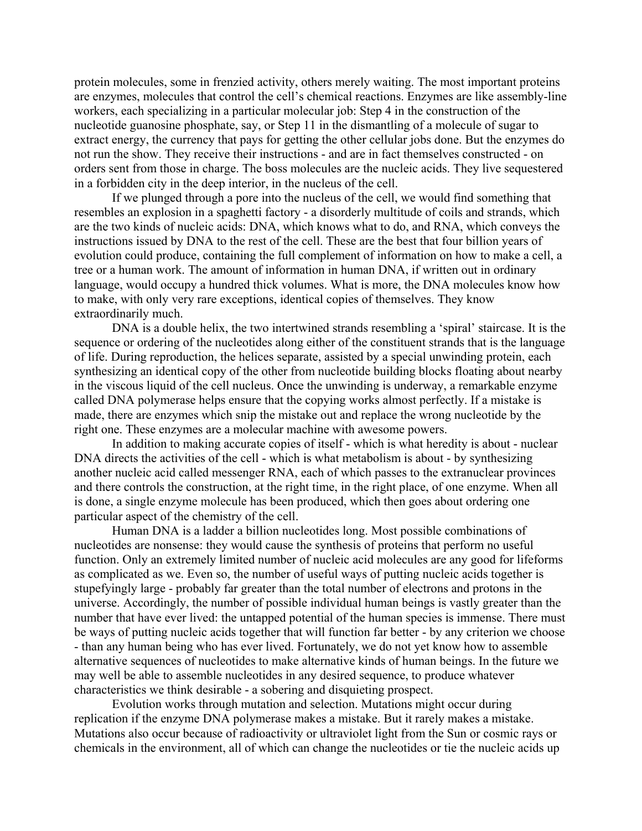protein molecules, some in frenzied activity, others merely waiting. The most important proteins are enzymes, molecules that control the cell's chemical reactions. Enzymes are like assembly-line workers, each specializing in a particular molecular job: Step 4 in the construction of the nucleotide guanosine phosphate, say, or Step 11 in the dismantling of a molecule of sugar to extract energy, the currency that pays for getting the other cellular jobs done. But the enzymes do not run the show. They receive their instructions - and are in fact themselves constructed - on orders sent from those in charge. The boss molecules are the nucleic acids. They live sequestered in a forbidden city in the deep interior, in the nucleus of the cell.

If we plunged through a pore into the nucleus of the cell, we would find something that resembles an explosion in a spaghetti factory - a disorderly multitude of coils and strands, which are the two kinds of nucleic acids: DNA, which knows what to do, and RNA, which conveys the instructions issued by DNA to the rest of the cell. These are the best that four billion years of evolution could produce, containing the full complement of information on how to make a cell, a tree or a human work. The amount of information in human DNA, if written out in ordinary language, would occupy a hundred thick volumes. What is more, the DNA molecules know how to make, with only very rare exceptions, identical copies of themselves. They know extraordinarily much.

DNA is a double helix, the two intertwined strands resembling a 'spiral' staircase. It is the sequence or ordering of the nucleotides along either of the constituent strands that is the language of life. During reproduction, the helices separate, assisted by a special unwinding protein, each synthesizing an identical copy of the other from nucleotide building blocks floating about nearby in the viscous liquid of the cell nucleus. Once the unwinding is underway, a remarkable enzyme called DNA polymerase helps ensure that the copying works almost perfectly. If a mistake is made, there are enzymes which snip the mistake out and replace the wrong nucleotide by the right one. These enzymes are a molecular machine with awesome powers.

In addition to making accurate copies of itself - which is what heredity is about - nuclear DNA directs the activities of the cell - which is what metabolism is about - by synthesizing another nucleic acid called messenger RNA, each of which passes to the extranuclear provinces and there controls the construction, at the right time, in the right place, of one enzyme. When all is done, a single enzyme molecule has been produced, which then goes about ordering one particular aspect of the chemistry of the cell.

Human DNA is a ladder a billion nucleotides long. Most possible combinations of nucleotides are nonsense: they would cause the synthesis of proteins that perform no useful function. Only an extremely limited number of nucleic acid molecules are any good for lifeforms as complicated as we. Even so, the number of useful ways of putting nucleic acids together is stupefyingly large - probably far greater than the total number of electrons and protons in the universe. Accordingly, the number of possible individual human beings is vastly greater than the number that have ever lived: the untapped potential of the human species is immense. There must be ways of putting nucleic acids together that will function far better - by any criterion we choose - than any human being who has ever lived. Fortunately, we do not yet know how to assemble alternative sequences of nucleotides to make alternative kinds of human beings. In the future we may well be able to assemble nucleotides in any desired sequence, to produce whatever characteristics we think desirable - a sobering and disquieting prospect.

Evolution works through mutation and selection. Mutations might occur during replication if the enzyme DNA polymerase makes a mistake. But it rarely makes a mistake. Mutations also occur because of radioactivity or ultraviolet light from the Sun or cosmic rays or chemicals in the environment, all of which can change the nucleotides or tie the nucleic acids up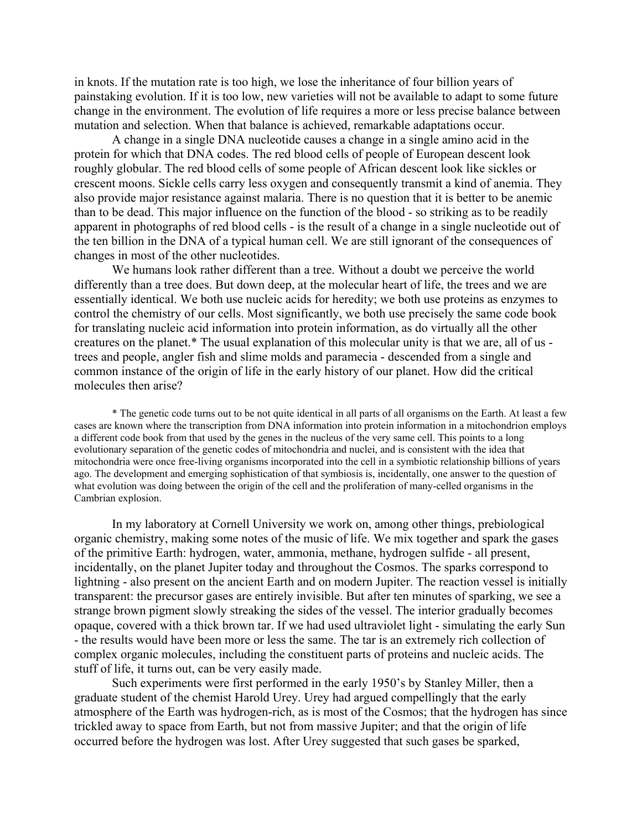in knots. If the mutation rate is too high, we lose the inheritance of four billion years of painstaking evolution. If it is too low, new varieties will not be available to adapt to some future change in the environment. The evolution of life requires a more or less precise balance between mutation and selection. When that balance is achieved, remarkable adaptations occur.

A change in a single DNA nucleotide causes a change in a single amino acid in the protein for which that DNA codes. The red blood cells of people of European descent look roughly globular. The red blood cells of some people of African descent look like sickles or crescent moons. Sickle cells carry less oxygen and consequently transmit a kind of anemia. They also provide major resistance against malaria. There is no question that it is better to be anemic than to be dead. This major influence on the function of the blood - so striking as to be readily apparent in photographs of red blood cells - is the result of a change in a single nucleotide out of the ten billion in the DNA of a typical human cell. We are still ignorant of the consequences of changes in most of the other nucleotides.

We humans look rather different than a tree. Without a doubt we perceive the world differently than a tree does. But down deep, at the molecular heart of life, the trees and we are essentially identical. We both use nucleic acids for heredity; we both use proteins as enzymes to control the chemistry of our cells. Most significantly, we both use precisely the same code book for translating nucleic acid information into protein information, as do virtually all the other creatures on the planet.\* The usual explanation of this molecular unity is that we are, all of us trees and people, angler fish and slime molds and paramecia - descended from a single and common instance of the origin of life in the early history of our planet. How did the critical molecules then arise?

\* The genetic code turns out to be not quite identical in all parts of all organisms on the Earth. At least a few cases are known where the transcription from DNA information into protein information in a mitochondrion employs a different code book from that used by the genes in the nucleus of the very same cell. This points to a long evolutionary separation of the genetic codes of mitochondria and nuclei, and is consistent with the idea that mitochondria were once free-living organisms incorporated into the cell in a symbiotic relationship billions of years ago. The development and emerging sophistication of that symbiosis is, incidentally, one answer to the question of what evolution was doing between the origin of the cell and the proliferation of many-celled organisms in the Cambrian explosion.

In my laboratory at Cornell University we work on, among other things, prebiological organic chemistry, making some notes of the music of life. We mix together and spark the gases of the primitive Earth: hydrogen, water, ammonia, methane, hydrogen sulfide - all present, incidentally, on the planet Jupiter today and throughout the Cosmos. The sparks correspond to lightning - also present on the ancient Earth and on modern Jupiter. The reaction vessel is initially transparent: the precursor gases are entirely invisible. But after ten minutes of sparking, we see a strange brown pigment slowly streaking the sides of the vessel. The interior gradually becomes opaque, covered with a thick brown tar. If we had used ultraviolet light - simulating the early Sun - the results would have been more or less the same. The tar is an extremely rich collection of complex organic molecules, including the constituent parts of proteins and nucleic acids. The stuff of life, it turns out, can be very easily made.

Such experiments were first performed in the early 1950's by Stanley Miller, then a graduate student of the chemist Harold Urey. Urey had argued compellingly that the early atmosphere of the Earth was hydrogen-rich, as is most of the Cosmos; that the hydrogen has since trickled away to space from Earth, but not from massive Jupiter; and that the origin of life occurred before the hydrogen was lost. After Urey suggested that such gases be sparked,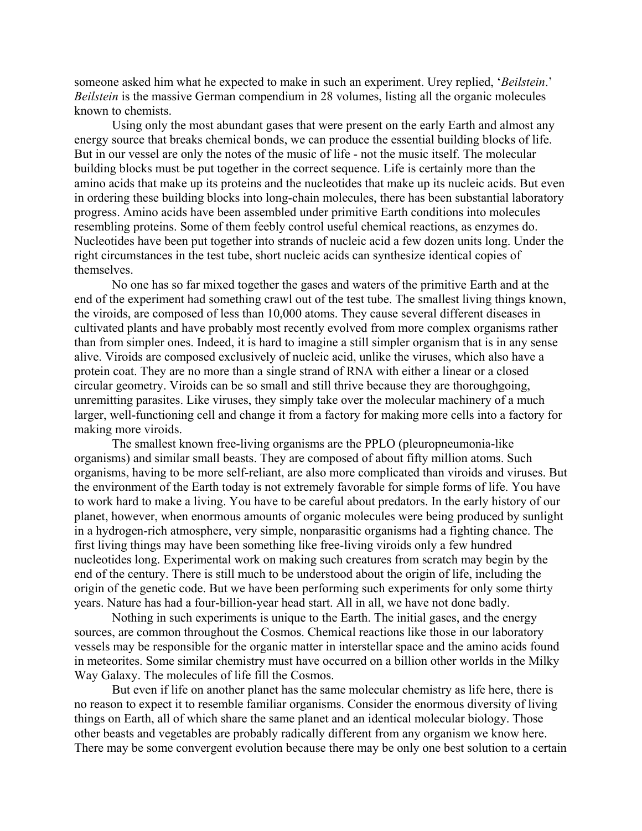someone asked him what he expected to make in such an experiment. Urey replied, '*Beilstein*.' *Beilstein* is the massive German compendium in 28 volumes, listing all the organic molecules known to chemists.

Using only the most abundant gases that were present on the early Earth and almost any energy source that breaks chemical bonds, we can produce the essential building blocks of life. But in our vessel are only the notes of the music of life - not the music itself. The molecular building blocks must be put together in the correct sequence. Life is certainly more than the amino acids that make up its proteins and the nucleotides that make up its nucleic acids. But even in ordering these building blocks into long-chain molecules, there has been substantial laboratory progress. Amino acids have been assembled under primitive Earth conditions into molecules resembling proteins. Some of them feebly control useful chemical reactions, as enzymes do. Nucleotides have been put together into strands of nucleic acid a few dozen units long. Under the right circumstances in the test tube, short nucleic acids can synthesize identical copies of themselves.

No one has so far mixed together the gases and waters of the primitive Earth and at the end of the experiment had something crawl out of the test tube. The smallest living things known, the viroids, are composed of less than 10,000 atoms. They cause several different diseases in cultivated plants and have probably most recently evolved from more complex organisms rather than from simpler ones. Indeed, it is hard to imagine a still simpler organism that is in any sense alive. Viroids are composed exclusively of nucleic acid, unlike the viruses, which also have a protein coat. They are no more than a single strand of RNA with either a linear or a closed circular geometry. Viroids can be so small and still thrive because they are thoroughgoing, unremitting parasites. Like viruses, they simply take over the molecular machinery of a much larger, well-functioning cell and change it from a factory for making more cells into a factory for making more viroids.

The smallest known free-living organisms are the PPLO (pleuropneumonia-like organisms) and similar small beasts. They are composed of about fifty million atoms. Such organisms, having to be more self-reliant, are also more complicated than viroids and viruses. But the environment of the Earth today is not extremely favorable for simple forms of life. You have to work hard to make a living. You have to be careful about predators. In the early history of our planet, however, when enormous amounts of organic molecules were being produced by sunlight in a hydrogen-rich atmosphere, very simple, nonparasitic organisms had a fighting chance. The first living things may have been something like free-living viroids only a few hundred nucleotides long. Experimental work on making such creatures from scratch may begin by the end of the century. There is still much to be understood about the origin of life, including the origin of the genetic code. But we have been performing such experiments for only some thirty years. Nature has had a four-billion-year head start. All in all, we have not done badly.

Nothing in such experiments is unique to the Earth. The initial gases, and the energy sources, are common throughout the Cosmos. Chemical reactions like those in our laboratory vessels may be responsible for the organic matter in interstellar space and the amino acids found in meteorites. Some similar chemistry must have occurred on a billion other worlds in the Milky Way Galaxy. The molecules of life fill the Cosmos.

But even if life on another planet has the same molecular chemistry as life here, there is no reason to expect it to resemble familiar organisms. Consider the enormous diversity of living things on Earth, all of which share the same planet and an identical molecular biology. Those other beasts and vegetables are probably radically different from any organism we know here. There may be some convergent evolution because there may be only one best solution to a certain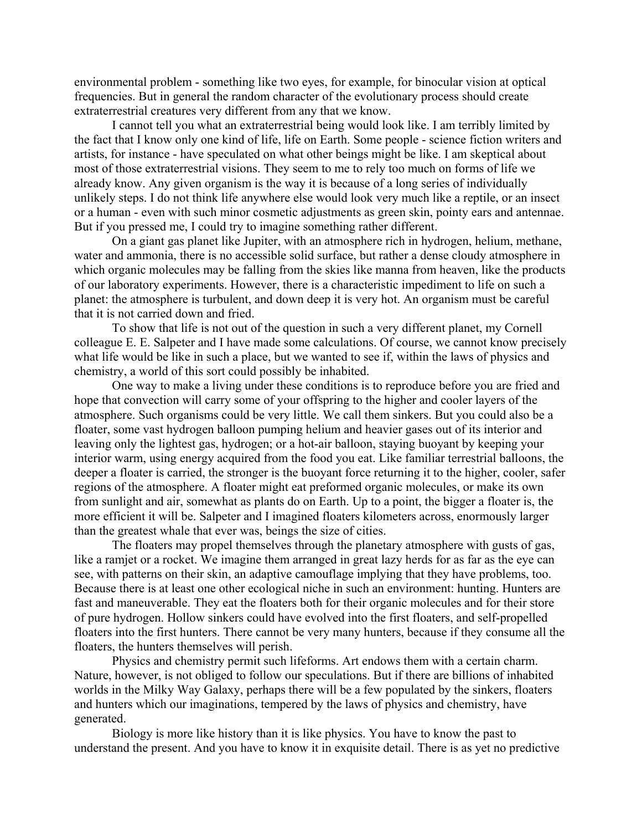environmental problem - something like two eyes, for example, for binocular vision at optical frequencies. But in general the random character of the evolutionary process should create extraterrestrial creatures very different from any that we know.

I cannot tell you what an extraterrestrial being would look like. I am terribly limited by the fact that I know only one kind of life, life on Earth. Some people - science fiction writers and artists, for instance - have speculated on what other beings might be like. I am skeptical about most of those extraterrestrial visions. They seem to me to rely too much on forms of life we already know. Any given organism is the way it is because of a long series of individually unlikely steps. I do not think life anywhere else would look very much like a reptile, or an insect or a human - even with such minor cosmetic adjustments as green skin, pointy ears and antennae. But if you pressed me, I could try to imagine something rather different.

On a giant gas planet like Jupiter, with an atmosphere rich in hydrogen, helium, methane, water and ammonia, there is no accessible solid surface, but rather a dense cloudy atmosphere in which organic molecules may be falling from the skies like manna from heaven, like the products of our laboratory experiments. However, there is a characteristic impediment to life on such a planet: the atmosphere is turbulent, and down deep it is very hot. An organism must be careful that it is not carried down and fried.

To show that life is not out of the question in such a very different planet, my Cornell colleague E. E. Salpeter and I have made some calculations. Of course, we cannot know precisely what life would be like in such a place, but we wanted to see if, within the laws of physics and chemistry, a world of this sort could possibly be inhabited.

One way to make a living under these conditions is to reproduce before you are fried and hope that convection will carry some of your offspring to the higher and cooler layers of the atmosphere. Such organisms could be very little. We call them sinkers. But you could also be a floater, some vast hydrogen balloon pumping helium and heavier gases out of its interior and leaving only the lightest gas, hydrogen; or a hot-air balloon, staying buoyant by keeping your interior warm, using energy acquired from the food you eat. Like familiar terrestrial balloons, the deeper a floater is carried, the stronger is the buoyant force returning it to the higher, cooler, safer regions of the atmosphere. A floater might eat preformed organic molecules, or make its own from sunlight and air, somewhat as plants do on Earth. Up to a point, the bigger a floater is, the more efficient it will be. Salpeter and I imagined floaters kilometers across, enormously larger than the greatest whale that ever was, beings the size of cities.

The floaters may propel themselves through the planetary atmosphere with gusts of gas, like a ramjet or a rocket. We imagine them arranged in great lazy herds for as far as the eye can see, with patterns on their skin, an adaptive camouflage implying that they have problems, too. Because there is at least one other ecological niche in such an environment: hunting. Hunters are fast and maneuverable. They eat the floaters both for their organic molecules and for their store of pure hydrogen. Hollow sinkers could have evolved into the first floaters, and self-propelled floaters into the first hunters. There cannot be very many hunters, because if they consume all the floaters, the hunters themselves will perish.

Physics and chemistry permit such lifeforms. Art endows them with a certain charm. Nature, however, is not obliged to follow our speculations. But if there are billions of inhabited worlds in the Milky Way Galaxy, perhaps there will be a few populated by the sinkers, floaters and hunters which our imaginations, tempered by the laws of physics and chemistry, have generated.

Biology is more like history than it is like physics. You have to know the past to understand the present. And you have to know it in exquisite detail. There is as yet no predictive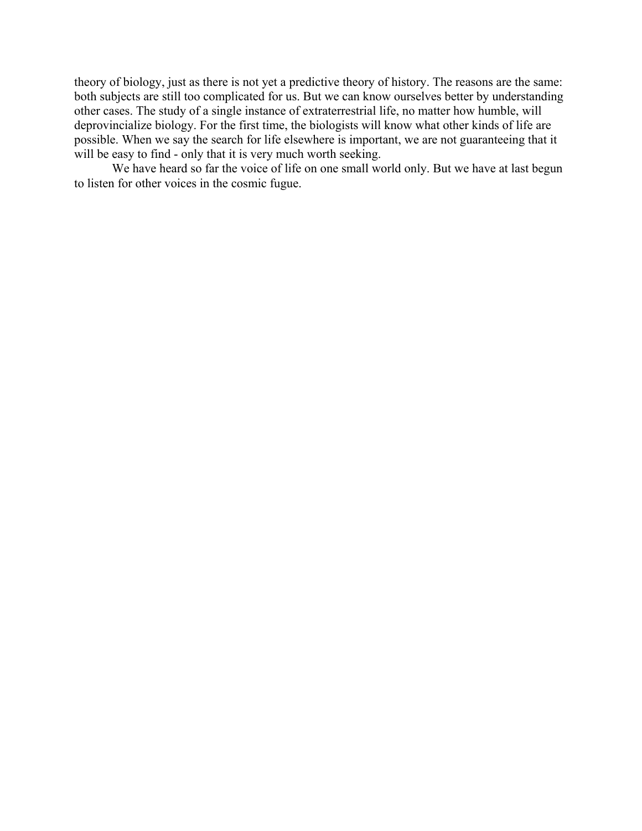theory of biology, just as there is not yet a predictive theory of history. The reasons are the same: both subjects are still too complicated for us. But we can know ourselves better by understanding other cases. The study of a single instance of extraterrestrial life, no matter how humble, will deprovincialize biology. For the first time, the biologists will know what other kinds of life are possible. When we say the search for life elsewhere is important, we are not guaranteeing that it will be easy to find - only that it is very much worth seeking.

We have heard so far the voice of life on one small world only. But we have at last begun to listen for other voices in the cosmic fugue.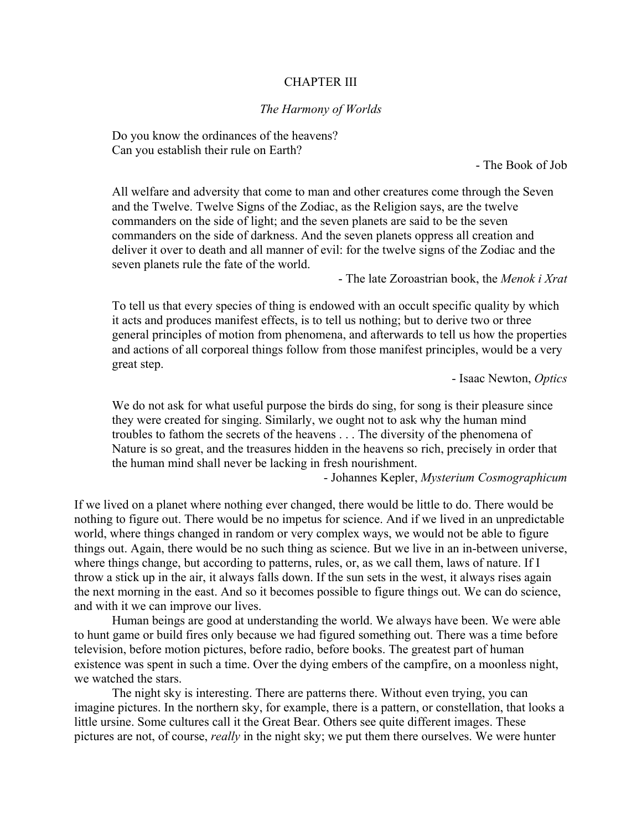## CHAPTER III

### *The Harmony of Worlds*

Do you know the ordinances of the heavens? Can you establish their rule on Earth?

- The Book of Job

All welfare and adversity that come to man and other creatures come through the Seven and the Twelve. Twelve Signs of the Zodiac, as the Religion says, are the twelve commanders on the side of light; and the seven planets are said to be the seven commanders on the side of darkness. And the seven planets oppress all creation and deliver it over to death and all manner of evil: for the twelve signs of the Zodiac and the seven planets rule the fate of the world.

- The late Zoroastrian book, the *Menok i Xrat*

To tell us that every species of thing is endowed with an occult specific quality by which it acts and produces manifest effects, is to tell us nothing; but to derive two or three general principles of motion from phenomena, and afterwards to tell us how the properties and actions of all corporeal things follow from those manifest principles, would be a very great step.

- Isaac Newton, *Optics*

We do not ask for what useful purpose the birds do sing, for song is their pleasure since they were created for singing. Similarly, we ought not to ask why the human mind troubles to fathom the secrets of the heavens . . . The diversity of the phenomena of Nature is so great, and the treasures hidden in the heavens so rich, precisely in order that the human mind shall never be lacking in fresh nourishment.

- Johannes Kepler, *Mysterium Cosmographicum*

If we lived on a planet where nothing ever changed, there would be little to do. There would be nothing to figure out. There would be no impetus for science. And if we lived in an unpredictable world, where things changed in random or very complex ways, we would not be able to figure things out. Again, there would be no such thing as science. But we live in an in-between universe, where things change, but according to patterns, rules, or, as we call them, laws of nature. If I throw a stick up in the air, it always falls down. If the sun sets in the west, it always rises again the next morning in the east. And so it becomes possible to figure things out. We can do science, and with it we can improve our lives.

Human beings are good at understanding the world. We always have been. We were able to hunt game or build fires only because we had figured something out. There was a time before television, before motion pictures, before radio, before books. The greatest part of human existence was spent in such a time. Over the dying embers of the campfire, on a moonless night, we watched the stars.

The night sky is interesting. There are patterns there. Without even trying, you can imagine pictures. In the northern sky, for example, there is a pattern, or constellation, that looks a little ursine. Some cultures call it the Great Bear. Others see quite different images. These pictures are not, of course, *really* in the night sky; we put them there ourselves. We were hunter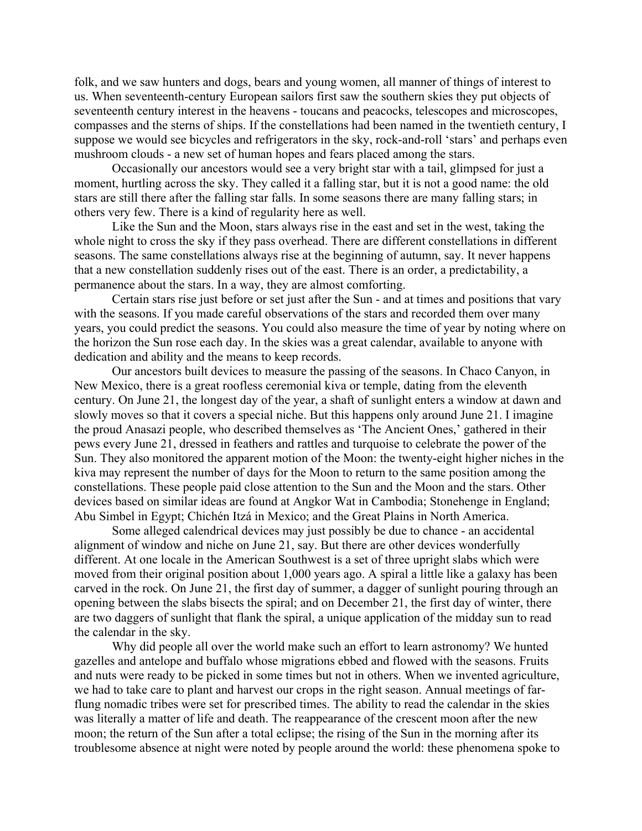folk, and we saw hunters and dogs, bears and young women, all manner of things of interest to us. When seventeenth-century European sailors first saw the southern skies they put objects of seventeenth century interest in the heavens - toucans and peacocks, telescopes and microscopes, compasses and the sterns of ships. If the constellations had been named in the twentieth century, I suppose we would see bicycles and refrigerators in the sky, rock-and-roll 'stars' and perhaps even mushroom clouds - a new set of human hopes and fears placed among the stars.

Occasionally our ancestors would see a very bright star with a tail, glimpsed for just a moment, hurtling across the sky. They called it a falling star, but it is not a good name: the old stars are still there after the falling star falls. In some seasons there are many falling stars; in others very few. There is a kind of regularity here as well.

Like the Sun and the Moon, stars always rise in the east and set in the west, taking the whole night to cross the sky if they pass overhead. There are different constellations in different seasons. The same constellations always rise at the beginning of autumn, say. It never happens that a new constellation suddenly rises out of the east. There is an order, a predictability, a permanence about the stars. In a way, they are almost comforting.

Certain stars rise just before or set just after the Sun - and at times and positions that vary with the seasons. If you made careful observations of the stars and recorded them over many years, you could predict the seasons. You could also measure the time of year by noting where on the horizon the Sun rose each day. In the skies was a great calendar, available to anyone with dedication and ability and the means to keep records.

Our ancestors built devices to measure the passing of the seasons. In Chaco Canyon, in New Mexico, there is a great roofless ceremonial kiva or temple, dating from the eleventh century. On June 21, the longest day of the year, a shaft of sunlight enters a window at dawn and slowly moves so that it covers a special niche. But this happens only around June 21. I imagine the proud Anasazi people, who described themselves as 'The Ancient Ones,' gathered in their pews every June 21, dressed in feathers and rattles and turquoise to celebrate the power of the Sun. They also monitored the apparent motion of the Moon: the twenty-eight higher niches in the kiva may represent the number of days for the Moon to return to the same position among the constellations. These people paid close attention to the Sun and the Moon and the stars. Other devices based on similar ideas are found at Angkor Wat in Cambodia; Stonehenge in England; Abu Simbel in Egypt; Chichén Itzá in Mexico; and the Great Plains in North America.

Some alleged calendrical devices may just possibly be due to chance - an accidental alignment of window and niche on June 21, say. But there are other devices wonderfully different. At one locale in the American Southwest is a set of three upright slabs which were moved from their original position about 1,000 years ago. A spiral a little like a galaxy has been carved in the rock. On June 21, the first day of summer, a dagger of sunlight pouring through an opening between the slabs bisects the spiral; and on December 21, the first day of winter, there are two daggers of sunlight that flank the spiral, a unique application of the midday sun to read the calendar in the sky.

Why did people all over the world make such an effort to learn astronomy? We hunted gazelles and antelope and buffalo whose migrations ebbed and flowed with the seasons. Fruits and nuts were ready to be picked in some times but not in others. When we invented agriculture, we had to take care to plant and harvest our crops in the right season. Annual meetings of farflung nomadic tribes were set for prescribed times. The ability to read the calendar in the skies was literally a matter of life and death. The reappearance of the crescent moon after the new moon; the return of the Sun after a total eclipse; the rising of the Sun in the morning after its troublesome absence at night were noted by people around the world: these phenomena spoke to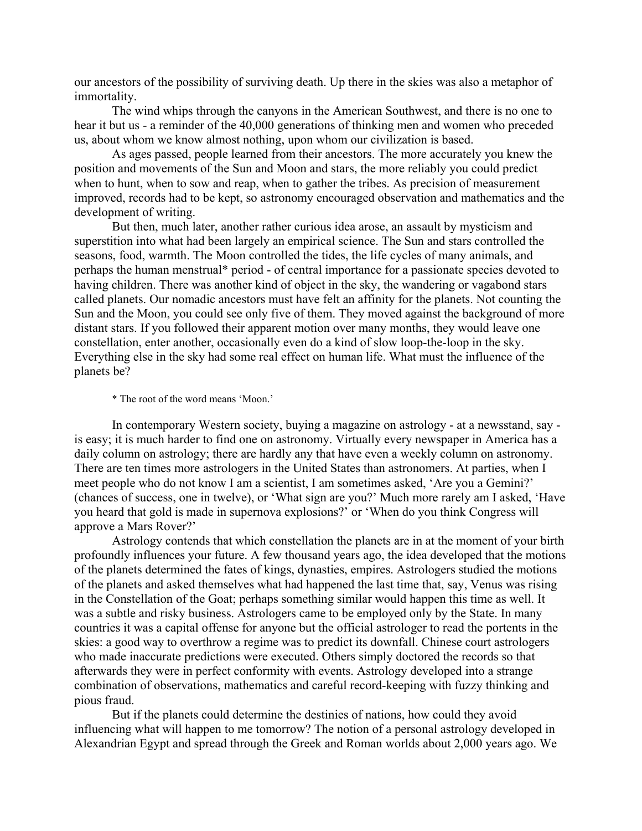our ancestors of the possibility of surviving death. Up there in the skies was also a metaphor of immortality.

The wind whips through the canyons in the American Southwest, and there is no one to hear it but us - a reminder of the 40,000 generations of thinking men and women who preceded us, about whom we know almost nothing, upon whom our civilization is based.

As ages passed, people learned from their ancestors. The more accurately you knew the position and movements of the Sun and Moon and stars, the more reliably you could predict when to hunt, when to sow and reap, when to gather the tribes. As precision of measurement improved, records had to be kept, so astronomy encouraged observation and mathematics and the development of writing.

But then, much later, another rather curious idea arose, an assault by mysticism and superstition into what had been largely an empirical science. The Sun and stars controlled the seasons, food, warmth. The Moon controlled the tides, the life cycles of many animals, and perhaps the human menstrual\* period - of central importance for a passionate species devoted to having children. There was another kind of object in the sky, the wandering or vagabond stars called planets. Our nomadic ancestors must have felt an affinity for the planets. Not counting the Sun and the Moon, you could see only five of them. They moved against the background of more distant stars. If you followed their apparent motion over many months, they would leave one constellation, enter another, occasionally even do a kind of slow loop-the-loop in the sky. Everything else in the sky had some real effect on human life. What must the influence of the planets be?

#### \* The root of the word means 'Moon.'

In contemporary Western society, buying a magazine on astrology - at a newsstand, say is easy; it is much harder to find one on astronomy. Virtually every newspaper in America has a daily column on astrology; there are hardly any that have even a weekly column on astronomy. There are ten times more astrologers in the United States than astronomers. At parties, when I meet people who do not know I am a scientist, I am sometimes asked, 'Are you a Gemini?' (chances of success, one in twelve), or 'What sign are you?' Much more rarely am I asked, 'Have you heard that gold is made in supernova explosions?' or 'When do you think Congress will approve a Mars Rover?'

Astrology contends that which constellation the planets are in at the moment of your birth profoundly influences your future. A few thousand years ago, the idea developed that the motions of the planets determined the fates of kings, dynasties, empires. Astrologers studied the motions of the planets and asked themselves what had happened the last time that, say, Venus was rising in the Constellation of the Goat; perhaps something similar would happen this time as well. It was a subtle and risky business. Astrologers came to be employed only by the State. In many countries it was a capital offense for anyone but the official astrologer to read the portents in the skies: a good way to overthrow a regime was to predict its downfall. Chinese court astrologers who made inaccurate predictions were executed. Others simply doctored the records so that afterwards they were in perfect conformity with events. Astrology developed into a strange combination of observations, mathematics and careful record-keeping with fuzzy thinking and pious fraud.

But if the planets could determine the destinies of nations, how could they avoid influencing what will happen to me tomorrow? The notion of a personal astrology developed in Alexandrian Egypt and spread through the Greek and Roman worlds about 2,000 years ago. We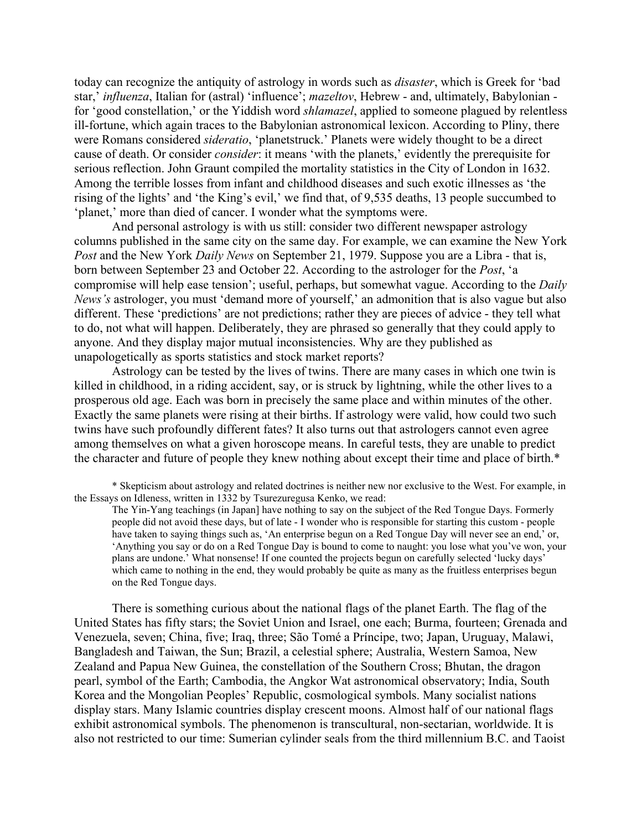today can recognize the antiquity of astrology in words such as *disaster*, which is Greek for 'bad star,' *influenza*, Italian for (astral) 'influence'; *mazeltov*, Hebrew - and, ultimately, Babylonian for 'good constellation,' or the Yiddish word *shlamazel*, applied to someone plagued by relentless ill-fortune, which again traces to the Babylonian astronomical lexicon. According to Pliny, there were Romans considered *sideratio*, 'planetstruck.' Planets were widely thought to be a direct cause of death. Or consider *consider*: it means 'with the planets,' evidently the prerequisite for serious reflection. John Graunt compiled the mortality statistics in the City of London in 1632. Among the terrible losses from infant and childhood diseases and such exotic illnesses as 'the rising of the lights' and 'the King's evil,' we find that, of 9,535 deaths, 13 people succumbed to 'planet,' more than died of cancer. I wonder what the symptoms were.

And personal astrology is with us still: consider two different newspaper astrology columns published in the same city on the same day. For example, we can examine the New York *Post* and the New York *Daily News* on September 21, 1979. Suppose you are a Libra - that is, born between September 23 and October 22. According to the astrologer for the *Post*, 'a compromise will help ease tension'; useful, perhaps, but somewhat vague. According to the *Daily News's* astrologer, you must 'demand more of yourself,' an admonition that is also vague but also different. These 'predictions' are not predictions; rather they are pieces of advice - they tell what to do, not what will happen. Deliberately, they are phrased so generally that they could apply to anyone. And they display major mutual inconsistencies. Why are they published as unapologetically as sports statistics and stock market reports?

Astrology can be tested by the lives of twins. There are many cases in which one twin is killed in childhood, in a riding accident, say, or is struck by lightning, while the other lives to a prosperous old age. Each was born in precisely the same place and within minutes of the other. Exactly the same planets were rising at their births. If astrology were valid, how could two such twins have such profoundly different fates? It also turns out that astrologers cannot even agree among themselves on what a given horoscope means. In careful tests, they are unable to predict the character and future of people they knew nothing about except their time and place of birth.\*

\* Skepticism about astrology and related doctrines is neither new nor exclusive to the West. For example, in the Essays on Idleness, written in 1332 by Tsurezuregusa Kenko, we read:

The Yin-Yang teachings (in Japan] have nothing to say on the subject of the Red Tongue Days. Formerly people did not avoid these days, but of late - I wonder who is responsible for starting this custom - people have taken to saying things such as, 'An enterprise begun on a Red Tongue Day will never see an end,' or, 'Anything you say or do on a Red Tongue Day is bound to come to naught: you lose what you've won, your plans are undone.' What nonsense! If one counted the projects begun on carefully selected 'lucky days' which came to nothing in the end, they would probably be quite as many as the fruitless enterprises begun on the Red Tongue days.

There is something curious about the national flags of the planet Earth. The flag of the United States has fifty stars; the Soviet Union and Israel, one each; Burma, fourteen; Grenada and Venezuela, seven; China, five; Iraq, three; São Tomé a Príncipe, two; Japan, Uruguay, Malawi, Bangladesh and Taiwan, the Sun; Brazil, a celestial sphere; Australia, Western Samoa, New Zealand and Papua New Guinea, the constellation of the Southern Cross; Bhutan, the dragon pearl, symbol of the Earth; Cambodia, the Angkor Wat astronomical observatory; India, South Korea and the Mongolian Peoples' Republic, cosmological symbols. Many socialist nations display stars. Many Islamic countries display crescent moons. Almost half of our national flags exhibit astronomical symbols. The phenomenon is transcultural, non-sectarian, worldwide. It is also not restricted to our time: Sumerian cylinder seals from the third millennium B.C. and Taoist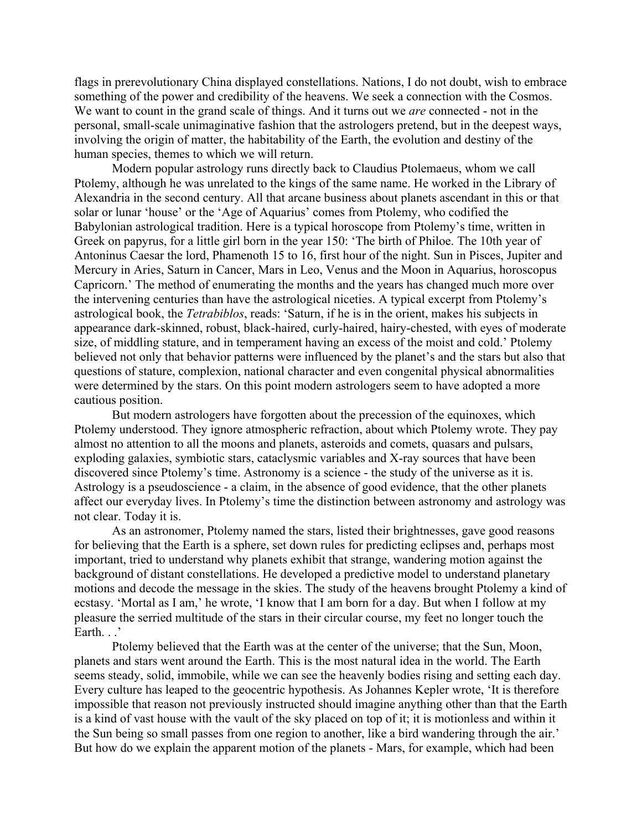flags in prerevolutionary China displayed constellations. Nations, I do not doubt, wish to embrace something of the power and credibility of the heavens. We seek a connection with the Cosmos. We want to count in the grand scale of things. And it turns out we *are* connected - not in the personal, small-scale unimaginative fashion that the astrologers pretend, but in the deepest ways, involving the origin of matter, the habitability of the Earth, the evolution and destiny of the human species, themes to which we will return.

Modern popular astrology runs directly back to Claudius Ptolemaeus, whom we call Ptolemy, although he was unrelated to the kings of the same name. He worked in the Library of Alexandria in the second century. All that arcane business about planets ascendant in this or that solar or lunar 'house' or the 'Age of Aquarius' comes from Ptolemy, who codified the Babylonian astrological tradition. Here is a typical horoscope from Ptolemy's time, written in Greek on papyrus, for a little girl born in the year 150: 'The birth of Philoe. The 10th year of Antoninus Caesar the lord, Phamenoth 15 to 16, first hour of the night. Sun in Pisces, Jupiter and Mercury in Aries, Saturn in Cancer, Mars in Leo, Venus and the Moon in Aquarius, horoscopus Capricorn.' The method of enumerating the months and the years has changed much more over the intervening centuries than have the astrological niceties. A typical excerpt from Ptolemy's astrological book, the *Tetrabiblos*, reads: 'Saturn, if he is in the orient, makes his subjects in appearance dark-skinned, robust, black-haired, curly-haired, hairy-chested, with eyes of moderate size, of middling stature, and in temperament having an excess of the moist and cold.' Ptolemy believed not only that behavior patterns were influenced by the planet's and the stars but also that questions of stature, complexion, national character and even congenital physical abnormalities were determined by the stars. On this point modern astrologers seem to have adopted a more cautious position.

But modern astrologers have forgotten about the precession of the equinoxes, which Ptolemy understood. They ignore atmospheric refraction, about which Ptolemy wrote. They pay almost no attention to all the moons and planets, asteroids and comets, quasars and pulsars, exploding galaxies, symbiotic stars, cataclysmic variables and X-ray sources that have been discovered since Ptolemy's time. Astronomy is a science - the study of the universe as it is. Astrology is a pseudoscience - a claim, in the absence of good evidence, that the other planets affect our everyday lives. In Ptolemy's time the distinction between astronomy and astrology was not clear. Today it is.

As an astronomer, Ptolemy named the stars, listed their brightnesses, gave good reasons for believing that the Earth is a sphere, set down rules for predicting eclipses and, perhaps most important, tried to understand why planets exhibit that strange, wandering motion against the background of distant constellations. He developed a predictive model to understand planetary motions and decode the message in the skies. The study of the heavens brought Ptolemy a kind of ecstasy. 'Mortal as I am,' he wrote, 'I know that I am born for a day. But when I follow at my pleasure the serried multitude of the stars in their circular course, my feet no longer touch the Earth. . . '

Ptolemy believed that the Earth was at the center of the universe; that the Sun, Moon, planets and stars went around the Earth. This is the most natural idea in the world. The Earth seems steady, solid, immobile, while we can see the heavenly bodies rising and setting each day. Every culture has leaped to the geocentric hypothesis. As Johannes Kepler wrote, 'It is therefore impossible that reason not previously instructed should imagine anything other than that the Earth is a kind of vast house with the vault of the sky placed on top of it; it is motionless and within it the Sun being so small passes from one region to another, like a bird wandering through the air.' But how do we explain the apparent motion of the planets - Mars, for example, which had been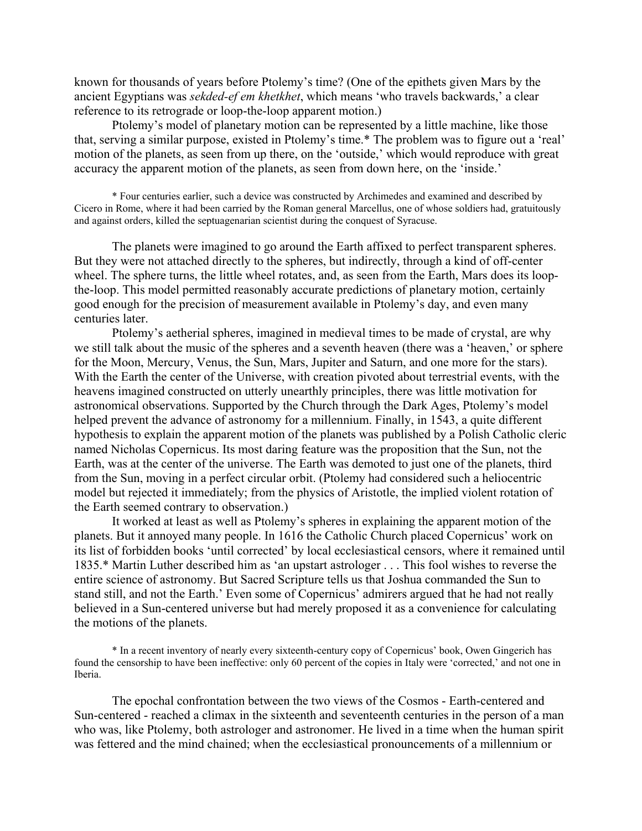known for thousands of years before Ptolemy's time? (One of the epithets given Mars by the ancient Egyptians was *sekded-ef em khetkhet*, which means 'who travels backwards,' a clear reference to its retrograde or loop-the-loop apparent motion.)

Ptolemy's model of planetary motion can be represented by a little machine, like those that, serving a similar purpose, existed in Ptolemy's time.\* The problem was to figure out a 'real' motion of the planets, as seen from up there, on the 'outside,' which would reproduce with great accuracy the apparent motion of the planets, as seen from down here, on the 'inside.'

\* Four centuries earlier, such a device was constructed by Archimedes and examined and described by Cicero in Rome, where it had been carried by the Roman general Marcellus, one of whose soldiers had, gratuitously and against orders, killed the septuagenarian scientist during the conquest of Syracuse.

The planets were imagined to go around the Earth affixed to perfect transparent spheres. But they were not attached directly to the spheres, but indirectly, through a kind of off-center wheel. The sphere turns, the little wheel rotates, and, as seen from the Earth, Mars does its loopthe-loop. This model permitted reasonably accurate predictions of planetary motion, certainly good enough for the precision of measurement available in Ptolemy's day, and even many centuries later.

Ptolemy's aetherial spheres, imagined in medieval times to be made of crystal, are why we still talk about the music of the spheres and a seventh heaven (there was a 'heaven,' or sphere for the Moon, Mercury, Venus, the Sun, Mars, Jupiter and Saturn, and one more for the stars). With the Earth the center of the Universe, with creation pivoted about terrestrial events, with the heavens imagined constructed on utterly unearthly principles, there was little motivation for astronomical observations. Supported by the Church through the Dark Ages, Ptolemy's model helped prevent the advance of astronomy for a millennium. Finally, in 1543, a quite different hypothesis to explain the apparent motion of the planets was published by a Polish Catholic cleric named Nicholas Copernicus. Its most daring feature was the proposition that the Sun, not the Earth, was at the center of the universe. The Earth was demoted to just one of the planets, third from the Sun, moving in a perfect circular orbit. (Ptolemy had considered such a heliocentric model but rejected it immediately; from the physics of Aristotle, the implied violent rotation of the Earth seemed contrary to observation.)

It worked at least as well as Ptolemy's spheres in explaining the apparent motion of the planets. But it annoyed many people. In 1616 the Catholic Church placed Copernicus' work on its list of forbidden books 'until corrected' by local ecclesiastical censors, where it remained until 1835.\* Martin Luther described him as 'an upstart astrologer . . . This fool wishes to reverse the entire science of astronomy. But Sacred Scripture tells us that Joshua commanded the Sun to stand still, and not the Earth.' Even some of Copernicus' admirers argued that he had not really believed in a Sun-centered universe but had merely proposed it as a convenience for calculating the motions of the planets.

\* In a recent inventory of nearly every sixteenth-century copy of Copernicus' book, Owen Gingerich has found the censorship to have been ineffective: only 60 percent of the copies in Italy were 'corrected,' and not one in Iberia.

The epochal confrontation between the two views of the Cosmos - Earth-centered and Sun-centered - reached a climax in the sixteenth and seventeenth centuries in the person of a man who was, like Ptolemy, both astrologer and astronomer. He lived in a time when the human spirit was fettered and the mind chained; when the ecclesiastical pronouncements of a millennium or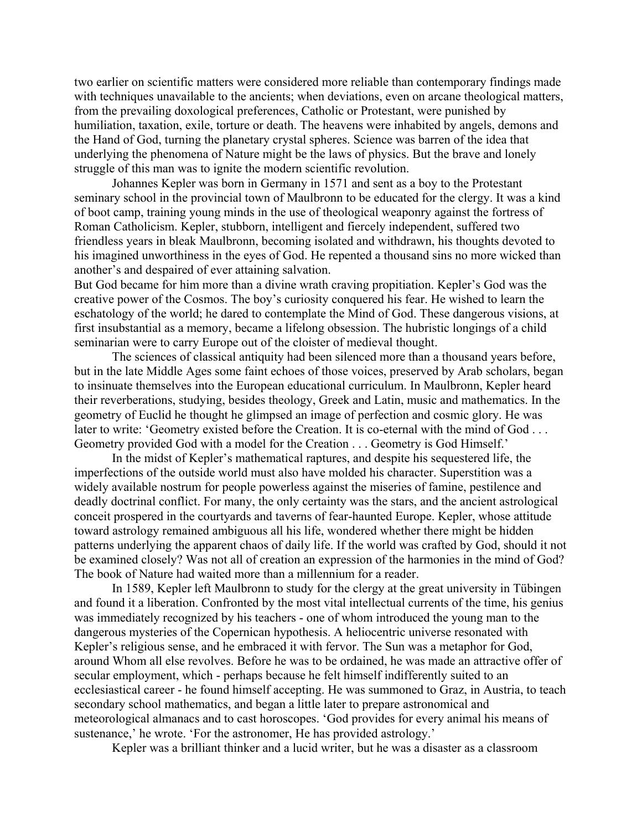two earlier on scientific matters were considered more reliable than contemporary findings made with techniques unavailable to the ancients; when deviations, even on arcane theological matters, from the prevailing doxological preferences, Catholic or Protestant, were punished by humiliation, taxation, exile, torture or death. The heavens were inhabited by angels, demons and the Hand of God, turning the planetary crystal spheres. Science was barren of the idea that underlying the phenomena of Nature might be the laws of physics. But the brave and lonely struggle of this man was to ignite the modern scientific revolution.

Johannes Kepler was born in Germany in 1571 and sent as a boy to the Protestant seminary school in the provincial town of Maulbronn to be educated for the clergy. It was a kind of boot camp, training young minds in the use of theological weaponry against the fortress of Roman Catholicism. Kepler, stubborn, intelligent and fiercely independent, suffered two friendless years in bleak Maulbronn, becoming isolated and withdrawn, his thoughts devoted to his imagined unworthiness in the eyes of God. He repented a thousand sins no more wicked than another's and despaired of ever attaining salvation.

But God became for him more than a divine wrath craving propitiation. Kepler's God was the creative power of the Cosmos. The boy's curiosity conquered his fear. He wished to learn the eschatology of the world; he dared to contemplate the Mind of God. These dangerous visions, at first insubstantial as a memory, became a lifelong obsession. The hubristic longings of a child seminarian were to carry Europe out of the cloister of medieval thought.

The sciences of classical antiquity had been silenced more than a thousand years before, but in the late Middle Ages some faint echoes of those voices, preserved by Arab scholars, began to insinuate themselves into the European educational curriculum. In Maulbronn, Kepler heard their reverberations, studying, besides theology, Greek and Latin, music and mathematics. In the geometry of Euclid he thought he glimpsed an image of perfection and cosmic glory. He was later to write: 'Geometry existed before the Creation. It is co-eternal with the mind of God . . . Geometry provided God with a model for the Creation . . . Geometry is God Himself.'

In the midst of Kepler's mathematical raptures, and despite his sequestered life, the imperfections of the outside world must also have molded his character. Superstition was a widely available nostrum for people powerless against the miseries of famine, pestilence and deadly doctrinal conflict. For many, the only certainty was the stars, and the ancient astrological conceit prospered in the courtyards and taverns of fear-haunted Europe. Kepler, whose attitude toward astrology remained ambiguous all his life, wondered whether there might be hidden patterns underlying the apparent chaos of daily life. If the world was crafted by God, should it not be examined closely? Was not all of creation an expression of the harmonies in the mind of God? The book of Nature had waited more than a millennium for a reader.

In 1589, Kepler left Maulbronn to study for the clergy at the great university in Tübingen and found it a liberation. Confronted by the most vital intellectual currents of the time, his genius was immediately recognized by his teachers - one of whom introduced the young man to the dangerous mysteries of the Copernican hypothesis. A heliocentric universe resonated with Kepler's religious sense, and he embraced it with fervor. The Sun was a metaphor for God, around Whom all else revolves. Before he was to be ordained, he was made an attractive offer of secular employment, which - perhaps because he felt himself indifferently suited to an ecclesiastical career - he found himself accepting. He was summoned to Graz, in Austria, to teach secondary school mathematics, and began a little later to prepare astronomical and meteorological almanacs and to cast horoscopes. 'God provides for every animal his means of sustenance,' he wrote. 'For the astronomer, He has provided astrology.'

Kepler was a brilliant thinker and a lucid writer, but he was a disaster as a classroom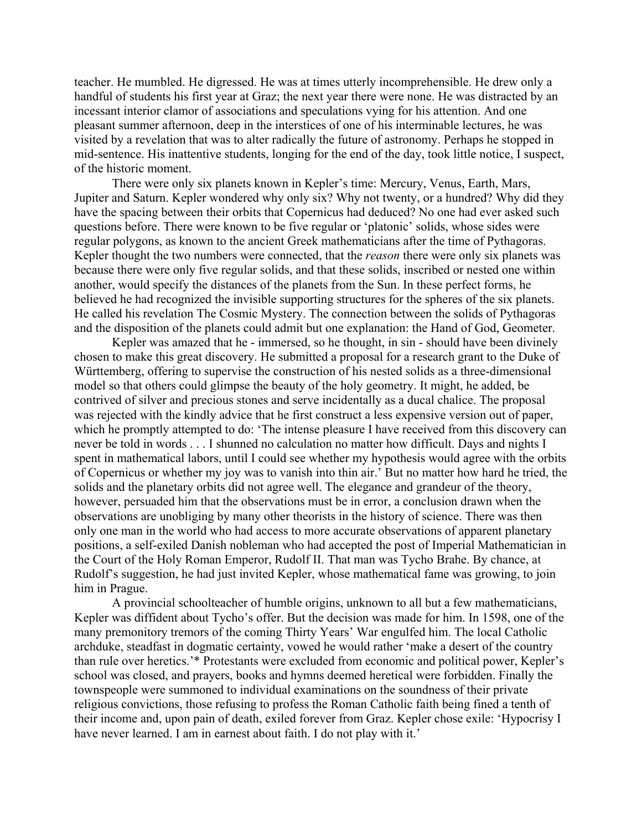teacher. He mumbled. He digressed. He was at times utterly incomprehensible. He drew only a handful of students his first year at Graz; the next year there were none. He was distracted by an incessant interior clamor of associations and speculations vying for his attention. And one pleasant summer afternoon, deep in the interstices of one of his interminable lectures, he was visited by a revelation that was to alter radically the future of astronomy. Perhaps he stopped in mid-sentence. His inattentive students, longing for the end of the day, took little notice, I suspect, of the historic moment.

There were only six planets known in Kepler's time: Mercury, Venus, Earth, Mars, Jupiter and Saturn. Kepler wondered why only six? Why not twenty, or a hundred? Why did they have the spacing between their orbits that Copernicus had deduced? No one had ever asked such questions before. There were known to be five regular or 'platonic' solids, whose sides were regular polygons, as known to the ancient Greek mathematicians after the time of Pythagoras. Kepler thought the two numbers were connected, that the *reason* there were only six planets was because there were only five regular solids, and that these solids, inscribed or nested one within another, would specify the distances of the planets from the Sun. In these perfect forms, he believed he had recognized the invisible supporting structures for the spheres of the six planets. He called his revelation The Cosmic Mystery. The connection between the solids of Pythagoras and the disposition of the planets could admit but one explanation: the Hand of God, Geometer.

Kepler was amazed that he - immersed, so he thought, in sin - should have been divinely chosen to make this great discovery. He submitted a proposal for a research grant to the Duke of Württemberg, offering to supervise the construction of his nested solids as a three-dimensional model so that others could glimpse the beauty of the holy geometry. It might, he added, be contrived of silver and precious stones and serve incidentally as a ducal chalice. The proposal was rejected with the kindly advice that he first construct a less expensive version out of paper, which he promptly attempted to do: 'The intense pleasure I have received from this discovery can never be told in words . . . I shunned no calculation no matter how difficult. Days and nights I spent in mathematical labors, until I could see whether my hypothesis would agree with the orbits of Copernicus or whether my joy was to vanish into thin air.' But no matter how hard he tried, the solids and the planetary orbits did not agree well. The elegance and grandeur of the theory, however, persuaded him that the observations must be in error, a conclusion drawn when the observations are unobliging by many other theorists in the history of science. There was then only one man in the world who had access to more accurate observations of apparent planetary positions, a self-exiled Danish nobleman who had accepted the post of Imperial Mathematician in the Court of the Holy Roman Emperor, Rudolf II. That man was Tycho Brahe. By chance, at Rudolf's suggestion, he had just invited Kepler, whose mathematical fame was growing, to join him in Prague.

A provincial schoolteacher of humble origins, unknown to all but a few mathematicians, Kepler was diffident about Tycho's offer. But the decision was made for him. In 1598, one of the many premonitory tremors of the coming Thirty Years' War engulfed him. The local Catholic archduke, steadfast in dogmatic certainty, vowed he would rather 'make a desert of the country than rule over heretics.'\* Protestants were excluded from economic and political power, Kepler's school was closed, and prayers, books and hymns deemed heretical were forbidden. Finally the townspeople were summoned to individual examinations on the soundness of their private religious convictions, those refusing to profess the Roman Catholic faith being fined a tenth of their income and, upon pain of death, exiled forever from Graz. Kepler chose exile: 'Hypocrisy I have never learned. I am in earnest about faith. I do not play with it.'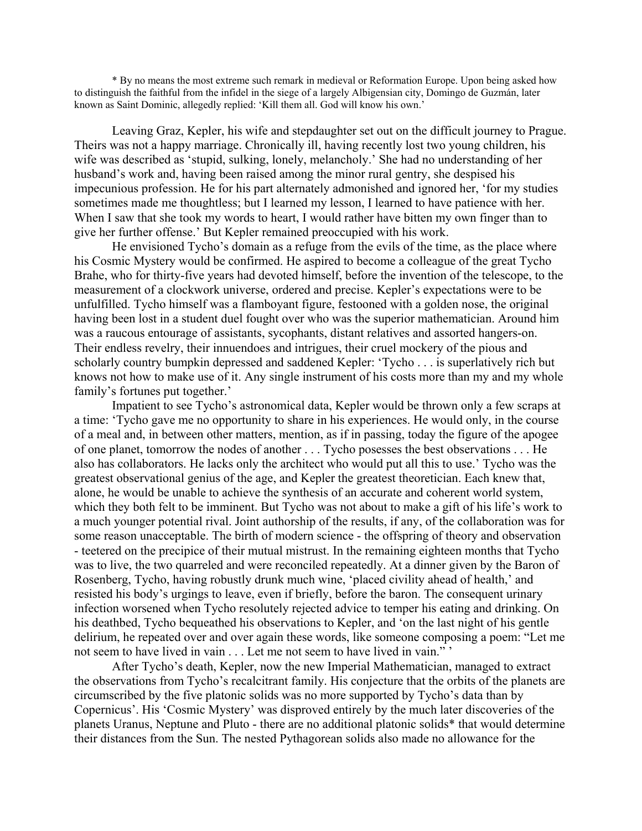\* By no means the most extreme such remark in medieval or Reformation Europe. Upon being asked how to distinguish the faithful from the infidel in the siege of a largely Albigensian city, Domingo de Guzmán, later known as Saint Dominic, allegedly replied: 'Kill them all. God will know his own.'

Leaving Graz, Kepler, his wife and stepdaughter set out on the difficult journey to Prague. Theirs was not a happy marriage. Chronically ill, having recently lost two young children, his wife was described as 'stupid, sulking, lonely, melancholy.' She had no understanding of her husband's work and, having been raised among the minor rural gentry, she despised his impecunious profession. He for his part alternately admonished and ignored her, 'for my studies sometimes made me thoughtless; but I learned my lesson, I learned to have patience with her. When I saw that she took my words to heart, I would rather have bitten my own finger than to give her further offense.' But Kepler remained preoccupied with his work.

He envisioned Tycho's domain as a refuge from the evils of the time, as the place where his Cosmic Mystery would be confirmed. He aspired to become a colleague of the great Tycho Brahe, who for thirty-five years had devoted himself, before the invention of the telescope, to the measurement of a clockwork universe, ordered and precise. Kepler's expectations were to be unfulfilled. Tycho himself was a flamboyant figure, festooned with a golden nose, the original having been lost in a student duel fought over who was the superior mathematician. Around him was a raucous entourage of assistants, sycophants, distant relatives and assorted hangers-on. Their endless revelry, their innuendoes and intrigues, their cruel mockery of the pious and scholarly country bumpkin depressed and saddened Kepler: 'Tycho . . . is superlatively rich but knows not how to make use of it. Any single instrument of his costs more than my and my whole family's fortunes put together.'

Impatient to see Tycho's astronomical data, Kepler would be thrown only a few scraps at a time: 'Tycho gave me no opportunity to share in his experiences. He would only, in the course of a meal and, in between other matters, mention, as if in passing, today the figure of the apogee of one planet, tomorrow the nodes of another . . . Tycho posesses the best observations . . . He also has collaborators. He lacks only the architect who would put all this to use.' Tycho was the greatest observational genius of the age, and Kepler the greatest theoretician. Each knew that, alone, he would be unable to achieve the synthesis of an accurate and coherent world system, which they both felt to be imminent. But Tycho was not about to make a gift of his life's work to a much younger potential rival. Joint authorship of the results, if any, of the collaboration was for some reason unacceptable. The birth of modern science - the offspring of theory and observation - teetered on the precipice of their mutual mistrust. In the remaining eighteen months that Tycho was to live, the two quarreled and were reconciled repeatedly. At a dinner given by the Baron of Rosenberg, Tycho, having robustly drunk much wine, 'placed civility ahead of health,' and resisted his body's urgings to leave, even if briefly, before the baron. The consequent urinary infection worsened when Tycho resolutely rejected advice to temper his eating and drinking. On his deathbed, Tycho bequeathed his observations to Kepler, and 'on the last night of his gentle delirium, he repeated over and over again these words, like someone composing a poem: "Let me not seem to have lived in vain . . . Let me not seem to have lived in vain." '

After Tycho's death, Kepler, now the new Imperial Mathematician, managed to extract the observations from Tycho's recalcitrant family. His conjecture that the orbits of the planets are circumscribed by the five platonic solids was no more supported by Tycho's data than by Copernicus'. His 'Cosmic Mystery' was disproved entirely by the much later discoveries of the planets Uranus, Neptune and Pluto - there are no additional platonic solids\* that would determine their distances from the Sun. The nested Pythagorean solids also made no allowance for the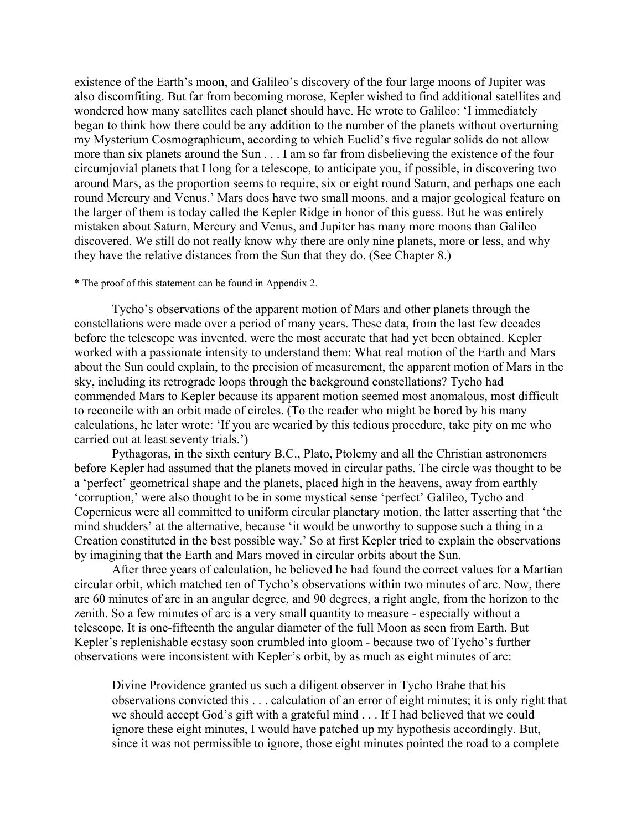existence of the Earth's moon, and Galileo's discovery of the four large moons of Jupiter was also discomfiting. But far from becoming morose, Kepler wished to find additional satellites and wondered how many satellites each planet should have. He wrote to Galileo: 'I immediately began to think how there could be any addition to the number of the planets without overturning my Mysterium Cosmographicum, according to which Euclid's five regular solids do not allow more than six planets around the Sun . . . I am so far from disbelieving the existence of the four circumjovial planets that I long for a telescope, to anticipate you, if possible, in discovering two around Mars, as the proportion seems to require, six or eight round Saturn, and perhaps one each round Mercury and Venus.' Mars does have two small moons, and a major geological feature on the larger of them is today called the Kepler Ridge in honor of this guess. But he was entirely mistaken about Saturn, Mercury and Venus, and Jupiter has many more moons than Galileo discovered. We still do not really know why there are only nine planets, more or less, and why they have the relative distances from the Sun that they do. (See Chapter 8.)

## \* The proof of this statement can be found in Appendix 2.

Tycho's observations of the apparent motion of Mars and other planets through the constellations were made over a period of many years. These data, from the last few decades before the telescope was invented, were the most accurate that had yet been obtained. Kepler worked with a passionate intensity to understand them: What real motion of the Earth and Mars about the Sun could explain, to the precision of measurement, the apparent motion of Mars in the sky, including its retrograde loops through the background constellations? Tycho had commended Mars to Kepler because its apparent motion seemed most anomalous, most difficult to reconcile with an orbit made of circles. (To the reader who might be bored by his many calculations, he later wrote: 'If you are wearied by this tedious procedure, take pity on me who carried out at least seventy trials.')

Pythagoras, in the sixth century B.C., Plato, Ptolemy and all the Christian astronomers before Kepler had assumed that the planets moved in circular paths. The circle was thought to be a 'perfect' geometrical shape and the planets, placed high in the heavens, away from earthly 'corruption,' were also thought to be in some mystical sense 'perfect' Galileo, Tycho and Copernicus were all committed to uniform circular planetary motion, the latter asserting that 'the mind shudders' at the alternative, because 'it would be unworthy to suppose such a thing in a Creation constituted in the best possible way.' So at first Kepler tried to explain the observations by imagining that the Earth and Mars moved in circular orbits about the Sun.

After three years of calculation, he believed he had found the correct values for a Martian circular orbit, which matched ten of Tycho's observations within two minutes of arc. Now, there are 60 minutes of arc in an angular degree, and 90 degrees, a right angle, from the horizon to the zenith. So a few minutes of arc is a very small quantity to measure - especially without a telescope. It is one-fifteenth the angular diameter of the full Moon as seen from Earth. But Kepler's replenishable ecstasy soon crumbled into gloom - because two of Tycho's further observations were inconsistent with Kepler's orbit, by as much as eight minutes of arc:

Divine Providence granted us such a diligent observer in Tycho Brahe that his observations convicted this . . . calculation of an error of eight minutes; it is only right that we should accept God's gift with a grateful mind . . . If I had believed that we could ignore these eight minutes, I would have patched up my hypothesis accordingly. But, since it was not permissible to ignore, those eight minutes pointed the road to a complete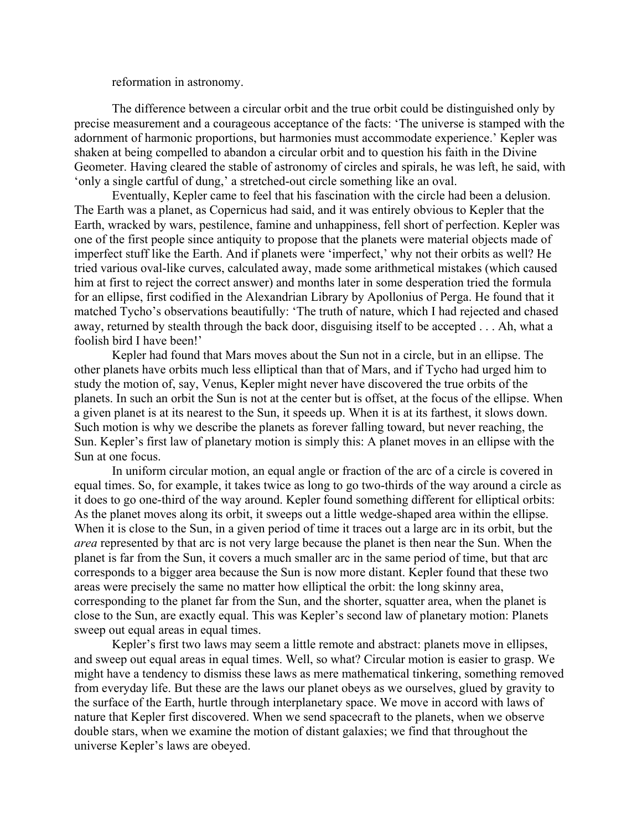reformation in astronomy.

The difference between a circular orbit and the true orbit could be distinguished only by precise measurement and a courageous acceptance of the facts: 'The universe is stamped with the adornment of harmonic proportions, but harmonies must accommodate experience.' Kepler was shaken at being compelled to abandon a circular orbit and to question his faith in the Divine Geometer. Having cleared the stable of astronomy of circles and spirals, he was left, he said, with 'only a single cartful of dung,' a stretched-out circle something like an oval.

Eventually, Kepler came to feel that his fascination with the circle had been a delusion. The Earth was a planet, as Copernicus had said, and it was entirely obvious to Kepler that the Earth, wracked by wars, pestilence, famine and unhappiness, fell short of perfection. Kepler was one of the first people since antiquity to propose that the planets were material objects made of imperfect stuff like the Earth. And if planets were 'imperfect,' why not their orbits as well? He tried various oval-like curves, calculated away, made some arithmetical mistakes (which caused him at first to reject the correct answer) and months later in some desperation tried the formula for an ellipse, first codified in the Alexandrian Library by Apollonius of Perga. He found that it matched Tycho's observations beautifully: 'The truth of nature, which I had rejected and chased away, returned by stealth through the back door, disguising itself to be accepted . . . Ah, what a foolish bird I have been!'

Kepler had found that Mars moves about the Sun not in a circle, but in an ellipse. The other planets have orbits much less elliptical than that of Mars, and if Tycho had urged him to study the motion of, say, Venus, Kepler might never have discovered the true orbits of the planets. In such an orbit the Sun is not at the center but is offset, at the focus of the ellipse. When a given planet is at its nearest to the Sun, it speeds up. When it is at its farthest, it slows down. Such motion is why we describe the planets as forever falling toward, but never reaching, the Sun. Kepler's first law of planetary motion is simply this: A planet moves in an ellipse with the Sun at one focus.

In uniform circular motion, an equal angle or fraction of the arc of a circle is covered in equal times. So, for example, it takes twice as long to go two-thirds of the way around a circle as it does to go one-third of the way around. Kepler found something different for elliptical orbits: As the planet moves along its orbit, it sweeps out a little wedge-shaped area within the ellipse. When it is close to the Sun, in a given period of time it traces out a large arc in its orbit, but the *area* represented by that arc is not very large because the planet is then near the Sun. When the planet is far from the Sun, it covers a much smaller arc in the same period of time, but that arc corresponds to a bigger area because the Sun is now more distant. Kepler found that these two areas were precisely the same no matter how elliptical the orbit: the long skinny area, corresponding to the planet far from the Sun, and the shorter, squatter area, when the planet is close to the Sun, are exactly equal. This was Kepler's second law of planetary motion: Planets sweep out equal areas in equal times.

Kepler's first two laws may seem a little remote and abstract: planets move in ellipses, and sweep out equal areas in equal times. Well, so what? Circular motion is easier to grasp. We might have a tendency to dismiss these laws as mere mathematical tinkering, something removed from everyday life. But these are the laws our planet obeys as we ourselves, glued by gravity to the surface of the Earth, hurtle through interplanetary space. We move in accord with laws of nature that Kepler first discovered. When we send spacecraft to the planets, when we observe double stars, when we examine the motion of distant galaxies; we find that throughout the universe Kepler's laws are obeyed.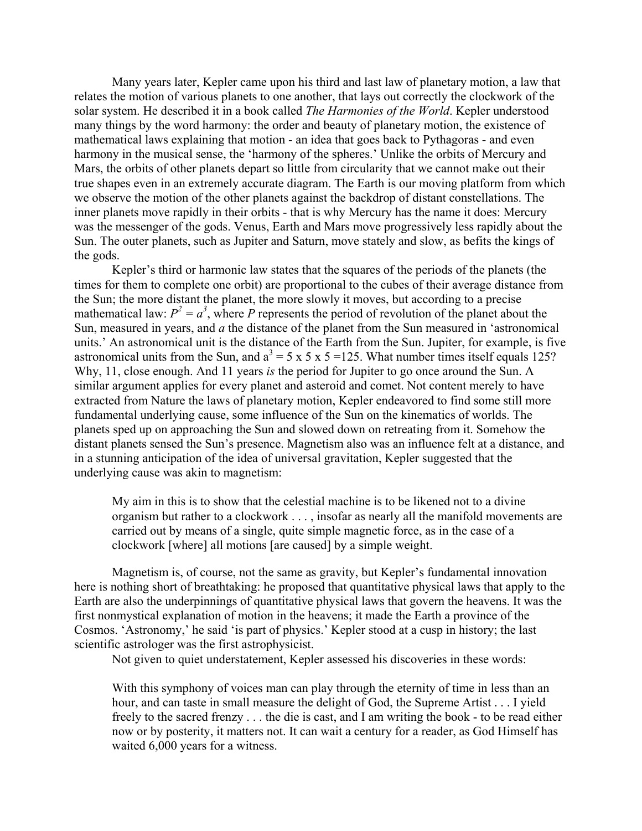Many years later, Kepler came upon his third and last law of planetary motion, a law that relates the motion of various planets to one another, that lays out correctly the clockwork of the solar system. He described it in a book called *The Harmonies of the World*. Kepler understood many things by the word harmony: the order and beauty of planetary motion, the existence of mathematical laws explaining that motion - an idea that goes back to Pythagoras - and even harmony in the musical sense, the 'harmony of the spheres.' Unlike the orbits of Mercury and Mars, the orbits of other planets depart so little from circularity that we cannot make out their true shapes even in an extremely accurate diagram. The Earth is our moving platform from which we observe the motion of the other planets against the backdrop of distant constellations. The inner planets move rapidly in their orbits - that is why Mercury has the name it does: Mercury was the messenger of the gods. Venus, Earth and Mars move progressively less rapidly about the Sun. The outer planets, such as Jupiter and Saturn, move stately and slow, as befits the kings of the gods.

Kepler's third or harmonic law states that the squares of the periods of the planets (the times for them to complete one orbit) are proportional to the cubes of their average distance from the Sun; the more distant the planet, the more slowly it moves, but according to a precise mathematical law:  $P^2 = a^3$ , where *P* represents the period of revolution of the planet about the Sun, measured in years, and *a* the distance of the planet from the Sun measured in 'astronomical units.' An astronomical unit is the distance of the Earth from the Sun. Jupiter, for example, is five astronomical units from the Sun, and  $a^3 = 5 \times 5 \times 5 = 125$ . What number times itself equals 125? Why, 11, close enough. And 11 years *is* the period for Jupiter to go once around the Sun. A similar argument applies for every planet and asteroid and comet. Not content merely to have extracted from Nature the laws of planetary motion, Kepler endeavored to find some still more fundamental underlying cause, some influence of the Sun on the kinematics of worlds. The planets sped up on approaching the Sun and slowed down on retreating from it. Somehow the distant planets sensed the Sun's presence. Magnetism also was an influence felt at a distance, and in a stunning anticipation of the idea of universal gravitation, Kepler suggested that the underlying cause was akin to magnetism:

My aim in this is to show that the celestial machine is to be likened not to a divine organism but rather to a clockwork . . . , insofar as nearly all the manifold movements are carried out by means of a single, quite simple magnetic force, as in the case of a clockwork [where] all motions [are caused] by a simple weight.

Magnetism is, of course, not the same as gravity, but Kepler's fundamental innovation here is nothing short of breathtaking: he proposed that quantitative physical laws that apply to the Earth are also the underpinnings of quantitative physical laws that govern the heavens. It was the first nonmystical explanation of motion in the heavens; it made the Earth a province of the Cosmos. 'Astronomy,' he said 'is part of physics.' Kepler stood at a cusp in history; the last scientific astrologer was the first astrophysicist.

Not given to quiet understatement, Kepler assessed his discoveries in these words:

With this symphony of voices man can play through the eternity of time in less than an hour, and can taste in small measure the delight of God, the Supreme Artist . . . I yield freely to the sacred frenzy . . . the die is cast, and I am writing the book - to be read either now or by posterity, it matters not. It can wait a century for a reader, as God Himself has waited 6,000 years for a witness.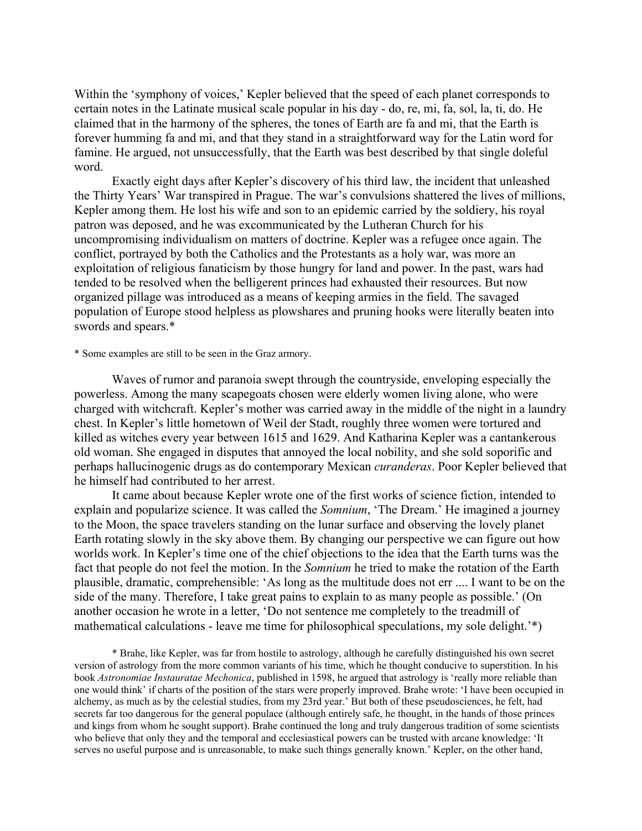Within the 'symphony of voices,' Kepler believed that the speed of each planet corresponds to certain notes in the Latinate musical scale popular in his day - do, re, mi, fa, sol, la, ti, do. He claimed that in the harmony of the spheres, the tones of Earth are fa and mi, that the Earth is forever humming fa and mi, and that they stand in a straightforward way for the Latin word for famine. He argued, not unsuccessfully, that the Earth was best described by that single doleful word.

Exactly eight days after Kepler's discovery of his third law, the incident that unleashed the Thirty Years' War transpired in Prague. The war's convulsions shattered the lives of millions, Kepler among them. He lost his wife and son to an epidemic carried by the soldiery, his royal patron was deposed, and he was excommunicated by the Lutheran Church for his uncompromising individualism on matters of doctrine. Kepler was a refugee once again. The conflict, portrayed by both the Catholics and the Protestants as a holy war, was more an exploitation of religious fanaticism by those hungry for land and power. In the past, wars had tended to be resolved when the belligerent princes had exhausted their resources. But now organized pillage was introduced as a means of keeping armies in the field. The savaged population of Europe stood helpless as plowshares and pruning hooks were literally beaten into swords and spears.\*

## \* Some examples are still to be seen in the Graz armory.

Waves of rumor and paranoia swept through the countryside, enveloping especially the powerless. Among the many scapegoats chosen were elderly women living alone, who were charged with witchcraft. Kepler's mother was carried away in the middle of the night in a laundry chest. In Kepler's little hometown of Weil der Stadt, roughly three women were tortured and killed as witches every year between 1615 and 1629. And Katharina Kepler was a cantankerous old woman. She engaged in disputes that annoyed the local nobility, and she sold soporific and perhaps hallucinogenic drugs as do contemporary Mexican *curanderas*. Poor Kepler believed that he himself had contributed to her arrest.

It came about because Kepler wrote one of the first works of science fiction, intended to explain and popularize science. It was called the *Somnium*, 'The Dream.' He imagined a journey to the Moon, the space travelers standing on the lunar surface and observing the lovely planet Earth rotating slowly in the sky above them. By changing our perspective we can figure out how worlds work. In Kepler's time one of the chief objections to the idea that the Earth turns was the fact that people do not feel the motion. In the *Somnium* he tried to make the rotation of the Earth plausible, dramatic, comprehensible: 'As long as the multitude does not err .... I want to be on the side of the many. Therefore, I take great pains to explain to as many people as possible.' (On another occasion he wrote in a letter, 'Do not sentence me completely to the treadmill of mathematical calculations - leave me time for philosophical speculations, my sole delight.'\*)

\* Brahe, like Kepler, was far from hostile to astrology, although he carefully distinguished his own secret version of astrology from the more common variants of his time, which he thought conducive to superstition. In his book *Astronomiae Instauratae Mechonica*, published in 1598, he argued that astrology is 'really more reliable than one would think' if charts of the position of the stars were properly improved. Brahe wrote: 'I have been occupied in alchemy, as much as by the celestial studies, from my 23rd year.' But both of these pseudosciences, he felt, had secrets far too dangerous for the general populace (although entirely safe, he thought, in the hands of those princes and kings from whom he sought support). Brahe continued the long and truly dangerous tradition of some scientists who believe that only they and the temporal and ecclesiastical powers can be trusted with arcane knowledge: 'It serves no useful purpose and is unreasonable, to make such things generally known.' Kepler, on the other hand,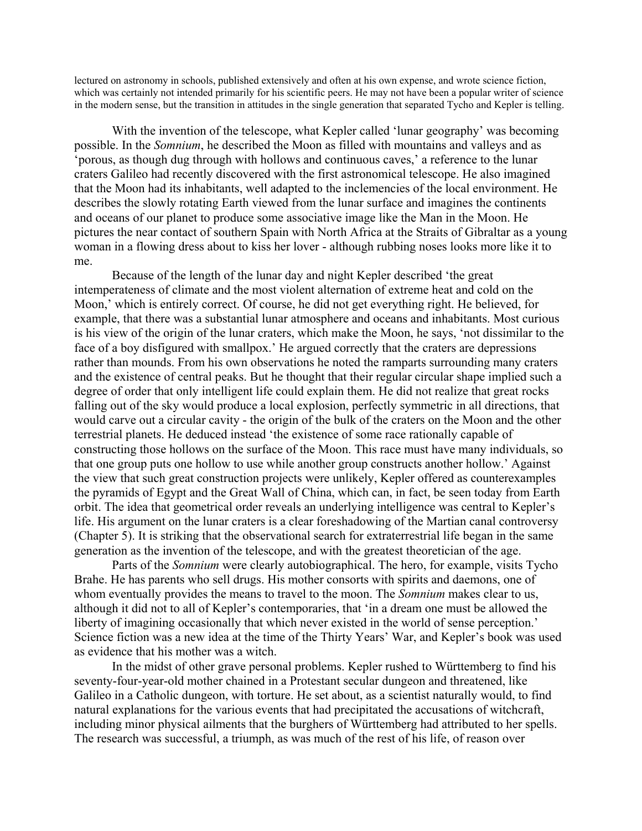lectured on astronomy in schools, published extensively and often at his own expense, and wrote science fiction, which was certainly not intended primarily for his scientific peers. He may not have been a popular writer of science in the modern sense, but the transition in attitudes in the single generation that separated Tycho and Kepler is telling.

With the invention of the telescope, what Kepler called 'lunar geography' was becoming possible. In the *Somnium*, he described the Moon as filled with mountains and valleys and as 'porous, as though dug through with hollows and continuous caves,' a reference to the lunar craters Galileo had recently discovered with the first astronomical telescope. He also imagined that the Moon had its inhabitants, well adapted to the inclemencies of the local environment. He describes the slowly rotating Earth viewed from the lunar surface and imagines the continents and oceans of our planet to produce some associative image like the Man in the Moon. He pictures the near contact of southern Spain with North Africa at the Straits of Gibraltar as a young woman in a flowing dress about to kiss her lover - although rubbing noses looks more like it to me.

Because of the length of the lunar day and night Kepler described 'the great intemperateness of climate and the most violent alternation of extreme heat and cold on the Moon,' which is entirely correct. Of course, he did not get everything right. He believed, for example, that there was a substantial lunar atmosphere and oceans and inhabitants. Most curious is his view of the origin of the lunar craters, which make the Moon, he says, 'not dissimilar to the face of a boy disfigured with smallpox.' He argued correctly that the craters are depressions rather than mounds. From his own observations he noted the ramparts surrounding many craters and the existence of central peaks. But he thought that their regular circular shape implied such a degree of order that only intelligent life could explain them. He did not realize that great rocks falling out of the sky would produce a local explosion, perfectly symmetric in all directions, that would carve out a circular cavity - the origin of the bulk of the craters on the Moon and the other terrestrial planets. He deduced instead 'the existence of some race rationally capable of constructing those hollows on the surface of the Moon. This race must have many individuals, so that one group puts one hollow to use while another group constructs another hollow.' Against the view that such great construction projects were unlikely, Kepler offered as counterexamples the pyramids of Egypt and the Great Wall of China, which can, in fact, be seen today from Earth orbit. The idea that geometrical order reveals an underlying intelligence was central to Kepler's life. His argument on the lunar craters is a clear foreshadowing of the Martian canal controversy (Chapter 5). It is striking that the observational search for extraterrestrial life began in the same generation as the invention of the telescope, and with the greatest theoretician of the age.

Parts of the *Somnium* were clearly autobiographical. The hero, for example, visits Tycho Brahe. He has parents who sell drugs. His mother consorts with spirits and daemons, one of whom eventually provides the means to travel to the moon. The *Somnium* makes clear to us, although it did not to all of Kepler's contemporaries, that 'in a dream one must be allowed the liberty of imagining occasionally that which never existed in the world of sense perception.' Science fiction was a new idea at the time of the Thirty Years' War, and Kepler's book was used as evidence that his mother was a witch.

In the midst of other grave personal problems. Kepler rushed to Württemberg to find his seventy-four-year-old mother chained in a Protestant secular dungeon and threatened, like Galileo in a Catholic dungeon, with torture. He set about, as a scientist naturally would, to find natural explanations for the various events that had precipitated the accusations of witchcraft, including minor physical ailments that the burghers of Württemberg had attributed to her spells. The research was successful, a triumph, as was much of the rest of his life, of reason over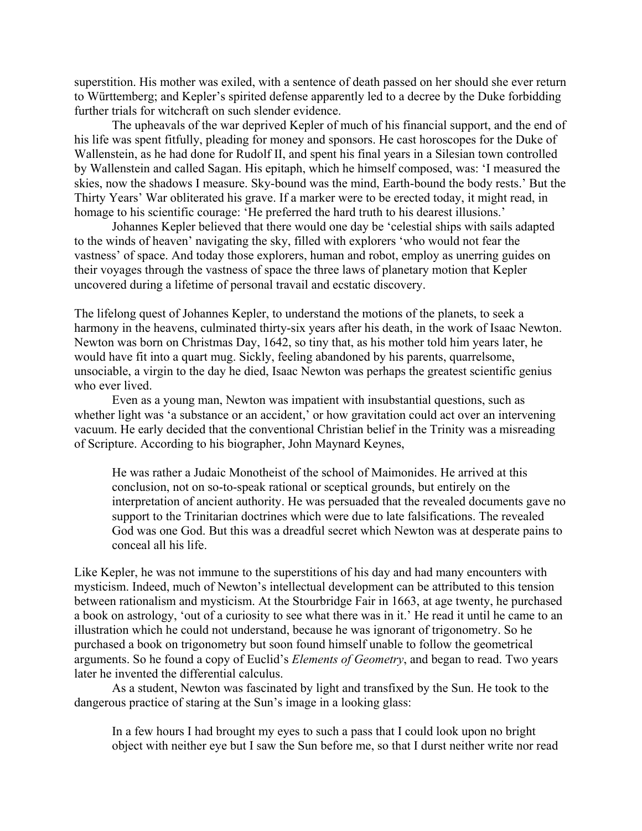superstition. His mother was exiled, with a sentence of death passed on her should she ever return to Württemberg; and Kepler's spirited defense apparently led to a decree by the Duke forbidding further trials for witchcraft on such slender evidence.

The upheavals of the war deprived Kepler of much of his financial support, and the end of his life was spent fitfully, pleading for money and sponsors. He cast horoscopes for the Duke of Wallenstein, as he had done for Rudolf II, and spent his final years in a Silesian town controlled by Wallenstein and called Sagan. His epitaph, which he himself composed, was: 'I measured the skies, now the shadows I measure. Sky-bound was the mind, Earth-bound the body rests.' But the Thirty Years' War obliterated his grave. If a marker were to be erected today, it might read, in homage to his scientific courage: 'He preferred the hard truth to his dearest illusions.'

Johannes Kepler believed that there would one day be 'celestial ships with sails adapted to the winds of heaven' navigating the sky, filled with explorers 'who would not fear the vastness' of space. And today those explorers, human and robot, employ as unerring guides on their voyages through the vastness of space the three laws of planetary motion that Kepler uncovered during a lifetime of personal travail and ecstatic discovery.

The lifelong quest of Johannes Kepler, to understand the motions of the planets, to seek a harmony in the heavens, culminated thirty-six years after his death, in the work of Isaac Newton. Newton was born on Christmas Day, 1642, so tiny that, as his mother told him years later, he would have fit into a quart mug. Sickly, feeling abandoned by his parents, quarrelsome, unsociable, a virgin to the day he died, Isaac Newton was perhaps the greatest scientific genius who ever lived.

Even as a young man, Newton was impatient with insubstantial questions, such as whether light was 'a substance or an accident,' or how gravitation could act over an intervening vacuum. He early decided that the conventional Christian belief in the Trinity was a misreading of Scripture. According to his biographer, John Maynard Keynes,

He was rather a Judaic Monotheist of the school of Maimonides. He arrived at this conclusion, not on so-to-speak rational or sceptical grounds, but entirely on the interpretation of ancient authority. He was persuaded that the revealed documents gave no support to the Trinitarian doctrines which were due to late falsifications. The revealed God was one God. But this was a dreadful secret which Newton was at desperate pains to conceal all his life.

Like Kepler, he was not immune to the superstitions of his day and had many encounters with mysticism. Indeed, much of Newton's intellectual development can be attributed to this tension between rationalism and mysticism. At the Stourbridge Fair in 1663, at age twenty, he purchased a book on astrology, 'out of a curiosity to see what there was in it.' He read it until he came to an illustration which he could not understand, because he was ignorant of trigonometry. So he purchased a book on trigonometry but soon found himself unable to follow the geometrical arguments. So he found a copy of Euclid's *Elements of Geometry*, and began to read. Two years later he invented the differential calculus.

As a student, Newton was fascinated by light and transfixed by the Sun. He took to the dangerous practice of staring at the Sun's image in a looking glass:

In a few hours I had brought my eyes to such a pass that I could look upon no bright object with neither eye but I saw the Sun before me, so that I durst neither write nor read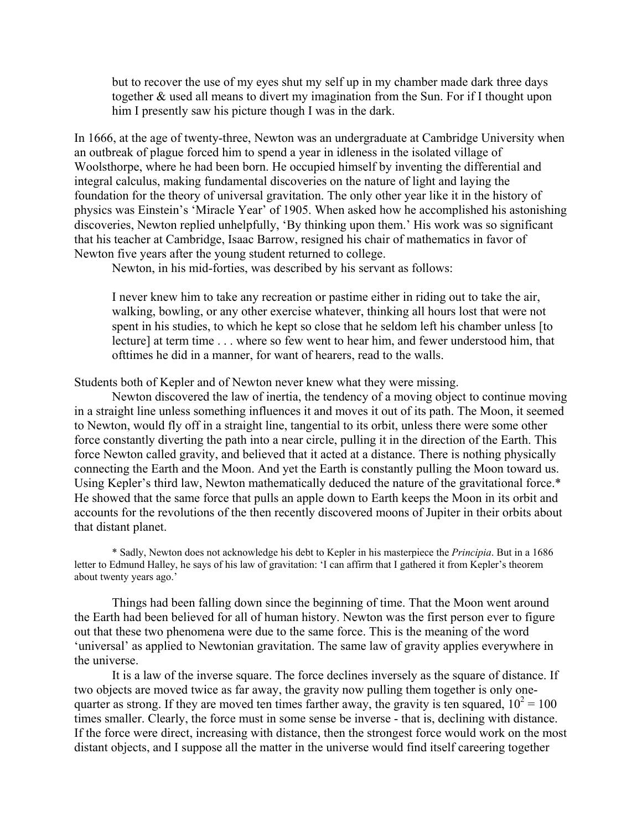but to recover the use of my eyes shut my self up in my chamber made dark three days together & used all means to divert my imagination from the Sun. For if I thought upon him I presently saw his picture though I was in the dark.

In 1666, at the age of twenty-three, Newton was an undergraduate at Cambridge University when an outbreak of plague forced him to spend a year in idleness in the isolated village of Woolsthorpe, where he had been born. He occupied himself by inventing the differential and integral calculus, making fundamental discoveries on the nature of light and laying the foundation for the theory of universal gravitation. The only other year like it in the history of physics was Einstein's 'Miracle Year' of 1905. When asked how he accomplished his astonishing discoveries, Newton replied unhelpfully, 'By thinking upon them.' His work was so significant that his teacher at Cambridge, Isaac Barrow, resigned his chair of mathematics in favor of Newton five years after the young student returned to college.

Newton, in his mid-forties, was described by his servant as follows:

I never knew him to take any recreation or pastime either in riding out to take the air, walking, bowling, or any other exercise whatever, thinking all hours lost that were not spent in his studies, to which he kept so close that he seldom left his chamber unless [to lecture] at term time . . . where so few went to hear him, and fewer understood him, that ofttimes he did in a manner, for want of hearers, read to the walls.

Students both of Kepler and of Newton never knew what they were missing.

Newton discovered the law of inertia, the tendency of a moving object to continue moving in a straight line unless something influences it and moves it out of its path. The Moon, it seemed to Newton, would fly off in a straight line, tangential to its orbit, unless there were some other force constantly diverting the path into a near circle, pulling it in the direction of the Earth. This force Newton called gravity, and believed that it acted at a distance. There is nothing physically connecting the Earth and the Moon. And yet the Earth is constantly pulling the Moon toward us. Using Kepler's third law, Newton mathematically deduced the nature of the gravitational force.\* He showed that the same force that pulls an apple down to Earth keeps the Moon in its orbit and accounts for the revolutions of the then recently discovered moons of Jupiter in their orbits about that distant planet.

\* Sadly, Newton does not acknowledge his debt to Kepler in his masterpiece the *Principia*. But in a 1686 letter to Edmund Halley, he says of his law of gravitation: 'I can affirm that I gathered it from Kepler's theorem about twenty years ago.'

Things had been falling down since the beginning of time. That the Moon went around the Earth had been believed for all of human history. Newton was the first person ever to figure out that these two phenomena were due to the same force. This is the meaning of the word 'universal' as applied to Newtonian gravitation. The same law of gravity applies everywhere in the universe.

It is a law of the inverse square. The force declines inversely as the square of distance. If two objects are moved twice as far away, the gravity now pulling them together is only onequarter as strong. If they are moved ten times farther away, the gravity is ten squared,  $10^2 = 100$ times smaller. Clearly, the force must in some sense be inverse - that is, declining with distance. If the force were direct, increasing with distance, then the strongest force would work on the most distant objects, and I suppose all the matter in the universe would find itself careering together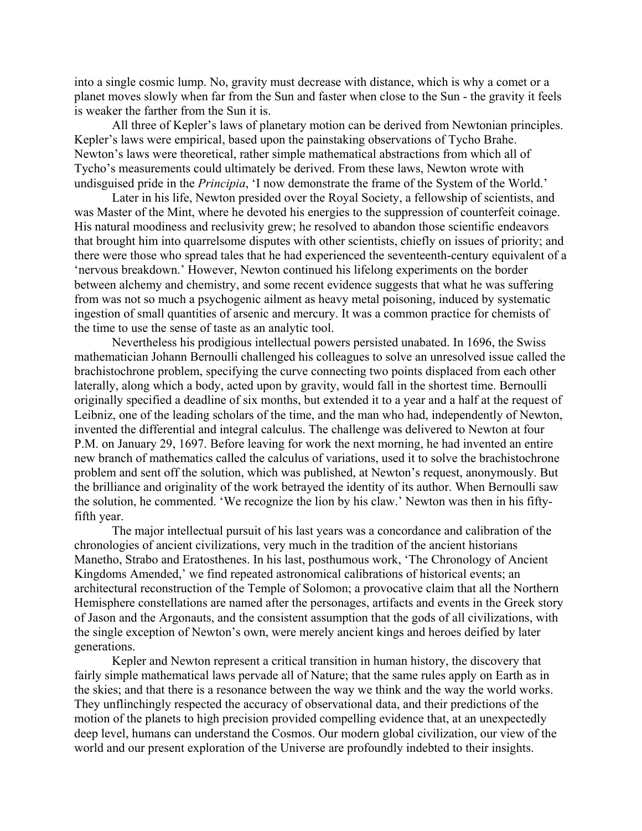into a single cosmic lump. No, gravity must decrease with distance, which is why a comet or a planet moves slowly when far from the Sun and faster when close to the Sun - the gravity it feels is weaker the farther from the Sun it is.

All three of Kepler's laws of planetary motion can be derived from Newtonian principles. Kepler's laws were empirical, based upon the painstaking observations of Tycho Brahe. Newton's laws were theoretical, rather simple mathematical abstractions from which all of Tycho's measurements could ultimately be derived. From these laws, Newton wrote with undisguised pride in the *Principia*, 'I now demonstrate the frame of the System of the World.'

Later in his life, Newton presided over the Royal Society, a fellowship of scientists, and was Master of the Mint, where he devoted his energies to the suppression of counterfeit coinage. His natural moodiness and reclusivity grew; he resolved to abandon those scientific endeavors that brought him into quarrelsome disputes with other scientists, chiefly on issues of priority; and there were those who spread tales that he had experienced the seventeenth-century equivalent of a 'nervous breakdown.' However, Newton continued his lifelong experiments on the border between alchemy and chemistry, and some recent evidence suggests that what he was suffering from was not so much a psychogenic ailment as heavy metal poisoning, induced by systematic ingestion of small quantities of arsenic and mercury. It was a common practice for chemists of the time to use the sense of taste as an analytic tool.

Nevertheless his prodigious intellectual powers persisted unabated. In 1696, the Swiss mathematician Johann Bernoulli challenged his colleagues to solve an unresolved issue called the brachistochrone problem, specifying the curve connecting two points displaced from each other laterally, along which a body, acted upon by gravity, would fall in the shortest time. Bernoulli originally specified a deadline of six months, but extended it to a year and a half at the request of Leibniz, one of the leading scholars of the time, and the man who had, independently of Newton, invented the differential and integral calculus. The challenge was delivered to Newton at four P.M. on January 29, 1697. Before leaving for work the next morning, he had invented an entire new branch of mathematics called the calculus of variations, used it to solve the brachistochrone problem and sent off the solution, which was published, at Newton's request, anonymously. But the brilliance and originality of the work betrayed the identity of its author. When Bernoulli saw the solution, he commented. 'We recognize the lion by his claw.' Newton was then in his fiftyfifth year.

The major intellectual pursuit of his last years was a concordance and calibration of the chronologies of ancient civilizations, very much in the tradition of the ancient historians Manetho, Strabo and Eratosthenes. In his last, posthumous work, 'The Chronology of Ancient Kingdoms Amended,' we find repeated astronomical calibrations of historical events; an architectural reconstruction of the Temple of Solomon; a provocative claim that all the Northern Hemisphere constellations are named after the personages, artifacts and events in the Greek story of Jason and the Argonauts, and the consistent assumption that the gods of all civilizations, with the single exception of Newton's own, were merely ancient kings and heroes deified by later generations.

Kepler and Newton represent a critical transition in human history, the discovery that fairly simple mathematical laws pervade all of Nature; that the same rules apply on Earth as in the skies; and that there is a resonance between the way we think and the way the world works. They unflinchingly respected the accuracy of observational data, and their predictions of the motion of the planets to high precision provided compelling evidence that, at an unexpectedly deep level, humans can understand the Cosmos. Our modern global civilization, our view of the world and our present exploration of the Universe are profoundly indebted to their insights.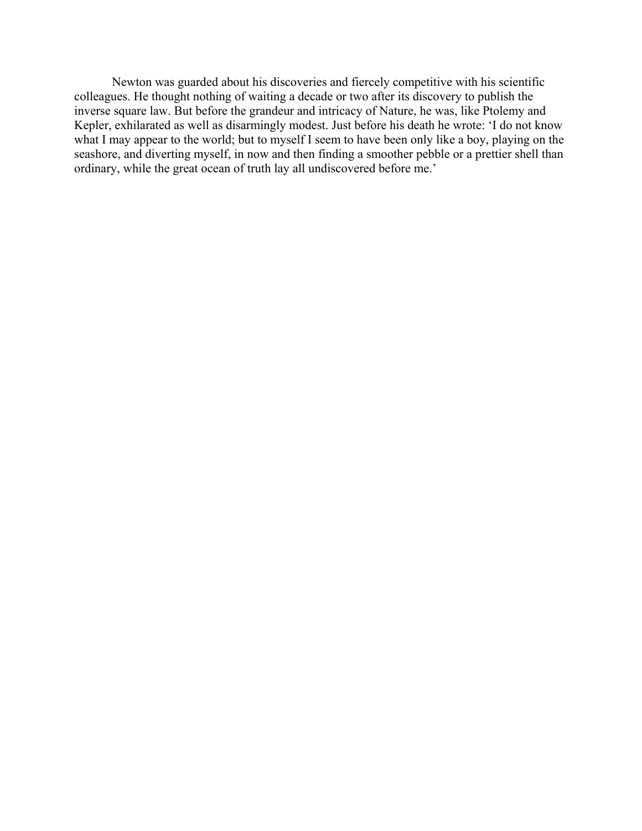Newton was guarded about his discoveries and fiercely competitive with his scientific colleagues. He thought nothing of waiting a decade or two after its discovery to publish the inverse square law. But before the grandeur and intricacy of Nature, he was, like Ptolemy and Kepler, exhilarated as well as disarmingly modest. Just before his death he wrote: 'I do not know what I may appear to the world; but to myself I seem to have been only like a boy, playing on the seashore, and diverting myself, in now and then finding a smoother pebble or a prettier shell than ordinary, while the great ocean of truth lay all undiscovered before me.'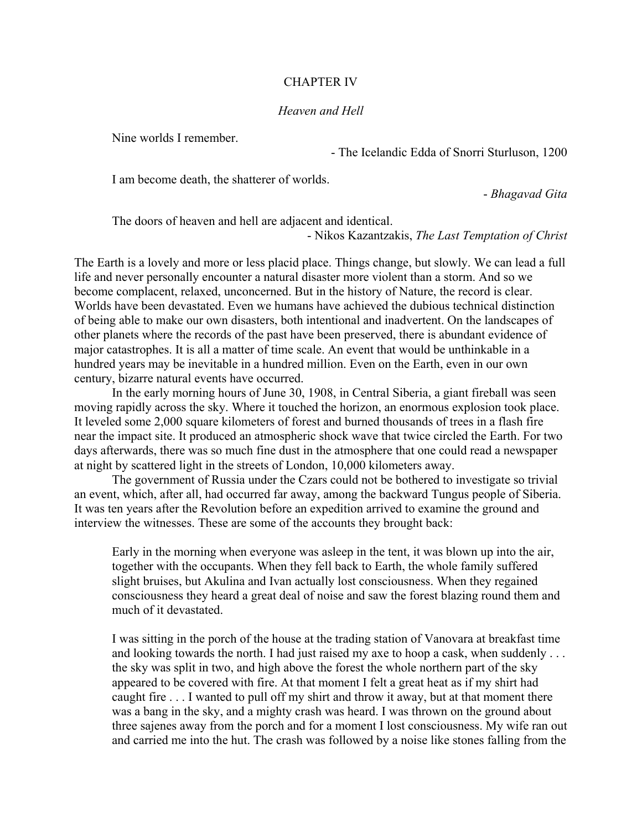# CHAPTER IV

## *Heaven and Hell*

Nine worlds I remember.

- The Icelandic Edda of Snorri Sturluson, 1200

I am become death, the shatterer of worlds.

- *Bhagavad Gita*

The doors of heaven and hell are adjacent and identical.

- Nikos Kazantzakis, *The Last Temptation of Christ*

The Earth is a lovely and more or less placid place. Things change, but slowly. We can lead a full life and never personally encounter a natural disaster more violent than a storm. And so we become complacent, relaxed, unconcerned. But in the history of Nature, the record is clear. Worlds have been devastated. Even we humans have achieved the dubious technical distinction of being able to make our own disasters, both intentional and inadvertent. On the landscapes of other planets where the records of the past have been preserved, there is abundant evidence of major catastrophes. It is all a matter of time scale. An event that would be unthinkable in a hundred years may be inevitable in a hundred million. Even on the Earth, even in our own century, bizarre natural events have occurred.

In the early morning hours of June 30, 1908, in Central Siberia, a giant fireball was seen moving rapidly across the sky. Where it touched the horizon, an enormous explosion took place. It leveled some 2,000 square kilometers of forest and burned thousands of trees in a flash fire near the impact site. It produced an atmospheric shock wave that twice circled the Earth. For two days afterwards, there was so much fine dust in the atmosphere that one could read a newspaper at night by scattered light in the streets of London, 10,000 kilometers away.

The government of Russia under the Czars could not be bothered to investigate so trivial an event, which, after all, had occurred far away, among the backward Tungus people of Siberia. It was ten years after the Revolution before an expedition arrived to examine the ground and interview the witnesses. These are some of the accounts they brought back:

Early in the morning when everyone was asleep in the tent, it was blown up into the air, together with the occupants. When they fell back to Earth, the whole family suffered slight bruises, but Akulina and Ivan actually lost consciousness. When they regained consciousness they heard a great deal of noise and saw the forest blazing round them and much of it devastated.

I was sitting in the porch of the house at the trading station of Vanovara at breakfast time and looking towards the north. I had just raised my axe to hoop a cask, when suddenly . . . the sky was split in two, and high above the forest the whole northern part of the sky appeared to be covered with fire. At that moment I felt a great heat as if my shirt had caught fire . . . I wanted to pull off my shirt and throw it away, but at that moment there was a bang in the sky, and a mighty crash was heard. I was thrown on the ground about three sajenes away from the porch and for a moment I lost consciousness. My wife ran out and carried me into the hut. The crash was followed by a noise like stones falling from the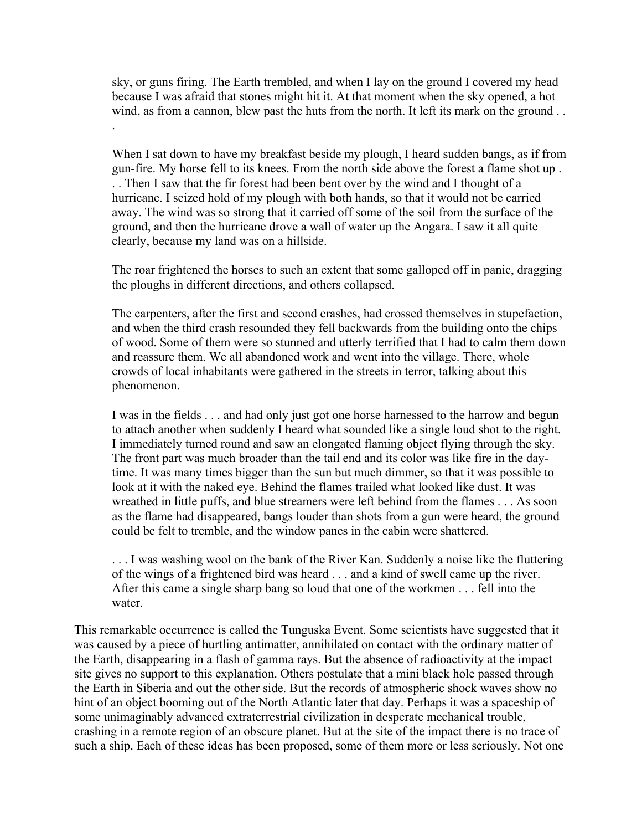sky, or guns firing. The Earth trembled, and when I lay on the ground I covered my head because I was afraid that stones might hit it. At that moment when the sky opened, a hot wind, as from a cannon, blew past the huts from the north. It left its mark on the ground . . .

When I sat down to have my breakfast beside my plough, I heard sudden bangs, as if from gun-fire. My horse fell to its knees. From the north side above the forest a flame shot up . . . Then I saw that the fir forest had been bent over by the wind and I thought of a hurricane. I seized hold of my plough with both hands, so that it would not be carried away. The wind was so strong that it carried off some of the soil from the surface of the ground, and then the hurricane drove a wall of water up the Angara. I saw it all quite clearly, because my land was on a hillside.

The roar frightened the horses to such an extent that some galloped off in panic, dragging the ploughs in different directions, and others collapsed.

The carpenters, after the first and second crashes, had crossed themselves in stupefaction, and when the third crash resounded they fell backwards from the building onto the chips of wood. Some of them were so stunned and utterly terrified that I had to calm them down and reassure them. We all abandoned work and went into the village. There, whole crowds of local inhabitants were gathered in the streets in terror, talking about this phenomenon.

I was in the fields . . . and had only just got one horse harnessed to the harrow and begun to attach another when suddenly I heard what sounded like a single loud shot to the right. I immediately turned round and saw an elongated flaming object flying through the sky. The front part was much broader than the tail end and its color was like fire in the daytime. It was many times bigger than the sun but much dimmer, so that it was possible to look at it with the naked eye. Behind the flames trailed what looked like dust. It was wreathed in little puffs, and blue streamers were left behind from the flames . . . As soon as the flame had disappeared, bangs louder than shots from a gun were heard, the ground could be felt to tremble, and the window panes in the cabin were shattered.

. . . I was washing wool on the bank of the River Kan. Suddenly a noise like the fluttering of the wings of a frightened bird was heard . . . and a kind of swell came up the river. After this came a single sharp bang so loud that one of the workmen . . . fell into the water.

This remarkable occurrence is called the Tunguska Event. Some scientists have suggested that it was caused by a piece of hurtling antimatter, annihilated on contact with the ordinary matter of the Earth, disappearing in a flash of gamma rays. But the absence of radioactivity at the impact site gives no support to this explanation. Others postulate that a mini black hole passed through the Earth in Siberia and out the other side. But the records of atmospheric shock waves show no hint of an object booming out of the North Atlantic later that day. Perhaps it was a spaceship of some unimaginably advanced extraterrestrial civilization in desperate mechanical trouble, crashing in a remote region of an obscure planet. But at the site of the impact there is no trace of such a ship. Each of these ideas has been proposed, some of them more or less seriously. Not one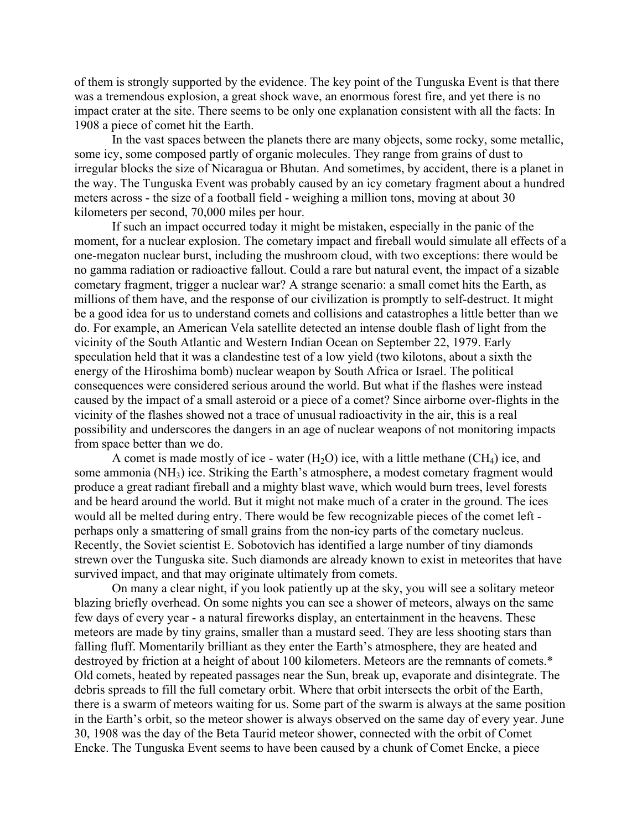of them is strongly supported by the evidence. The key point of the Tunguska Event is that there was a tremendous explosion, a great shock wave, an enormous forest fire, and yet there is no impact crater at the site. There seems to be only one explanation consistent with all the facts: In 1908 a piece of comet hit the Earth.

In the vast spaces between the planets there are many objects, some rocky, some metallic, some icy, some composed partly of organic molecules. They range from grains of dust to irregular blocks the size of Nicaragua or Bhutan. And sometimes, by accident, there is a planet in the way. The Tunguska Event was probably caused by an icy cometary fragment about a hundred meters across - the size of a football field - weighing a million tons, moving at about 30 kilometers per second, 70,000 miles per hour.

If such an impact occurred today it might be mistaken, especially in the panic of the moment, for a nuclear explosion. The cometary impact and fireball would simulate all effects of a one-megaton nuclear burst, including the mushroom cloud, with two exceptions: there would be no gamma radiation or radioactive fallout. Could a rare but natural event, the impact of a sizable cometary fragment, trigger a nuclear war? A strange scenario: a small comet hits the Earth, as millions of them have, and the response of our civilization is promptly to self-destruct. It might be a good idea for us to understand comets and collisions and catastrophes a little better than we do. For example, an American Vela satellite detected an intense double flash of light from the vicinity of the South Atlantic and Western Indian Ocean on September 22, 1979. Early speculation held that it was a clandestine test of a low yield (two kilotons, about a sixth the energy of the Hiroshima bomb) nuclear weapon by South Africa or Israel. The political consequences were considered serious around the world. But what if the flashes were instead caused by the impact of a small asteroid or a piece of a comet? Since airborne over-flights in the vicinity of the flashes showed not a trace of unusual radioactivity in the air, this is a real possibility and underscores the dangers in an age of nuclear weapons of not monitoring impacts from space better than we do.

A comet is made mostly of ice - water  $(H_2O)$  ice, with a little methane  $(CH_4)$  ice, and some ammonia (NH3) ice. Striking the Earth's atmosphere, a modest cometary fragment would produce a great radiant fireball and a mighty blast wave, which would burn trees, level forests and be heard around the world. But it might not make much of a crater in the ground. The ices would all be melted during entry. There would be few recognizable pieces of the comet left perhaps only a smattering of small grains from the non-icy parts of the cometary nucleus. Recently, the Soviet scientist E. Sobotovich has identified a large number of tiny diamonds strewn over the Tunguska site. Such diamonds are already known to exist in meteorites that have survived impact, and that may originate ultimately from comets.

On many a clear night, if you look patiently up at the sky, you will see a solitary meteor blazing briefly overhead. On some nights you can see a shower of meteors, always on the same few days of every year - a natural fireworks display, an entertainment in the heavens. These meteors are made by tiny grains, smaller than a mustard seed. They are less shooting stars than falling fluff. Momentarily brilliant as they enter the Earth's atmosphere, they are heated and destroyed by friction at a height of about 100 kilometers. Meteors are the remnants of comets.\* Old comets, heated by repeated passages near the Sun, break up, evaporate and disintegrate. The debris spreads to fill the full cometary orbit. Where that orbit intersects the orbit of the Earth, there is a swarm of meteors waiting for us. Some part of the swarm is always at the same position in the Earth's orbit, so the meteor shower is always observed on the same day of every year. June 30, 1908 was the day of the Beta Taurid meteor shower, connected with the orbit of Comet Encke. The Tunguska Event seems to have been caused by a chunk of Comet Encke, a piece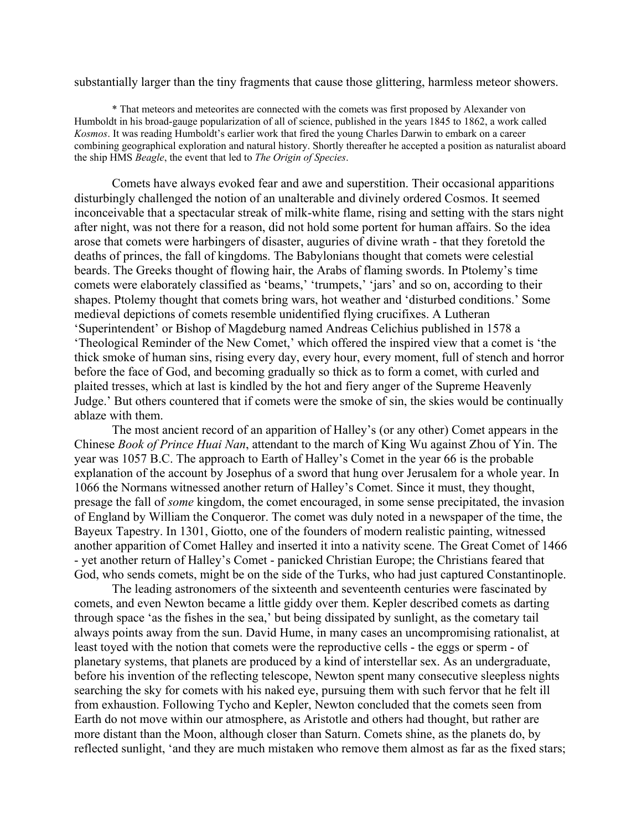substantially larger than the tiny fragments that cause those glittering, harmless meteor showers.

\* That meteors and meteorites are connected with the comets was first proposed by Alexander von Humboldt in his broad-gauge popularization of all of science, published in the years 1845 to 1862, a work called *Kosmos*. It was reading Humboldt's earlier work that fired the young Charles Darwin to embark on a career combining geographical exploration and natural history. Shortly thereafter he accepted a position as naturalist aboard the ship HMS *Beagle*, the event that led to *The Origin of Species*.

Comets have always evoked fear and awe and superstition. Their occasional apparitions disturbingly challenged the notion of an unalterable and divinely ordered Cosmos. It seemed inconceivable that a spectacular streak of milk-white flame, rising and setting with the stars night after night, was not there for a reason, did not hold some portent for human affairs. So the idea arose that comets were harbingers of disaster, auguries of divine wrath - that they foretold the deaths of princes, the fall of kingdoms. The Babylonians thought that comets were celestial beards. The Greeks thought of flowing hair, the Arabs of flaming swords. In Ptolemy's time comets were elaborately classified as 'beams,' 'trumpets,' 'jars' and so on, according to their shapes. Ptolemy thought that comets bring wars, hot weather and 'disturbed conditions.' Some medieval depictions of comets resemble unidentified flying crucifixes. A Lutheran 'Superintendent' or Bishop of Magdeburg named Andreas Celichius published in 1578 a 'Theological Reminder of the New Comet,' which offered the inspired view that a comet is 'the thick smoke of human sins, rising every day, every hour, every moment, full of stench and horror before the face of God, and becoming gradually so thick as to form a comet, with curled and plaited tresses, which at last is kindled by the hot and fiery anger of the Supreme Heavenly Judge.' But others countered that if comets were the smoke of sin, the skies would be continually ablaze with them.

The most ancient record of an apparition of Halley's (or any other) Comet appears in the Chinese *Book of Prince Huai Nan*, attendant to the march of King Wu against Zhou of Yin. The year was 1057 B.C. The approach to Earth of Halley's Comet in the year 66 is the probable explanation of the account by Josephus of a sword that hung over Jerusalem for a whole year. In 1066 the Normans witnessed another return of Halley's Comet. Since it must, they thought, presage the fall of *some* kingdom, the comet encouraged, in some sense precipitated, the invasion of England by William the Conqueror. The comet was duly noted in a newspaper of the time, the Bayeux Tapestry. In 1301, Giotto, one of the founders of modern realistic painting, witnessed another apparition of Comet Halley and inserted it into a nativity scene. The Great Comet of 1466 - yet another return of Halley's Comet - panicked Christian Europe; the Christians feared that God, who sends comets, might be on the side of the Turks, who had just captured Constantinople.

The leading astronomers of the sixteenth and seventeenth centuries were fascinated by comets, and even Newton became a little giddy over them. Kepler described comets as darting through space 'as the fishes in the sea,' but being dissipated by sunlight, as the cometary tail always points away from the sun. David Hume, in many cases an uncompromising rationalist, at least toyed with the notion that comets were the reproductive cells - the eggs or sperm - of planetary systems, that planets are produced by a kind of interstellar sex. As an undergraduate, before his invention of the reflecting telescope, Newton spent many consecutive sleepless nights searching the sky for comets with his naked eye, pursuing them with such fervor that he felt ill from exhaustion. Following Tycho and Kepler, Newton concluded that the comets seen from Earth do not move within our atmosphere, as Aristotle and others had thought, but rather are more distant than the Moon, although closer than Saturn. Comets shine, as the planets do, by reflected sunlight, 'and they are much mistaken who remove them almost as far as the fixed stars;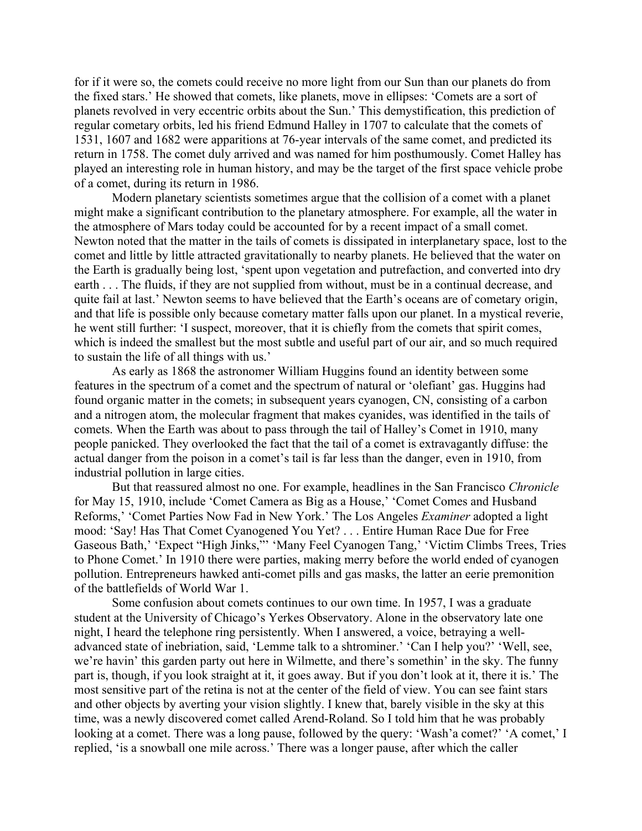for if it were so, the comets could receive no more light from our Sun than our planets do from the fixed stars.' He showed that comets, like planets, move in ellipses: 'Comets are a sort of planets revolved in very eccentric orbits about the Sun.' This demystification, this prediction of regular cometary orbits, led his friend Edmund Halley in 1707 to calculate that the comets of 1531, 1607 and 1682 were apparitions at 76-year intervals of the same comet, and predicted its return in 1758. The comet duly arrived and was named for him posthumously. Comet Halley has played an interesting role in human history, and may be the target of the first space vehicle probe of a comet, during its return in 1986.

Modern planetary scientists sometimes argue that the collision of a comet with a planet might make a significant contribution to the planetary atmosphere. For example, all the water in the atmosphere of Mars today could be accounted for by a recent impact of a small comet. Newton noted that the matter in the tails of comets is dissipated in interplanetary space, lost to the comet and little by little attracted gravitationally to nearby planets. He believed that the water on the Earth is gradually being lost, 'spent upon vegetation and putrefaction, and converted into dry earth . . . The fluids, if they are not supplied from without, must be in a continual decrease, and quite fail at last.' Newton seems to have believed that the Earth's oceans are of cometary origin, and that life is possible only because cometary matter falls upon our planet. In a mystical reverie, he went still further: 'I suspect, moreover, that it is chiefly from the comets that spirit comes, which is indeed the smallest but the most subtle and useful part of our air, and so much required to sustain the life of all things with us.'

As early as 1868 the astronomer William Huggins found an identity between some features in the spectrum of a comet and the spectrum of natural or 'olefiant' gas. Huggins had found organic matter in the comets; in subsequent years cyanogen, CN, consisting of a carbon and a nitrogen atom, the molecular fragment that makes cyanides, was identified in the tails of comets. When the Earth was about to pass through the tail of Halley's Comet in 1910, many people panicked. They overlooked the fact that the tail of a comet is extravagantly diffuse: the actual danger from the poison in a comet's tail is far less than the danger, even in 1910, from industrial pollution in large cities.

But that reassured almost no one. For example, headlines in the San Francisco *Chronicle* for May 15, 1910, include 'Comet Camera as Big as a House,' 'Comet Comes and Husband Reforms,' 'Comet Parties Now Fad in New York.' The Los Angeles *Examiner* adopted a light mood: 'Say! Has That Comet Cyanogened You Yet? . . . Entire Human Race Due for Free Gaseous Bath,' 'Expect "High Jinks,"' 'Many Feel Cyanogen Tang,' 'Victim Climbs Trees, Tries to Phone Comet.' In 1910 there were parties, making merry before the world ended of cyanogen pollution. Entrepreneurs hawked anti-comet pills and gas masks, the latter an eerie premonition of the battlefields of World War 1.

Some confusion about comets continues to our own time. In 1957, I was a graduate student at the University of Chicago's Yerkes Observatory. Alone in the observatory late one night, I heard the telephone ring persistently. When I answered, a voice, betraying a welladvanced state of inebriation, said, 'Lemme talk to a shtrominer.' 'Can I help you?' 'Well, see, we're havin' this garden party out here in Wilmette, and there's somethin' in the sky. The funny part is, though, if you look straight at it, it goes away. But if you don't look at it, there it is.' The most sensitive part of the retina is not at the center of the field of view. You can see faint stars and other objects by averting your vision slightly. I knew that, barely visible in the sky at this time, was a newly discovered comet called Arend-Roland. So I told him that he was probably looking at a comet. There was a long pause, followed by the query: 'Wash'a comet?' 'A comet,' I replied, 'is a snowball one mile across.' There was a longer pause, after which the caller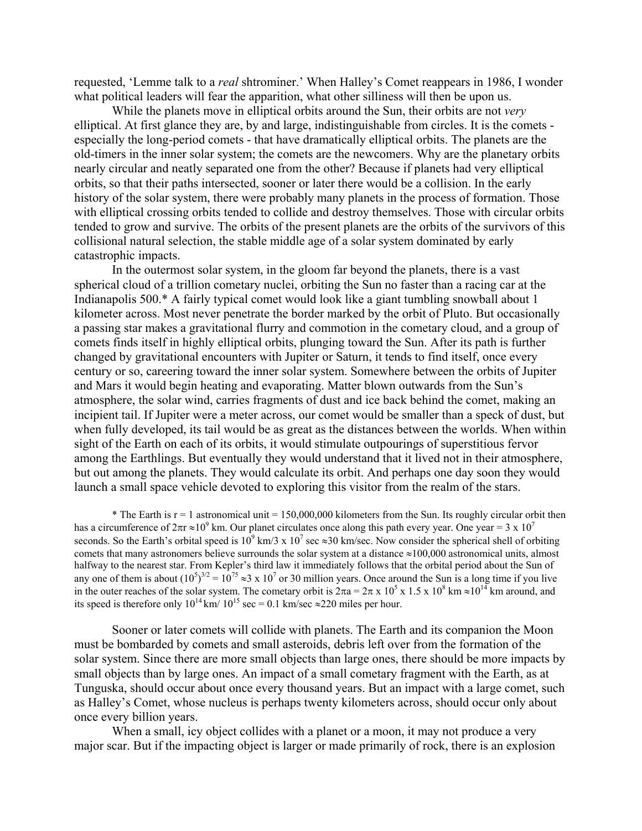requested, 'Lemme talk to a *real* shtrominer.' When Halley's Comet reappears in 1986, I wonder what political leaders will fear the apparition, what other silliness will then be upon us.

While the planets move in elliptical orbits around the Sun, their orbits are not *very* elliptical. At first glance they are, by and large, indistinguishable from circles. It is the comets especially the long-period comets - that have dramatically elliptical orbits. The planets are the old-timers in the inner solar system; the comets are the newcomers. Why are the planetary orbits nearly circular and neatly separated one from the other? Because if planets had very elliptical orbits, so that their paths intersected, sooner or later there would be a collision. In the early history of the solar system, there were probably many planets in the process of formation. Those with elliptical crossing orbits tended to collide and destroy themselves. Those with circular orbits tended to grow and survive. The orbits of the present planets are the orbits of the survivors of this collisional natural selection, the stable middle age of a solar system dominated by early catastrophic impacts.

In the outermost solar system, in the gloom far beyond the planets, there is a vast spherical cloud of a trillion cometary nuclei, orbiting the Sun no faster than a racing car at the Indianapolis 500.\* A fairly typical comet would look like a giant tumbling snowball about 1 kilometer across. Most never penetrate the border marked by the orbit of Pluto. But occasionally a passing star makes a gravitational flurry and commotion in the cometary cloud, and a group of comets finds itself in highly elliptical orbits, plunging toward the Sun. After its path is further changed by gravitational encounters with Jupiter or Saturn, it tends to find itself, once every century or so, careering toward the inner solar system. Somewhere between the orbits of Jupiter and Mars it would begin heating and evaporating. Matter blown outwards from the Sun's atmosphere, the solar wind, carries fragments of dust and ice back behind the comet, making an incipient tail. If Jupiter were a meter across, our comet would be smaller than a speck of dust, but when fully developed, its tail would be as great as the distances between the worlds. When within sight of the Earth on each of its orbits, it would stimulate outpourings of superstitious fervor among the Earthlings. But eventually they would understand that it lived not in their atmosphere, but out among the planets. They would calculate its orbit. And perhaps one day soon they would launch a small space vehicle devoted to exploring this visitor from the realm of the stars.

 $*$  The Earth is  $r = 1$  astronomical unit = 150,000,000 kilometers from the Sun. Its roughly circular orbit then has a circumference of  $2\pi r \approx 10^9$  km. Our planet circulates once along this path every year. One year = 3 x 10<sup>7</sup> seconds. So the Earth's orbital speed is  $10^9$  km/3 x  $10^7$  sec  $\approx$ 30 km/sec. Now consider the spherical shell of orbiting comets that many astronomers believe surrounds the solar system at a distance  $\approx$ 100,000 astronomical units, almost halfway to the nearest star. From Kepler's third law it immediately follows that the orbital period about the Sun of any one of them is about  $(10^5)^{3/2} = 10^{75} \approx 3 \times 10^7$  or 30 million years. Once around the Sun is a long time if you live in the outer reaches of the solar system. The cometary orbit is  $2\pi a = 2\pi \times 10^5 \times 1.5 \times 10^8$  km  $\approx 10^{14}$  km around, and its speed is therefore only  $10^{14}$  km/  $10^{15}$  sec = 0.1 km/sec  $\approx$  220 miles per hour.

Sooner or later comets will collide with planets. The Earth and its companion the Moon must be bombarded by comets and small asteroids, debris left over from the formation of the solar system. Since there are more small objects than large ones, there should be more impacts by small objects than by large ones. An impact of a small cometary fragment with the Earth, as at Tunguska, should occur about once every thousand years. But an impact with a large comet, such as Halley's Comet, whose nucleus is perhaps twenty kilometers across, should occur only about once every billion years.

When a small, icy object collides with a planet or a moon, it may not produce a very major scar. But if the impacting object is larger or made primarily of rock, there is an explosion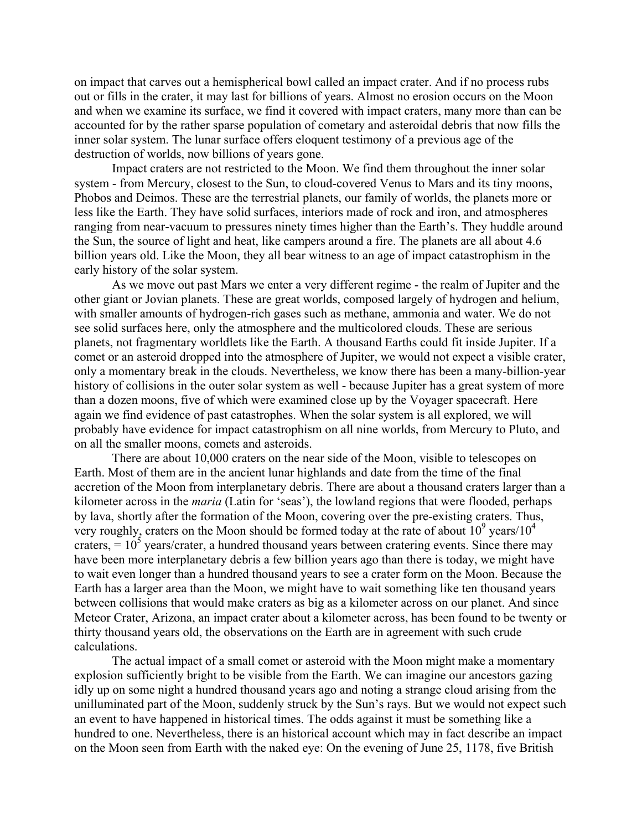on impact that carves out a hemispherical bowl called an impact crater. And if no process rubs out or fills in the crater, it may last for billions of years. Almost no erosion occurs on the Moon and when we examine its surface, we find it covered with impact craters, many more than can be accounted for by the rather sparse population of cometary and asteroidal debris that now fills the inner solar system. The lunar surface offers eloquent testimony of a previous age of the destruction of worlds, now billions of years gone.

Impact craters are not restricted to the Moon. We find them throughout the inner solar system - from Mercury, closest to the Sun, to cloud-covered Venus to Mars and its tiny moons, Phobos and Deimos. These are the terrestrial planets, our family of worlds, the planets more or less like the Earth. They have solid surfaces, interiors made of rock and iron, and atmospheres ranging from near-vacuum to pressures ninety times higher than the Earth's. They huddle around the Sun, the source of light and heat, like campers around a fire. The planets are all about 4.6 billion years old. Like the Moon, they all bear witness to an age of impact catastrophism in the early history of the solar system.

As we move out past Mars we enter a very different regime - the realm of Jupiter and the other giant or Jovian planets. These are great worlds, composed largely of hydrogen and helium, with smaller amounts of hydrogen-rich gases such as methane, ammonia and water. We do not see solid surfaces here, only the atmosphere and the multicolored clouds. These are serious planets, not fragmentary worldlets like the Earth. A thousand Earths could fit inside Jupiter. If a comet or an asteroid dropped into the atmosphere of Jupiter, we would not expect a visible crater, only a momentary break in the clouds. Nevertheless, we know there has been a many-billion-year history of collisions in the outer solar system as well - because Jupiter has a great system of more than a dozen moons, five of which were examined close up by the Voyager spacecraft. Here again we find evidence of past catastrophes. When the solar system is all explored, we will probably have evidence for impact catastrophism on all nine worlds, from Mercury to Pluto, and on all the smaller moons, comets and asteroids.

There are about 10,000 craters on the near side of the Moon, visible to telescopes on Earth. Most of them are in the ancient lunar highlands and date from the time of the final accretion of the Moon from interplanetary debris. There are about a thousand craters larger than a kilometer across in the *maria* (Latin for 'seas'), the lowland regions that were flooded, perhaps by lava, shortly after the formation of the Moon, covering over the pre-existing craters. Thus, very roughly, craters on the Moon should be formed today at the rate of about  $10^9$  years/ $10^4$ craters,  $= 10^5$  years/crater, a hundred thousand years between cratering events. Since there may have been more interplanetary debris a few billion years ago than there is today, we might have to wait even longer than a hundred thousand years to see a crater form on the Moon. Because the Earth has a larger area than the Moon, we might have to wait something like ten thousand years between collisions that would make craters as big as a kilometer across on our planet. And since Meteor Crater, Arizona, an impact crater about a kilometer across, has been found to be twenty or thirty thousand years old, the observations on the Earth are in agreement with such crude calculations.

The actual impact of a small comet or asteroid with the Moon might make a momentary explosion sufficiently bright to be visible from the Earth. We can imagine our ancestors gazing idly up on some night a hundred thousand years ago and noting a strange cloud arising from the unilluminated part of the Moon, suddenly struck by the Sun's rays. But we would not expect such an event to have happened in historical times. The odds against it must be something like a hundred to one. Nevertheless, there is an historical account which may in fact describe an impact on the Moon seen from Earth with the naked eye: On the evening of June 25, 1178, five British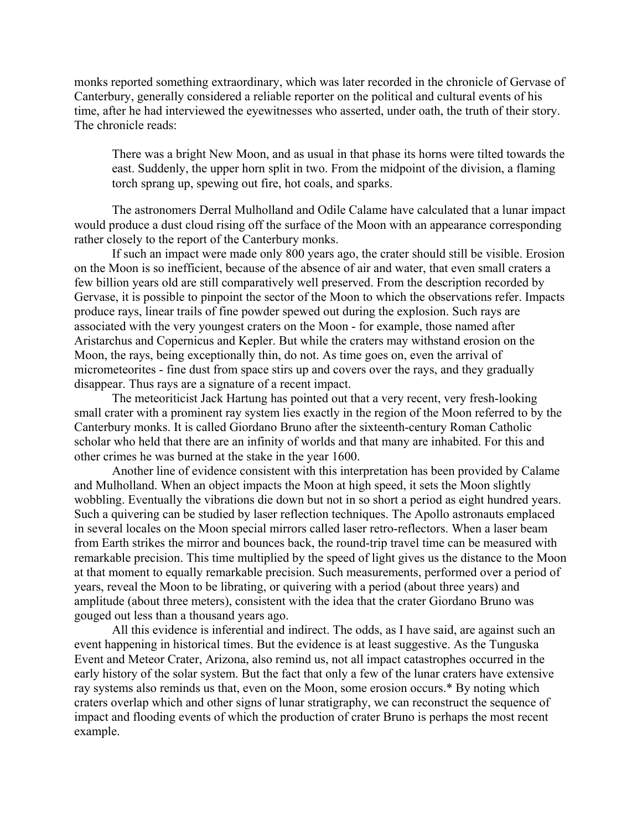monks reported something extraordinary, which was later recorded in the chronicle of Gervase of Canterbury, generally considered a reliable reporter on the political and cultural events of his time, after he had interviewed the eyewitnesses who asserted, under oath, the truth of their story. The chronicle reads:

There was a bright New Moon, and as usual in that phase its horns were tilted towards the east. Suddenly, the upper horn split in two. From the midpoint of the division, a flaming torch sprang up, spewing out fire, hot coals, and sparks.

The astronomers Derral Mulholland and Odile Calame have calculated that a lunar impact would produce a dust cloud rising off the surface of the Moon with an appearance corresponding rather closely to the report of the Canterbury monks.

If such an impact were made only 800 years ago, the crater should still be visible. Erosion on the Moon is so inefficient, because of the absence of air and water, that even small craters a few billion years old are still comparatively well preserved. From the description recorded by Gervase, it is possible to pinpoint the sector of the Moon to which the observations refer. Impacts produce rays, linear trails of fine powder spewed out during the explosion. Such rays are associated with the very youngest craters on the Moon - for example, those named after Aristarchus and Copernicus and Kepler. But while the craters may withstand erosion on the Moon, the rays, being exceptionally thin, do not. As time goes on, even the arrival of micrometeorites - fine dust from space stirs up and covers over the rays, and they gradually disappear. Thus rays are a signature of a recent impact.

The meteoriticist Jack Hartung has pointed out that a very recent, very fresh-looking small crater with a prominent ray system lies exactly in the region of the Moon referred to by the Canterbury monks. It is called Giordano Bruno after the sixteenth-century Roman Catholic scholar who held that there are an infinity of worlds and that many are inhabited. For this and other crimes he was burned at the stake in the year 1600.

Another line of evidence consistent with this interpretation has been provided by Calame and Mulholland. When an object impacts the Moon at high speed, it sets the Moon slightly wobbling. Eventually the vibrations die down but not in so short a period as eight hundred years. Such a quivering can be studied by laser reflection techniques. The Apollo astronauts emplaced in several locales on the Moon special mirrors called laser retro-reflectors. When a laser beam from Earth strikes the mirror and bounces back, the round-trip travel time can be measured with remarkable precision. This time multiplied by the speed of light gives us the distance to the Moon at that moment to equally remarkable precision. Such measurements, performed over a period of years, reveal the Moon to be librating, or quivering with a period (about three years) and amplitude (about three meters), consistent with the idea that the crater Giordano Bruno was gouged out less than a thousand years ago.

All this evidence is inferential and indirect. The odds, as I have said, are against such an event happening in historical times. But the evidence is at least suggestive. As the Tunguska Event and Meteor Crater, Arizona, also remind us, not all impact catastrophes occurred in the early history of the solar system. But the fact that only a few of the lunar craters have extensive ray systems also reminds us that, even on the Moon, some erosion occurs.\* By noting which craters overlap which and other signs of lunar stratigraphy, we can reconstruct the sequence of impact and flooding events of which the production of crater Bruno is perhaps the most recent example.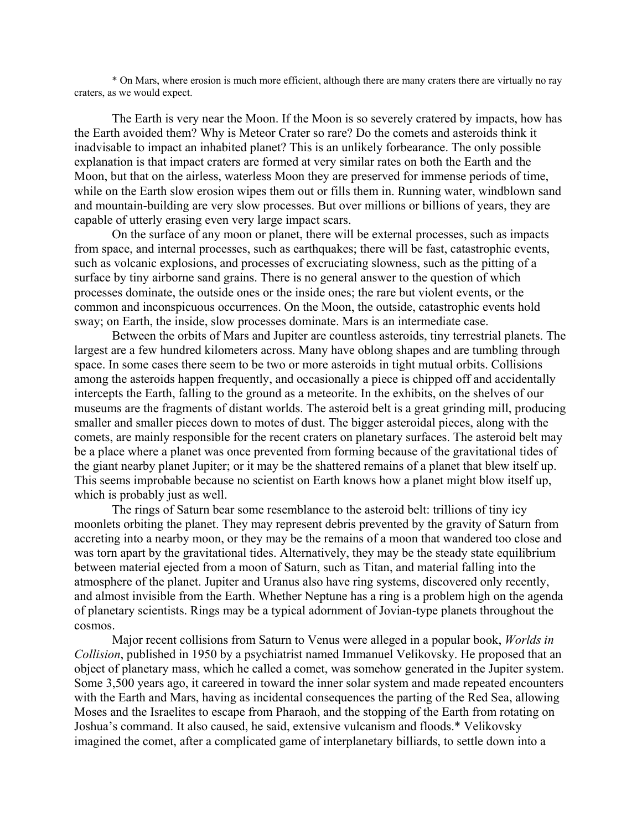\* On Mars, where erosion is much more efficient, although there are many craters there are virtually no ray craters, as we would expect.

The Earth is very near the Moon. If the Moon is so severely cratered by impacts, how has the Earth avoided them? Why is Meteor Crater so rare? Do the comets and asteroids think it inadvisable to impact an inhabited planet? This is an unlikely forbearance. The only possible explanation is that impact craters are formed at very similar rates on both the Earth and the Moon, but that on the airless, waterless Moon they are preserved for immense periods of time, while on the Earth slow erosion wipes them out or fills them in. Running water, windblown sand and mountain-building are very slow processes. But over millions or billions of years, they are capable of utterly erasing even very large impact scars.

On the surface of any moon or planet, there will be external processes, such as impacts from space, and internal processes, such as earthquakes; there will be fast, catastrophic events, such as volcanic explosions, and processes of excruciating slowness, such as the pitting of a surface by tiny airborne sand grains. There is no general answer to the question of which processes dominate, the outside ones or the inside ones; the rare but violent events, or the common and inconspicuous occurrences. On the Moon, the outside, catastrophic events hold sway; on Earth, the inside, slow processes dominate. Mars is an intermediate case.

Between the orbits of Mars and Jupiter are countless asteroids, tiny terrestrial planets. The largest are a few hundred kilometers across. Many have oblong shapes and are tumbling through space. In some cases there seem to be two or more asteroids in tight mutual orbits. Collisions among the asteroids happen frequently, and occasionally a piece is chipped off and accidentally intercepts the Earth, falling to the ground as a meteorite. In the exhibits, on the shelves of our museums are the fragments of distant worlds. The asteroid belt is a great grinding mill, producing smaller and smaller pieces down to motes of dust. The bigger asteroidal pieces, along with the comets, are mainly responsible for the recent craters on planetary surfaces. The asteroid belt may be a place where a planet was once prevented from forming because of the gravitational tides of the giant nearby planet Jupiter; or it may be the shattered remains of a planet that blew itself up. This seems improbable because no scientist on Earth knows how a planet might blow itself up, which is probably just as well.

The rings of Saturn bear some resemblance to the asteroid belt: trillions of tiny icy moonlets orbiting the planet. They may represent debris prevented by the gravity of Saturn from accreting into a nearby moon, or they may be the remains of a moon that wandered too close and was torn apart by the gravitational tides. Alternatively, they may be the steady state equilibrium between material ejected from a moon of Saturn, such as Titan, and material falling into the atmosphere of the planet. Jupiter and Uranus also have ring systems, discovered only recently, and almost invisible from the Earth. Whether Neptune has a ring is a problem high on the agenda of planetary scientists. Rings may be a typical adornment of Jovian-type planets throughout the cosmos.

Major recent collisions from Saturn to Venus were alleged in a popular book, *Worlds in Collision*, published in 1950 by a psychiatrist named Immanuel Velikovsky. He proposed that an object of planetary mass, which he called a comet, was somehow generated in the Jupiter system. Some 3,500 years ago, it careered in toward the inner solar system and made repeated encounters with the Earth and Mars, having as incidental consequences the parting of the Red Sea, allowing Moses and the Israelites to escape from Pharaoh, and the stopping of the Earth from rotating on Joshua's command. It also caused, he said, extensive vulcanism and floods.\* Velikovsky imagined the comet, after a complicated game of interplanetary billiards, to settle down into a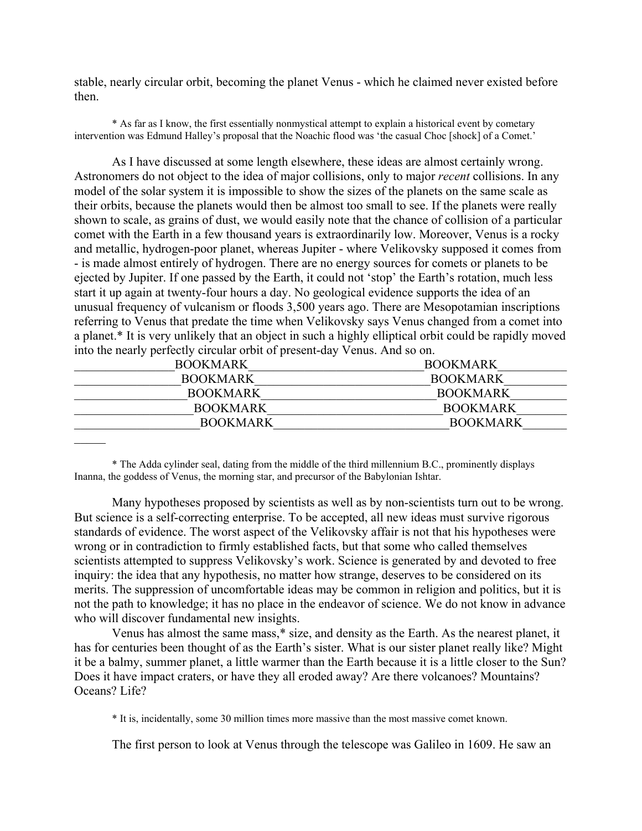stable, nearly circular orbit, becoming the planet Venus - which he claimed never existed before then.

\* As far as I know, the first essentially nonmystical attempt to explain a historical event by cometary intervention was Edmund Halley's proposal that the Noachic flood was 'the casual Choc [shock] of a Comet.'

As I have discussed at some length elsewhere, these ideas are almost certainly wrong. Astronomers do not object to the idea of major collisions, only to major *recent* collisions. In any model of the solar system it is impossible to show the sizes of the planets on the same scale as their orbits, because the planets would then be almost too small to see. If the planets were really shown to scale, as grains of dust, we would easily note that the chance of collision of a particular comet with the Earth in a few thousand years is extraordinarily low. Moreover, Venus is a rocky and metallic, hydrogen-poor planet, whereas Jupiter - where Velikovsky supposed it comes from - is made almost entirely of hydrogen. There are no energy sources for comets or planets to be ejected by Jupiter. If one passed by the Earth, it could not 'stop' the Earth's rotation, much less start it up again at twenty-four hours a day. No geological evidence supports the idea of an unusual frequency of vulcanism or floods 3,500 years ago. There are Mesopotamian inscriptions referring to Venus that predate the time when Velikovsky says Venus changed from a comet into a planet.\* It is very unlikely that an object in such a highly elliptical orbit could be rapidly moved into the nearly perfectly circular orbit of present-day Venus. And so on.

| <b>BOOKMARK</b> | <b>BOOKMARK</b> |
|-----------------|-----------------|
| <b>BOOKMARK</b> | <b>BOOKMARK</b> |
| <b>BOOKMARK</b> | <b>BOOKMARK</b> |
| <b>BOOKMARK</b> | <b>BOOKMARK</b> |
| <b>BOOKMARK</b> | <b>BOOKMARK</b> |
|                 |                 |

\* The Adda cylinder seal, dating from the middle of the third millennium B.C., prominently displays Inanna, the goddess of Venus, the morning star, and precursor of the Babylonian Ishtar.

Many hypotheses proposed by scientists as well as by non-scientists turn out to be wrong. But science is a self-correcting enterprise. To be accepted, all new ideas must survive rigorous standards of evidence. The worst aspect of the Velikovsky affair is not that his hypotheses were wrong or in contradiction to firmly established facts, but that some who called themselves scientists attempted to suppress Velikovsky's work. Science is generated by and devoted to free inquiry: the idea that any hypothesis, no matter how strange, deserves to be considered on its merits. The suppression of uncomfortable ideas may be common in religion and politics, but it is not the path to knowledge; it has no place in the endeavor of science. We do not know in advance who will discover fundamental new insights.

Venus has almost the same mass,\* size, and density as the Earth. As the nearest planet, it has for centuries been thought of as the Earth's sister. What is our sister planet really like? Might it be a balmy, summer planet, a little warmer than the Earth because it is a little closer to the Sun? Does it have impact craters, or have they all eroded away? Are there volcanoes? Mountains? Oceans? Life?

\* It is, incidentally, some 30 million times more massive than the most massive comet known.

The first person to look at Venus through the telescope was Galileo in 1609. He saw an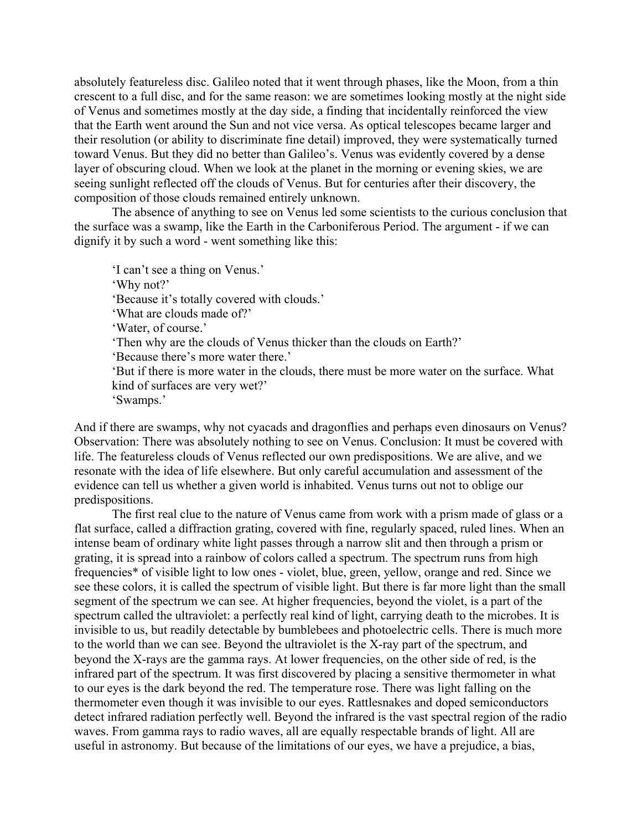absolutely featureless disc. Galileo noted that it went through phases, like the Moon, from a thin crescent to a full disc, and for the same reason: we are sometimes looking mostly at the night side of Venus and sometimes mostly at the day side, a finding that incidentally reinforced the view that the Earth went around the Sun and not vice versa. As optical telescopes became larger and their resolution (or ability to discriminate fine detail) improved, they were systematically turned toward Venus. But they did no better than Galileo's. Venus was evidently covered by a dense layer of obscuring cloud. When we look at the planet in the morning or evening skies, we are seeing sunlight reflected off the clouds of Venus. But for centuries after their discovery, the composition of those clouds remained entirely unknown.

The absence of anything to see on Venus led some scientists to the curious conclusion that the surface was a swamp, like the Earth in the Carboniferous Period. The argument - if we can dignify it by such a word - went something like this:

'I can't see a thing on Venus.' 'Why not?' 'Because it's totally covered with clouds.' 'What are clouds made of?' 'Water, of course.' 'Then why are the clouds of Venus thicker than the clouds on Earth?' 'Because there's more water there.' 'But if there is more water in the clouds, there must be more water on the surface. What kind of surfaces are very wet?' 'Swamps.'

And if there are swamps, why not cyacads and dragonflies and perhaps even dinosaurs on Venus? Observation: There was absolutely nothing to see on Venus. Conclusion: It must be covered with life. The featureless clouds of Venus reflected our own predispositions. We are alive, and we resonate with the idea of life elsewhere. But only careful accumulation and assessment of the evidence can tell us whether a given world is inhabited. Venus turns out not to oblige our predispositions.

The first real clue to the nature of Venus came from work with a prism made of glass or a flat surface, called a diffraction grating, covered with fine, regularly spaced, ruled lines. When an intense beam of ordinary white light passes through a narrow slit and then through a prism or grating, it is spread into a rainbow of colors called a spectrum. The spectrum runs from high frequencies\* of visible light to low ones - violet, blue, green, yellow, orange and red. Since we see these colors, it is called the spectrum of visible light. But there is far more light than the small segment of the spectrum we can see. At higher frequencies, beyond the violet, is a part of the spectrum called the ultraviolet: a perfectly real kind of light, carrying death to the microbes. It is invisible to us, but readily detectable by bumblebees and photoelectric cells. There is much more to the world than we can see. Beyond the ultraviolet is the X-ray part of the spectrum, and beyond the X-rays are the gamma rays. At lower frequencies, on the other side of red, is the infrared part of the spectrum. It was first discovered by placing a sensitive thermometer in what to our eyes is the dark beyond the red. The temperature rose. There was light falling on the thermometer even though it was invisible to our eyes. Rattlesnakes and doped semiconductors detect infrared radiation perfectly well. Beyond the infrared is the vast spectral region of the radio waves. From gamma rays to radio waves, all are equally respectable brands of light. All are useful in astronomy. But because of the limitations of our eyes, we have a prejudice, a bias,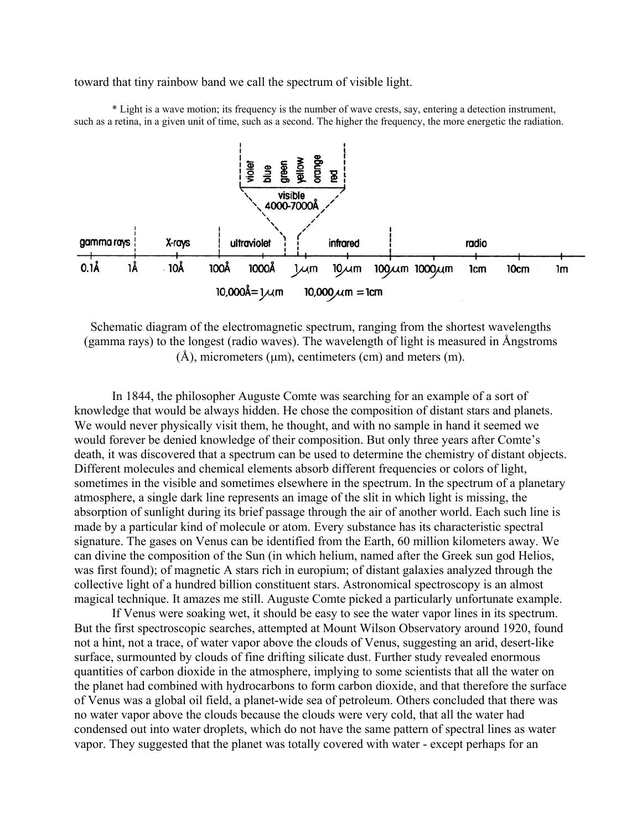toward that tiny rainbow band we call the spectrum of visible light.

\* Light is a wave motion; its frequency is the number of wave crests, say, entering a detection instrument, such as a retina, in a given unit of time, such as a second. The higher the frequency, the more energetic the radiation.



Schematic diagram of the electromagnetic spectrum, ranging from the shortest wavelengths (gamma rays) to the longest (radio waves). The wavelength of light is measured in Ångstroms  $(\hat{A})$ , micrometers ( $\mu$ m), centimeters (cm) and meters (m).

In 1844, the philosopher Auguste Comte was searching for an example of a sort of knowledge that would be always hidden. He chose the composition of distant stars and planets. We would never physically visit them, he thought, and with no sample in hand it seemed we would forever be denied knowledge of their composition. But only three years after Comte's death, it was discovered that a spectrum can be used to determine the chemistry of distant objects. Different molecules and chemical elements absorb different frequencies or colors of light, sometimes in the visible and sometimes elsewhere in the spectrum. In the spectrum of a planetary atmosphere, a single dark line represents an image of the slit in which light is missing, the absorption of sunlight during its brief passage through the air of another world. Each such line is made by a particular kind of molecule or atom. Every substance has its characteristic spectral signature. The gases on Venus can be identified from the Earth, 60 million kilometers away. We can divine the composition of the Sun (in which helium, named after the Greek sun god Helios, was first found); of magnetic A stars rich in europium; of distant galaxies analyzed through the collective light of a hundred billion constituent stars. Astronomical spectroscopy is an almost magical technique. It amazes me still. Auguste Comte picked a particularly unfortunate example.

If Venus were soaking wet, it should be easy to see the water vapor lines in its spectrum. But the first spectroscopic searches, attempted at Mount Wilson Observatory around 1920, found not a hint, not a trace, of water vapor above the clouds of Venus, suggesting an arid, desert-like surface, surmounted by clouds of fine drifting silicate dust. Further study revealed enormous quantities of carbon dioxide in the atmosphere, implying to some scientists that all the water on the planet had combined with hydrocarbons to form carbon dioxide, and that therefore the surface of Venus was a global oil field, a planet-wide sea of petroleum. Others concluded that there was no water vapor above the clouds because the clouds were very cold, that all the water had condensed out into water droplets, which do not have the same pattern of spectral lines as water vapor. They suggested that the planet was totally covered with water - except perhaps for an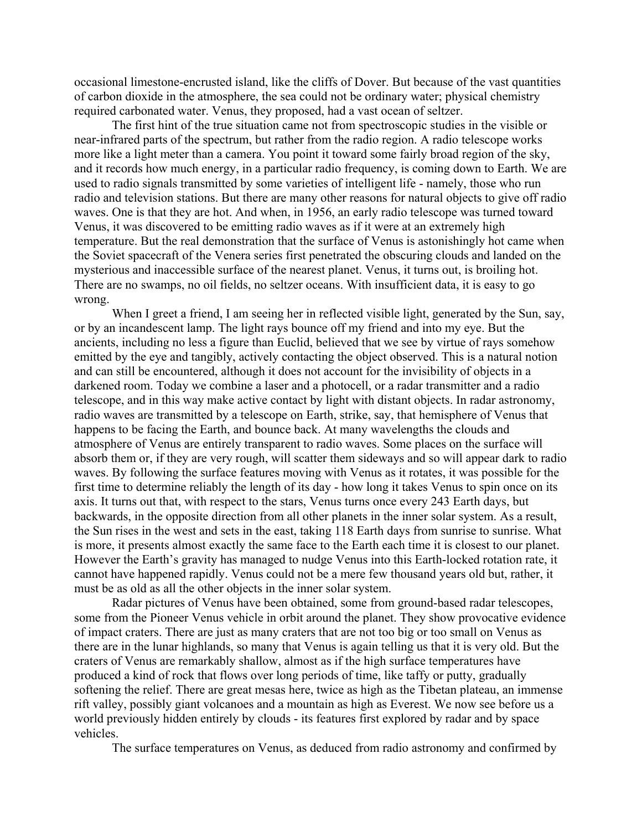occasional limestone-encrusted island, like the cliffs of Dover. But because of the vast quantities of carbon dioxide in the atmosphere, the sea could not be ordinary water; physical chemistry required carbonated water. Venus, they proposed, had a vast ocean of seltzer.

The first hint of the true situation came not from spectroscopic studies in the visible or near-infrared parts of the spectrum, but rather from the radio region. A radio telescope works more like a light meter than a camera. You point it toward some fairly broad region of the sky, and it records how much energy, in a particular radio frequency, is coming down to Earth. We are used to radio signals transmitted by some varieties of intelligent life - namely, those who run radio and television stations. But there are many other reasons for natural objects to give off radio waves. One is that they are hot. And when, in 1956, an early radio telescope was turned toward Venus, it was discovered to be emitting radio waves as if it were at an extremely high temperature. But the real demonstration that the surface of Venus is astonishingly hot came when the Soviet spacecraft of the Venera series first penetrated the obscuring clouds and landed on the mysterious and inaccessible surface of the nearest planet. Venus, it turns out, is broiling hot. There are no swamps, no oil fields, no seltzer oceans. With insufficient data, it is easy to go wrong.

When I greet a friend, I am seeing her in reflected visible light, generated by the Sun, say, or by an incandescent lamp. The light rays bounce off my friend and into my eye. But the ancients, including no less a figure than Euclid, believed that we see by virtue of rays somehow emitted by the eye and tangibly, actively contacting the object observed. This is a natural notion and can still be encountered, although it does not account for the invisibility of objects in a darkened room. Today we combine a laser and a photocell, or a radar transmitter and a radio telescope, and in this way make active contact by light with distant objects. In radar astronomy, radio waves are transmitted by a telescope on Earth, strike, say, that hemisphere of Venus that happens to be facing the Earth, and bounce back. At many wavelengths the clouds and atmosphere of Venus are entirely transparent to radio waves. Some places on the surface will absorb them or, if they are very rough, will scatter them sideways and so will appear dark to radio waves. By following the surface features moving with Venus as it rotates, it was possible for the first time to determine reliably the length of its day - how long it takes Venus to spin once on its axis. It turns out that, with respect to the stars, Venus turns once every 243 Earth days, but backwards, in the opposite direction from all other planets in the inner solar system. As a result, the Sun rises in the west and sets in the east, taking 118 Earth days from sunrise to sunrise. What is more, it presents almost exactly the same face to the Earth each time it is closest to our planet. However the Earth's gravity has managed to nudge Venus into this Earth-locked rotation rate, it cannot have happened rapidly. Venus could not be a mere few thousand years old but, rather, it must be as old as all the other objects in the inner solar system.

Radar pictures of Venus have been obtained, some from ground-based radar telescopes, some from the Pioneer Venus vehicle in orbit around the planet. They show provocative evidence of impact craters. There are just as many craters that are not too big or too small on Venus as there are in the lunar highlands, so many that Venus is again telling us that it is very old. But the craters of Venus are remarkably shallow, almost as if the high surface temperatures have produced a kind of rock that flows over long periods of time, like taffy or putty, gradually softening the relief. There are great mesas here, twice as high as the Tibetan plateau, an immense rift valley, possibly giant volcanoes and a mountain as high as Everest. We now see before us a world previously hidden entirely by clouds - its features first explored by radar and by space vehicles.

The surface temperatures on Venus, as deduced from radio astronomy and confirmed by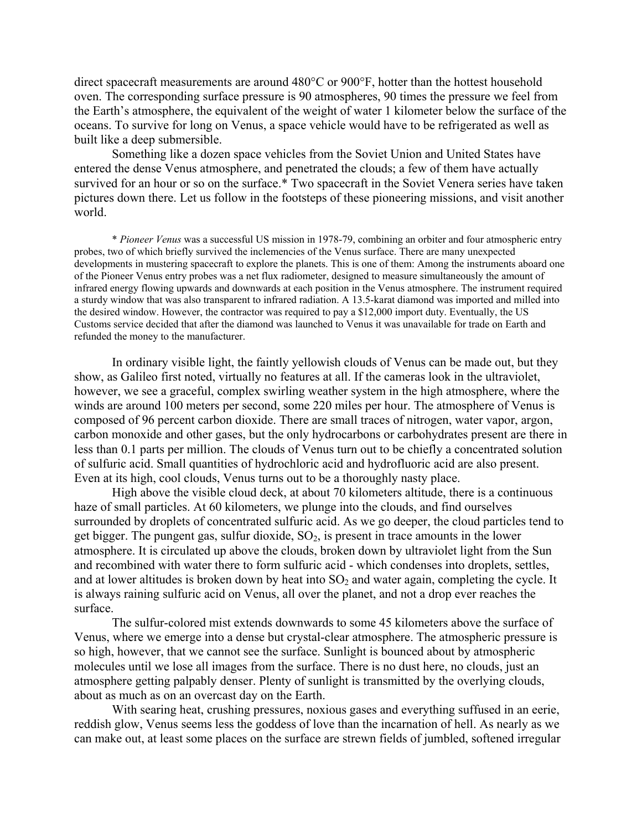direct spacecraft measurements are around 480°C or 900°F, hotter than the hottest household oven. The corresponding surface pressure is 90 atmospheres, 90 times the pressure we feel from the Earth's atmosphere, the equivalent of the weight of water 1 kilometer below the surface of the oceans. To survive for long on Venus, a space vehicle would have to be refrigerated as well as built like a deep submersible.

Something like a dozen space vehicles from the Soviet Union and United States have entered the dense Venus atmosphere, and penetrated the clouds; a few of them have actually survived for an hour or so on the surface.\* Two spacecraft in the Soviet Venera series have taken pictures down there. Let us follow in the footsteps of these pioneering missions, and visit another world.

\* *Pioneer Venus* was a successful US mission in 1978-79, combining an orbiter and four atmospheric entry probes, two of which briefly survived the inclemencies of the Venus surface. There are many unexpected developments in mustering spacecraft to explore the planets. This is one of them: Among the instruments aboard one of the Pioneer Venus entry probes was a net flux radiometer, designed to measure simultaneously the amount of infrared energy flowing upwards and downwards at each position in the Venus atmosphere. The instrument required a sturdy window that was also transparent to infrared radiation. A 13.5-karat diamond was imported and milled into the desired window. However, the contractor was required to pay a \$12,000 import duty. Eventually, the US Customs service decided that after the diamond was launched to Venus it was unavailable for trade on Earth and refunded the money to the manufacturer.

In ordinary visible light, the faintly yellowish clouds of Venus can be made out, but they show, as Galileo first noted, virtually no features at all. If the cameras look in the ultraviolet, however, we see a graceful, complex swirling weather system in the high atmosphere, where the winds are around 100 meters per second, some 220 miles per hour. The atmosphere of Venus is composed of 96 percent carbon dioxide. There are small traces of nitrogen, water vapor, argon, carbon monoxide and other gases, but the only hydrocarbons or carbohydrates present are there in less than 0.1 parts per million. The clouds of Venus turn out to be chiefly a concentrated solution of sulfuric acid. Small quantities of hydrochloric acid and hydrofluoric acid are also present. Even at its high, cool clouds, Venus turns out to be a thoroughly nasty place.

High above the visible cloud deck, at about 70 kilometers altitude, there is a continuous haze of small particles. At 60 kilometers, we plunge into the clouds, and find ourselves surrounded by droplets of concentrated sulfuric acid. As we go deeper, the cloud particles tend to get bigger. The pungent gas, sulfur dioxide,  $SO<sub>2</sub>$ , is present in trace amounts in the lower atmosphere. It is circulated up above the clouds, broken down by ultraviolet light from the Sun and recombined with water there to form sulfuric acid - which condenses into droplets, settles, and at lower altitudes is broken down by heat into  $SO<sub>2</sub>$  and water again, completing the cycle. It is always raining sulfuric acid on Venus, all over the planet, and not a drop ever reaches the surface.

The sulfur-colored mist extends downwards to some 45 kilometers above the surface of Venus, where we emerge into a dense but crystal-clear atmosphere. The atmospheric pressure is so high, however, that we cannot see the surface. Sunlight is bounced about by atmospheric molecules until we lose all images from the surface. There is no dust here, no clouds, just an atmosphere getting palpably denser. Plenty of sunlight is transmitted by the overlying clouds, about as much as on an overcast day on the Earth.

With searing heat, crushing pressures, noxious gases and everything suffused in an eerie, reddish glow, Venus seems less the goddess of love than the incarnation of hell. As nearly as we can make out, at least some places on the surface are strewn fields of jumbled, softened irregular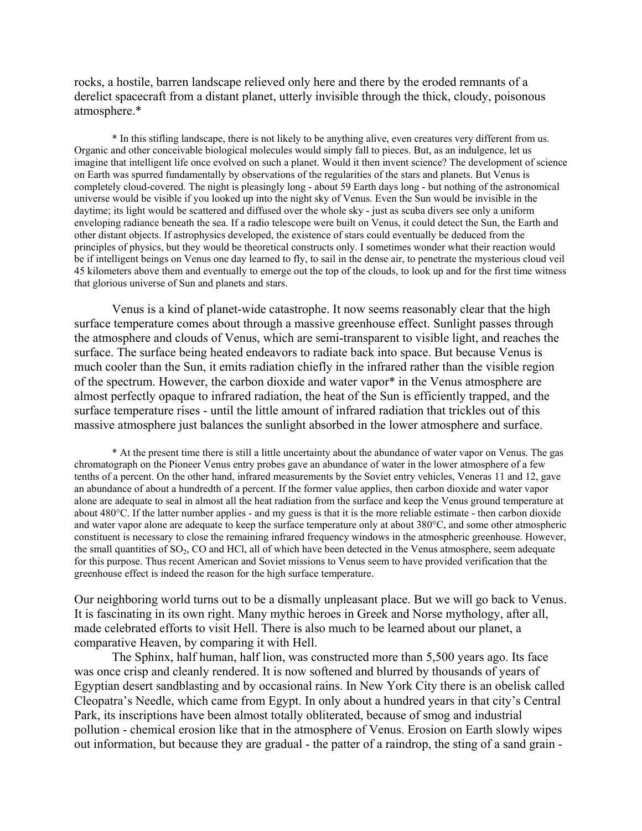rocks, a hostile, barren landscape relieved only here and there by the eroded remnants of a derelict spacecraft from a distant planet, utterly invisible through the thick, cloudy, poisonous atmosphere.\*

\* In this stifling landscape, there is not likely to be anything alive, even creatures very different from us. Organic and other conceivable biological molecules would simply fall to pieces. But, as an indulgence, let us imagine that intelligent life once evolved on such a planet. Would it then invent science? The development of science on Earth was spurred fundamentally by observations of the regularities of the stars and planets. But Venus is completely cloud-covered. The night is pleasingly long - about 59 Earth days long - but nothing of the astronomical universe would be visible if you looked up into the night sky of Venus. Even the Sun would be invisible in the daytime; its light would be scattered and diffused over the whole sky - just as scuba divers see only a uniform enveloping radiance beneath the sea. If a radio telescope were built on Venus, it could detect the Sun, the Earth and other distant objects. If astrophysics developed, the existence of stars could eventually be deduced from the principles of physics, but they would be theoretical constructs only. I sometimes wonder what their reaction would be if intelligent beings on Venus one day learned to fly, to sail in the dense air, to penetrate the mysterious cloud veil 45 kilometers above them and eventually to emerge out the top of the clouds, to look up and for the first time witness that glorious universe of Sun and planets and stars.

Venus is a kind of planet-wide catastrophe. It now seems reasonably clear that the high surface temperature comes about through a massive greenhouse effect. Sunlight passes through the atmosphere and clouds of Venus, which are semi-transparent to visible light, and reaches the surface. The surface being heated endeavors to radiate back into space. But because Venus is much cooler than the Sun, it emits radiation chiefly in the infrared rather than the visible region of the spectrum. However, the carbon dioxide and water vapor\* in the Venus atmosphere are almost perfectly opaque to infrared radiation, the heat of the Sun is efficiently trapped, and the surface temperature rises - until the little amount of infrared radiation that trickles out of this massive atmosphere just balances the sunlight absorbed in the lower atmosphere and surface.

\* At the present time there is still a little uncertainty about the abundance of water vapor on Venus. The gas chromatograph on the Pioneer Venus entry probes gave an abundance of water in the lower atmosphere of a few tenths of a percent. On the other hand, infrared measurements by the Soviet entry vehicles, Veneras 11 and 12, gave an abundance of about a hundredth of a percent. If the former value applies, then carbon dioxide and water vapor alone are adequate to seal in almost all the heat radiation from the surface and keep the Venus ground temperature at about 480°C. If the latter number applies - and my guess is that it is the more reliable estimate - then carbon dioxide and water vapor alone are adequate to keep the surface temperature only at about 380°C, and some other atmospheric constituent is necessary to close the remaining infrared frequency windows in the atmospheric greenhouse. However, the small quantities of SO2, CO and HCl, all of which have been detected in the Venus atmosphere, seem adequate for this purpose. Thus recent American and Soviet missions to Venus seem to have provided verification that the greenhouse effect is indeed the reason for the high surface temperature.

Our neighboring world turns out to be a dismally unpleasant place. But we will go back to Venus. It is fascinating in its own right. Many mythic heroes in Greek and Norse mythology, after all, made celebrated efforts to visit Hell. There is also much to be learned about our planet, a comparative Heaven, by comparing it with Hell.

The Sphinx, half human, half lion, was constructed more than 5,500 years ago. Its face was once crisp and cleanly rendered. It is now softened and blurred by thousands of years of Egyptian desert sandblasting and by occasional rains. In New York City there is an obelisk called Cleopatra's Needle, which came from Egypt. In only about a hundred years in that city's Central Park, its inscriptions have been almost totally obliterated, because of smog and industrial pollution - chemical erosion like that in the atmosphere of Venus. Erosion on Earth slowly wipes out information, but because they are gradual - the patter of a raindrop, the sting of a sand grain -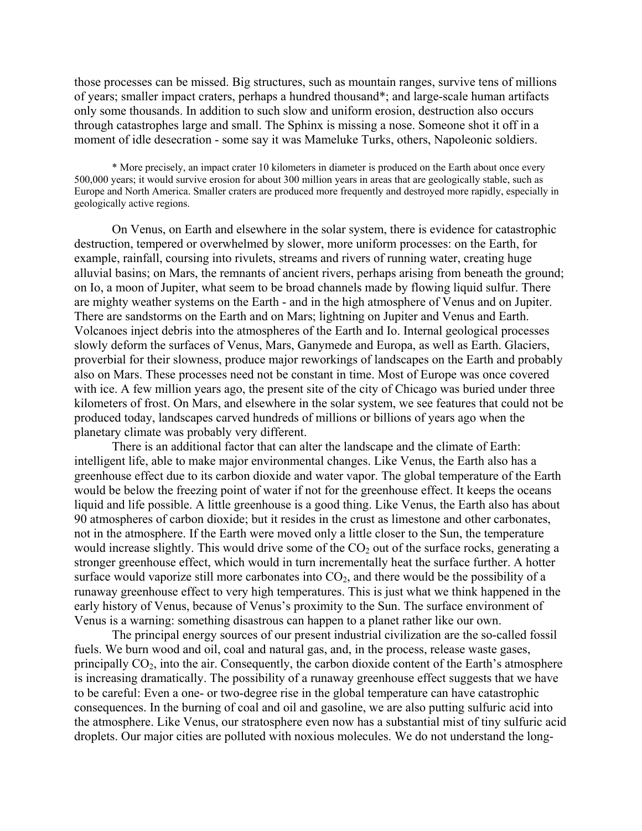those processes can be missed. Big structures, such as mountain ranges, survive tens of millions of years; smaller impact craters, perhaps a hundred thousand\*; and large-scale human artifacts only some thousands. In addition to such slow and uniform erosion, destruction also occurs through catastrophes large and small. The Sphinx is missing a nose. Someone shot it off in a moment of idle desecration - some say it was Mameluke Turks, others, Napoleonic soldiers.

\* More precisely, an impact crater 10 kilometers in diameter is produced on the Earth about once every 500,000 years; it would survive erosion for about 300 million years in areas that are geologically stable, such as Europe and North America. Smaller craters are produced more frequently and destroyed more rapidly, especially in geologically active regions.

On Venus, on Earth and elsewhere in the solar system, there is evidence for catastrophic destruction, tempered or overwhelmed by slower, more uniform processes: on the Earth, for example, rainfall, coursing into rivulets, streams and rivers of running water, creating huge alluvial basins; on Mars, the remnants of ancient rivers, perhaps arising from beneath the ground; on Io, a moon of Jupiter, what seem to be broad channels made by flowing liquid sulfur. There are mighty weather systems on the Earth - and in the high atmosphere of Venus and on Jupiter. There are sandstorms on the Earth and on Mars; lightning on Jupiter and Venus and Earth. Volcanoes inject debris into the atmospheres of the Earth and Io. Internal geological processes slowly deform the surfaces of Venus, Mars, Ganymede and Europa, as well as Earth. Glaciers, proverbial for their slowness, produce major reworkings of landscapes on the Earth and probably also on Mars. These processes need not be constant in time. Most of Europe was once covered with ice. A few million years ago, the present site of the city of Chicago was buried under three kilometers of frost. On Mars, and elsewhere in the solar system, we see features that could not be produced today, landscapes carved hundreds of millions or billions of years ago when the planetary climate was probably very different.

There is an additional factor that can alter the landscape and the climate of Earth: intelligent life, able to make major environmental changes. Like Venus, the Earth also has a greenhouse effect due to its carbon dioxide and water vapor. The global temperature of the Earth would be below the freezing point of water if not for the greenhouse effect. It keeps the oceans liquid and life possible. A little greenhouse is a good thing. Like Venus, the Earth also has about 90 atmospheres of carbon dioxide; but it resides in the crust as limestone and other carbonates, not in the atmosphere. If the Earth were moved only a little closer to the Sun, the temperature would increase slightly. This would drive some of the  $CO<sub>2</sub>$  out of the surface rocks, generating a stronger greenhouse effect, which would in turn incrementally heat the surface further. A hotter surface would vaporize still more carbonates into  $CO<sub>2</sub>$ , and there would be the possibility of a runaway greenhouse effect to very high temperatures. This is just what we think happened in the early history of Venus, because of Venus's proximity to the Sun. The surface environment of Venus is a warning: something disastrous can happen to a planet rather like our own.

The principal energy sources of our present industrial civilization are the so-called fossil fuels. We burn wood and oil, coal and natural gas, and, in the process, release waste gases, principally  $CO<sub>2</sub>$ , into the air. Consequently, the carbon dioxide content of the Earth's atmosphere is increasing dramatically. The possibility of a runaway greenhouse effect suggests that we have to be careful: Even a one- or two-degree rise in the global temperature can have catastrophic consequences. In the burning of coal and oil and gasoline, we are also putting sulfuric acid into the atmosphere. Like Venus, our stratosphere even now has a substantial mist of tiny sulfuric acid droplets. Our major cities are polluted with noxious molecules. We do not understand the long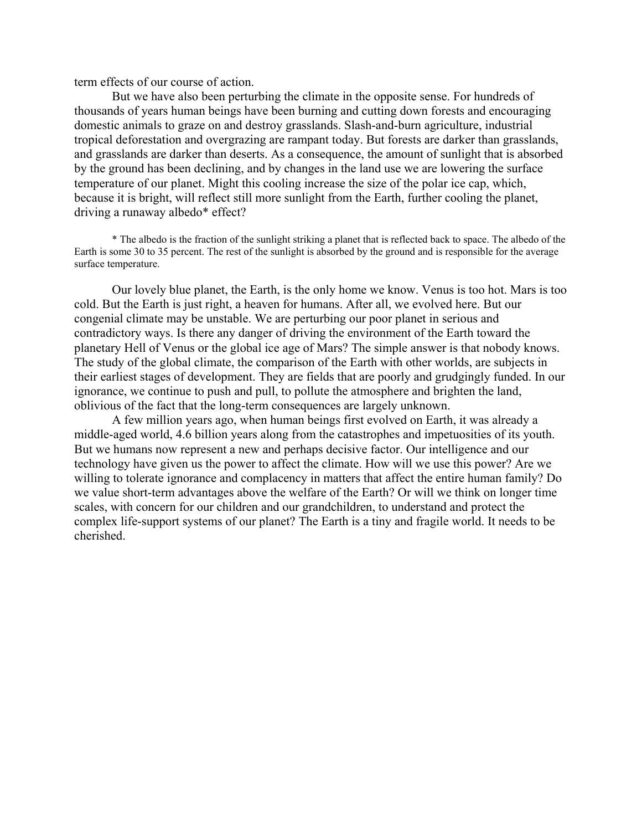term effects of our course of action.

But we have also been perturbing the climate in the opposite sense. For hundreds of thousands of years human beings have been burning and cutting down forests and encouraging domestic animals to graze on and destroy grasslands. Slash-and-burn agriculture, industrial tropical deforestation and overgrazing are rampant today. But forests are darker than grasslands, and grasslands are darker than deserts. As a consequence, the amount of sunlight that is absorbed by the ground has been declining, and by changes in the land use we are lowering the surface temperature of our planet. Might this cooling increase the size of the polar ice cap, which, because it is bright, will reflect still more sunlight from the Earth, further cooling the planet, driving a runaway albedo\* effect?

\* The albedo is the fraction of the sunlight striking a planet that is reflected back to space. The albedo of the Earth is some 30 to 35 percent. The rest of the sunlight is absorbed by the ground and is responsible for the average surface temperature.

Our lovely blue planet, the Earth, is the only home we know. Venus is too hot. Mars is too cold. But the Earth is just right, a heaven for humans. After all, we evolved here. But our congenial climate may be unstable. We are perturbing our poor planet in serious and contradictory ways. Is there any danger of driving the environment of the Earth toward the planetary Hell of Venus or the global ice age of Mars? The simple answer is that nobody knows. The study of the global climate, the comparison of the Earth with other worlds, are subjects in their earliest stages of development. They are fields that are poorly and grudgingly funded. In our ignorance, we continue to push and pull, to pollute the atmosphere and brighten the land, oblivious of the fact that the long-term consequences are largely unknown.

A few million years ago, when human beings first evolved on Earth, it was already a middle-aged world, 4.6 billion years along from the catastrophes and impetuosities of its youth. But we humans now represent a new and perhaps decisive factor. Our intelligence and our technology have given us the power to affect the climate. How will we use this power? Are we willing to tolerate ignorance and complacency in matters that affect the entire human family? Do we value short-term advantages above the welfare of the Earth? Or will we think on longer time scales, with concern for our children and our grandchildren, to understand and protect the complex life-support systems of our planet? The Earth is a tiny and fragile world. It needs to be cherished.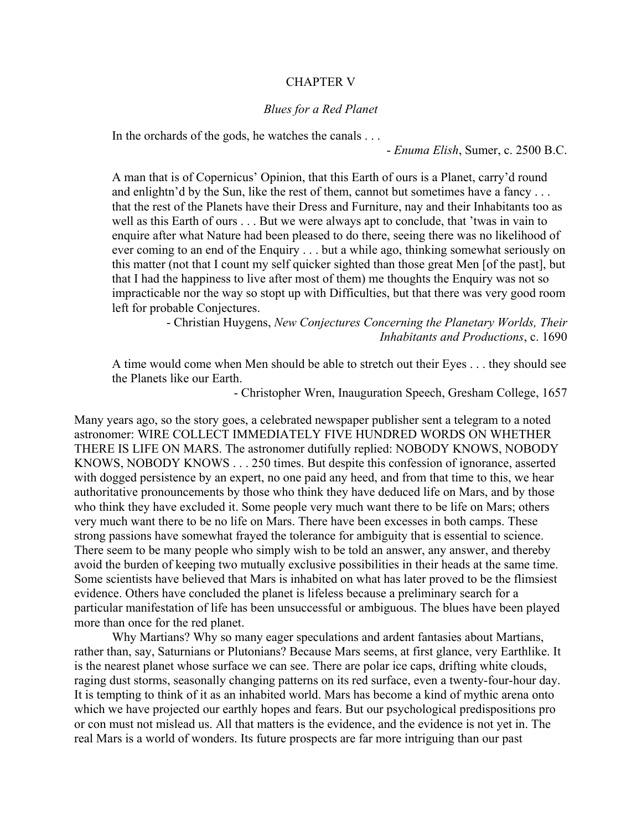## CHAPTER V

## *Blues for a Red Planet*

In the orchards of the gods, he watches the canals . . .

- *Enuma Elish*, Sumer, c. 2500 B.C.

A man that is of Copernicus' Opinion, that this Earth of ours is a Planet, carry'd round and enlightn'd by the Sun, like the rest of them, cannot but sometimes have a fancy ... that the rest of the Planets have their Dress and Furniture, nay and their Inhabitants too as well as this Earth of ours . . . But we were always apt to conclude, that 'twas in vain to enquire after what Nature had been pleased to do there, seeing there was no likelihood of ever coming to an end of the Enquiry . . . but a while ago, thinking somewhat seriously on this matter (not that I count my self quicker sighted than those great Men [of the past], but that I had the happiness to live after most of them) me thoughts the Enquiry was not so impracticable nor the way so stopt up with Difficulties, but that there was very good room left for probable Conjectures.

> - Christian Huygens, *New Conjectures Concerning the Planetary Worlds, Their Inhabitants and Productions*, c. 1690

A time would come when Men should be able to stretch out their Eyes . . . they should see the Planets like our Earth.

- Christopher Wren, Inauguration Speech, Gresham College, 1657

Many years ago, so the story goes, a celebrated newspaper publisher sent a telegram to a noted astronomer: WIRE COLLECT IMMEDIATELY FIVE HUNDRED WORDS ON WHETHER THERE IS LIFE ON MARS. The astronomer dutifully replied: NOBODY KNOWS, NOBODY KNOWS, NOBODY KNOWS . . . 250 times. But despite this confession of ignorance, asserted with dogged persistence by an expert, no one paid any heed, and from that time to this, we hear authoritative pronouncements by those who think they have deduced life on Mars, and by those who think they have excluded it. Some people very much want there to be life on Mars; others very much want there to be no life on Mars. There have been excesses in both camps. These strong passions have somewhat frayed the tolerance for ambiguity that is essential to science. There seem to be many people who simply wish to be told an answer, any answer, and thereby avoid the burden of keeping two mutually exclusive possibilities in their heads at the same time. Some scientists have believed that Mars is inhabited on what has later proved to be the flimsiest evidence. Others have concluded the planet is lifeless because a preliminary search for a particular manifestation of life has been unsuccessful or ambiguous. The blues have been played more than once for the red planet.

Why Martians? Why so many eager speculations and ardent fantasies about Martians, rather than, say, Saturnians or Plutonians? Because Mars seems, at first glance, very Earthlike. It is the nearest planet whose surface we can see. There are polar ice caps, drifting white clouds, raging dust storms, seasonally changing patterns on its red surface, even a twenty-four-hour day. It is tempting to think of it as an inhabited world. Mars has become a kind of mythic arena onto which we have projected our earthly hopes and fears. But our psychological predispositions pro or con must not mislead us. All that matters is the evidence, and the evidence is not yet in. The real Mars is a world of wonders. Its future prospects are far more intriguing than our past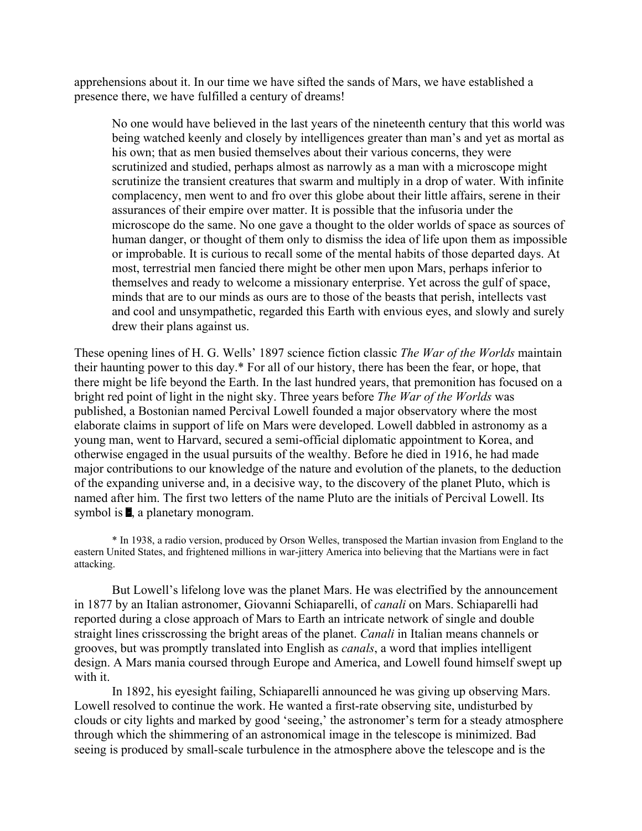apprehensions about it. In our time we have sifted the sands of Mars, we have established a presence there, we have fulfilled a century of dreams!

No one would have believed in the last years of the nineteenth century that this world was being watched keenly and closely by intelligences greater than man's and yet as mortal as his own; that as men busied themselves about their various concerns, they were scrutinized and studied, perhaps almost as narrowly as a man with a microscope might scrutinize the transient creatures that swarm and multiply in a drop of water. With infinite complacency, men went to and fro over this globe about their little affairs, serene in their assurances of their empire over matter. It is possible that the infusoria under the microscope do the same. No one gave a thought to the older worlds of space as sources of human danger, or thought of them only to dismiss the idea of life upon them as impossible or improbable. It is curious to recall some of the mental habits of those departed days. At most, terrestrial men fancied there might be other men upon Mars, perhaps inferior to themselves and ready to welcome a missionary enterprise. Yet across the gulf of space, minds that are to our minds as ours are to those of the beasts that perish, intellects vast and cool and unsympathetic, regarded this Earth with envious eyes, and slowly and surely drew their plans against us.

These opening lines of H. G. Wells' 1897 science fiction classic *The War of the Worlds* maintain their haunting power to this day.\* For all of our history, there has been the fear, or hope, that there might be life beyond the Earth. In the last hundred years, that premonition has focused on a bright red point of light in the night sky. Three years before *The War of the Worlds* was published, a Bostonian named Percival Lowell founded a major observatory where the most elaborate claims in support of life on Mars were developed. Lowell dabbled in astronomy as a young man, went to Harvard, secured a semi-official diplomatic appointment to Korea, and otherwise engaged in the usual pursuits of the wealthy. Before he died in 1916, he had made major contributions to our knowledge of the nature and evolution of the planets, to the deduction of the expanding universe and, in a decisive way, to the discovery of the planet Pluto, which is named after him. The first two letters of the name Pluto are the initials of Percival Lowell. Its symbol is  $\blacksquare$ , a planetary monogram.

\* In 1938, a radio version, produced by Orson Welles, transposed the Martian invasion from England to the eastern United States, and frightened millions in war-jittery America into believing that the Martians were in fact attacking.

But Lowell's lifelong love was the planet Mars. He was electrified by the announcement in 1877 by an Italian astronomer, Giovanni Schiaparelli, of *canali* on Mars. Schiaparelli had reported during a close approach of Mars to Earth an intricate network of single and double straight lines crisscrossing the bright areas of the planet. *Canali* in Italian means channels or grooves, but was promptly translated into English as *canals*, a word that implies intelligent design. A Mars mania coursed through Europe and America, and Lowell found himself swept up with it.

In 1892, his eyesight failing, Schiaparelli announced he was giving up observing Mars. Lowell resolved to continue the work. He wanted a first-rate observing site, undisturbed by clouds or city lights and marked by good 'seeing,' the astronomer's term for a steady atmosphere through which the shimmering of an astronomical image in the telescope is minimized. Bad seeing is produced by small-scale turbulence in the atmosphere above the telescope and is the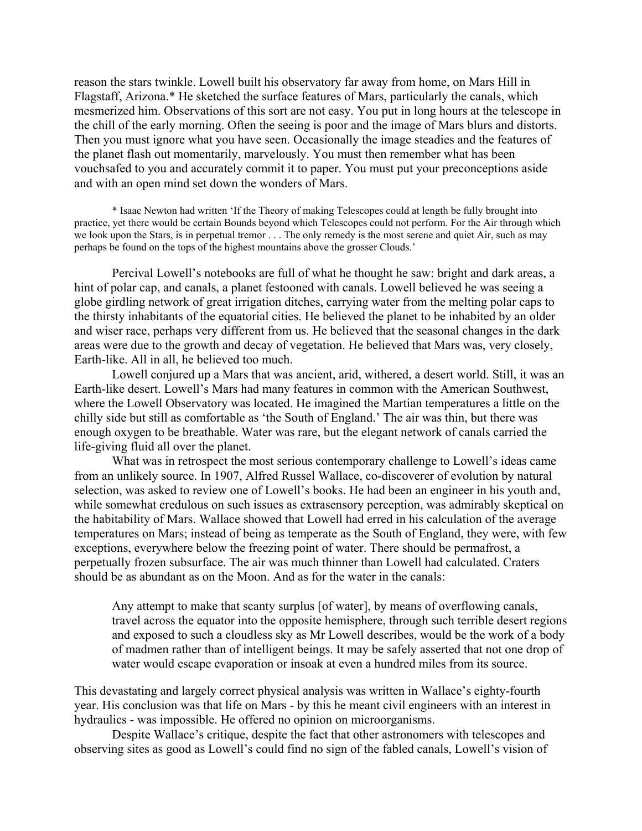reason the stars twinkle. Lowell built his observatory far away from home, on Mars Hill in Flagstaff, Arizona.\* He sketched the surface features of Mars, particularly the canals, which mesmerized him. Observations of this sort are not easy. You put in long hours at the telescope in the chill of the early morning. Often the seeing is poor and the image of Mars blurs and distorts. Then you must ignore what you have seen. Occasionally the image steadies and the features of the planet flash out momentarily, marvelously. You must then remember what has been vouchsafed to you and accurately commit it to paper. You must put your preconceptions aside and with an open mind set down the wonders of Mars.

\* Isaac Newton had written 'If the Theory of making Telescopes could at length be fully brought into practice, yet there would be certain Bounds beyond which Telescopes could not perform. For the Air through which we look upon the Stars, is in perpetual tremor . . . The only remedy is the most serene and quiet Air, such as may perhaps be found on the tops of the highest mountains above the grosser Clouds.'

Percival Lowell's notebooks are full of what he thought he saw: bright and dark areas, a hint of polar cap, and canals, a planet festooned with canals. Lowell believed he was seeing a globe girdling network of great irrigation ditches, carrying water from the melting polar caps to the thirsty inhabitants of the equatorial cities. He believed the planet to be inhabited by an older and wiser race, perhaps very different from us. He believed that the seasonal changes in the dark areas were due to the growth and decay of vegetation. He believed that Mars was, very closely, Earth-like. All in all, he believed too much.

Lowell conjured up a Mars that was ancient, arid, withered, a desert world. Still, it was an Earth-like desert. Lowell's Mars had many features in common with the American Southwest, where the Lowell Observatory was located. He imagined the Martian temperatures a little on the chilly side but still as comfortable as 'the South of England.' The air was thin, but there was enough oxygen to be breathable. Water was rare, but the elegant network of canals carried the life-giving fluid all over the planet.

What was in retrospect the most serious contemporary challenge to Lowell's ideas came from an unlikely source. In 1907, Alfred Russel Wallace, co-discoverer of evolution by natural selection, was asked to review one of Lowell's books. He had been an engineer in his youth and, while somewhat credulous on such issues as extrasensory perception, was admirably skeptical on the habitability of Mars. Wallace showed that Lowell had erred in his calculation of the average temperatures on Mars; instead of being as temperate as the South of England, they were, with few exceptions, everywhere below the freezing point of water. There should be permafrost, a perpetually frozen subsurface. The air was much thinner than Lowell had calculated. Craters should be as abundant as on the Moon. And as for the water in the canals:

Any attempt to make that scanty surplus [of water], by means of overflowing canals, travel across the equator into the opposite hemisphere, through such terrible desert regions and exposed to such a cloudless sky as Mr Lowell describes, would be the work of a body of madmen rather than of intelligent beings. It may be safely asserted that not one drop of water would escape evaporation or insoak at even a hundred miles from its source.

This devastating and largely correct physical analysis was written in Wallace's eighty-fourth year. His conclusion was that life on Mars - by this he meant civil engineers with an interest in hydraulics - was impossible. He offered no opinion on microorganisms.

Despite Wallace's critique, despite the fact that other astronomers with telescopes and observing sites as good as Lowell's could find no sign of the fabled canals, Lowell's vision of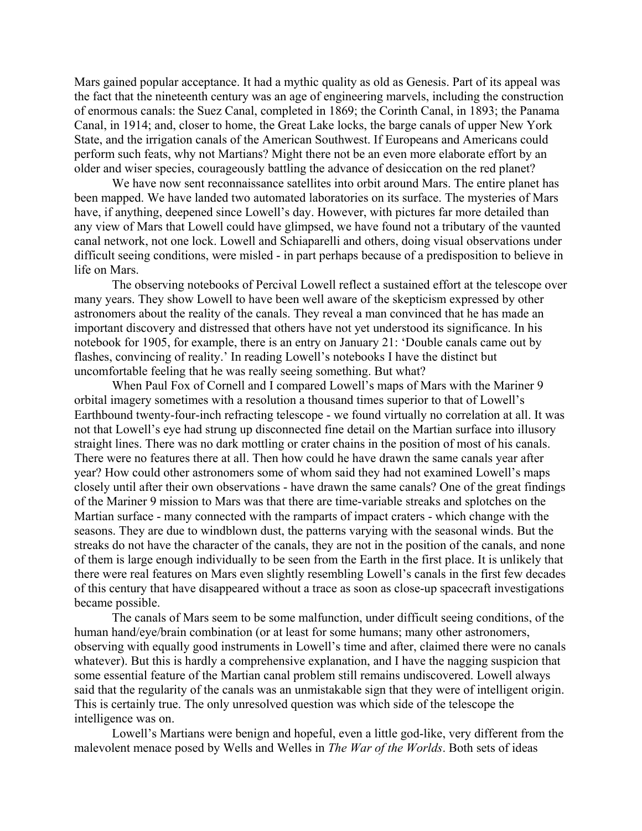Mars gained popular acceptance. It had a mythic quality as old as Genesis. Part of its appeal was the fact that the nineteenth century was an age of engineering marvels, including the construction of enormous canals: the Suez Canal, completed in 1869; the Corinth Canal, in 1893; the Panama Canal, in 1914; and, closer to home, the Great Lake locks, the barge canals of upper New York State, and the irrigation canals of the American Southwest. If Europeans and Americans could perform such feats, why not Martians? Might there not be an even more elaborate effort by an older and wiser species, courageously battling the advance of desiccation on the red planet?

We have now sent reconnaissance satellites into orbit around Mars. The entire planet has been mapped. We have landed two automated laboratories on its surface. The mysteries of Mars have, if anything, deepened since Lowell's day. However, with pictures far more detailed than any view of Mars that Lowell could have glimpsed, we have found not a tributary of the vaunted canal network, not one lock. Lowell and Schiaparelli and others, doing visual observations under difficult seeing conditions, were misled - in part perhaps because of a predisposition to believe in life on Mars.

The observing notebooks of Percival Lowell reflect a sustained effort at the telescope over many years. They show Lowell to have been well aware of the skepticism expressed by other astronomers about the reality of the canals. They reveal a man convinced that he has made an important discovery and distressed that others have not yet understood its significance. In his notebook for 1905, for example, there is an entry on January 21: 'Double canals came out by flashes, convincing of reality.' In reading Lowell's notebooks I have the distinct but uncomfortable feeling that he was really seeing something. But what?

When Paul Fox of Cornell and I compared Lowell's maps of Mars with the Mariner 9 orbital imagery sometimes with a resolution a thousand times superior to that of Lowell's Earthbound twenty-four-inch refracting telescope - we found virtually no correlation at all. It was not that Lowell's eye had strung up disconnected fine detail on the Martian surface into illusory straight lines. There was no dark mottling or crater chains in the position of most of his canals. There were no features there at all. Then how could he have drawn the same canals year after year? How could other astronomers some of whom said they had not examined Lowell's maps closely until after their own observations - have drawn the same canals? One of the great findings of the Mariner 9 mission to Mars was that there are time-variable streaks and splotches on the Martian surface - many connected with the ramparts of impact craters - which change with the seasons. They are due to windblown dust, the patterns varying with the seasonal winds. But the streaks do not have the character of the canals, they are not in the position of the canals, and none of them is large enough individually to be seen from the Earth in the first place. It is unlikely that there were real features on Mars even slightly resembling Lowell's canals in the first few decades of this century that have disappeared without a trace as soon as close-up spacecraft investigations became possible.

The canals of Mars seem to be some malfunction, under difficult seeing conditions, of the human hand/eye/brain combination (or at least for some humans; many other astronomers, observing with equally good instruments in Lowell's time and after, claimed there were no canals whatever). But this is hardly a comprehensive explanation, and I have the nagging suspicion that some essential feature of the Martian canal problem still remains undiscovered. Lowell always said that the regularity of the canals was an unmistakable sign that they were of intelligent origin. This is certainly true. The only unresolved question was which side of the telescope the intelligence was on.

Lowell's Martians were benign and hopeful, even a little god-like, very different from the malevolent menace posed by Wells and Welles in *The War of the Worlds*. Both sets of ideas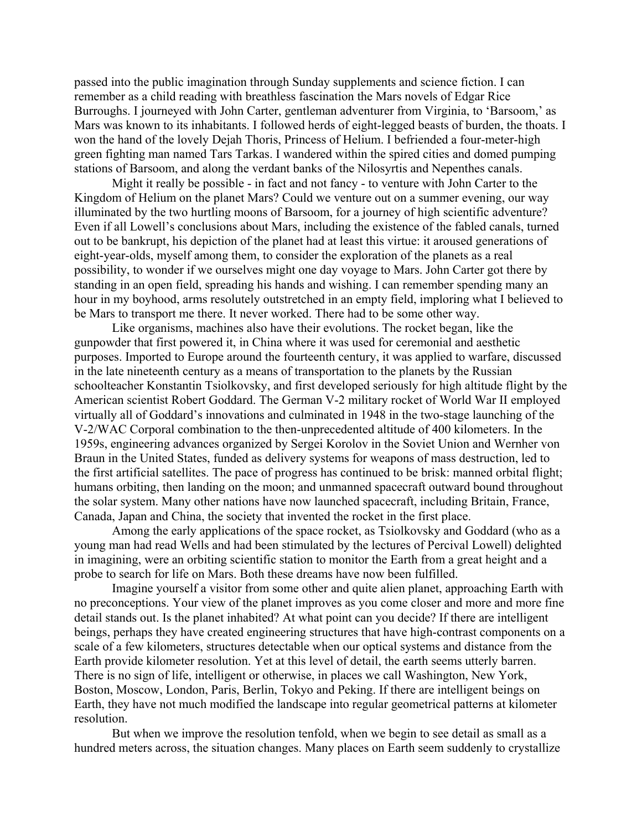passed into the public imagination through Sunday supplements and science fiction. I can remember as a child reading with breathless fascination the Mars novels of Edgar Rice Burroughs. I journeyed with John Carter, gentleman adventurer from Virginia, to 'Barsoom,' as Mars was known to its inhabitants. I followed herds of eight-legged beasts of burden, the thoats. I won the hand of the lovely Dejah Thoris, Princess of Helium. I befriended a four-meter-high green fighting man named Tars Tarkas. I wandered within the spired cities and domed pumping stations of Barsoom, and along the verdant banks of the Nilosyrtis and Nepenthes canals.

Might it really be possible - in fact and not fancy - to venture with John Carter to the Kingdom of Helium on the planet Mars? Could we venture out on a summer evening, our way illuminated by the two hurtling moons of Barsoom, for a journey of high scientific adventure? Even if all Lowell's conclusions about Mars, including the existence of the fabled canals, turned out to be bankrupt, his depiction of the planet had at least this virtue: it aroused generations of eight-year-olds, myself among them, to consider the exploration of the planets as a real possibility, to wonder if we ourselves might one day voyage to Mars. John Carter got there by standing in an open field, spreading his hands and wishing. I can remember spending many an hour in my boyhood, arms resolutely outstretched in an empty field, imploring what I believed to be Mars to transport me there. It never worked. There had to be some other way.

Like organisms, machines also have their evolutions. The rocket began, like the gunpowder that first powered it, in China where it was used for ceremonial and aesthetic purposes. Imported to Europe around the fourteenth century, it was applied to warfare, discussed in the late nineteenth century as a means of transportation to the planets by the Russian schoolteacher Konstantin Tsiolkovsky, and first developed seriously for high altitude flight by the American scientist Robert Goddard. The German V-2 military rocket of World War II employed virtually all of Goddard's innovations and culminated in 1948 in the two-stage launching of the V-2/WAC Corporal combination to the then-unprecedented altitude of 400 kilometers. In the 1959s, engineering advances organized by Sergei Korolov in the Soviet Union and Wernher von Braun in the United States, funded as delivery systems for weapons of mass destruction, led to the first artificial satellites. The pace of progress has continued to be brisk: manned orbital flight; humans orbiting, then landing on the moon; and unmanned spacecraft outward bound throughout the solar system. Many other nations have now launched spacecraft, including Britain, France, Canada, Japan and China, the society that invented the rocket in the first place.

Among the early applications of the space rocket, as Tsiolkovsky and Goddard (who as a young man had read Wells and had been stimulated by the lectures of Percival Lowell) delighted in imagining, were an orbiting scientific station to monitor the Earth from a great height and a probe to search for life on Mars. Both these dreams have now been fulfilled.

Imagine yourself a visitor from some other and quite alien planet, approaching Earth with no preconceptions. Your view of the planet improves as you come closer and more and more fine detail stands out. Is the planet inhabited? At what point can you decide? If there are intelligent beings, perhaps they have created engineering structures that have high-contrast components on a scale of a few kilometers, structures detectable when our optical systems and distance from the Earth provide kilometer resolution. Yet at this level of detail, the earth seems utterly barren. There is no sign of life, intelligent or otherwise, in places we call Washington, New York, Boston, Moscow, London, Paris, Berlin, Tokyo and Peking. If there are intelligent beings on Earth, they have not much modified the landscape into regular geometrical patterns at kilometer resolution.

But when we improve the resolution tenfold, when we begin to see detail as small as a hundred meters across, the situation changes. Many places on Earth seem suddenly to crystallize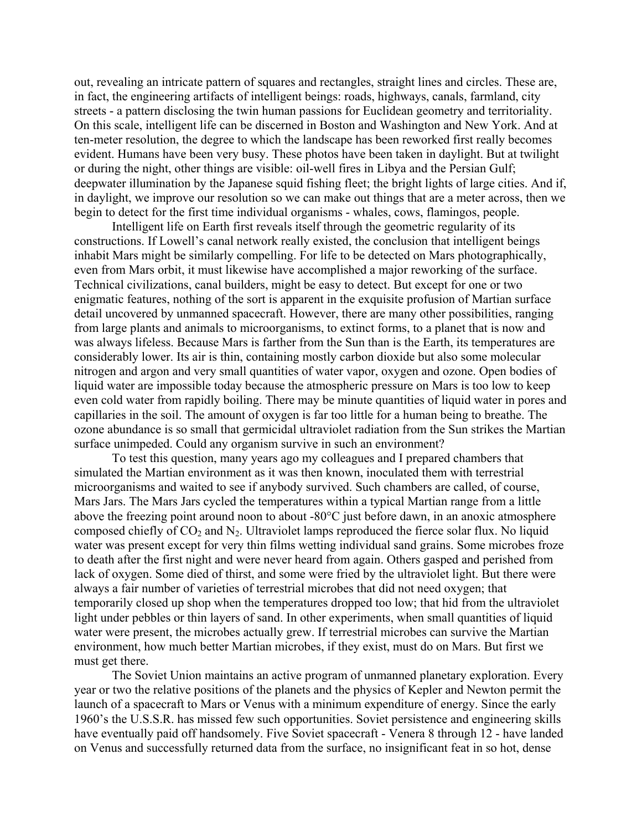out, revealing an intricate pattern of squares and rectangles, straight lines and circles. These are, in fact, the engineering artifacts of intelligent beings: roads, highways, canals, farmland, city streets - a pattern disclosing the twin human passions for Euclidean geometry and territoriality. On this scale, intelligent life can be discerned in Boston and Washington and New York. And at ten-meter resolution, the degree to which the landscape has been reworked first really becomes evident. Humans have been very busy. These photos have been taken in daylight. But at twilight or during the night, other things are visible: oil-well fires in Libya and the Persian Gulf; deepwater illumination by the Japanese squid fishing fleet; the bright lights of large cities. And if, in daylight, we improve our resolution so we can make out things that are a meter across, then we begin to detect for the first time individual organisms - whales, cows, flamingos, people.

Intelligent life on Earth first reveals itself through the geometric regularity of its constructions. If Lowell's canal network really existed, the conclusion that intelligent beings inhabit Mars might be similarly compelling. For life to be detected on Mars photographically, even from Mars orbit, it must likewise have accomplished a major reworking of the surface. Technical civilizations, canal builders, might be easy to detect. But except for one or two enigmatic features, nothing of the sort is apparent in the exquisite profusion of Martian surface detail uncovered by unmanned spacecraft. However, there are many other possibilities, ranging from large plants and animals to microorganisms, to extinct forms, to a planet that is now and was always lifeless. Because Mars is farther from the Sun than is the Earth, its temperatures are considerably lower. Its air is thin, containing mostly carbon dioxide but also some molecular nitrogen and argon and very small quantities of water vapor, oxygen and ozone. Open bodies of liquid water are impossible today because the atmospheric pressure on Mars is too low to keep even cold water from rapidly boiling. There may be minute quantities of liquid water in pores and capillaries in the soil. The amount of oxygen is far too little for a human being to breathe. The ozone abundance is so small that germicidal ultraviolet radiation from the Sun strikes the Martian surface unimpeded. Could any organism survive in such an environment?

To test this question, many years ago my colleagues and I prepared chambers that simulated the Martian environment as it was then known, inoculated them with terrestrial microorganisms and waited to see if anybody survived. Such chambers are called, of course, Mars Jars. The Mars Jars cycled the temperatures within a typical Martian range from a little above the freezing point around noon to about -80°C just before dawn, in an anoxic atmosphere composed chiefly of  $CO_2$  and  $N_2$ . Ultraviolet lamps reproduced the fierce solar flux. No liquid water was present except for very thin films wetting individual sand grains. Some microbes froze to death after the first night and were never heard from again. Others gasped and perished from lack of oxygen. Some died of thirst, and some were fried by the ultraviolet light. But there were always a fair number of varieties of terrestrial microbes that did not need oxygen; that temporarily closed up shop when the temperatures dropped too low; that hid from the ultraviolet light under pebbles or thin layers of sand. In other experiments, when small quantities of liquid water were present, the microbes actually grew. If terrestrial microbes can survive the Martian environment, how much better Martian microbes, if they exist, must do on Mars. But first we must get there.

The Soviet Union maintains an active program of unmanned planetary exploration. Every year or two the relative positions of the planets and the physics of Kepler and Newton permit the launch of a spacecraft to Mars or Venus with a minimum expenditure of energy. Since the early 1960's the U.S.S.R. has missed few such opportunities. Soviet persistence and engineering skills have eventually paid off handsomely. Five Soviet spacecraft - Venera 8 through 12 - have landed on Venus and successfully returned data from the surface, no insignificant feat in so hot, dense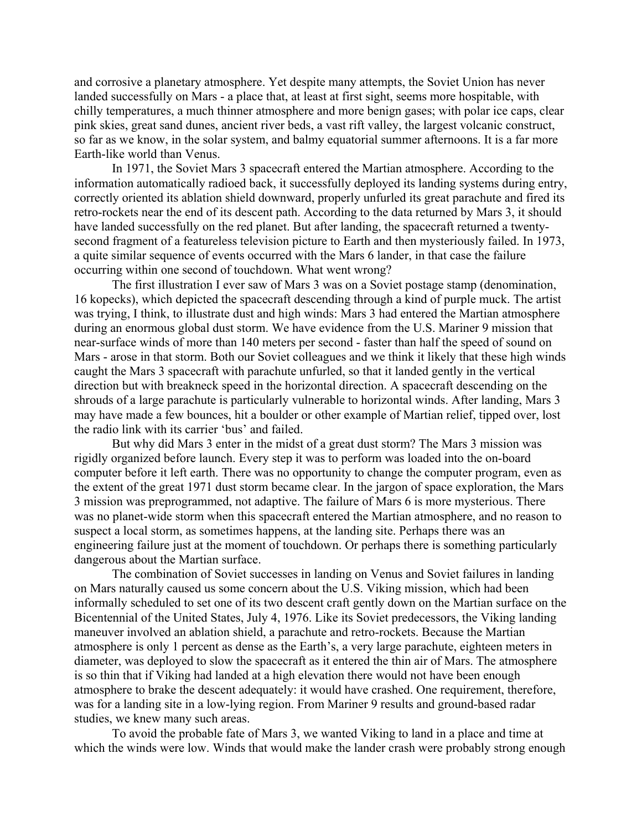and corrosive a planetary atmosphere. Yet despite many attempts, the Soviet Union has never landed successfully on Mars - a place that, at least at first sight, seems more hospitable, with chilly temperatures, a much thinner atmosphere and more benign gases; with polar ice caps, clear pink skies, great sand dunes, ancient river beds, a vast rift valley, the largest volcanic construct, so far as we know, in the solar system, and balmy equatorial summer afternoons. It is a far more Earth-like world than Venus.

In 1971, the Soviet Mars 3 spacecraft entered the Martian atmosphere. According to the information automatically radioed back, it successfully deployed its landing systems during entry, correctly oriented its ablation shield downward, properly unfurled its great parachute and fired its retro-rockets near the end of its descent path. According to the data returned by Mars 3, it should have landed successfully on the red planet. But after landing, the spacecraft returned a twentysecond fragment of a featureless television picture to Earth and then mysteriously failed. In 1973, a quite similar sequence of events occurred with the Mars 6 lander, in that case the failure occurring within one second of touchdown. What went wrong?

The first illustration I ever saw of Mars 3 was on a Soviet postage stamp (denomination, 16 kopecks), which depicted the spacecraft descending through a kind of purple muck. The artist was trying, I think, to illustrate dust and high winds: Mars 3 had entered the Martian atmosphere during an enormous global dust storm. We have evidence from the U.S. Mariner 9 mission that near-surface winds of more than 140 meters per second - faster than half the speed of sound on Mars - arose in that storm. Both our Soviet colleagues and we think it likely that these high winds caught the Mars 3 spacecraft with parachute unfurled, so that it landed gently in the vertical direction but with breakneck speed in the horizontal direction. A spacecraft descending on the shrouds of a large parachute is particularly vulnerable to horizontal winds. After landing, Mars 3 may have made a few bounces, hit a boulder or other example of Martian relief, tipped over, lost the radio link with its carrier 'bus' and failed.

But why did Mars 3 enter in the midst of a great dust storm? The Mars 3 mission was rigidly organized before launch. Every step it was to perform was loaded into the on-board computer before it left earth. There was no opportunity to change the computer program, even as the extent of the great 1971 dust storm became clear. In the jargon of space exploration, the Mars 3 mission was preprogrammed, not adaptive. The failure of Mars 6 is more mysterious. There was no planet-wide storm when this spacecraft entered the Martian atmosphere, and no reason to suspect a local storm, as sometimes happens, at the landing site. Perhaps there was an engineering failure just at the moment of touchdown. Or perhaps there is something particularly dangerous about the Martian surface.

The combination of Soviet successes in landing on Venus and Soviet failures in landing on Mars naturally caused us some concern about the U.S. Viking mission, which had been informally scheduled to set one of its two descent craft gently down on the Martian surface on the Bicentennial of the United States, July 4, 1976. Like its Soviet predecessors, the Viking landing maneuver involved an ablation shield, a parachute and retro-rockets. Because the Martian atmosphere is only 1 percent as dense as the Earth's, a very large parachute, eighteen meters in diameter, was deployed to slow the spacecraft as it entered the thin air of Mars. The atmosphere is so thin that if Viking had landed at a high elevation there would not have been enough atmosphere to brake the descent adequately: it would have crashed. One requirement, therefore, was for a landing site in a low-lying region. From Mariner 9 results and ground-based radar studies, we knew many such areas.

To avoid the probable fate of Mars 3, we wanted Viking to land in a place and time at which the winds were low. Winds that would make the lander crash were probably strong enough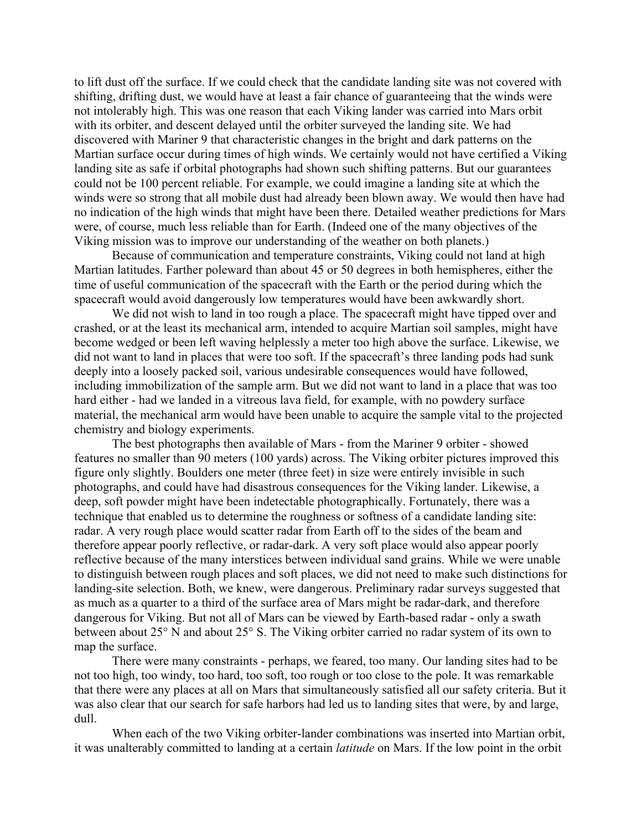to lift dust off the surface. If we could check that the candidate landing site was not covered with shifting, drifting dust, we would have at least a fair chance of guaranteeing that the winds were not intolerably high. This was one reason that each Viking lander was carried into Mars orbit with its orbiter, and descent delayed until the orbiter surveyed the landing site. We had discovered with Mariner 9 that characteristic changes in the bright and dark patterns on the Martian surface occur during times of high winds. We certainly would not have certified a Viking landing site as safe if orbital photographs had shown such shifting patterns. But our guarantees could not be 100 percent reliable. For example, we could imagine a landing site at which the winds were so strong that all mobile dust had already been blown away. We would then have had no indication of the high winds that might have been there. Detailed weather predictions for Mars were, of course, much less reliable than for Earth. (Indeed one of the many objectives of the Viking mission was to improve our understanding of the weather on both planets.)

Because of communication and temperature constraints, Viking could not land at high Martian latitudes. Farther poleward than about 45 or 50 degrees in both hemispheres, either the time of useful communication of the spacecraft with the Earth or the period during which the spacecraft would avoid dangerously low temperatures would have been awkwardly short.

We did not wish to land in too rough a place. The spacecraft might have tipped over and crashed, or at the least its mechanical arm, intended to acquire Martian soil samples, might have become wedged or been left waving helplessly a meter too high above the surface. Likewise, we did not want to land in places that were too soft. If the spacecraft's three landing pods had sunk deeply into a loosely packed soil, various undesirable consequences would have followed, including immobilization of the sample arm. But we did not want to land in a place that was too hard either - had we landed in a vitreous lava field, for example, with no powdery surface material, the mechanical arm would have been unable to acquire the sample vital to the projected chemistry and biology experiments.

The best photographs then available of Mars - from the Mariner 9 orbiter - showed features no smaller than 90 meters (100 yards) across. The Viking orbiter pictures improved this figure only slightly. Boulders one meter (three feet) in size were entirely invisible in such photographs, and could have had disastrous consequences for the Viking lander. Likewise, a deep, soft powder might have been indetectable photographically. Fortunately, there was a technique that enabled us to determine the roughness or softness of a candidate landing site: radar. A very rough place would scatter radar from Earth off to the sides of the beam and therefore appear poorly reflective, or radar-dark. A very soft place would also appear poorly reflective because of the many interstices between individual sand grains. While we were unable to distinguish between rough places and soft places, we did not need to make such distinctions for landing-site selection. Both, we knew, were dangerous. Preliminary radar surveys suggested that as much as a quarter to a third of the surface area of Mars might be radar-dark, and therefore dangerous for Viking. But not all of Mars can be viewed by Earth-based radar - only a swath between about 25° N and about 25° S. The Viking orbiter carried no radar system of its own to map the surface.

There were many constraints - perhaps, we feared, too many. Our landing sites had to be not too high, too windy, too hard, too soft, too rough or too close to the pole. It was remarkable that there were any places at all on Mars that simultaneously satisfied all our safety criteria. But it was also clear that our search for safe harbors had led us to landing sites that were, by and large, dull.

When each of the two Viking orbiter-lander combinations was inserted into Martian orbit, it was unalterably committed to landing at a certain *latitude* on Mars. If the low point in the orbit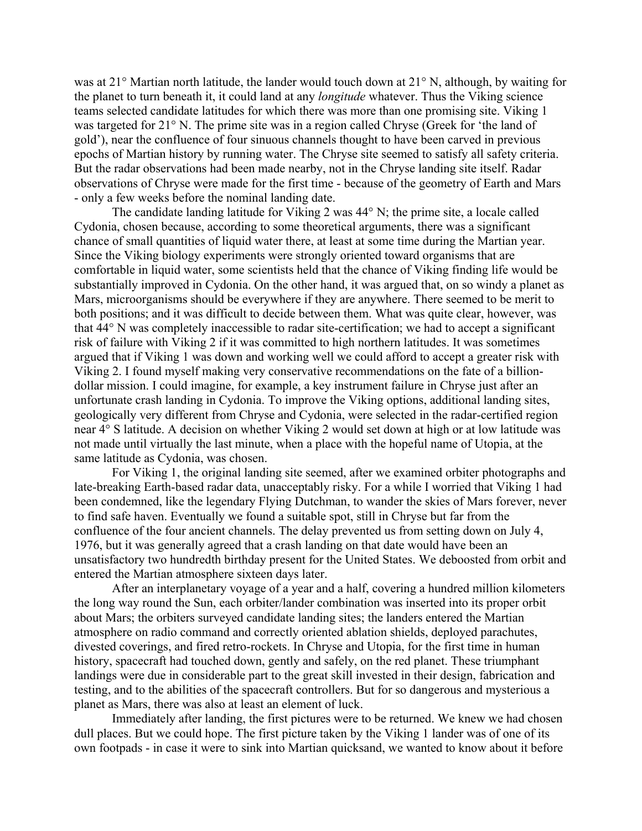was at 21° Martian north latitude, the lander would touch down at 21° N, although, by waiting for the planet to turn beneath it, it could land at any *longitude* whatever. Thus the Viking science teams selected candidate latitudes for which there was more than one promising site. Viking 1 was targeted for 21° N. The prime site was in a region called Chryse (Greek for 'the land of gold'), near the confluence of four sinuous channels thought to have been carved in previous epochs of Martian history by running water. The Chryse site seemed to satisfy all safety criteria. But the radar observations had been made nearby, not in the Chryse landing site itself. Radar observations of Chryse were made for the first time - because of the geometry of Earth and Mars - only a few weeks before the nominal landing date.

The candidate landing latitude for Viking 2 was 44° N; the prime site, a locale called Cydonia, chosen because, according to some theoretical arguments, there was a significant chance of small quantities of liquid water there, at least at some time during the Martian year. Since the Viking biology experiments were strongly oriented toward organisms that are comfortable in liquid water, some scientists held that the chance of Viking finding life would be substantially improved in Cydonia. On the other hand, it was argued that, on so windy a planet as Mars, microorganisms should be everywhere if they are anywhere. There seemed to be merit to both positions; and it was difficult to decide between them. What was quite clear, however, was that 44° N was completely inaccessible to radar site-certification; we had to accept a significant risk of failure with Viking 2 if it was committed to high northern latitudes. It was sometimes argued that if Viking 1 was down and working well we could afford to accept a greater risk with Viking 2. I found myself making very conservative recommendations on the fate of a billiondollar mission. I could imagine, for example, a key instrument failure in Chryse just after an unfortunate crash landing in Cydonia. To improve the Viking options, additional landing sites, geologically very different from Chryse and Cydonia, were selected in the radar-certified region near 4° S latitude. A decision on whether Viking 2 would set down at high or at low latitude was not made until virtually the last minute, when a place with the hopeful name of Utopia, at the same latitude as Cydonia, was chosen.

For Viking 1, the original landing site seemed, after we examined orbiter photographs and late-breaking Earth-based radar data, unacceptably risky. For a while I worried that Viking 1 had been condemned, like the legendary Flying Dutchman, to wander the skies of Mars forever, never to find safe haven. Eventually we found a suitable spot, still in Chryse but far from the confluence of the four ancient channels. The delay prevented us from setting down on July 4, 1976, but it was generally agreed that a crash landing on that date would have been an unsatisfactory two hundredth birthday present for the United States. We deboosted from orbit and entered the Martian atmosphere sixteen days later.

After an interplanetary voyage of a year and a half, covering a hundred million kilometers the long way round the Sun, each orbiter/lander combination was inserted into its proper orbit about Mars; the orbiters surveyed candidate landing sites; the landers entered the Martian atmosphere on radio command and correctly oriented ablation shields, deployed parachutes, divested coverings, and fired retro-rockets. In Chryse and Utopia, for the first time in human history, spacecraft had touched down, gently and safely, on the red planet. These triumphant landings were due in considerable part to the great skill invested in their design, fabrication and testing, and to the abilities of the spacecraft controllers. But for so dangerous and mysterious a planet as Mars, there was also at least an element of luck.

Immediately after landing, the first pictures were to be returned. We knew we had chosen dull places. But we could hope. The first picture taken by the Viking 1 lander was of one of its own footpads - in case it were to sink into Martian quicksand, we wanted to know about it before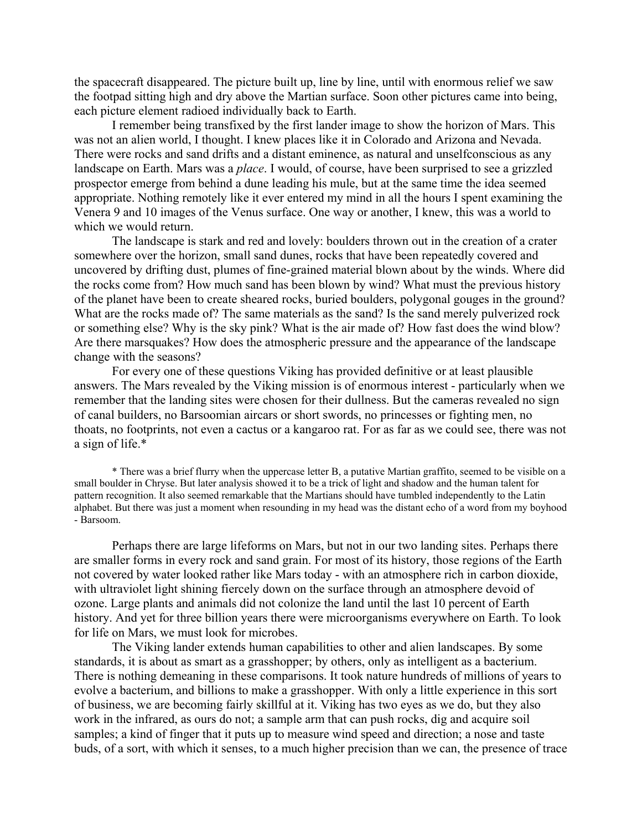the spacecraft disappeared. The picture built up, line by line, until with enormous relief we saw the footpad sitting high and dry above the Martian surface. Soon other pictures came into being, each picture element radioed individually back to Earth.

I remember being transfixed by the first lander image to show the horizon of Mars. This was not an alien world, I thought. I knew places like it in Colorado and Arizona and Nevada. There were rocks and sand drifts and a distant eminence, as natural and unselfconscious as any landscape on Earth. Mars was a *place*. I would, of course, have been surprised to see a grizzled prospector emerge from behind a dune leading his mule, but at the same time the idea seemed appropriate. Nothing remotely like it ever entered my mind in all the hours I spent examining the Venera 9 and 10 images of the Venus surface. One way or another, I knew, this was a world to which we would return.

The landscape is stark and red and lovely: boulders thrown out in the creation of a crater somewhere over the horizon, small sand dunes, rocks that have been repeatedly covered and uncovered by drifting dust, plumes of fine-grained material blown about by the winds. Where did the rocks come from? How much sand has been blown by wind? What must the previous history of the planet have been to create sheared rocks, buried boulders, polygonal gouges in the ground? What are the rocks made of? The same materials as the sand? Is the sand merely pulverized rock or something else? Why is the sky pink? What is the air made of? How fast does the wind blow? Are there marsquakes? How does the atmospheric pressure and the appearance of the landscape change with the seasons?

For every one of these questions Viking has provided definitive or at least plausible answers. The Mars revealed by the Viking mission is of enormous interest - particularly when we remember that the landing sites were chosen for their dullness. But the cameras revealed no sign of canal builders, no Barsoomian aircars or short swords, no princesses or fighting men, no thoats, no footprints, not even a cactus or a kangaroo rat. For as far as we could see, there was not a sign of life.\*

\* There was a brief flurry when the uppercase letter B, a putative Martian graffito, seemed to be visible on a small boulder in Chryse. But later analysis showed it to be a trick of light and shadow and the human talent for pattern recognition. It also seemed remarkable that the Martians should have tumbled independently to the Latin alphabet. But there was just a moment when resounding in my head was the distant echo of a word from my boyhood - Barsoom.

Perhaps there are large lifeforms on Mars, but not in our two landing sites. Perhaps there are smaller forms in every rock and sand grain. For most of its history, those regions of the Earth not covered by water looked rather like Mars today - with an atmosphere rich in carbon dioxide, with ultraviolet light shining fiercely down on the surface through an atmosphere devoid of ozone. Large plants and animals did not colonize the land until the last 10 percent of Earth history. And yet for three billion years there were microorganisms everywhere on Earth. To look for life on Mars, we must look for microbes.

The Viking lander extends human capabilities to other and alien landscapes. By some standards, it is about as smart as a grasshopper; by others, only as intelligent as a bacterium. There is nothing demeaning in these comparisons. It took nature hundreds of millions of years to evolve a bacterium, and billions to make a grasshopper. With only a little experience in this sort of business, we are becoming fairly skillful at it. Viking has two eyes as we do, but they also work in the infrared, as ours do not; a sample arm that can push rocks, dig and acquire soil samples; a kind of finger that it puts up to measure wind speed and direction; a nose and taste buds, of a sort, with which it senses, to a much higher precision than we can, the presence of trace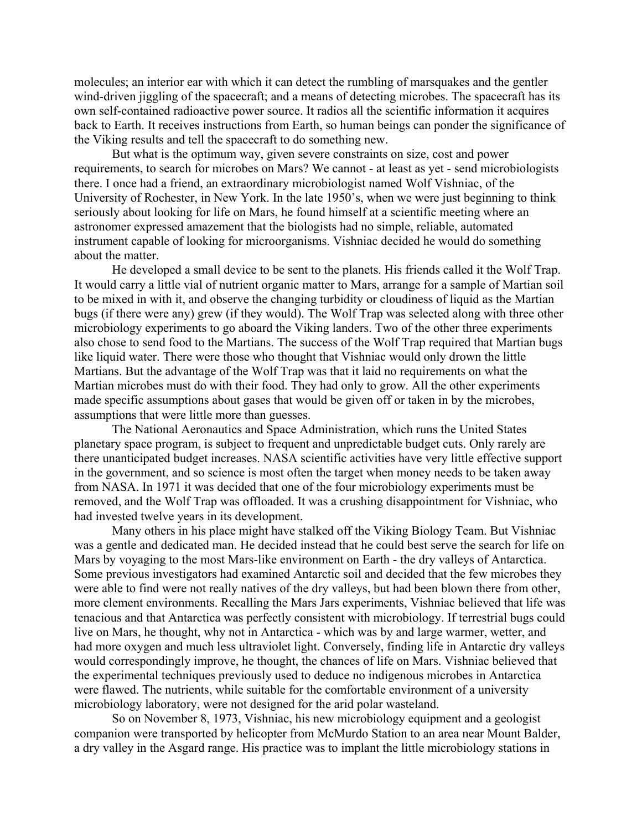molecules; an interior ear with which it can detect the rumbling of marsquakes and the gentler wind-driven jiggling of the spacecraft; and a means of detecting microbes. The spacecraft has its own self-contained radioactive power source. It radios all the scientific information it acquires back to Earth. It receives instructions from Earth, so human beings can ponder the significance of the Viking results and tell the spacecraft to do something new.

But what is the optimum way, given severe constraints on size, cost and power requirements, to search for microbes on Mars? We cannot - at least as yet - send microbiologists there. I once had a friend, an extraordinary microbiologist named Wolf Vishniac, of the University of Rochester, in New York. In the late 1950's, when we were just beginning to think seriously about looking for life on Mars, he found himself at a scientific meeting where an astronomer expressed amazement that the biologists had no simple, reliable, automated instrument capable of looking for microorganisms. Vishniac decided he would do something about the matter.

He developed a small device to be sent to the planets. His friends called it the Wolf Trap. It would carry a little vial of nutrient organic matter to Mars, arrange for a sample of Martian soil to be mixed in with it, and observe the changing turbidity or cloudiness of liquid as the Martian bugs (if there were any) grew (if they would). The Wolf Trap was selected along with three other microbiology experiments to go aboard the Viking landers. Two of the other three experiments also chose to send food to the Martians. The success of the Wolf Trap required that Martian bugs like liquid water. There were those who thought that Vishniac would only drown the little Martians. But the advantage of the Wolf Trap was that it laid no requirements on what the Martian microbes must do with their food. They had only to grow. All the other experiments made specific assumptions about gases that would be given off or taken in by the microbes, assumptions that were little more than guesses.

The National Aeronautics and Space Administration, which runs the United States planetary space program, is subject to frequent and unpredictable budget cuts. Only rarely are there unanticipated budget increases. NASA scientific activities have very little effective support in the government, and so science is most often the target when money needs to be taken away from NASA. In 1971 it was decided that one of the four microbiology experiments must be removed, and the Wolf Trap was offloaded. It was a crushing disappointment for Vishniac, who had invested twelve years in its development.

Many others in his place might have stalked off the Viking Biology Team. But Vishniac was a gentle and dedicated man. He decided instead that he could best serve the search for life on Mars by voyaging to the most Mars-like environment on Earth - the dry valleys of Antarctica. Some previous investigators had examined Antarctic soil and decided that the few microbes they were able to find were not really natives of the dry valleys, but had been blown there from other, more clement environments. Recalling the Mars Jars experiments, Vishniac believed that life was tenacious and that Antarctica was perfectly consistent with microbiology. If terrestrial bugs could live on Mars, he thought, why not in Antarctica - which was by and large warmer, wetter, and had more oxygen and much less ultraviolet light. Conversely, finding life in Antarctic dry valleys would correspondingly improve, he thought, the chances of life on Mars. Vishniac believed that the experimental techniques previously used to deduce no indigenous microbes in Antarctica were flawed. The nutrients, while suitable for the comfortable environment of a university microbiology laboratory, were not designed for the arid polar wasteland.

So on November 8, 1973, Vishniac, his new microbiology equipment and a geologist companion were transported by helicopter from McMurdo Station to an area near Mount Balder, a dry valley in the Asgard range. His practice was to implant the little microbiology stations in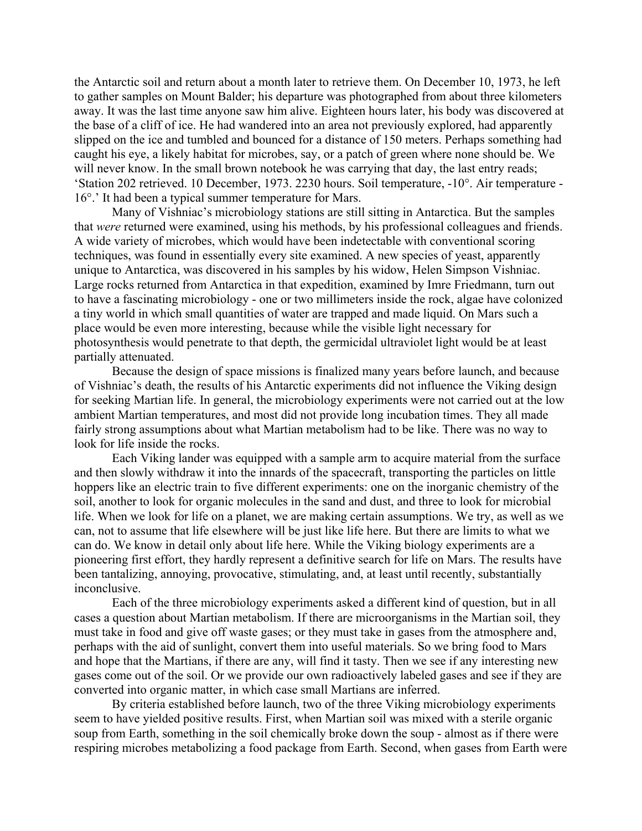the Antarctic soil and return about a month later to retrieve them. On December 10, 1973, he left to gather samples on Mount Balder; his departure was photographed from about three kilometers away. It was the last time anyone saw him alive. Eighteen hours later, his body was discovered at the base of a cliff of ice. He had wandered into an area not previously explored, had apparently slipped on the ice and tumbled and bounced for a distance of 150 meters. Perhaps something had caught his eye, a likely habitat for microbes, say, or a patch of green where none should be. We will never know. In the small brown notebook he was carrying that day, the last entry reads; 'Station 202 retrieved. 10 December, 1973. 2230 hours. Soil temperature, -10°. Air temperature - 16°.' It had been a typical summer temperature for Mars.

Many of Vishniac's microbiology stations are still sitting in Antarctica. But the samples that *were* returned were examined, using his methods, by his professional colleagues and friends. A wide variety of microbes, which would have been indetectable with conventional scoring techniques, was found in essentially every site examined. A new species of yeast, apparently unique to Antarctica, was discovered in his samples by his widow, Helen Simpson Vishniac. Large rocks returned from Antarctica in that expedition, examined by Imre Friedmann, turn out to have a fascinating microbiology - one or two millimeters inside the rock, algae have colonized a tiny world in which small quantities of water are trapped and made liquid. On Mars such a place would be even more interesting, because while the visible light necessary for photosynthesis would penetrate to that depth, the germicidal ultraviolet light would be at least partially attenuated.

Because the design of space missions is finalized many years before launch, and because of Vishniac's death, the results of his Antarctic experiments did not influence the Viking design for seeking Martian life. In general, the microbiology experiments were not carried out at the low ambient Martian temperatures, and most did not provide long incubation times. They all made fairly strong assumptions about what Martian metabolism had to be like. There was no way to look for life inside the rocks.

Each Viking lander was equipped with a sample arm to acquire material from the surface and then slowly withdraw it into the innards of the spacecraft, transporting the particles on little hoppers like an electric train to five different experiments: one on the inorganic chemistry of the soil, another to look for organic molecules in the sand and dust, and three to look for microbial life. When we look for life on a planet, we are making certain assumptions. We try, as well as we can, not to assume that life elsewhere will be just like life here. But there are limits to what we can do. We know in detail only about life here. While the Viking biology experiments are a pioneering first effort, they hardly represent a definitive search for life on Mars. The results have been tantalizing, annoying, provocative, stimulating, and, at least until recently, substantially inconclusive.

Each of the three microbiology experiments asked a different kind of question, but in all cases a question about Martian metabolism. If there are microorganisms in the Martian soil, they must take in food and give off waste gases; or they must take in gases from the atmosphere and, perhaps with the aid of sunlight, convert them into useful materials. So we bring food to Mars and hope that the Martians, if there are any, will find it tasty. Then we see if any interesting new gases come out of the soil. Or we provide our own radioactively labeled gases and see if they are converted into organic matter, in which case small Martians are inferred.

By criteria established before launch, two of the three Viking microbiology experiments seem to have yielded positive results. First, when Martian soil was mixed with a sterile organic soup from Earth, something in the soil chemically broke down the soup - almost as if there were respiring microbes metabolizing a food package from Earth. Second, when gases from Earth were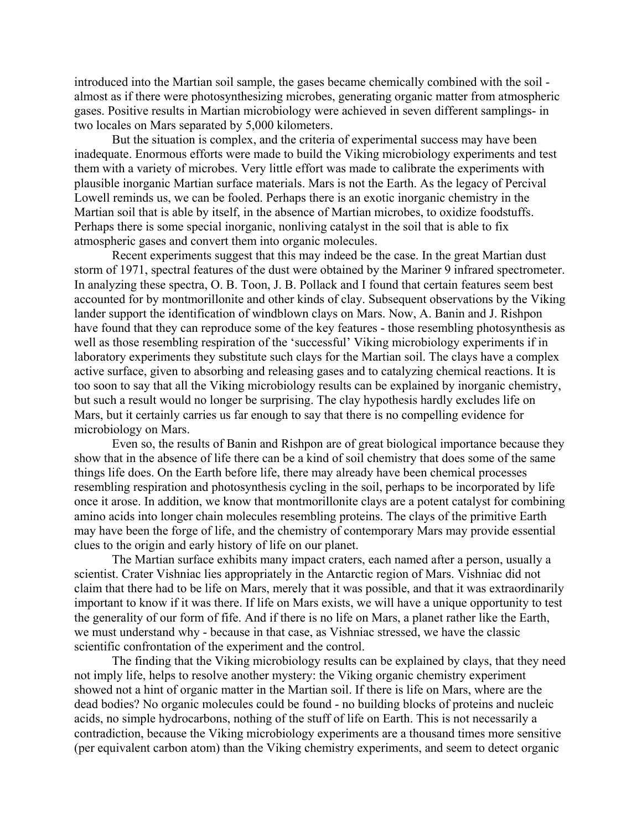introduced into the Martian soil sample, the gases became chemically combined with the soil almost as if there were photosynthesizing microbes, generating organic matter from atmospheric gases. Positive results in Martian microbiology were achieved in seven different samplings- in two locales on Mars separated by 5,000 kilometers.

But the situation is complex, and the criteria of experimental success may have been inadequate. Enormous efforts were made to build the Viking microbiology experiments and test them with a variety of microbes. Very little effort was made to calibrate the experiments with plausible inorganic Martian surface materials. Mars is not the Earth. As the legacy of Percival Lowell reminds us, we can be fooled. Perhaps there is an exotic inorganic chemistry in the Martian soil that is able by itself, in the absence of Martian microbes, to oxidize foodstuffs. Perhaps there is some special inorganic, nonliving catalyst in the soil that is able to fix atmospheric gases and convert them into organic molecules.

Recent experiments suggest that this may indeed be the case. In the great Martian dust storm of 1971, spectral features of the dust were obtained by the Mariner 9 infrared spectrometer. In analyzing these spectra, O. B. Toon, J. B. Pollack and I found that certain features seem best accounted for by montmorillonite and other kinds of clay. Subsequent observations by the Viking lander support the identification of windblown clays on Mars. Now, A. Banin and J. Rishpon have found that they can reproduce some of the key features - those resembling photosynthesis as well as those resembling respiration of the 'successful' Viking microbiology experiments if in laboratory experiments they substitute such clays for the Martian soil. The clays have a complex active surface, given to absorbing and releasing gases and to catalyzing chemical reactions. It is too soon to say that all the Viking microbiology results can be explained by inorganic chemistry, but such a result would no longer be surprising. The clay hypothesis hardly excludes life on Mars, but it certainly carries us far enough to say that there is no compelling evidence for microbiology on Mars.

Even so, the results of Banin and Rishpon are of great biological importance because they show that in the absence of life there can be a kind of soil chemistry that does some of the same things life does. On the Earth before life, there may already have been chemical processes resembling respiration and photosynthesis cycling in the soil, perhaps to be incorporated by life once it arose. In addition, we know that montmorillonite clays are a potent catalyst for combining amino acids into longer chain molecules resembling proteins. The clays of the primitive Earth may have been the forge of life, and the chemistry of contemporary Mars may provide essential clues to the origin and early history of life on our planet.

The Martian surface exhibits many impact craters, each named after a person, usually a scientist. Crater Vishniac lies appropriately in the Antarctic region of Mars. Vishniac did not claim that there had to be life on Mars, merely that it was possible, and that it was extraordinarily important to know if it was there. If life on Mars exists, we will have a unique opportunity to test the generality of our form of fife. And if there is no life on Mars, a planet rather like the Earth, we must understand why - because in that case, as Vishniac stressed, we have the classic scientific confrontation of the experiment and the control.

The finding that the Viking microbiology results can be explained by clays, that they need not imply life, helps to resolve another mystery: the Viking organic chemistry experiment showed not a hint of organic matter in the Martian soil. If there is life on Mars, where are the dead bodies? No organic molecules could be found - no building blocks of proteins and nucleic acids, no simple hydrocarbons, nothing of the stuff of life on Earth. This is not necessarily a contradiction, because the Viking microbiology experiments are a thousand times more sensitive (per equivalent carbon atom) than the Viking chemistry experiments, and seem to detect organic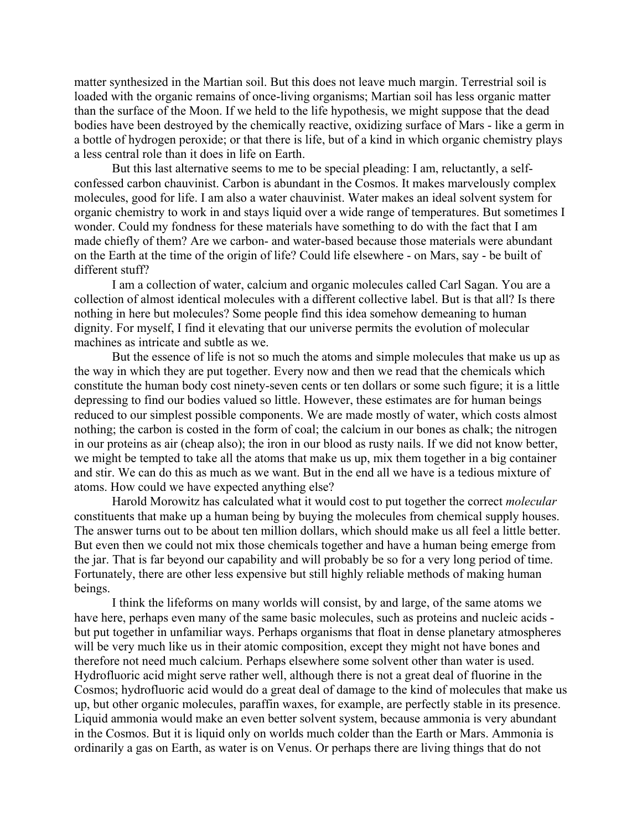matter synthesized in the Martian soil. But this does not leave much margin. Terrestrial soil is loaded with the organic remains of once-living organisms; Martian soil has less organic matter than the surface of the Moon. If we held to the life hypothesis, we might suppose that the dead bodies have been destroyed by the chemically reactive, oxidizing surface of Mars - like a germ in a bottle of hydrogen peroxide; or that there is life, but of a kind in which organic chemistry plays a less central role than it does in life on Earth.

But this last alternative seems to me to be special pleading: I am, reluctantly, a selfconfessed carbon chauvinist. Carbon is abundant in the Cosmos. It makes marvelously complex molecules, good for life. I am also a water chauvinist. Water makes an ideal solvent system for organic chemistry to work in and stays liquid over a wide range of temperatures. But sometimes I wonder. Could my fondness for these materials have something to do with the fact that I am made chiefly of them? Are we carbon- and water-based because those materials were abundant on the Earth at the time of the origin of life? Could life elsewhere - on Mars, say - be built of different stuff?

I am a collection of water, calcium and organic molecules called Carl Sagan. You are a collection of almost identical molecules with a different collective label. But is that all? Is there nothing in here but molecules? Some people find this idea somehow demeaning to human dignity. For myself, I find it elevating that our universe permits the evolution of molecular machines as intricate and subtle as we.

But the essence of life is not so much the atoms and simple molecules that make us up as the way in which they are put together. Every now and then we read that the chemicals which constitute the human body cost ninety-seven cents or ten dollars or some such figure; it is a little depressing to find our bodies valued so little. However, these estimates are for human beings reduced to our simplest possible components. We are made mostly of water, which costs almost nothing; the carbon is costed in the form of coal; the calcium in our bones as chalk; the nitrogen in our proteins as air (cheap also); the iron in our blood as rusty nails. If we did not know better, we might be tempted to take all the atoms that make us up, mix them together in a big container and stir. We can do this as much as we want. But in the end all we have is a tedious mixture of atoms. How could we have expected anything else?

Harold Morowitz has calculated what it would cost to put together the correct *molecular* constituents that make up a human being by buying the molecules from chemical supply houses. The answer turns out to be about ten million dollars, which should make us all feel a little better. But even then we could not mix those chemicals together and have a human being emerge from the jar. That is far beyond our capability and will probably be so for a very long period of time. Fortunately, there are other less expensive but still highly reliable methods of making human beings.

I think the lifeforms on many worlds will consist, by and large, of the same atoms we have here, perhaps even many of the same basic molecules, such as proteins and nucleic acids but put together in unfamiliar ways. Perhaps organisms that float in dense planetary atmospheres will be very much like us in their atomic composition, except they might not have bones and therefore not need much calcium. Perhaps elsewhere some solvent other than water is used. Hydrofluoric acid might serve rather well, although there is not a great deal of fluorine in the Cosmos; hydrofluoric acid would do a great deal of damage to the kind of molecules that make us up, but other organic molecules, paraffin waxes, for example, are perfectly stable in its presence. Liquid ammonia would make an even better solvent system, because ammonia is very abundant in the Cosmos. But it is liquid only on worlds much colder than the Earth or Mars. Ammonia is ordinarily a gas on Earth, as water is on Venus. Or perhaps there are living things that do not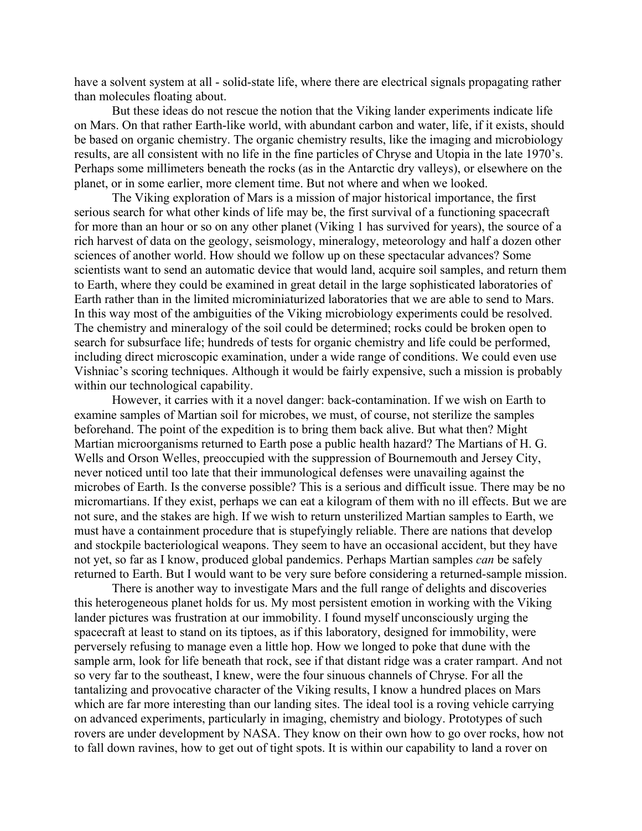have a solvent system at all - solid-state life, where there are electrical signals propagating rather than molecules floating about.

But these ideas do not rescue the notion that the Viking lander experiments indicate life on Mars. On that rather Earth-like world, with abundant carbon and water, life, if it exists, should be based on organic chemistry. The organic chemistry results, like the imaging and microbiology results, are all consistent with no life in the fine particles of Chryse and Utopia in the late 1970's. Perhaps some millimeters beneath the rocks (as in the Antarctic dry valleys), or elsewhere on the planet, or in some earlier, more clement time. But not where and when we looked.

The Viking exploration of Mars is a mission of major historical importance, the first serious search for what other kinds of life may be, the first survival of a functioning spacecraft for more than an hour or so on any other planet (Viking 1 has survived for years), the source of a rich harvest of data on the geology, seismology, mineralogy, meteorology and half a dozen other sciences of another world. How should we follow up on these spectacular advances? Some scientists want to send an automatic device that would land, acquire soil samples, and return them to Earth, where they could be examined in great detail in the large sophisticated laboratories of Earth rather than in the limited microminiaturized laboratories that we are able to send to Mars. In this way most of the ambiguities of the Viking microbiology experiments could be resolved. The chemistry and mineralogy of the soil could be determined; rocks could be broken open to search for subsurface life; hundreds of tests for organic chemistry and life could be performed, including direct microscopic examination, under a wide range of conditions. We could even use Vishniac's scoring techniques. Although it would be fairly expensive, such a mission is probably within our technological capability.

However, it carries with it a novel danger: back-contamination. If we wish on Earth to examine samples of Martian soil for microbes, we must, of course, not sterilize the samples beforehand. The point of the expedition is to bring them back alive. But what then? Might Martian microorganisms returned to Earth pose a public health hazard? The Martians of H. G. Wells and Orson Welles, preoccupied with the suppression of Bournemouth and Jersey City, never noticed until too late that their immunological defenses were unavailing against the microbes of Earth. Is the converse possible? This is a serious and difficult issue. There may be no micromartians. If they exist, perhaps we can eat a kilogram of them with no ill effects. But we are not sure, and the stakes are high. If we wish to return unsterilized Martian samples to Earth, we must have a containment procedure that is stupefyingly reliable. There are nations that develop and stockpile bacteriological weapons. They seem to have an occasional accident, but they have not yet, so far as I know, produced global pandemics. Perhaps Martian samples *can* be safely returned to Earth. But I would want to be very sure before considering a returned-sample mission.

There is another way to investigate Mars and the full range of delights and discoveries this heterogeneous planet holds for us. My most persistent emotion in working with the Viking lander pictures was frustration at our immobility. I found myself unconsciously urging the spacecraft at least to stand on its tiptoes, as if this laboratory, designed for immobility, were perversely refusing to manage even a little hop. How we longed to poke that dune with the sample arm, look for life beneath that rock, see if that distant ridge was a crater rampart. And not so very far to the southeast, I knew, were the four sinuous channels of Chryse. For all the tantalizing and provocative character of the Viking results, I know a hundred places on Mars which are far more interesting than our landing sites. The ideal tool is a roving vehicle carrying on advanced experiments, particularly in imaging, chemistry and biology. Prototypes of such rovers are under development by NASA. They know on their own how to go over rocks, how not to fall down ravines, how to get out of tight spots. It is within our capability to land a rover on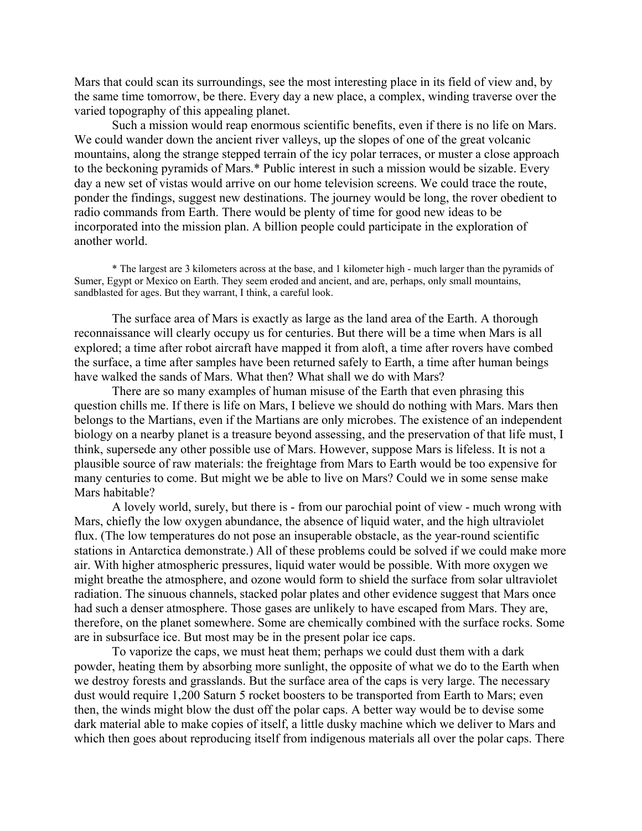Mars that could scan its surroundings, see the most interesting place in its field of view and, by the same time tomorrow, be there. Every day a new place, a complex, winding traverse over the varied topography of this appealing planet.

Such a mission would reap enormous scientific benefits, even if there is no life on Mars. We could wander down the ancient river valleys, up the slopes of one of the great volcanic mountains, along the strange stepped terrain of the icy polar terraces, or muster a close approach to the beckoning pyramids of Mars.\* Public interest in such a mission would be sizable. Every day a new set of vistas would arrive on our home television screens. We could trace the route, ponder the findings, suggest new destinations. The journey would be long, the rover obedient to radio commands from Earth. There would be plenty of time for good new ideas to be incorporated into the mission plan. A billion people could participate in the exploration of another world.

\* The largest are 3 kilometers across at the base, and 1 kilometer high - much larger than the pyramids of Sumer, Egypt or Mexico on Earth. They seem eroded and ancient, and are, perhaps, only small mountains, sandblasted for ages. But they warrant, I think, a careful look.

The surface area of Mars is exactly as large as the land area of the Earth. A thorough reconnaissance will clearly occupy us for centuries. But there will be a time when Mars is all explored; a time after robot aircraft have mapped it from aloft, a time after rovers have combed the surface, a time after samples have been returned safely to Earth, a time after human beings have walked the sands of Mars. What then? What shall we do with Mars?

There are so many examples of human misuse of the Earth that even phrasing this question chills me. If there is life on Mars, I believe we should do nothing with Mars. Mars then belongs to the Martians, even if the Martians are only microbes. The existence of an independent biology on a nearby planet is a treasure beyond assessing, and the preservation of that life must, I think, supersede any other possible use of Mars. However, suppose Mars is lifeless. It is not a plausible source of raw materials: the freightage from Mars to Earth would be too expensive for many centuries to come. But might we be able to live on Mars? Could we in some sense make Mars habitable?

A lovely world, surely, but there is - from our parochial point of view - much wrong with Mars, chiefly the low oxygen abundance, the absence of liquid water, and the high ultraviolet flux. (The low temperatures do not pose an insuperable obstacle, as the year-round scientific stations in Antarctica demonstrate.) All of these problems could be solved if we could make more air. With higher atmospheric pressures, liquid water would be possible. With more oxygen we might breathe the atmosphere, and ozone would form to shield the surface from solar ultraviolet radiation. The sinuous channels, stacked polar plates and other evidence suggest that Mars once had such a denser atmosphere. Those gases are unlikely to have escaped from Mars. They are, therefore, on the planet somewhere. Some are chemically combined with the surface rocks. Some are in subsurface ice. But most may be in the present polar ice caps.

To vaporize the caps, we must heat them; perhaps we could dust them with a dark powder, heating them by absorbing more sunlight, the opposite of what we do to the Earth when we destroy forests and grasslands. But the surface area of the caps is very large. The necessary dust would require 1,200 Saturn 5 rocket boosters to be transported from Earth to Mars; even then, the winds might blow the dust off the polar caps. A better way would be to devise some dark material able to make copies of itself, a little dusky machine which we deliver to Mars and which then goes about reproducing itself from indigenous materials all over the polar caps. There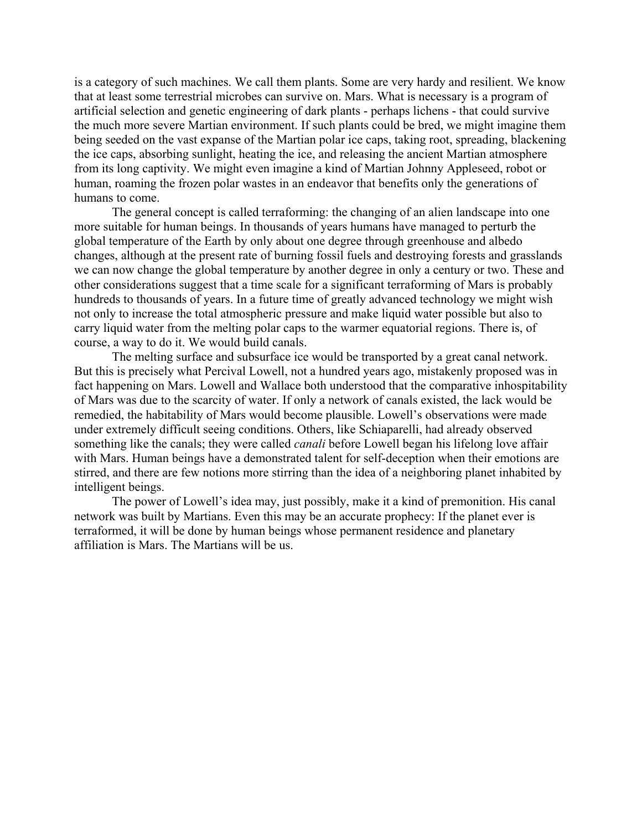is a category of such machines. We call them plants. Some are very hardy and resilient. We know that at least some terrestrial microbes can survive on. Mars. What is necessary is a program of artificial selection and genetic engineering of dark plants - perhaps lichens - that could survive the much more severe Martian environment. If such plants could be bred, we might imagine them being seeded on the vast expanse of the Martian polar ice caps, taking root, spreading, blackening the ice caps, absorbing sunlight, heating the ice, and releasing the ancient Martian atmosphere from its long captivity. We might even imagine a kind of Martian Johnny Appleseed, robot or human, roaming the frozen polar wastes in an endeavor that benefits only the generations of humans to come.

The general concept is called terraforming: the changing of an alien landscape into one more suitable for human beings. In thousands of years humans have managed to perturb the global temperature of the Earth by only about one degree through greenhouse and albedo changes, although at the present rate of burning fossil fuels and destroying forests and grasslands we can now change the global temperature by another degree in only a century or two. These and other considerations suggest that a time scale for a significant terraforming of Mars is probably hundreds to thousands of years. In a future time of greatly advanced technology we might wish not only to increase the total atmospheric pressure and make liquid water possible but also to carry liquid water from the melting polar caps to the warmer equatorial regions. There is, of course, a way to do it. We would build canals.

The melting surface and subsurface ice would be transported by a great canal network. But this is precisely what Percival Lowell, not a hundred years ago, mistakenly proposed was in fact happening on Mars. Lowell and Wallace both understood that the comparative inhospitability of Mars was due to the scarcity of water. If only a network of canals existed, the lack would be remedied, the habitability of Mars would become plausible. Lowell's observations were made under extremely difficult seeing conditions. Others, like Schiaparelli, had already observed something like the canals; they were called *canali* before Lowell began his lifelong love affair with Mars. Human beings have a demonstrated talent for self-deception when their emotions are stirred, and there are few notions more stirring than the idea of a neighboring planet inhabited by intelligent beings.

The power of Lowell's idea may, just possibly, make it a kind of premonition. His canal network was built by Martians. Even this may be an accurate prophecy: If the planet ever is terraformed, it will be done by human beings whose permanent residence and planetary affiliation is Mars. The Martians will be us.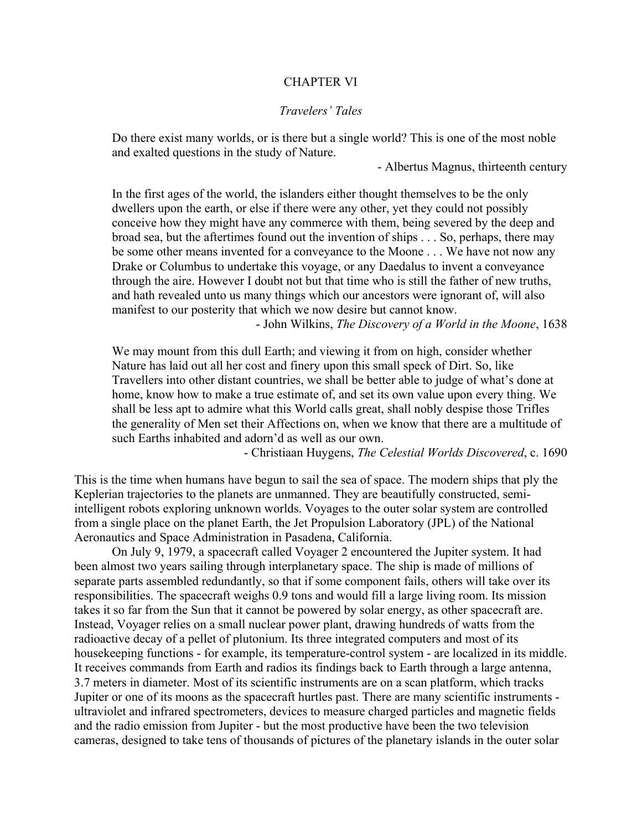## CHAPTER VI

## *Travelers' Tales*

Do there exist many worlds, or is there but a single world? This is one of the most noble and exalted questions in the study of Nature.

- Albertus Magnus, thirteenth century

In the first ages of the world, the islanders either thought themselves to be the only dwellers upon the earth, or else if there were any other, yet they could not possibly conceive how they might have any commerce with them, being severed by the deep and broad sea, but the aftertimes found out the invention of ships . . . So, perhaps, there may be some other means invented for a conveyance to the Moone . . . We have not now any Drake or Columbus to undertake this voyage, or any Daedalus to invent a conveyance through the aire. However I doubt not but that time who is still the father of new truths, and hath revealed unto us many things which our ancestors were ignorant of, will also manifest to our posterity that which we now desire but cannot know.

- John Wilkins, *The Discovery of a World in the Moone*, 1638

We may mount from this dull Earth; and viewing it from on high, consider whether Nature has laid out all her cost and finery upon this small speck of Dirt. So, like Travellers into other distant countries, we shall be better able to judge of what's done at home, know how to make a true estimate of, and set its own value upon every thing. We shall be less apt to admire what this World calls great, shall nobly despise those Trifles the generality of Men set their Affections on, when we know that there are a multitude of such Earths inhabited and adorn'd as well as our own.

- Christiaan Huygens, *The Celestial Worlds Discovered*, c. 1690

This is the time when humans have begun to sail the sea of space. The modern ships that ply the Keplerian trajectories to the planets are unmanned. They are beautifully constructed, semiintelligent robots exploring unknown worlds. Voyages to the outer solar system are controlled from a single place on the planet Earth, the Jet Propulsion Laboratory (JPL) of the National Aeronautics and Space Administration in Pasadena, California.

On July 9, 1979, a spacecraft called Voyager 2 encountered the Jupiter system. It had been almost two years sailing through interplanetary space. The ship is made of millions of separate parts assembled redundantly, so that if some component fails, others will take over its responsibilities. The spacecraft weighs 0.9 tons and would fill a large living room. Its mission takes it so far from the Sun that it cannot be powered by solar energy, as other spacecraft are. Instead, Voyager relies on a small nuclear power plant, drawing hundreds of watts from the radioactive decay of a pellet of plutonium. Its three integrated computers and most of its housekeeping functions - for example, its temperature-control system - are localized in its middle. It receives commands from Earth and radios its findings back to Earth through a large antenna, 3.7 meters in diameter. Most of its scientific instruments are on a scan platform, which tracks Jupiter or one of its moons as the spacecraft hurtles past. There are many scientific instruments ultraviolet and infrared spectrometers, devices to measure charged particles and magnetic fields and the radio emission from Jupiter - but the most productive have been the two television cameras, designed to take tens of thousands of pictures of the planetary islands in the outer solar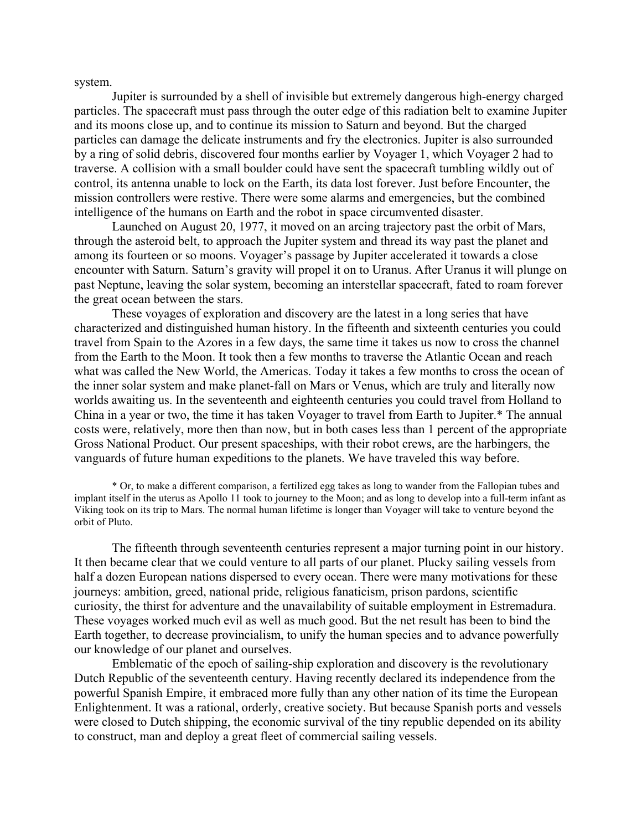system.

Jupiter is surrounded by a shell of invisible but extremely dangerous high-energy charged particles. The spacecraft must pass through the outer edge of this radiation belt to examine Jupiter and its moons close up, and to continue its mission to Saturn and beyond. But the charged particles can damage the delicate instruments and fry the electronics. Jupiter is also surrounded by a ring of solid debris, discovered four months earlier by Voyager 1, which Voyager 2 had to traverse. A collision with a small boulder could have sent the spacecraft tumbling wildly out of control, its antenna unable to lock on the Earth, its data lost forever. Just before Encounter, the mission controllers were restive. There were some alarms and emergencies, but the combined intelligence of the humans on Earth and the robot in space circumvented disaster.

Launched on August 20, 1977, it moved on an arcing trajectory past the orbit of Mars, through the asteroid belt, to approach the Jupiter system and thread its way past the planet and among its fourteen or so moons. Voyager's passage by Jupiter accelerated it towards a close encounter with Saturn. Saturn's gravity will propel it on to Uranus. After Uranus it will plunge on past Neptune, leaving the solar system, becoming an interstellar spacecraft, fated to roam forever the great ocean between the stars.

These voyages of exploration and discovery are the latest in a long series that have characterized and distinguished human history. In the fifteenth and sixteenth centuries you could travel from Spain to the Azores in a few days, the same time it takes us now to cross the channel from the Earth to the Moon. It took then a few months to traverse the Atlantic Ocean and reach what was called the New World, the Americas. Today it takes a few months to cross the ocean of the inner solar system and make planet-fall on Mars or Venus, which are truly and literally now worlds awaiting us. In the seventeenth and eighteenth centuries you could travel from Holland to China in a year or two, the time it has taken Voyager to travel from Earth to Jupiter.\* The annual costs were, relatively, more then than now, but in both cases less than 1 percent of the appropriate Gross National Product. Our present spaceships, with their robot crews, are the harbingers, the vanguards of future human expeditions to the planets. We have traveled this way before.

\* Or, to make a different comparison, a fertilized egg takes as long to wander from the Fallopian tubes and implant itself in the uterus as Apollo 11 took to journey to the Moon; and as long to develop into a full-term infant as Viking took on its trip to Mars. The normal human lifetime is longer than Voyager will take to venture beyond the orbit of Pluto.

The fifteenth through seventeenth centuries represent a major turning point in our history. It then became clear that we could venture to all parts of our planet. Plucky sailing vessels from half a dozen European nations dispersed to every ocean. There were many motivations for these journeys: ambition, greed, national pride, religious fanaticism, prison pardons, scientific curiosity, the thirst for adventure and the unavailability of suitable employment in Estremadura. These voyages worked much evil as well as much good. But the net result has been to bind the Earth together, to decrease provincialism, to unify the human species and to advance powerfully our knowledge of our planet and ourselves.

Emblematic of the epoch of sailing-ship exploration and discovery is the revolutionary Dutch Republic of the seventeenth century. Having recently declared its independence from the powerful Spanish Empire, it embraced more fully than any other nation of its time the European Enlightenment. It was a rational, orderly, creative society. But because Spanish ports and vessels were closed to Dutch shipping, the economic survival of the tiny republic depended on its ability to construct, man and deploy a great fleet of commercial sailing vessels.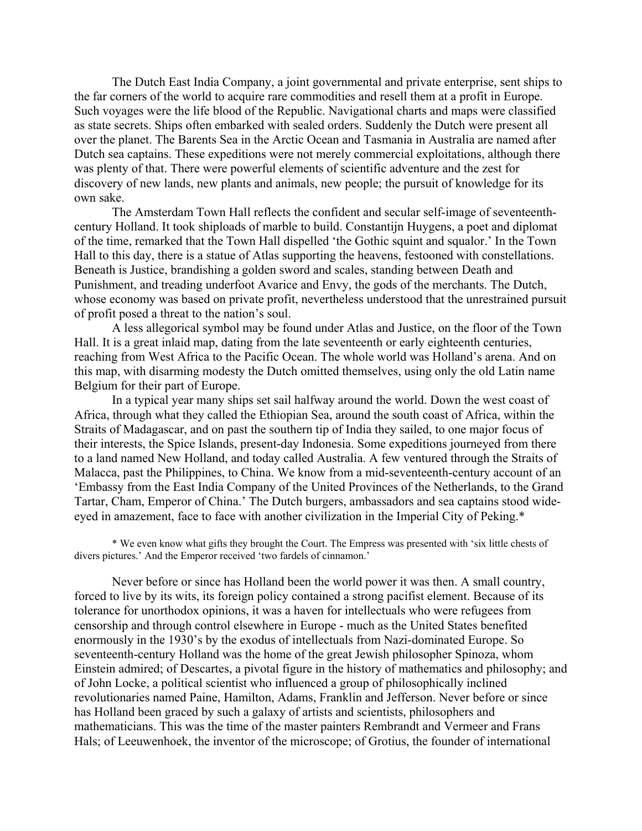The Dutch East India Company, a joint governmental and private enterprise, sent ships to the far corners of the world to acquire rare commodities and resell them at a profit in Europe. Such voyages were the life blood of the Republic. Navigational charts and maps were classified as state secrets. Ships often embarked with sealed orders. Suddenly the Dutch were present all over the planet. The Barents Sea in the Arctic Ocean and Tasmania in Australia are named after Dutch sea captains. These expeditions were not merely commercial exploitations, although there was plenty of that. There were powerful elements of scientific adventure and the zest for discovery of new lands, new plants and animals, new people; the pursuit of knowledge for its own sake.

The Amsterdam Town Hall reflects the confident and secular self-image of seventeenthcentury Holland. It took shiploads of marble to build. Constantijn Huygens, a poet and diplomat of the time, remarked that the Town Hall dispelled 'the Gothic squint and squalor.' In the Town Hall to this day, there is a statue of Atlas supporting the heavens, festooned with constellations. Beneath is Justice, brandishing a golden sword and scales, standing between Death and Punishment, and treading underfoot Avarice and Envy, the gods of the merchants. The Dutch, whose economy was based on private profit, nevertheless understood that the unrestrained pursuit of profit posed a threat to the nation's soul.

A less allegorical symbol may be found under Atlas and Justice, on the floor of the Town Hall. It is a great inlaid map, dating from the late seventeenth or early eighteenth centuries, reaching from West Africa to the Pacific Ocean. The whole world was Holland's arena. And on this map, with disarming modesty the Dutch omitted themselves, using only the old Latin name Belgium for their part of Europe.

In a typical year many ships set sail halfway around the world. Down the west coast of Africa, through what they called the Ethiopian Sea, around the south coast of Africa, within the Straits of Madagascar, and on past the southern tip of India they sailed, to one major focus of their interests, the Spice Islands, present-day Indonesia. Some expeditions journeyed from there to a land named New Holland, and today called Australia. A few ventured through the Straits of Malacca, past the Philippines, to China. We know from a mid-seventeenth-century account of an 'Embassy from the East India Company of the United Provinces of the Netherlands, to the Grand Tartar, Cham, Emperor of China.' The Dutch burgers, ambassadors and sea captains stood wideeyed in amazement, face to face with another civilization in the Imperial City of Peking.\*

\* We even know what gifts they brought the Court. The Empress was presented with 'six little chests of divers pictures.' And the Emperor received 'two fardels of cinnamon.'

Never before or since has Holland been the world power it was then. A small country, forced to live by its wits, its foreign policy contained a strong pacifist element. Because of its tolerance for unorthodox opinions, it was a haven for intellectuals who were refugees from censorship and through control elsewhere in Europe - much as the United States benefited enormously in the 1930's by the exodus of intellectuals from Nazi-dominated Europe. So seventeenth-century Holland was the home of the great Jewish philosopher Spinoza, whom Einstein admired; of Descartes, a pivotal figure in the history of mathematics and philosophy; and of John Locke, a political scientist who influenced a group of philosophically inclined revolutionaries named Paine, Hamilton, Adams, Franklin and Jefferson. Never before or since has Holland been graced by such a galaxy of artists and scientists, philosophers and mathematicians. This was the time of the master painters Rembrandt and Vermeer and Frans Hals; of Leeuwenhoek, the inventor of the microscope; of Grotius, the founder of international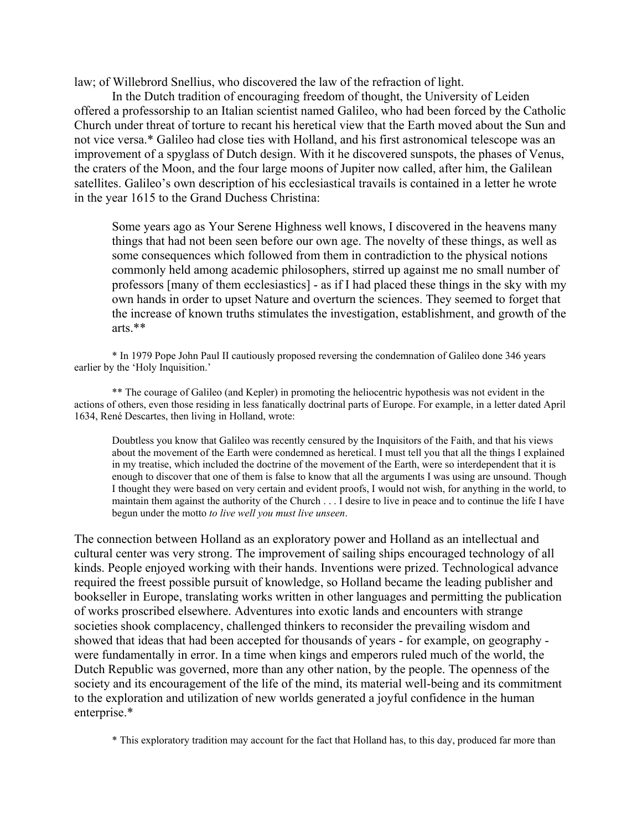law; of Willebrord Snellius, who discovered the law of the refraction of light.

In the Dutch tradition of encouraging freedom of thought, the University of Leiden offered a professorship to an Italian scientist named Galileo, who had been forced by the Catholic Church under threat of torture to recant his heretical view that the Earth moved about the Sun and not vice versa.\* Galileo had close ties with Holland, and his first astronomical telescope was an improvement of a spyglass of Dutch design. With it he discovered sunspots, the phases of Venus, the craters of the Moon, and the four large moons of Jupiter now called, after him, the Galilean satellites. Galileo's own description of his ecclesiastical travails is contained in a letter he wrote in the year 1615 to the Grand Duchess Christina:

Some years ago as Your Serene Highness well knows, I discovered in the heavens many things that had not been seen before our own age. The novelty of these things, as well as some consequences which followed from them in contradiction to the physical notions commonly held among academic philosophers, stirred up against me no small number of professors [many of them ecclesiastics] - as if I had placed these things in the sky with my own hands in order to upset Nature and overturn the sciences. They seemed to forget that the increase of known truths stimulates the investigation, establishment, and growth of the arts.\*\*

\* In 1979 Pope John Paul II cautiously proposed reversing the condemnation of Galileo done 346 years earlier by the 'Holy Inquisition.'

\*\* The courage of Galileo (and Kepler) in promoting the heliocentric hypothesis was not evident in the actions of others, even those residing in less fanatically doctrinal parts of Europe. For example, in a letter dated April 1634, René Descartes, then living in Holland, wrote:

Doubtless you know that Galileo was recently censured by the Inquisitors of the Faith, and that his views about the movement of the Earth were condemned as heretical. I must tell you that all the things I explained in my treatise, which included the doctrine of the movement of the Earth, were so interdependent that it is enough to discover that one of them is false to know that all the arguments I was using are unsound. Though I thought they were based on very certain and evident proofs, I would not wish, for anything in the world, to maintain them against the authority of the Church . . . I desire to live in peace and to continue the life I have begun under the motto *to live well you must live unseen*.

The connection between Holland as an exploratory power and Holland as an intellectual and cultural center was very strong. The improvement of sailing ships encouraged technology of all kinds. People enjoyed working with their hands. Inventions were prized. Technological advance required the freest possible pursuit of knowledge, so Holland became the leading publisher and bookseller in Europe, translating works written in other languages and permitting the publication of works proscribed elsewhere. Adventures into exotic lands and encounters with strange societies shook complacency, challenged thinkers to reconsider the prevailing wisdom and showed that ideas that had been accepted for thousands of years - for example, on geography were fundamentally in error. In a time when kings and emperors ruled much of the world, the Dutch Republic was governed, more than any other nation, by the people. The openness of the society and its encouragement of the life of the mind, its material well-being and its commitment to the exploration and utilization of new worlds generated a joyful confidence in the human enterprise.\*

\* This exploratory tradition may account for the fact that Holland has, to this day, produced far more than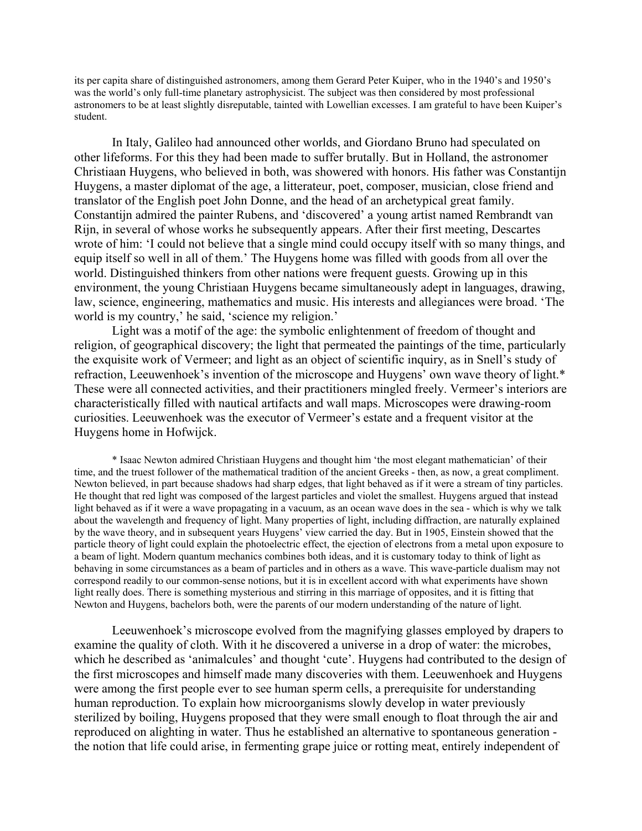its per capita share of distinguished astronomers, among them Gerard Peter Kuiper, who in the 1940's and 1950's was the world's only full-time planetary astrophysicist. The subject was then considered by most professional astronomers to be at least slightly disreputable, tainted with Lowellian excesses. I am grateful to have been Kuiper's student.

In Italy, Galileo had announced other worlds, and Giordano Bruno had speculated on other lifeforms. For this they had been made to suffer brutally. But in Holland, the astronomer Christiaan Huygens, who believed in both, was showered with honors. His father was Constantijn Huygens, a master diplomat of the age, a litterateur, poet, composer, musician, close friend and translator of the English poet John Donne, and the head of an archetypical great family. Constantijn admired the painter Rubens, and 'discovered' a young artist named Rembrandt van Rijn, in several of whose works he subsequently appears. After their first meeting, Descartes wrote of him: 'I could not believe that a single mind could occupy itself with so many things, and equip itself so well in all of them.' The Huygens home was filled with goods from all over the world. Distinguished thinkers from other nations were frequent guests. Growing up in this environment, the young Christiaan Huygens became simultaneously adept in languages, drawing, law, science, engineering, mathematics and music. His interests and allegiances were broad. 'The world is my country,' he said, 'science my religion.'

Light was a motif of the age: the symbolic enlightenment of freedom of thought and religion, of geographical discovery; the light that permeated the paintings of the time, particularly the exquisite work of Vermeer; and light as an object of scientific inquiry, as in Snell's study of refraction, Leeuwenhoek's invention of the microscope and Huygens' own wave theory of light.\* These were all connected activities, and their practitioners mingled freely. Vermeer's interiors are characteristically filled with nautical artifacts and wall maps. Microscopes were drawing-room curiosities. Leeuwenhoek was the executor of Vermeer's estate and a frequent visitor at the Huygens home in Hofwijck.

\* Isaac Newton admired Christiaan Huygens and thought him 'the most elegant mathematician' of their time, and the truest follower of the mathematical tradition of the ancient Greeks - then, as now, a great compliment. Newton believed, in part because shadows had sharp edges, that light behaved as if it were a stream of tiny particles. He thought that red light was composed of the largest particles and violet the smallest. Huygens argued that instead light behaved as if it were a wave propagating in a vacuum, as an ocean wave does in the sea - which is why we talk about the wavelength and frequency of light. Many properties of light, including diffraction, are naturally explained by the wave theory, and in subsequent years Huygens' view carried the day. But in 1905, Einstein showed that the particle theory of light could explain the photoelectric effect, the ejection of electrons from a metal upon exposure to a beam of light. Modern quantum mechanics combines both ideas, and it is customary today to think of light as behaving in some circumstances as a beam of particles and in others as a wave. This wave-particle dualism may not correspond readily to our common-sense notions, but it is in excellent accord with what experiments have shown light really does. There is something mysterious and stirring in this marriage of opposites, and it is fitting that Newton and Huygens, bachelors both, were the parents of our modern understanding of the nature of light.

Leeuwenhoek's microscope evolved from the magnifying glasses employed by drapers to examine the quality of cloth. With it he discovered a universe in a drop of water: the microbes, which he described as 'animalcules' and thought 'cute'. Huygens had contributed to the design of the first microscopes and himself made many discoveries with them. Leeuwenhoek and Huygens were among the first people ever to see human sperm cells, a prerequisite for understanding human reproduction. To explain how microorganisms slowly develop in water previously sterilized by boiling, Huygens proposed that they were small enough to float through the air and reproduced on alighting in water. Thus he established an alternative to spontaneous generation the notion that life could arise, in fermenting grape juice or rotting meat, entirely independent of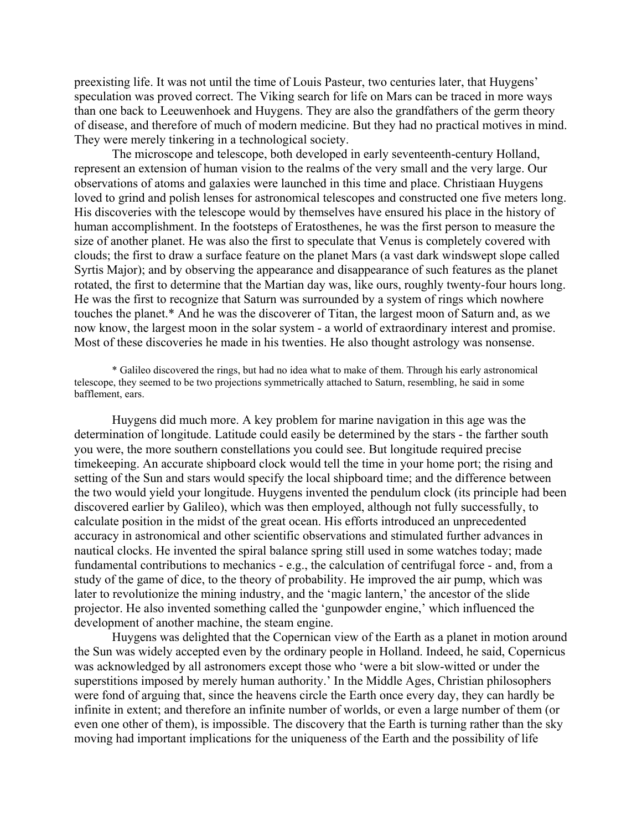preexisting life. It was not until the time of Louis Pasteur, two centuries later, that Huygens' speculation was proved correct. The Viking search for life on Mars can be traced in more ways than one back to Leeuwenhoek and Huygens. They are also the grandfathers of the germ theory of disease, and therefore of much of modern medicine. But they had no practical motives in mind. They were merely tinkering in a technological society.

The microscope and telescope, both developed in early seventeenth-century Holland, represent an extension of human vision to the realms of the very small and the very large. Our observations of atoms and galaxies were launched in this time and place. Christiaan Huygens loved to grind and polish lenses for astronomical telescopes and constructed one five meters long. His discoveries with the telescope would by themselves have ensured his place in the history of human accomplishment. In the footsteps of Eratosthenes, he was the first person to measure the size of another planet. He was also the first to speculate that Venus is completely covered with clouds; the first to draw a surface feature on the planet Mars (a vast dark windswept slope called Syrtis Major); and by observing the appearance and disappearance of such features as the planet rotated, the first to determine that the Martian day was, like ours, roughly twenty-four hours long. He was the first to recognize that Saturn was surrounded by a system of rings which nowhere touches the planet.\* And he was the discoverer of Titan, the largest moon of Saturn and, as we now know, the largest moon in the solar system - a world of extraordinary interest and promise. Most of these discoveries he made in his twenties. He also thought astrology was nonsense.

\* Galileo discovered the rings, but had no idea what to make of them. Through his early astronomical telescope, they seemed to be two projections symmetrically attached to Saturn, resembling, he said in some bafflement, ears.

Huygens did much more. A key problem for marine navigation in this age was the determination of longitude. Latitude could easily be determined by the stars - the farther south you were, the more southern constellations you could see. But longitude required precise timekeeping. An accurate shipboard clock would tell the time in your home port; the rising and setting of the Sun and stars would specify the local shipboard time; and the difference between the two would yield your longitude. Huygens invented the pendulum clock (its principle had been discovered earlier by Galileo), which was then employed, although not fully successfully, to calculate position in the midst of the great ocean. His efforts introduced an unprecedented accuracy in astronomical and other scientific observations and stimulated further advances in nautical clocks. He invented the spiral balance spring still used in some watches today; made fundamental contributions to mechanics - e.g., the calculation of centrifugal force - and, from a study of the game of dice, to the theory of probability. He improved the air pump, which was later to revolutionize the mining industry, and the 'magic lantern,' the ancestor of the slide projector. He also invented something called the 'gunpowder engine,' which influenced the development of another machine, the steam engine.

Huygens was delighted that the Copernican view of the Earth as a planet in motion around the Sun was widely accepted even by the ordinary people in Holland. Indeed, he said, Copernicus was acknowledged by all astronomers except those who 'were a bit slow-witted or under the superstitions imposed by merely human authority.' In the Middle Ages, Christian philosophers were fond of arguing that, since the heavens circle the Earth once every day, they can hardly be infinite in extent; and therefore an infinite number of worlds, or even a large number of them (or even one other of them), is impossible. The discovery that the Earth is turning rather than the sky moving had important implications for the uniqueness of the Earth and the possibility of life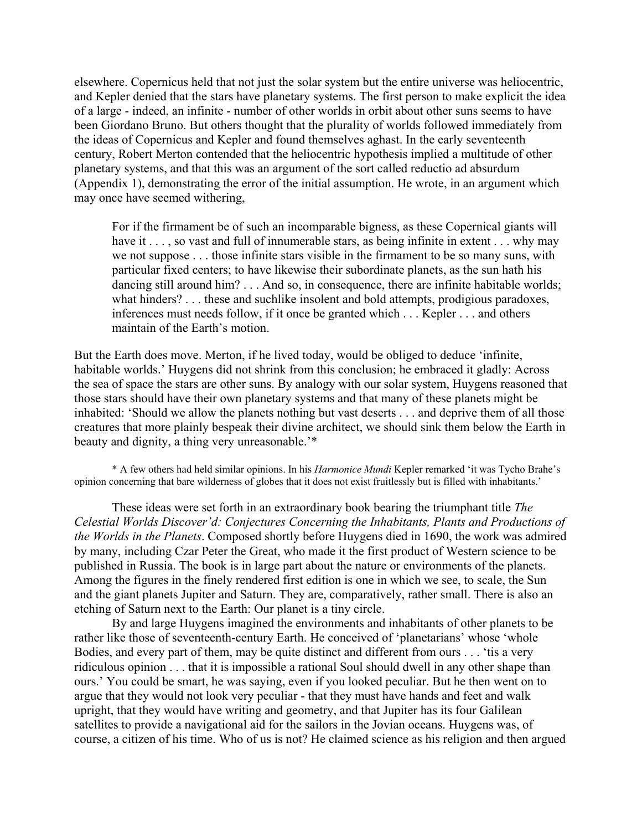elsewhere. Copernicus held that not just the solar system but the entire universe was heliocentric, and Kepler denied that the stars have planetary systems. The first person to make explicit the idea of a large - indeed, an infinite - number of other worlds in orbit about other suns seems to have been Giordano Bruno. But others thought that the plurality of worlds followed immediately from the ideas of Copernicus and Kepler and found themselves aghast. In the early seventeenth century, Robert Merton contended that the heliocentric hypothesis implied a multitude of other planetary systems, and that this was an argument of the sort called reductio ad absurdum (Appendix 1), demonstrating the error of the initial assumption. He wrote, in an argument which may once have seemed withering,

For if the firmament be of such an incomparable bigness, as these Copernical giants will have it . . . , so vast and full of innumerable stars, as being infinite in extent . . . why may we not suppose . . . those infinite stars visible in the firmament to be so many suns, with particular fixed centers; to have likewise their subordinate planets, as the sun hath his dancing still around him? . . . And so, in consequence, there are infinite habitable worlds; what hinders? . . . these and suchlike insolent and bold attempts, prodigious paradoxes, inferences must needs follow, if it once be granted which . . . Kepler . . . and others maintain of the Earth's motion.

But the Earth does move. Merton, if he lived today, would be obliged to deduce 'infinite, habitable worlds.' Huygens did not shrink from this conclusion; he embraced it gladly: Across the sea of space the stars are other suns. By analogy with our solar system, Huygens reasoned that those stars should have their own planetary systems and that many of these planets might be inhabited: 'Should we allow the planets nothing but vast deserts . . . and deprive them of all those creatures that more plainly bespeak their divine architect, we should sink them below the Earth in beauty and dignity, a thing very unreasonable.'\*

\* A few others had held similar opinions. In his *Harmonice Mundi* Kepler remarked 'it was Tycho Brahe's opinion concerning that bare wilderness of globes that it does not exist fruitlessly but is filled with inhabitants.'

These ideas were set forth in an extraordinary book bearing the triumphant title *The Celestial Worlds Discover'd: Conjectures Concerning the Inhabitants, Plants and Productions of the Worlds in the Planets*. Composed shortly before Huygens died in 1690, the work was admired by many, including Czar Peter the Great, who made it the first product of Western science to be published in Russia. The book is in large part about the nature or environments of the planets. Among the figures in the finely rendered first edition is one in which we see, to scale, the Sun and the giant planets Jupiter and Saturn. They are, comparatively, rather small. There is also an etching of Saturn next to the Earth: Our planet is a tiny circle.

By and large Huygens imagined the environments and inhabitants of other planets to be rather like those of seventeenth-century Earth. He conceived of 'planetarians' whose 'whole Bodies, and every part of them, may be quite distinct and different from ours . . . 'tis a very ridiculous opinion . . . that it is impossible a rational Soul should dwell in any other shape than ours.' You could be smart, he was saying, even if you looked peculiar. But he then went on to argue that they would not look very peculiar - that they must have hands and feet and walk upright, that they would have writing and geometry, and that Jupiter has its four Galilean satellites to provide a navigational aid for the sailors in the Jovian oceans. Huygens was, of course, a citizen of his time. Who of us is not? He claimed science as his religion and then argued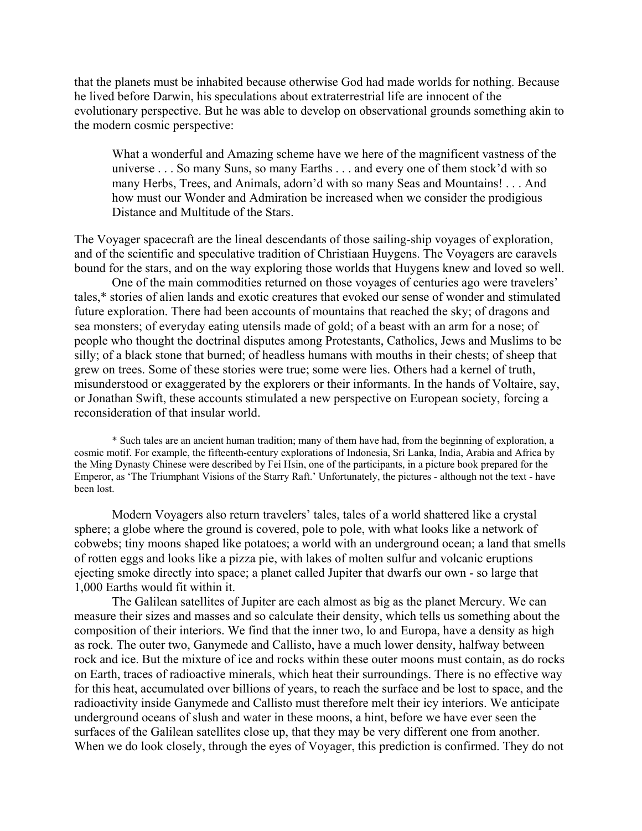that the planets must be inhabited because otherwise God had made worlds for nothing. Because he lived before Darwin, his speculations about extraterrestrial life are innocent of the evolutionary perspective. But he was able to develop on observational grounds something akin to the modern cosmic perspective:

What a wonderful and Amazing scheme have we here of the magnificent vastness of the universe . . . So many Suns, so many Earths . . . and every one of them stock'd with so many Herbs, Trees, and Animals, adorn'd with so many Seas and Mountains! . . . And how must our Wonder and Admiration be increased when we consider the prodigious Distance and Multitude of the Stars.

The Voyager spacecraft are the lineal descendants of those sailing-ship voyages of exploration, and of the scientific and speculative tradition of Christiaan Huygens. The Voyagers are caravels bound for the stars, and on the way exploring those worlds that Huygens knew and loved so well.

One of the main commodities returned on those voyages of centuries ago were travelers' tales,\* stories of alien lands and exotic creatures that evoked our sense of wonder and stimulated future exploration. There had been accounts of mountains that reached the sky; of dragons and sea monsters; of everyday eating utensils made of gold; of a beast with an arm for a nose; of people who thought the doctrinal disputes among Protestants, Catholics, Jews and Muslims to be silly; of a black stone that burned; of headless humans with mouths in their chests; of sheep that grew on trees. Some of these stories were true; some were lies. Others had a kernel of truth, misunderstood or exaggerated by the explorers or their informants. In the hands of Voltaire, say, or Jonathan Swift, these accounts stimulated a new perspective on European society, forcing a reconsideration of that insular world.

\* Such tales are an ancient human tradition; many of them have had, from the beginning of exploration, a cosmic motif. For example, the fifteenth-century explorations of Indonesia, Sri Lanka, India, Arabia and Africa by the Ming Dynasty Chinese were described by Fei Hsin, one of the participants, in a picture book prepared for the Emperor, as 'The Triumphant Visions of the Starry Raft.' Unfortunately, the pictures - although not the text - have been lost.

Modern Voyagers also return travelers' tales, tales of a world shattered like a crystal sphere; a globe where the ground is covered, pole to pole, with what looks like a network of cobwebs; tiny moons shaped like potatoes; a world with an underground ocean; a land that smells of rotten eggs and looks like a pizza pie, with lakes of molten sulfur and volcanic eruptions ejecting smoke directly into space; a planet called Jupiter that dwarfs our own - so large that 1,000 Earths would fit within it.

The Galilean satellites of Jupiter are each almost as big as the planet Mercury. We can measure their sizes and masses and so calculate their density, which tells us something about the composition of their interiors. We find that the inner two, lo and Europa, have a density as high as rock. The outer two, Ganymede and Callisto, have a much lower density, halfway between rock and ice. But the mixture of ice and rocks within these outer moons must contain, as do rocks on Earth, traces of radioactive minerals, which heat their surroundings. There is no effective way for this heat, accumulated over billions of years, to reach the surface and be lost to space, and the radioactivity inside Ganymede and Callisto must therefore melt their icy interiors. We anticipate underground oceans of slush and water in these moons, a hint, before we have ever seen the surfaces of the Galilean satellites close up, that they may be very different one from another. When we do look closely, through the eyes of Voyager, this prediction is confirmed. They do not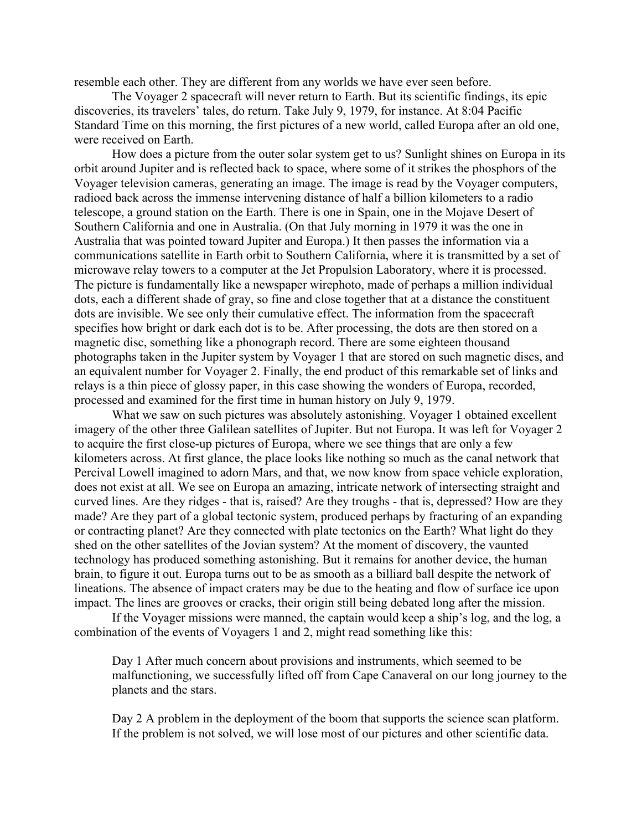resemble each other. They are different from any worlds we have ever seen before.

The Voyager 2 spacecraft will never return to Earth. But its scientific findings, its epic discoveries, its travelers' tales, do return. Take July 9, 1979, for instance. At 8:04 Pacific Standard Time on this morning, the first pictures of a new world, called Europa after an old one, were received on Earth.

How does a picture from the outer solar system get to us? Sunlight shines on Europa in its orbit around Jupiter and is reflected back to space, where some of it strikes the phosphors of the Voyager television cameras, generating an image. The image is read by the Voyager computers, radioed back across the immense intervening distance of half a billion kilometers to a radio telescope, a ground station on the Earth. There is one in Spain, one in the Mojave Desert of Southern California and one in Australia. (On that July morning in 1979 it was the one in Australia that was pointed toward Jupiter and Europa.) It then passes the information via a communications satellite in Earth orbit to Southern California, where it is transmitted by a set of microwave relay towers to a computer at the Jet Propulsion Laboratory, where it is processed. The picture is fundamentally like a newspaper wirephoto, made of perhaps a million individual dots, each a different shade of gray, so fine and close together that at a distance the constituent dots are invisible. We see only their cumulative effect. The information from the spacecraft specifies how bright or dark each dot is to be. After processing, the dots are then stored on a magnetic disc, something like a phonograph record. There are some eighteen thousand photographs taken in the Jupiter system by Voyager 1 that are stored on such magnetic discs, and an equivalent number for Voyager 2. Finally, the end product of this remarkable set of links and relays is a thin piece of glossy paper, in this case showing the wonders of Europa, recorded, processed and examined for the first time in human history on July 9, 1979.

What we saw on such pictures was absolutely astonishing. Voyager 1 obtained excellent imagery of the other three Galilean satellites of Jupiter. But not Europa. It was left for Voyager 2 to acquire the first close-up pictures of Europa, where we see things that are only a few kilometers across. At first glance, the place looks like nothing so much as the canal network that Percival Lowell imagined to adorn Mars, and that, we now know from space vehicle exploration, does not exist at all. We see on Europa an amazing, intricate network of intersecting straight and curved lines. Are they ridges - that is, raised? Are they troughs - that is, depressed? How are they made? Are they part of a global tectonic system, produced perhaps by fracturing of an expanding or contracting planet? Are they connected with plate tectonics on the Earth? What light do they shed on the other satellites of the Jovian system? At the moment of discovery, the vaunted technology has produced something astonishing. But it remains for another device, the human brain, to figure it out. Europa turns out to be as smooth as a billiard ball despite the network of lineations. The absence of impact craters may be due to the heating and flow of surface ice upon impact. The lines are grooves or cracks, their origin still being debated long after the mission.

If the Voyager missions were manned, the captain would keep a ship's log, and the log, a combination of the events of Voyagers 1 and 2, might read something like this:

Day 1 After much concern about provisions and instruments, which seemed to be malfunctioning, we successfully lifted off from Cape Canaveral on our long journey to the planets and the stars.

Day 2 A problem in the deployment of the boom that supports the science scan platform. If the problem is not solved, we will lose most of our pictures and other scientific data.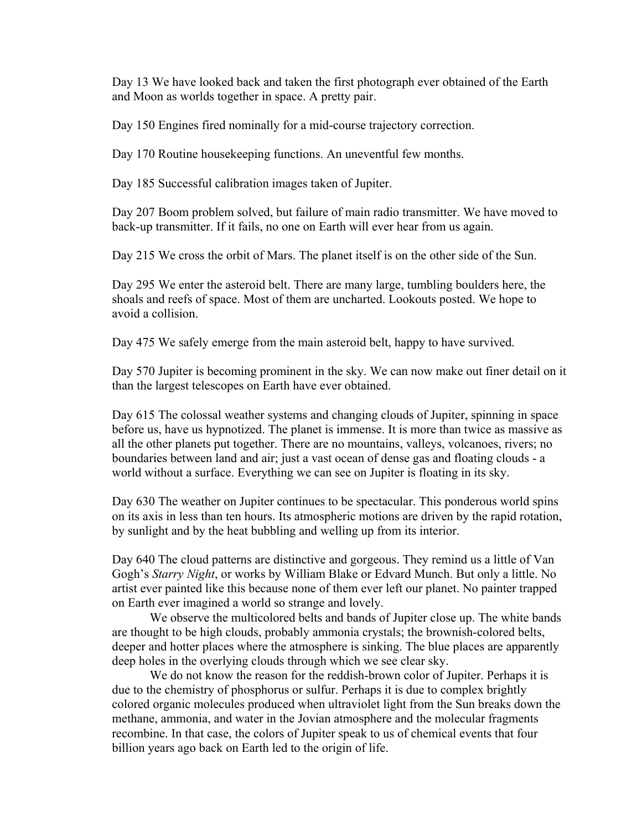Day 13 We have looked back and taken the first photograph ever obtained of the Earth and Moon as worlds together in space. A pretty pair.

Day 150 Engines fired nominally for a mid-course trajectory correction.

Day 170 Routine housekeeping functions. An uneventful few months.

Day 185 Successful calibration images taken of Jupiter.

Day 207 Boom problem solved, but failure of main radio transmitter. We have moved to back-up transmitter. If it fails, no one on Earth will ever hear from us again.

Day 215 We cross the orbit of Mars. The planet itself is on the other side of the Sun.

Day 295 We enter the asteroid belt. There are many large, tumbling boulders here, the shoals and reefs of space. Most of them are uncharted. Lookouts posted. We hope to avoid a collision.

Day 475 We safely emerge from the main asteroid belt, happy to have survived.

Day 570 Jupiter is becoming prominent in the sky. We can now make out finer detail on it than the largest telescopes on Earth have ever obtained.

Day 615 The colossal weather systems and changing clouds of Jupiter, spinning in space before us, have us hypnotized. The planet is immense. It is more than twice as massive as all the other planets put together. There are no mountains, valleys, volcanoes, rivers; no boundaries between land and air; just a vast ocean of dense gas and floating clouds - a world without a surface. Everything we can see on Jupiter is floating in its sky.

Day 630 The weather on Jupiter continues to be spectacular. This ponderous world spins on its axis in less than ten hours. Its atmospheric motions are driven by the rapid rotation, by sunlight and by the heat bubbling and welling up from its interior.

Day 640 The cloud patterns are distinctive and gorgeous. They remind us a little of Van Gogh's *Starry Night*, or works by William Blake or Edvard Munch. But only a little. No artist ever painted like this because none of them ever left our planet. No painter trapped on Earth ever imagined a world so strange and lovely.

We observe the multicolored belts and bands of Jupiter close up. The white bands are thought to be high clouds, probably ammonia crystals; the brownish-colored belts, deeper and hotter places where the atmosphere is sinking. The blue places are apparently deep holes in the overlying clouds through which we see clear sky.

We do not know the reason for the reddish-brown color of Jupiter. Perhaps it is due to the chemistry of phosphorus or sulfur. Perhaps it is due to complex brightly colored organic molecules produced when ultraviolet light from the Sun breaks down the methane, ammonia, and water in the Jovian atmosphere and the molecular fragments recombine. In that case, the colors of Jupiter speak to us of chemical events that four billion years ago back on Earth led to the origin of life.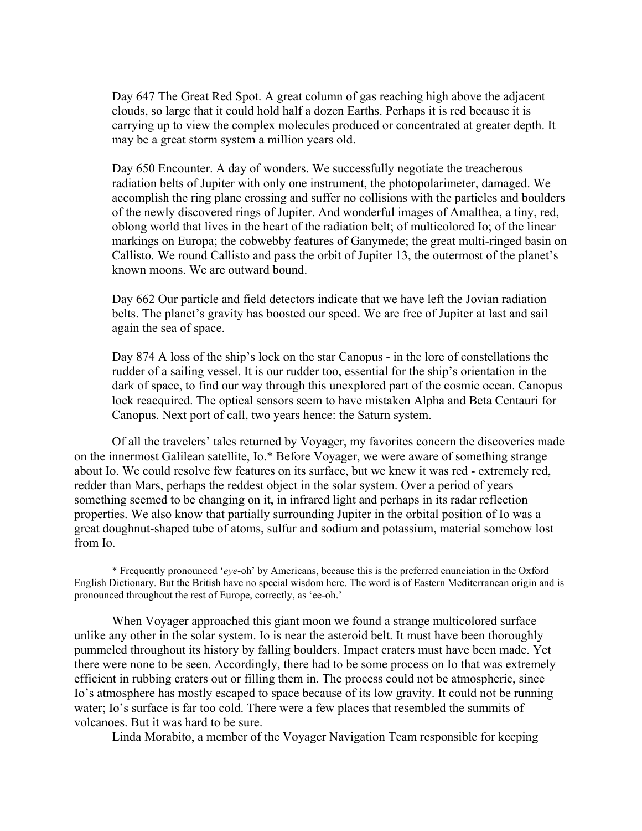Day 647 The Great Red Spot. A great column of gas reaching high above the adjacent clouds, so large that it could hold half a dozen Earths. Perhaps it is red because it is carrying up to view the complex molecules produced or concentrated at greater depth. It may be a great storm system a million years old.

Day 650 Encounter. A day of wonders. We successfully negotiate the treacherous radiation belts of Jupiter with only one instrument, the photopolarimeter, damaged. We accomplish the ring plane crossing and suffer no collisions with the particles and boulders of the newly discovered rings of Jupiter. And wonderful images of Amalthea, a tiny, red, oblong world that lives in the heart of the radiation belt; of multicolored Io; of the linear markings on Europa; the cobwebby features of Ganymede; the great multi-ringed basin on Callisto. We round Callisto and pass the orbit of Jupiter 13, the outermost of the planet's known moons. We are outward bound.

Day 662 Our particle and field detectors indicate that we have left the Jovian radiation belts. The planet's gravity has boosted our speed. We are free of Jupiter at last and sail again the sea of space.

Day 874 A loss of the ship's lock on the star Canopus - in the lore of constellations the rudder of a sailing vessel. It is our rudder too, essential for the ship's orientation in the dark of space, to find our way through this unexplored part of the cosmic ocean. Canopus lock reacquired. The optical sensors seem to have mistaken Alpha and Beta Centauri for Canopus. Next port of call, two years hence: the Saturn system.

Of all the travelers' tales returned by Voyager, my favorites concern the discoveries made on the innermost Galilean satellite, Io.\* Before Voyager, we were aware of something strange about Io. We could resolve few features on its surface, but we knew it was red - extremely red, redder than Mars, perhaps the reddest object in the solar system. Over a period of years something seemed to be changing on it, in infrared light and perhaps in its radar reflection properties. We also know that partially surrounding Jupiter in the orbital position of Io was a great doughnut-shaped tube of atoms, sulfur and sodium and potassium, material somehow lost from Io.

\* Frequently pronounced '*eye*-oh' by Americans, because this is the preferred enunciation in the Oxford English Dictionary. But the British have no special wisdom here. The word is of Eastern Mediterranean origin and is pronounced throughout the rest of Europe, correctly, as 'ee-oh.'

When Voyager approached this giant moon we found a strange multicolored surface unlike any other in the solar system. Io is near the asteroid belt. It must have been thoroughly pummeled throughout its history by falling boulders. Impact craters must have been made. Yet there were none to be seen. Accordingly, there had to be some process on Io that was extremely efficient in rubbing craters out or filling them in. The process could not be atmospheric, since Io's atmosphere has mostly escaped to space because of its low gravity. It could not be running water; Io's surface is far too cold. There were a few places that resembled the summits of volcanoes. But it was hard to be sure.

Linda Morabito, a member of the Voyager Navigation Team responsible for keeping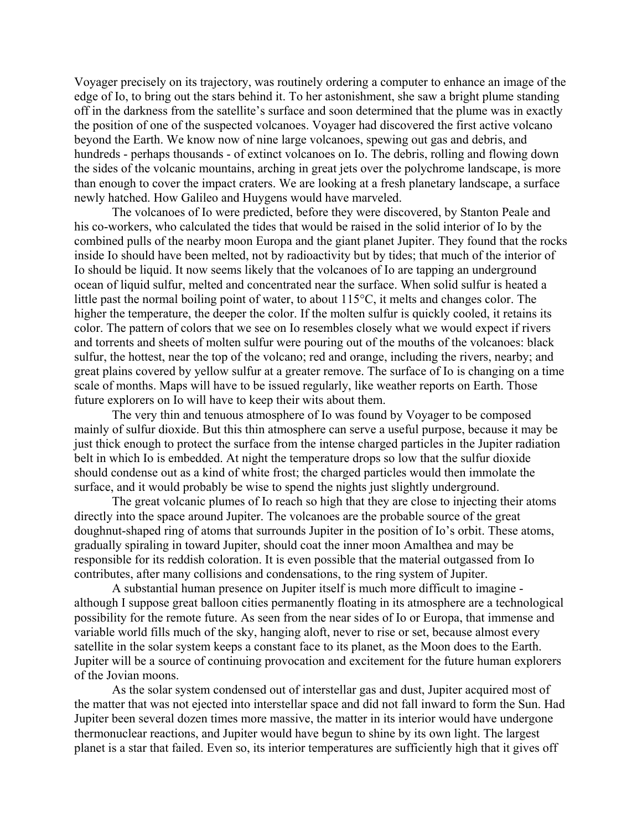Voyager precisely on its trajectory, was routinely ordering a computer to enhance an image of the edge of Io, to bring out the stars behind it. To her astonishment, she saw a bright plume standing off in the darkness from the satellite's surface and soon determined that the plume was in exactly the position of one of the suspected volcanoes. Voyager had discovered the first active volcano beyond the Earth. We know now of nine large volcanoes, spewing out gas and debris, and hundreds - perhaps thousands - of extinct volcanoes on Io. The debris, rolling and flowing down the sides of the volcanic mountains, arching in great jets over the polychrome landscape, is more than enough to cover the impact craters. We are looking at a fresh planetary landscape, a surface newly hatched. How Galileo and Huygens would have marveled.

The volcanoes of Io were predicted, before they were discovered, by Stanton Peale and his co-workers, who calculated the tides that would be raised in the solid interior of Io by the combined pulls of the nearby moon Europa and the giant planet Jupiter. They found that the rocks inside Io should have been melted, not by radioactivity but by tides; that much of the interior of Io should be liquid. It now seems likely that the volcanoes of Io are tapping an underground ocean of liquid sulfur, melted and concentrated near the surface. When solid sulfur is heated a little past the normal boiling point of water, to about 115°C, it melts and changes color. The higher the temperature, the deeper the color. If the molten sulfur is quickly cooled, it retains its color. The pattern of colors that we see on Io resembles closely what we would expect if rivers and torrents and sheets of molten sulfur were pouring out of the mouths of the volcanoes: black sulfur, the hottest, near the top of the volcano; red and orange, including the rivers, nearby; and great plains covered by yellow sulfur at a greater remove. The surface of Io is changing on a time scale of months. Maps will have to be issued regularly, like weather reports on Earth. Those future explorers on Io will have to keep their wits about them.

The very thin and tenuous atmosphere of Io was found by Voyager to be composed mainly of sulfur dioxide. But this thin atmosphere can serve a useful purpose, because it may be just thick enough to protect the surface from the intense charged particles in the Jupiter radiation belt in which Io is embedded. At night the temperature drops so low that the sulfur dioxide should condense out as a kind of white frost; the charged particles would then immolate the surface, and it would probably be wise to spend the nights just slightly underground.

The great volcanic plumes of Io reach so high that they are close to injecting their atoms directly into the space around Jupiter. The volcanoes are the probable source of the great doughnut-shaped ring of atoms that surrounds Jupiter in the position of Io's orbit. These atoms, gradually spiraling in toward Jupiter, should coat the inner moon Amalthea and may be responsible for its reddish coloration. It is even possible that the material outgassed from Io contributes, after many collisions and condensations, to the ring system of Jupiter.

A substantial human presence on Jupiter itself is much more difficult to imagine although I suppose great balloon cities permanently floating in its atmosphere are a technological possibility for the remote future. As seen from the near sides of Io or Europa, that immense and variable world fills much of the sky, hanging aloft, never to rise or set, because almost every satellite in the solar system keeps a constant face to its planet, as the Moon does to the Earth. Jupiter will be a source of continuing provocation and excitement for the future human explorers of the Jovian moons.

As the solar system condensed out of interstellar gas and dust, Jupiter acquired most of the matter that was not ejected into interstellar space and did not fall inward to form the Sun. Had Jupiter been several dozen times more massive, the matter in its interior would have undergone thermonuclear reactions, and Jupiter would have begun to shine by its own light. The largest planet is a star that failed. Even so, its interior temperatures are sufficiently high that it gives off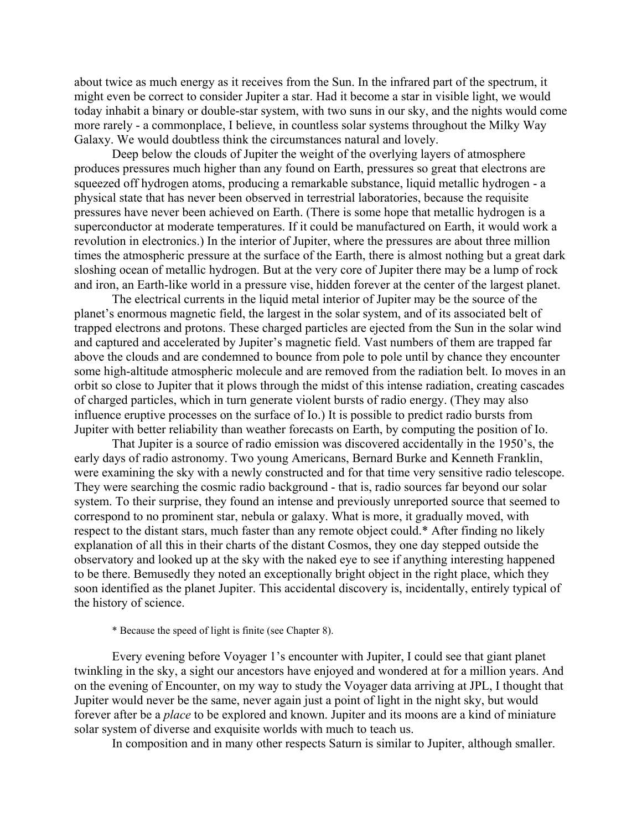about twice as much energy as it receives from the Sun. In the infrared part of the spectrum, it might even be correct to consider Jupiter a star. Had it become a star in visible light, we would today inhabit a binary or double-star system, with two suns in our sky, and the nights would come more rarely - a commonplace, I believe, in countless solar systems throughout the Milky Way Galaxy. We would doubtless think the circumstances natural and lovely.

Deep below the clouds of Jupiter the weight of the overlying layers of atmosphere produces pressures much higher than any found on Earth, pressures so great that electrons are squeezed off hydrogen atoms, producing a remarkable substance, liquid metallic hydrogen - a physical state that has never been observed in terrestrial laboratories, because the requisite pressures have never been achieved on Earth. (There is some hope that metallic hydrogen is a superconductor at moderate temperatures. If it could be manufactured on Earth, it would work a revolution in electronics.) In the interior of Jupiter, where the pressures are about three million times the atmospheric pressure at the surface of the Earth, there is almost nothing but a great dark sloshing ocean of metallic hydrogen. But at the very core of Jupiter there may be a lump of rock and iron, an Earth-like world in a pressure vise, hidden forever at the center of the largest planet.

The electrical currents in the liquid metal interior of Jupiter may be the source of the planet's enormous magnetic field, the largest in the solar system, and of its associated belt of trapped electrons and protons. These charged particles are ejected from the Sun in the solar wind and captured and accelerated by Jupiter's magnetic field. Vast numbers of them are trapped far above the clouds and are condemned to bounce from pole to pole until by chance they encounter some high-altitude atmospheric molecule and are removed from the radiation belt. Io moves in an orbit so close to Jupiter that it plows through the midst of this intense radiation, creating cascades of charged particles, which in turn generate violent bursts of radio energy. (They may also influence eruptive processes on the surface of Io.) It is possible to predict radio bursts from Jupiter with better reliability than weather forecasts on Earth, by computing the position of Io.

That Jupiter is a source of radio emission was discovered accidentally in the 1950's, the early days of radio astronomy. Two young Americans, Bernard Burke and Kenneth Franklin, were examining the sky with a newly constructed and for that time very sensitive radio telescope. They were searching the cosmic radio background - that is, radio sources far beyond our solar system. To their surprise, they found an intense and previously unreported source that seemed to correspond to no prominent star, nebula or galaxy. What is more, it gradually moved, with respect to the distant stars, much faster than any remote object could.\* After finding no likely explanation of all this in their charts of the distant Cosmos, they one day stepped outside the observatory and looked up at the sky with the naked eye to see if anything interesting happened to be there. Bemusedly they noted an exceptionally bright object in the right place, which they soon identified as the planet Jupiter. This accidental discovery is, incidentally, entirely typical of the history of science.

### \* Because the speed of light is finite (see Chapter 8).

Every evening before Voyager 1's encounter with Jupiter, I could see that giant planet twinkling in the sky, a sight our ancestors have enjoyed and wondered at for a million years. And on the evening of Encounter, on my way to study the Voyager data arriving at JPL, I thought that Jupiter would never be the same, never again just a point of light in the night sky, but would forever after be a *place* to be explored and known. Jupiter and its moons are a kind of miniature solar system of diverse and exquisite worlds with much to teach us.

In composition and in many other respects Saturn is similar to Jupiter, although smaller.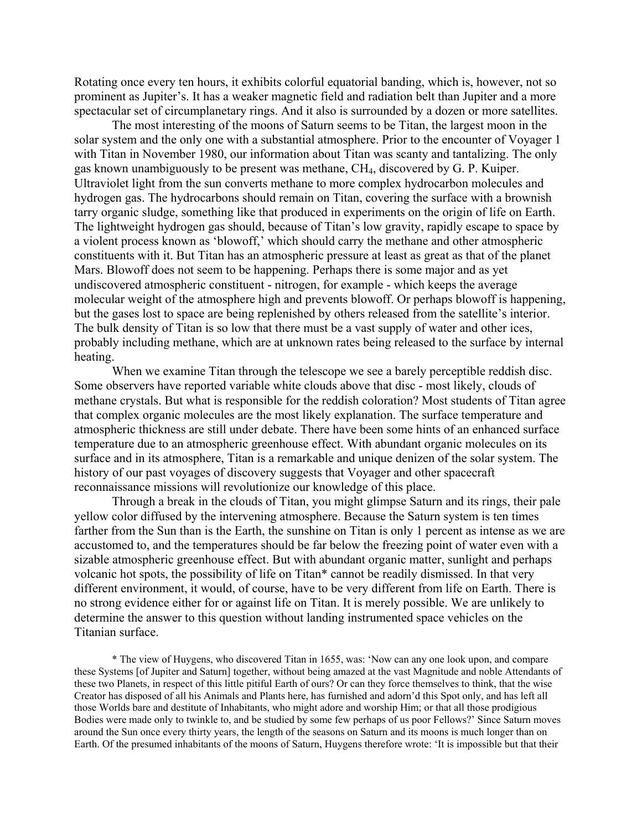Rotating once every ten hours, it exhibits colorful equatorial banding, which is, however, not so prominent as Jupiter's. It has a weaker magnetic field and radiation belt than Jupiter and a more spectacular set of circumplanetary rings. And it also is surrounded by a dozen or more satellites.

The most interesting of the moons of Saturn seems to be Titan, the largest moon in the solar system and the only one with a substantial atmosphere. Prior to the encounter of Voyager 1 with Titan in November 1980, our information about Titan was scanty and tantalizing. The only gas known unambiguously to be present was methane, CH4, discovered by G. P. Kuiper. Ultraviolet light from the sun converts methane to more complex hydrocarbon molecules and hydrogen gas. The hydrocarbons should remain on Titan, covering the surface with a brownish tarry organic sludge, something like that produced in experiments on the origin of life on Earth. The lightweight hydrogen gas should, because of Titan's low gravity, rapidly escape to space by a violent process known as 'blowoff,' which should carry the methane and other atmospheric constituents with it. But Titan has an atmospheric pressure at least as great as that of the planet Mars. Blowoff does not seem to be happening. Perhaps there is some major and as yet undiscovered atmospheric constituent - nitrogen, for example - which keeps the average molecular weight of the atmosphere high and prevents blowoff. Or perhaps blowoff is happening, but the gases lost to space are being replenished by others released from the satellite's interior. The bulk density of Titan is so low that there must be a vast supply of water and other ices, probably including methane, which are at unknown rates being released to the surface by internal heating.

When we examine Titan through the telescope we see a barely perceptible reddish disc. Some observers have reported variable white clouds above that disc - most likely, clouds of methane crystals. But what is responsible for the reddish coloration? Most students of Titan agree that complex organic molecules are the most likely explanation. The surface temperature and atmospheric thickness are still under debate. There have been some hints of an enhanced surface temperature due to an atmospheric greenhouse effect. With abundant organic molecules on its surface and in its atmosphere, Titan is a remarkable and unique denizen of the solar system. The history of our past voyages of discovery suggests that Voyager and other spacecraft reconnaissance missions will revolutionize our knowledge of this place.

Through a break in the clouds of Titan, you might glimpse Saturn and its rings, their pale yellow color diffused by the intervening atmosphere. Because the Saturn system is ten times farther from the Sun than is the Earth, the sunshine on Titan is only 1 percent as intense as we are accustomed to, and the temperatures should be far below the freezing point of water even with a sizable atmospheric greenhouse effect. But with abundant organic matter, sunlight and perhaps volcanic hot spots, the possibility of life on Titan\* cannot be readily dismissed. In that very different environment, it would, of course, have to be very different from life on Earth. There is no strong evidence either for or against life on Titan. It is merely possible. We are unlikely to determine the answer to this question without landing instrumented space vehicles on the Titanian surface.

\* The view of Huygens, who discovered Titan in 1655, was: 'Now can any one look upon, and compare these Systems [of Jupiter and Saturn] together, without being amazed at the vast Magnitude and noble Attendants of these two Planets, in respect of this little pitiful Earth of ours? Or can they force themselves to think, that the wise Creator has disposed of all his Animals and Plants here, has furnished and adorn'd this Spot only, and has left all those Worlds bare and destitute of Inhabitants, who might adore and worship Him; or that all those prodigious Bodies were made only to twinkle to, and be studied by some few perhaps of us poor Fellows?' Since Saturn moves around the Sun once every thirty years, the length of the seasons on Saturn and its moons is much longer than on Earth. Of the presumed inhabitants of the moons of Saturn, Huygens therefore wrote: 'It is impossible but that their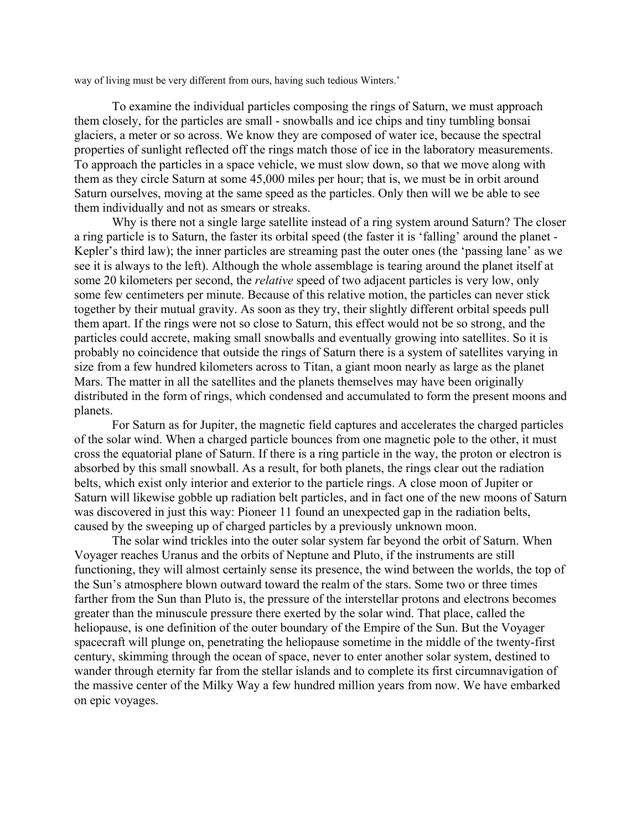way of living must be very different from ours, having such tedious Winters.'

To examine the individual particles composing the rings of Saturn, we must approach them closely, for the particles are small - snowballs and ice chips and tiny tumbling bonsai glaciers, a meter or so across. We know they are composed of water ice, because the spectral properties of sunlight reflected off the rings match those of ice in the laboratory measurements. To approach the particles in a space vehicle, we must slow down, so that we move along with them as they circle Saturn at some 45,000 miles per hour; that is, we must be in orbit around Saturn ourselves, moving at the same speed as the particles. Only then will we be able to see them individually and not as smears or streaks.

Why is there not a single large satellite instead of a ring system around Saturn? The closer a ring particle is to Saturn, the faster its orbital speed (the faster it is 'falling' around the planet - Kepler's third law); the inner particles are streaming past the outer ones (the 'passing lane' as we see it is always to the left). Although the whole assemblage is tearing around the planet itself at some 20 kilometers per second, the *relative* speed of two adjacent particles is very low, only some few centimeters per minute. Because of this relative motion, the particles can never stick together by their mutual gravity. As soon as they try, their slightly different orbital speeds pull them apart. If the rings were not so close to Saturn, this effect would not be so strong, and the particles could accrete, making small snowballs and eventually growing into satellites. So it is probably no coincidence that outside the rings of Saturn there is a system of satellites varying in size from a few hundred kilometers across to Titan, a giant moon nearly as large as the planet Mars. The matter in all the satellites and the planets themselves may have been originally distributed in the form of rings, which condensed and accumulated to form the present moons and planets.

For Saturn as for Jupiter, the magnetic field captures and accelerates the charged particles of the solar wind. When a charged particle bounces from one magnetic pole to the other, it must cross the equatorial plane of Saturn. If there is a ring particle in the way, the proton or electron is absorbed by this small snowball. As a result, for both planets, the rings clear out the radiation belts, which exist only interior and exterior to the particle rings. A close moon of Jupiter or Saturn will likewise gobble up radiation belt particles, and in fact one of the new moons of Saturn was discovered in just this way: Pioneer 11 found an unexpected gap in the radiation belts, caused by the sweeping up of charged particles by a previously unknown moon.

The solar wind trickles into the outer solar system far beyond the orbit of Saturn. When Voyager reaches Uranus and the orbits of Neptune and Pluto, if the instruments are still functioning, they will almost certainly sense its presence, the wind between the worlds, the top of the Sun's atmosphere blown outward toward the realm of the stars. Some two or three times farther from the Sun than Pluto is, the pressure of the interstellar protons and electrons becomes greater than the minuscule pressure there exerted by the solar wind. That place, called the heliopause, is one definition of the outer boundary of the Empire of the Sun. But the Voyager spacecraft will plunge on, penetrating the heliopause sometime in the middle of the twenty-first century, skimming through the ocean of space, never to enter another solar system, destined to wander through eternity far from the stellar islands and to complete its first circumnavigation of the massive center of the Milky Way a few hundred million years from now. We have embarked on epic voyages.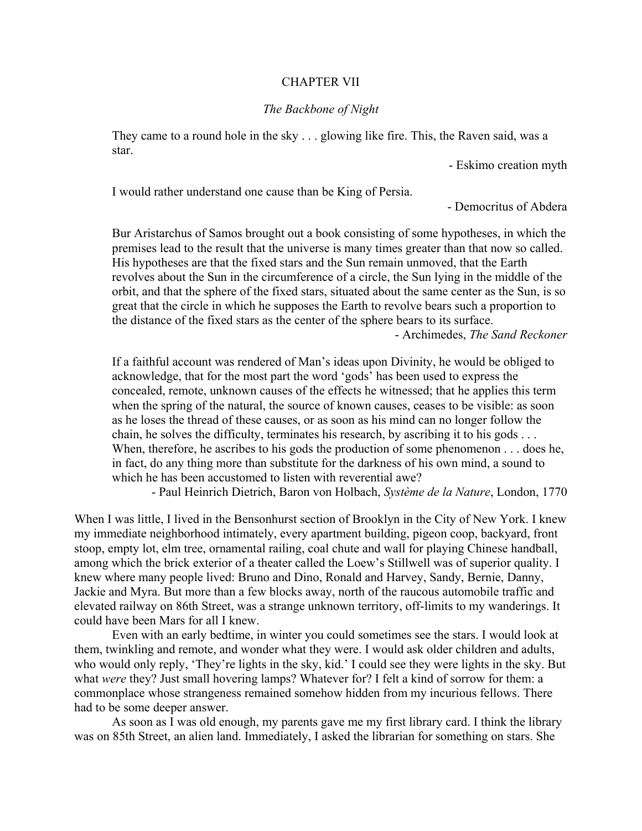### CHAPTER VII

#### *The Backbone of Night*

They came to a round hole in the sky . . . glowing like fire. This, the Raven said, was a star.

- Eskimo creation myth

I would rather understand one cause than be King of Persia.

- Democritus of Abdera

Bur Aristarchus of Samos brought out a book consisting of some hypotheses, in which the premises lead to the result that the universe is many times greater than that now so called. His hypotheses are that the fixed stars and the Sun remain unmoved, that the Earth revolves about the Sun in the circumference of a circle, the Sun lying in the middle of the orbit, and that the sphere of the fixed stars, situated about the same center as the Sun, is so great that the circle in which he supposes the Earth to revolve bears such a proportion to the distance of the fixed stars as the center of the sphere bears to its surface.

- Archimedes, *The Sand Reckoner*

If a faithful account was rendered of Man's ideas upon Divinity, he would be obliged to acknowledge, that for the most part the word 'gods' has been used to express the concealed, remote, unknown causes of the effects he witnessed; that he applies this term when the spring of the natural, the source of known causes, ceases to be visible: as soon as he loses the thread of these causes, or as soon as his mind can no longer follow the chain, he solves the difficulty, terminates his research, by ascribing it to his gods . . . When, therefore, he ascribes to his gods the production of some phenomenon . . . does he, in fact, do any thing more than substitute for the darkness of his own mind, a sound to which he has been accustomed to listen with reverential awe?

- Paul Heinrich Dietrich, Baron von Holbach, *Système de la Nature*, London, 1770

When I was little, I lived in the Bensonhurst section of Brooklyn in the City of New York. I knew my immediate neighborhood intimately, every apartment building, pigeon coop, backyard, front stoop, empty lot, elm tree, ornamental railing, coal chute and wall for playing Chinese handball, among which the brick exterior of a theater called the Loew's Stillwell was of superior quality. I knew where many people lived: Bruno and Dino, Ronald and Harvey, Sandy, Bernie, Danny, Jackie and Myra. But more than a few blocks away, north of the raucous automobile traffic and elevated railway on 86th Street, was a strange unknown territory, off-limits to my wanderings. It could have been Mars for all I knew.

Even with an early bedtime, in winter you could sometimes see the stars. I would look at them, twinkling and remote, and wonder what they were. I would ask older children and adults, who would only reply, 'They're lights in the sky, kid.' I could see they were lights in the sky. But what *were* they? Just small hovering lamps? Whatever for? I felt a kind of sorrow for them: a commonplace whose strangeness remained somehow hidden from my incurious fellows. There had to be some deeper answer.

As soon as I was old enough, my parents gave me my first library card. I think the library was on 85th Street, an alien land. Immediately, I asked the librarian for something on stars. She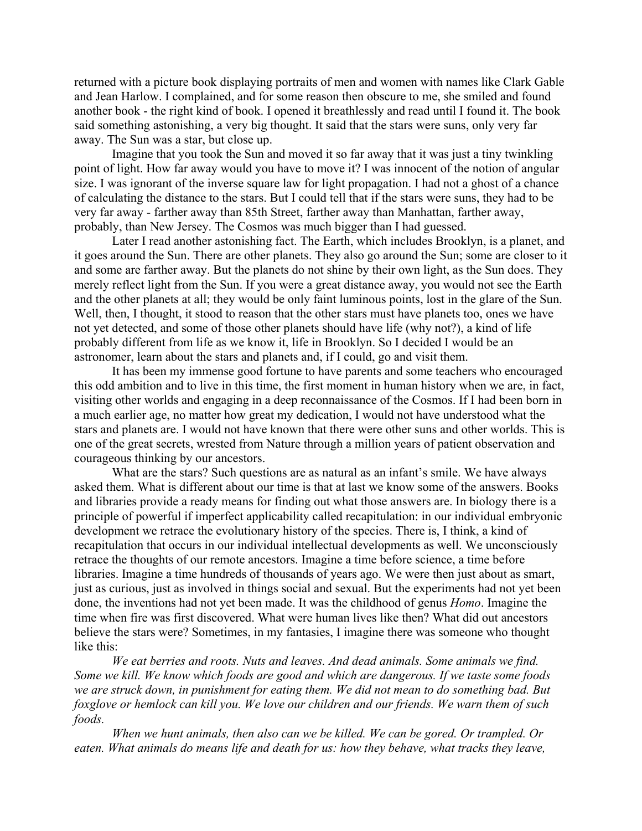returned with a picture book displaying portraits of men and women with names like Clark Gable and Jean Harlow. I complained, and for some reason then obscure to me, she smiled and found another book - the right kind of book. I opened it breathlessly and read until I found it. The book said something astonishing, a very big thought. It said that the stars were suns, only very far away. The Sun was a star, but close up.

Imagine that you took the Sun and moved it so far away that it was just a tiny twinkling point of light. How far away would you have to move it? I was innocent of the notion of angular size. I was ignorant of the inverse square law for light propagation. I had not a ghost of a chance of calculating the distance to the stars. But I could tell that if the stars were suns, they had to be very far away - farther away than 85th Street, farther away than Manhattan, farther away, probably, than New Jersey. The Cosmos was much bigger than I had guessed.

Later I read another astonishing fact. The Earth, which includes Brooklyn, is a planet, and it goes around the Sun. There are other planets. They also go around the Sun; some are closer to it and some are farther away. But the planets do not shine by their own light, as the Sun does. They merely reflect light from the Sun. If you were a great distance away, you would not see the Earth and the other planets at all; they would be only faint luminous points, lost in the glare of the Sun. Well, then, I thought, it stood to reason that the other stars must have planets too, ones we have not yet detected, and some of those other planets should have life (why not?), a kind of life probably different from life as we know it, life in Brooklyn. So I decided I would be an astronomer, learn about the stars and planets and, if I could, go and visit them.

It has been my immense good fortune to have parents and some teachers who encouraged this odd ambition and to live in this time, the first moment in human history when we are, in fact, visiting other worlds and engaging in a deep reconnaissance of the Cosmos. If I had been born in a much earlier age, no matter how great my dedication, I would not have understood what the stars and planets are. I would not have known that there were other suns and other worlds. This is one of the great secrets, wrested from Nature through a million years of patient observation and courageous thinking by our ancestors.

What are the stars? Such questions are as natural as an infant's smile. We have always asked them. What is different about our time is that at last we know some of the answers. Books and libraries provide a ready means for finding out what those answers are. In biology there is a principle of powerful if imperfect applicability called recapitulation: in our individual embryonic development we retrace the evolutionary history of the species. There is, I think, a kind of recapitulation that occurs in our individual intellectual developments as well. We unconsciously retrace the thoughts of our remote ancestors. Imagine a time before science, a time before libraries. Imagine a time hundreds of thousands of years ago. We were then just about as smart, just as curious, just as involved in things social and sexual. But the experiments had not yet been done, the inventions had not yet been made. It was the childhood of genus *Homo*. Imagine the time when fire was first discovered. What were human lives like then? What did out ancestors believe the stars were? Sometimes, in my fantasies, I imagine there was someone who thought like this:

*We eat berries and roots. Nuts and leaves. And dead animals. Some animals we find. Some we kill. We know which foods are good and which are dangerous. If we taste some foods we are struck down, in punishment for eating them. We did not mean to do something bad. But foxglove or hemlock can kill you. We love our children and our friends. We warn them of such foods.*

*When we hunt animals, then also can we be killed. We can be gored. Or trampled. Or eaten. What animals do means life and death for us: how they behave, what tracks they leave,*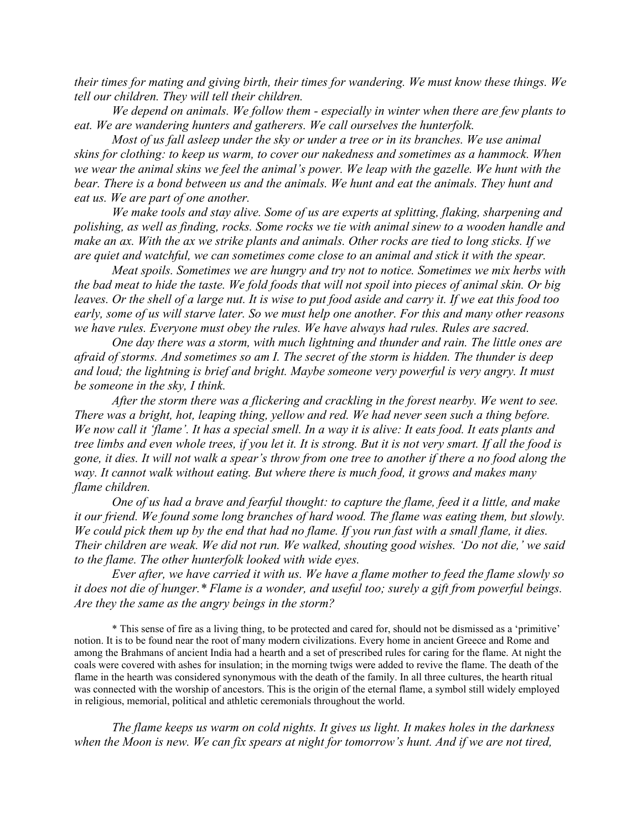*their times for mating and giving birth, their times for wandering. We must know these things. We tell our children. They will tell their children.*

*We depend on animals. We follow them - especially in winter when there are few plants to eat. We are wandering hunters and gatherers. We call ourselves the hunterfolk.*

*Most of us fall asleep under the sky or under a tree or in its branches. We use animal skins for clothing: to keep us warm, to cover our nakedness and sometimes as a hammock. When we wear the animal skins we feel the animal's power. We leap with the gazelle. We hunt with the bear. There is a bond between us and the animals. We hunt and eat the animals. They hunt and eat us. We are part of one another.*

*We make tools and stay alive. Some of us are experts at splitting, flaking, sharpening and polishing, as well as finding, rocks. Some rocks we tie with animal sinew to a wooden handle and make an ax. With the ax we strike plants and animals. Other rocks are tied to long sticks. If we are quiet and watchful, we can sometimes come close to an animal and stick it with the spear.*

*Meat spoils. Sometimes we are hungry and try not to notice. Sometimes we mix herbs with the bad meat to hide the taste. We fold foods that will not spoil into pieces of animal skin. Or big leaves. Or the shell of a large nut. It is wise to put food aside and carry it. If we eat this food too early, some of us will starve later. So we must help one another. For this and many other reasons we have rules. Everyone must obey the rules. We have always had rules. Rules are sacred.*

*One day there was a storm, with much lightning and thunder and rain. The little ones are afraid of storms. And sometimes so am I. The secret of the storm is hidden. The thunder is deep and loud; the lightning is brief and bright. Maybe someone very powerful is very angry. It must be someone in the sky, I think.*

*After the storm there was a flickering and crackling in the forest nearby. We went to see. There was a bright, hot, leaping thing, yellow and red. We had never seen such a thing before. We now call it 'flame'. It has a special smell. In a way it is alive: It eats food. It eats plants and tree limbs and even whole trees, if you let it. It is strong. But it is not very smart. If all the food is gone, it dies. It will not walk a spear's throw from one tree to another if there a no food along the way. It cannot walk without eating. But where there is much food, it grows and makes many flame children.*

*One of us had a brave and fearful thought: to capture the flame, feed it a little, and make it our friend. We found some long branches of hard wood. The flame was eating them, but slowly. We could pick them up by the end that had no flame. If you run fast with a small flame, it dies. Their children are weak. We did not run. We walked, shouting good wishes. 'Do not die,' we said to the flame. The other hunterfolk looked with wide eyes.*

*Ever after, we have carried it with us. We have a flame mother to feed the flame slowly so it does not die of hunger.\* Flame is a wonder, and useful too; surely a gift from powerful beings. Are they the same as the angry beings in the storm?*

\* This sense of fire as a living thing, to be protected and cared for, should not be dismissed as a 'primitive' notion. It is to be found near the root of many modern civilizations. Every home in ancient Greece and Rome and among the Brahmans of ancient India had a hearth and a set of prescribed rules for caring for the flame. At night the coals were covered with ashes for insulation; in the morning twigs were added to revive the flame. The death of the flame in the hearth was considered synonymous with the death of the family. In all three cultures, the hearth ritual was connected with the worship of ancestors. This is the origin of the eternal flame, a symbol still widely employed in religious, memorial, political and athletic ceremonials throughout the world.

*The flame keeps us warm on cold nights. It gives us light. It makes holes in the darkness when the Moon is new. We can fix spears at night for tomorrow's hunt. And if we are not tired,*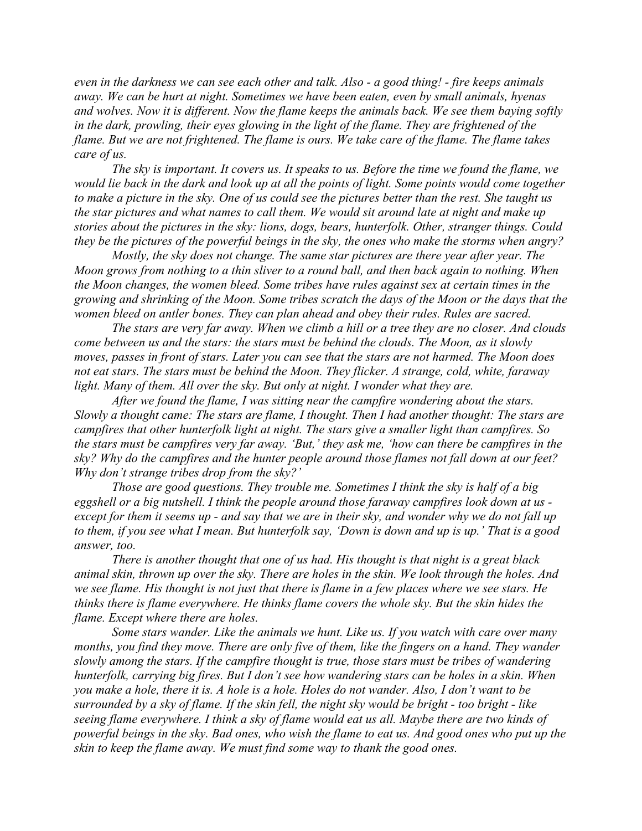*even in the darkness we can see each other and talk. Also - a good thing! - fire keeps animals away. We can be hurt at night. Sometimes we have been eaten, even by small animals, hyenas and wolves. Now it is different. Now the flame keeps the animals back. We see them baying softly in the dark, prowling, their eyes glowing in the light of the flame. They are frightened of the flame. But we are not frightened. The flame is ours. We take care of the flame. The flame takes care of us.*

*The sky is important. It covers us. It speaks to us. Before the time we found the flame, we would lie back in the dark and look up at all the points of light. Some points would come together to make a picture in the sky. One of us could see the pictures better than the rest. She taught us the star pictures and what names to call them. We would sit around late at night and make up stories about the pictures in the sky: lions, dogs, bears, hunterfolk. Other, stranger things. Could they be the pictures of the powerful beings in the sky, the ones who make the storms when angry?*

*Mostly, the sky does not change. The same star pictures are there year after year. The Moon grows from nothing to a thin sliver to a round ball, and then back again to nothing. When the Moon changes, the women bleed. Some tribes have rules against sex at certain times in the growing and shrinking of the Moon. Some tribes scratch the days of the Moon or the days that the women bleed on antler bones. They can plan ahead and obey their rules. Rules are sacred.*

*The stars are very far away. When we climb a hill or a tree they are no closer. And clouds come between us and the stars: the stars must be behind the clouds. The Moon, as it slowly moves, passes in front of stars. Later you can see that the stars are not harmed. The Moon does not eat stars. The stars must be behind the Moon. They flicker. A strange, cold, white, faraway light. Many of them. All over the sky. But only at night. I wonder what they are.*

*After we found the flame, I was sitting near the campfire wondering about the stars. Slowly a thought came: The stars are flame, I thought. Then I had another thought: The stars are campfires that other hunterfolk light at night. The stars give a smaller light than campfires. So the stars must be campfires very far away. 'But,' they ask me, 'how can there be campfires in the sky? Why do the campfires and the hunter people around those flames not fall down at our feet? Why don't strange tribes drop from the sky?'*

*Those are good questions. They trouble me. Sometimes I think the sky is half of a big eggshell or a big nutshell. I think the people around those faraway campfires look down at us except for them it seems up - and say that we are in their sky, and wonder why we do not fall up to them, if you see what I mean. But hunterfolk say, 'Down is down and up is up.' That is a good answer, too.*

*There is another thought that one of us had. His thought is that night is a great black animal skin, thrown up over the sky. There are holes in the skin. We look through the holes. And we see flame. His thought is not just that there is flame in a few places where we see stars. He thinks there is flame everywhere. He thinks flame covers the whole sky. But the skin hides the flame. Except where there are holes.*

*Some stars wander. Like the animals we hunt. Like us. If you watch with care over many months, you find they move. There are only five of them, like the fingers on a hand. They wander slowly among the stars. If the campfire thought is true, those stars must be tribes of wandering hunterfolk, carrying big fires. But I don't see how wandering stars can be holes in a skin. When you make a hole, there it is. A hole is a hole. Holes do not wander. Also, I don't want to be surrounded by a sky of flame. If the skin fell, the night sky would be bright - too bright - like seeing flame everywhere. I think a sky of flame would eat us all. Maybe there are two kinds of powerful beings in the sky. Bad ones, who wish the flame to eat us. And good ones who put up the skin to keep the flame away. We must find some way to thank the good ones.*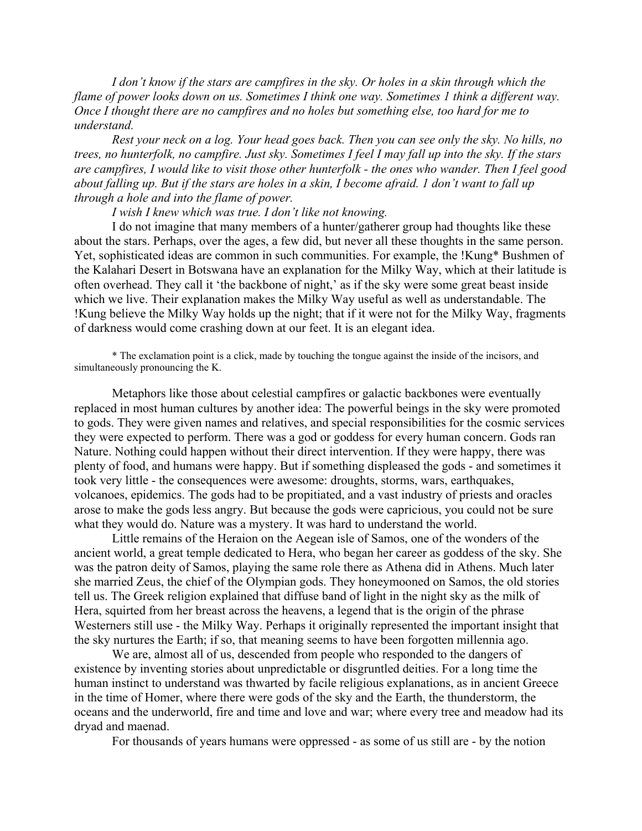*I don't know if the stars are campfires in the sky. Or holes in a skin through which the flame of power looks down on us. Sometimes I think one way. Sometimes 1 think a different way. Once I thought there are no campfires and no holes but something else, too hard for me to understand.*

*Rest your neck on a log. Your head goes back. Then you can see only the sky. No hills, no trees, no hunterfolk, no campfire. Just sky. Sometimes I feel I may fall up into the sky. If the stars are campfires, I would like to visit those other hunterfolk - the ones who wander. Then I feel good about falling up. But if the stars are holes in a skin, I become afraid. 1 don't want to fall up through a hole and into the flame of power.*

# *I wish I knew which was true. I don't like not knowing.*

I do not imagine that many members of a hunter/gatherer group had thoughts like these about the stars. Perhaps, over the ages, a few did, but never all these thoughts in the same person. Yet, sophisticated ideas are common in such communities. For example, the !Kung\* Bushmen of the Kalahari Desert in Botswana have an explanation for the Milky Way, which at their latitude is often overhead. They call it 'the backbone of night,' as if the sky were some great beast inside which we live. Their explanation makes the Milky Way useful as well as understandable. The !Kung believe the Milky Way holds up the night; that if it were not for the Milky Way, fragments of darkness would come crashing down at our feet. It is an elegant idea.

\* The exclamation point is a click, made by touching the tongue against the inside of the incisors, and simultaneously pronouncing the K.

Metaphors like those about celestial campfires or galactic backbones were eventually replaced in most human cultures by another idea: The powerful beings in the sky were promoted to gods. They were given names and relatives, and special responsibilities for the cosmic services they were expected to perform. There was a god or goddess for every human concern. Gods ran Nature. Nothing could happen without their direct intervention. If they were happy, there was plenty of food, and humans were happy. But if something displeased the gods - and sometimes it took very little - the consequences were awesome: droughts, storms, wars, earthquakes, volcanoes, epidemics. The gods had to be propitiated, and a vast industry of priests and oracles arose to make the gods less angry. But because the gods were capricious, you could not be sure what they would do. Nature was a mystery. It was hard to understand the world.

Little remains of the Heraion on the Aegean isle of Samos, one of the wonders of the ancient world, a great temple dedicated to Hera, who began her career as goddess of the sky. She was the patron deity of Samos, playing the same role there as Athena did in Athens. Much later she married Zeus, the chief of the Olympian gods. They honeymooned on Samos, the old stories tell us. The Greek religion explained that diffuse band of light in the night sky as the milk of Hera, squirted from her breast across the heavens, a legend that is the origin of the phrase Westerners still use - the Milky Way. Perhaps it originally represented the important insight that the sky nurtures the Earth; if so, that meaning seems to have been forgotten millennia ago.

We are, almost all of us, descended from people who responded to the dangers of existence by inventing stories about unpredictable or disgruntled deities. For a long time the human instinct to understand was thwarted by facile religious explanations, as in ancient Greece in the time of Homer, where there were gods of the sky and the Earth, the thunderstorm, the oceans and the underworld, fire and time and love and war; where every tree and meadow had its dryad and maenad.

For thousands of years humans were oppressed - as some of us still are - by the notion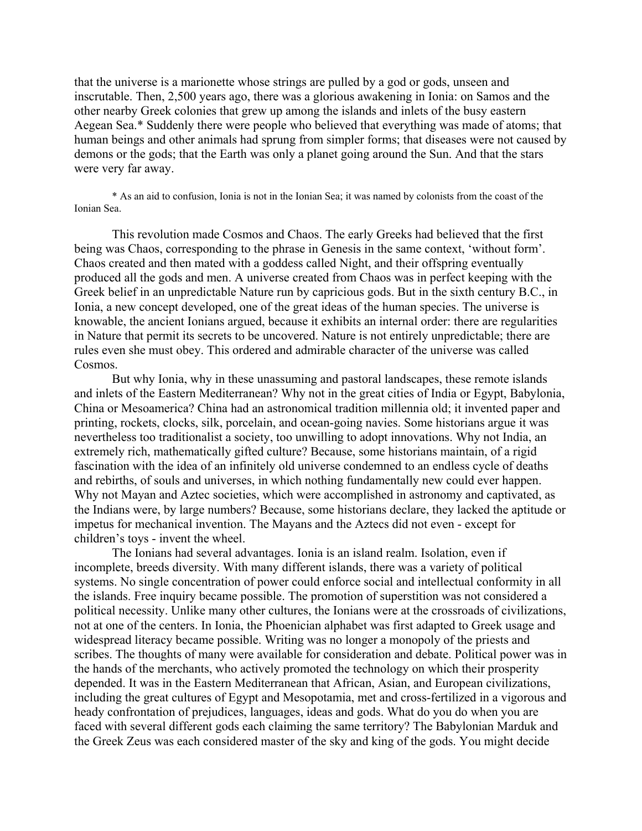that the universe is a marionette whose strings are pulled by a god or gods, unseen and inscrutable. Then, 2,500 years ago, there was a glorious awakening in Ionia: on Samos and the other nearby Greek colonies that grew up among the islands and inlets of the busy eastern Aegean Sea.\* Suddenly there were people who believed that everything was made of atoms; that human beings and other animals had sprung from simpler forms; that diseases were not caused by demons or the gods; that the Earth was only a planet going around the Sun. And that the stars were very far away.

\* As an aid to confusion, Ionia is not in the Ionian Sea; it was named by colonists from the coast of the Ionian Sea.

This revolution made Cosmos and Chaos. The early Greeks had believed that the first being was Chaos, corresponding to the phrase in Genesis in the same context, 'without form'. Chaos created and then mated with a goddess called Night, and their offspring eventually produced all the gods and men. A universe created from Chaos was in perfect keeping with the Greek belief in an unpredictable Nature run by capricious gods. But in the sixth century B.C., in Ionia, a new concept developed, one of the great ideas of the human species. The universe is knowable, the ancient Ionians argued, because it exhibits an internal order: there are regularities in Nature that permit its secrets to be uncovered. Nature is not entirely unpredictable; there are rules even she must obey. This ordered and admirable character of the universe was called Cosmos.

But why Ionia, why in these unassuming and pastoral landscapes, these remote islands and inlets of the Eastern Mediterranean? Why not in the great cities of India or Egypt, Babylonia, China or Mesoamerica? China had an astronomical tradition millennia old; it invented paper and printing, rockets, clocks, silk, porcelain, and ocean-going navies. Some historians argue it was nevertheless too traditionalist a society, too unwilling to adopt innovations. Why not India, an extremely rich, mathematically gifted culture? Because, some historians maintain, of a rigid fascination with the idea of an infinitely old universe condemned to an endless cycle of deaths and rebirths, of souls and universes, in which nothing fundamentally new could ever happen. Why not Mayan and Aztec societies, which were accomplished in astronomy and captivated, as the Indians were, by large numbers? Because, some historians declare, they lacked the aptitude or impetus for mechanical invention. The Mayans and the Aztecs did not even - except for children's toys - invent the wheel.

The Ionians had several advantages. Ionia is an island realm. Isolation, even if incomplete, breeds diversity. With many different islands, there was a variety of political systems. No single concentration of power could enforce social and intellectual conformity in all the islands. Free inquiry became possible. The promotion of superstition was not considered a political necessity. Unlike many other cultures, the Ionians were at the crossroads of civilizations, not at one of the centers. In Ionia, the Phoenician alphabet was first adapted to Greek usage and widespread literacy became possible. Writing was no longer a monopoly of the priests and scribes. The thoughts of many were available for consideration and debate. Political power was in the hands of the merchants, who actively promoted the technology on which their prosperity depended. It was in the Eastern Mediterranean that African, Asian, and European civilizations, including the great cultures of Egypt and Mesopotamia, met and cross-fertilized in a vigorous and heady confrontation of prejudices, languages, ideas and gods. What do you do when you are faced with several different gods each claiming the same territory? The Babylonian Marduk and the Greek Zeus was each considered master of the sky and king of the gods. You might decide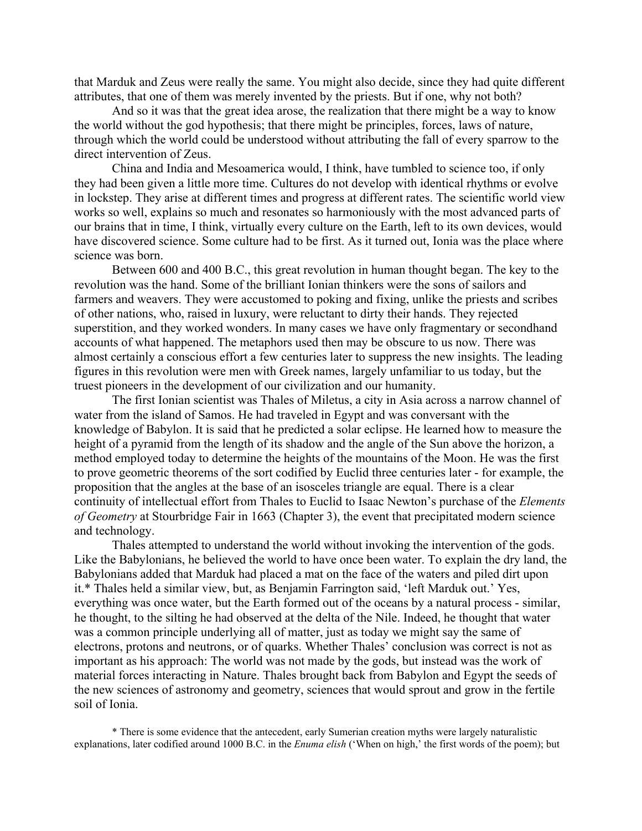that Marduk and Zeus were really the same. You might also decide, since they had quite different attributes, that one of them was merely invented by the priests. But if one, why not both?

And so it was that the great idea arose, the realization that there might be a way to know the world without the god hypothesis; that there might be principles, forces, laws of nature, through which the world could be understood without attributing the fall of every sparrow to the direct intervention of Zeus.

China and India and Mesoamerica would, I think, have tumbled to science too, if only they had been given a little more time. Cultures do not develop with identical rhythms or evolve in lockstep. They arise at different times and progress at different rates. The scientific world view works so well, explains so much and resonates so harmoniously with the most advanced parts of our brains that in time, I think, virtually every culture on the Earth, left to its own devices, would have discovered science. Some culture had to be first. As it turned out, Ionia was the place where science was born.

Between 600 and 400 B.C., this great revolution in human thought began. The key to the revolution was the hand. Some of the brilliant Ionian thinkers were the sons of sailors and farmers and weavers. They were accustomed to poking and fixing, unlike the priests and scribes of other nations, who, raised in luxury, were reluctant to dirty their hands. They rejected superstition, and they worked wonders. In many cases we have only fragmentary or secondhand accounts of what happened. The metaphors used then may be obscure to us now. There was almost certainly a conscious effort a few centuries later to suppress the new insights. The leading figures in this revolution were men with Greek names, largely unfamiliar to us today, but the truest pioneers in the development of our civilization and our humanity.

The first Ionian scientist was Thales of Miletus, a city in Asia across a narrow channel of water from the island of Samos. He had traveled in Egypt and was conversant with the knowledge of Babylon. It is said that he predicted a solar eclipse. He learned how to measure the height of a pyramid from the length of its shadow and the angle of the Sun above the horizon, a method employed today to determine the heights of the mountains of the Moon. He was the first to prove geometric theorems of the sort codified by Euclid three centuries later - for example, the proposition that the angles at the base of an isosceles triangle are equal. There is a clear continuity of intellectual effort from Thales to Euclid to Isaac Newton's purchase of the *Elements of Geometry* at Stourbridge Fair in 1663 (Chapter 3), the event that precipitated modern science and technology.

Thales attempted to understand the world without invoking the intervention of the gods. Like the Babylonians, he believed the world to have once been water. To explain the dry land, the Babylonians added that Marduk had placed a mat on the face of the waters and piled dirt upon it.\* Thales held a similar view, but, as Benjamin Farrington said, 'left Marduk out.' Yes, everything was once water, but the Earth formed out of the oceans by a natural process - similar, he thought, to the silting he had observed at the delta of the Nile. Indeed, he thought that water was a common principle underlying all of matter, just as today we might say the same of electrons, protons and neutrons, or of quarks. Whether Thales' conclusion was correct is not as important as his approach: The world was not made by the gods, but instead was the work of material forces interacting in Nature. Thales brought back from Babylon and Egypt the seeds of the new sciences of astronomy and geometry, sciences that would sprout and grow in the fertile soil of Ionia.

 \* There is some evidence that the antecedent, early Sumerian creation myths were largely naturalistic explanations, later codified around 1000 B.C. in the *Enuma elish* ('When on high,' the first words of the poem); but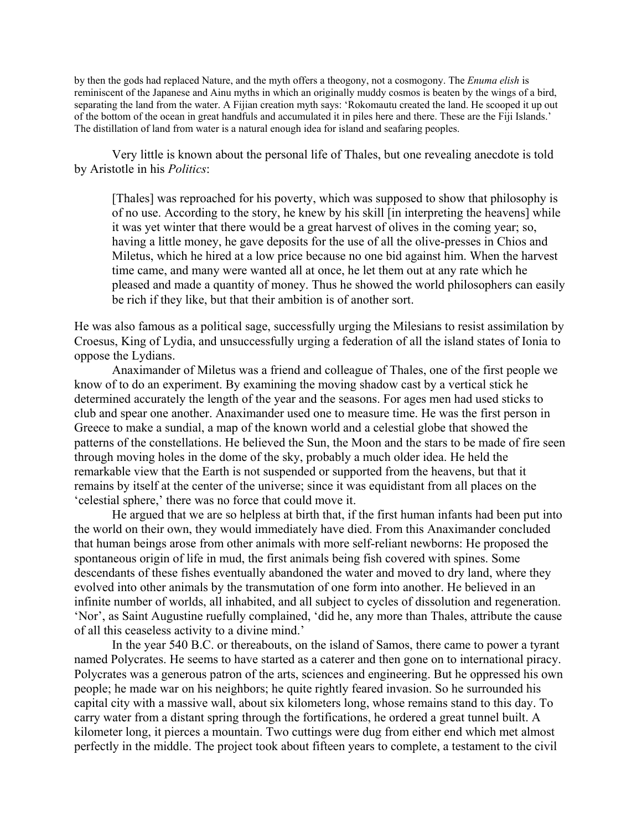by then the gods had replaced Nature, and the myth offers a theogony, not a cosmogony. The *Enuma elish* is reminiscent of the Japanese and Ainu myths in which an originally muddy cosmos is beaten by the wings of a bird, separating the land from the water. A Fijian creation myth says: 'Rokomautu created the land. He scooped it up out of the bottom of the ocean in great handfuls and accumulated it in piles here and there. These are the Fiji Islands.' The distillation of land from water is a natural enough idea for island and seafaring peoples.

Very little is known about the personal life of Thales, but one revealing anecdote is told by Aristotle in his *Politics*:

[Thales] was reproached for his poverty, which was supposed to show that philosophy is of no use. According to the story, he knew by his skill [in interpreting the heavens] while it was yet winter that there would be a great harvest of olives in the coming year; so, having a little money, he gave deposits for the use of all the olive-presses in Chios and Miletus, which he hired at a low price because no one bid against him. When the harvest time came, and many were wanted all at once, he let them out at any rate which he pleased and made a quantity of money. Thus he showed the world philosophers can easily be rich if they like, but that their ambition is of another sort.

He was also famous as a political sage, successfully urging the Milesians to resist assimilation by Croesus, King of Lydia, and unsuccessfully urging a federation of all the island states of Ionia to oppose the Lydians.

Anaximander of Miletus was a friend and colleague of Thales, one of the first people we know of to do an experiment. By examining the moving shadow cast by a vertical stick he determined accurately the length of the year and the seasons. For ages men had used sticks to club and spear one another. Anaximander used one to measure time. He was the first person in Greece to make a sundial, a map of the known world and a celestial globe that showed the patterns of the constellations. He believed the Sun, the Moon and the stars to be made of fire seen through moving holes in the dome of the sky, probably a much older idea. He held the remarkable view that the Earth is not suspended or supported from the heavens, but that it remains by itself at the center of the universe; since it was equidistant from all places on the 'celestial sphere,' there was no force that could move it.

He argued that we are so helpless at birth that, if the first human infants had been put into the world on their own, they would immediately have died. From this Anaximander concluded that human beings arose from other animals with more self-reliant newborns: He proposed the spontaneous origin of life in mud, the first animals being fish covered with spines. Some descendants of these fishes eventually abandoned the water and moved to dry land, where they evolved into other animals by the transmutation of one form into another. He believed in an infinite number of worlds, all inhabited, and all subject to cycles of dissolution and regeneration. 'Nor', as Saint Augustine ruefully complained, 'did he, any more than Thales, attribute the cause of all this ceaseless activity to a divine mind.'

In the year 540 B.C. or thereabouts, on the island of Samos, there came to power a tyrant named Polycrates. He seems to have started as a caterer and then gone on to international piracy. Polycrates was a generous patron of the arts, sciences and engineering. But he oppressed his own people; he made war on his neighbors; he quite rightly feared invasion. So he surrounded his capital city with a massive wall, about six kilometers long, whose remains stand to this day. To carry water from a distant spring through the fortifications, he ordered a great tunnel built. A kilometer long, it pierces a mountain. Two cuttings were dug from either end which met almost perfectly in the middle. The project took about fifteen years to complete, a testament to the civil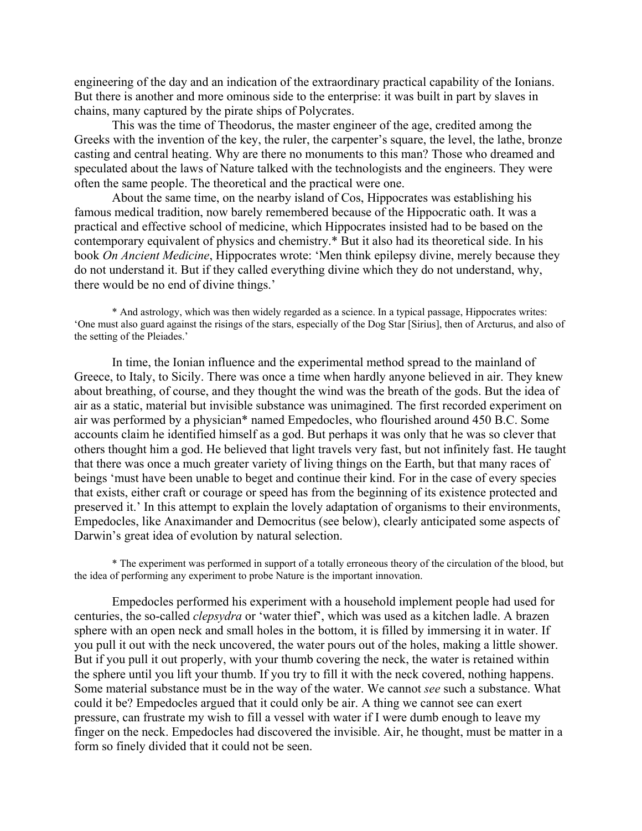engineering of the day and an indication of the extraordinary practical capability of the Ionians. But there is another and more ominous side to the enterprise: it was built in part by slaves in chains, many captured by the pirate ships of Polycrates.

This was the time of Theodorus, the master engineer of the age, credited among the Greeks with the invention of the key, the ruler, the carpenter's square, the level, the lathe, bronze casting and central heating. Why are there no monuments to this man? Those who dreamed and speculated about the laws of Nature talked with the technologists and the engineers. They were often the same people. The theoretical and the practical were one.

About the same time, on the nearby island of Cos, Hippocrates was establishing his famous medical tradition, now barely remembered because of the Hippocratic oath. It was a practical and effective school of medicine, which Hippocrates insisted had to be based on the contemporary equivalent of physics and chemistry.\* But it also had its theoretical side. In his book *On Ancient Medicine*, Hippocrates wrote: 'Men think epilepsy divine, merely because they do not understand it. But if they called everything divine which they do not understand, why, there would be no end of divine things.'

\* And astrology, which was then widely regarded as a science. In a typical passage, Hippocrates writes: 'One must also guard against the risings of the stars, especially of the Dog Star [Sirius], then of Arcturus, and also of the setting of the Pleiades.'

In time, the Ionian influence and the experimental method spread to the mainland of Greece, to Italy, to Sicily. There was once a time when hardly anyone believed in air. They knew about breathing, of course, and they thought the wind was the breath of the gods. But the idea of air as a static, material but invisible substance was unimagined. The first recorded experiment on air was performed by a physician\* named Empedocles, who flourished around 450 B.C. Some accounts claim he identified himself as a god. But perhaps it was only that he was so clever that others thought him a god. He believed that light travels very fast, but not infinitely fast. He taught that there was once a much greater variety of living things on the Earth, but that many races of beings 'must have been unable to beget and continue their kind. For in the case of every species that exists, either craft or courage or speed has from the beginning of its existence protected and preserved it.' In this attempt to explain the lovely adaptation of organisms to their environments, Empedocles, like Anaximander and Democritus (see below), clearly anticipated some aspects of Darwin's great idea of evolution by natural selection.

\* The experiment was performed in support of a totally erroneous theory of the circulation of the blood, but the idea of performing any experiment to probe Nature is the important innovation.

Empedocles performed his experiment with a household implement people had used for centuries, the so-called *clepsydra* or 'water thief', which was used as a kitchen ladle. A brazen sphere with an open neck and small holes in the bottom, it is filled by immersing it in water. If you pull it out with the neck uncovered, the water pours out of the holes, making a little shower. But if you pull it out properly, with your thumb covering the neck, the water is retained within the sphere until you lift your thumb. If you try to fill it with the neck covered, nothing happens. Some material substance must be in the way of the water. We cannot *see* such a substance. What could it be? Empedocles argued that it could only be air. A thing we cannot see can exert pressure, can frustrate my wish to fill a vessel with water if I were dumb enough to leave my finger on the neck. Empedocles had discovered the invisible. Air, he thought, must be matter in a form so finely divided that it could not be seen.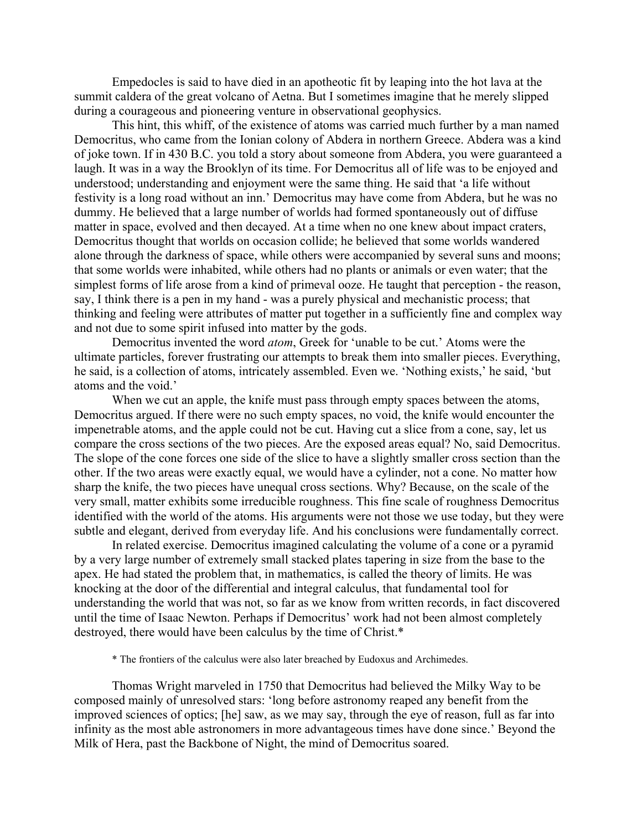Empedocles is said to have died in an apotheotic fit by leaping into the hot lava at the summit caldera of the great volcano of Aetna. But I sometimes imagine that he merely slipped during a courageous and pioneering venture in observational geophysics.

This hint, this whiff, of the existence of atoms was carried much further by a man named Democritus, who came from the Ionian colony of Abdera in northern Greece. Abdera was a kind of joke town. If in 430 B.C. you told a story about someone from Abdera, you were guaranteed a laugh. It was in a way the Brooklyn of its time. For Democritus all of life was to be enjoyed and understood; understanding and enjoyment were the same thing. He said that 'a life without festivity is a long road without an inn.' Democritus may have come from Abdera, but he was no dummy. He believed that a large number of worlds had formed spontaneously out of diffuse matter in space, evolved and then decayed. At a time when no one knew about impact craters, Democritus thought that worlds on occasion collide; he believed that some worlds wandered alone through the darkness of space, while others were accompanied by several suns and moons; that some worlds were inhabited, while others had no plants or animals or even water; that the simplest forms of life arose from a kind of primeval ooze. He taught that perception - the reason, say, I think there is a pen in my hand - was a purely physical and mechanistic process; that thinking and feeling were attributes of matter put together in a sufficiently fine and complex way and not due to some spirit infused into matter by the gods.

Democritus invented the word *atom*, Greek for 'unable to be cut.' Atoms were the ultimate particles, forever frustrating our attempts to break them into smaller pieces. Everything, he said, is a collection of atoms, intricately assembled. Even we. 'Nothing exists,' he said, 'but atoms and the void.'

When we cut an apple, the knife must pass through empty spaces between the atoms, Democritus argued. If there were no such empty spaces, no void, the knife would encounter the impenetrable atoms, and the apple could not be cut. Having cut a slice from a cone, say, let us compare the cross sections of the two pieces. Are the exposed areas equal? No, said Democritus. The slope of the cone forces one side of the slice to have a slightly smaller cross section than the other. If the two areas were exactly equal, we would have a cylinder, not a cone. No matter how sharp the knife, the two pieces have unequal cross sections. Why? Because, on the scale of the very small, matter exhibits some irreducible roughness. This fine scale of roughness Democritus identified with the world of the atoms. His arguments were not those we use today, but they were subtle and elegant, derived from everyday life. And his conclusions were fundamentally correct.

In related exercise. Democritus imagined calculating the volume of a cone or a pyramid by a very large number of extremely small stacked plates tapering in size from the base to the apex. He had stated the problem that, in mathematics, is called the theory of limits. He was knocking at the door of the differential and integral calculus, that fundamental tool for understanding the world that was not, so far as we know from written records, in fact discovered until the time of Isaac Newton. Perhaps if Democritus' work had not been almost completely destroyed, there would have been calculus by the time of Christ.\*

\* The frontiers of the calculus were also later breached by Eudoxus and Archimedes.

Thomas Wright marveled in 1750 that Democritus had believed the Milky Way to be composed mainly of unresolved stars: 'long before astronomy reaped any benefit from the improved sciences of optics; [he] saw, as we may say, through the eye of reason, full as far into infinity as the most able astronomers in more advantageous times have done since.' Beyond the Milk of Hera, past the Backbone of Night, the mind of Democritus soared.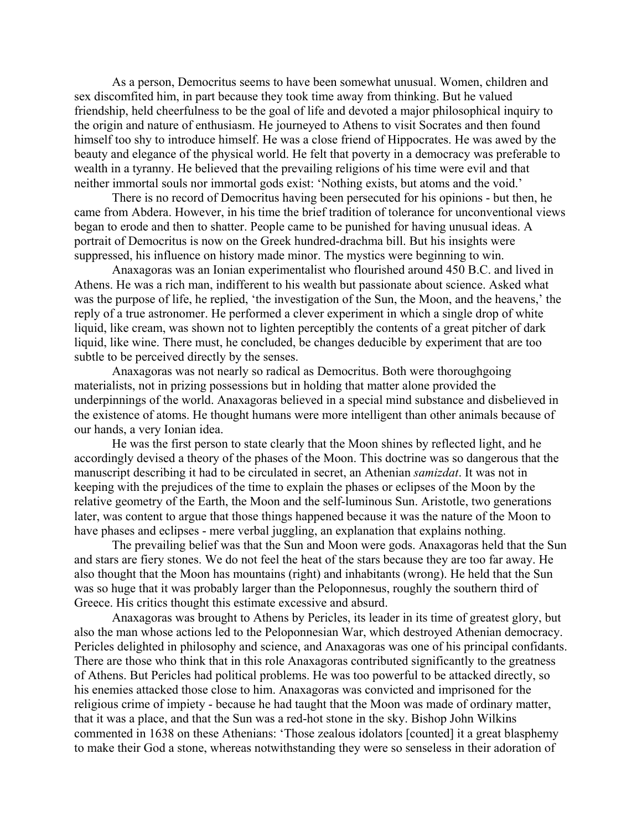As a person, Democritus seems to have been somewhat unusual. Women, children and sex discomfited him, in part because they took time away from thinking. But he valued friendship, held cheerfulness to be the goal of life and devoted a major philosophical inquiry to the origin and nature of enthusiasm. He journeyed to Athens to visit Socrates and then found himself too shy to introduce himself. He was a close friend of Hippocrates. He was awed by the beauty and elegance of the physical world. He felt that poverty in a democracy was preferable to wealth in a tyranny. He believed that the prevailing religions of his time were evil and that neither immortal souls nor immortal gods exist: 'Nothing exists, but atoms and the void.'

There is no record of Democritus having been persecuted for his opinions - but then, he came from Abdera. However, in his time the brief tradition of tolerance for unconventional views began to erode and then to shatter. People came to be punished for having unusual ideas. A portrait of Democritus is now on the Greek hundred-drachma bill. But his insights were suppressed, his influence on history made minor. The mystics were beginning to win.

Anaxagoras was an Ionian experimentalist who flourished around 450 B.C. and lived in Athens. He was a rich man, indifferent to his wealth but passionate about science. Asked what was the purpose of life, he replied, 'the investigation of the Sun, the Moon, and the heavens,' the reply of a true astronomer. He performed a clever experiment in which a single drop of white liquid, like cream, was shown not to lighten perceptibly the contents of a great pitcher of dark liquid, like wine. There must, he concluded, be changes deducible by experiment that are too subtle to be perceived directly by the senses.

Anaxagoras was not nearly so radical as Democritus. Both were thoroughgoing materialists, not in prizing possessions but in holding that matter alone provided the underpinnings of the world. Anaxagoras believed in a special mind substance and disbelieved in the existence of atoms. He thought humans were more intelligent than other animals because of our hands, a very Ionian idea.

He was the first person to state clearly that the Moon shines by reflected light, and he accordingly devised a theory of the phases of the Moon. This doctrine was so dangerous that the manuscript describing it had to be circulated in secret, an Athenian *samizdat*. It was not in keeping with the prejudices of the time to explain the phases or eclipses of the Moon by the relative geometry of the Earth, the Moon and the self-luminous Sun. Aristotle, two generations later, was content to argue that those things happened because it was the nature of the Moon to have phases and eclipses - mere verbal juggling, an explanation that explains nothing.

The prevailing belief was that the Sun and Moon were gods. Anaxagoras held that the Sun and stars are fiery stones. We do not feel the heat of the stars because they are too far away. He also thought that the Moon has mountains (right) and inhabitants (wrong). He held that the Sun was so huge that it was probably larger than the Peloponnesus, roughly the southern third of Greece. His critics thought this estimate excessive and absurd.

Anaxagoras was brought to Athens by Pericles, its leader in its time of greatest glory, but also the man whose actions led to the Peloponnesian War, which destroyed Athenian democracy. Pericles delighted in philosophy and science, and Anaxagoras was one of his principal confidants. There are those who think that in this role Anaxagoras contributed significantly to the greatness of Athens. But Pericles had political problems. He was too powerful to be attacked directly, so his enemies attacked those close to him. Anaxagoras was convicted and imprisoned for the religious crime of impiety - because he had taught that the Moon was made of ordinary matter, that it was a place, and that the Sun was a red-hot stone in the sky. Bishop John Wilkins commented in 1638 on these Athenians: 'Those zealous idolators [counted] it a great blasphemy to make their God a stone, whereas notwithstanding they were so senseless in their adoration of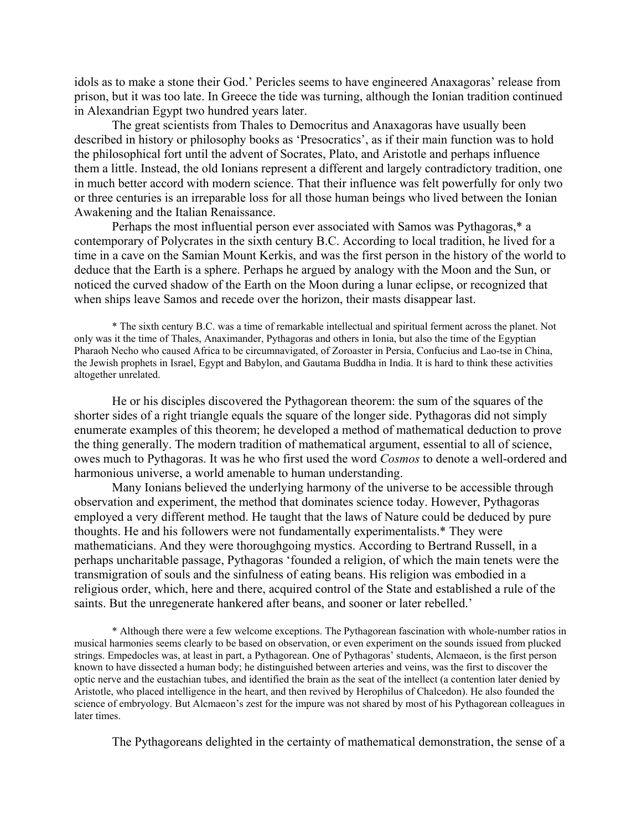idols as to make a stone their God.' Pericles seems to have engineered Anaxagoras' release from prison, but it was too late. In Greece the tide was turning, although the Ionian tradition continued in Alexandrian Egypt two hundred years later.

The great scientists from Thales to Democritus and Anaxagoras have usually been described in history or philosophy books as 'Presocratics', as if their main function was to hold the philosophical fort until the advent of Socrates, Plato, and Aristotle and perhaps influence them a little. Instead, the old Ionians represent a different and largely contradictory tradition, one in much better accord with modern science. That their influence was felt powerfully for only two or three centuries is an irreparable loss for all those human beings who lived between the Ionian Awakening and the Italian Renaissance.

Perhaps the most influential person ever associated with Samos was Pythagoras,\* a contemporary of Polycrates in the sixth century B.C. According to local tradition, he lived for a time in a cave on the Samian Mount Kerkis, and was the first person in the history of the world to deduce that the Earth is a sphere. Perhaps he argued by analogy with the Moon and the Sun, or noticed the curved shadow of the Earth on the Moon during a lunar eclipse, or recognized that when ships leave Samos and recede over the horizon, their masts disappear last.

\* The sixth century B.C. was a time of remarkable intellectual and spiritual ferment across the planet. Not only was it the time of Thales, Anaximander, Pythagoras and others in Ionia, but also the time of the Egyptian Pharaoh Necho who caused Africa to be circumnavigated, of Zoroaster in Persia, Confucius and Lao-tse in China, the Jewish prophets in Israel, Egypt and Babylon, and Gautama Buddha in India. It is hard to think these activities altogether unrelated.

He or his disciples discovered the Pythagorean theorem: the sum of the squares of the shorter sides of a right triangle equals the square of the longer side. Pythagoras did not simply enumerate examples of this theorem; he developed a method of mathematical deduction to prove the thing generally. The modern tradition of mathematical argument, essential to all of science, owes much to Pythagoras. It was he who first used the word *Cosmos* to denote a well-ordered and harmonious universe, a world amenable to human understanding.

Many Ionians believed the underlying harmony of the universe to be accessible through observation and experiment, the method that dominates science today. However, Pythagoras employed a very different method. He taught that the laws of Nature could be deduced by pure thoughts. He and his followers were not fundamentally experimentalists.\* They were mathematicians. And they were thoroughgoing mystics. According to Bertrand Russell, in a perhaps uncharitable passage, Pythagoras 'founded a religion, of which the main tenets were the transmigration of souls and the sinfulness of eating beans. His religion was embodied in a religious order, which, here and there, acquired control of the State and established a rule of the saints. But the unregenerate hankered after beans, and sooner or later rebelled.'

\* Although there were a few welcome exceptions. The Pythagorean fascination with whole-number ratios in musical harmonies seems clearly to be based on observation, or even experiment on the sounds issued from plucked strings. Empedocles was, at least in part, a Pythagorean. One of Pythagoras' students, Alcmaeon, is the first person known to have dissected a human body; he distinguished between arteries and veins, was the first to discover the optic nerve and the eustachian tubes, and identified the brain as the seat of the intellect (a contention later denied by Aristotle, who placed intelligence in the heart, and then revived by Herophilus of Chalcedon). He also founded the science of embryology. But Alcmaeon's zest for the impure was not shared by most of his Pythagorean colleagues in later times.

The Pythagoreans delighted in the certainty of mathematical demonstration, the sense of a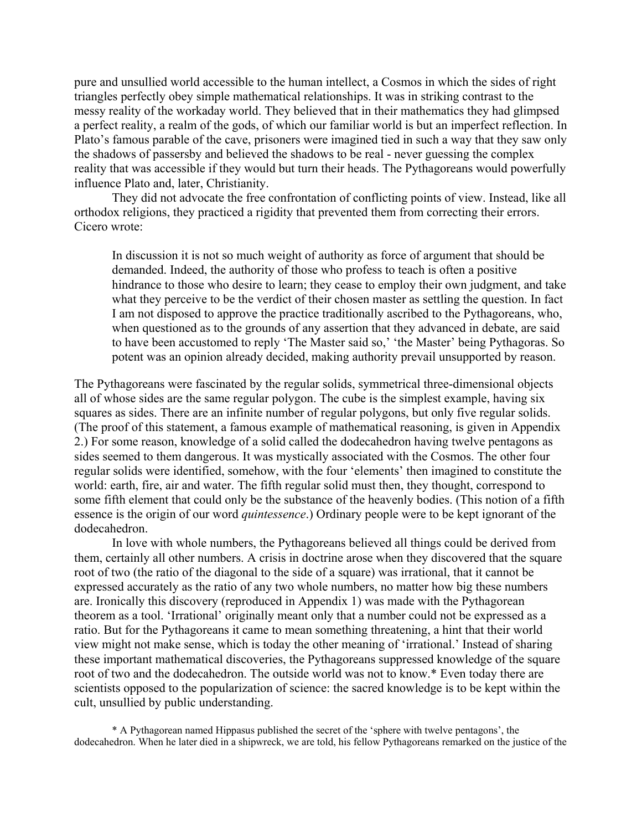pure and unsullied world accessible to the human intellect, a Cosmos in which the sides of right triangles perfectly obey simple mathematical relationships. It was in striking contrast to the messy reality of the workaday world. They believed that in their mathematics they had glimpsed a perfect reality, a realm of the gods, of which our familiar world is but an imperfect reflection. In Plato's famous parable of the cave, prisoners were imagined tied in such a way that they saw only the shadows of passersby and believed the shadows to be real - never guessing the complex reality that was accessible if they would but turn their heads. The Pythagoreans would powerfully influence Plato and, later, Christianity.

They did not advocate the free confrontation of conflicting points of view. Instead, like all orthodox religions, they practiced a rigidity that prevented them from correcting their errors. Cicero wrote:

In discussion it is not so much weight of authority as force of argument that should be demanded. Indeed, the authority of those who profess to teach is often a positive hindrance to those who desire to learn; they cease to employ their own judgment, and take what they perceive to be the verdict of their chosen master as settling the question. In fact I am not disposed to approve the practice traditionally ascribed to the Pythagoreans, who, when questioned as to the grounds of any assertion that they advanced in debate, are said to have been accustomed to reply 'The Master said so,' 'the Master' being Pythagoras. So potent was an opinion already decided, making authority prevail unsupported by reason.

The Pythagoreans were fascinated by the regular solids, symmetrical three-dimensional objects all of whose sides are the same regular polygon. The cube is the simplest example, having six squares as sides. There are an infinite number of regular polygons, but only five regular solids. (The proof of this statement, a famous example of mathematical reasoning, is given in Appendix 2.) For some reason, knowledge of a solid called the dodecahedron having twelve pentagons as sides seemed to them dangerous. It was mystically associated with the Cosmos. The other four regular solids were identified, somehow, with the four 'elements' then imagined to constitute the world: earth, fire, air and water. The fifth regular solid must then, they thought, correspond to some fifth element that could only be the substance of the heavenly bodies. (This notion of a fifth essence is the origin of our word *quintessence*.) Ordinary people were to be kept ignorant of the dodecahedron.

In love with whole numbers, the Pythagoreans believed all things could be derived from them, certainly all other numbers. A crisis in doctrine arose when they discovered that the square root of two (the ratio of the diagonal to the side of a square) was irrational, that it cannot be expressed accurately as the ratio of any two whole numbers, no matter how big these numbers are. Ironically this discovery (reproduced in Appendix 1) was made with the Pythagorean theorem as a tool. 'Irrational' originally meant only that a number could not be expressed as a ratio. But for the Pythagoreans it came to mean something threatening, a hint that their world view might not make sense, which is today the other meaning of 'irrational.' Instead of sharing these important mathematical discoveries, the Pythagoreans suppressed knowledge of the square root of two and the dodecahedron. The outside world was not to know.\* Even today there are scientists opposed to the popularization of science: the sacred knowledge is to be kept within the cult, unsullied by public understanding.

\* A Pythagorean named Hippasus published the secret of the 'sphere with twelve pentagons', the dodecahedron. When he later died in a shipwreck, we are told, his fellow Pythagoreans remarked on the justice of the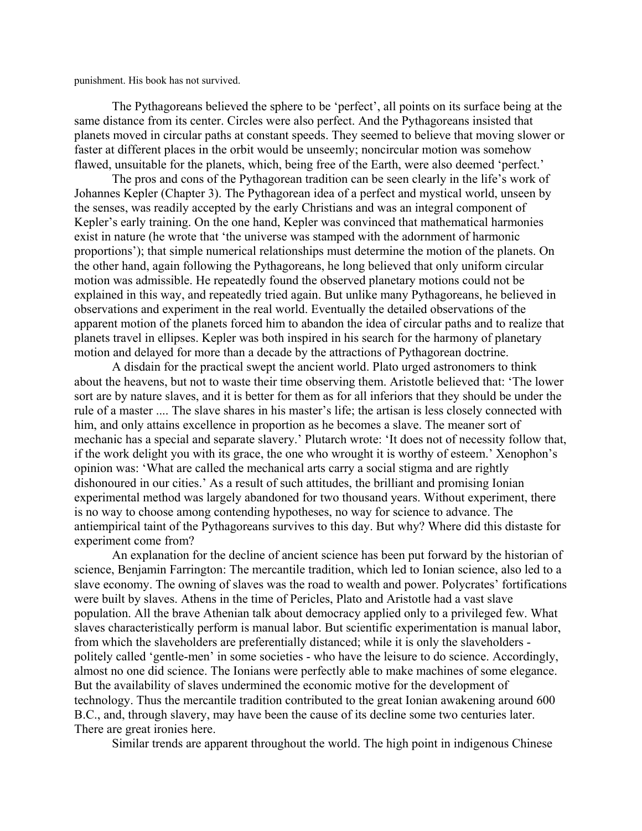punishment. His book has not survived.

The Pythagoreans believed the sphere to be 'perfect', all points on its surface being at the same distance from its center. Circles were also perfect. And the Pythagoreans insisted that planets moved in circular paths at constant speeds. They seemed to believe that moving slower or faster at different places in the orbit would be unseemly; noncircular motion was somehow flawed, unsuitable for the planets, which, being free of the Earth, were also deemed 'perfect.'

The pros and cons of the Pythagorean tradition can be seen clearly in the life's work of Johannes Kepler (Chapter 3). The Pythagorean idea of a perfect and mystical world, unseen by the senses, was readily accepted by the early Christians and was an integral component of Kepler's early training. On the one hand, Kepler was convinced that mathematical harmonies exist in nature (he wrote that 'the universe was stamped with the adornment of harmonic proportions'); that simple numerical relationships must determine the motion of the planets. On the other hand, again following the Pythagoreans, he long believed that only uniform circular motion was admissible. He repeatedly found the observed planetary motions could not be explained in this way, and repeatedly tried again. But unlike many Pythagoreans, he believed in observations and experiment in the real world. Eventually the detailed observations of the apparent motion of the planets forced him to abandon the idea of circular paths and to realize that planets travel in ellipses. Kepler was both inspired in his search for the harmony of planetary motion and delayed for more than a decade by the attractions of Pythagorean doctrine.

A disdain for the practical swept the ancient world. Plato urged astronomers to think about the heavens, but not to waste their time observing them. Aristotle believed that: 'The lower sort are by nature slaves, and it is better for them as for all inferiors that they should be under the rule of a master .... The slave shares in his master's life; the artisan is less closely connected with him, and only attains excellence in proportion as he becomes a slave. The meaner sort of mechanic has a special and separate slavery.' Plutarch wrote: 'It does not of necessity follow that, if the work delight you with its grace, the one who wrought it is worthy of esteem.' Xenophon's opinion was: 'What are called the mechanical arts carry a social stigma and are rightly dishonoured in our cities.' As a result of such attitudes, the brilliant and promising Ionian experimental method was largely abandoned for two thousand years. Without experiment, there is no way to choose among contending hypotheses, no way for science to advance. The antiempirical taint of the Pythagoreans survives to this day. But why? Where did this distaste for experiment come from?

An explanation for the decline of ancient science has been put forward by the historian of science, Benjamin Farrington: The mercantile tradition, which led to Ionian science, also led to a slave economy. The owning of slaves was the road to wealth and power. Polycrates' fortifications were built by slaves. Athens in the time of Pericles, Plato and Aristotle had a vast slave population. All the brave Athenian talk about democracy applied only to a privileged few. What slaves characteristically perform is manual labor. But scientific experimentation is manual labor, from which the slaveholders are preferentially distanced; while it is only the slaveholders politely called 'gentle-men' in some societies - who have the leisure to do science. Accordingly, almost no one did science. The Ionians were perfectly able to make machines of some elegance. But the availability of slaves undermined the economic motive for the development of technology. Thus the mercantile tradition contributed to the great Ionian awakening around 600 B.C., and, through slavery, may have been the cause of its decline some two centuries later. There are great ironies here.

Similar trends are apparent throughout the world. The high point in indigenous Chinese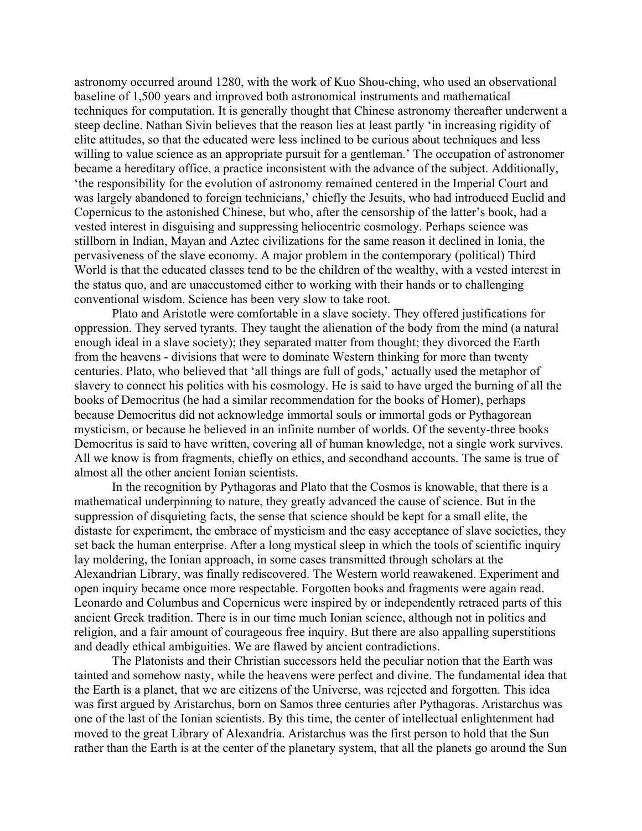astronomy occurred around 1280, with the work of Kuo Shou-ching, who used an observational baseline of 1,500 years and improved both astronomical instruments and mathematical techniques for computation. It is generally thought that Chinese astronomy thereafter underwent a steep decline. Nathan Sivin believes that the reason lies at least partly 'in increasing rigidity of elite attitudes, so that the educated were less inclined to be curious about techniques and less willing to value science as an appropriate pursuit for a gentleman.' The occupation of astronomer became a hereditary office, a practice inconsistent with the advance of the subject. Additionally, 'the responsibility for the evolution of astronomy remained centered in the Imperial Court and was largely abandoned to foreign technicians,' chiefly the Jesuits, who had introduced Euclid and Copernicus to the astonished Chinese, but who, after the censorship of the latter's book, had a vested interest in disguising and suppressing heliocentric cosmology. Perhaps science was stillborn in Indian, Mayan and Aztec civilizations for the same reason it declined in Ionia, the pervasiveness of the slave economy. A major problem in the contemporary (political) Third World is that the educated classes tend to be the children of the wealthy, with a vested interest in the status quo, and are unaccustomed either to working with their hands or to challenging conventional wisdom. Science has been very slow to take root.

Plato and Aristotle were comfortable in a slave society. They offered justifications for oppression. They served tyrants. They taught the alienation of the body from the mind (a natural enough ideal in a slave society); they separated matter from thought; they divorced the Earth from the heavens - divisions that were to dominate Western thinking for more than twenty centuries. Plato, who believed that 'all things are full of gods,' actually used the metaphor of slavery to connect his politics with his cosmology. He is said to have urged the burning of all the books of Democritus (he had a similar recommendation for the books of Homer), perhaps because Democritus did not acknowledge immortal souls or immortal gods or Pythagorean mysticism, or because he believed in an infinite number of worlds. Of the seventy-three books Democritus is said to have written, covering all of human knowledge, not a single work survives. All we know is from fragments, chiefly on ethics, and secondhand accounts. The same is true of almost all the other ancient Ionian scientists.

In the recognition by Pythagoras and Plato that the Cosmos is knowable, that there is a mathematical underpinning to nature, they greatly advanced the cause of science. But in the suppression of disquieting facts, the sense that science should be kept for a small elite, the distaste for experiment, the embrace of mysticism and the easy acceptance of slave societies, they set back the human enterprise. After a long mystical sleep in which the tools of scientific inquiry lay moldering, the Ionian approach, in some cases transmitted through scholars at the Alexandrian Library, was finally rediscovered. The Western world reawakened. Experiment and open inquiry became once more respectable. Forgotten books and fragments were again read. Leonardo and Columbus and Copernicus were inspired by or independently retraced parts of this ancient Greek tradition. There is in our time much Ionian science, although not in politics and religion, and a fair amount of courageous free inquiry. But there are also appalling superstitions and deadly ethical ambiguities. We are flawed by ancient contradictions.

The Platonists and their Christian successors held the peculiar notion that the Earth was tainted and somehow nasty, while the heavens were perfect and divine. The fundamental idea that the Earth is a planet, that we are citizens of the Universe, was rejected and forgotten. This idea was first argued by Aristarchus, born on Samos three centuries after Pythagoras. Aristarchus was one of the last of the Ionian scientists. By this time, the center of intellectual enlightenment had moved to the great Library of Alexandria. Aristarchus was the first person to hold that the Sun rather than the Earth is at the center of the planetary system, that all the planets go around the Sun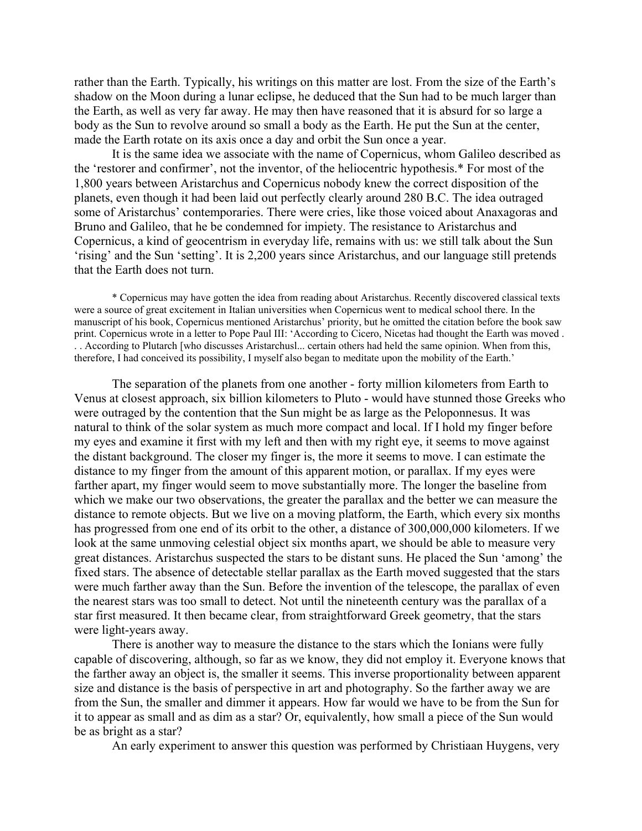rather than the Earth. Typically, his writings on this matter are lost. From the size of the Earth's shadow on the Moon during a lunar eclipse, he deduced that the Sun had to be much larger than the Earth, as well as very far away. He may then have reasoned that it is absurd for so large a body as the Sun to revolve around so small a body as the Earth. He put the Sun at the center, made the Earth rotate on its axis once a day and orbit the Sun once a year.

It is the same idea we associate with the name of Copernicus, whom Galileo described as the 'restorer and confirmer', not the inventor, of the heliocentric hypothesis.\* For most of the 1,800 years between Aristarchus and Copernicus nobody knew the correct disposition of the planets, even though it had been laid out perfectly clearly around 280 B.C. The idea outraged some of Aristarchus' contemporaries. There were cries, like those voiced about Anaxagoras and Bruno and Galileo, that he be condemned for impiety. The resistance to Aristarchus and Copernicus, a kind of geocentrism in everyday life, remains with us: we still talk about the Sun 'rising' and the Sun 'setting'. It is 2,200 years since Aristarchus, and our language still pretends that the Earth does not turn.

\* Copernicus may have gotten the idea from reading about Aristarchus. Recently discovered classical texts were a source of great excitement in Italian universities when Copernicus went to medical school there. In the manuscript of his book, Copernicus mentioned Aristarchus' priority, but he omitted the citation before the book saw print. Copernicus wrote in a letter to Pope Paul III: 'According to Cicero, Nicetas had thought the Earth was moved . . . According to Plutarch [who discusses Aristarchusl... certain others had held the same opinion. When from this, therefore, I had conceived its possibility, I myself also began to meditate upon the mobility of the Earth.'

The separation of the planets from one another - forty million kilometers from Earth to Venus at closest approach, six billion kilometers to Pluto - would have stunned those Greeks who were outraged by the contention that the Sun might be as large as the Peloponnesus. It was natural to think of the solar system as much more compact and local. If I hold my finger before my eyes and examine it first with my left and then with my right eye, it seems to move against the distant background. The closer my finger is, the more it seems to move. I can estimate the distance to my finger from the amount of this apparent motion, or parallax. If my eyes were farther apart, my finger would seem to move substantially more. The longer the baseline from which we make our two observations, the greater the parallax and the better we can measure the distance to remote objects. But we live on a moving platform, the Earth, which every six months has progressed from one end of its orbit to the other, a distance of 300,000,000 kilometers. If we look at the same unmoving celestial object six months apart, we should be able to measure very great distances. Aristarchus suspected the stars to be distant suns. He placed the Sun 'among' the fixed stars. The absence of detectable stellar parallax as the Earth moved suggested that the stars were much farther away than the Sun. Before the invention of the telescope, the parallax of even the nearest stars was too small to detect. Not until the nineteenth century was the parallax of a star first measured. It then became clear, from straightforward Greek geometry, that the stars were light-years away.

There is another way to measure the distance to the stars which the Ionians were fully capable of discovering, although, so far as we know, they did not employ it. Everyone knows that the farther away an object is, the smaller it seems. This inverse proportionality between apparent size and distance is the basis of perspective in art and photography. So the farther away we are from the Sun, the smaller and dimmer it appears. How far would we have to be from the Sun for it to appear as small and as dim as a star? Or, equivalently, how small a piece of the Sun would be as bright as a star?

An early experiment to answer this question was performed by Christiaan Huygens, very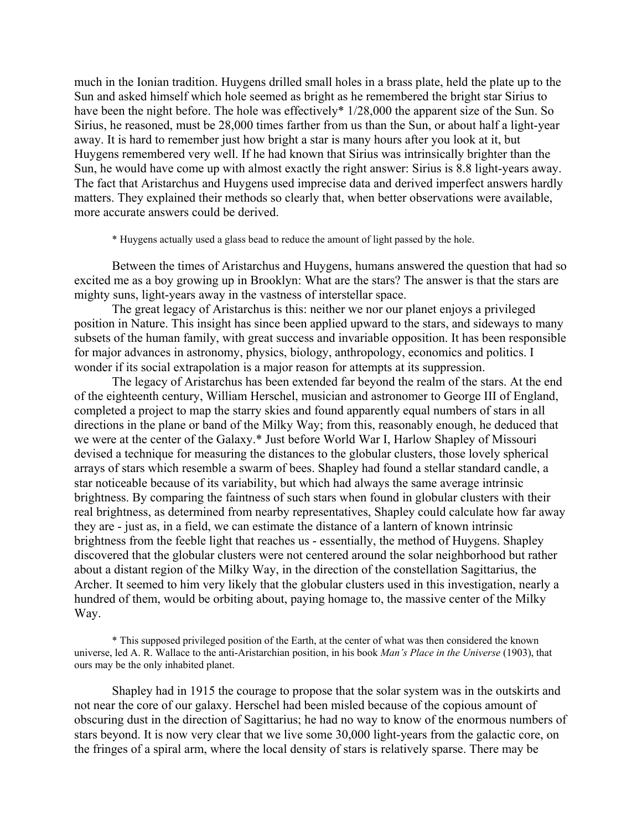much in the Ionian tradition. Huygens drilled small holes in a brass plate, held the plate up to the Sun and asked himself which hole seemed as bright as he remembered the bright star Sirius to have been the night before. The hole was effectively\* 1/28,000 the apparent size of the Sun. So Sirius, he reasoned, must be 28,000 times farther from us than the Sun, or about half a light-year away. It is hard to remember just how bright a star is many hours after you look at it, but Huygens remembered very well. If he had known that Sirius was intrinsically brighter than the Sun, he would have come up with almost exactly the right answer: Sirius is 8.8 light-years away. The fact that Aristarchus and Huygens used imprecise data and derived imperfect answers hardly matters. They explained their methods so clearly that, when better observations were available, more accurate answers could be derived.

\* Huygens actually used a glass bead to reduce the amount of light passed by the hole.

Between the times of Aristarchus and Huygens, humans answered the question that had so excited me as a boy growing up in Brooklyn: What are the stars? The answer is that the stars are mighty suns, light-years away in the vastness of interstellar space.

The great legacy of Aristarchus is this: neither we nor our planet enjoys a privileged position in Nature. This insight has since been applied upward to the stars, and sideways to many subsets of the human family, with great success and invariable opposition. It has been responsible for major advances in astronomy, physics, biology, anthropology, economics and politics. I wonder if its social extrapolation is a major reason for attempts at its suppression.

The legacy of Aristarchus has been extended far beyond the realm of the stars. At the end of the eighteenth century, William Herschel, musician and astronomer to George III of England, completed a project to map the starry skies and found apparently equal numbers of stars in all directions in the plane or band of the Milky Way; from this, reasonably enough, he deduced that we were at the center of the Galaxy.\* Just before World War I, Harlow Shapley of Missouri devised a technique for measuring the distances to the globular clusters, those lovely spherical arrays of stars which resemble a swarm of bees. Shapley had found a stellar standard candle, a star noticeable because of its variability, but which had always the same average intrinsic brightness. By comparing the faintness of such stars when found in globular clusters with their real brightness, as determined from nearby representatives, Shapley could calculate how far away they are - just as, in a field, we can estimate the distance of a lantern of known intrinsic brightness from the feeble light that reaches us - essentially, the method of Huygens. Shapley discovered that the globular clusters were not centered around the solar neighborhood but rather about a distant region of the Milky Way, in the direction of the constellation Sagittarius, the Archer. It seemed to him very likely that the globular clusters used in this investigation, nearly a hundred of them, would be orbiting about, paying homage to, the massive center of the Milky Way.

\* This supposed privileged position of the Earth, at the center of what was then considered the known universe, led A. R. Wallace to the anti-Aristarchian position, in his book *Man's Place in the Universe* (1903), that ours may be the only inhabited planet.

Shapley had in 1915 the courage to propose that the solar system was in the outskirts and not near the core of our galaxy. Herschel had been misled because of the copious amount of obscuring dust in the direction of Sagittarius; he had no way to know of the enormous numbers of stars beyond. It is now very clear that we live some 30,000 light-years from the galactic core, on the fringes of a spiral arm, where the local density of stars is relatively sparse. There may be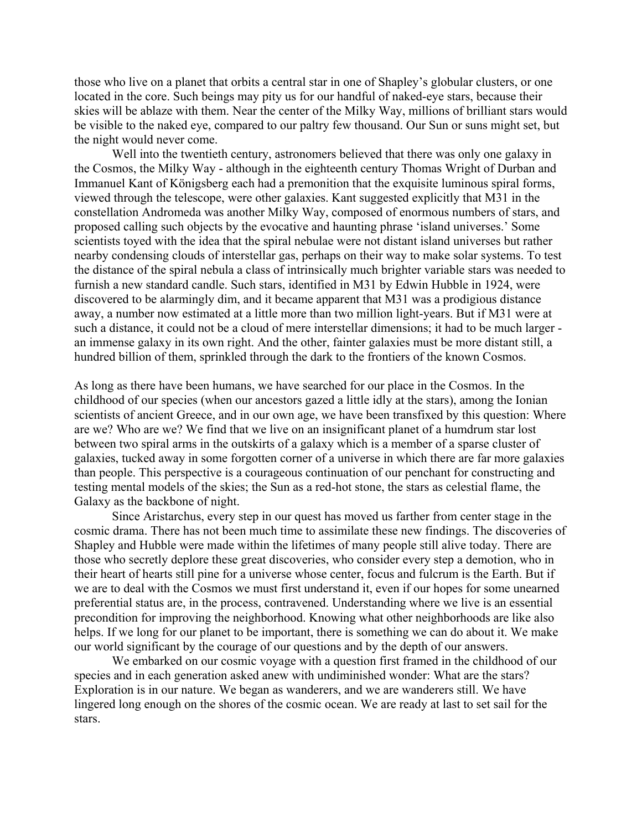those who live on a planet that orbits a central star in one of Shapley's globular clusters, or one located in the core. Such beings may pity us for our handful of naked-eye stars, because their skies will be ablaze with them. Near the center of the Milky Way, millions of brilliant stars would be visible to the naked eye, compared to our paltry few thousand. Our Sun or suns might set, but the night would never come.

Well into the twentieth century, astronomers believed that there was only one galaxy in the Cosmos, the Milky Way - although in the eighteenth century Thomas Wright of Durban and Immanuel Kant of Königsberg each had a premonition that the exquisite luminous spiral forms, viewed through the telescope, were other galaxies. Kant suggested explicitly that M31 in the constellation Andromeda was another Milky Way, composed of enormous numbers of stars, and proposed calling such objects by the evocative and haunting phrase 'island universes.' Some scientists toyed with the idea that the spiral nebulae were not distant island universes but rather nearby condensing clouds of interstellar gas, perhaps on their way to make solar systems. To test the distance of the spiral nebula a class of intrinsically much brighter variable stars was needed to furnish a new standard candle. Such stars, identified in M31 by Edwin Hubble in 1924, were discovered to be alarmingly dim, and it became apparent that M31 was a prodigious distance away, a number now estimated at a little more than two million light-years. But if M31 were at such a distance, it could not be a cloud of mere interstellar dimensions; it had to be much larger an immense galaxy in its own right. And the other, fainter galaxies must be more distant still, a hundred billion of them, sprinkled through the dark to the frontiers of the known Cosmos.

As long as there have been humans, we have searched for our place in the Cosmos. In the childhood of our species (when our ancestors gazed a little idly at the stars), among the Ionian scientists of ancient Greece, and in our own age, we have been transfixed by this question: Where are we? Who are we? We find that we live on an insignificant planet of a humdrum star lost between two spiral arms in the outskirts of a galaxy which is a member of a sparse cluster of galaxies, tucked away in some forgotten corner of a universe in which there are far more galaxies than people. This perspective is a courageous continuation of our penchant for constructing and testing mental models of the skies; the Sun as a red-hot stone, the stars as celestial flame, the Galaxy as the backbone of night.

Since Aristarchus, every step in our quest has moved us farther from center stage in the cosmic drama. There has not been much time to assimilate these new findings. The discoveries of Shapley and Hubble were made within the lifetimes of many people still alive today. There are those who secretly deplore these great discoveries, who consider every step a demotion, who in their heart of hearts still pine for a universe whose center, focus and fulcrum is the Earth. But if we are to deal with the Cosmos we must first understand it, even if our hopes for some unearned preferential status are, in the process, contravened. Understanding where we live is an essential precondition for improving the neighborhood. Knowing what other neighborhoods are like also helps. If we long for our planet to be important, there is something we can do about it. We make our world significant by the courage of our questions and by the depth of our answers.

We embarked on our cosmic voyage with a question first framed in the childhood of our species and in each generation asked anew with undiminished wonder: What are the stars? Exploration is in our nature. We began as wanderers, and we are wanderers still. We have lingered long enough on the shores of the cosmic ocean. We are ready at last to set sail for the stars.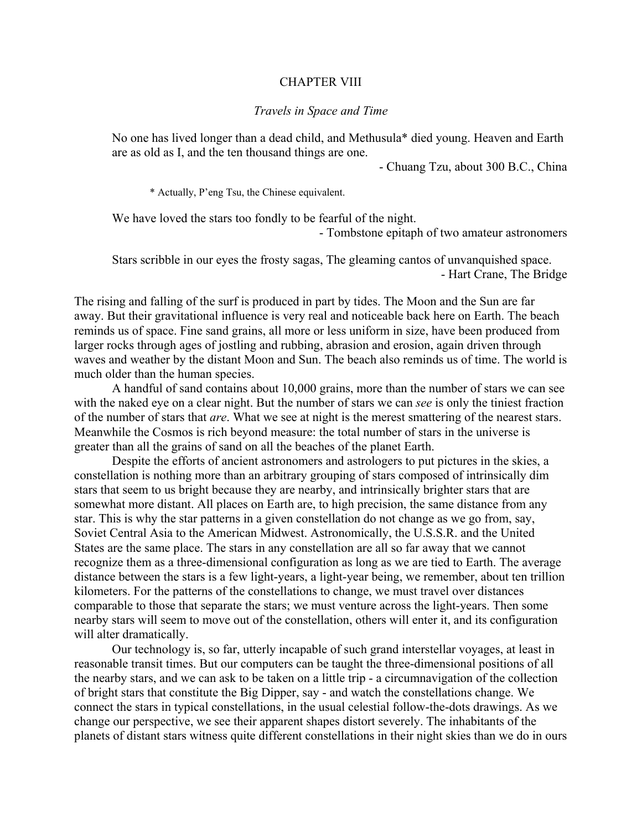### CHAPTER VIII

#### *Travels in Space and Time*

No one has lived longer than a dead child, and Methusula\* died young. Heaven and Earth are as old as I, and the ten thousand things are one.

- Chuang Tzu, about 300 B.C., China

\* Actually, P'eng Tsu, the Chinese equivalent.

We have loved the stars too fondly to be fearful of the night.

- Tombstone epitaph of two amateur astronomers

Stars scribble in our eyes the frosty sagas, The gleaming cantos of unvanquished space. - Hart Crane, The Bridge

The rising and falling of the surf is produced in part by tides. The Moon and the Sun are far away. But their gravitational influence is very real and noticeable back here on Earth. The beach reminds us of space. Fine sand grains, all more or less uniform in size, have been produced from larger rocks through ages of jostling and rubbing, abrasion and erosion, again driven through waves and weather by the distant Moon and Sun. The beach also reminds us of time. The world is much older than the human species.

A handful of sand contains about 10,000 grains, more than the number of stars we can see with the naked eye on a clear night. But the number of stars we can *see* is only the tiniest fraction of the number of stars that *are*. What we see at night is the merest smattering of the nearest stars. Meanwhile the Cosmos is rich beyond measure: the total number of stars in the universe is greater than all the grains of sand on all the beaches of the planet Earth.

Despite the efforts of ancient astronomers and astrologers to put pictures in the skies, a constellation is nothing more than an arbitrary grouping of stars composed of intrinsically dim stars that seem to us bright because they are nearby, and intrinsically brighter stars that are somewhat more distant. All places on Earth are, to high precision, the same distance from any star. This is why the star patterns in a given constellation do not change as we go from, say, Soviet Central Asia to the American Midwest. Astronomically, the U.S.S.R. and the United States are the same place. The stars in any constellation are all so far away that we cannot recognize them as a three-dimensional configuration as long as we are tied to Earth. The average distance between the stars is a few light-years, a light-year being, we remember, about ten trillion kilometers. For the patterns of the constellations to change, we must travel over distances comparable to those that separate the stars; we must venture across the light-years. Then some nearby stars will seem to move out of the constellation, others will enter it, and its configuration will alter dramatically.

Our technology is, so far, utterly incapable of such grand interstellar voyages, at least in reasonable transit times. But our computers can be taught the three-dimensional positions of all the nearby stars, and we can ask to be taken on a little trip - a circumnavigation of the collection of bright stars that constitute the Big Dipper, say - and watch the constellations change. We connect the stars in typical constellations, in the usual celestial follow-the-dots drawings. As we change our perspective, we see their apparent shapes distort severely. The inhabitants of the planets of distant stars witness quite different constellations in their night skies than we do in ours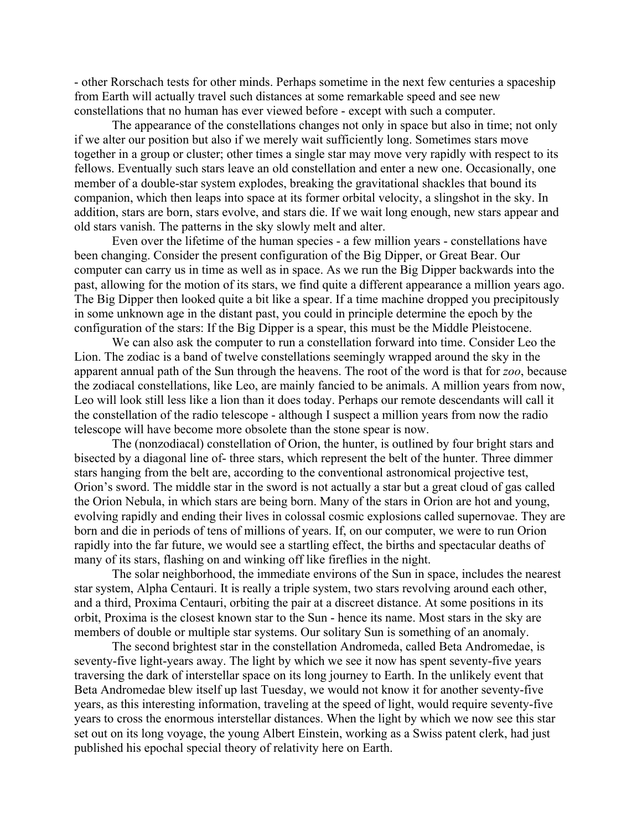- other Rorschach tests for other minds. Perhaps sometime in the next few centuries a spaceship from Earth will actually travel such distances at some remarkable speed and see new constellations that no human has ever viewed before - except with such a computer.

The appearance of the constellations changes not only in space but also in time; not only if we alter our position but also if we merely wait sufficiently long. Sometimes stars move together in a group or cluster; other times a single star may move very rapidly with respect to its fellows. Eventually such stars leave an old constellation and enter a new one. Occasionally, one member of a double-star system explodes, breaking the gravitational shackles that bound its companion, which then leaps into space at its former orbital velocity, a slingshot in the sky. In addition, stars are born, stars evolve, and stars die. If we wait long enough, new stars appear and old stars vanish. The patterns in the sky slowly melt and alter.

Even over the lifetime of the human species - a few million years - constellations have been changing. Consider the present configuration of the Big Dipper, or Great Bear. Our computer can carry us in time as well as in space. As we run the Big Dipper backwards into the past, allowing for the motion of its stars, we find quite a different appearance a million years ago. The Big Dipper then looked quite a bit like a spear. If a time machine dropped you precipitously in some unknown age in the distant past, you could in principle determine the epoch by the configuration of the stars: If the Big Dipper is a spear, this must be the Middle Pleistocene.

We can also ask the computer to run a constellation forward into time. Consider Leo the Lion. The zodiac is a band of twelve constellations seemingly wrapped around the sky in the apparent annual path of the Sun through the heavens. The root of the word is that for *zoo*, because the zodiacal constellations, like Leo, are mainly fancied to be animals. A million years from now, Leo will look still less like a lion than it does today. Perhaps our remote descendants will call it the constellation of the radio telescope - although I suspect a million years from now the radio telescope will have become more obsolete than the stone spear is now.

The (nonzodiacal) constellation of Orion, the hunter, is outlined by four bright stars and bisected by a diagonal line of- three stars, which represent the belt of the hunter. Three dimmer stars hanging from the belt are, according to the conventional astronomical projective test, Orion's sword. The middle star in the sword is not actually a star but a great cloud of gas called the Orion Nebula, in which stars are being born. Many of the stars in Orion are hot and young, evolving rapidly and ending their lives in colossal cosmic explosions called supernovae. They are born and die in periods of tens of millions of years. If, on our computer, we were to run Orion rapidly into the far future, we would see a startling effect, the births and spectacular deaths of many of its stars, flashing on and winking off like fireflies in the night.

The solar neighborhood, the immediate environs of the Sun in space, includes the nearest star system, Alpha Centauri. It is really a triple system, two stars revolving around each other, and a third, Proxima Centauri, orbiting the pair at a discreet distance. At some positions in its orbit, Proxima is the closest known star to the Sun - hence its name. Most stars in the sky are members of double or multiple star systems. Our solitary Sun is something of an anomaly.

The second brightest star in the constellation Andromeda, called Beta Andromedae, is seventy-five light-years away. The light by which we see it now has spent seventy-five years traversing the dark of interstellar space on its long journey to Earth. In the unlikely event that Beta Andromedae blew itself up last Tuesday, we would not know it for another seventy-five years, as this interesting information, traveling at the speed of light, would require seventy-five years to cross the enormous interstellar distances. When the light by which we now see this star set out on its long voyage, the young Albert Einstein, working as a Swiss patent clerk, had just published his epochal special theory of relativity here on Earth.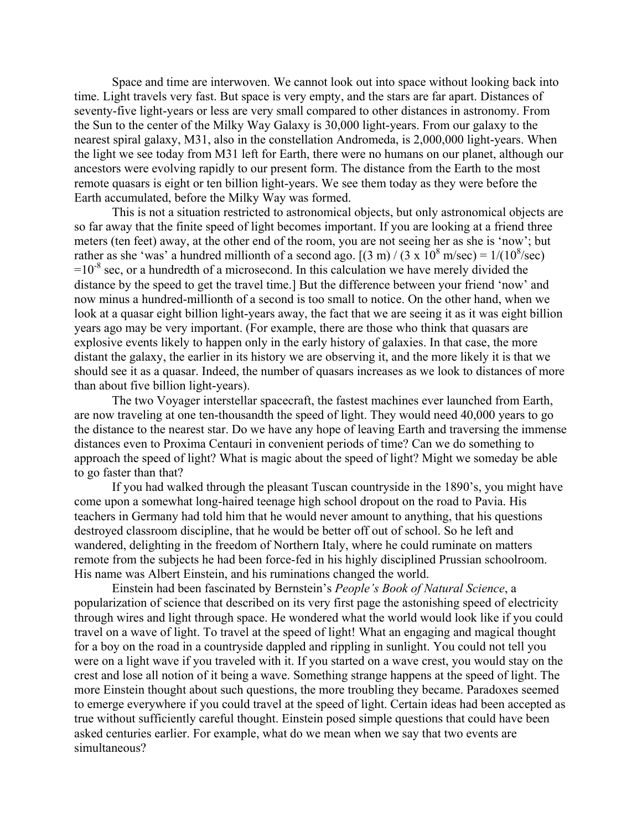Space and time are interwoven. We cannot look out into space without looking back into time. Light travels very fast. But space is very empty, and the stars are far apart. Distances of seventy-five light-years or less are very small compared to other distances in astronomy. From the Sun to the center of the Milky Way Galaxy is 30,000 light-years. From our galaxy to the nearest spiral galaxy, M31, also in the constellation Andromeda, is 2,000,000 light-years. When the light we see today from M31 left for Earth, there were no humans on our planet, although our ancestors were evolving rapidly to our present form. The distance from the Earth to the most remote quasars is eight or ten billion light-years. We see them today as they were before the Earth accumulated, before the Milky Way was formed.

This is not a situation restricted to astronomical objects, but only astronomical objects are so far away that the finite speed of light becomes important. If you are looking at a friend three meters (ten feet) away, at the other end of the room, you are not seeing her as she is 'now'; but rather as she 'was' a hundred millionth of a second ago.  $[(3 \text{ m}) / (3 \text{ x } 10^8 \text{ m/sec}) = 1/(10^8/\text{sec})$  $=10^{-8}$  sec, or a hundredth of a microsecond. In this calculation we have merely divided the distance by the speed to get the travel time.] But the difference between your friend 'now' and now minus a hundred-millionth of a second is too small to notice. On the other hand, when we look at a quasar eight billion light-years away, the fact that we are seeing it as it was eight billion years ago may be very important. (For example, there are those who think that quasars are explosive events likely to happen only in the early history of galaxies. In that case, the more distant the galaxy, the earlier in its history we are observing it, and the more likely it is that we should see it as a quasar. Indeed, the number of quasars increases as we look to distances of more than about five billion light-years).

The two Voyager interstellar spacecraft, the fastest machines ever launched from Earth, are now traveling at one ten-thousandth the speed of light. They would need 40,000 years to go the distance to the nearest star. Do we have any hope of leaving Earth and traversing the immense distances even to Proxima Centauri in convenient periods of time? Can we do something to approach the speed of light? What is magic about the speed of light? Might we someday be able to go faster than that?

If you had walked through the pleasant Tuscan countryside in the 1890's, you might have come upon a somewhat long-haired teenage high school dropout on the road to Pavia. His teachers in Germany had told him that he would never amount to anything, that his questions destroyed classroom discipline, that he would be better off out of school. So he left and wandered, delighting in the freedom of Northern Italy, where he could ruminate on matters remote from the subjects he had been force-fed in his highly disciplined Prussian schoolroom. His name was Albert Einstein, and his ruminations changed the world.

Einstein had been fascinated by Bernstein's *People's Book of Natural Science*, a popularization of science that described on its very first page the astonishing speed of electricity through wires and light through space. He wondered what the world would look like if you could travel on a wave of light. To travel at the speed of light! What an engaging and magical thought for a boy on the road in a countryside dappled and rippling in sunlight. You could not tell you were on a light wave if you traveled with it. If you started on a wave crest, you would stay on the crest and lose all notion of it being a wave. Something strange happens at the speed of light. The more Einstein thought about such questions, the more troubling they became. Paradoxes seemed to emerge everywhere if you could travel at the speed of light. Certain ideas had been accepted as true without sufficiently careful thought. Einstein posed simple questions that could have been asked centuries earlier. For example, what do we mean when we say that two events are simultaneous?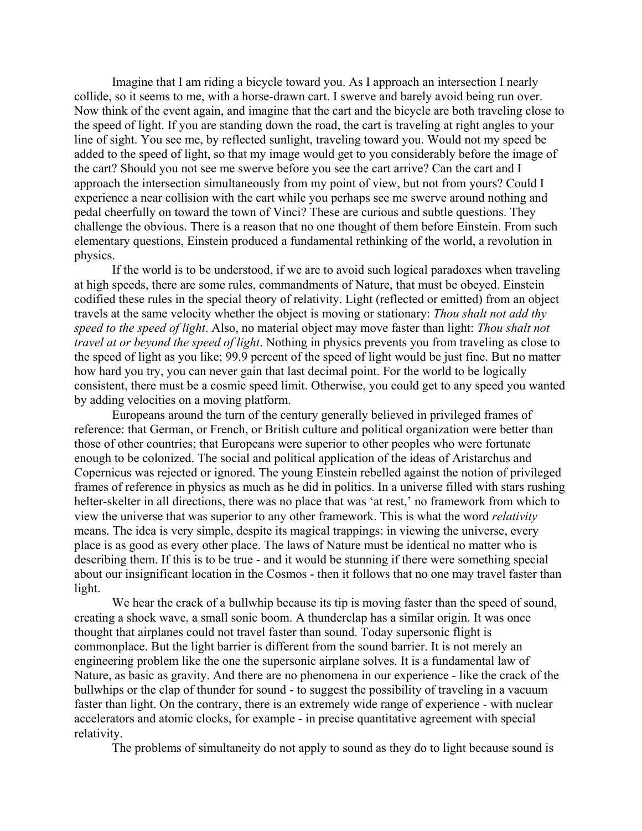Imagine that I am riding a bicycle toward you. As I approach an intersection I nearly collide, so it seems to me, with a horse-drawn cart. I swerve and barely avoid being run over. Now think of the event again, and imagine that the cart and the bicycle are both traveling close to the speed of light. If you are standing down the road, the cart is traveling at right angles to your line of sight. You see me, by reflected sunlight, traveling toward you. Would not my speed be added to the speed of light, so that my image would get to you considerably before the image of the cart? Should you not see me swerve before you see the cart arrive? Can the cart and I approach the intersection simultaneously from my point of view, but not from yours? Could I experience a near collision with the cart while you perhaps see me swerve around nothing and pedal cheerfully on toward the town of Vinci? These are curious and subtle questions. They challenge the obvious. There is a reason that no one thought of them before Einstein. From such elementary questions, Einstein produced a fundamental rethinking of the world, a revolution in physics.

If the world is to be understood, if we are to avoid such logical paradoxes when traveling at high speeds, there are some rules, commandments of Nature, that must be obeyed. Einstein codified these rules in the special theory of relativity. Light (reflected or emitted) from an object travels at the same velocity whether the object is moving or stationary: *Thou shalt not add thy speed to the speed of light*. Also, no material object may move faster than light: *Thou shalt not travel at or beyond the speed of light*. Nothing in physics prevents you from traveling as close to the speed of light as you like; 99.9 percent of the speed of light would be just fine. But no matter how hard you try, you can never gain that last decimal point. For the world to be logically consistent, there must be a cosmic speed limit. Otherwise, you could get to any speed you wanted by adding velocities on a moving platform.

Europeans around the turn of the century generally believed in privileged frames of reference: that German, or French, or British culture and political organization were better than those of other countries; that Europeans were superior to other peoples who were fortunate enough to be colonized. The social and political application of the ideas of Aristarchus and Copernicus was rejected or ignored. The young Einstein rebelled against the notion of privileged frames of reference in physics as much as he did in politics. In a universe filled with stars rushing helter-skelter in all directions, there was no place that was 'at rest,' no framework from which to view the universe that was superior to any other framework. This is what the word *relativity* means. The idea is very simple, despite its magical trappings: in viewing the universe, every place is as good as every other place. The laws of Nature must be identical no matter who is describing them. If this is to be true - and it would be stunning if there were something special about our insignificant location in the Cosmos - then it follows that no one may travel faster than light.

We hear the crack of a bullwhip because its tip is moving faster than the speed of sound, creating a shock wave, a small sonic boom. A thunderclap has a similar origin. It was once thought that airplanes could not travel faster than sound. Today supersonic flight is commonplace. But the light barrier is different from the sound barrier. It is not merely an engineering problem like the one the supersonic airplane solves. It is a fundamental law of Nature, as basic as gravity. And there are no phenomena in our experience - like the crack of the bullwhips or the clap of thunder for sound - to suggest the possibility of traveling in a vacuum faster than light. On the contrary, there is an extremely wide range of experience - with nuclear accelerators and atomic clocks, for example - in precise quantitative agreement with special relativity.

The problems of simultaneity do not apply to sound as they do to light because sound is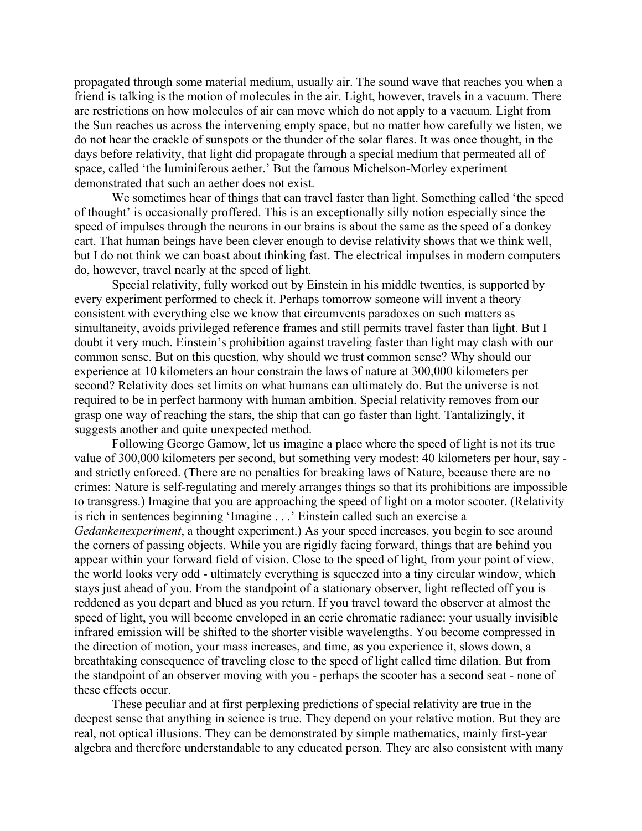propagated through some material medium, usually air. The sound wave that reaches you when a friend is talking is the motion of molecules in the air. Light, however, travels in a vacuum. There are restrictions on how molecules of air can move which do not apply to a vacuum. Light from the Sun reaches us across the intervening empty space, but no matter how carefully we listen, we do not hear the crackle of sunspots or the thunder of the solar flares. It was once thought, in the days before relativity, that light did propagate through a special medium that permeated all of space, called 'the luminiferous aether.' But the famous Michelson-Morley experiment demonstrated that such an aether does not exist.

We sometimes hear of things that can travel faster than light. Something called 'the speed of thought' is occasionally proffered. This is an exceptionally silly notion especially since the speed of impulses through the neurons in our brains is about the same as the speed of a donkey cart. That human beings have been clever enough to devise relativity shows that we think well, but I do not think we can boast about thinking fast. The electrical impulses in modern computers do, however, travel nearly at the speed of light.

Special relativity, fully worked out by Einstein in his middle twenties, is supported by every experiment performed to check it. Perhaps tomorrow someone will invent a theory consistent with everything else we know that circumvents paradoxes on such matters as simultaneity, avoids privileged reference frames and still permits travel faster than light. But I doubt it very much. Einstein's prohibition against traveling faster than light may clash with our common sense. But on this question, why should we trust common sense? Why should our experience at 10 kilometers an hour constrain the laws of nature at 300,000 kilometers per second? Relativity does set limits on what humans can ultimately do. But the universe is not required to be in perfect harmony with human ambition. Special relativity removes from our grasp one way of reaching the stars, the ship that can go faster than light. Tantalizingly, it suggests another and quite unexpected method.

Following George Gamow, let us imagine a place where the speed of light is not its true value of 300,000 kilometers per second, but something very modest: 40 kilometers per hour, say and strictly enforced. (There are no penalties for breaking laws of Nature, because there are no crimes: Nature is self-regulating and merely arranges things so that its prohibitions are impossible to transgress.) Imagine that you are approaching the speed of light on a motor scooter. (Relativity is rich in sentences beginning 'Imagine . . .' Einstein called such an exercise a *Gedankenexperiment*, a thought experiment.) As your speed increases, you begin to see around the corners of passing objects. While you are rigidly facing forward, things that are behind you appear within your forward field of vision. Close to the speed of light, from your point of view, the world looks very odd - ultimately everything is squeezed into a tiny circular window, which stays just ahead of you. From the standpoint of a stationary observer, light reflected off you is reddened as you depart and blued as you return. If you travel toward the observer at almost the speed of light, you will become enveloped in an eerie chromatic radiance: your usually invisible infrared emission will be shifted to the shorter visible wavelengths. You become compressed in the direction of motion, your mass increases, and time, as you experience it, slows down, a breathtaking consequence of traveling close to the speed of light called time dilation. But from the standpoint of an observer moving with you - perhaps the scooter has a second seat - none of these effects occur.

These peculiar and at first perplexing predictions of special relativity are true in the deepest sense that anything in science is true. They depend on your relative motion. But they are real, not optical illusions. They can be demonstrated by simple mathematics, mainly first-year algebra and therefore understandable to any educated person. They are also consistent with many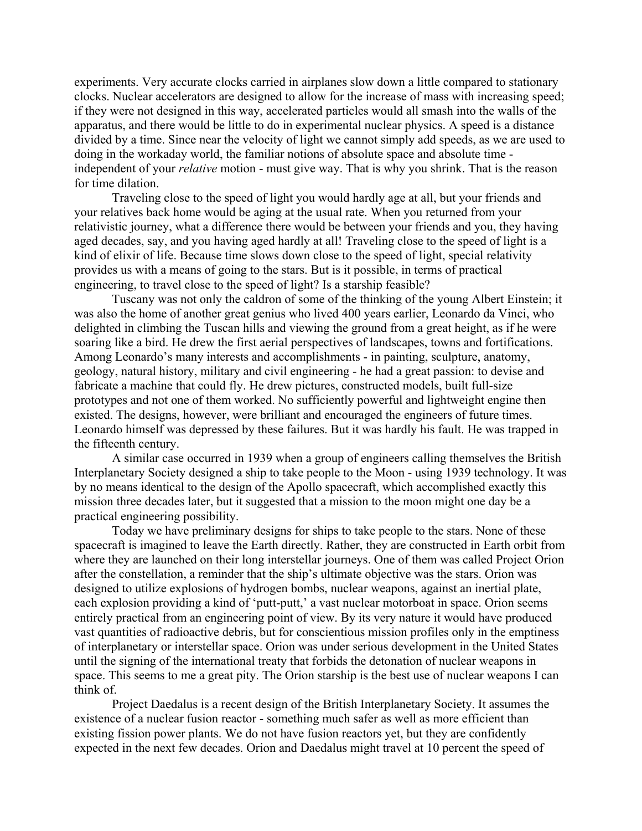experiments. Very accurate clocks carried in airplanes slow down a little compared to stationary clocks. Nuclear accelerators are designed to allow for the increase of mass with increasing speed; if they were not designed in this way, accelerated particles would all smash into the walls of the apparatus, and there would be little to do in experimental nuclear physics. A speed is a distance divided by a time. Since near the velocity of light we cannot simply add speeds, as we are used to doing in the workaday world, the familiar notions of absolute space and absolute time independent of your *relative* motion - must give way. That is why you shrink. That is the reason for time dilation.

Traveling close to the speed of light you would hardly age at all, but your friends and your relatives back home would be aging at the usual rate. When you returned from your relativistic journey, what a difference there would be between your friends and you, they having aged decades, say, and you having aged hardly at all! Traveling close to the speed of light is a kind of elixir of life. Because time slows down close to the speed of light, special relativity provides us with a means of going to the stars. But is it possible, in terms of practical engineering, to travel close to the speed of light? Is a starship feasible?

Tuscany was not only the caldron of some of the thinking of the young Albert Einstein; it was also the home of another great genius who lived 400 years earlier, Leonardo da Vinci, who delighted in climbing the Tuscan hills and viewing the ground from a great height, as if he were soaring like a bird. He drew the first aerial perspectives of landscapes, towns and fortifications. Among Leonardo's many interests and accomplishments - in painting, sculpture, anatomy, geology, natural history, military and civil engineering - he had a great passion: to devise and fabricate a machine that could fly. He drew pictures, constructed models, built full-size prototypes and not one of them worked. No sufficiently powerful and lightweight engine then existed. The designs, however, were brilliant and encouraged the engineers of future times. Leonardo himself was depressed by these failures. But it was hardly his fault. He was trapped in the fifteenth century.

A similar case occurred in 1939 when a group of engineers calling themselves the British Interplanetary Society designed a ship to take people to the Moon - using 1939 technology. It was by no means identical to the design of the Apollo spacecraft, which accomplished exactly this mission three decades later, but it suggested that a mission to the moon might one day be a practical engineering possibility.

Today we have preliminary designs for ships to take people to the stars. None of these spacecraft is imagined to leave the Earth directly. Rather, they are constructed in Earth orbit from where they are launched on their long interstellar journeys. One of them was called Project Orion after the constellation, a reminder that the ship's ultimate objective was the stars. Orion was designed to utilize explosions of hydrogen bombs, nuclear weapons, against an inertial plate, each explosion providing a kind of 'putt-putt,' a vast nuclear motorboat in space. Orion seems entirely practical from an engineering point of view. By its very nature it would have produced vast quantities of radioactive debris, but for conscientious mission profiles only in the emptiness of interplanetary or interstellar space. Orion was under serious development in the United States until the signing of the international treaty that forbids the detonation of nuclear weapons in space. This seems to me a great pity. The Orion starship is the best use of nuclear weapons I can think of.

Project Daedalus is a recent design of the British Interplanetary Society. It assumes the existence of a nuclear fusion reactor - something much safer as well as more efficient than existing fission power plants. We do not have fusion reactors yet, but they are confidently expected in the next few decades. Orion and Daedalus might travel at 10 percent the speed of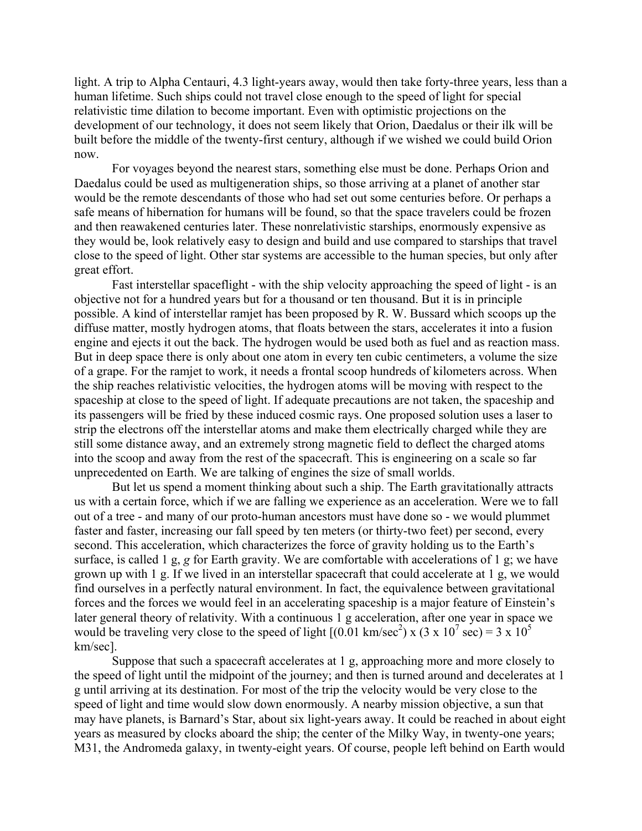light. A trip to Alpha Centauri, 4.3 light-years away, would then take forty-three years, less than a human lifetime. Such ships could not travel close enough to the speed of light for special relativistic time dilation to become important. Even with optimistic projections on the development of our technology, it does not seem likely that Orion, Daedalus or their ilk will be built before the middle of the twenty-first century, although if we wished we could build Orion now.

For voyages beyond the nearest stars, something else must be done. Perhaps Orion and Daedalus could be used as multigeneration ships, so those arriving at a planet of another star would be the remote descendants of those who had set out some centuries before. Or perhaps a safe means of hibernation for humans will be found, so that the space travelers could be frozen and then reawakened centuries later. These nonrelativistic starships, enormously expensive as they would be, look relatively easy to design and build and use compared to starships that travel close to the speed of light. Other star systems are accessible to the human species, but only after great effort.

Fast interstellar spaceflight - with the ship velocity approaching the speed of light - is an objective not for a hundred years but for a thousand or ten thousand. But it is in principle possible. A kind of interstellar ramjet has been proposed by R. W. Bussard which scoops up the diffuse matter, mostly hydrogen atoms, that floats between the stars, accelerates it into a fusion engine and ejects it out the back. The hydrogen would be used both as fuel and as reaction mass. But in deep space there is only about one atom in every ten cubic centimeters, a volume the size of a grape. For the ramjet to work, it needs a frontal scoop hundreds of kilometers across. When the ship reaches relativistic velocities, the hydrogen atoms will be moving with respect to the spaceship at close to the speed of light. If adequate precautions are not taken, the spaceship and its passengers will be fried by these induced cosmic rays. One proposed solution uses a laser to strip the electrons off the interstellar atoms and make them electrically charged while they are still some distance away, and an extremely strong magnetic field to deflect the charged atoms into the scoop and away from the rest of the spacecraft. This is engineering on a scale so far unprecedented on Earth. We are talking of engines the size of small worlds.

But let us spend a moment thinking about such a ship. The Earth gravitationally attracts us with a certain force, which if we are falling we experience as an acceleration. Were we to fall out of a tree - and many of our proto-human ancestors must have done so - we would plummet faster and faster, increasing our fall speed by ten meters (or thirty-two feet) per second, every second. This acceleration, which characterizes the force of gravity holding us to the Earth's surface, is called 1 g, *g* for Earth gravity. We are comfortable with accelerations of 1 g; we have grown up with 1 g. If we lived in an interstellar spacecraft that could accelerate at 1 g, we would find ourselves in a perfectly natural environment. In fact, the equivalence between gravitational forces and the forces we would feel in an accelerating spaceship is a major feature of Einstein's later general theory of relativity. With a continuous 1 g acceleration, after one year in space we would be traveling very close to the speed of light  $[(0.01 \text{ km/sec}^2) \times (3 \times 10^7 \text{ sec}) = 3 \times 10^5$ km/sec].

Suppose that such a spacecraft accelerates at 1 g, approaching more and more closely to the speed of light until the midpoint of the journey; and then is turned around and decelerates at 1 g until arriving at its destination. For most of the trip the velocity would be very close to the speed of light and time would slow down enormously. A nearby mission objective, a sun that may have planets, is Barnard's Star, about six light-years away. It could be reached in about eight years as measured by clocks aboard the ship; the center of the Milky Way, in twenty-one years; M31, the Andromeda galaxy, in twenty-eight years. Of course, people left behind on Earth would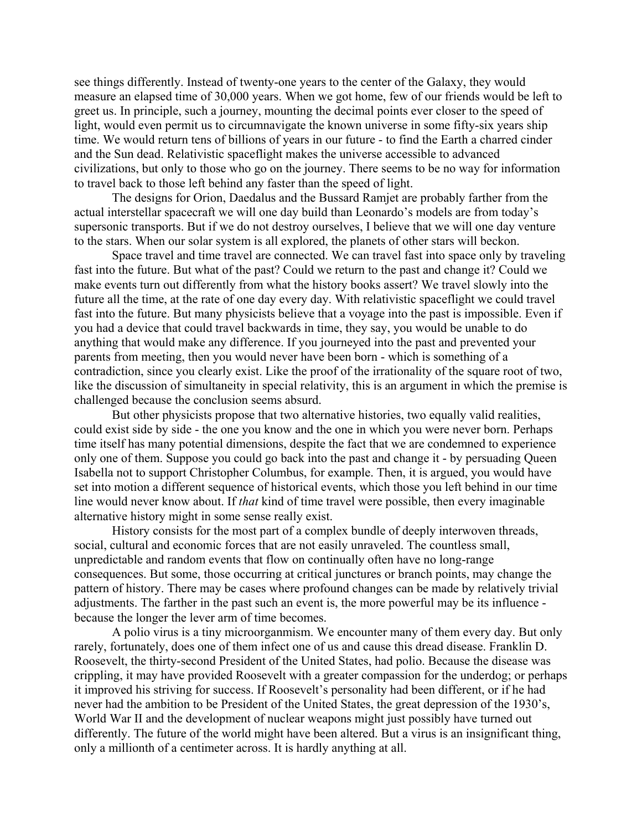see things differently. Instead of twenty-one years to the center of the Galaxy, they would measure an elapsed time of 30,000 years. When we got home, few of our friends would be left to greet us. In principle, such a journey, mounting the decimal points ever closer to the speed of light, would even permit us to circumnavigate the known universe in some fifty-six years ship time. We would return tens of billions of years in our future - to find the Earth a charred cinder and the Sun dead. Relativistic spaceflight makes the universe accessible to advanced civilizations, but only to those who go on the journey. There seems to be no way for information to travel back to those left behind any faster than the speed of light.

The designs for Orion, Daedalus and the Bussard Ramjet are probably farther from the actual interstellar spacecraft we will one day build than Leonardo's models are from today's supersonic transports. But if we do not destroy ourselves, I believe that we will one day venture to the stars. When our solar system is all explored, the planets of other stars will beckon.

Space travel and time travel are connected. We can travel fast into space only by traveling fast into the future. But what of the past? Could we return to the past and change it? Could we make events turn out differently from what the history books assert? We travel slowly into the future all the time, at the rate of one day every day. With relativistic spaceflight we could travel fast into the future. But many physicists believe that a voyage into the past is impossible. Even if you had a device that could travel backwards in time, they say, you would be unable to do anything that would make any difference. If you journeyed into the past and prevented your parents from meeting, then you would never have been born - which is something of a contradiction, since you clearly exist. Like the proof of the irrationality of the square root of two, like the discussion of simultaneity in special relativity, this is an argument in which the premise is challenged because the conclusion seems absurd.

But other physicists propose that two alternative histories, two equally valid realities, could exist side by side - the one you know and the one in which you were never born. Perhaps time itself has many potential dimensions, despite the fact that we are condemned to experience only one of them. Suppose you could go back into the past and change it - by persuading Queen Isabella not to support Christopher Columbus, for example. Then, it is argued, you would have set into motion a different sequence of historical events, which those you left behind in our time line would never know about. If *that* kind of time travel were possible, then every imaginable alternative history might in some sense really exist.

History consists for the most part of a complex bundle of deeply interwoven threads, social, cultural and economic forces that are not easily unraveled. The countless small, unpredictable and random events that flow on continually often have no long-range consequences. But some, those occurring at critical junctures or branch points, may change the pattern of history. There may be cases where profound changes can be made by relatively trivial adjustments. The farther in the past such an event is, the more powerful may be its influence because the longer the lever arm of time becomes.

A polio virus is a tiny microorganmism. We encounter many of them every day. But only rarely, fortunately, does one of them infect one of us and cause this dread disease. Franklin D. Roosevelt, the thirty-second President of the United States, had polio. Because the disease was crippling, it may have provided Roosevelt with a greater compassion for the underdog; or perhaps it improved his striving for success. If Roosevelt's personality had been different, or if he had never had the ambition to be President of the United States, the great depression of the 1930's, World War II and the development of nuclear weapons might just possibly have turned out differently. The future of the world might have been altered. But a virus is an insignificant thing, only a millionth of a centimeter across. It is hardly anything at all.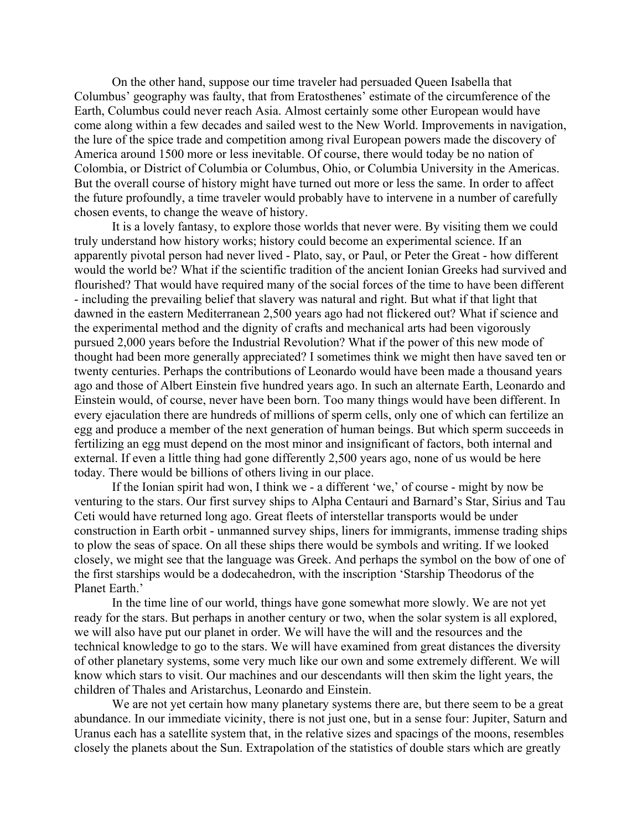On the other hand, suppose our time traveler had persuaded Queen Isabella that Columbus' geography was faulty, that from Eratosthenes' estimate of the circumference of the Earth, Columbus could never reach Asia. Almost certainly some other European would have come along within a few decades and sailed west to the New World. Improvements in navigation, the lure of the spice trade and competition among rival European powers made the discovery of America around 1500 more or less inevitable. Of course, there would today be no nation of Colombia, or District of Columbia or Columbus, Ohio, or Columbia University in the Americas. But the overall course of history might have turned out more or less the same. In order to affect the future profoundly, a time traveler would probably have to intervene in a number of carefully chosen events, to change the weave of history.

It is a lovely fantasy, to explore those worlds that never were. By visiting them we could truly understand how history works; history could become an experimental science. If an apparently pivotal person had never lived - Plato, say, or Paul, or Peter the Great - how different would the world be? What if the scientific tradition of the ancient Ionian Greeks had survived and flourished? That would have required many of the social forces of the time to have been different - including the prevailing belief that slavery was natural and right. But what if that light that dawned in the eastern Mediterranean 2,500 years ago had not flickered out? What if science and the experimental method and the dignity of crafts and mechanical arts had been vigorously pursued 2,000 years before the Industrial Revolution? What if the power of this new mode of thought had been more generally appreciated? I sometimes think we might then have saved ten or twenty centuries. Perhaps the contributions of Leonardo would have been made a thousand years ago and those of Albert Einstein five hundred years ago. In such an alternate Earth, Leonardo and Einstein would, of course, never have been born. Too many things would have been different. In every ejaculation there are hundreds of millions of sperm cells, only one of which can fertilize an egg and produce a member of the next generation of human beings. But which sperm succeeds in fertilizing an egg must depend on the most minor and insignificant of factors, both internal and external. If even a little thing had gone differently 2,500 years ago, none of us would be here today. There would be billions of others living in our place.

If the Ionian spirit had won, I think we - a different 'we,' of course - might by now be venturing to the stars. Our first survey ships to Alpha Centauri and Barnard's Star, Sirius and Tau Ceti would have returned long ago. Great fleets of interstellar transports would be under construction in Earth orbit - unmanned survey ships, liners for immigrants, immense trading ships to plow the seas of space. On all these ships there would be symbols and writing. If we looked closely, we might see that the language was Greek. And perhaps the symbol on the bow of one of the first starships would be a dodecahedron, with the inscription 'Starship Theodorus of the Planet Earth.'

In the time line of our world, things have gone somewhat more slowly. We are not yet ready for the stars. But perhaps in another century or two, when the solar system is all explored, we will also have put our planet in order. We will have the will and the resources and the technical knowledge to go to the stars. We will have examined from great distances the diversity of other planetary systems, some very much like our own and some extremely different. We will know which stars to visit. Our machines and our descendants will then skim the light years, the children of Thales and Aristarchus, Leonardo and Einstein.

We are not yet certain how many planetary systems there are, but there seem to be a great abundance. In our immediate vicinity, there is not just one, but in a sense four: Jupiter, Saturn and Uranus each has a satellite system that, in the relative sizes and spacings of the moons, resembles closely the planets about the Sun. Extrapolation of the statistics of double stars which are greatly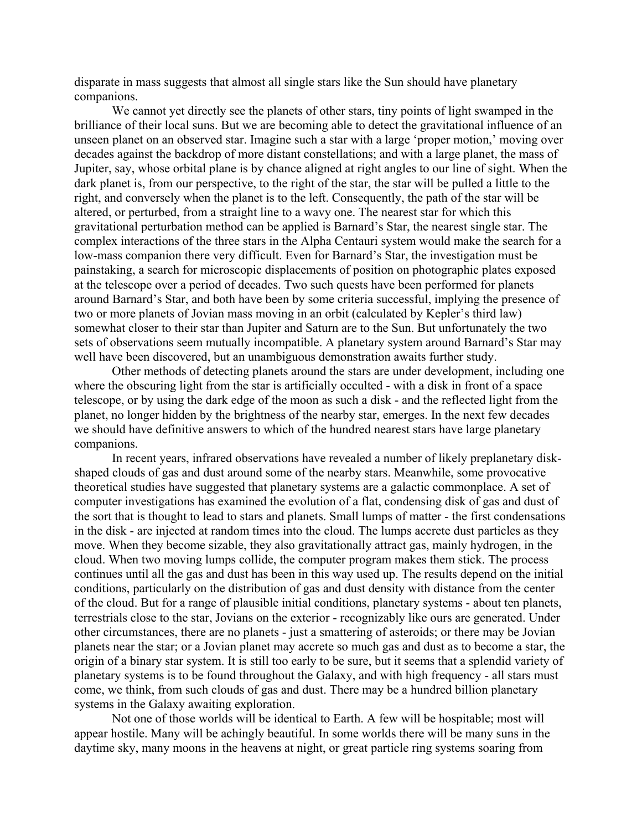disparate in mass suggests that almost all single stars like the Sun should have planetary companions.

We cannot yet directly see the planets of other stars, tiny points of light swamped in the brilliance of their local suns. But we are becoming able to detect the gravitational influence of an unseen planet on an observed star. Imagine such a star with a large 'proper motion,' moving over decades against the backdrop of more distant constellations; and with a large planet, the mass of Jupiter, say, whose orbital plane is by chance aligned at right angles to our line of sight. When the dark planet is, from our perspective, to the right of the star, the star will be pulled a little to the right, and conversely when the planet is to the left. Consequently, the path of the star will be altered, or perturbed, from a straight line to a wavy one. The nearest star for which this gravitational perturbation method can be applied is Barnard's Star, the nearest single star. The complex interactions of the three stars in the Alpha Centauri system would make the search for a low-mass companion there very difficult. Even for Barnard's Star, the investigation must be painstaking, a search for microscopic displacements of position on photographic plates exposed at the telescope over a period of decades. Two such quests have been performed for planets around Barnard's Star, and both have been by some criteria successful, implying the presence of two or more planets of Jovian mass moving in an orbit (calculated by Kepler's third law) somewhat closer to their star than Jupiter and Saturn are to the Sun. But unfortunately the two sets of observations seem mutually incompatible. A planetary system around Barnard's Star may well have been discovered, but an unambiguous demonstration awaits further study.

Other methods of detecting planets around the stars are under development, including one where the obscuring light from the star is artificially occulted - with a disk in front of a space telescope, or by using the dark edge of the moon as such a disk - and the reflected light from the planet, no longer hidden by the brightness of the nearby star, emerges. In the next few decades we should have definitive answers to which of the hundred nearest stars have large planetary companions.

In recent years, infrared observations have revealed a number of likely preplanetary diskshaped clouds of gas and dust around some of the nearby stars. Meanwhile, some provocative theoretical studies have suggested that planetary systems are a galactic commonplace. A set of computer investigations has examined the evolution of a flat, condensing disk of gas and dust of the sort that is thought to lead to stars and planets. Small lumps of matter - the first condensations in the disk - are injected at random times into the cloud. The lumps accrete dust particles as they move. When they become sizable, they also gravitationally attract gas, mainly hydrogen, in the cloud. When two moving lumps collide, the computer program makes them stick. The process continues until all the gas and dust has been in this way used up. The results depend on the initial conditions, particularly on the distribution of gas and dust density with distance from the center of the cloud. But for a range of plausible initial conditions, planetary systems - about ten planets, terrestrials close to the star, Jovians on the exterior - recognizably like ours are generated. Under other circumstances, there are no planets - just a smattering of asteroids; or there may be Jovian planets near the star; or a Jovian planet may accrete so much gas and dust as to become a star, the origin of a binary star system. It is still too early to be sure, but it seems that a splendid variety of planetary systems is to be found throughout the Galaxy, and with high frequency - all stars must come, we think, from such clouds of gas and dust. There may be a hundred billion planetary systems in the Galaxy awaiting exploration.

Not one of those worlds will be identical to Earth. A few will be hospitable; most will appear hostile. Many will be achingly beautiful. In some worlds there will be many suns in the daytime sky, many moons in the heavens at night, or great particle ring systems soaring from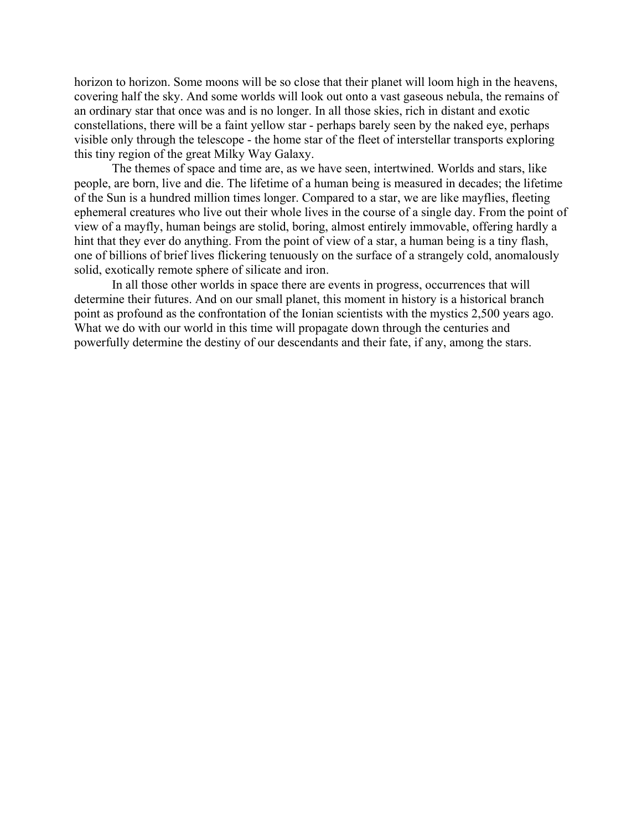horizon to horizon. Some moons will be so close that their planet will loom high in the heavens, covering half the sky. And some worlds will look out onto a vast gaseous nebula, the remains of an ordinary star that once was and is no longer. In all those skies, rich in distant and exotic constellations, there will be a faint yellow star - perhaps barely seen by the naked eye, perhaps visible only through the telescope - the home star of the fleet of interstellar transports exploring this tiny region of the great Milky Way Galaxy.

The themes of space and time are, as we have seen, intertwined. Worlds and stars, like people, are born, live and die. The lifetime of a human being is measured in decades; the lifetime of the Sun is a hundred million times longer. Compared to a star, we are like mayflies, fleeting ephemeral creatures who live out their whole lives in the course of a single day. From the point of view of a mayfly, human beings are stolid, boring, almost entirely immovable, offering hardly a hint that they ever do anything. From the point of view of a star, a human being is a tiny flash, one of billions of brief lives flickering tenuously on the surface of a strangely cold, anomalously solid, exotically remote sphere of silicate and iron.

In all those other worlds in space there are events in progress, occurrences that will determine their futures. And on our small planet, this moment in history is a historical branch point as profound as the confrontation of the Ionian scientists with the mystics 2,500 years ago. What we do with our world in this time will propagate down through the centuries and powerfully determine the destiny of our descendants and their fate, if any, among the stars.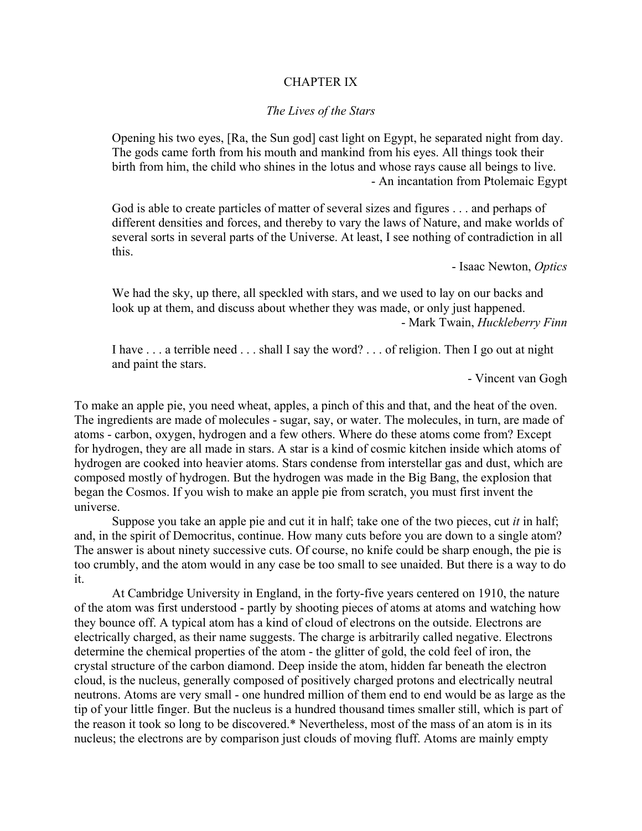# CHAPTER IX

### *The Lives of the Stars*

Opening his two eyes, [Ra, the Sun god] cast light on Egypt, he separated night from day. The gods came forth from his mouth and mankind from his eyes. All things took their birth from him, the child who shines in the lotus and whose rays cause all beings to live. - An incantation from Ptolemaic Egypt

God is able to create particles of matter of several sizes and figures . . . and perhaps of different densities and forces, and thereby to vary the laws of Nature, and make worlds of several sorts in several parts of the Universe. At least, I see nothing of contradiction in all this.

- Isaac Newton, *Optics*

We had the sky, up there, all speckled with stars, and we used to lay on our backs and look up at them, and discuss about whether they was made, or only just happened. - Mark Twain, *Huckleberry Finn*

I have . . . a terrible need . . . shall I say the word? . . . of religion. Then I go out at night and paint the stars.

- Vincent van Gogh

To make an apple pie, you need wheat, apples, a pinch of this and that, and the heat of the oven. The ingredients are made of molecules - sugar, say, or water. The molecules, in turn, are made of atoms - carbon, oxygen, hydrogen and a few others. Where do these atoms come from? Except for hydrogen, they are all made in stars. A star is a kind of cosmic kitchen inside which atoms of hydrogen are cooked into heavier atoms. Stars condense from interstellar gas and dust, which are composed mostly of hydrogen. But the hydrogen was made in the Big Bang, the explosion that began the Cosmos. If you wish to make an apple pie from scratch, you must first invent the universe.

Suppose you take an apple pie and cut it in half; take one of the two pieces, cut *it* in half; and, in the spirit of Democritus, continue. How many cuts before you are down to a single atom? The answer is about ninety successive cuts. Of course, no knife could be sharp enough, the pie is too crumbly, and the atom would in any case be too small to see unaided. But there is a way to do it.

At Cambridge University in England, in the forty-five years centered on 1910, the nature of the atom was first understood - partly by shooting pieces of atoms at atoms and watching how they bounce off. A typical atom has a kind of cloud of electrons on the outside. Electrons are electrically charged, as their name suggests. The charge is arbitrarily called negative. Electrons determine the chemical properties of the atom - the glitter of gold, the cold feel of iron, the crystal structure of the carbon diamond. Deep inside the atom, hidden far beneath the electron cloud, is the nucleus, generally composed of positively charged protons and electrically neutral neutrons. Atoms are very small - one hundred million of them end to end would be as large as the tip of your little finger. But the nucleus is a hundred thousand times smaller still, which is part of the reason it took so long to be discovered.\* Nevertheless, most of the mass of an atom is in its nucleus; the electrons are by comparison just clouds of moving fluff. Atoms are mainly empty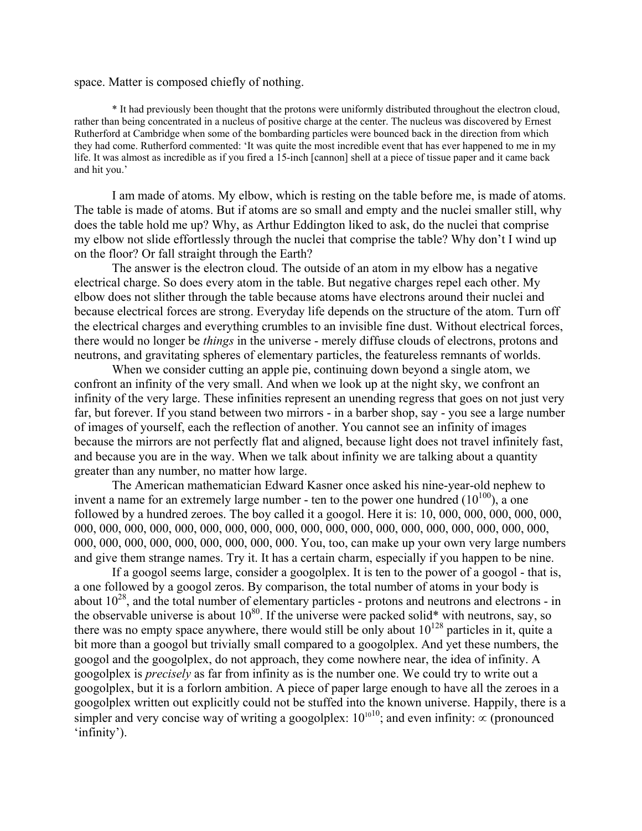space. Matter is composed chiefly of nothing.

\* It had previously been thought that the protons were uniformly distributed throughout the electron cloud, rather than being concentrated in a nucleus of positive charge at the center. The nucleus was discovered by Ernest Rutherford at Cambridge when some of the bombarding particles were bounced back in the direction from which they had come. Rutherford commented: 'It was quite the most incredible event that has ever happened to me in my life. It was almost as incredible as if you fired a 15-inch [cannon] shell at a piece of tissue paper and it came back and hit you.'

I am made of atoms. My elbow, which is resting on the table before me, is made of atoms. The table is made of atoms. But if atoms are so small and empty and the nuclei smaller still, why does the table hold me up? Why, as Arthur Eddington liked to ask, do the nuclei that comprise my elbow not slide effortlessly through the nuclei that comprise the table? Why don't I wind up on the floor? Or fall straight through the Earth?

The answer is the electron cloud. The outside of an atom in my elbow has a negative electrical charge. So does every atom in the table. But negative charges repel each other. My elbow does not slither through the table because atoms have electrons around their nuclei and because electrical forces are strong. Everyday life depends on the structure of the atom. Turn off the electrical charges and everything crumbles to an invisible fine dust. Without electrical forces, there would no longer be *things* in the universe - merely diffuse clouds of electrons, protons and neutrons, and gravitating spheres of elementary particles, the featureless remnants of worlds.

When we consider cutting an apple pie, continuing down beyond a single atom, we confront an infinity of the very small. And when we look up at the night sky, we confront an infinity of the very large. These infinities represent an unending regress that goes on not just very far, but forever. If you stand between two mirrors - in a barber shop, say - you see a large number of images of yourself, each the reflection of another. You cannot see an infinity of images because the mirrors are not perfectly flat and aligned, because light does not travel infinitely fast, and because you are in the way. When we talk about infinity we are talking about a quantity greater than any number, no matter how large.

The American mathematician Edward Kasner once asked his nine-year-old nephew to invent a name for an extremely large number - ten to the power one hundred  $(10^{100})$ , a one followed by a hundred zeroes. The boy called it a googol. Here it is: 10, 000, 000, 000, 000, 000, 000, 000, 000, 000, 000, 000, 000, 000, 000, 000, 000, 000, 000, 000, 000, 000, 000, 000, 000, 000, 000, 000, 000, 000, 000, 000, 000, 000, 000, 000, 000. You, too, can make up your own very large numbers and give them strange names. Try it. It has a certain charm, especially if you happen to be nine.

If a googol seems large, consider a googolplex. It is ten to the power of a googol - that is, a one followed by a googol zeros. By comparison, the total number of atoms in your body is about  $10^{28}$ , and the total number of elementary particles - protons and neutrons and electrons - in the observable universe is about  $10^{80}$ . If the universe were packed solid\* with neutrons, say, so there was no empty space anywhere, there would still be only about  $10^{128}$  particles in it, quite a bit more than a googol but trivially small compared to a googolplex. And yet these numbers, the googol and the googolplex, do not approach, they come nowhere near, the idea of infinity. A googolplex is *precisely* as far from infinity as is the number one. We could try to write out a googolplex, but it is a forlorn ambition. A piece of paper large enough to have all the zeroes in a googolplex written out explicitly could not be stuffed into the known universe. Happily, there is a simpler and very concise way of writing a googolplex:  $10^{1010}$ ; and even infinity: ∝ (pronounced 'infinity').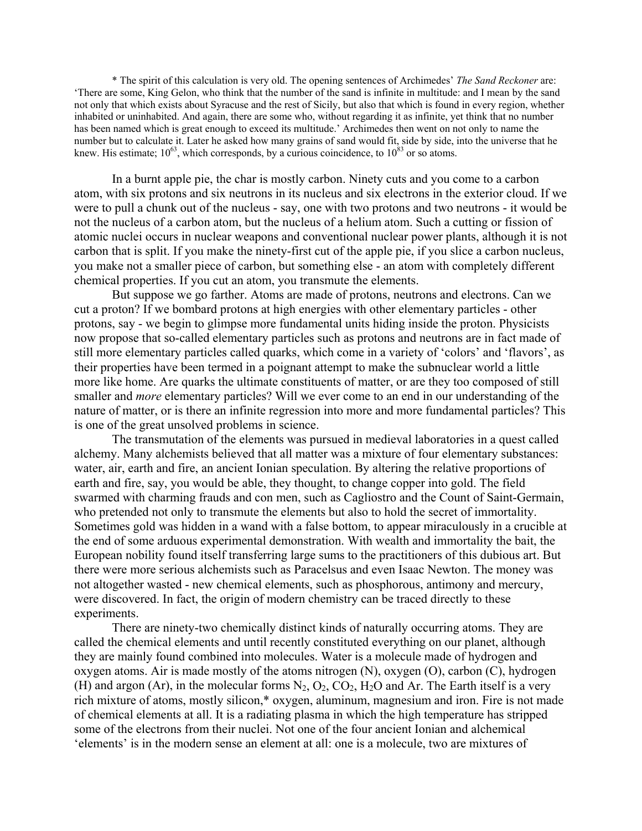\* The spirit of this calculation is very old. The opening sentences of Archimedes' *The Sand Reckoner* are: 'There are some, King Gelon, who think that the number of the sand is infinite in multitude: and I mean by the sand not only that which exists about Syracuse and the rest of Sicily, but also that which is found in every region, whether inhabited or uninhabited. And again, there are some who, without regarding it as infinite, yet think that no number has been named which is great enough to exceed its multitude.' Archimedes then went on not only to name the number but to calculate it. Later he asked how many grains of sand would fit, side by side, into the universe that he knew. His estimate;  $10^{63}$ , which corresponds, by a curious coincidence, to  $10^{83}$  or so atoms.

In a burnt apple pie, the char is mostly carbon. Ninety cuts and you come to a carbon atom, with six protons and six neutrons in its nucleus and six electrons in the exterior cloud. If we were to pull a chunk out of the nucleus - say, one with two protons and two neutrons - it would be not the nucleus of a carbon atom, but the nucleus of a helium atom. Such a cutting or fission of atomic nuclei occurs in nuclear weapons and conventional nuclear power plants, although it is not carbon that is split. If you make the ninety-first cut of the apple pie, if you slice a carbon nucleus, you make not a smaller piece of carbon, but something else - an atom with completely different chemical properties. If you cut an atom, you transmute the elements.

But suppose we go farther. Atoms are made of protons, neutrons and electrons. Can we cut a proton? If we bombard protons at high energies with other elementary particles - other protons, say - we begin to glimpse more fundamental units hiding inside the proton. Physicists now propose that so-called elementary particles such as protons and neutrons are in fact made of still more elementary particles called quarks, which come in a variety of 'colors' and 'flavors', as their properties have been termed in a poignant attempt to make the subnuclear world a little more like home. Are quarks the ultimate constituents of matter, or are they too composed of still smaller and *more* elementary particles? Will we ever come to an end in our understanding of the nature of matter, or is there an infinite regression into more and more fundamental particles? This is one of the great unsolved problems in science.

The transmutation of the elements was pursued in medieval laboratories in a quest called alchemy. Many alchemists believed that all matter was a mixture of four elementary substances: water, air, earth and fire, an ancient Ionian speculation. By altering the relative proportions of earth and fire, say, you would be able, they thought, to change copper into gold. The field swarmed with charming frauds and con men, such as Cagliostro and the Count of Saint-Germain, who pretended not only to transmute the elements but also to hold the secret of immortality. Sometimes gold was hidden in a wand with a false bottom, to appear miraculously in a crucible at the end of some arduous experimental demonstration. With wealth and immortality the bait, the European nobility found itself transferring large sums to the practitioners of this dubious art. But there were more serious alchemists such as Paracelsus and even Isaac Newton. The money was not altogether wasted - new chemical elements, such as phosphorous, antimony and mercury, were discovered. In fact, the origin of modern chemistry can be traced directly to these experiments.

There are ninety-two chemically distinct kinds of naturally occurring atoms. They are called the chemical elements and until recently constituted everything on our planet, although they are mainly found combined into molecules. Water is a molecule made of hydrogen and oxygen atoms. Air is made mostly of the atoms nitrogen (N), oxygen (O), carbon (C), hydrogen (H) and argon (Ar), in the molecular forms  $N_2$ ,  $O_2$ ,  $CO_2$ ,  $H_2O$  and Ar. The Earth itself is a very rich mixture of atoms, mostly silicon,\* oxygen, aluminum, magnesium and iron. Fire is not made of chemical elements at all. It is a radiating plasma in which the high temperature has stripped some of the electrons from their nuclei. Not one of the four ancient Ionian and alchemical 'elements' is in the modern sense an element at all: one is a molecule, two are mixtures of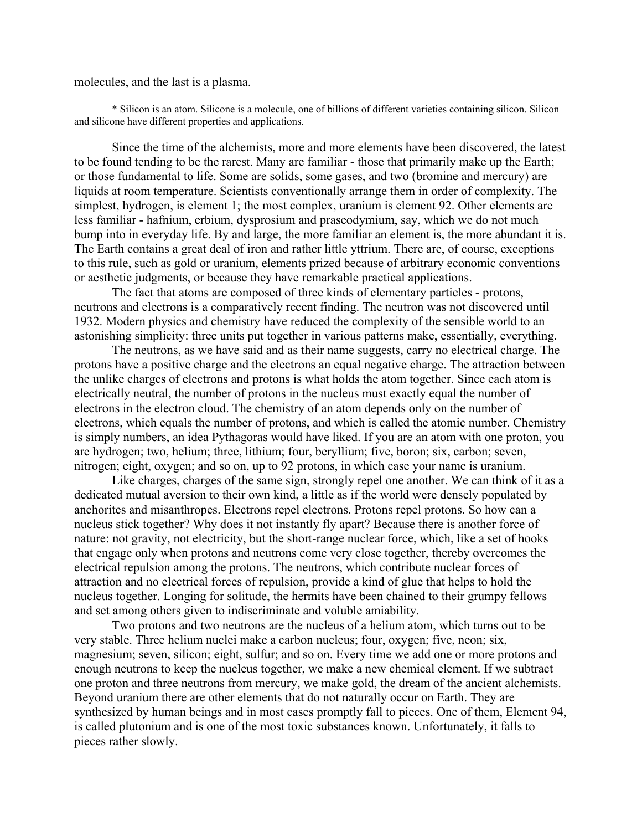molecules, and the last is a plasma.

\* Silicon is an atom. Silicone is a molecule, one of billions of different varieties containing silicon. Silicon and silicone have different properties and applications.

Since the time of the alchemists, more and more elements have been discovered, the latest to be found tending to be the rarest. Many are familiar - those that primarily make up the Earth; or those fundamental to life. Some are solids, some gases, and two (bromine and mercury) are liquids at room temperature. Scientists conventionally arrange them in order of complexity. The simplest, hydrogen, is element 1; the most complex, uranium is element 92. Other elements are less familiar - hafnium, erbium, dysprosium and praseodymium, say, which we do not much bump into in everyday life. By and large, the more familiar an element is, the more abundant it is. The Earth contains a great deal of iron and rather little yttrium. There are, of course, exceptions to this rule, such as gold or uranium, elements prized because of arbitrary economic conventions or aesthetic judgments, or because they have remarkable practical applications.

The fact that atoms are composed of three kinds of elementary particles - protons, neutrons and electrons is a comparatively recent finding. The neutron was not discovered until 1932. Modern physics and chemistry have reduced the complexity of the sensible world to an astonishing simplicity: three units put together in various patterns make, essentially, everything.

The neutrons, as we have said and as their name suggests, carry no electrical charge. The protons have a positive charge and the electrons an equal negative charge. The attraction between the unlike charges of electrons and protons is what holds the atom together. Since each atom is electrically neutral, the number of protons in the nucleus must exactly equal the number of electrons in the electron cloud. The chemistry of an atom depends only on the number of electrons, which equals the number of protons, and which is called the atomic number. Chemistry is simply numbers, an idea Pythagoras would have liked. If you are an atom with one proton, you are hydrogen; two, helium; three, lithium; four, beryllium; five, boron; six, carbon; seven, nitrogen; eight, oxygen; and so on, up to 92 protons, in which case your name is uranium.

Like charges, charges of the same sign, strongly repel one another. We can think of it as a dedicated mutual aversion to their own kind, a little as if the world were densely populated by anchorites and misanthropes. Electrons repel electrons. Protons repel protons. So how can a nucleus stick together? Why does it not instantly fly apart? Because there is another force of nature: not gravity, not electricity, but the short-range nuclear force, which, like a set of hooks that engage only when protons and neutrons come very close together, thereby overcomes the electrical repulsion among the protons. The neutrons, which contribute nuclear forces of attraction and no electrical forces of repulsion, provide a kind of glue that helps to hold the nucleus together. Longing for solitude, the hermits have been chained to their grumpy fellows and set among others given to indiscriminate and voluble amiability.

Two protons and two neutrons are the nucleus of a helium atom, which turns out to be very stable. Three helium nuclei make a carbon nucleus; four, oxygen; five, neon; six, magnesium; seven, silicon; eight, sulfur; and so on. Every time we add one or more protons and enough neutrons to keep the nucleus together, we make a new chemical element. If we subtract one proton and three neutrons from mercury, we make gold, the dream of the ancient alchemists. Beyond uranium there are other elements that do not naturally occur on Earth. They are synthesized by human beings and in most cases promptly fall to pieces. One of them, Element 94, is called plutonium and is one of the most toxic substances known. Unfortunately, it falls to pieces rather slowly.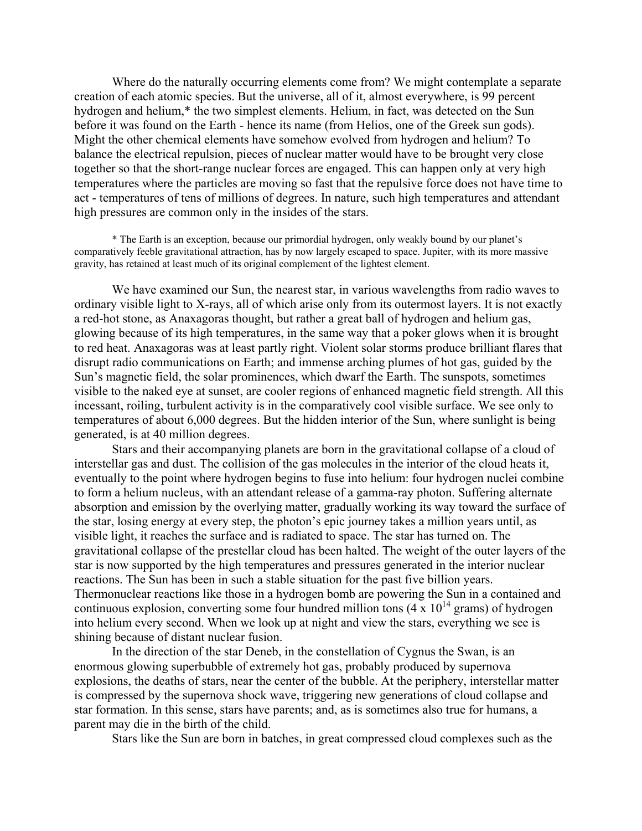Where do the naturally occurring elements come from? We might contemplate a separate creation of each atomic species. But the universe, all of it, almost everywhere, is 99 percent hydrogen and helium,\* the two simplest elements. Helium, in fact, was detected on the Sun before it was found on the Earth - hence its name (from Helios, one of the Greek sun gods). Might the other chemical elements have somehow evolved from hydrogen and helium? To balance the electrical repulsion, pieces of nuclear matter would have to be brought very close together so that the short-range nuclear forces are engaged. This can happen only at very high temperatures where the particles are moving so fast that the repulsive force does not have time to act - temperatures of tens of millions of degrees. In nature, such high temperatures and attendant high pressures are common only in the insides of the stars.

\* The Earth is an exception, because our primordial hydrogen, only weakly bound by our planet's comparatively feeble gravitational attraction, has by now largely escaped to space. Jupiter, with its more massive gravity, has retained at least much of its original complement of the lightest element.

We have examined our Sun, the nearest star, in various wavelengths from radio waves to ordinary visible light to X-rays, all of which arise only from its outermost layers. It is not exactly a red-hot stone, as Anaxagoras thought, but rather a great ball of hydrogen and helium gas, glowing because of its high temperatures, in the same way that a poker glows when it is brought to red heat. Anaxagoras was at least partly right. Violent solar storms produce brilliant flares that disrupt radio communications on Earth; and immense arching plumes of hot gas, guided by the Sun's magnetic field, the solar prominences, which dwarf the Earth. The sunspots, sometimes visible to the naked eye at sunset, are cooler regions of enhanced magnetic field strength. All this incessant, roiling, turbulent activity is in the comparatively cool visible surface. We see only to temperatures of about 6,000 degrees. But the hidden interior of the Sun, where sunlight is being generated, is at 40 million degrees.

Stars and their accompanying planets are born in the gravitational collapse of a cloud of interstellar gas and dust. The collision of the gas molecules in the interior of the cloud heats it, eventually to the point where hydrogen begins to fuse into helium: four hydrogen nuclei combine to form a helium nucleus, with an attendant release of a gamma-ray photon. Suffering alternate absorption and emission by the overlying matter, gradually working its way toward the surface of the star, losing energy at every step, the photon's epic journey takes a million years until, as visible light, it reaches the surface and is radiated to space. The star has turned on. The gravitational collapse of the prestellar cloud has been halted. The weight of the outer layers of the star is now supported by the high temperatures and pressures generated in the interior nuclear reactions. The Sun has been in such a stable situation for the past five billion years. Thermonuclear reactions like those in a hydrogen bomb are powering the Sun in a contained and continuous explosion, converting some four hundred million tons  $(4 \times 10^{14} \text{ grams})$  of hydrogen into helium every second. When we look up at night and view the stars, everything we see is shining because of distant nuclear fusion.

In the direction of the star Deneb, in the constellation of Cygnus the Swan, is an enormous glowing superbubble of extremely hot gas, probably produced by supernova explosions, the deaths of stars, near the center of the bubble. At the periphery, interstellar matter is compressed by the supernova shock wave, triggering new generations of cloud collapse and star formation. In this sense, stars have parents; and, as is sometimes also true for humans, a parent may die in the birth of the child.

Stars like the Sun are born in batches, in great compressed cloud complexes such as the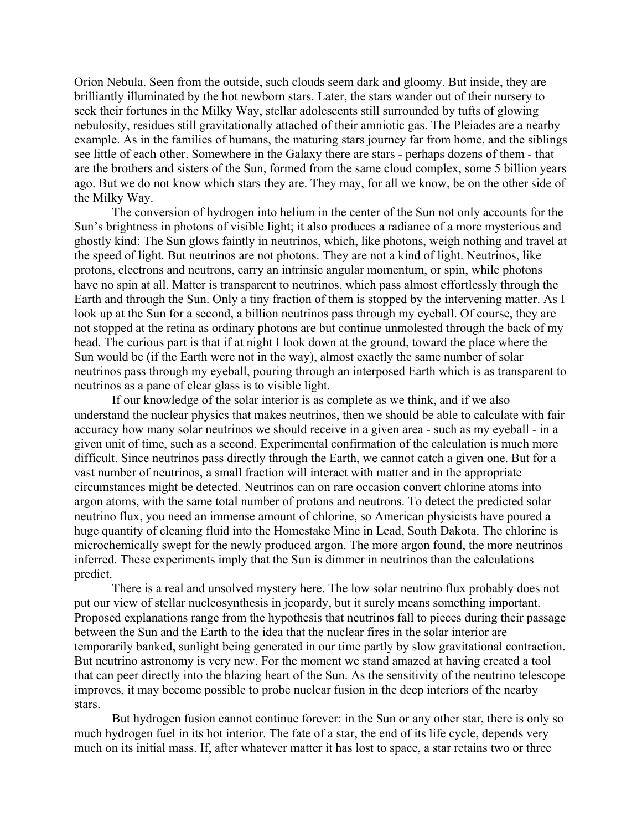Orion Nebula. Seen from the outside, such clouds seem dark and gloomy. But inside, they are brilliantly illuminated by the hot newborn stars. Later, the stars wander out of their nursery to seek their fortunes in the Milky Way, stellar adolescents still surrounded by tufts of glowing nebulosity, residues still gravitationally attached of their amniotic gas. The Pleiades are a nearby example. As in the families of humans, the maturing stars journey far from home, and the siblings see little of each other. Somewhere in the Galaxy there are stars - perhaps dozens of them - that are the brothers and sisters of the Sun, formed from the same cloud complex, some 5 billion years ago. But we do not know which stars they are. They may, for all we know, be on the other side of the Milky Way.

The conversion of hydrogen into helium in the center of the Sun not only accounts for the Sun's brightness in photons of visible light; it also produces a radiance of a more mysterious and ghostly kind: The Sun glows faintly in neutrinos, which, like photons, weigh nothing and travel at the speed of light. But neutrinos are not photons. They are not a kind of light. Neutrinos, like protons, electrons and neutrons, carry an intrinsic angular momentum, or spin, while photons have no spin at all. Matter is transparent to neutrinos, which pass almost effortlessly through the Earth and through the Sun. Only a tiny fraction of them is stopped by the intervening matter. As I look up at the Sun for a second, a billion neutrinos pass through my eyeball. Of course, they are not stopped at the retina as ordinary photons are but continue unmolested through the back of my head. The curious part is that if at night I look down at the ground, toward the place where the Sun would be (if the Earth were not in the way), almost exactly the same number of solar neutrinos pass through my eyeball, pouring through an interposed Earth which is as transparent to neutrinos as a pane of clear glass is to visible light.

If our knowledge of the solar interior is as complete as we think, and if we also understand the nuclear physics that makes neutrinos, then we should be able to calculate with fair accuracy how many solar neutrinos we should receive in a given area - such as my eyeball - in a given unit of time, such as a second. Experimental confirmation of the calculation is much more difficult. Since neutrinos pass directly through the Earth, we cannot catch a given one. But for a vast number of neutrinos, a small fraction will interact with matter and in the appropriate circumstances might be detected. Neutrinos can on rare occasion convert chlorine atoms into argon atoms, with the same total number of protons and neutrons. To detect the predicted solar neutrino flux, you need an immense amount of chlorine, so American physicists have poured a huge quantity of cleaning fluid into the Homestake Mine in Lead, South Dakota. The chlorine is microchemically swept for the newly produced argon. The more argon found, the more neutrinos inferred. These experiments imply that the Sun is dimmer in neutrinos than the calculations predict.

There is a real and unsolved mystery here. The low solar neutrino flux probably does not put our view of stellar nucleosynthesis in jeopardy, but it surely means something important. Proposed explanations range from the hypothesis that neutrinos fall to pieces during their passage between the Sun and the Earth to the idea that the nuclear fires in the solar interior are temporarily banked, sunlight being generated in our time partly by slow gravitational contraction. But neutrino astronomy is very new. For the moment we stand amazed at having created a tool that can peer directly into the blazing heart of the Sun. As the sensitivity of the neutrino telescope improves, it may become possible to probe nuclear fusion in the deep interiors of the nearby stars.

But hydrogen fusion cannot continue forever: in the Sun or any other star, there is only so much hydrogen fuel in its hot interior. The fate of a star, the end of its life cycle, depends very much on its initial mass. If, after whatever matter it has lost to space, a star retains two or three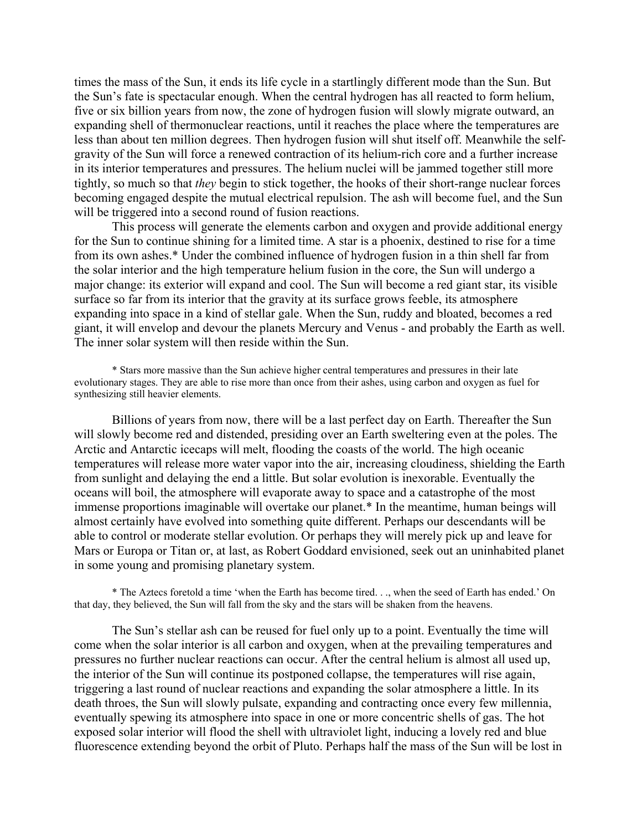times the mass of the Sun, it ends its life cycle in a startlingly different mode than the Sun. But the Sun's fate is spectacular enough. When the central hydrogen has all reacted to form helium, five or six billion years from now, the zone of hydrogen fusion will slowly migrate outward, an expanding shell of thermonuclear reactions, until it reaches the place where the temperatures are less than about ten million degrees. Then hydrogen fusion will shut itself off. Meanwhile the selfgravity of the Sun will force a renewed contraction of its helium-rich core and a further increase in its interior temperatures and pressures. The helium nuclei will be jammed together still more tightly, so much so that *they* begin to stick together, the hooks of their short-range nuclear forces becoming engaged despite the mutual electrical repulsion. The ash will become fuel, and the Sun will be triggered into a second round of fusion reactions.

This process will generate the elements carbon and oxygen and provide additional energy for the Sun to continue shining for a limited time. A star is a phoenix, destined to rise for a time from its own ashes.\* Under the combined influence of hydrogen fusion in a thin shell far from the solar interior and the high temperature helium fusion in the core, the Sun will undergo a major change: its exterior will expand and cool. The Sun will become a red giant star, its visible surface so far from its interior that the gravity at its surface grows feeble, its atmosphere expanding into space in a kind of stellar gale. When the Sun, ruddy and bloated, becomes a red giant, it will envelop and devour the planets Mercury and Venus - and probably the Earth as well. The inner solar system will then reside within the Sun.

\* Stars more massive than the Sun achieve higher central temperatures and pressures in their late evolutionary stages. They are able to rise more than once from their ashes, using carbon and oxygen as fuel for synthesizing still heavier elements.

Billions of years from now, there will be a last perfect day on Earth. Thereafter the Sun will slowly become red and distended, presiding over an Earth sweltering even at the poles. The Arctic and Antarctic icecaps will melt, flooding the coasts of the world. The high oceanic temperatures will release more water vapor into the air, increasing cloudiness, shielding the Earth from sunlight and delaying the end a little. But solar evolution is inexorable. Eventually the oceans will boil, the atmosphere will evaporate away to space and a catastrophe of the most immense proportions imaginable will overtake our planet.\* In the meantime, human beings will almost certainly have evolved into something quite different. Perhaps our descendants will be able to control or moderate stellar evolution. Or perhaps they will merely pick up and leave for Mars or Europa or Titan or, at last, as Robert Goddard envisioned, seek out an uninhabited planet in some young and promising planetary system.

\* The Aztecs foretold a time 'when the Earth has become tired. . ., when the seed of Earth has ended.' On that day, they believed, the Sun will fall from the sky and the stars will be shaken from the heavens.

The Sun's stellar ash can be reused for fuel only up to a point. Eventually the time will come when the solar interior is all carbon and oxygen, when at the prevailing temperatures and pressures no further nuclear reactions can occur. After the central helium is almost all used up, the interior of the Sun will continue its postponed collapse, the temperatures will rise again, triggering a last round of nuclear reactions and expanding the solar atmosphere a little. In its death throes, the Sun will slowly pulsate, expanding and contracting once every few millennia, eventually spewing its atmosphere into space in one or more concentric shells of gas. The hot exposed solar interior will flood the shell with ultraviolet light, inducing a lovely red and blue fluorescence extending beyond the orbit of Pluto. Perhaps half the mass of the Sun will be lost in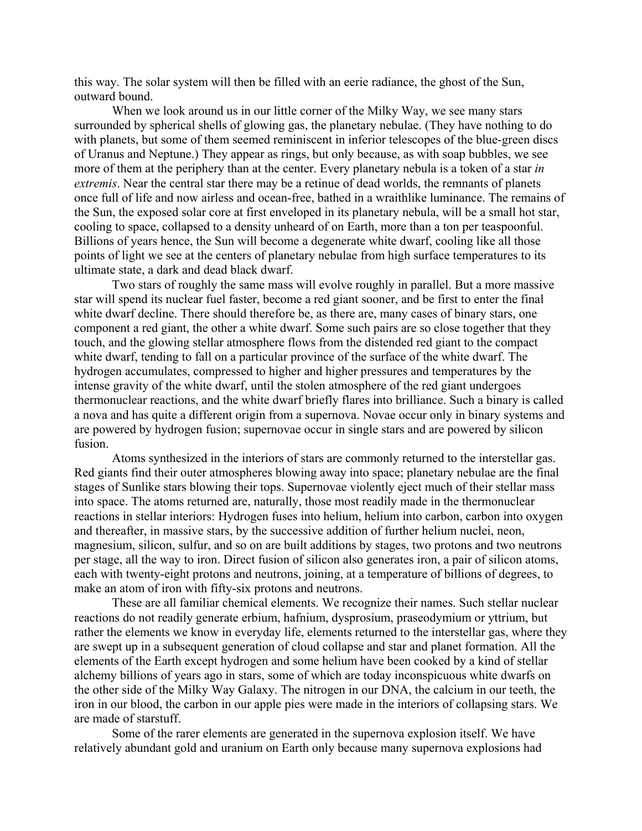this way. The solar system will then be filled with an eerie radiance, the ghost of the Sun, outward bound.

When we look around us in our little corner of the Milky Way, we see many stars surrounded by spherical shells of glowing gas, the planetary nebulae. (They have nothing to do with planets, but some of them seemed reminiscent in inferior telescopes of the blue-green discs of Uranus and Neptune.) They appear as rings, but only because, as with soap bubbles, we see more of them at the periphery than at the center. Every planetary nebula is a token of a star *in extremis*. Near the central star there may be a retinue of dead worlds, the remnants of planets once full of life and now airless and ocean-free, bathed in a wraithlike luminance. The remains of the Sun, the exposed solar core at first enveloped in its planetary nebula, will be a small hot star, cooling to space, collapsed to a density unheard of on Earth, more than a ton per teaspoonful. Billions of years hence, the Sun will become a degenerate white dwarf, cooling like all those points of light we see at the centers of planetary nebulae from high surface temperatures to its ultimate state, a dark and dead black dwarf.

Two stars of roughly the same mass will evolve roughly in parallel. But a more massive star will spend its nuclear fuel faster, become a red giant sooner, and be first to enter the final white dwarf decline. There should therefore be, as there are, many cases of binary stars, one component a red giant, the other a white dwarf. Some such pairs are so close together that they touch, and the glowing stellar atmosphere flows from the distended red giant to the compact white dwarf, tending to fall on a particular province of the surface of the white dwarf. The hydrogen accumulates, compressed to higher and higher pressures and temperatures by the intense gravity of the white dwarf, until the stolen atmosphere of the red giant undergoes thermonuclear reactions, and the white dwarf briefly flares into brilliance. Such a binary is called a nova and has quite a different origin from a supernova. Novae occur only in binary systems and are powered by hydrogen fusion; supernovae occur in single stars and are powered by silicon fusion.

Atoms synthesized in the interiors of stars are commonly returned to the interstellar gas. Red giants find their outer atmospheres blowing away into space; planetary nebulae are the final stages of Sunlike stars blowing their tops. Supernovae violently eject much of their stellar mass into space. The atoms returned are, naturally, those most readily made in the thermonuclear reactions in stellar interiors: Hydrogen fuses into helium, helium into carbon, carbon into oxygen and thereafter, in massive stars, by the successive addition of further helium nuclei, neon, magnesium, silicon, sulfur, and so on are built additions by stages, two protons and two neutrons per stage, all the way to iron. Direct fusion of silicon also generates iron, a pair of silicon atoms, each with twenty-eight protons and neutrons, joining, at a temperature of billions of degrees, to make an atom of iron with fifty-six protons and neutrons.

These are all familiar chemical elements. We recognize their names. Such stellar nuclear reactions do not readily generate erbium, hafnium, dysprosium, praseodymium or yttrium, but rather the elements we know in everyday life, elements returned to the interstellar gas, where they are swept up in a subsequent generation of cloud collapse and star and planet formation. All the elements of the Earth except hydrogen and some helium have been cooked by a kind of stellar alchemy billions of years ago in stars, some of which are today inconspicuous white dwarfs on the other side of the Milky Way Galaxy. The nitrogen in our DNA, the calcium in our teeth, the iron in our blood, the carbon in our apple pies were made in the interiors of collapsing stars. We are made of starstuff.

Some of the rarer elements are generated in the supernova explosion itself. We have relatively abundant gold and uranium on Earth only because many supernova explosions had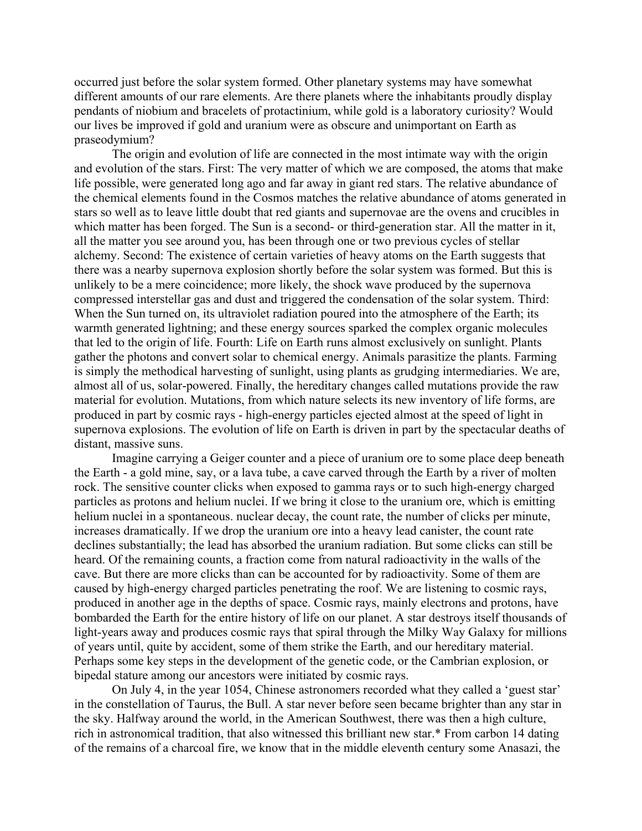occurred just before the solar system formed. Other planetary systems may have somewhat different amounts of our rare elements. Are there planets where the inhabitants proudly display pendants of niobium and bracelets of protactinium, while gold is a laboratory curiosity? Would our lives be improved if gold and uranium were as obscure and unimportant on Earth as praseodymium?

The origin and evolution of life are connected in the most intimate way with the origin and evolution of the stars. First: The very matter of which we are composed, the atoms that make life possible, were generated long ago and far away in giant red stars. The relative abundance of the chemical elements found in the Cosmos matches the relative abundance of atoms generated in stars so well as to leave little doubt that red giants and supernovae are the ovens and crucibles in which matter has been forged. The Sun is a second- or third-generation star. All the matter in it, all the matter you see around you, has been through one or two previous cycles of stellar alchemy. Second: The existence of certain varieties of heavy atoms on the Earth suggests that there was a nearby supernova explosion shortly before the solar system was formed. But this is unlikely to be a mere coincidence; more likely, the shock wave produced by the supernova compressed interstellar gas and dust and triggered the condensation of the solar system. Third: When the Sun turned on, its ultraviolet radiation poured into the atmosphere of the Earth; its warmth generated lightning; and these energy sources sparked the complex organic molecules that led to the origin of life. Fourth: Life on Earth runs almost exclusively on sunlight. Plants gather the photons and convert solar to chemical energy. Animals parasitize the plants. Farming is simply the methodical harvesting of sunlight, using plants as grudging intermediaries. We are, almost all of us, solar-powered. Finally, the hereditary changes called mutations provide the raw material for evolution. Mutations, from which nature selects its new inventory of life forms, are produced in part by cosmic rays - high-energy particles ejected almost at the speed of light in supernova explosions. The evolution of life on Earth is driven in part by the spectacular deaths of distant, massive suns.

Imagine carrying a Geiger counter and a piece of uranium ore to some place deep beneath the Earth - a gold mine, say, or a lava tube, a cave carved through the Earth by a river of molten rock. The sensitive counter clicks when exposed to gamma rays or to such high-energy charged particles as protons and helium nuclei. If we bring it close to the uranium ore, which is emitting helium nuclei in a spontaneous. nuclear decay, the count rate, the number of clicks per minute, increases dramatically. If we drop the uranium ore into a heavy lead canister, the count rate declines substantially; the lead has absorbed the uranium radiation. But some clicks can still be heard. Of the remaining counts, a fraction come from natural radioactivity in the walls of the cave. But there are more clicks than can be accounted for by radioactivity. Some of them are caused by high-energy charged particles penetrating the roof. We are listening to cosmic rays, produced in another age in the depths of space. Cosmic rays, mainly electrons and protons, have bombarded the Earth for the entire history of life on our planet. A star destroys itself thousands of light-years away and produces cosmic rays that spiral through the Milky Way Galaxy for millions of years until, quite by accident, some of them strike the Earth, and our hereditary material. Perhaps some key steps in the development of the genetic code, or the Cambrian explosion, or bipedal stature among our ancestors were initiated by cosmic rays.

On July 4, in the year 1054, Chinese astronomers recorded what they called a 'guest star' in the constellation of Taurus, the Bull. A star never before seen became brighter than any star in the sky. Halfway around the world, in the American Southwest, there was then a high culture, rich in astronomical tradition, that also witnessed this brilliant new star.\* From carbon 14 dating of the remains of a charcoal fire, we know that in the middle eleventh century some Anasazi, the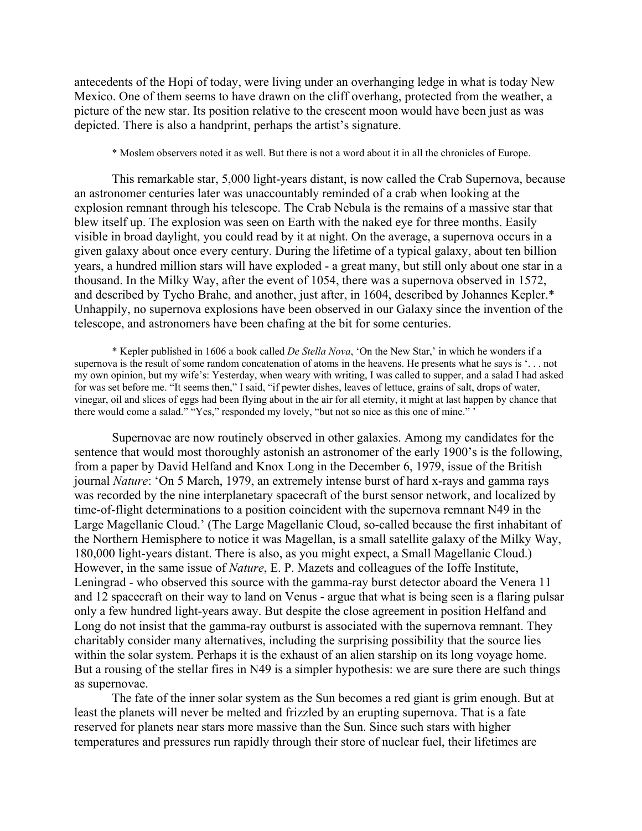antecedents of the Hopi of today, were living under an overhanging ledge in what is today New Mexico. One of them seems to have drawn on the cliff overhang, protected from the weather, a picture of the new star. Its position relative to the crescent moon would have been just as was depicted. There is also a handprint, perhaps the artist's signature.

\* Moslem observers noted it as well. But there is not a word about it in all the chronicles of Europe.

This remarkable star, 5,000 light-years distant, is now called the Crab Supernova, because an astronomer centuries later was unaccountably reminded of a crab when looking at the explosion remnant through his telescope. The Crab Nebula is the remains of a massive star that blew itself up. The explosion was seen on Earth with the naked eye for three months. Easily visible in broad daylight, you could read by it at night. On the average, a supernova occurs in a given galaxy about once every century. During the lifetime of a typical galaxy, about ten billion years, a hundred million stars will have exploded - a great many, but still only about one star in a thousand. In the Milky Way, after the event of 1054, there was a supernova observed in 1572, and described by Tycho Brahe, and another, just after, in 1604, described by Johannes Kepler.\* Unhappily, no supernova explosions have been observed in our Galaxy since the invention of the telescope, and astronomers have been chafing at the bit for some centuries.

\* Kepler published in 1606 a book called *De Stella Nova*, 'On the New Star,' in which he wonders if a supernova is the result of some random concatenation of atoms in the heavens. He presents what he says is '... not my own opinion, but my wife's: Yesterday, when weary with writing, I was called to supper, and a salad I had asked for was set before me. "It seems then," I said, "if pewter dishes, leaves of lettuce, grains of salt, drops of water, vinegar, oil and slices of eggs had been flying about in the air for all eternity, it might at last happen by chance that there would come a salad." "Yes," responded my lovely, "but not so nice as this one of mine."

Supernovae are now routinely observed in other galaxies. Among my candidates for the sentence that would most thoroughly astonish an astronomer of the early 1900's is the following, from a paper by David Helfand and Knox Long in the December 6, 1979, issue of the British journal *Nature*: 'On 5 March, 1979, an extremely intense burst of hard x-rays and gamma rays was recorded by the nine interplanetary spacecraft of the burst sensor network, and localized by time-of-flight determinations to a position coincident with the supernova remnant N49 in the Large Magellanic Cloud.' (The Large Magellanic Cloud, so-called because the first inhabitant of the Northern Hemisphere to notice it was Magellan, is a small satellite galaxy of the Milky Way, 180,000 light-years distant. There is also, as you might expect, a Small Magellanic Cloud.) However, in the same issue of *Nature*, E. P. Mazets and colleagues of the Ioffe Institute, Leningrad - who observed this source with the gamma-ray burst detector aboard the Venera 11 and 12 spacecraft on their way to land on Venus - argue that what is being seen is a flaring pulsar only a few hundred light-years away. But despite the close agreement in position Helfand and Long do not insist that the gamma-ray outburst is associated with the supernova remnant. They charitably consider many alternatives, including the surprising possibility that the source lies within the solar system. Perhaps it is the exhaust of an alien starship on its long voyage home. But a rousing of the stellar fires in N49 is a simpler hypothesis: we are sure there are such things as supernovae.

The fate of the inner solar system as the Sun becomes a red giant is grim enough. But at least the planets will never be melted and frizzled by an erupting supernova. That is a fate reserved for planets near stars more massive than the Sun. Since such stars with higher temperatures and pressures run rapidly through their store of nuclear fuel, their lifetimes are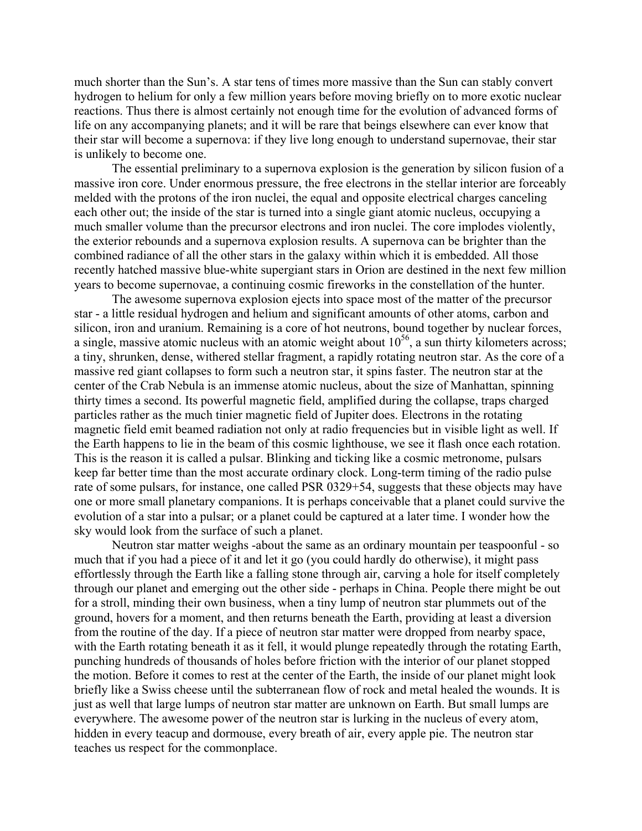much shorter than the Sun's. A star tens of times more massive than the Sun can stably convert hydrogen to helium for only a few million years before moving briefly on to more exotic nuclear reactions. Thus there is almost certainly not enough time for the evolution of advanced forms of life on any accompanying planets; and it will be rare that beings elsewhere can ever know that their star will become a supernova: if they live long enough to understand supernovae, their star is unlikely to become one.

The essential preliminary to a supernova explosion is the generation by silicon fusion of a massive iron core. Under enormous pressure, the free electrons in the stellar interior are forceably melded with the protons of the iron nuclei, the equal and opposite electrical charges canceling each other out; the inside of the star is turned into a single giant atomic nucleus, occupying a much smaller volume than the precursor electrons and iron nuclei. The core implodes violently, the exterior rebounds and a supernova explosion results. A supernova can be brighter than the combined radiance of all the other stars in the galaxy within which it is embedded. All those recently hatched massive blue-white supergiant stars in Orion are destined in the next few million years to become supernovae, a continuing cosmic fireworks in the constellation of the hunter.

The awesome supernova explosion ejects into space most of the matter of the precursor star - a little residual hydrogen and helium and significant amounts of other atoms, carbon and silicon, iron and uranium. Remaining is a core of hot neutrons, bound together by nuclear forces, a single, massive atomic nucleus with an atomic weight about  $10^{56}$ , a sun thirty kilometers across; a tiny, shrunken, dense, withered stellar fragment, a rapidly rotating neutron star. As the core of a massive red giant collapses to form such a neutron star, it spins faster. The neutron star at the center of the Crab Nebula is an immense atomic nucleus, about the size of Manhattan, spinning thirty times a second. Its powerful magnetic field, amplified during the collapse, traps charged particles rather as the much tinier magnetic field of Jupiter does. Electrons in the rotating magnetic field emit beamed radiation not only at radio frequencies but in visible light as well. If the Earth happens to lie in the beam of this cosmic lighthouse, we see it flash once each rotation. This is the reason it is called a pulsar. Blinking and ticking like a cosmic metronome, pulsars keep far better time than the most accurate ordinary clock. Long-term timing of the radio pulse rate of some pulsars, for instance, one called PSR 0329+54, suggests that these objects may have one or more small planetary companions. It is perhaps conceivable that a planet could survive the evolution of a star into a pulsar; or a planet could be captured at a later time. I wonder how the sky would look from the surface of such a planet.

Neutron star matter weighs -about the same as an ordinary mountain per teaspoonful - so much that if you had a piece of it and let it go (you could hardly do otherwise), it might pass effortlessly through the Earth like a falling stone through air, carving a hole for itself completely through our planet and emerging out the other side - perhaps in China. People there might be out for a stroll, minding their own business, when a tiny lump of neutron star plummets out of the ground, hovers for a moment, and then returns beneath the Earth, providing at least a diversion from the routine of the day. If a piece of neutron star matter were dropped from nearby space, with the Earth rotating beneath it as it fell, it would plunge repeatedly through the rotating Earth, punching hundreds of thousands of holes before friction with the interior of our planet stopped the motion. Before it comes to rest at the center of the Earth, the inside of our planet might look briefly like a Swiss cheese until the subterranean flow of rock and metal healed the wounds. It is just as well that large lumps of neutron star matter are unknown on Earth. But small lumps are everywhere. The awesome power of the neutron star is lurking in the nucleus of every atom, hidden in every teacup and dormouse, every breath of air, every apple pie. The neutron star teaches us respect for the commonplace.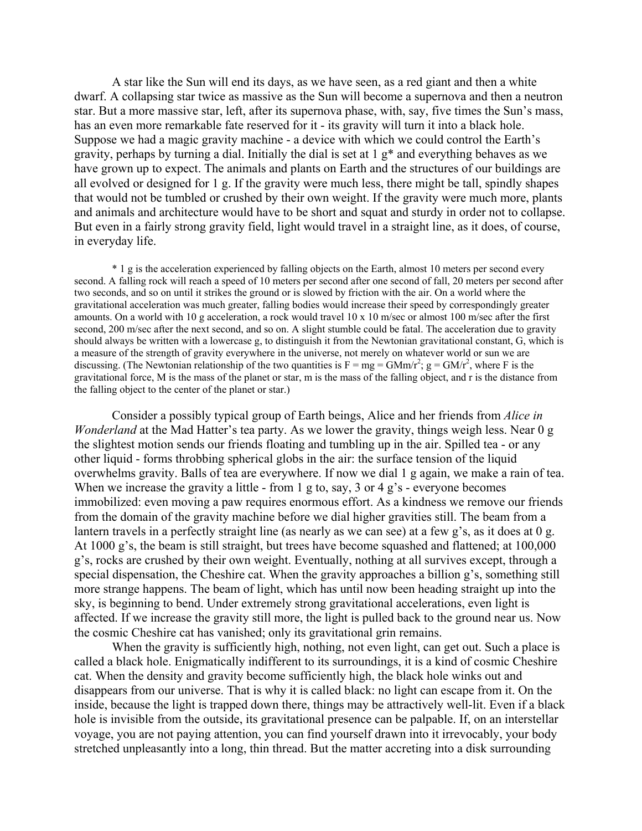A star like the Sun will end its days, as we have seen, as a red giant and then a white dwarf. A collapsing star twice as massive as the Sun will become a supernova and then a neutron star. But a more massive star, left, after its supernova phase, with, say, five times the Sun's mass, has an even more remarkable fate reserved for it - its gravity will turn it into a black hole. Suppose we had a magic gravity machine - a device with which we could control the Earth's gravity, perhaps by turning a dial. Initially the dial is set at 1 g\* and everything behaves as we have grown up to expect. The animals and plants on Earth and the structures of our buildings are all evolved or designed for 1 g. If the gravity were much less, there might be tall, spindly shapes that would not be tumbled or crushed by their own weight. If the gravity were much more, plants and animals and architecture would have to be short and squat and sturdy in order not to collapse. But even in a fairly strong gravity field, light would travel in a straight line, as it does, of course, in everyday life.

\* 1 g is the acceleration experienced by falling objects on the Earth, almost 10 meters per second every second. A falling rock will reach a speed of 10 meters per second after one second of fall, 20 meters per second after two seconds, and so on until it strikes the ground or is slowed by friction with the air. On a world where the gravitational acceleration was much greater, falling bodies would increase their speed by correspondingly greater amounts. On a world with 10 g acceleration, a rock would travel 10 x 10 m/sec or almost 100 m/sec after the first second, 200 m/sec after the next second, and so on. A slight stumble could be fatal. The acceleration due to gravity should always be written with a lowercase g, to distinguish it from the Newtonian gravitational constant, G, which is a measure of the strength of gravity everywhere in the universe, not merely on whatever world or sun we are discussing. (The Newtonian relationship of the two quantities is  $F = mg = GMm/r^2$ ;  $g = GM/r^2$ , where F is the gravitational force, M is the mass of the planet or star, m is the mass of the falling object, and r is the distance from the falling object to the center of the planet or star.)

Consider a possibly typical group of Earth beings, Alice and her friends from *Alice in Wonderland* at the Mad Hatter's tea party. As we lower the gravity, things weigh less. Near 0 g the slightest motion sends our friends floating and tumbling up in the air. Spilled tea - or any other liquid - forms throbbing spherical globs in the air: the surface tension of the liquid overwhelms gravity. Balls of tea are everywhere. If now we dial 1 g again, we make a rain of tea. When we increase the gravity a little - from 1 g to, say, 3 or 4 g's - everyone becomes immobilized: even moving a paw requires enormous effort. As a kindness we remove our friends from the domain of the gravity machine before we dial higher gravities still. The beam from a lantern travels in a perfectly straight line (as nearly as we can see) at a few g's, as it does at 0 g. At 1000 g's, the beam is still straight, but trees have become squashed and flattened; at 100,000 g's, rocks are crushed by their own weight. Eventually, nothing at all survives except, through a special dispensation, the Cheshire cat. When the gravity approaches a billion g's, something still more strange happens. The beam of light, which has until now been heading straight up into the sky, is beginning to bend. Under extremely strong gravitational accelerations, even light is affected. If we increase the gravity still more, the light is pulled back to the ground near us. Now the cosmic Cheshire cat has vanished; only its gravitational grin remains.

When the gravity is sufficiently high, nothing, not even light, can get out. Such a place is called a black hole. Enigmatically indifferent to its surroundings, it is a kind of cosmic Cheshire cat. When the density and gravity become sufficiently high, the black hole winks out and disappears from our universe. That is why it is called black: no light can escape from it. On the inside, because the light is trapped down there, things may be attractively well-lit. Even if a black hole is invisible from the outside, its gravitational presence can be palpable. If, on an interstellar voyage, you are not paying attention, you can find yourself drawn into it irrevocably, your body stretched unpleasantly into a long, thin thread. But the matter accreting into a disk surrounding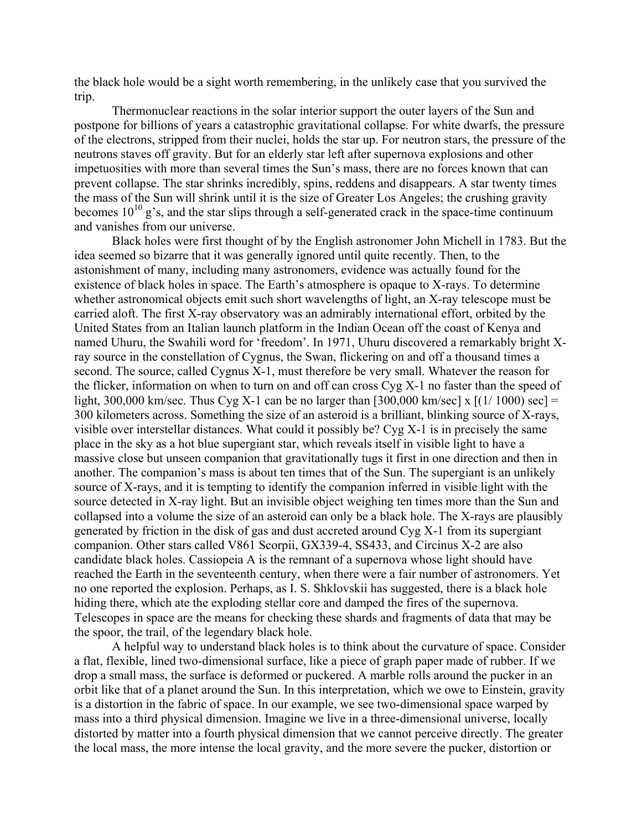the black hole would be a sight worth remembering, in the unlikely case that you survived the trip.

Thermonuclear reactions in the solar interior support the outer layers of the Sun and postpone for billions of years a catastrophic gravitational collapse. For white dwarfs, the pressure of the electrons, stripped from their nuclei, holds the star up. For neutron stars, the pressure of the neutrons staves off gravity. But for an elderly star left after supernova explosions and other impetuosities with more than several times the Sun's mass, there are no forces known that can prevent collapse. The star shrinks incredibly, spins, reddens and disappears. A star twenty times the mass of the Sun will shrink until it is the size of Greater Los Angeles; the crushing gravity becomes  $10^{10}$  g's, and the star slips through a self-generated crack in the space-time continuum and vanishes from our universe.

Black holes were first thought of by the English astronomer John Michell in 1783. But the idea seemed so bizarre that it was generally ignored until quite recently. Then, to the astonishment of many, including many astronomers, evidence was actually found for the existence of black holes in space. The Earth's atmosphere is opaque to X-rays. To determine whether astronomical objects emit such short wavelengths of light, an X-ray telescope must be carried aloft. The first X-ray observatory was an admirably international effort, orbited by the United States from an Italian launch platform in the Indian Ocean off the coast of Kenya and named Uhuru, the Swahili word for 'freedom'. In 1971, Uhuru discovered a remarkably bright Xray source in the constellation of Cygnus, the Swan, flickering on and off a thousand times a second. The source, called Cygnus X-1, must therefore be very small. Whatever the reason for the flicker, information on when to turn on and off can cross Cyg X-1 no faster than the speed of light, 300,000 km/sec. Thus Cyg X-1 can be no larger than [300,000 km/sec] x  $[(1/1000)$  sec] = 300 kilometers across. Something the size of an asteroid is a brilliant, blinking source of X-rays, visible over interstellar distances. What could it possibly be? Cyg X-1 is in precisely the same place in the sky as a hot blue supergiant star, which reveals itself in visible light to have a massive close but unseen companion that gravitationally tugs it first in one direction and then in another. The companion's mass is about ten times that of the Sun. The supergiant is an unlikely source of X-rays, and it is tempting to identify the companion inferred in visible light with the source detected in X-ray light. But an invisible object weighing ten times more than the Sun and collapsed into a volume the size of an asteroid can only be a black hole. The X-rays are plausibly generated by friction in the disk of gas and dust accreted around Cyg X-1 from its supergiant companion. Other stars called V861 Scorpii, GX339-4, SS433, and Circinus X-2 are also candidate black holes. Cassiopeia A is the remnant of a supernova whose light should have reached the Earth in the seventeenth century, when there were a fair number of astronomers. Yet no one reported the explosion. Perhaps, as I. S. Shklovskii has suggested, there is a black hole hiding there, which ate the exploding stellar core and damped the fires of the supernova. Telescopes in space are the means for checking these shards and fragments of data that may be the spoor, the trail, of the legendary black hole.

A helpful way to understand black holes is to think about the curvature of space. Consider a flat, flexible, lined two-dimensional surface, like a piece of graph paper made of rubber. If we drop a small mass, the surface is deformed or puckered. A marble rolls around the pucker in an orbit like that of a planet around the Sun. In this interpretation, which we owe to Einstein, gravity is a distortion in the fabric of space. In our example, we see two-dimensional space warped by mass into a third physical dimension. Imagine we live in a three-dimensional universe, locally distorted by matter into a fourth physical dimension that we cannot perceive directly. The greater the local mass, the more intense the local gravity, and the more severe the pucker, distortion or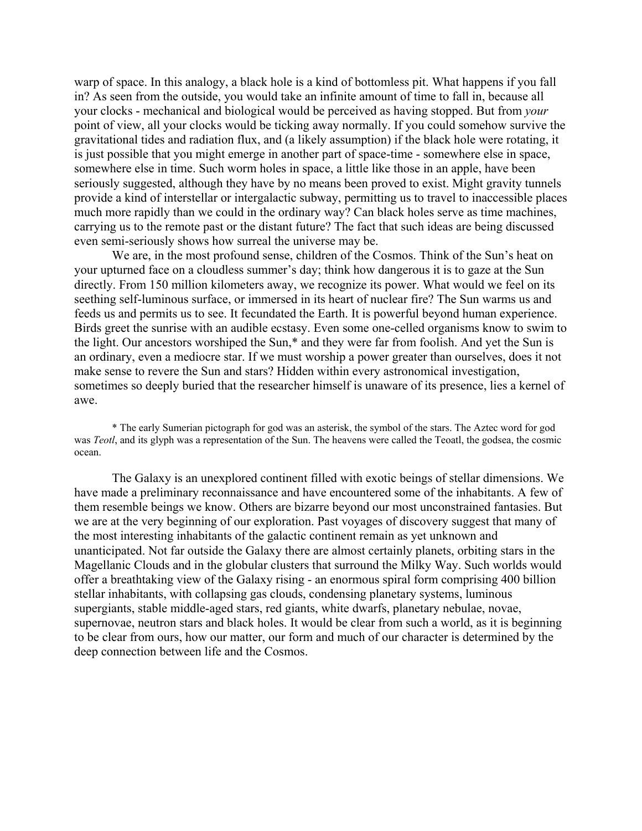warp of space. In this analogy, a black hole is a kind of bottomless pit. What happens if you fall in? As seen from the outside, you would take an infinite amount of time to fall in, because all your clocks - mechanical and biological would be perceived as having stopped. But from *your* point of view, all your clocks would be ticking away normally. If you could somehow survive the gravitational tides and radiation flux, and (a likely assumption) if the black hole were rotating, it is just possible that you might emerge in another part of space-time - somewhere else in space, somewhere else in time. Such worm holes in space, a little like those in an apple, have been seriously suggested, although they have by no means been proved to exist. Might gravity tunnels provide a kind of interstellar or intergalactic subway, permitting us to travel to inaccessible places much more rapidly than we could in the ordinary way? Can black holes serve as time machines, carrying us to the remote past or the distant future? The fact that such ideas are being discussed even semi-seriously shows how surreal the universe may be.

We are, in the most profound sense, children of the Cosmos. Think of the Sun's heat on your upturned face on a cloudless summer's day; think how dangerous it is to gaze at the Sun directly. From 150 million kilometers away, we recognize its power. What would we feel on its seething self-luminous surface, or immersed in its heart of nuclear fire? The Sun warms us and feeds us and permits us to see. It fecundated the Earth. It is powerful beyond human experience. Birds greet the sunrise with an audible ecstasy. Even some one-celled organisms know to swim to the light. Our ancestors worshiped the Sun,\* and they were far from foolish. And yet the Sun is an ordinary, even a mediocre star. If we must worship a power greater than ourselves, does it not make sense to revere the Sun and stars? Hidden within every astronomical investigation, sometimes so deeply buried that the researcher himself is unaware of its presence, lies a kernel of awe.

\* The early Sumerian pictograph for god was an asterisk, the symbol of the stars. The Aztec word for god was *Teotl*, and its glyph was a representation of the Sun. The heavens were called the Teoatl, the godsea, the cosmic ocean.

The Galaxy is an unexplored continent filled with exotic beings of stellar dimensions. We have made a preliminary reconnaissance and have encountered some of the inhabitants. A few of them resemble beings we know. Others are bizarre beyond our most unconstrained fantasies. But we are at the very beginning of our exploration. Past voyages of discovery suggest that many of the most interesting inhabitants of the galactic continent remain as yet unknown and unanticipated. Not far outside the Galaxy there are almost certainly planets, orbiting stars in the Magellanic Clouds and in the globular clusters that surround the Milky Way. Such worlds would offer a breathtaking view of the Galaxy rising - an enormous spiral form comprising 400 billion stellar inhabitants, with collapsing gas clouds, condensing planetary systems, luminous supergiants, stable middle-aged stars, red giants, white dwarfs, planetary nebulae, novae, supernovae, neutron stars and black holes. It would be clear from such a world, as it is beginning to be clear from ours, how our matter, our form and much of our character is determined by the deep connection between life and the Cosmos.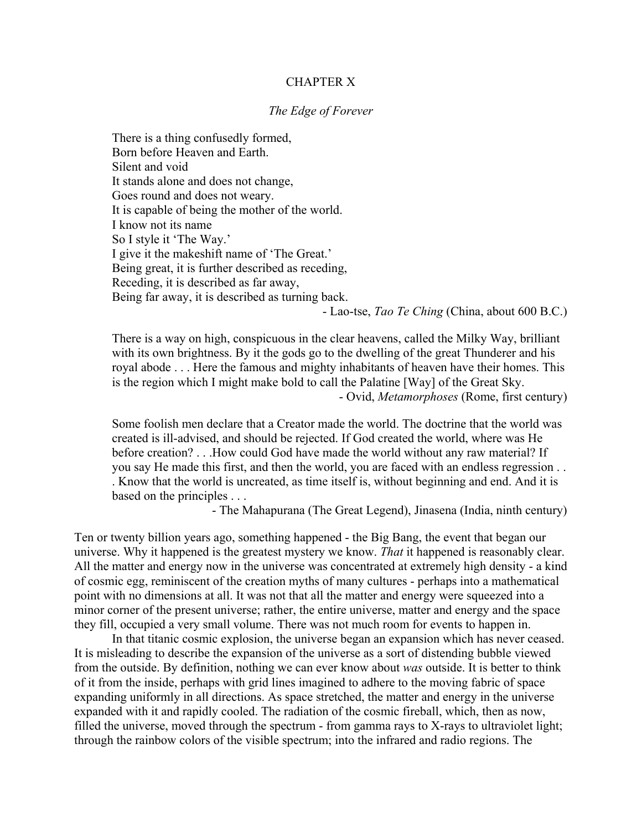# CHAPTER X

### *The Edge of Forever*

There is a thing confusedly formed, Born before Heaven and Earth. Silent and void It stands alone and does not change, Goes round and does not weary. It is capable of being the mother of the world. I know not its name So I style it 'The Way.' I give it the makeshift name of 'The Great.' Being great, it is further described as receding, Receding, it is described as far away, Being far away, it is described as turning back.

- Lao-tse, *Tao Te Ching* (China, about 600 B.C.)

There is a way on high, conspicuous in the clear heavens, called the Milky Way, brilliant with its own brightness. By it the gods go to the dwelling of the great Thunderer and his royal abode . . . Here the famous and mighty inhabitants of heaven have their homes. This is the region which I might make bold to call the Palatine [Way] of the Great Sky.

- Ovid, *Metamorphoses* (Rome, first century)

Some foolish men declare that a Creator made the world. The doctrine that the world was created is ill-advised, and should be rejected. If God created the world, where was He before creation? . . .How could God have made the world without any raw material? If you say He made this first, and then the world, you are faced with an endless regression . . . Know that the world is uncreated, as time itself is, without beginning and end. And it is based on the principles . . .

- The Mahapurana (The Great Legend), Jinasena (India, ninth century)

Ten or twenty billion years ago, something happened - the Big Bang, the event that began our universe. Why it happened is the greatest mystery we know. *That* it happened is reasonably clear. All the matter and energy now in the universe was concentrated at extremely high density - a kind of cosmic egg, reminiscent of the creation myths of many cultures - perhaps into a mathematical point with no dimensions at all. It was not that all the matter and energy were squeezed into a minor corner of the present universe; rather, the entire universe, matter and energy and the space they fill, occupied a very small volume. There was not much room for events to happen in.

In that titanic cosmic explosion, the universe began an expansion which has never ceased. It is misleading to describe the expansion of the universe as a sort of distending bubble viewed from the outside. By definition, nothing we can ever know about *was* outside. It is better to think of it from the inside, perhaps with grid lines imagined to adhere to the moving fabric of space expanding uniformly in all directions. As space stretched, the matter and energy in the universe expanded with it and rapidly cooled. The radiation of the cosmic fireball, which, then as now, filled the universe, moved through the spectrum - from gamma rays to X-rays to ultraviolet light; through the rainbow colors of the visible spectrum; into the infrared and radio regions. The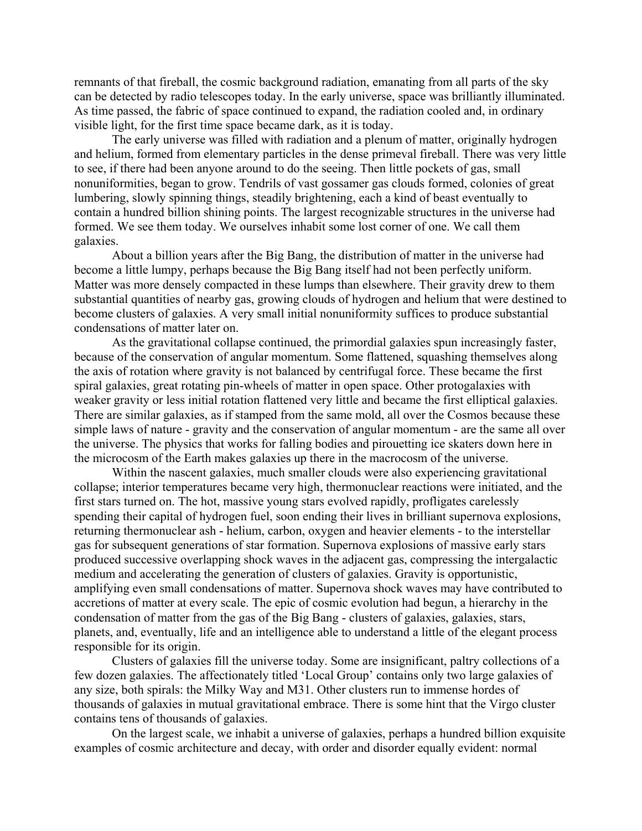remnants of that fireball, the cosmic background radiation, emanating from all parts of the sky can be detected by radio telescopes today. In the early universe, space was brilliantly illuminated. As time passed, the fabric of space continued to expand, the radiation cooled and, in ordinary visible light, for the first time space became dark, as it is today.

The early universe was filled with radiation and a plenum of matter, originally hydrogen and helium, formed from elementary particles in the dense primeval fireball. There was very little to see, if there had been anyone around to do the seeing. Then little pockets of gas, small nonuniformities, began to grow. Tendrils of vast gossamer gas clouds formed, colonies of great lumbering, slowly spinning things, steadily brightening, each a kind of beast eventually to contain a hundred billion shining points. The largest recognizable structures in the universe had formed. We see them today. We ourselves inhabit some lost corner of one. We call them galaxies.

About a billion years after the Big Bang, the distribution of matter in the universe had become a little lumpy, perhaps because the Big Bang itself had not been perfectly uniform. Matter was more densely compacted in these lumps than elsewhere. Their gravity drew to them substantial quantities of nearby gas, growing clouds of hydrogen and helium that were destined to become clusters of galaxies. A very small initial nonuniformity suffices to produce substantial condensations of matter later on.

As the gravitational collapse continued, the primordial galaxies spun increasingly faster, because of the conservation of angular momentum. Some flattened, squashing themselves along the axis of rotation where gravity is not balanced by centrifugal force. These became the first spiral galaxies, great rotating pin-wheels of matter in open space. Other protogalaxies with weaker gravity or less initial rotation flattened very little and became the first elliptical galaxies. There are similar galaxies, as if stamped from the same mold, all over the Cosmos because these simple laws of nature - gravity and the conservation of angular momentum - are the same all over the universe. The physics that works for falling bodies and pirouetting ice skaters down here in the microcosm of the Earth makes galaxies up there in the macrocosm of the universe.

Within the nascent galaxies, much smaller clouds were also experiencing gravitational collapse; interior temperatures became very high, thermonuclear reactions were initiated, and the first stars turned on. The hot, massive young stars evolved rapidly, profligates carelessly spending their capital of hydrogen fuel, soon ending their lives in brilliant supernova explosions, returning thermonuclear ash - helium, carbon, oxygen and heavier elements - to the interstellar gas for subsequent generations of star formation. Supernova explosions of massive early stars produced successive overlapping shock waves in the adjacent gas, compressing the intergalactic medium and accelerating the generation of clusters of galaxies. Gravity is opportunistic, amplifying even small condensations of matter. Supernova shock waves may have contributed to accretions of matter at every scale. The epic of cosmic evolution had begun, a hierarchy in the condensation of matter from the gas of the Big Bang - clusters of galaxies, galaxies, stars, planets, and, eventually, life and an intelligence able to understand a little of the elegant process responsible for its origin.

Clusters of galaxies fill the universe today. Some are insignificant, paltry collections of a few dozen galaxies. The affectionately titled 'Local Group' contains only two large galaxies of any size, both spirals: the Milky Way and M31. Other clusters run to immense hordes of thousands of galaxies in mutual gravitational embrace. There is some hint that the Virgo cluster contains tens of thousands of galaxies.

On the largest scale, we inhabit a universe of galaxies, perhaps a hundred billion exquisite examples of cosmic architecture and decay, with order and disorder equally evident: normal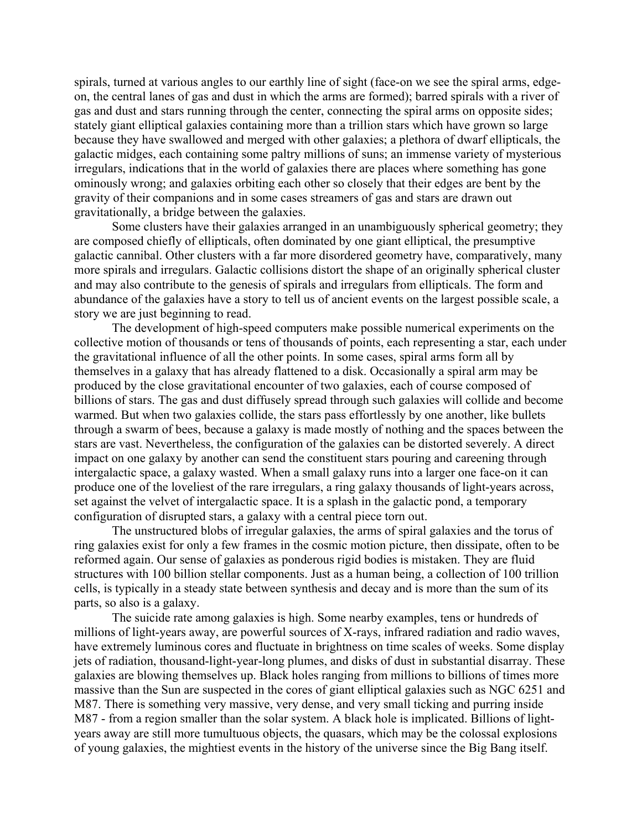spirals, turned at various angles to our earthly line of sight (face-on we see the spiral arms, edgeon, the central lanes of gas and dust in which the arms are formed); barred spirals with a river of gas and dust and stars running through the center, connecting the spiral arms on opposite sides; stately giant elliptical galaxies containing more than a trillion stars which have grown so large because they have swallowed and merged with other galaxies; a plethora of dwarf ellipticals, the galactic midges, each containing some paltry millions of suns; an immense variety of mysterious irregulars, indications that in the world of galaxies there are places where something has gone ominously wrong; and galaxies orbiting each other so closely that their edges are bent by the gravity of their companions and in some cases streamers of gas and stars are drawn out gravitationally, a bridge between the galaxies.

Some clusters have their galaxies arranged in an unambiguously spherical geometry; they are composed chiefly of ellipticals, often dominated by one giant elliptical, the presumptive galactic cannibal. Other clusters with a far more disordered geometry have, comparatively, many more spirals and irregulars. Galactic collisions distort the shape of an originally spherical cluster and may also contribute to the genesis of spirals and irregulars from ellipticals. The form and abundance of the galaxies have a story to tell us of ancient events on the largest possible scale, a story we are just beginning to read.

The development of high-speed computers make possible numerical experiments on the collective motion of thousands or tens of thousands of points, each representing a star, each under the gravitational influence of all the other points. In some cases, spiral arms form all by themselves in a galaxy that has already flattened to a disk. Occasionally a spiral arm may be produced by the close gravitational encounter of two galaxies, each of course composed of billions of stars. The gas and dust diffusely spread through such galaxies will collide and become warmed. But when two galaxies collide, the stars pass effortlessly by one another, like bullets through a swarm of bees, because a galaxy is made mostly of nothing and the spaces between the stars are vast. Nevertheless, the configuration of the galaxies can be distorted severely. A direct impact on one galaxy by another can send the constituent stars pouring and careening through intergalactic space, a galaxy wasted. When a small galaxy runs into a larger one face-on it can produce one of the loveliest of the rare irregulars, a ring galaxy thousands of light-years across, set against the velvet of intergalactic space. It is a splash in the galactic pond, a temporary configuration of disrupted stars, a galaxy with a central piece torn out.

The unstructured blobs of irregular galaxies, the arms of spiral galaxies and the torus of ring galaxies exist for only a few frames in the cosmic motion picture, then dissipate, often to be reformed again. Our sense of galaxies as ponderous rigid bodies is mistaken. They are fluid structures with 100 billion stellar components. Just as a human being, a collection of 100 trillion cells, is typically in a steady state between synthesis and decay and is more than the sum of its parts, so also is a galaxy.

The suicide rate among galaxies is high. Some nearby examples, tens or hundreds of millions of light-years away, are powerful sources of X-rays, infrared radiation and radio waves, have extremely luminous cores and fluctuate in brightness on time scales of weeks. Some display jets of radiation, thousand-light-year-long plumes, and disks of dust in substantial disarray. These galaxies are blowing themselves up. Black holes ranging from millions to billions of times more massive than the Sun are suspected in the cores of giant elliptical galaxies such as NGC 6251 and M87. There is something very massive, very dense, and very small ticking and purring inside M87 - from a region smaller than the solar system. A black hole is implicated. Billions of lightyears away are still more tumultuous objects, the quasars, which may be the colossal explosions of young galaxies, the mightiest events in the history of the universe since the Big Bang itself.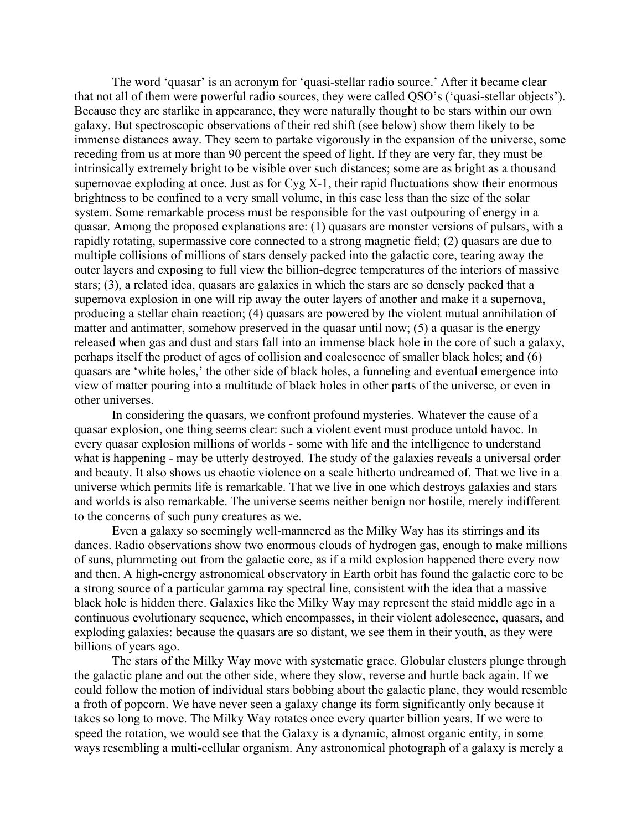The word 'quasar' is an acronym for 'quasi-stellar radio source.' After it became clear that not all of them were powerful radio sources, they were called QSO's ('quasi-stellar objects'). Because they are starlike in appearance, they were naturally thought to be stars within our own galaxy. But spectroscopic observations of their red shift (see below) show them likely to be immense distances away. They seem to partake vigorously in the expansion of the universe, some receding from us at more than 90 percent the speed of light. If they are very far, they must be intrinsically extremely bright to be visible over such distances; some are as bright as a thousand supernovae exploding at once. Just as for Cyg X-1, their rapid fluctuations show their enormous brightness to be confined to a very small volume, in this case less than the size of the solar system. Some remarkable process must be responsible for the vast outpouring of energy in a quasar. Among the proposed explanations are: (1) quasars are monster versions of pulsars, with a rapidly rotating, supermassive core connected to a strong magnetic field; (2) quasars are due to multiple collisions of millions of stars densely packed into the galactic core, tearing away the outer layers and exposing to full view the billion-degree temperatures of the interiors of massive stars; (3), a related idea, quasars are galaxies in which the stars are so densely packed that a supernova explosion in one will rip away the outer layers of another and make it a supernova, producing a stellar chain reaction; (4) quasars are powered by the violent mutual annihilation of matter and antimatter, somehow preserved in the quasar until now; (5) a quasar is the energy released when gas and dust and stars fall into an immense black hole in the core of such a galaxy, perhaps itself the product of ages of collision and coalescence of smaller black holes; and (6) quasars are 'white holes,' the other side of black holes, a funneling and eventual emergence into view of matter pouring into a multitude of black holes in other parts of the universe, or even in other universes.

In considering the quasars, we confront profound mysteries. Whatever the cause of a quasar explosion, one thing seems clear: such a violent event must produce untold havoc. In every quasar explosion millions of worlds - some with life and the intelligence to understand what is happening - may be utterly destroyed. The study of the galaxies reveals a universal order and beauty. It also shows us chaotic violence on a scale hitherto undreamed of. That we live in a universe which permits life is remarkable. That we live in one which destroys galaxies and stars and worlds is also remarkable. The universe seems neither benign nor hostile, merely indifferent to the concerns of such puny creatures as we.

Even a galaxy so seemingly well-mannered as the Milky Way has its stirrings and its dances. Radio observations show two enormous clouds of hydrogen gas, enough to make millions of suns, plummeting out from the galactic core, as if a mild explosion happened there every now and then. A high-energy astronomical observatory in Earth orbit has found the galactic core to be a strong source of a particular gamma ray spectral line, consistent with the idea that a massive black hole is hidden there. Galaxies like the Milky Way may represent the staid middle age in a continuous evolutionary sequence, which encompasses, in their violent adolescence, quasars, and exploding galaxies: because the quasars are so distant, we see them in their youth, as they were billions of years ago.

The stars of the Milky Way move with systematic grace. Globular clusters plunge through the galactic plane and out the other side, where they slow, reverse and hurtle back again. If we could follow the motion of individual stars bobbing about the galactic plane, they would resemble a froth of popcorn. We have never seen a galaxy change its form significantly only because it takes so long to move. The Milky Way rotates once every quarter billion years. If we were to speed the rotation, we would see that the Galaxy is a dynamic, almost organic entity, in some ways resembling a multi-cellular organism. Any astronomical photograph of a galaxy is merely a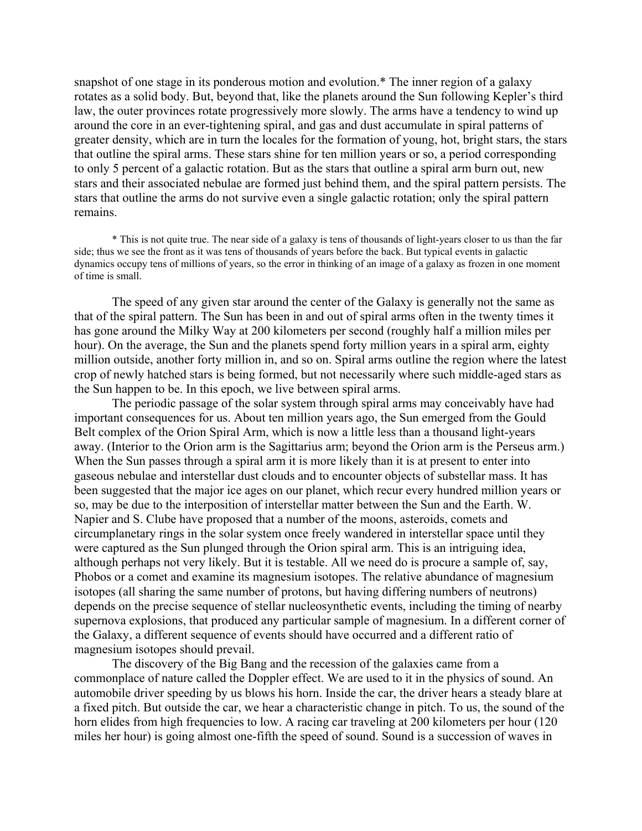snapshot of one stage in its ponderous motion and evolution.\* The inner region of a galaxy rotates as a solid body. But, beyond that, like the planets around the Sun following Kepler's third law, the outer provinces rotate progressively more slowly. The arms have a tendency to wind up around the core in an ever-tightening spiral, and gas and dust accumulate in spiral patterns of greater density, which are in turn the locales for the formation of young, hot, bright stars, the stars that outline the spiral arms. These stars shine for ten million years or so, a period corresponding to only 5 percent of a galactic rotation. But as the stars that outline a spiral arm burn out, new stars and their associated nebulae are formed just behind them, and the spiral pattern persists. The stars that outline the arms do not survive even a single galactic rotation; only the spiral pattern remains.

\* This is not quite true. The near side of a galaxy is tens of thousands of light-years closer to us than the far side; thus we see the front as it was tens of thousands of years before the back. But typical events in galactic dynamics occupy tens of millions of years, so the error in thinking of an image of a galaxy as frozen in one moment of time is small.

The speed of any given star around the center of the Galaxy is generally not the same as that of the spiral pattern. The Sun has been in and out of spiral arms often in the twenty times it has gone around the Milky Way at 200 kilometers per second (roughly half a million miles per hour). On the average, the Sun and the planets spend forty million years in a spiral arm, eighty million outside, another forty million in, and so on. Spiral arms outline the region where the latest crop of newly hatched stars is being formed, but not necessarily where such middle-aged stars as the Sun happen to be. In this epoch, we live between spiral arms.

The periodic passage of the solar system through spiral arms may conceivably have had important consequences for us. About ten million years ago, the Sun emerged from the Gould Belt complex of the Orion Spiral Arm, which is now a little less than a thousand light-years away. (Interior to the Orion arm is the Sagittarius arm; beyond the Orion arm is the Perseus arm.) When the Sun passes through a spiral arm it is more likely than it is at present to enter into gaseous nebulae and interstellar dust clouds and to encounter objects of substellar mass. It has been suggested that the major ice ages on our planet, which recur every hundred million years or so, may be due to the interposition of interstellar matter between the Sun and the Earth. W. Napier and S. Clube have proposed that a number of the moons, asteroids, comets and circumplanetary rings in the solar system once freely wandered in interstellar space until they were captured as the Sun plunged through the Orion spiral arm. This is an intriguing idea, although perhaps not very likely. But it is testable. All we need do is procure a sample of, say, Phobos or a comet and examine its magnesium isotopes. The relative abundance of magnesium isotopes (all sharing the same number of protons, but having differing numbers of neutrons) depends on the precise sequence of stellar nucleosynthetic events, including the timing of nearby supernova explosions, that produced any particular sample of magnesium. In a different corner of the Galaxy, a different sequence of events should have occurred and a different ratio of magnesium isotopes should prevail.

The discovery of the Big Bang and the recession of the galaxies came from a commonplace of nature called the Doppler effect. We are used to it in the physics of sound. An automobile driver speeding by us blows his horn. Inside the car, the driver hears a steady blare at a fixed pitch. But outside the car, we hear a characteristic change in pitch. To us, the sound of the horn elides from high frequencies to low. A racing car traveling at 200 kilometers per hour (120) miles her hour) is going almost one-fifth the speed of sound. Sound is a succession of waves in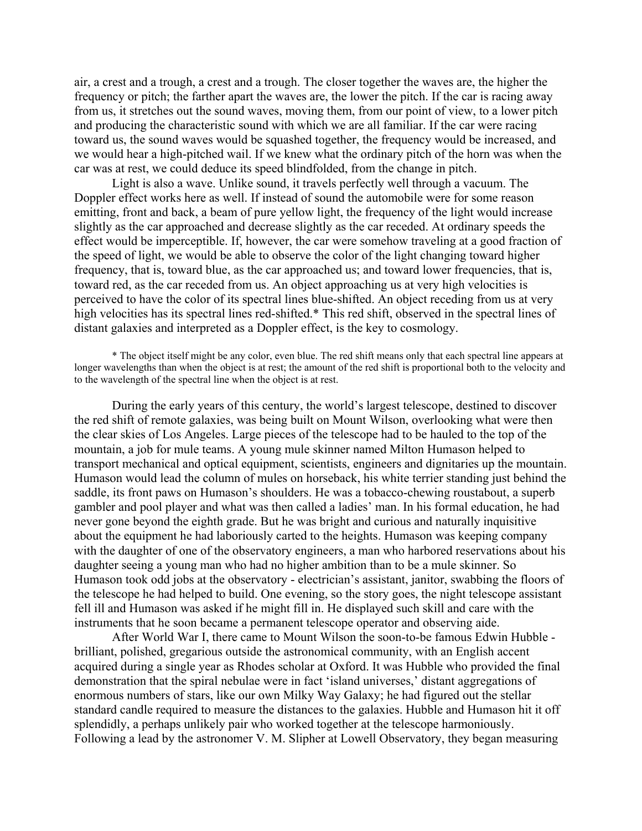air, a crest and a trough, a crest and a trough. The closer together the waves are, the higher the frequency or pitch; the farther apart the waves are, the lower the pitch. If the car is racing away from us, it stretches out the sound waves, moving them, from our point of view, to a lower pitch and producing the characteristic sound with which we are all familiar. If the car were racing toward us, the sound waves would be squashed together, the frequency would be increased, and we would hear a high-pitched wail. If we knew what the ordinary pitch of the horn was when the car was at rest, we could deduce its speed blindfolded, from the change in pitch.

Light is also a wave. Unlike sound, it travels perfectly well through a vacuum. The Doppler effect works here as well. If instead of sound the automobile were for some reason emitting, front and back, a beam of pure yellow light, the frequency of the light would increase slightly as the car approached and decrease slightly as the car receded. At ordinary speeds the effect would be imperceptible. If, however, the car were somehow traveling at a good fraction of the speed of light, we would be able to observe the color of the light changing toward higher frequency, that is, toward blue, as the car approached us; and toward lower frequencies, that is, toward red, as the car receded from us. An object approaching us at very high velocities is perceived to have the color of its spectral lines blue-shifted. An object receding from us at very high velocities has its spectral lines red-shifted.\* This red shift, observed in the spectral lines of distant galaxies and interpreted as a Doppler effect, is the key to cosmology.

\* The object itself might be any color, even blue. The red shift means only that each spectral line appears at longer wavelengths than when the object is at rest; the amount of the red shift is proportional both to the velocity and to the wavelength of the spectral line when the object is at rest.

During the early years of this century, the world's largest telescope, destined to discover the red shift of remote galaxies, was being built on Mount Wilson, overlooking what were then the clear skies of Los Angeles. Large pieces of the telescope had to be hauled to the top of the mountain, a job for mule teams. A young mule skinner named Milton Humason helped to transport mechanical and optical equipment, scientists, engineers and dignitaries up the mountain. Humason would lead the column of mules on horseback, his white terrier standing just behind the saddle, its front paws on Humason's shoulders. He was a tobacco-chewing roustabout, a superb gambler and pool player and what was then called a ladies' man. In his formal education, he had never gone beyond the eighth grade. But he was bright and curious and naturally inquisitive about the equipment he had laboriously carted to the heights. Humason was keeping company with the daughter of one of the observatory engineers, a man who harbored reservations about his daughter seeing a young man who had no higher ambition than to be a mule skinner. So Humason took odd jobs at the observatory - electrician's assistant, janitor, swabbing the floors of the telescope he had helped to build. One evening, so the story goes, the night telescope assistant fell ill and Humason was asked if he might fill in. He displayed such skill and care with the instruments that he soon became a permanent telescope operator and observing aide.

After World War I, there came to Mount Wilson the soon-to-be famous Edwin Hubble brilliant, polished, gregarious outside the astronomical community, with an English accent acquired during a single year as Rhodes scholar at Oxford. It was Hubble who provided the final demonstration that the spiral nebulae were in fact 'island universes,' distant aggregations of enormous numbers of stars, like our own Milky Way Galaxy; he had figured out the stellar standard candle required to measure the distances to the galaxies. Hubble and Humason hit it off splendidly, a perhaps unlikely pair who worked together at the telescope harmoniously. Following a lead by the astronomer V. M. Slipher at Lowell Observatory, they began measuring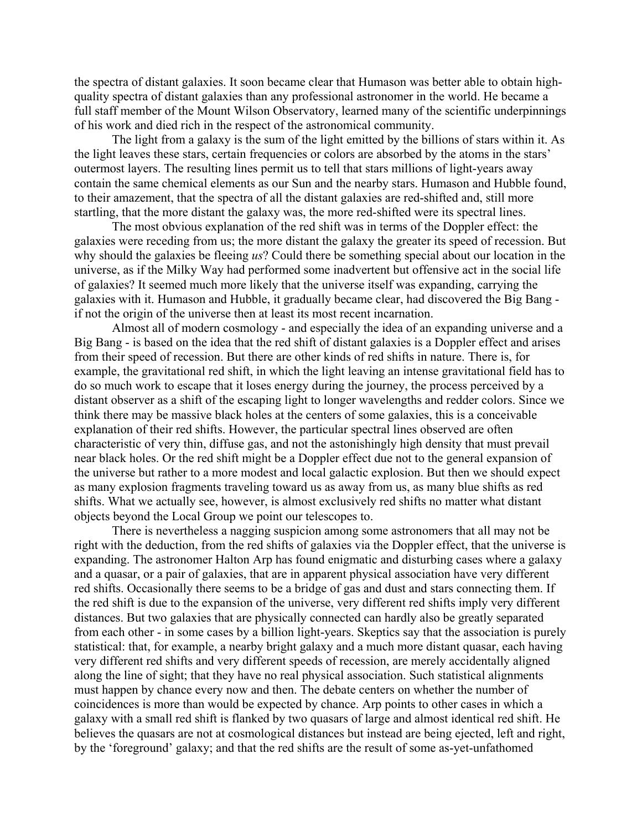the spectra of distant galaxies. It soon became clear that Humason was better able to obtain highquality spectra of distant galaxies than any professional astronomer in the world. He became a full staff member of the Mount Wilson Observatory, learned many of the scientific underpinnings of his work and died rich in the respect of the astronomical community.

The light from a galaxy is the sum of the light emitted by the billions of stars within it. As the light leaves these stars, certain frequencies or colors are absorbed by the atoms in the stars' outermost layers. The resulting lines permit us to tell that stars millions of light-years away contain the same chemical elements as our Sun and the nearby stars. Humason and Hubble found, to their amazement, that the spectra of all the distant galaxies are red-shifted and, still more startling, that the more distant the galaxy was, the more red-shifted were its spectral lines.

The most obvious explanation of the red shift was in terms of the Doppler effect: the galaxies were receding from us; the more distant the galaxy the greater its speed of recession. But why should the galaxies be fleeing *us*? Could there be something special about our location in the universe, as if the Milky Way had performed some inadvertent but offensive act in the social life of galaxies? It seemed much more likely that the universe itself was expanding, carrying the galaxies with it. Humason and Hubble, it gradually became clear, had discovered the Big Bang if not the origin of the universe then at least its most recent incarnation.

Almost all of modern cosmology - and especially the idea of an expanding universe and a Big Bang - is based on the idea that the red shift of distant galaxies is a Doppler effect and arises from their speed of recession. But there are other kinds of red shifts in nature. There is, for example, the gravitational red shift, in which the light leaving an intense gravitational field has to do so much work to escape that it loses energy during the journey, the process perceived by a distant observer as a shift of the escaping light to longer wavelengths and redder colors. Since we think there may be massive black holes at the centers of some galaxies, this is a conceivable explanation of their red shifts. However, the particular spectral lines observed are often characteristic of very thin, diffuse gas, and not the astonishingly high density that must prevail near black holes. Or the red shift might be a Doppler effect due not to the general expansion of the universe but rather to a more modest and local galactic explosion. But then we should expect as many explosion fragments traveling toward us as away from us, as many blue shifts as red shifts. What we actually see, however, is almost exclusively red shifts no matter what distant objects beyond the Local Group we point our telescopes to.

There is nevertheless a nagging suspicion among some astronomers that all may not be right with the deduction, from the red shifts of galaxies via the Doppler effect, that the universe is expanding. The astronomer Halton Arp has found enigmatic and disturbing cases where a galaxy and a quasar, or a pair of galaxies, that are in apparent physical association have very different red shifts. Occasionally there seems to be a bridge of gas and dust and stars connecting them. If the red shift is due to the expansion of the universe, very different red shifts imply very different distances. But two galaxies that are physically connected can hardly also be greatly separated from each other - in some cases by a billion light-years. Skeptics say that the association is purely statistical: that, for example, a nearby bright galaxy and a much more distant quasar, each having very different red shifts and very different speeds of recession, are merely accidentally aligned along the line of sight; that they have no real physical association. Such statistical alignments must happen by chance every now and then. The debate centers on whether the number of coincidences is more than would be expected by chance. Arp points to other cases in which a galaxy with a small red shift is flanked by two quasars of large and almost identical red shift. He believes the quasars are not at cosmological distances but instead are being ejected, left and right, by the 'foreground' galaxy; and that the red shifts are the result of some as-yet-unfathomed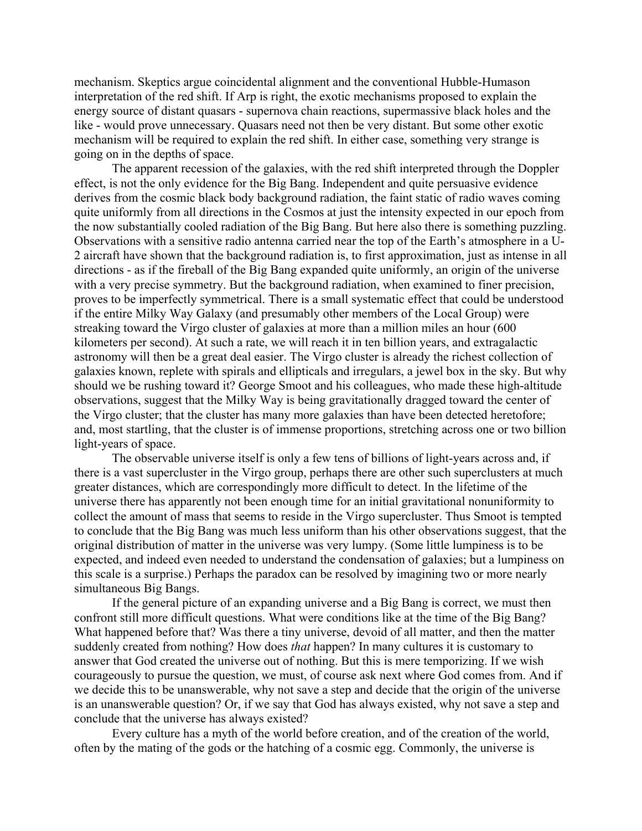mechanism. Skeptics argue coincidental alignment and the conventional Hubble-Humason interpretation of the red shift. If Arp is right, the exotic mechanisms proposed to explain the energy source of distant quasars - supernova chain reactions, supermassive black holes and the like - would prove unnecessary. Quasars need not then be very distant. But some other exotic mechanism will be required to explain the red shift. In either case, something very strange is going on in the depths of space.

The apparent recession of the galaxies, with the red shift interpreted through the Doppler effect, is not the only evidence for the Big Bang. Independent and quite persuasive evidence derives from the cosmic black body background radiation, the faint static of radio waves coming quite uniformly from all directions in the Cosmos at just the intensity expected in our epoch from the now substantially cooled radiation of the Big Bang. But here also there is something puzzling. Observations with a sensitive radio antenna carried near the top of the Earth's atmosphere in a U-2 aircraft have shown that the background radiation is, to first approximation, just as intense in all directions - as if the fireball of the Big Bang expanded quite uniformly, an origin of the universe with a very precise symmetry. But the background radiation, when examined to finer precision, proves to be imperfectly symmetrical. There is a small systematic effect that could be understood if the entire Milky Way Galaxy (and presumably other members of the Local Group) were streaking toward the Virgo cluster of galaxies at more than a million miles an hour (600 kilometers per second). At such a rate, we will reach it in ten billion years, and extragalactic astronomy will then be a great deal easier. The Virgo cluster is already the richest collection of galaxies known, replete with spirals and ellipticals and irregulars, a jewel box in the sky. But why should we be rushing toward it? George Smoot and his colleagues, who made these high-altitude observations, suggest that the Milky Way is being gravitationally dragged toward the center of the Virgo cluster; that the cluster has many more galaxies than have been detected heretofore; and, most startling, that the cluster is of immense proportions, stretching across one or two billion light-years of space.

The observable universe itself is only a few tens of billions of light-years across and, if there is a vast supercluster in the Virgo group, perhaps there are other such superclusters at much greater distances, which are correspondingly more difficult to detect. In the lifetime of the universe there has apparently not been enough time for an initial gravitational nonuniformity to collect the amount of mass that seems to reside in the Virgo supercluster. Thus Smoot is tempted to conclude that the Big Bang was much less uniform than his other observations suggest, that the original distribution of matter in the universe was very lumpy. (Some little lumpiness is to be expected, and indeed even needed to understand the condensation of galaxies; but a lumpiness on this scale is a surprise.) Perhaps the paradox can be resolved by imagining two or more nearly simultaneous Big Bangs.

If the general picture of an expanding universe and a Big Bang is correct, we must then confront still more difficult questions. What were conditions like at the time of the Big Bang? What happened before that? Was there a tiny universe, devoid of all matter, and then the matter suddenly created from nothing? How does *that* happen? In many cultures it is customary to answer that God created the universe out of nothing. But this is mere temporizing. If we wish courageously to pursue the question, we must, of course ask next where God comes from. And if we decide this to be unanswerable, why not save a step and decide that the origin of the universe is an unanswerable question? Or, if we say that God has always existed, why not save a step and conclude that the universe has always existed?

Every culture has a myth of the world before creation, and of the creation of the world, often by the mating of the gods or the hatching of a cosmic egg. Commonly, the universe is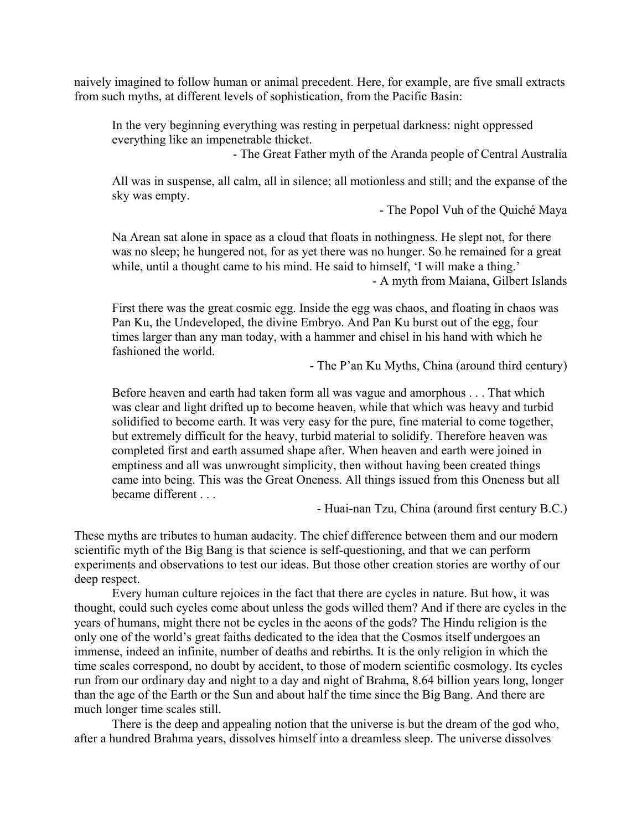naively imagined to follow human or animal precedent. Here, for example, are five small extracts from such myths, at different levels of sophistication, from the Pacific Basin:

In the very beginning everything was resting in perpetual darkness: night oppressed everything like an impenetrable thicket.

- The Great Father myth of the Aranda people of Central Australia

All was in suspense, all calm, all in silence; all motionless and still; and the expanse of the sky was empty.

- The Popol Vuh of the Quiché Maya

Na Arean sat alone in space as a cloud that floats in nothingness. He slept not, for there was no sleep; he hungered not, for as yet there was no hunger. So he remained for a great while, until a thought came to his mind. He said to himself, 'I will make a thing.' - A myth from Maiana, Gilbert Islands

First there was the great cosmic egg. Inside the egg was chaos, and floating in chaos was Pan Ku, the Undeveloped, the divine Embryo. And Pan Ku burst out of the egg, four times larger than any man today, with a hammer and chisel in his hand with which he fashioned the world.

- The P'an Ku Myths, China (around third century)

Before heaven and earth had taken form all was vague and amorphous . . . That which was clear and light drifted up to become heaven, while that which was heavy and turbid solidified to become earth. It was very easy for the pure, fine material to come together, but extremely difficult for the heavy, turbid material to solidify. Therefore heaven was completed first and earth assumed shape after. When heaven and earth were joined in emptiness and all was unwrought simplicity, then without having been created things came into being. This was the Great Oneness. All things issued from this Oneness but all became different

- Huai-nan Tzu, China (around first century B.C.)

These myths are tributes to human audacity. The chief difference between them and our modern scientific myth of the Big Bang is that science is self-questioning, and that we can perform experiments and observations to test our ideas. But those other creation stories are worthy of our deep respect.

Every human culture rejoices in the fact that there are cycles in nature. But how, it was thought, could such cycles come about unless the gods willed them? And if there are cycles in the years of humans, might there not be cycles in the aeons of the gods? The Hindu religion is the only one of the world's great faiths dedicated to the idea that the Cosmos itself undergoes an immense, indeed an infinite, number of deaths and rebirths. It is the only religion in which the time scales correspond, no doubt by accident, to those of modern scientific cosmology. Its cycles run from our ordinary day and night to a day and night of Brahma, 8.64 billion years long, longer than the age of the Earth or the Sun and about half the time since the Big Bang. And there are much longer time scales still.

There is the deep and appealing notion that the universe is but the dream of the god who, after a hundred Brahma years, dissolves himself into a dreamless sleep. The universe dissolves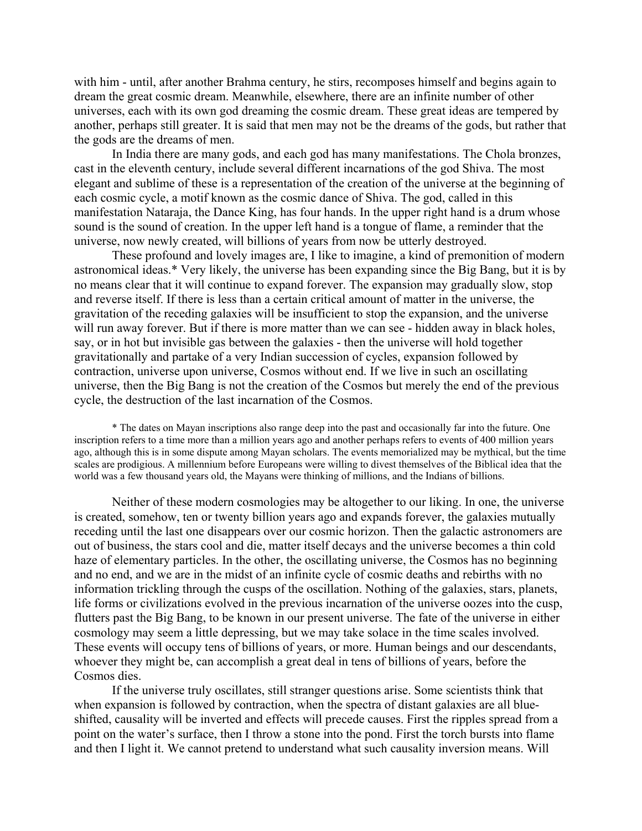with him - until, after another Brahma century, he stirs, recomposes himself and begins again to dream the great cosmic dream. Meanwhile, elsewhere, there are an infinite number of other universes, each with its own god dreaming the cosmic dream. These great ideas are tempered by another, perhaps still greater. It is said that men may not be the dreams of the gods, but rather that the gods are the dreams of men.

In India there are many gods, and each god has many manifestations. The Chola bronzes, cast in the eleventh century, include several different incarnations of the god Shiva. The most elegant and sublime of these is a representation of the creation of the universe at the beginning of each cosmic cycle, a motif known as the cosmic dance of Shiva. The god, called in this manifestation Nataraja, the Dance King, has four hands. In the upper right hand is a drum whose sound is the sound of creation. In the upper left hand is a tongue of flame, a reminder that the universe, now newly created, will billions of years from now be utterly destroyed.

These profound and lovely images are, I like to imagine, a kind of premonition of modern astronomical ideas.\* Very likely, the universe has been expanding since the Big Bang, but it is by no means clear that it will continue to expand forever. The expansion may gradually slow, stop and reverse itself. If there is less than a certain critical amount of matter in the universe, the gravitation of the receding galaxies will be insufficient to stop the expansion, and the universe will run away forever. But if there is more matter than we can see - hidden away in black holes, say, or in hot but invisible gas between the galaxies - then the universe will hold together gravitationally and partake of a very Indian succession of cycles, expansion followed by contraction, universe upon universe, Cosmos without end. If we live in such an oscillating universe, then the Big Bang is not the creation of the Cosmos but merely the end of the previous cycle, the destruction of the last incarnation of the Cosmos.

\* The dates on Mayan inscriptions also range deep into the past and occasionally far into the future. One inscription refers to a time more than a million years ago and another perhaps refers to events of 400 million years ago, although this is in some dispute among Mayan scholars. The events memorialized may be mythical, but the time scales are prodigious. A millennium before Europeans were willing to divest themselves of the Biblical idea that the world was a few thousand years old, the Mayans were thinking of millions, and the Indians of billions.

Neither of these modern cosmologies may be altogether to our liking. In one, the universe is created, somehow, ten or twenty billion years ago and expands forever, the galaxies mutually receding until the last one disappears over our cosmic horizon. Then the galactic astronomers are out of business, the stars cool and die, matter itself decays and the universe becomes a thin cold haze of elementary particles. In the other, the oscillating universe, the Cosmos has no beginning and no end, and we are in the midst of an infinite cycle of cosmic deaths and rebirths with no information trickling through the cusps of the oscillation. Nothing of the galaxies, stars, planets, life forms or civilizations evolved in the previous incarnation of the universe oozes into the cusp, flutters past the Big Bang, to be known in our present universe. The fate of the universe in either cosmology may seem a little depressing, but we may take solace in the time scales involved. These events will occupy tens of billions of years, or more. Human beings and our descendants, whoever they might be, can accomplish a great deal in tens of billions of years, before the Cosmos dies.

If the universe truly oscillates, still stranger questions arise. Some scientists think that when expansion is followed by contraction, when the spectra of distant galaxies are all blueshifted, causality will be inverted and effects will precede causes. First the ripples spread from a point on the water's surface, then I throw a stone into the pond. First the torch bursts into flame and then I light it. We cannot pretend to understand what such causality inversion means. Will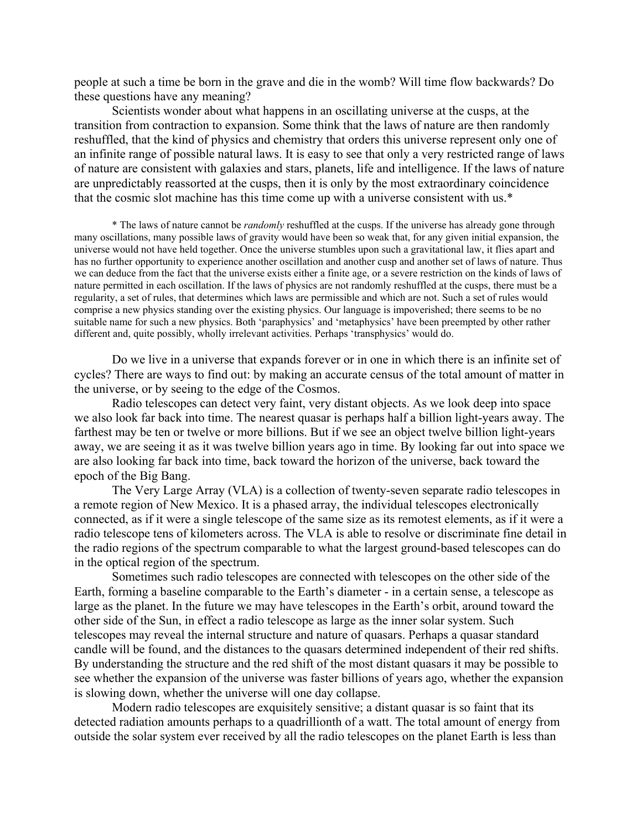people at such a time be born in the grave and die in the womb? Will time flow backwards? Do these questions have any meaning?

Scientists wonder about what happens in an oscillating universe at the cusps, at the transition from contraction to expansion. Some think that the laws of nature are then randomly reshuffled, that the kind of physics and chemistry that orders this universe represent only one of an infinite range of possible natural laws. It is easy to see that only a very restricted range of laws of nature are consistent with galaxies and stars, planets, life and intelligence. If the laws of nature are unpredictably reassorted at the cusps, then it is only by the most extraordinary coincidence that the cosmic slot machine has this time come up with a universe consistent with us.\*

\* The laws of nature cannot be *randomly* reshuffled at the cusps. If the universe has already gone through many oscillations, many possible laws of gravity would have been so weak that, for any given initial expansion, the universe would not have held together. Once the universe stumbles upon such a gravitational law, it flies apart and has no further opportunity to experience another oscillation and another cusp and another set of laws of nature. Thus we can deduce from the fact that the universe exists either a finite age, or a severe restriction on the kinds of laws of nature permitted in each oscillation. If the laws of physics are not randomly reshuffled at the cusps, there must be a regularity, a set of rules, that determines which laws are permissible and which are not. Such a set of rules would comprise a new physics standing over the existing physics. Our language is impoverished; there seems to be no suitable name for such a new physics. Both 'paraphysics' and 'metaphysics' have been preempted by other rather different and, quite possibly, wholly irrelevant activities. Perhaps 'transphysics' would do.

Do we live in a universe that expands forever or in one in which there is an infinite set of cycles? There are ways to find out: by making an accurate census of the total amount of matter in the universe, or by seeing to the edge of the Cosmos.

Radio telescopes can detect very faint, very distant objects. As we look deep into space we also look far back into time. The nearest quasar is perhaps half a billion light-years away. The farthest may be ten or twelve or more billions. But if we see an object twelve billion light-years away, we are seeing it as it was twelve billion years ago in time. By looking far out into space we are also looking far back into time, back toward the horizon of the universe, back toward the epoch of the Big Bang.

The Very Large Array (VLA) is a collection of twenty-seven separate radio telescopes in a remote region of New Mexico. It is a phased array, the individual telescopes electronically connected, as if it were a single telescope of the same size as its remotest elements, as if it were a radio telescope tens of kilometers across. The VLA is able to resolve or discriminate fine detail in the radio regions of the spectrum comparable to what the largest ground-based telescopes can do in the optical region of the spectrum.

Sometimes such radio telescopes are connected with telescopes on the other side of the Earth, forming a baseline comparable to the Earth's diameter - in a certain sense, a telescope as large as the planet. In the future we may have telescopes in the Earth's orbit, around toward the other side of the Sun, in effect a radio telescope as large as the inner solar system. Such telescopes may reveal the internal structure and nature of quasars. Perhaps a quasar standard candle will be found, and the distances to the quasars determined independent of their red shifts. By understanding the structure and the red shift of the most distant quasars it may be possible to see whether the expansion of the universe was faster billions of years ago, whether the expansion is slowing down, whether the universe will one day collapse.

Modern radio telescopes are exquisitely sensitive; a distant quasar is so faint that its detected radiation amounts perhaps to a quadrillionth of a watt. The total amount of energy from outside the solar system ever received by all the radio telescopes on the planet Earth is less than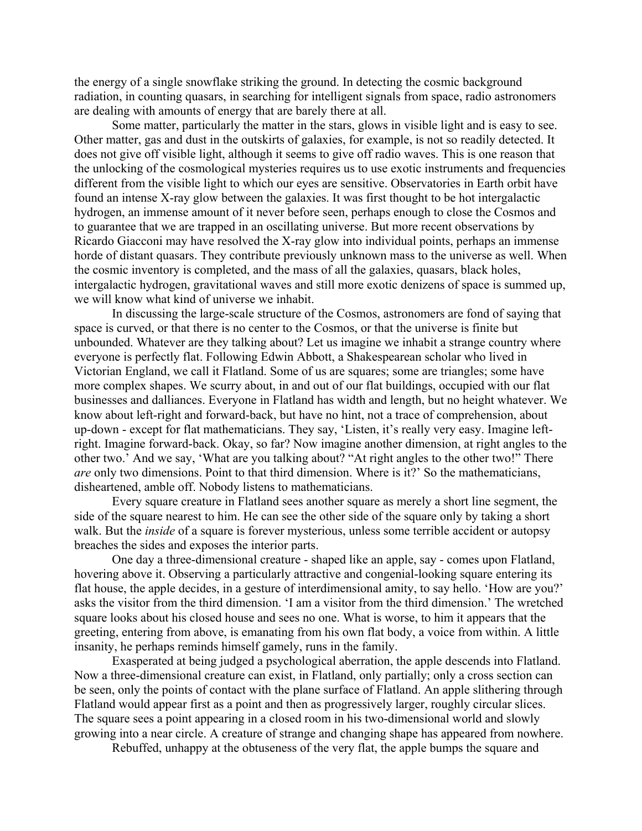the energy of a single snowflake striking the ground. In detecting the cosmic background radiation, in counting quasars, in searching for intelligent signals from space, radio astronomers are dealing with amounts of energy that are barely there at all.

Some matter, particularly the matter in the stars, glows in visible light and is easy to see. Other matter, gas and dust in the outskirts of galaxies, for example, is not so readily detected. It does not give off visible light, although it seems to give off radio waves. This is one reason that the unlocking of the cosmological mysteries requires us to use exotic instruments and frequencies different from the visible light to which our eyes are sensitive. Observatories in Earth orbit have found an intense X-ray glow between the galaxies. It was first thought to be hot intergalactic hydrogen, an immense amount of it never before seen, perhaps enough to close the Cosmos and to guarantee that we are trapped in an oscillating universe. But more recent observations by Ricardo Giacconi may have resolved the X-ray glow into individual points, perhaps an immense horde of distant quasars. They contribute previously unknown mass to the universe as well. When the cosmic inventory is completed, and the mass of all the galaxies, quasars, black holes, intergalactic hydrogen, gravitational waves and still more exotic denizens of space is summed up, we will know what kind of universe we inhabit.

In discussing the large-scale structure of the Cosmos, astronomers are fond of saying that space is curved, or that there is no center to the Cosmos, or that the universe is finite but unbounded. Whatever are they talking about? Let us imagine we inhabit a strange country where everyone is perfectly flat. Following Edwin Abbott, a Shakespearean scholar who lived in Victorian England, we call it Flatland. Some of us are squares; some are triangles; some have more complex shapes. We scurry about, in and out of our flat buildings, occupied with our flat businesses and dalliances. Everyone in Flatland has width and length, but no height whatever. We know about left-right and forward-back, but have no hint, not a trace of comprehension, about up-down - except for flat mathematicians. They say, 'Listen, it's really very easy. Imagine leftright. Imagine forward-back. Okay, so far? Now imagine another dimension, at right angles to the other two.' And we say, 'What are you talking about? "At right angles to the other two!" There *are* only two dimensions. Point to that third dimension. Where is it?' So the mathematicians, disheartened, amble off. Nobody listens to mathematicians.

Every square creature in Flatland sees another square as merely a short line segment, the side of the square nearest to him. He can see the other side of the square only by taking a short walk. But the *inside* of a square is forever mysterious, unless some terrible accident or autopsy breaches the sides and exposes the interior parts.

One day a three-dimensional creature - shaped like an apple, say - comes upon Flatland, hovering above it. Observing a particularly attractive and congenial-looking square entering its flat house, the apple decides, in a gesture of interdimensional amity, to say hello. 'How are you?' asks the visitor from the third dimension. 'I am a visitor from the third dimension.' The wretched square looks about his closed house and sees no one. What is worse, to him it appears that the greeting, entering from above, is emanating from his own flat body, a voice from within. A little insanity, he perhaps reminds himself gamely, runs in the family.

Exasperated at being judged a psychological aberration, the apple descends into Flatland. Now a three-dimensional creature can exist, in Flatland, only partially; only a cross section can be seen, only the points of contact with the plane surface of Flatland. An apple slithering through Flatland would appear first as a point and then as progressively larger, roughly circular slices. The square sees a point appearing in a closed room in his two-dimensional world and slowly growing into a near circle. A creature of strange and changing shape has appeared from nowhere.

Rebuffed, unhappy at the obtuseness of the very flat, the apple bumps the square and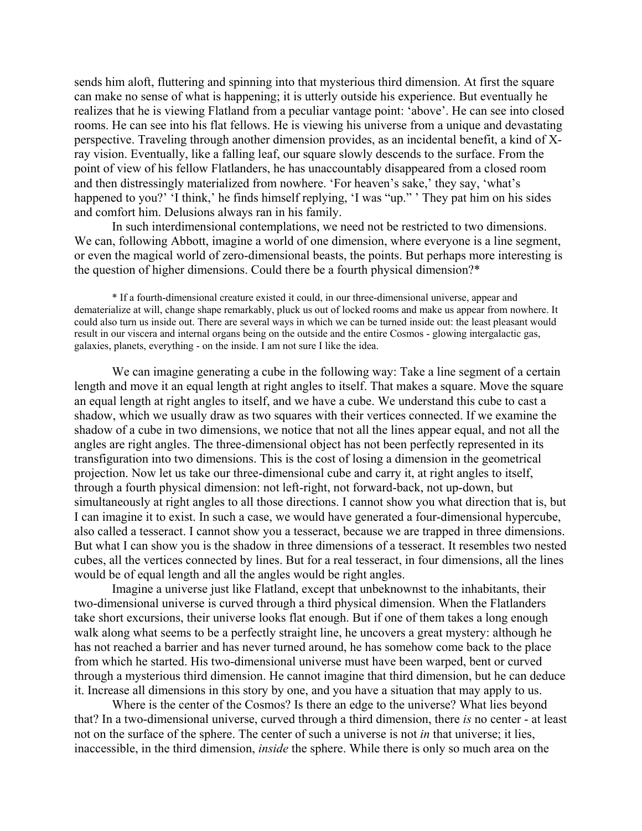sends him aloft, fluttering and spinning into that mysterious third dimension. At first the square can make no sense of what is happening; it is utterly outside his experience. But eventually he realizes that he is viewing Flatland from a peculiar vantage point: 'above'. He can see into closed rooms. He can see into his flat fellows. He is viewing his universe from a unique and devastating perspective. Traveling through another dimension provides, as an incidental benefit, a kind of Xray vision. Eventually, like a falling leaf, our square slowly descends to the surface. From the point of view of his fellow Flatlanders, he has unaccountably disappeared from a closed room and then distressingly materialized from nowhere. 'For heaven's sake,' they say, 'what's happened to you?' 'I think,' he finds himself replying, 'I was "up." ' They pat him on his sides and comfort him. Delusions always ran in his family.

In such interdimensional contemplations, we need not be restricted to two dimensions. We can, following Abbott, imagine a world of one dimension, where everyone is a line segment, or even the magical world of zero-dimensional beasts, the points. But perhaps more interesting is the question of higher dimensions. Could there be a fourth physical dimension?\*

\* If a fourth-dimensional creature existed it could, in our three-dimensional universe, appear and dematerialize at will, change shape remarkably, pluck us out of locked rooms and make us appear from nowhere. It could also turn us inside out. There are several ways in which we can be turned inside out: the least pleasant would result in our viscera and internal organs being on the outside and the entire Cosmos - glowing intergalactic gas, galaxies, planets, everything - on the inside. I am not sure I like the idea.

We can imagine generating a cube in the following way: Take a line segment of a certain length and move it an equal length at right angles to itself. That makes a square. Move the square an equal length at right angles to itself, and we have a cube. We understand this cube to cast a shadow, which we usually draw as two squares with their vertices connected. If we examine the shadow of a cube in two dimensions, we notice that not all the lines appear equal, and not all the angles are right angles. The three-dimensional object has not been perfectly represented in its transfiguration into two dimensions. This is the cost of losing a dimension in the geometrical projection. Now let us take our three-dimensional cube and carry it, at right angles to itself, through a fourth physical dimension: not left-right, not forward-back, not up-down, but simultaneously at right angles to all those directions. I cannot show you what direction that is, but I can imagine it to exist. In such a case, we would have generated a four-dimensional hypercube, also called a tesseract. I cannot show you a tesseract, because we are trapped in three dimensions. But what I can show you is the shadow in three dimensions of a tesseract. It resembles two nested cubes, all the vertices connected by lines. But for a real tesseract, in four dimensions, all the lines would be of equal length and all the angles would be right angles.

Imagine a universe just like Flatland, except that unbeknownst to the inhabitants, their two-dimensional universe is curved through a third physical dimension. When the Flatlanders take short excursions, their universe looks flat enough. But if one of them takes a long enough walk along what seems to be a perfectly straight line, he uncovers a great mystery: although he has not reached a barrier and has never turned around, he has somehow come back to the place from which he started. His two-dimensional universe must have been warped, bent or curved through a mysterious third dimension. He cannot imagine that third dimension, but he can deduce it. Increase all dimensions in this story by one, and you have a situation that may apply to us.

Where is the center of the Cosmos? Is there an edge to the universe? What lies beyond that? In a two-dimensional universe, curved through a third dimension, there *is* no center - at least not on the surface of the sphere. The center of such a universe is not *in* that universe; it lies, inaccessible, in the third dimension, *inside* the sphere. While there is only so much area on the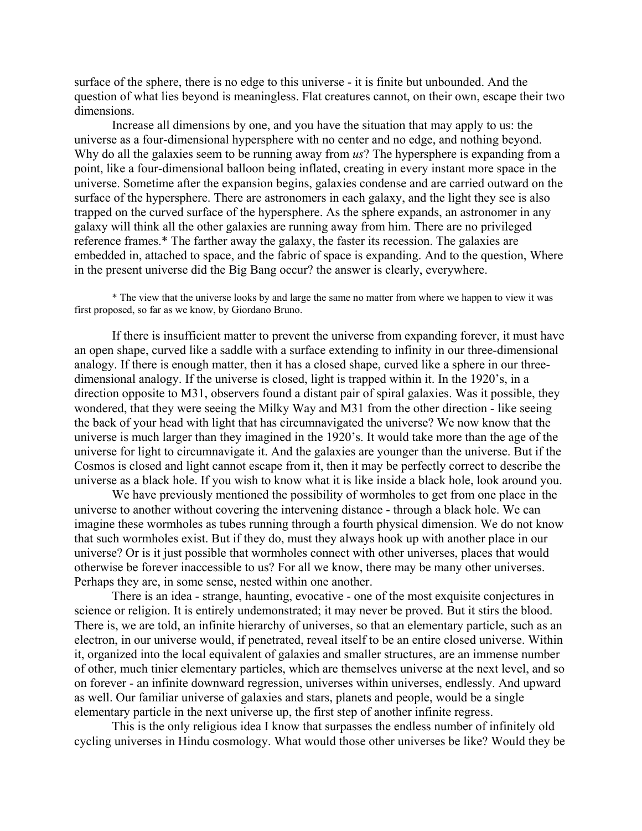surface of the sphere, there is no edge to this universe - it is finite but unbounded. And the question of what lies beyond is meaningless. Flat creatures cannot, on their own, escape their two dimensions.

Increase all dimensions by one, and you have the situation that may apply to us: the universe as a four-dimensional hypersphere with no center and no edge, and nothing beyond. Why do all the galaxies seem to be running away from *us*? The hypersphere is expanding from a point, like a four-dimensional balloon being inflated, creating in every instant more space in the universe. Sometime after the expansion begins, galaxies condense and are carried outward on the surface of the hypersphere. There are astronomers in each galaxy, and the light they see is also trapped on the curved surface of the hypersphere. As the sphere expands, an astronomer in any galaxy will think all the other galaxies are running away from him. There are no privileged reference frames.\* The farther away the galaxy, the faster its recession. The galaxies are embedded in, attached to space, and the fabric of space is expanding. And to the question, Where in the present universe did the Big Bang occur? the answer is clearly, everywhere.

\* The view that the universe looks by and large the same no matter from where we happen to view it was first proposed, so far as we know, by Giordano Bruno.

If there is insufficient matter to prevent the universe from expanding forever, it must have an open shape, curved like a saddle with a surface extending to infinity in our three-dimensional analogy. If there is enough matter, then it has a closed shape, curved like a sphere in our threedimensional analogy. If the universe is closed, light is trapped within it. In the 1920's, in a direction opposite to M31, observers found a distant pair of spiral galaxies. Was it possible, they wondered, that they were seeing the Milky Way and M31 from the other direction - like seeing the back of your head with light that has circumnavigated the universe? We now know that the universe is much larger than they imagined in the 1920's. It would take more than the age of the universe for light to circumnavigate it. And the galaxies are younger than the universe. But if the Cosmos is closed and light cannot escape from it, then it may be perfectly correct to describe the universe as a black hole. If you wish to know what it is like inside a black hole, look around you.

We have previously mentioned the possibility of wormholes to get from one place in the universe to another without covering the intervening distance - through a black hole. We can imagine these wormholes as tubes running through a fourth physical dimension. We do not know that such wormholes exist. But if they do, must they always hook up with another place in our universe? Or is it just possible that wormholes connect with other universes, places that would otherwise be forever inaccessible to us? For all we know, there may be many other universes. Perhaps they are, in some sense, nested within one another.

There is an idea - strange, haunting, evocative - one of the most exquisite conjectures in science or religion. It is entirely undemonstrated; it may never be proved. But it stirs the blood. There is, we are told, an infinite hierarchy of universes, so that an elementary particle, such as an electron, in our universe would, if penetrated, reveal itself to be an entire closed universe. Within it, organized into the local equivalent of galaxies and smaller structures, are an immense number of other, much tinier elementary particles, which are themselves universe at the next level, and so on forever - an infinite downward regression, universes within universes, endlessly. And upward as well. Our familiar universe of galaxies and stars, planets and people, would be a single elementary particle in the next universe up, the first step of another infinite regress.

This is the only religious idea I know that surpasses the endless number of infinitely old cycling universes in Hindu cosmology. What would those other universes be like? Would they be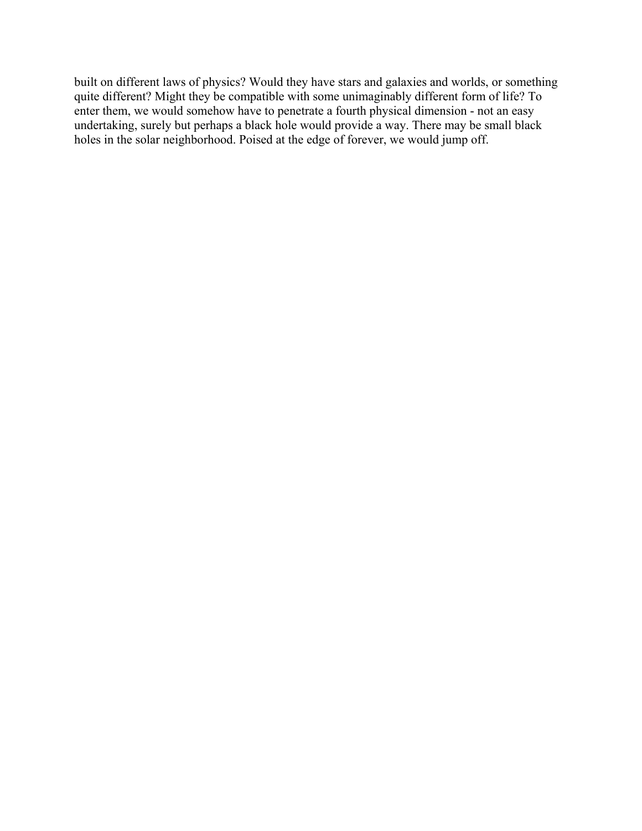built on different laws of physics? Would they have stars and galaxies and worlds, or something quite different? Might they be compatible with some unimaginably different form of life? To enter them, we would somehow have to penetrate a fourth physical dimension - not an easy undertaking, surely but perhaps a black hole would provide a way. There may be small black holes in the solar neighborhood. Poised at the edge of forever, we would jump off.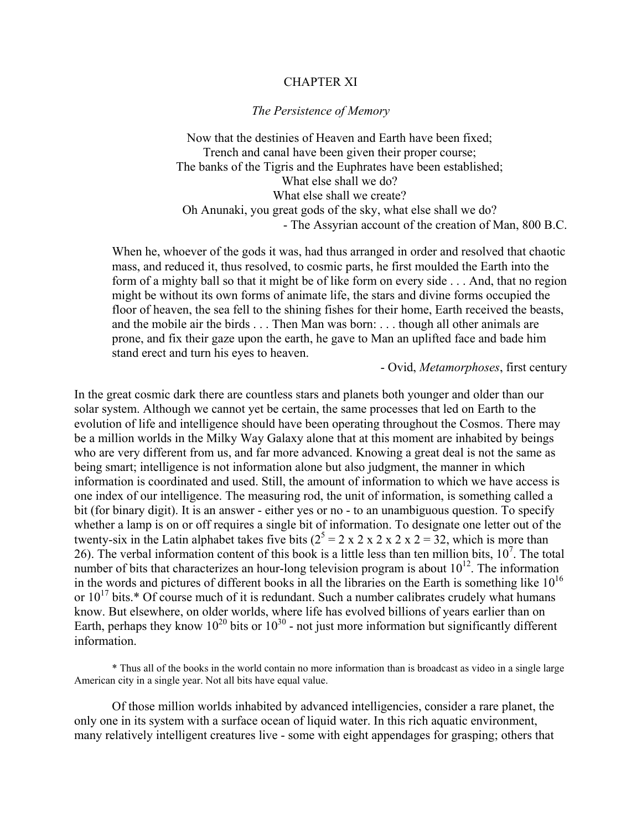# CHAPTER XI

#### *The Persistence of Memory*

Now that the destinies of Heaven and Earth have been fixed; Trench and canal have been given their proper course; The banks of the Tigris and the Euphrates have been established; What else shall we do? What else shall we create? Oh Anunaki, you great gods of the sky, what else shall we do? - The Assyrian account of the creation of Man, 800 B.C.

When he, whoever of the gods it was, had thus arranged in order and resolved that chaotic mass, and reduced it, thus resolved, to cosmic parts, he first moulded the Earth into the form of a mighty ball so that it might be of like form on every side . . . And, that no region might be without its own forms of animate life, the stars and divine forms occupied the floor of heaven, the sea fell to the shining fishes for their home, Earth received the beasts, and the mobile air the birds . . . Then Man was born: . . . though all other animals are prone, and fix their gaze upon the earth, he gave to Man an uplifted face and bade him stand erect and turn his eyes to heaven.

- Ovid, *Metamorphoses*, first century

In the great cosmic dark there are countless stars and planets both younger and older than our solar system. Although we cannot yet be certain, the same processes that led on Earth to the evolution of life and intelligence should have been operating throughout the Cosmos. There may be a million worlds in the Milky Way Galaxy alone that at this moment are inhabited by beings who are very different from us, and far more advanced. Knowing a great deal is not the same as being smart; intelligence is not information alone but also judgment, the manner in which information is coordinated and used. Still, the amount of information to which we have access is one index of our intelligence. The measuring rod, the unit of information, is something called a bit (for binary digit). It is an answer - either yes or no - to an unambiguous question. To specify whether a lamp is on or off requires a single bit of information. To designate one letter out of the twenty-six in the Latin alphabet takes five bits  $(2^5 = 2 \times 2 \times 2 \times 2 \times 2 = 32)$ , which is more than 26). The verbal information content of this book is a little less than ten million bits,  $10<sup>7</sup>$ . The total number of bits that characterizes an hour-long television program is about  $10^{12}$ . The information in the words and pictures of different books in all the libraries on the Earth is something like  $10^{16}$ or  $10^{17}$  bits.\* Of course much of it is redundant. Such a number calibrates crudely what humans know. But elsewhere, on older worlds, where life has evolved billions of years earlier than on Earth, perhaps they know  $10^{20}$  bits or  $10^{30}$  - not just more information but significantly different information.

\* Thus all of the books in the world contain no more information than is broadcast as video in a single large American city in a single year. Not all bits have equal value.

Of those million worlds inhabited by advanced intelligencies, consider a rare planet, the only one in its system with a surface ocean of liquid water. In this rich aquatic environment, many relatively intelligent creatures live - some with eight appendages for grasping; others that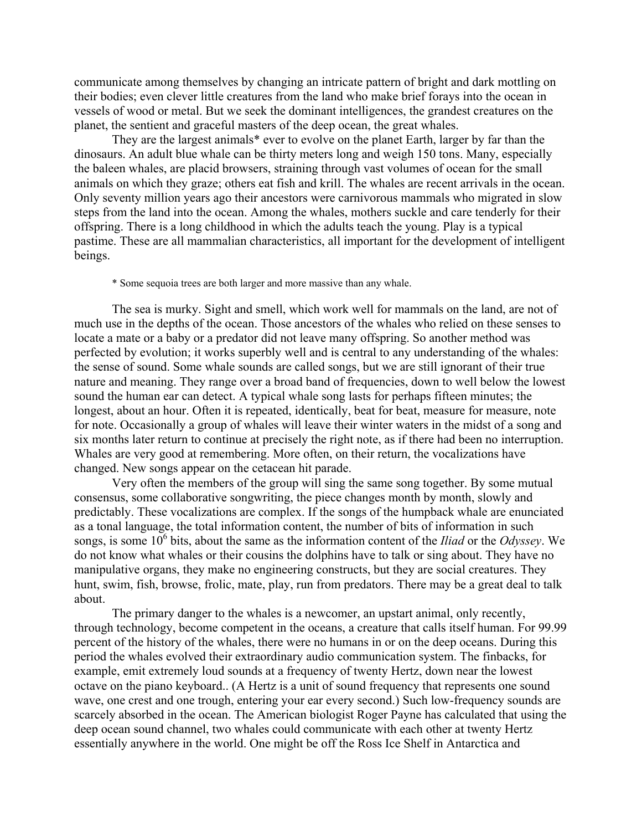communicate among themselves by changing an intricate pattern of bright and dark mottling on their bodies; even clever little creatures from the land who make brief forays into the ocean in vessels of wood or metal. But we seek the dominant intelligences, the grandest creatures on the planet, the sentient and graceful masters of the deep ocean, the great whales.

They are the largest animals\* ever to evolve on the planet Earth, larger by far than the dinosaurs. An adult blue whale can be thirty meters long and weigh 150 tons. Many, especially the baleen whales, are placid browsers, straining through vast volumes of ocean for the small animals on which they graze; others eat fish and krill. The whales are recent arrivals in the ocean. Only seventy million years ago their ancestors were carnivorous mammals who migrated in slow steps from the land into the ocean. Among the whales, mothers suckle and care tenderly for their offspring. There is a long childhood in which the adults teach the young. Play is a typical pastime. These are all mammalian characteristics, all important for the development of intelligent beings.

\* Some sequoia trees are both larger and more massive than any whale.

The sea is murky. Sight and smell, which work well for mammals on the land, are not of much use in the depths of the ocean. Those ancestors of the whales who relied on these senses to locate a mate or a baby or a predator did not leave many offspring. So another method was perfected by evolution; it works superbly well and is central to any understanding of the whales: the sense of sound. Some whale sounds are called songs, but we are still ignorant of their true nature and meaning. They range over a broad band of frequencies, down to well below the lowest sound the human ear can detect. A typical whale song lasts for perhaps fifteen minutes; the longest, about an hour. Often it is repeated, identically, beat for beat, measure for measure, note for note. Occasionally a group of whales will leave their winter waters in the midst of a song and six months later return to continue at precisely the right note, as if there had been no interruption. Whales are very good at remembering. More often, on their return, the vocalizations have changed. New songs appear on the cetacean hit parade.

Very often the members of the group will sing the same song together. By some mutual consensus, some collaborative songwriting, the piece changes month by month, slowly and predictably. These vocalizations are complex. If the songs of the humpback whale are enunciated as a tonal language, the total information content, the number of bits of information in such songs, is some 10<sup>6</sup> bits, about the same as the information content of the *Iliad* or the *Odyssey*. We do not know what whales or their cousins the dolphins have to talk or sing about. They have no manipulative organs, they make no engineering constructs, but they are social creatures. They hunt, swim, fish, browse, frolic, mate, play, run from predators. There may be a great deal to talk about.

The primary danger to the whales is a newcomer, an upstart animal, only recently, through technology, become competent in the oceans, a creature that calls itself human. For 99.99 percent of the history of the whales, there were no humans in or on the deep oceans. During this period the whales evolved their extraordinary audio communication system. The finbacks, for example, emit extremely loud sounds at a frequency of twenty Hertz, down near the lowest octave on the piano keyboard.. (A Hertz is a unit of sound frequency that represents one sound wave, one crest and one trough, entering your ear every second.) Such low-frequency sounds are scarcely absorbed in the ocean. The American biologist Roger Payne has calculated that using the deep ocean sound channel, two whales could communicate with each other at twenty Hertz essentially anywhere in the world. One might be off the Ross Ice Shelf in Antarctica and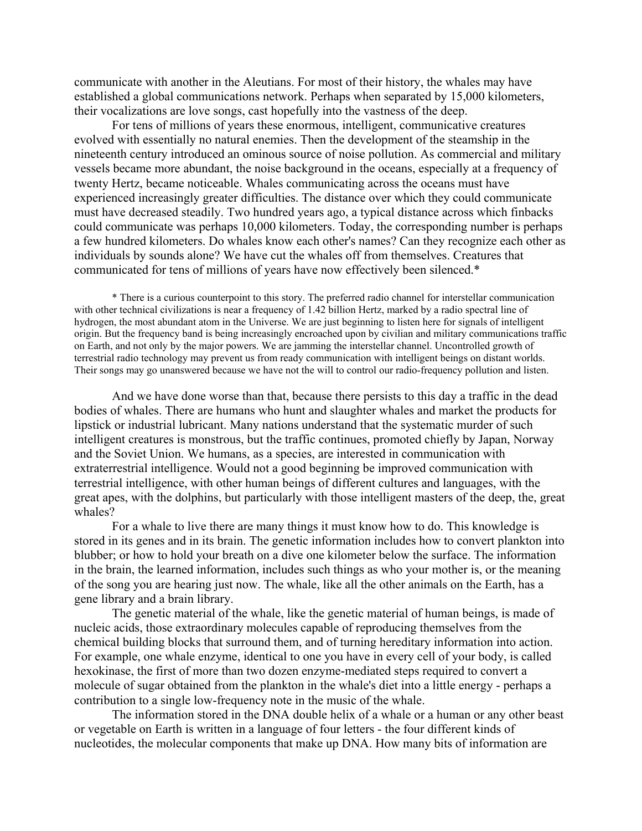communicate with another in the Aleutians. For most of their history, the whales may have established a global communications network. Perhaps when separated by 15,000 kilometers, their vocalizations are love songs, cast hopefully into the vastness of the deep.

For tens of millions of years these enormous, intelligent, communicative creatures evolved with essentially no natural enemies. Then the development of the steamship in the nineteenth century introduced an ominous source of noise pollution. As commercial and military vessels became more abundant, the noise background in the oceans, especially at a frequency of twenty Hertz, became noticeable. Whales communicating across the oceans must have experienced increasingly greater difficulties. The distance over which they could communicate must have decreased steadily. Two hundred years ago, a typical distance across which finbacks could communicate was perhaps 10,000 kilometers. Today, the corresponding number is perhaps a few hundred kilometers. Do whales know each other's names? Can they recognize each other as individuals by sounds alone? We have cut the whales off from themselves. Creatures that communicated for tens of millions of years have now effectively been silenced.\*

\* There is a curious counterpoint to this story. The preferred radio channel for interstellar communication with other technical civilizations is near a frequency of 1.42 billion Hertz, marked by a radio spectral line of hydrogen, the most abundant atom in the Universe. We are just beginning to listen here for signals of intelligent origin. But the frequency band is being increasingly encroached upon by civilian and military communications traffic on Earth, and not only by the major powers. We are jamming the interstellar channel. Uncontrolled growth of terrestrial radio technology may prevent us from ready communication with intelligent beings on distant worlds. Their songs may go unanswered because we have not the will to control our radio-frequency pollution and listen.

And we have done worse than that, because there persists to this day a traffic in the dead bodies of whales. There are humans who hunt and slaughter whales and market the products for lipstick or industrial lubricant. Many nations understand that the systematic murder of such intelligent creatures is monstrous, but the traffic continues, promoted chiefly by Japan, Norway and the Soviet Union. We humans, as a species, are interested in communication with extraterrestrial intelligence. Would not a good beginning be improved communication with terrestrial intelligence, with other human beings of different cultures and languages, with the great apes, with the dolphins, but particularly with those intelligent masters of the deep, the, great whales?

For a whale to live there are many things it must know how to do. This knowledge is stored in its genes and in its brain. The genetic information includes how to convert plankton into blubber; or how to hold your breath on a dive one kilometer below the surface. The information in the brain, the learned information, includes such things as who your mother is, or the meaning of the song you are hearing just now. The whale, like all the other animals on the Earth, has a gene library and a brain library.

The genetic material of the whale, like the genetic material of human beings, is made of nucleic acids, those extraordinary molecules capable of reproducing themselves from the chemical building blocks that surround them, and of turning hereditary information into action. For example, one whale enzyme, identical to one you have in every cell of your body, is called hexokinase, the first of more than two dozen enzyme-mediated steps required to convert a molecule of sugar obtained from the plankton in the whale's diet into a little energy - perhaps a contribution to a single low-frequency note in the music of the whale.

The information stored in the DNA double helix of a whale or a human or any other beast or vegetable on Earth is written in a language of four letters - the four different kinds of nucleotides, the molecular components that make up DNA. How many bits of information are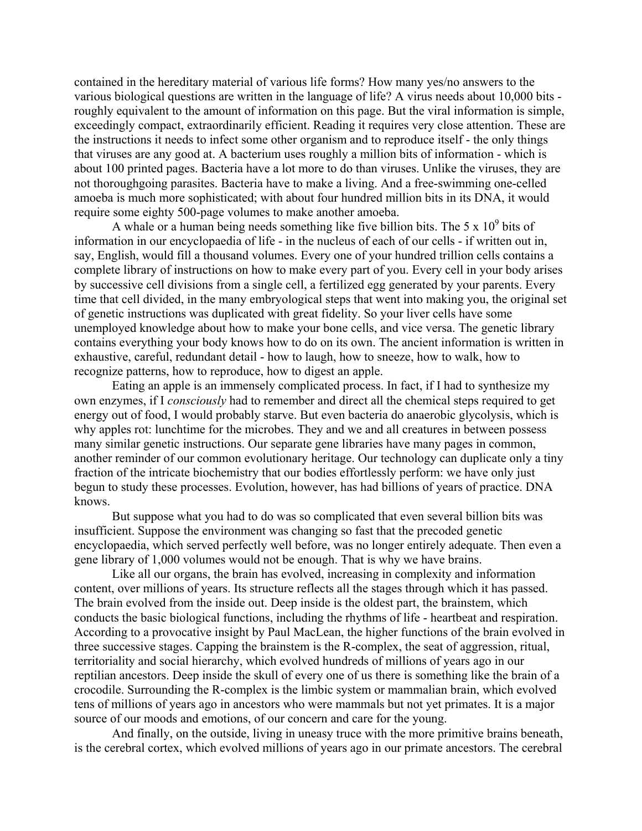contained in the hereditary material of various life forms? How many yes/no answers to the various biological questions are written in the language of life? A virus needs about 10,000 bits roughly equivalent to the amount of information on this page. But the viral information is simple, exceedingly compact, extraordinarily efficient. Reading it requires very close attention. These are the instructions it needs to infect some other organism and to reproduce itself - the only things that viruses are any good at. A bacterium uses roughly a million bits of information - which is about 100 printed pages. Bacteria have a lot more to do than viruses. Unlike the viruses, they are not thoroughgoing parasites. Bacteria have to make a living. And a free-swimming one-celled amoeba is much more sophisticated; with about four hundred million bits in its DNA, it would require some eighty 500-page volumes to make another amoeba.

A whale or a human being needs something like five billion bits. The  $5 \times 10^9$  bits of information in our encyclopaedia of life - in the nucleus of each of our cells - if written out in, say, English, would fill a thousand volumes. Every one of your hundred trillion cells contains a complete library of instructions on how to make every part of you. Every cell in your body arises by successive cell divisions from a single cell, a fertilized egg generated by your parents. Every time that cell divided, in the many embryological steps that went into making you, the original set of genetic instructions was duplicated with great fidelity. So your liver cells have some unemployed knowledge about how to make your bone cells, and vice versa. The genetic library contains everything your body knows how to do on its own. The ancient information is written in exhaustive, careful, redundant detail - how to laugh, how to sneeze, how to walk, how to recognize patterns, how to reproduce, how to digest an apple.

Eating an apple is an immensely complicated process. In fact, if I had to synthesize my own enzymes, if I *consciously* had to remember and direct all the chemical steps required to get energy out of food, I would probably starve. But even bacteria do anaerobic glycolysis, which is why apples rot: lunchtime for the microbes. They and we and all creatures in between possess many similar genetic instructions. Our separate gene libraries have many pages in common, another reminder of our common evolutionary heritage. Our technology can duplicate only a tiny fraction of the intricate biochemistry that our bodies effortlessly perform: we have only just begun to study these processes. Evolution, however, has had billions of years of practice. DNA knows.

But suppose what you had to do was so complicated that even several billion bits was insufficient. Suppose the environment was changing so fast that the precoded genetic encyclopaedia, which served perfectly well before, was no longer entirely adequate. Then even a gene library of 1,000 volumes would not be enough. That is why we have brains.

Like all our organs, the brain has evolved, increasing in complexity and information content, over millions of years. Its structure reflects all the stages through which it has passed. The brain evolved from the inside out. Deep inside is the oldest part, the brainstem, which conducts the basic biological functions, including the rhythms of life - heartbeat and respiration. According to a provocative insight by Paul MacLean, the higher functions of the brain evolved in three successive stages. Capping the brainstem is the R-complex, the seat of aggression, ritual, territoriality and social hierarchy, which evolved hundreds of millions of years ago in our reptilian ancestors. Deep inside the skull of every one of us there is something like the brain of a crocodile. Surrounding the R-complex is the limbic system or mammalian brain, which evolved tens of millions of years ago in ancestors who were mammals but not yet primates. It is a major source of our moods and emotions, of our concern and care for the young.

And finally, on the outside, living in uneasy truce with the more primitive brains beneath, is the cerebral cortex, which evolved millions of years ago in our primate ancestors. The cerebral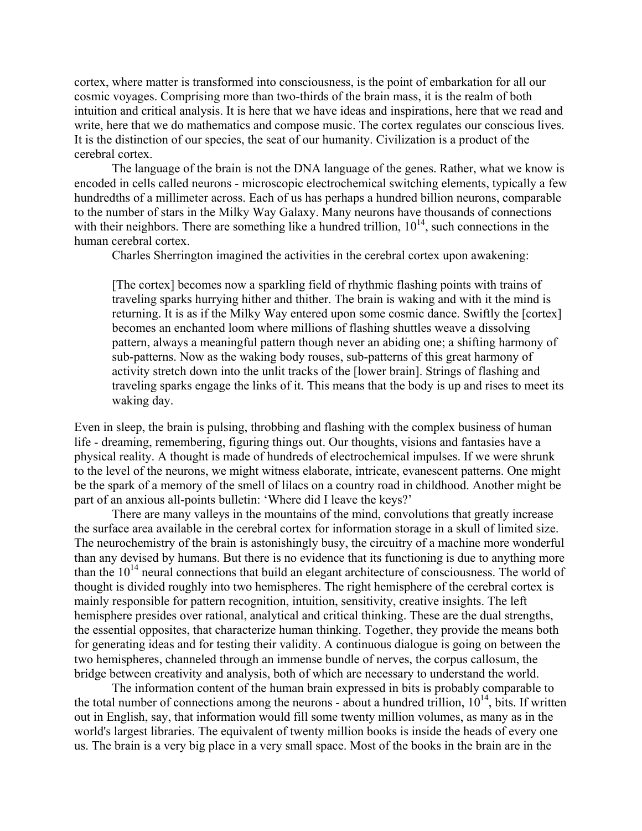cortex, where matter is transformed into consciousness, is the point of embarkation for all our cosmic voyages. Comprising more than two-thirds of the brain mass, it is the realm of both intuition and critical analysis. It is here that we have ideas and inspirations, here that we read and write, here that we do mathematics and compose music. The cortex regulates our conscious lives. It is the distinction of our species, the seat of our humanity. Civilization is a product of the cerebral cortex.

The language of the brain is not the DNA language of the genes. Rather, what we know is encoded in cells called neurons - microscopic electrochemical switching elements, typically a few hundredths of a millimeter across. Each of us has perhaps a hundred billion neurons, comparable to the number of stars in the Milky Way Galaxy. Many neurons have thousands of connections with their neighbors. There are something like a hundred trillion,  $10^{14}$ , such connections in the human cerebral cortex.

Charles Sherrington imagined the activities in the cerebral cortex upon awakening:

[The cortex] becomes now a sparkling field of rhythmic flashing points with trains of traveling sparks hurrying hither and thither. The brain is waking and with it the mind is returning. It is as if the Milky Way entered upon some cosmic dance. Swiftly the [cortex] becomes an enchanted loom where millions of flashing shuttles weave a dissolving pattern, always a meaningful pattern though never an abiding one; a shifting harmony of sub-patterns. Now as the waking body rouses, sub-patterns of this great harmony of activity stretch down into the unlit tracks of the [lower brain]. Strings of flashing and traveling sparks engage the links of it. This means that the body is up and rises to meet its waking day.

Even in sleep, the brain is pulsing, throbbing and flashing with the complex business of human life - dreaming, remembering, figuring things out. Our thoughts, visions and fantasies have a physical reality. A thought is made of hundreds of electrochemical impulses. If we were shrunk to the level of the neurons, we might witness elaborate, intricate, evanescent patterns. One might be the spark of a memory of the smell of lilacs on a country road in childhood. Another might be part of an anxious all-points bulletin: 'Where did I leave the keys?'

There are many valleys in the mountains of the mind, convolutions that greatly increase the surface area available in the cerebral cortex for information storage in a skull of limited size. The neurochemistry of the brain is astonishingly busy, the circuitry of a machine more wonderful than any devised by humans. But there is no evidence that its functioning is due to anything more than the  $10^{14}$  neural connections that build an elegant architecture of consciousness. The world of thought is divided roughly into two hemispheres. The right hemisphere of the cerebral cortex is mainly responsible for pattern recognition, intuition, sensitivity, creative insights. The left hemisphere presides over rational, analytical and critical thinking. These are the dual strengths, the essential opposites, that characterize human thinking. Together, they provide the means both for generating ideas and for testing their validity. A continuous dialogue is going on between the two hemispheres, channeled through an immense bundle of nerves, the corpus callosum, the bridge between creativity and analysis, both of which are necessary to understand the world.

The information content of the human brain expressed in bits is probably comparable to the total number of connections among the neurons - about a hundred trillion,  $10^{14}$ , bits. If written out in English, say, that information would fill some twenty million volumes, as many as in the world's largest libraries. The equivalent of twenty million books is inside the heads of every one us. The brain is a very big place in a very small space. Most of the books in the brain are in the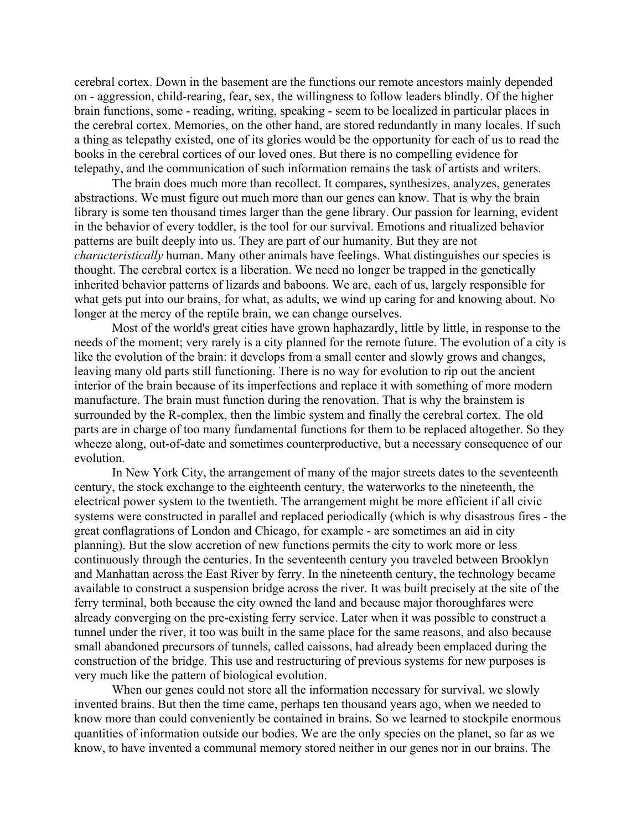cerebral cortex. Down in the basement are the functions our remote ancestors mainly depended on - aggression, child-rearing, fear, sex, the willingness to follow leaders blindly. Of the higher brain functions, some - reading, writing, speaking - seem to be localized in particular places in the cerebral cortex. Memories, on the other hand, are stored redundantly in many locales. If such a thing as telepathy existed, one of its glories would be the opportunity for each of us to read the books in the cerebral cortices of our loved ones. But there is no compelling evidence for telepathy, and the communication of such information remains the task of artists and writers.

The brain does much more than recollect. It compares, synthesizes, analyzes, generates abstractions. We must figure out much more than our genes can know. That is why the brain library is some ten thousand times larger than the gene library. Our passion for learning, evident in the behavior of every toddler, is the tool for our survival. Emotions and ritualized behavior patterns are built deeply into us. They are part of our humanity. But they are not *characteristically* human. Many other animals have feelings. What distinguishes our species is thought. The cerebral cortex is a liberation. We need no longer be trapped in the genetically inherited behavior patterns of lizards and baboons. We are, each of us, largely responsible for what gets put into our brains, for what, as adults, we wind up caring for and knowing about. No longer at the mercy of the reptile brain, we can change ourselves.

Most of the world's great cities have grown haphazardly, little by little, in response to the needs of the moment; very rarely is a city planned for the remote future. The evolution of a city is like the evolution of the brain: it develops from a small center and slowly grows and changes, leaving many old parts still functioning. There is no way for evolution to rip out the ancient interior of the brain because of its imperfections and replace it with something of more modern manufacture. The brain must function during the renovation. That is why the brainstem is surrounded by the R-complex, then the limbic system and finally the cerebral cortex. The old parts are in charge of too many fundamental functions for them to be replaced altogether. So they wheeze along, out-of-date and sometimes counterproductive, but a necessary consequence of our evolution.

In New York City, the arrangement of many of the major streets dates to the seventeenth century, the stock exchange to the eighteenth century, the waterworks to the nineteenth, the electrical power system to the twentieth. The arrangement might be more efficient if all civic systems were constructed in parallel and replaced periodically (which is why disastrous fires - the great conflagrations of London and Chicago, for example - are sometimes an aid in city planning). But the slow accretion of new functions permits the city to work more or less continuously through the centuries. In the seventeenth century you traveled between Brooklyn and Manhattan across the East River by ferry. In the nineteenth century, the technology became available to construct a suspension bridge across the river. It was built precisely at the site of the ferry terminal, both because the city owned the land and because major thoroughfares were already converging on the pre-existing ferry service. Later when it was possible to construct a tunnel under the river, it too was built in the same place for the same reasons, and also because small abandoned precursors of tunnels, called caissons, had already been emplaced during the construction of the bridge. This use and restructuring of previous systems for new purposes is very much like the pattern of biological evolution.

When our genes could not store all the information necessary for survival, we slowly invented brains. But then the time came, perhaps ten thousand years ago, when we needed to know more than could conveniently be contained in brains. So we learned to stockpile enormous quantities of information outside our bodies. We are the only species on the planet, so far as we know, to have invented a communal memory stored neither in our genes nor in our brains. The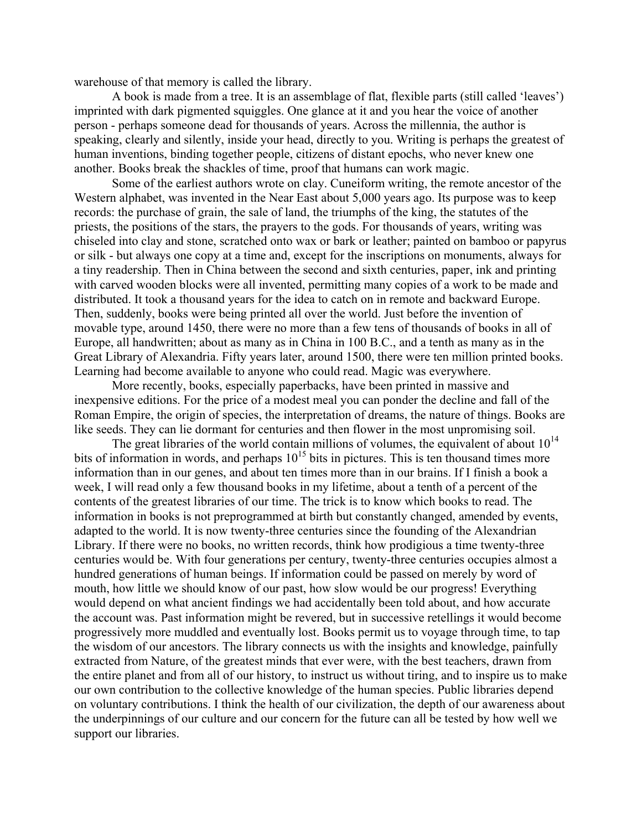warehouse of that memory is called the library.

A book is made from a tree. It is an assemblage of flat, flexible parts (still called 'leaves') imprinted with dark pigmented squiggles. One glance at it and you hear the voice of another person - perhaps someone dead for thousands of years. Across the millennia, the author is speaking, clearly and silently, inside your head, directly to you. Writing is perhaps the greatest of human inventions, binding together people, citizens of distant epochs, who never knew one another. Books break the shackles of time, proof that humans can work magic.

Some of the earliest authors wrote on clay. Cuneiform writing, the remote ancestor of the Western alphabet, was invented in the Near East about 5,000 years ago. Its purpose was to keep records: the purchase of grain, the sale of land, the triumphs of the king, the statutes of the priests, the positions of the stars, the prayers to the gods. For thousands of years, writing was chiseled into clay and stone, scratched onto wax or bark or leather; painted on bamboo or papyrus or silk - but always one copy at a time and, except for the inscriptions on monuments, always for a tiny readership. Then in China between the second and sixth centuries, paper, ink and printing with carved wooden blocks were all invented, permitting many copies of a work to be made and distributed. It took a thousand years for the idea to catch on in remote and backward Europe. Then, suddenly, books were being printed all over the world. Just before the invention of movable type, around 1450, there were no more than a few tens of thousands of books in all of Europe, all handwritten; about as many as in China in 100 B.C., and a tenth as many as in the Great Library of Alexandria. Fifty years later, around 1500, there were ten million printed books. Learning had become available to anyone who could read. Magic was everywhere.

More recently, books, especially paperbacks, have been printed in massive and inexpensive editions. For the price of a modest meal you can ponder the decline and fall of the Roman Empire, the origin of species, the interpretation of dreams, the nature of things. Books are like seeds. They can lie dormant for centuries and then flower in the most unpromising soil.

The great libraries of the world contain millions of volumes, the equivalent of about  $10^{14}$ bits of information in words, and perhaps  $10^{15}$  bits in pictures. This is ten thousand times more information than in our genes, and about ten times more than in our brains. If I finish a book a week, I will read only a few thousand books in my lifetime, about a tenth of a percent of the contents of the greatest libraries of our time. The trick is to know which books to read. The information in books is not preprogrammed at birth but constantly changed, amended by events, adapted to the world. It is now twenty-three centuries since the founding of the Alexandrian Library. If there were no books, no written records, think how prodigious a time twenty-three centuries would be. With four generations per century, twenty-three centuries occupies almost a hundred generations of human beings. If information could be passed on merely by word of mouth, how little we should know of our past, how slow would be our progress! Everything would depend on what ancient findings we had accidentally been told about, and how accurate the account was. Past information might be revered, but in successive retellings it would become progressively more muddled and eventually lost. Books permit us to voyage through time, to tap the wisdom of our ancestors. The library connects us with the insights and knowledge, painfully extracted from Nature, of the greatest minds that ever were, with the best teachers, drawn from the entire planet and from all of our history, to instruct us without tiring, and to inspire us to make our own contribution to the collective knowledge of the human species. Public libraries depend on voluntary contributions. I think the health of our civilization, the depth of our awareness about the underpinnings of our culture and our concern for the future can all be tested by how well we support our libraries.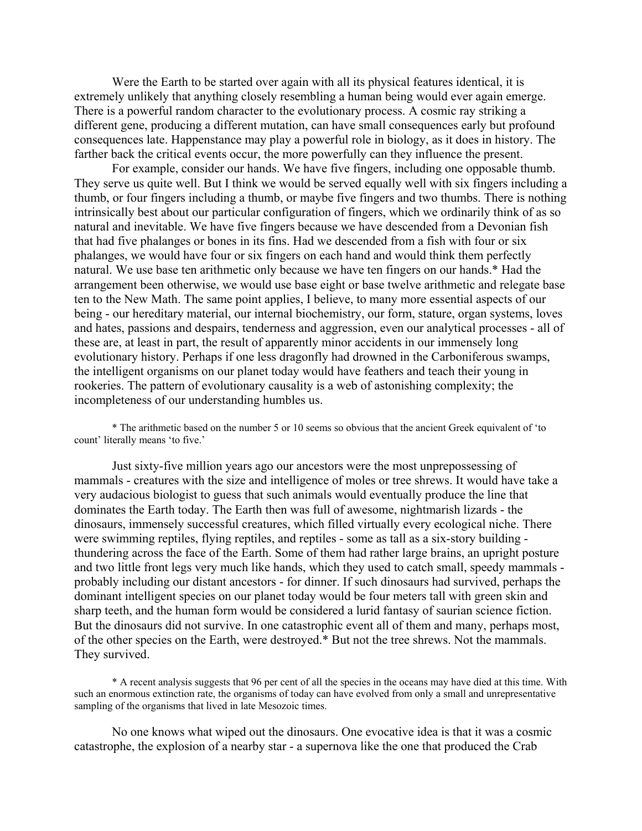Were the Earth to be started over again with all its physical features identical, it is extremely unlikely that anything closely resembling a human being would ever again emerge. There is a powerful random character to the evolutionary process. A cosmic ray striking a different gene, producing a different mutation, can have small consequences early but profound consequences late. Happenstance may play a powerful role in biology, as it does in history. The farther back the critical events occur, the more powerfully can they influence the present.

For example, consider our hands. We have five fingers, including one opposable thumb. They serve us quite well. But I think we would be served equally well with six fingers including a thumb, or four fingers including a thumb, or maybe five fingers and two thumbs. There is nothing intrinsically best about our particular configuration of fingers, which we ordinarily think of as so natural and inevitable. We have five fingers because we have descended from a Devonian fish that had five phalanges or bones in its fins. Had we descended from a fish with four or six phalanges, we would have four or six fingers on each hand and would think them perfectly natural. We use base ten arithmetic only because we have ten fingers on our hands.\* Had the arrangement been otherwise, we would use base eight or base twelve arithmetic and relegate base ten to the New Math. The same point applies, I believe, to many more essential aspects of our being - our hereditary material, our internal biochemistry, our form, stature, organ systems, loves and hates, passions and despairs, tenderness and aggression, even our analytical processes - all of these are, at least in part, the result of apparently minor accidents in our immensely long evolutionary history. Perhaps if one less dragonfly had drowned in the Carboniferous swamps, the intelligent organisms on our planet today would have feathers and teach their young in rookeries. The pattern of evolutionary causality is a web of astonishing complexity; the incompleteness of our understanding humbles us.

\* The arithmetic based on the number 5 or 10 seems so obvious that the ancient Greek equivalent of 'to count' literally means 'to five.'

Just sixty-five million years ago our ancestors were the most unprepossessing of mammals - creatures with the size and intelligence of moles or tree shrews. It would have take a very audacious biologist to guess that such animals would eventually produce the line that dominates the Earth today. The Earth then was full of awesome, nightmarish lizards - the dinosaurs, immensely successful creatures, which filled virtually every ecological niche. There were swimming reptiles, flying reptiles, and reptiles - some as tall as a six-story building thundering across the face of the Earth. Some of them had rather large brains, an upright posture and two little front legs very much like hands, which they used to catch small, speedy mammals probably including our distant ancestors - for dinner. If such dinosaurs had survived, perhaps the dominant intelligent species on our planet today would be four meters tall with green skin and sharp teeth, and the human form would be considered a lurid fantasy of saurian science fiction. But the dinosaurs did not survive. In one catastrophic event all of them and many, perhaps most, of the other species on the Earth, were destroyed.\* But not the tree shrews. Not the mammals. They survived.

\* A recent analysis suggests that 96 per cent of all the species in the oceans may have died at this time. With such an enormous extinction rate, the organisms of today can have evolved from only a small and unrepresentative sampling of the organisms that lived in late Mesozoic times.

No one knows what wiped out the dinosaurs. One evocative idea is that it was a cosmic catastrophe, the explosion of a nearby star - a supernova like the one that produced the Crab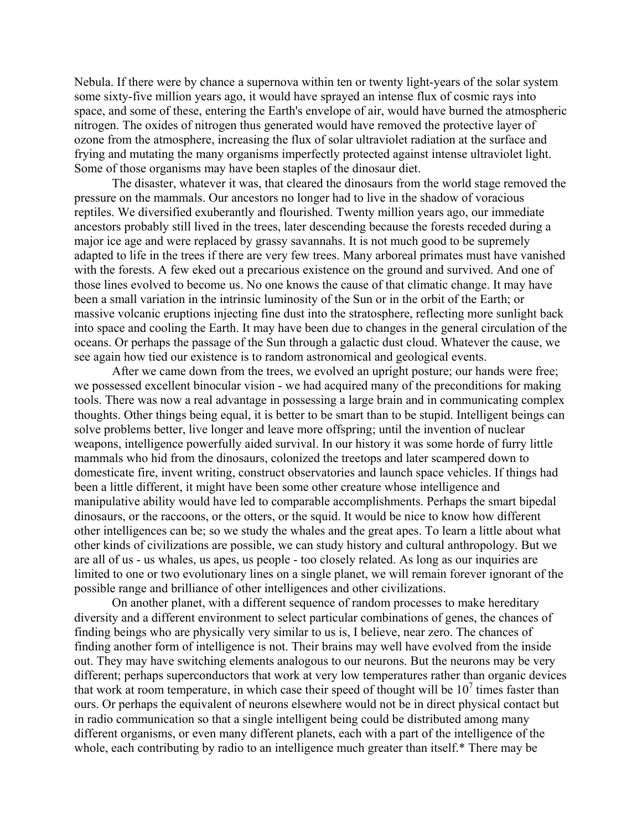Nebula. If there were by chance a supernova within ten or twenty light-years of the solar system some sixty-five million years ago, it would have sprayed an intense flux of cosmic rays into space, and some of these, entering the Earth's envelope of air, would have burned the atmospheric nitrogen. The oxides of nitrogen thus generated would have removed the protective layer of ozone from the atmosphere, increasing the flux of solar ultraviolet radiation at the surface and frying and mutating the many organisms imperfectly protected against intense ultraviolet light. Some of those organisms may have been staples of the dinosaur diet.

The disaster, whatever it was, that cleared the dinosaurs from the world stage removed the pressure on the mammals. Our ancestors no longer had to live in the shadow of voracious reptiles. We diversified exuberantly and flourished. Twenty million years ago, our immediate ancestors probably still lived in the trees, later descending because the forests receded during a major ice age and were replaced by grassy savannahs. It is not much good to be supremely adapted to life in the trees if there are very few trees. Many arboreal primates must have vanished with the forests. A few eked out a precarious existence on the ground and survived. And one of those lines evolved to become us. No one knows the cause of that climatic change. It may have been a small variation in the intrinsic luminosity of the Sun or in the orbit of the Earth; or massive volcanic eruptions injecting fine dust into the stratosphere, reflecting more sunlight back into space and cooling the Earth. It may have been due to changes in the general circulation of the oceans. Or perhaps the passage of the Sun through a galactic dust cloud. Whatever the cause, we see again how tied our existence is to random astronomical and geological events.

After we came down from the trees, we evolved an upright posture; our hands were free; we possessed excellent binocular vision - we had acquired many of the preconditions for making tools. There was now a real advantage in possessing a large brain and in communicating complex thoughts. Other things being equal, it is better to be smart than to be stupid. Intelligent beings can solve problems better, live longer and leave more offspring; until the invention of nuclear weapons, intelligence powerfully aided survival. In our history it was some horde of furry little mammals who hid from the dinosaurs, colonized the treetops and later scampered down to domesticate fire, invent writing, construct observatories and launch space vehicles. If things had been a little different, it might have been some other creature whose intelligence and manipulative ability would have led to comparable accomplishments. Perhaps the smart bipedal dinosaurs, or the raccoons, or the otters, or the squid. It would be nice to know how different other intelligences can be; so we study the whales and the great apes. To learn a little about what other kinds of civilizations are possible, we can study history and cultural anthropology. But we are all of us - us whales, us apes, us people - too closely related. As long as our inquiries are limited to one or two evolutionary lines on a single planet, we will remain forever ignorant of the possible range and brilliance of other intelligences and other civilizations.

On another planet, with a different sequence of random processes to make hereditary diversity and a different environment to select particular combinations of genes, the chances of finding beings who are physically very similar to us is, I believe, near zero. The chances of finding another form of intelligence is not. Their brains may well have evolved from the inside out. They may have switching elements analogous to our neurons. But the neurons may be very different; perhaps superconductors that work at very low temperatures rather than organic devices that work at room temperature, in which case their speed of thought will be  $10<sup>7</sup>$  times faster than ours. Or perhaps the equivalent of neurons elsewhere would not be in direct physical contact but in radio communication so that a single intelligent being could be distributed among many different organisms, or even many different planets, each with a part of the intelligence of the whole, each contributing by radio to an intelligence much greater than itself.<sup>\*</sup> There may be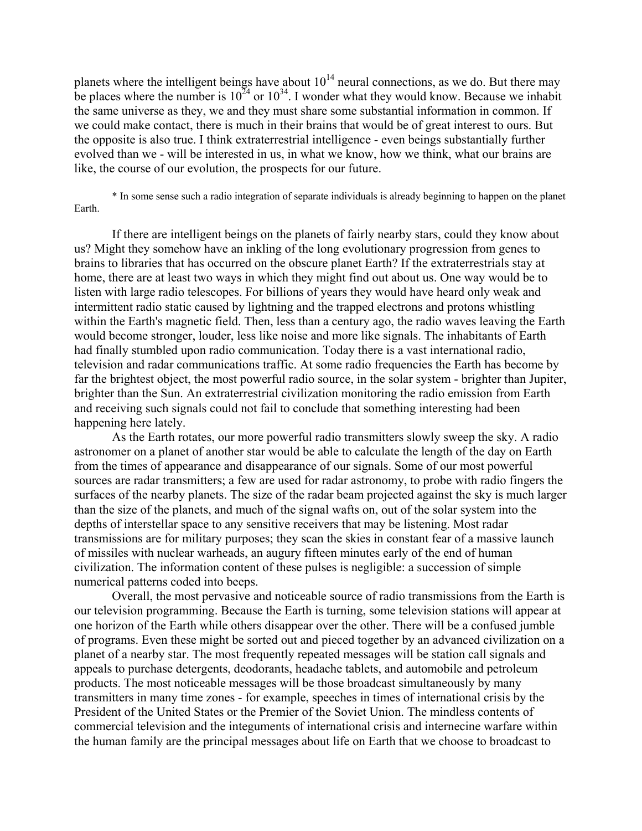planets where the intelligent beings have about  $10^{14}$  neural connections, as we do. But there may be places where the number is  $10^{24}$  or  $10^{34}$ . I wonder what they would know. Because we inhabit the same universe as they, we and they must share some substantial information in common. If we could make contact, there is much in their brains that would be of great interest to ours. But the opposite is also true. I think extraterrestrial intelligence - even beings substantially further evolved than we - will be interested in us, in what we know, how we think, what our brains are like, the course of our evolution, the prospects for our future.

\* In some sense such a radio integration of separate individuals is already beginning to happen on the planet Earth.

If there are intelligent beings on the planets of fairly nearby stars, could they know about us? Might they somehow have an inkling of the long evolutionary progression from genes to brains to libraries that has occurred on the obscure planet Earth? If the extraterrestrials stay at home, there are at least two ways in which they might find out about us. One way would be to listen with large radio telescopes. For billions of years they would have heard only weak and intermittent radio static caused by lightning and the trapped electrons and protons whistling within the Earth's magnetic field. Then, less than a century ago, the radio waves leaving the Earth would become stronger, louder, less like noise and more like signals. The inhabitants of Earth had finally stumbled upon radio communication. Today there is a vast international radio, television and radar communications traffic. At some radio frequencies the Earth has become by far the brightest object, the most powerful radio source, in the solar system - brighter than Jupiter, brighter than the Sun. An extraterrestrial civilization monitoring the radio emission from Earth and receiving such signals could not fail to conclude that something interesting had been happening here lately.

As the Earth rotates, our more powerful radio transmitters slowly sweep the sky. A radio astronomer on a planet of another star would be able to calculate the length of the day on Earth from the times of appearance and disappearance of our signals. Some of our most powerful sources are radar transmitters; a few are used for radar astronomy, to probe with radio fingers the surfaces of the nearby planets. The size of the radar beam projected against the sky is much larger than the size of the planets, and much of the signal wafts on, out of the solar system into the depths of interstellar space to any sensitive receivers that may be listening. Most radar transmissions are for military purposes; they scan the skies in constant fear of a massive launch of missiles with nuclear warheads, an augury fifteen minutes early of the end of human civilization. The information content of these pulses is negligible: a succession of simple numerical patterns coded into beeps.

Overall, the most pervasive and noticeable source of radio transmissions from the Earth is our television programming. Because the Earth is turning, some television stations will appear at one horizon of the Earth while others disappear over the other. There will be a confused jumble of programs. Even these might be sorted out and pieced together by an advanced civilization on a planet of a nearby star. The most frequently repeated messages will be station call signals and appeals to purchase detergents, deodorants, headache tablets, and automobile and petroleum products. The most noticeable messages will be those broadcast simultaneously by many transmitters in many time zones - for example, speeches in times of international crisis by the President of the United States or the Premier of the Soviet Union. The mindless contents of commercial television and the integuments of international crisis and internecine warfare within the human family are the principal messages about life on Earth that we choose to broadcast to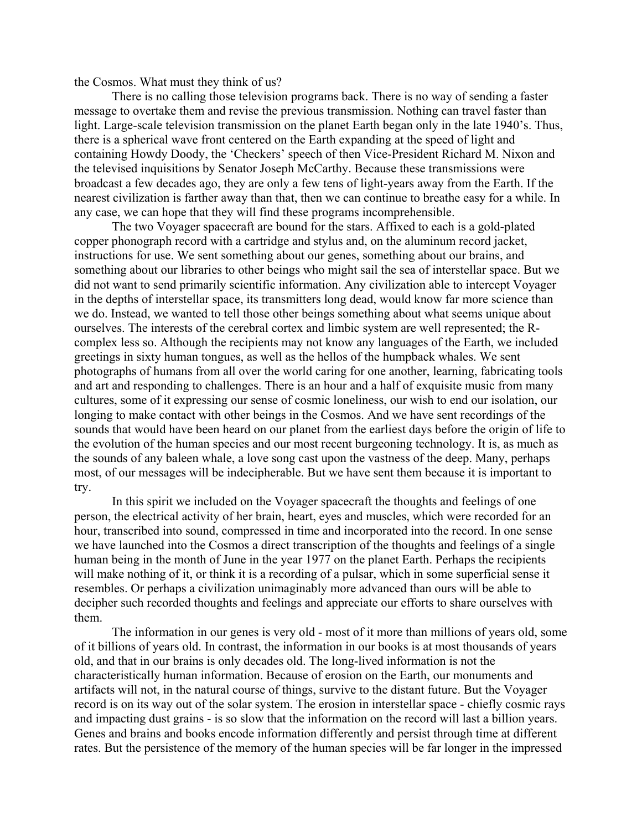the Cosmos. What must they think of us?

There is no calling those television programs back. There is no way of sending a faster message to overtake them and revise the previous transmission. Nothing can travel faster than light. Large-scale television transmission on the planet Earth began only in the late 1940's. Thus, there is a spherical wave front centered on the Earth expanding at the speed of light and containing Howdy Doody, the 'Checkers' speech of then Vice-President Richard M. Nixon and the televised inquisitions by Senator Joseph McCarthy. Because these transmissions were broadcast a few decades ago, they are only a few tens of light-years away from the Earth. If the nearest civilization is farther away than that, then we can continue to breathe easy for a while. In any case, we can hope that they will find these programs incomprehensible.

The two Voyager spacecraft are bound for the stars. Affixed to each is a gold-plated copper phonograph record with a cartridge and stylus and, on the aluminum record jacket, instructions for use. We sent something about our genes, something about our brains, and something about our libraries to other beings who might sail the sea of interstellar space. But we did not want to send primarily scientific information. Any civilization able to intercept Voyager in the depths of interstellar space, its transmitters long dead, would know far more science than we do. Instead, we wanted to tell those other beings something about what seems unique about ourselves. The interests of the cerebral cortex and limbic system are well represented; the Rcomplex less so. Although the recipients may not know any languages of the Earth, we included greetings in sixty human tongues, as well as the hellos of the humpback whales. We sent photographs of humans from all over the world caring for one another, learning, fabricating tools and art and responding to challenges. There is an hour and a half of exquisite music from many cultures, some of it expressing our sense of cosmic loneliness, our wish to end our isolation, our longing to make contact with other beings in the Cosmos. And we have sent recordings of the sounds that would have been heard on our planet from the earliest days before the origin of life to the evolution of the human species and our most recent burgeoning technology. It is, as much as the sounds of any baleen whale, a love song cast upon the vastness of the deep. Many, perhaps most, of our messages will be indecipherable. But we have sent them because it is important to try.

In this spirit we included on the Voyager spacecraft the thoughts and feelings of one person, the electrical activity of her brain, heart, eyes and muscles, which were recorded for an hour, transcribed into sound, compressed in time and incorporated into the record. In one sense we have launched into the Cosmos a direct transcription of the thoughts and feelings of a single human being in the month of June in the year 1977 on the planet Earth. Perhaps the recipients will make nothing of it, or think it is a recording of a pulsar, which in some superficial sense it resembles. Or perhaps a civilization unimaginably more advanced than ours will be able to decipher such recorded thoughts and feelings and appreciate our efforts to share ourselves with them.

The information in our genes is very old - most of it more than millions of years old, some of it billions of years old. In contrast, the information in our books is at most thousands of years old, and that in our brains is only decades old. The long-lived information is not the characteristically human information. Because of erosion on the Earth, our monuments and artifacts will not, in the natural course of things, survive to the distant future. But the Voyager record is on its way out of the solar system. The erosion in interstellar space - chiefly cosmic rays and impacting dust grains - is so slow that the information on the record will last a billion years. Genes and brains and books encode information differently and persist through time at different rates. But the persistence of the memory of the human species will be far longer in the impressed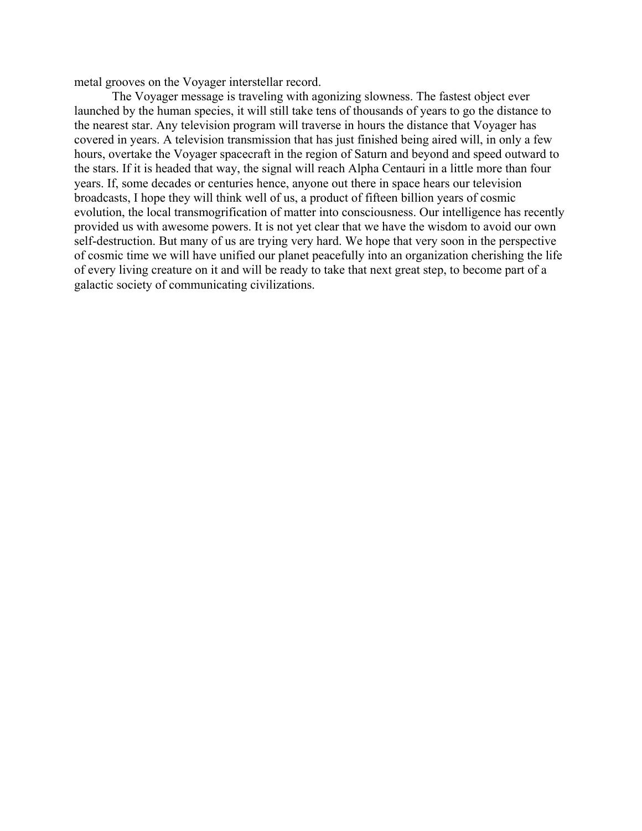metal grooves on the Voyager interstellar record.

The Voyager message is traveling with agonizing slowness. The fastest object ever launched by the human species, it will still take tens of thousands of years to go the distance to the nearest star. Any television program will traverse in hours the distance that Voyager has covered in years. A television transmission that has just finished being aired will, in only a few hours, overtake the Voyager spacecraft in the region of Saturn and beyond and speed outward to the stars. If it is headed that way, the signal will reach Alpha Centauri in a little more than four years. If, some decades or centuries hence, anyone out there in space hears our television broadcasts, I hope they will think well of us, a product of fifteen billion years of cosmic evolution, the local transmogrification of matter into consciousness. Our intelligence has recently provided us with awesome powers. It is not yet clear that we have the wisdom to avoid our own self-destruction. But many of us are trying very hard. We hope that very soon in the perspective of cosmic time we will have unified our planet peacefully into an organization cherishing the life of every living creature on it and will be ready to take that next great step, to become part of a galactic society of communicating civilizations.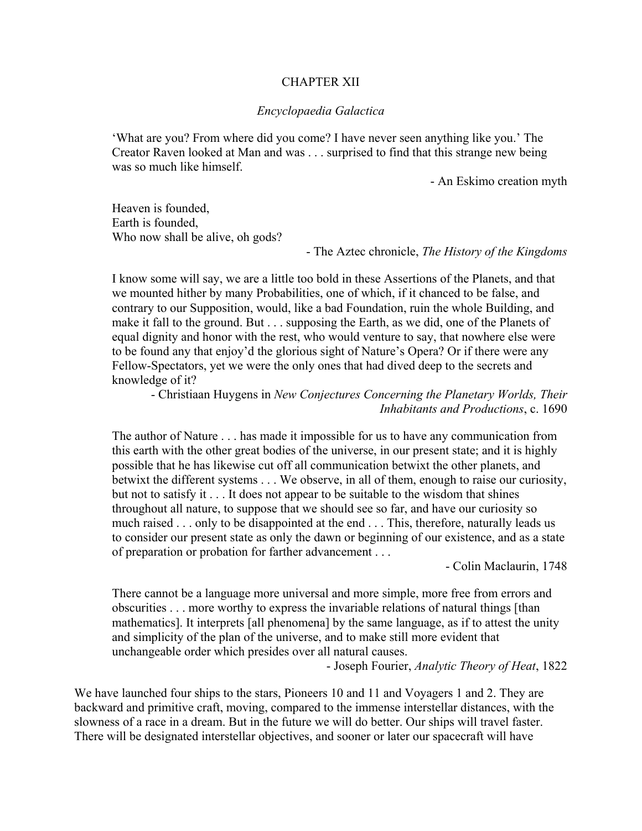## CHAPTER XII

## *Encyclopaedia Galactica*

'What are you? From where did you come? I have never seen anything like you.' The Creator Raven looked at Man and was . . . surprised to find that this strange new being was so much like himself.

- An Eskimo creation myth

Heaven is founded, Earth is founded, Who now shall be alive, oh gods?

- The Aztec chronicle, *The History of the Kingdoms*

I know some will say, we are a little too bold in these Assertions of the Planets, and that we mounted hither by many Probabilities, one of which, if it chanced to be false, and contrary to our Supposition, would, like a bad Foundation, ruin the whole Building, and make it fall to the ground. But . . . supposing the Earth, as we did, one of the Planets of equal dignity and honor with the rest, who would venture to say, that nowhere else were to be found any that enjoy'd the glorious sight of Nature's Opera? Or if there were any Fellow-Spectators, yet we were the only ones that had dived deep to the secrets and knowledge of it?

- Christiaan Huygens in *New Conjectures Concerning the Planetary Worlds, Their Inhabitants and Productions*, c. 1690

The author of Nature . . . has made it impossible for us to have any communication from this earth with the other great bodies of the universe, in our present state; and it is highly possible that he has likewise cut off all communication betwixt the other planets, and betwixt the different systems . . . We observe, in all of them, enough to raise our curiosity, but not to satisfy it . . . It does not appear to be suitable to the wisdom that shines throughout all nature, to suppose that we should see so far, and have our curiosity so much raised . . . only to be disappointed at the end . . . This, therefore, naturally leads us to consider our present state as only the dawn or beginning of our existence, and as a state of preparation or probation for farther advancement . . .

- Colin Maclaurin, 1748

There cannot be a language more universal and more simple, more free from errors and obscurities . . . more worthy to express the invariable relations of natural things [than mathematics]. It interprets [all phenomena] by the same language, as if to attest the unity and simplicity of the plan of the universe, and to make still more evident that unchangeable order which presides over all natural causes.

- Joseph Fourier, *Analytic Theory of Heat*, 1822

We have launched four ships to the stars, Pioneers 10 and 11 and Voyagers 1 and 2. They are backward and primitive craft, moving, compared to the immense interstellar distances, with the slowness of a race in a dream. But in the future we will do better. Our ships will travel faster. There will be designated interstellar objectives, and sooner or later our spacecraft will have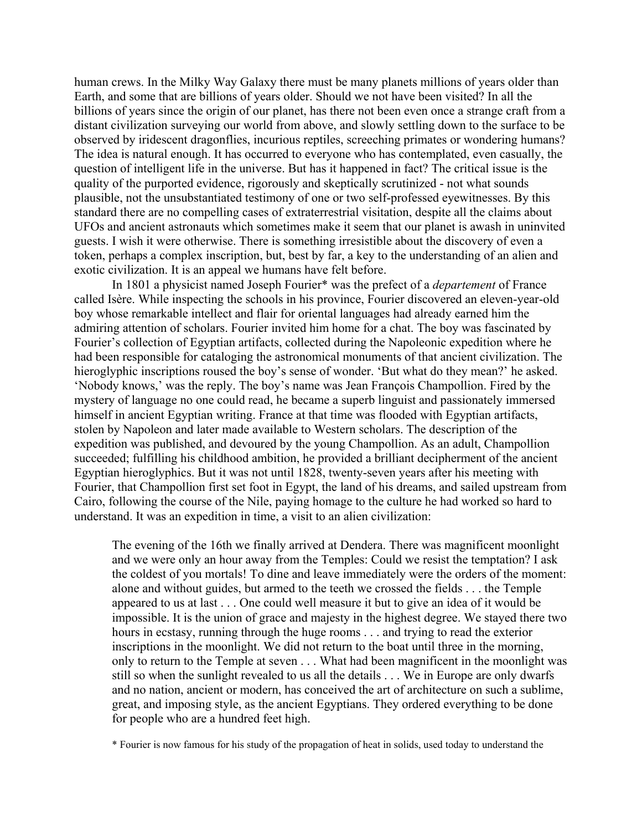human crews. In the Milky Way Galaxy there must be many planets millions of years older than Earth, and some that are billions of years older. Should we not have been visited? In all the billions of years since the origin of our planet, has there not been even once a strange craft from a distant civilization surveying our world from above, and slowly settling down to the surface to be observed by iridescent dragonflies, incurious reptiles, screeching primates or wondering humans? The idea is natural enough. It has occurred to everyone who has contemplated, even casually, the question of intelligent life in the universe. But has it happened in fact? The critical issue is the quality of the purported evidence, rigorously and skeptically scrutinized - not what sounds plausible, not the unsubstantiated testimony of one or two self-professed eyewitnesses. By this standard there are no compelling cases of extraterrestrial visitation, despite all the claims about UFOs and ancient astronauts which sometimes make it seem that our planet is awash in uninvited guests. I wish it were otherwise. There is something irresistible about the discovery of even a token, perhaps a complex inscription, but, best by far, a key to the understanding of an alien and exotic civilization. It is an appeal we humans have felt before.

In 1801 a physicist named Joseph Fourier\* was the prefect of a *departement* of France called Isère. While inspecting the schools in his province, Fourier discovered an eleven-year-old boy whose remarkable intellect and flair for oriental languages had already earned him the admiring attention of scholars. Fourier invited him home for a chat. The boy was fascinated by Fourier's collection of Egyptian artifacts, collected during the Napoleonic expedition where he had been responsible for cataloging the astronomical monuments of that ancient civilization. The hieroglyphic inscriptions roused the boy's sense of wonder. 'But what do they mean?' he asked. 'Nobody knows,' was the reply. The boy's name was Jean François Champollion. Fired by the mystery of language no one could read, he became a superb linguist and passionately immersed himself in ancient Egyptian writing. France at that time was flooded with Egyptian artifacts, stolen by Napoleon and later made available to Western scholars. The description of the expedition was published, and devoured by the young Champollion. As an adult, Champollion succeeded; fulfilling his childhood ambition, he provided a brilliant decipherment of the ancient Egyptian hieroglyphics. But it was not until 1828, twenty-seven years after his meeting with Fourier, that Champollion first set foot in Egypt, the land of his dreams, and sailed upstream from Cairo, following the course of the Nile, paying homage to the culture he had worked so hard to understand. It was an expedition in time, a visit to an alien civilization:

The evening of the 16th we finally arrived at Dendera. There was magnificent moonlight and we were only an hour away from the Temples: Could we resist the temptation? I ask the coldest of you mortals! To dine and leave immediately were the orders of the moment: alone and without guides, but armed to the teeth we crossed the fields . . . the Temple appeared to us at last . . . One could well measure it but to give an idea of it would be impossible. It is the union of grace and majesty in the highest degree. We stayed there two hours in ecstasy, running through the huge rooms . . . and trying to read the exterior inscriptions in the moonlight. We did not return to the boat until three in the morning, only to return to the Temple at seven . . . What had been magnificent in the moonlight was still so when the sunlight revealed to us all the details . . . We in Europe are only dwarfs and no nation, ancient or modern, has conceived the art of architecture on such a sublime, great, and imposing style, as the ancient Egyptians. They ordered everything to be done for people who are a hundred feet high.

\* Fourier is now famous for his study of the propagation of heat in solids, used today to understand the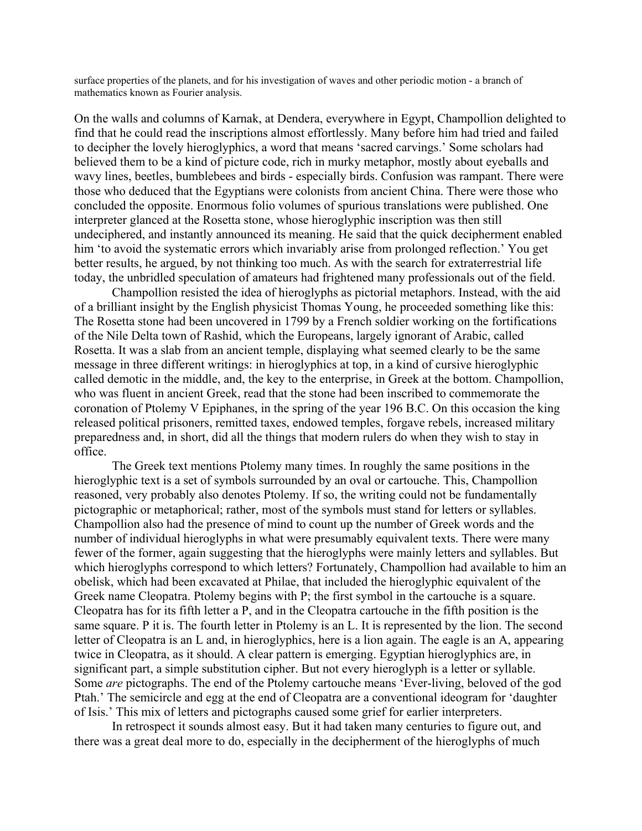surface properties of the planets, and for his investigation of waves and other periodic motion - a branch of mathematics known as Fourier analysis.

On the walls and columns of Karnak, at Dendera, everywhere in Egypt, Champollion delighted to find that he could read the inscriptions almost effortlessly. Many before him had tried and failed to decipher the lovely hieroglyphics, a word that means 'sacred carvings.' Some scholars had believed them to be a kind of picture code, rich in murky metaphor, mostly about eyeballs and wavy lines, beetles, bumblebees and birds - especially birds. Confusion was rampant. There were those who deduced that the Egyptians were colonists from ancient China. There were those who concluded the opposite. Enormous folio volumes of spurious translations were published. One interpreter glanced at the Rosetta stone, whose hieroglyphic inscription was then still undeciphered, and instantly announced its meaning. He said that the quick decipherment enabled him 'to avoid the systematic errors which invariably arise from prolonged reflection.' You get better results, he argued, by not thinking too much. As with the search for extraterrestrial life today, the unbridled speculation of amateurs had frightened many professionals out of the field.

Champollion resisted the idea of hieroglyphs as pictorial metaphors. Instead, with the aid of a brilliant insight by the English physicist Thomas Young, he proceeded something like this: The Rosetta stone had been uncovered in 1799 by a French soldier working on the fortifications of the Nile Delta town of Rashid, which the Europeans, largely ignorant of Arabic, called Rosetta. It was a slab from an ancient temple, displaying what seemed clearly to be the same message in three different writings: in hieroglyphics at top, in a kind of cursive hieroglyphic called demotic in the middle, and, the key to the enterprise, in Greek at the bottom. Champollion, who was fluent in ancient Greek, read that the stone had been inscribed to commemorate the coronation of Ptolemy V Epiphanes, in the spring of the year 196 B.C. On this occasion the king released political prisoners, remitted taxes, endowed temples, forgave rebels, increased military preparedness and, in short, did all the things that modern rulers do when they wish to stay in office.

The Greek text mentions Ptolemy many times. In roughly the same positions in the hieroglyphic text is a set of symbols surrounded by an oval or cartouche. This, Champollion reasoned, very probably also denotes Ptolemy. If so, the writing could not be fundamentally pictographic or metaphorical; rather, most of the symbols must stand for letters or syllables. Champollion also had the presence of mind to count up the number of Greek words and the number of individual hieroglyphs in what were presumably equivalent texts. There were many fewer of the former, again suggesting that the hieroglyphs were mainly letters and syllables. But which hieroglyphs correspond to which letters? Fortunately, Champollion had available to him an obelisk, which had been excavated at Philae, that included the hieroglyphic equivalent of the Greek name Cleopatra. Ptolemy begins with P; the first symbol in the cartouche is a square. Cleopatra has for its fifth letter a P, and in the Cleopatra cartouche in the fifth position is the same square. P it is. The fourth letter in Ptolemy is an L. It is represented by the lion. The second letter of Cleopatra is an L and, in hieroglyphics, here is a lion again. The eagle is an A, appearing twice in Cleopatra, as it should. A clear pattern is emerging. Egyptian hieroglyphics are, in significant part, a simple substitution cipher. But not every hieroglyph is a letter or syllable. Some *are* pictographs. The end of the Ptolemy cartouche means 'Ever-living, beloved of the god Ptah.' The semicircle and egg at the end of Cleopatra are a conventional ideogram for 'daughter of Isis.' This mix of letters and pictographs caused some grief for earlier interpreters.

In retrospect it sounds almost easy. But it had taken many centuries to figure out, and there was a great deal more to do, especially in the decipherment of the hieroglyphs of much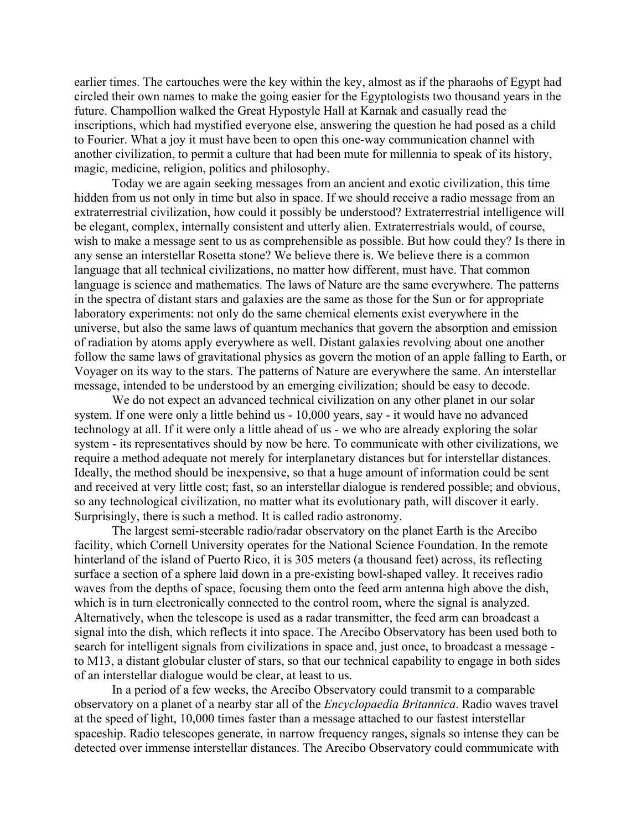earlier times. The cartouches were the key within the key, almost as if the pharaohs of Egypt had circled their own names to make the going easier for the Egyptologists two thousand years in the future. Champollion walked the Great Hypostyle Hall at Karnak and casually read the inscriptions, which had mystified everyone else, answering the question he had posed as a child to Fourier. What a joy it must have been to open this one-way communication channel with another civilization, to permit a culture that had been mute for millennia to speak of its history, magic, medicine, religion, politics and philosophy.

Today we are again seeking messages from an ancient and exotic civilization, this time hidden from us not only in time but also in space. If we should receive a radio message from an extraterrestrial civilization, how could it possibly be understood? Extraterrestrial intelligence will be elegant, complex, internally consistent and utterly alien. Extraterrestrials would, of course, wish to make a message sent to us as comprehensible as possible. But how could they? Is there in any sense an interstellar Rosetta stone? We believe there is. We believe there is a common language that all technical civilizations, no matter how different, must have. That common language is science and mathematics. The laws of Nature are the same everywhere. The patterns in the spectra of distant stars and galaxies are the same as those for the Sun or for appropriate laboratory experiments: not only do the same chemical elements exist everywhere in the universe, but also the same laws of quantum mechanics that govern the absorption and emission of radiation by atoms apply everywhere as well. Distant galaxies revolving about one another follow the same laws of gravitational physics as govern the motion of an apple falling to Earth, or Voyager on its way to the stars. The patterns of Nature are everywhere the same. An interstellar message, intended to be understood by an emerging civilization; should be easy to decode.

We do not expect an advanced technical civilization on any other planet in our solar system. If one were only a little behind us - 10,000 years, say - it would have no advanced technology at all. If it were only a little ahead of us - we who are already exploring the solar system - its representatives should by now be here. To communicate with other civilizations, we require a method adequate not merely for interplanetary distances but for interstellar distances. Ideally, the method should be inexpensive, so that a huge amount of information could be sent and received at very little cost; fast, so an interstellar dialogue is rendered possible; and obvious, so any technological civilization, no matter what its evolutionary path, will discover it early. Surprisingly, there is such a method. It is called radio astronomy.

The largest semi-steerable radio/radar observatory on the planet Earth is the Arecibo facility, which Cornell University operates for the National Science Foundation. In the remote hinterland of the island of Puerto Rico, it is 305 meters (a thousand feet) across, its reflecting surface a section of a sphere laid down in a pre-existing bowl-shaped valley. It receives radio waves from the depths of space, focusing them onto the feed arm antenna high above the dish, which is in turn electronically connected to the control room, where the signal is analyzed. Alternatively, when the telescope is used as a radar transmitter, the feed arm can broadcast a signal into the dish, which reflects it into space. The Arecibo Observatory has been used both to search for intelligent signals from civilizations in space and, just once, to broadcast a message to M13, a distant globular cluster of stars, so that our technical capability to engage in both sides of an interstellar dialogue would be clear, at least to us.

In a period of a few weeks, the Arecibo Observatory could transmit to a comparable observatory on a planet of a nearby star all of the *Encyclopaedia Britannica*. Radio waves travel at the speed of light, 10,000 times faster than a message attached to our fastest interstellar spaceship. Radio telescopes generate, in narrow frequency ranges, signals so intense they can be detected over immense interstellar distances. The Arecibo Observatory could communicate with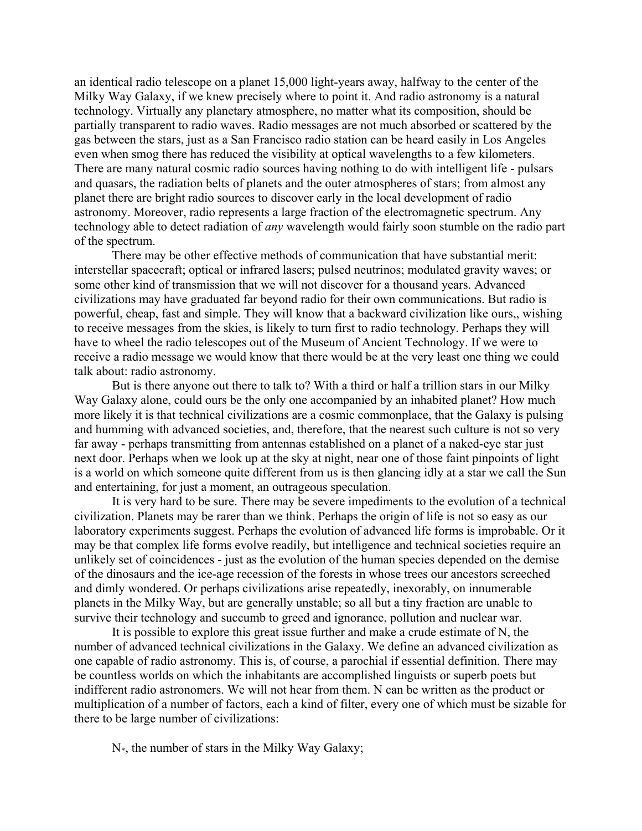an identical radio telescope on a planet 15,000 light-years away, halfway to the center of the Milky Way Galaxy, if we knew precisely where to point it. And radio astronomy is a natural technology. Virtually any planetary atmosphere, no matter what its composition, should be partially transparent to radio waves. Radio messages are not much absorbed or scattered by the gas between the stars, just as a San Francisco radio station can be heard easily in Los Angeles even when smog there has reduced the visibility at optical wavelengths to a few kilometers. There are many natural cosmic radio sources having nothing to do with intelligent life - pulsars and quasars, the radiation belts of planets and the outer atmospheres of stars; from almost any planet there are bright radio sources to discover early in the local development of radio astronomy. Moreover, radio represents a large fraction of the electromagnetic spectrum. Any technology able to detect radiation of *any* wavelength would fairly soon stumble on the radio part of the spectrum.

There may be other effective methods of communication that have substantial merit: interstellar spacecraft; optical or infrared lasers; pulsed neutrinos; modulated gravity waves; or some other kind of transmission that we will not discover for a thousand years. Advanced civilizations may have graduated far beyond radio for their own communications. But radio is powerful, cheap, fast and simple. They will know that a backward civilization like ours,, wishing to receive messages from the skies, is likely to turn first to radio technology. Perhaps they will have to wheel the radio telescopes out of the Museum of Ancient Technology. If we were to receive a radio message we would know that there would be at the very least one thing we could talk about: radio astronomy.

But is there anyone out there to talk to? With a third or half a trillion stars in our Milky Way Galaxy alone, could ours be the only one accompanied by an inhabited planet? How much more likely it is that technical civilizations are a cosmic commonplace, that the Galaxy is pulsing and humming with advanced societies, and, therefore, that the nearest such culture is not so very far away - perhaps transmitting from antennas established on a planet of a naked-eye star just next door. Perhaps when we look up at the sky at night, near one of those faint pinpoints of light is a world on which someone quite different from us is then glancing idly at a star we call the Sun and entertaining, for just a moment, an outrageous speculation.

It is very hard to be sure. There may be severe impediments to the evolution of a technical civilization. Planets may be rarer than we think. Perhaps the origin of life is not so easy as our laboratory experiments suggest. Perhaps the evolution of advanced life forms is improbable. Or it may be that complex life forms evolve readily, but intelligence and technical societies require an unlikely set of coincidences - just as the evolution of the human species depended on the demise of the dinosaurs and the ice-age recession of the forests in whose trees our ancestors screeched and dimly wondered. Or perhaps civilizations arise repeatedly, inexorably, on innumerable planets in the Milky Way, but are generally unstable; so all but a tiny fraction are unable to survive their technology and succumb to greed and ignorance, pollution and nuclear war.

It is possible to explore this great issue further and make a crude estimate of N, the number of advanced technical civilizations in the Galaxy. We define an advanced civilization as one capable of radio astronomy. This is, of course, a parochial if essential definition. There may be countless worlds on which the inhabitants are accomplished linguists or superb poets but indifferent radio astronomers. We will not hear from them. N can be written as the product or multiplication of a number of factors, each a kind of filter, every one of which must be sizable for there to be large number of civilizations:

N\*, the number of stars in the Milky Way Galaxy;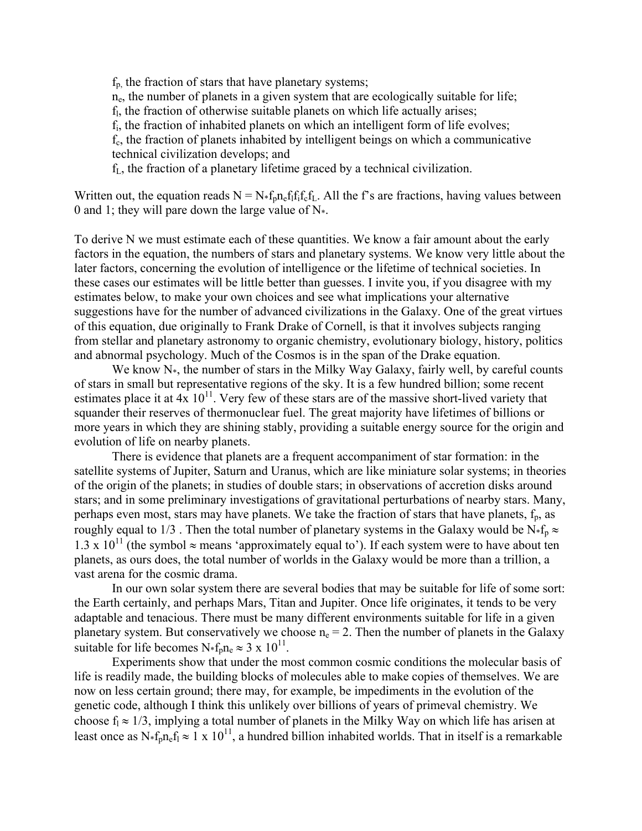$f<sub>p</sub>$ , the fraction of stars that have planetary systems;

 $n_e$ , the number of planets in a given system that are ecologically suitable for life;

 $f<sub>l</sub>$ , the fraction of otherwise suitable planets on which life actually arises;

fi, the fraction of inhabited planets on which an intelligent form of life evolves;

fc, the fraction of planets inhabited by intelligent beings on which a communicative technical civilization develops; and

 $f_L$ , the fraction of a planetary lifetime graced by a technical civilization.

Written out, the equation reads  $N = N * f_p n_e f_i f_i f_c f_L$ . All the f's are fractions, having values between 0 and 1; they will pare down the large value of  $N_{*}$ .

To derive N we must estimate each of these quantities. We know a fair amount about the early factors in the equation, the numbers of stars and planetary systems. We know very little about the later factors, concerning the evolution of intelligence or the lifetime of technical societies. In these cases our estimates will be little better than guesses. I invite you, if you disagree with my estimates below, to make your own choices and see what implications your alternative suggestions have for the number of advanced civilizations in the Galaxy. One of the great virtues of this equation, due originally to Frank Drake of Cornell, is that it involves subjects ranging from stellar and planetary astronomy to organic chemistry, evolutionary biology, history, politics and abnormal psychology. Much of the Cosmos is in the span of the Drake equation.

We know N<sup>\*</sup>, the number of stars in the Milky Way Galaxy, fairly well, by careful counts of stars in small but representative regions of the sky. It is a few hundred billion; some recent estimates place it at  $4x \times 10^{11}$ . Very few of these stars are of the massive short-lived variety that squander their reserves of thermonuclear fuel. The great majority have lifetimes of billions or more years in which they are shining stably, providing a suitable energy source for the origin and evolution of life on nearby planets.

There is evidence that planets are a frequent accompaniment of star formation: in the satellite systems of Jupiter, Saturn and Uranus, which are like miniature solar systems; in theories of the origin of the planets; in studies of double stars; in observations of accretion disks around stars; and in some preliminary investigations of gravitational perturbations of nearby stars. Many, perhaps even most, stars may have planets. We take the fraction of stars that have planets,  $f_p$ , as roughly equal to 1/3. Then the total number of planetary systems in the Galaxy would be N\*f<sub>p</sub>  $\approx$ 1.3 x  $10^{11}$  (the symbol  $\approx$  means 'approximately equal to'). If each system were to have about ten planets, as ours does, the total number of worlds in the Galaxy would be more than a trillion, a vast arena for the cosmic drama.

In our own solar system there are several bodies that may be suitable for life of some sort: the Earth certainly, and perhaps Mars, Titan and Jupiter. Once life originates, it tends to be very adaptable and tenacious. There must be many different environments suitable for life in a given planetary system. But conservatively we choose  $n_e = 2$ . Then the number of planets in the Galaxy suitable for life becomes  $N_*f_n n_e \approx 3 \times 10^{11}$ .

Experiments show that under the most common cosmic conditions the molecular basis of life is readily made, the building blocks of molecules able to make copies of themselves. We are now on less certain ground; there may, for example, be impediments in the evolution of the genetic code, although I think this unlikely over billions of years of primeval chemistry. We choose  $f_1 \approx 1/3$ , implying a total number of planets in the Milky Way on which life has arisen at least once as  $N*f<sub>n</sub>nf<sub>l</sub> \approx 1 \times 10^{11}$ , a hundred billion inhabited worlds. That in itself is a remarkable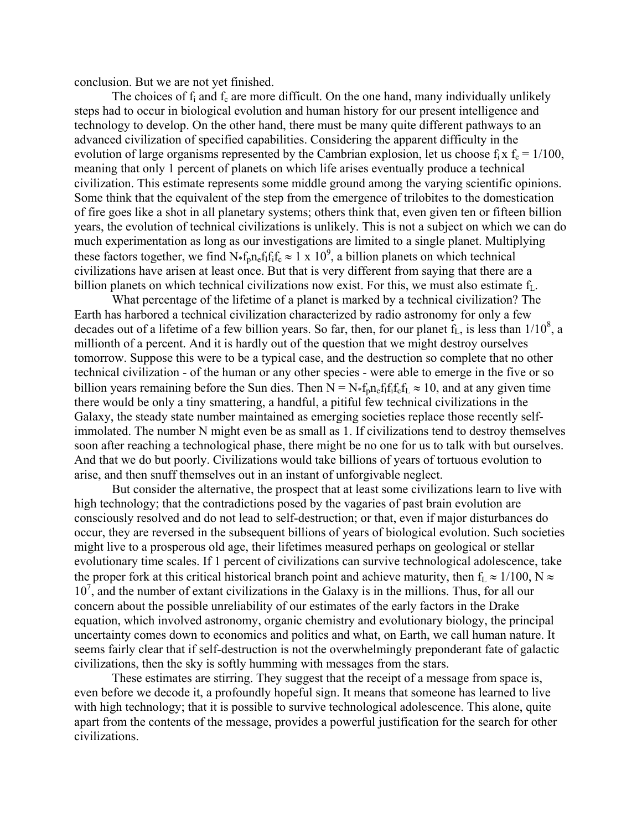conclusion. But we are not yet finished.

The choices of  $f_i$  and  $f_c$  are more difficult. On the one hand, many individually unlikely steps had to occur in biological evolution and human history for our present intelligence and technology to develop. On the other hand, there must be many quite different pathways to an advanced civilization of specified capabilities. Considering the apparent difficulty in the evolution of large organisms represented by the Cambrian explosion, let us choose  $f_i x f_c = 1/100$ , meaning that only 1 percent of planets on which life arises eventually produce a technical civilization. This estimate represents some middle ground among the varying scientific opinions. Some think that the equivalent of the step from the emergence of trilobites to the domestication of fire goes like a shot in all planetary systems; others think that, even given ten or fifteen billion years, the evolution of technical civilizations is unlikely. This is not a subject on which we can do much experimentation as long as our investigations are limited to a single planet. Multiplying these factors together, we find  $N$ \*f<sub>p</sub>n<sub>e</sub>f<sub>l</sub>f<sub>i</sub>f<sub>c</sub>  $\approx 1 \times 10^9$ , a billion planets on which technical civilizations have arisen at least once. But that is very different from saying that there are a billion planets on which technical civilizations now exist. For this, we must also estimate  $f_L$ .

What percentage of the lifetime of a planet is marked by a technical civilization? The Earth has harbored a technical civilization characterized by radio astronomy for only a few decades out of a lifetime of a few billion years. So far, then, for our planet  $f_L$ , is less than  $1/10^8$ , a millionth of a percent. And it is hardly out of the question that we might destroy ourselves tomorrow. Suppose this were to be a typical case, and the destruction so complete that no other technical civilization - of the human or any other species - were able to emerge in the five or so billion years remaining before the Sun dies. Then  $N = N * f_n n_e f_i f_i f_i f_l \approx 10$ , and at any given time there would be only a tiny smattering, a handful, a pitiful few technical civilizations in the Galaxy, the steady state number maintained as emerging societies replace those recently selfimmolated. The number N might even be as small as 1. If civilizations tend to destroy themselves soon after reaching a technological phase, there might be no one for us to talk with but ourselves. And that we do but poorly. Civilizations would take billions of years of tortuous evolution to arise, and then snuff themselves out in an instant of unforgivable neglect.

But consider the alternative, the prospect that at least some civilizations learn to live with high technology; that the contradictions posed by the vagaries of past brain evolution are consciously resolved and do not lead to self-destruction; or that, even if major disturbances do occur, they are reversed in the subsequent billions of years of biological evolution. Such societies might live to a prosperous old age, their lifetimes measured perhaps on geological or stellar evolutionary time scales. If 1 percent of civilizations can survive technological adolescence, take the proper fork at this critical historical branch point and achieve maturity, then  $f<sub>L</sub> \approx 1/100$ , N  $\approx$  $10<sup>7</sup>$ , and the number of extant civilizations in the Galaxy is in the millions. Thus, for all our concern about the possible unreliability of our estimates of the early factors in the Drake equation, which involved astronomy, organic chemistry and evolutionary biology, the principal uncertainty comes down to economics and politics and what, on Earth, we call human nature. It seems fairly clear that if self-destruction is not the overwhelmingly preponderant fate of galactic civilizations, then the sky is softly humming with messages from the stars.

These estimates are stirring. They suggest that the receipt of a message from space is, even before we decode it, a profoundly hopeful sign. It means that someone has learned to live with high technology; that it is possible to survive technological adolescence. This alone, quite apart from the contents of the message, provides a powerful justification for the search for other civilizations.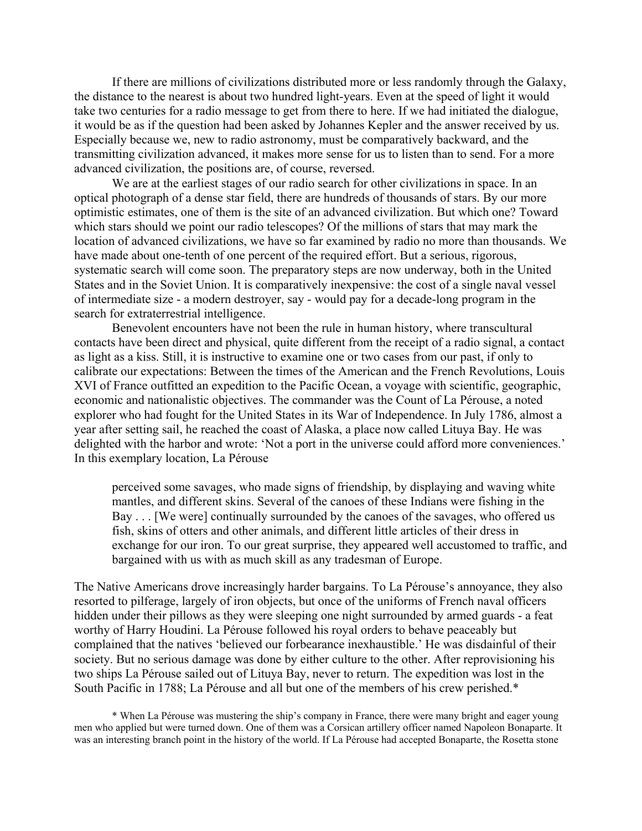If there are millions of civilizations distributed more or less randomly through the Galaxy, the distance to the nearest is about two hundred light-years. Even at the speed of light it would take two centuries for a radio message to get from there to here. If we had initiated the dialogue, it would be as if the question had been asked by Johannes Kepler and the answer received by us. Especially because we, new to radio astronomy, must be comparatively backward, and the transmitting civilization advanced, it makes more sense for us to listen than to send. For a more advanced civilization, the positions are, of course, reversed.

We are at the earliest stages of our radio search for other civilizations in space. In an optical photograph of a dense star field, there are hundreds of thousands of stars. By our more optimistic estimates, one of them is the site of an advanced civilization. But which one? Toward which stars should we point our radio telescopes? Of the millions of stars that may mark the location of advanced civilizations, we have so far examined by radio no more than thousands. We have made about one-tenth of one percent of the required effort. But a serious, rigorous, systematic search will come soon. The preparatory steps are now underway, both in the United States and in the Soviet Union. It is comparatively inexpensive: the cost of a single naval vessel of intermediate size - a modern destroyer, say - would pay for a decade-long program in the search for extraterrestrial intelligence.

Benevolent encounters have not been the rule in human history, where transcultural contacts have been direct and physical, quite different from the receipt of a radio signal, a contact as light as a kiss. Still, it is instructive to examine one or two cases from our past, if only to calibrate our expectations: Between the times of the American and the French Revolutions, Louis XVI of France outfitted an expedition to the Pacific Ocean, a voyage with scientific, geographic, economic and nationalistic objectives. The commander was the Count of La Pérouse, a noted explorer who had fought for the United States in its War of Independence. In July 1786, almost a year after setting sail, he reached the coast of Alaska, a place now called Lituya Bay. He was delighted with the harbor and wrote: 'Not a port in the universe could afford more conveniences.' In this exemplary location, La Pérouse

perceived some savages, who made signs of friendship, by displaying and waving white mantles, and different skins. Several of the canoes of these Indians were fishing in the Bay . . . [We were] continually surrounded by the canoes of the savages, who offered us fish, skins of otters and other animals, and different little articles of their dress in exchange for our iron. To our great surprise, they appeared well accustomed to traffic, and bargained with us with as much skill as any tradesman of Europe.

The Native Americans drove increasingly harder bargains. To La Pérouse's annoyance, they also resorted to pilferage, largely of iron objects, but once of the uniforms of French naval officers hidden under their pillows as they were sleeping one night surrounded by armed guards - a feat worthy of Harry Houdini. La Pérouse followed his royal orders to behave peaceably but complained that the natives 'believed our forbearance inexhaustible.' He was disdainful of their society. But no serious damage was done by either culture to the other. After reprovisioning his two ships La Pérouse sailed out of Lituya Bay, never to return. The expedition was lost in the South Pacific in 1788; La Pérouse and all but one of the members of his crew perished.\*

<sup>\*</sup> When La Pérouse was mustering the ship's company in France, there were many bright and eager young men who applied but were turned down. One of them was a Corsican artillery officer named Napoleon Bonaparte. It was an interesting branch point in the history of the world. If La Pérouse had accepted Bonaparte, the Rosetta stone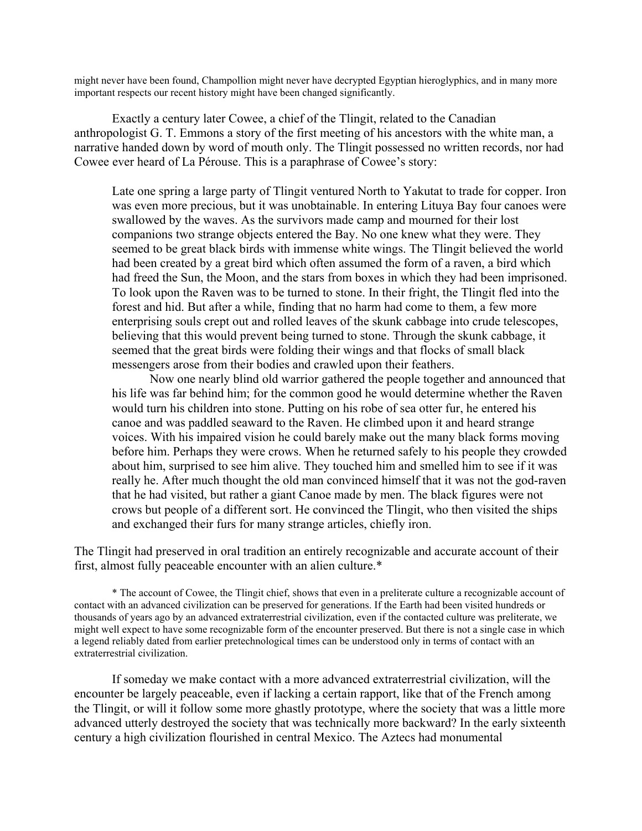might never have been found, Champollion might never have decrypted Egyptian hieroglyphics, and in many more important respects our recent history might have been changed significantly.

Exactly a century later Cowee, a chief of the Tlingit, related to the Canadian anthropologist G. T. Emmons a story of the first meeting of his ancestors with the white man, a narrative handed down by word of mouth only. The Tlingit possessed no written records, nor had Cowee ever heard of La Pérouse. This is a paraphrase of Cowee's story:

Late one spring a large party of Tlingit ventured North to Yakutat to trade for copper. Iron was even more precious, but it was unobtainable. In entering Lituya Bay four canoes were swallowed by the waves. As the survivors made camp and mourned for their lost companions two strange objects entered the Bay. No one knew what they were. They seemed to be great black birds with immense white wings. The Tlingit believed the world had been created by a great bird which often assumed the form of a raven, a bird which had freed the Sun, the Moon, and the stars from boxes in which they had been imprisoned. To look upon the Raven was to be turned to stone. In their fright, the Tlingit fled into the forest and hid. But after a while, finding that no harm had come to them, a few more enterprising souls crept out and rolled leaves of the skunk cabbage into crude telescopes, believing that this would prevent being turned to stone. Through the skunk cabbage, it seemed that the great birds were folding their wings and that flocks of small black messengers arose from their bodies and crawled upon their feathers.

Now one nearly blind old warrior gathered the people together and announced that his life was far behind him; for the common good he would determine whether the Raven would turn his children into stone. Putting on his robe of sea otter fur, he entered his canoe and was paddled seaward to the Raven. He climbed upon it and heard strange voices. With his impaired vision he could barely make out the many black forms moving before him. Perhaps they were crows. When he returned safely to his people they crowded about him, surprised to see him alive. They touched him and smelled him to see if it was really he. After much thought the old man convinced himself that it was not the god-raven that he had visited, but rather a giant Canoe made by men. The black figures were not crows but people of a different sort. He convinced the Tlingit, who then visited the ships and exchanged their furs for many strange articles, chiefly iron.

The Tlingit had preserved in oral tradition an entirely recognizable and accurate account of their first, almost fully peaceable encounter with an alien culture.\*

\* The account of Cowee, the Tlingit chief, shows that even in a preliterate culture a recognizable account of contact with an advanced civilization can be preserved for generations. If the Earth had been visited hundreds or thousands of years ago by an advanced extraterrestrial civilization, even if the contacted culture was preliterate, we might well expect to have some recognizable form of the encounter preserved. But there is not a single case in which a legend reliably dated from earlier pretechnological times can be understood only in terms of contact with an extraterrestrial civilization.

If someday we make contact with a more advanced extraterrestrial civilization, will the encounter be largely peaceable, even if lacking a certain rapport, like that of the French among the Tlingit, or will it follow some more ghastly prototype, where the society that was a little more advanced utterly destroyed the society that was technically more backward? In the early sixteenth century a high civilization flourished in central Mexico. The Aztecs had monumental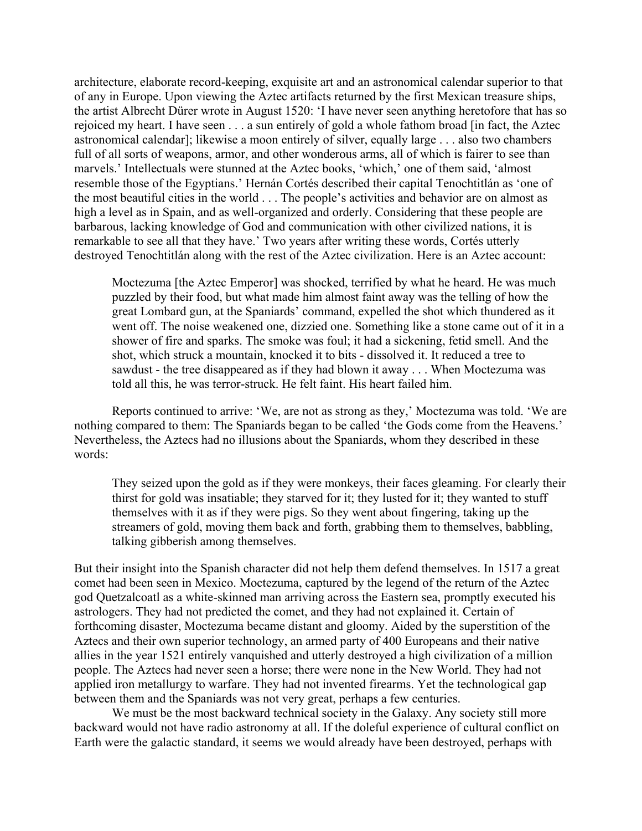architecture, elaborate record-keeping, exquisite art and an astronomical calendar superior to that of any in Europe. Upon viewing the Aztec artifacts returned by the first Mexican treasure ships, the artist Albrecht Dürer wrote in August 1520: 'I have never seen anything heretofore that has so rejoiced my heart. I have seen . . . a sun entirely of gold a whole fathom broad [in fact, the Aztec astronomical calendar]; likewise a moon entirely of silver, equally large . . . also two chambers full of all sorts of weapons, armor, and other wonderous arms, all of which is fairer to see than marvels.' Intellectuals were stunned at the Aztec books, 'which,' one of them said, 'almost resemble those of the Egyptians.' Hernán Cortés described their capital Tenochtitlán as 'one of the most beautiful cities in the world . . . The people's activities and behavior are on almost as high a level as in Spain, and as well-organized and orderly. Considering that these people are barbarous, lacking knowledge of God and communication with other civilized nations, it is remarkable to see all that they have.' Two years after writing these words, Cortés utterly destroyed Tenochtitlán along with the rest of the Aztec civilization. Here is an Aztec account:

Moctezuma [the Aztec Emperor] was shocked, terrified by what he heard. He was much puzzled by their food, but what made him almost faint away was the telling of how the great Lombard gun, at the Spaniards' command, expelled the shot which thundered as it went off. The noise weakened one, dizzied one. Something like a stone came out of it in a shower of fire and sparks. The smoke was foul; it had a sickening, fetid smell. And the shot, which struck a mountain, knocked it to bits - dissolved it. It reduced a tree to sawdust - the tree disappeared as if they had blown it away . . . When Moctezuma was told all this, he was terror-struck. He felt faint. His heart failed him.

Reports continued to arrive: 'We, are not as strong as they,' Moctezuma was told. 'We are nothing compared to them: The Spaniards began to be called 'the Gods come from the Heavens.' Nevertheless, the Aztecs had no illusions about the Spaniards, whom they described in these words:

They seized upon the gold as if they were monkeys, their faces gleaming. For clearly their thirst for gold was insatiable; they starved for it; they lusted for it; they wanted to stuff themselves with it as if they were pigs. So they went about fingering, taking up the streamers of gold, moving them back and forth, grabbing them to themselves, babbling, talking gibberish among themselves.

But their insight into the Spanish character did not help them defend themselves. In 1517 a great comet had been seen in Mexico. Moctezuma, captured by the legend of the return of the Aztec god Quetzalcoatl as a white-skinned man arriving across the Eastern sea, promptly executed his astrologers. They had not predicted the comet, and they had not explained it. Certain of forthcoming disaster, Moctezuma became distant and gloomy. Aided by the superstition of the Aztecs and their own superior technology, an armed party of 400 Europeans and their native allies in the year 1521 entirely vanquished and utterly destroyed a high civilization of a million people. The Aztecs had never seen a horse; there were none in the New World. They had not applied iron metallurgy to warfare. They had not invented firearms. Yet the technological gap between them and the Spaniards was not very great, perhaps a few centuries.

We must be the most backward technical society in the Galaxy. Any society still more backward would not have radio astronomy at all. If the doleful experience of cultural conflict on Earth were the galactic standard, it seems we would already have been destroyed, perhaps with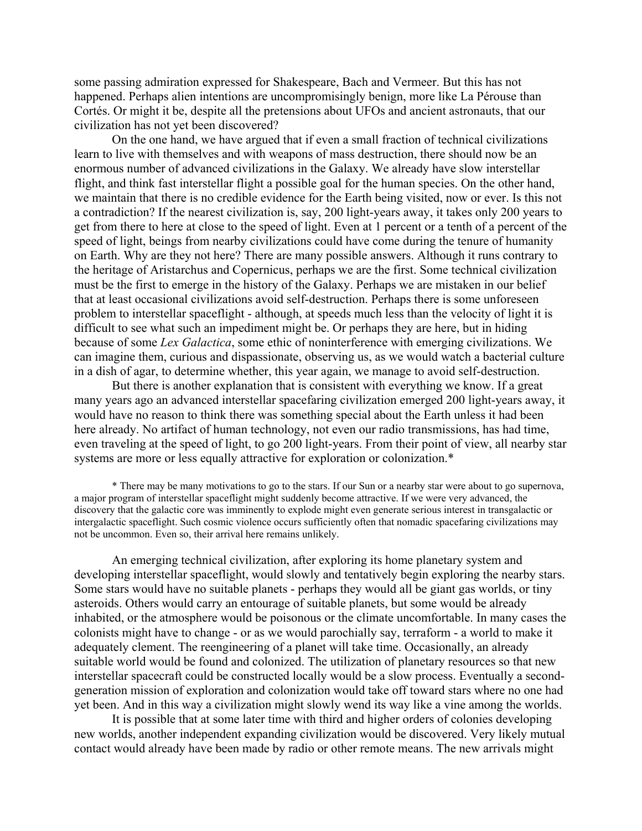some passing admiration expressed for Shakespeare, Bach and Vermeer. But this has not happened. Perhaps alien intentions are uncompromisingly benign, more like La Pérouse than Cortés. Or might it be, despite all the pretensions about UFOs and ancient astronauts, that our civilization has not yet been discovered?

On the one hand, we have argued that if even a small fraction of technical civilizations learn to live with themselves and with weapons of mass destruction, there should now be an enormous number of advanced civilizations in the Galaxy. We already have slow interstellar flight, and think fast interstellar flight a possible goal for the human species. On the other hand, we maintain that there is no credible evidence for the Earth being visited, now or ever. Is this not a contradiction? If the nearest civilization is, say, 200 light-years away, it takes only 200 years to get from there to here at close to the speed of light. Even at 1 percent or a tenth of a percent of the speed of light, beings from nearby civilizations could have come during the tenure of humanity on Earth. Why are they not here? There are many possible answers. Although it runs contrary to the heritage of Aristarchus and Copernicus, perhaps we are the first. Some technical civilization must be the first to emerge in the history of the Galaxy. Perhaps we are mistaken in our belief that at least occasional civilizations avoid self-destruction. Perhaps there is some unforeseen problem to interstellar spaceflight - although, at speeds much less than the velocity of light it is difficult to see what such an impediment might be. Or perhaps they are here, but in hiding because of some *Lex Galactica*, some ethic of noninterference with emerging civilizations. We can imagine them, curious and dispassionate, observing us, as we would watch a bacterial culture in a dish of agar, to determine whether, this year again, we manage to avoid self-destruction.

But there is another explanation that is consistent with everything we know. If a great many years ago an advanced interstellar spacefaring civilization emerged 200 light-years away, it would have no reason to think there was something special about the Earth unless it had been here already. No artifact of human technology, not even our radio transmissions, has had time, even traveling at the speed of light, to go 200 light-years. From their point of view, all nearby star systems are more or less equally attractive for exploration or colonization.\*

\* There may be many motivations to go to the stars. If our Sun or a nearby star were about to go supernova, a major program of interstellar spaceflight might suddenly become attractive. If we were very advanced, the discovery that the galactic core was imminently to explode might even generate serious interest in transgalactic or intergalactic spaceflight. Such cosmic violence occurs sufficiently often that nomadic spacefaring civilizations may not be uncommon. Even so, their arrival here remains unlikely.

An emerging technical civilization, after exploring its home planetary system and developing interstellar spaceflight, would slowly and tentatively begin exploring the nearby stars. Some stars would have no suitable planets - perhaps they would all be giant gas worlds, or tiny asteroids. Others would carry an entourage of suitable planets, but some would be already inhabited, or the atmosphere would be poisonous or the climate uncomfortable. In many cases the colonists might have to change - or as we would parochially say, terraform - a world to make it adequately clement. The reengineering of a planet will take time. Occasionally, an already suitable world would be found and colonized. The utilization of planetary resources so that new interstellar spacecraft could be constructed locally would be a slow process. Eventually a secondgeneration mission of exploration and colonization would take off toward stars where no one had yet been. And in this way a civilization might slowly wend its way like a vine among the worlds.

It is possible that at some later time with third and higher orders of colonies developing new worlds, another independent expanding civilization would be discovered. Very likely mutual contact would already have been made by radio or other remote means. The new arrivals might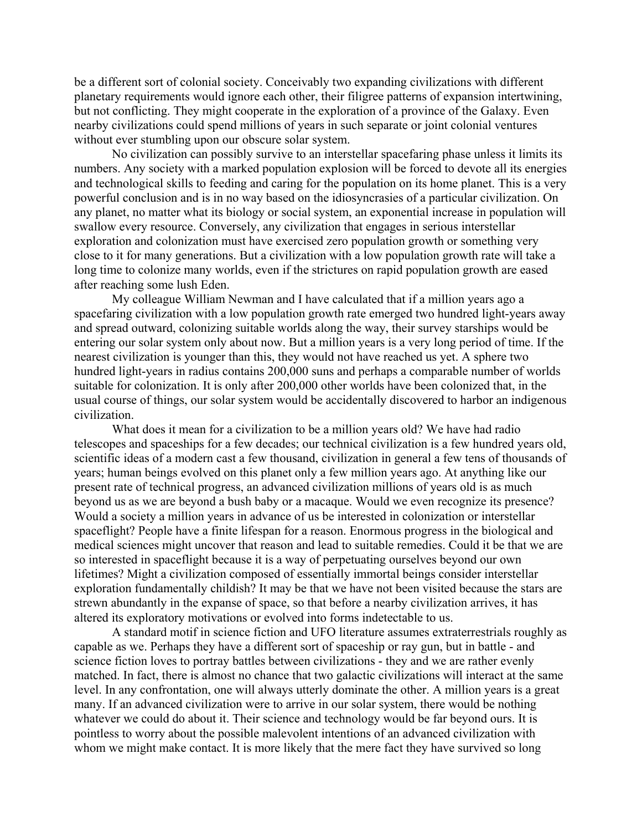be a different sort of colonial society. Conceivably two expanding civilizations with different planetary requirements would ignore each other, their filigree patterns of expansion intertwining, but not conflicting. They might cooperate in the exploration of a province of the Galaxy. Even nearby civilizations could spend millions of years in such separate or joint colonial ventures without ever stumbling upon our obscure solar system.

No civilization can possibly survive to an interstellar spacefaring phase unless it limits its numbers. Any society with a marked population explosion will be forced to devote all its energies and technological skills to feeding and caring for the population on its home planet. This is a very powerful conclusion and is in no way based on the idiosyncrasies of a particular civilization. On any planet, no matter what its biology or social system, an exponential increase in population will swallow every resource. Conversely, any civilization that engages in serious interstellar exploration and colonization must have exercised zero population growth or something very close to it for many generations. But a civilization with a low population growth rate will take a long time to colonize many worlds, even if the strictures on rapid population growth are eased after reaching some lush Eden.

My colleague William Newman and I have calculated that if a million years ago a spacefaring civilization with a low population growth rate emerged two hundred light-years away and spread outward, colonizing suitable worlds along the way, their survey starships would be entering our solar system only about now. But a million years is a very long period of time. If the nearest civilization is younger than this, they would not have reached us yet. A sphere two hundred light-years in radius contains 200,000 suns and perhaps a comparable number of worlds suitable for colonization. It is only after 200,000 other worlds have been colonized that, in the usual course of things, our solar system would be accidentally discovered to harbor an indigenous civilization.

What does it mean for a civilization to be a million years old? We have had radio telescopes and spaceships for a few decades; our technical civilization is a few hundred years old, scientific ideas of a modern cast a few thousand, civilization in general a few tens of thousands of years; human beings evolved on this planet only a few million years ago. At anything like our present rate of technical progress, an advanced civilization millions of years old is as much beyond us as we are beyond a bush baby or a macaque. Would we even recognize its presence? Would a society a million years in advance of us be interested in colonization or interstellar spaceflight? People have a finite lifespan for a reason. Enormous progress in the biological and medical sciences might uncover that reason and lead to suitable remedies. Could it be that we are so interested in spaceflight because it is a way of perpetuating ourselves beyond our own lifetimes? Might a civilization composed of essentially immortal beings consider interstellar exploration fundamentally childish? It may be that we have not been visited because the stars are strewn abundantly in the expanse of space, so that before a nearby civilization arrives, it has altered its exploratory motivations or evolved into forms indetectable to us.

A standard motif in science fiction and UFO literature assumes extraterrestrials roughly as capable as we. Perhaps they have a different sort of spaceship or ray gun, but in battle - and science fiction loves to portray battles between civilizations - they and we are rather evenly matched. In fact, there is almost no chance that two galactic civilizations will interact at the same level. In any confrontation, one will always utterly dominate the other. A million years is a great many. If an advanced civilization were to arrive in our solar system, there would be nothing whatever we could do about it. Their science and technology would be far beyond ours. It is pointless to worry about the possible malevolent intentions of an advanced civilization with whom we might make contact. It is more likely that the mere fact they have survived so long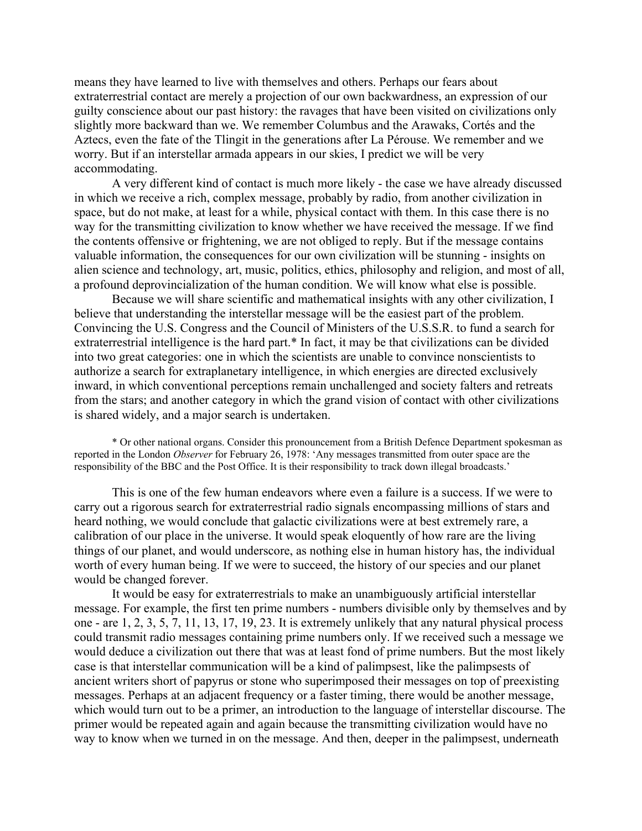means they have learned to live with themselves and others. Perhaps our fears about extraterrestrial contact are merely a projection of our own backwardness, an expression of our guilty conscience about our past history: the ravages that have been visited on civilizations only slightly more backward than we. We remember Columbus and the Arawaks, Cortés and the Aztecs, even the fate of the Tlingit in the generations after La Pérouse. We remember and we worry. But if an interstellar armada appears in our skies, I predict we will be very accommodating.

A very different kind of contact is much more likely - the case we have already discussed in which we receive a rich, complex message, probably by radio, from another civilization in space, but do not make, at least for a while, physical contact with them. In this case there is no way for the transmitting civilization to know whether we have received the message. If we find the contents offensive or frightening, we are not obliged to reply. But if the message contains valuable information, the consequences for our own civilization will be stunning - insights on alien science and technology, art, music, politics, ethics, philosophy and religion, and most of all, a profound deprovincialization of the human condition. We will know what else is possible.

Because we will share scientific and mathematical insights with any other civilization, I believe that understanding the interstellar message will be the easiest part of the problem. Convincing the U.S. Congress and the Council of Ministers of the U.S.S.R. to fund a search for extraterrestrial intelligence is the hard part.\* In fact, it may be that civilizations can be divided into two great categories: one in which the scientists are unable to convince nonscientists to authorize a search for extraplanetary intelligence, in which energies are directed exclusively inward, in which conventional perceptions remain unchallenged and society falters and retreats from the stars; and another category in which the grand vision of contact with other civilizations is shared widely, and a major search is undertaken.

\* Or other national organs. Consider this pronouncement from a British Defence Department spokesman as reported in the London *Observer* for February 26, 1978: 'Any messages transmitted from outer space are the responsibility of the BBC and the Post Office. It is their responsibility to track down illegal broadcasts.'

This is one of the few human endeavors where even a failure is a success. If we were to carry out a rigorous search for extraterrestrial radio signals encompassing millions of stars and heard nothing, we would conclude that galactic civilizations were at best extremely rare, a calibration of our place in the universe. It would speak eloquently of how rare are the living things of our planet, and would underscore, as nothing else in human history has, the individual worth of every human being. If we were to succeed, the history of our species and our planet would be changed forever.

It would be easy for extraterrestrials to make an unambiguously artificial interstellar message. For example, the first ten prime numbers - numbers divisible only by themselves and by one - are 1, 2, 3, 5, 7, 11, 13, 17, 19, 23. It is extremely unlikely that any natural physical process could transmit radio messages containing prime numbers only. If we received such a message we would deduce a civilization out there that was at least fond of prime numbers. But the most likely case is that interstellar communication will be a kind of palimpsest, like the palimpsests of ancient writers short of papyrus or stone who superimposed their messages on top of preexisting messages. Perhaps at an adjacent frequency or a faster timing, there would be another message, which would turn out to be a primer, an introduction to the language of interstellar discourse. The primer would be repeated again and again because the transmitting civilization would have no way to know when we turned in on the message. And then, deeper in the palimpsest, underneath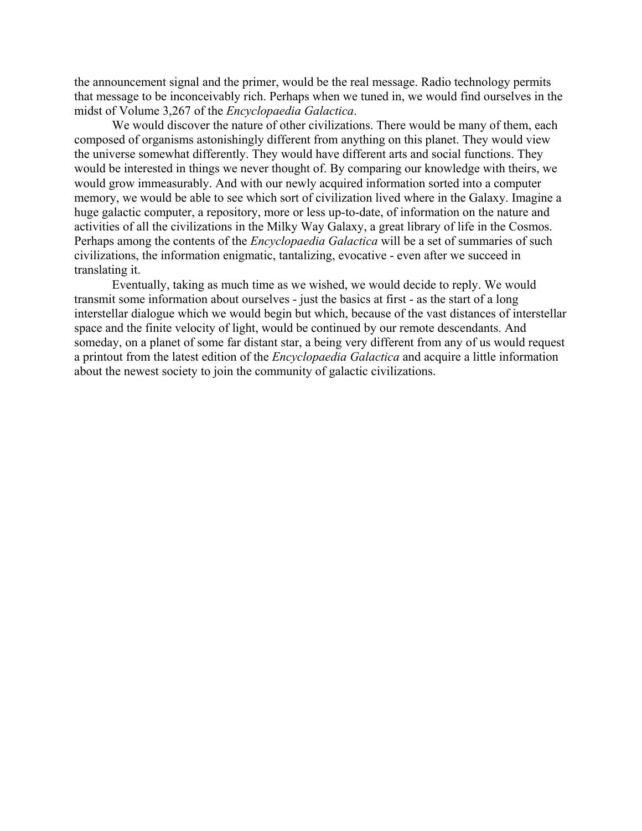the announcement signal and the primer, would be the real message. Radio technology permits that message to be inconceivably rich. Perhaps when we tuned in, we would find ourselves in the midst of Volume 3,267 of the *Encyclopaedia Galactica*.

We would discover the nature of other civilizations. There would be many of them, each composed of organisms astonishingly different from anything on this planet. They would view the universe somewhat differently. They would have different arts and social functions. They would be interested in things we never thought of. By comparing our knowledge with theirs, we would grow immeasurably. And with our newly acquired information sorted into a computer memory, we would be able to see which sort of civilization lived where in the Galaxy. Imagine a huge galactic computer, a repository, more or less up-to-date, of information on the nature and activities of all the civilizations in the Milky Way Galaxy, a great library of life in the Cosmos. Perhaps among the contents of the *Encyclopaedia Galactica* will be a set of summaries of such civilizations, the information enigmatic, tantalizing, evocative - even after we succeed in translating it.

Eventually, taking as much time as we wished, we would decide to reply. We would transmit some information about ourselves - just the basics at first - as the start of a long interstellar dialogue which we would begin but which, because of the vast distances of interstellar space and the finite velocity of light, would be continued by our remote descendants. And someday, on a planet of some far distant star, a being very different from any of us would request a printout from the latest edition of the *Encyclopaedia Galactica* and acquire a little information about the newest society to join the community of galactic civilizations.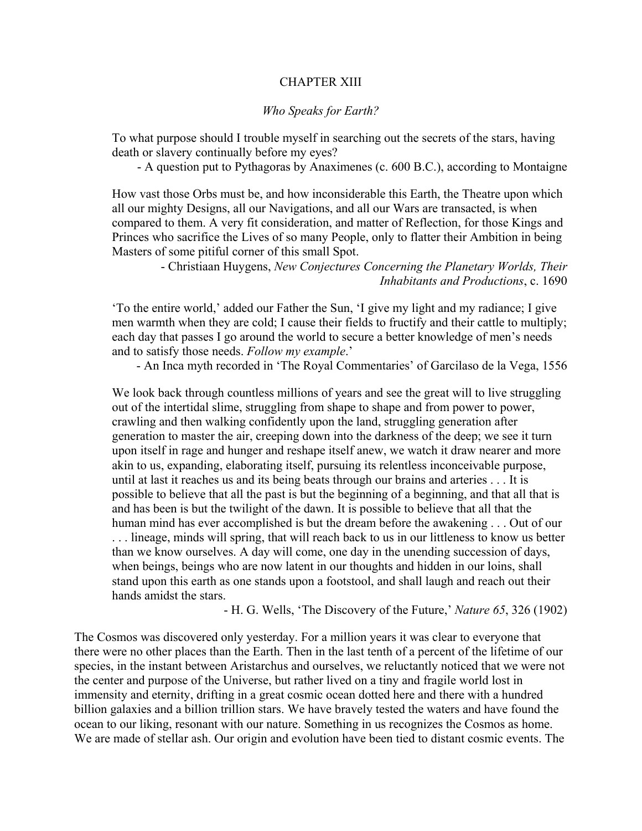## CHAPTER XIII

#### *Who Speaks for Earth?*

To what purpose should I trouble myself in searching out the secrets of the stars, having death or slavery continually before my eyes?

- A question put to Pythagoras by Anaximenes (c. 600 B.C.), according to Montaigne

How vast those Orbs must be, and how inconsiderable this Earth, the Theatre upon which all our mighty Designs, all our Navigations, and all our Wars are transacted, is when compared to them. A very fit consideration, and matter of Reflection, for those Kings and Princes who sacrifice the Lives of so many People, only to flatter their Ambition in being Masters of some pitiful corner of this small Spot.

> - Christiaan Huygens, *New Conjectures Concerning the Planetary Worlds, Their Inhabitants and Productions*, c. 1690

'To the entire world,' added our Father the Sun, 'I give my light and my radiance; I give men warmth when they are cold; I cause their fields to fructify and their cattle to multiply; each day that passes I go around the world to secure a better knowledge of men's needs and to satisfy those needs. *Follow my example*.'

- An Inca myth recorded in 'The Royal Commentaries' of Garcilaso de la Vega, 1556

We look back through countless millions of years and see the great will to live struggling out of the intertidal slime, struggling from shape to shape and from power to power, crawling and then walking confidently upon the land, struggling generation after generation to master the air, creeping down into the darkness of the deep; we see it turn upon itself in rage and hunger and reshape itself anew, we watch it draw nearer and more akin to us, expanding, elaborating itself, pursuing its relentless inconceivable purpose, until at last it reaches us and its being beats through our brains and arteries . . . It is possible to believe that all the past is but the beginning of a beginning, and that all that is and has been is but the twilight of the dawn. It is possible to believe that all that the human mind has ever accomplished is but the dream before the awakening . . . Out of our . . . lineage, minds will spring, that will reach back to us in our littleness to know us better than we know ourselves. A day will come, one day in the unending succession of days, when beings, beings who are now latent in our thoughts and hidden in our loins, shall stand upon this earth as one stands upon a footstool, and shall laugh and reach out their hands amidst the stars.

- H. G. Wells, 'The Discovery of the Future,' *Nature 65*, 326 (1902)

The Cosmos was discovered only yesterday. For a million years it was clear to everyone that there were no other places than the Earth. Then in the last tenth of a percent of the lifetime of our species, in the instant between Aristarchus and ourselves, we reluctantly noticed that we were not the center and purpose of the Universe, but rather lived on a tiny and fragile world lost in immensity and eternity, drifting in a great cosmic ocean dotted here and there with a hundred billion galaxies and a billion trillion stars. We have bravely tested the waters and have found the ocean to our liking, resonant with our nature. Something in us recognizes the Cosmos as home. We are made of stellar ash. Our origin and evolution have been tied to distant cosmic events. The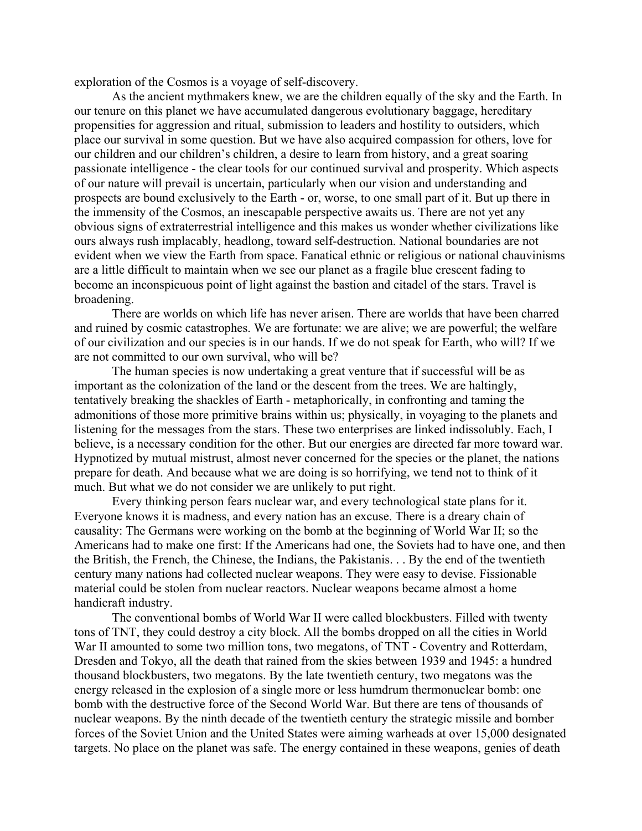exploration of the Cosmos is a voyage of self-discovery.

As the ancient mythmakers knew, we are the children equally of the sky and the Earth. In our tenure on this planet we have accumulated dangerous evolutionary baggage, hereditary propensities for aggression and ritual, submission to leaders and hostility to outsiders, which place our survival in some question. But we have also acquired compassion for others, love for our children and our children's children, a desire to learn from history, and a great soaring passionate intelligence - the clear tools for our continued survival and prosperity. Which aspects of our nature will prevail is uncertain, particularly when our vision and understanding and prospects are bound exclusively to the Earth - or, worse, to one small part of it. But up there in the immensity of the Cosmos, an inescapable perspective awaits us. There are not yet any obvious signs of extraterrestrial intelligence and this makes us wonder whether civilizations like ours always rush implacably, headlong, toward self-destruction. National boundaries are not evident when we view the Earth from space. Fanatical ethnic or religious or national chauvinisms are a little difficult to maintain when we see our planet as a fragile blue crescent fading to become an inconspicuous point of light against the bastion and citadel of the stars. Travel is broadening.

There are worlds on which life has never arisen. There are worlds that have been charred and ruined by cosmic catastrophes. We are fortunate: we are alive; we are powerful; the welfare of our civilization and our species is in our hands. If we do not speak for Earth, who will? If we are not committed to our own survival, who will be?

The human species is now undertaking a great venture that if successful will be as important as the colonization of the land or the descent from the trees. We are haltingly, tentatively breaking the shackles of Earth - metaphorically, in confronting and taming the admonitions of those more primitive brains within us; physically, in voyaging to the planets and listening for the messages from the stars. These two enterprises are linked indissolubly. Each, I believe, is a necessary condition for the other. But our energies are directed far more toward war. Hypnotized by mutual mistrust, almost never concerned for the species or the planet, the nations prepare for death. And because what we are doing is so horrifying, we tend not to think of it much. But what we do not consider we are unlikely to put right.

Every thinking person fears nuclear war, and every technological state plans for it. Everyone knows it is madness, and every nation has an excuse. There is a dreary chain of causality: The Germans were working on the bomb at the beginning of World War II; so the Americans had to make one first: If the Americans had one, the Soviets had to have one, and then the British, the French, the Chinese, the Indians, the Pakistanis. . . By the end of the twentieth century many nations had collected nuclear weapons. They were easy to devise. Fissionable material could be stolen from nuclear reactors. Nuclear weapons became almost a home handicraft industry.

The conventional bombs of World War II were called blockbusters. Filled with twenty tons of TNT, they could destroy a city block. All the bombs dropped on all the cities in World War II amounted to some two million tons, two megatons, of TNT - Coventry and Rotterdam, Dresden and Tokyo, all the death that rained from the skies between 1939 and 1945: a hundred thousand blockbusters, two megatons. By the late twentieth century, two megatons was the energy released in the explosion of a single more or less humdrum thermonuclear bomb: one bomb with the destructive force of the Second World War. But there are tens of thousands of nuclear weapons. By the ninth decade of the twentieth century the strategic missile and bomber forces of the Soviet Union and the United States were aiming warheads at over 15,000 designated targets. No place on the planet was safe. The energy contained in these weapons, genies of death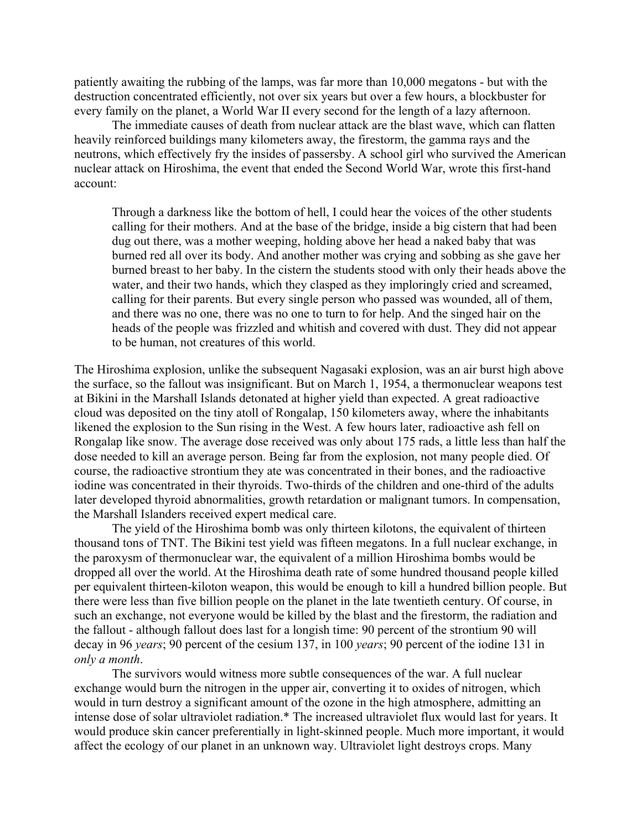patiently awaiting the rubbing of the lamps, was far more than 10,000 megatons - but with the destruction concentrated efficiently, not over six years but over a few hours, a blockbuster for every family on the planet, a World War II every second for the length of a lazy afternoon.

The immediate causes of death from nuclear attack are the blast wave, which can flatten heavily reinforced buildings many kilometers away, the firestorm, the gamma rays and the neutrons, which effectively fry the insides of passersby. A school girl who survived the American nuclear attack on Hiroshima, the event that ended the Second World War, wrote this first-hand account:

Through a darkness like the bottom of hell, I could hear the voices of the other students calling for their mothers. And at the base of the bridge, inside a big cistern that had been dug out there, was a mother weeping, holding above her head a naked baby that was burned red all over its body. And another mother was crying and sobbing as she gave her burned breast to her baby. In the cistern the students stood with only their heads above the water, and their two hands, which they clasped as they imploringly cried and screamed, calling for their parents. But every single person who passed was wounded, all of them, and there was no one, there was no one to turn to for help. And the singed hair on the heads of the people was frizzled and whitish and covered with dust. They did not appear to be human, not creatures of this world.

The Hiroshima explosion, unlike the subsequent Nagasaki explosion, was an air burst high above the surface, so the fallout was insignificant. But on March 1, 1954, a thermonuclear weapons test at Bikini in the Marshall Islands detonated at higher yield than expected. A great radioactive cloud was deposited on the tiny atoll of Rongalap, 150 kilometers away, where the inhabitants likened the explosion to the Sun rising in the West. A few hours later, radioactive ash fell on Rongalap like snow. The average dose received was only about 175 rads, a little less than half the dose needed to kill an average person. Being far from the explosion, not many people died. Of course, the radioactive strontium they ate was concentrated in their bones, and the radioactive iodine was concentrated in their thyroids. Two-thirds of the children and one-third of the adults later developed thyroid abnormalities, growth retardation or malignant tumors. In compensation, the Marshall Islanders received expert medical care.

The yield of the Hiroshima bomb was only thirteen kilotons, the equivalent of thirteen thousand tons of TNT. The Bikini test yield was fifteen megatons. In a full nuclear exchange, in the paroxysm of thermonuclear war, the equivalent of a million Hiroshima bombs would be dropped all over the world. At the Hiroshima death rate of some hundred thousand people killed per equivalent thirteen-kiloton weapon, this would be enough to kill a hundred billion people. But there were less than five billion people on the planet in the late twentieth century. Of course, in such an exchange, not everyone would be killed by the blast and the firestorm, the radiation and the fallout - although fallout does last for a longish time: 90 percent of the strontium 90 will decay in 96 *years*; 90 percent of the cesium 137, in 100 *years*; 90 percent of the iodine 131 in *only a month*.

The survivors would witness more subtle consequences of the war. A full nuclear exchange would burn the nitrogen in the upper air, converting it to oxides of nitrogen, which would in turn destroy a significant amount of the ozone in the high atmosphere, admitting an intense dose of solar ultraviolet radiation.\* The increased ultraviolet flux would last for years. It would produce skin cancer preferentially in light-skinned people. Much more important, it would affect the ecology of our planet in an unknown way. Ultraviolet light destroys crops. Many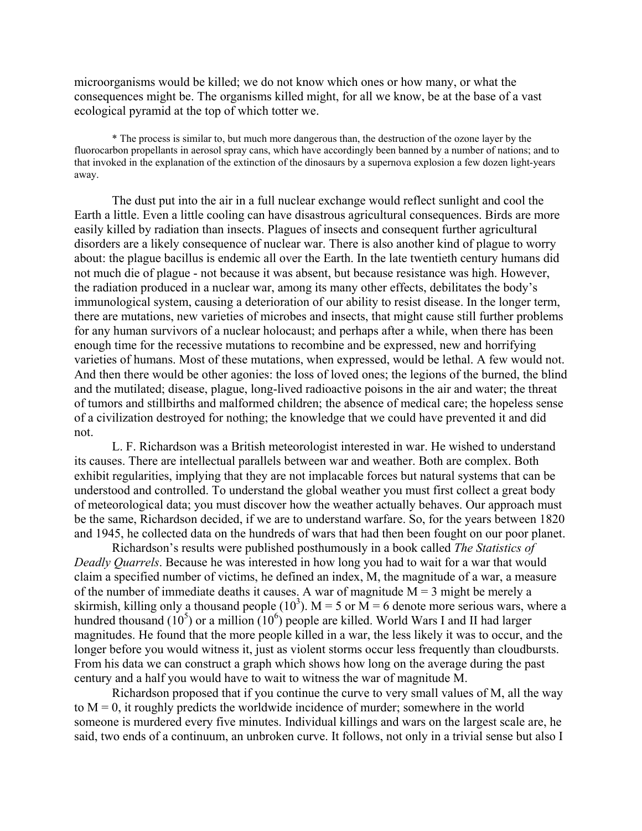microorganisms would be killed; we do not know which ones or how many, or what the consequences might be. The organisms killed might, for all we know, be at the base of a vast ecological pyramid at the top of which totter we.

\* The process is similar to, but much more dangerous than, the destruction of the ozone layer by the fluorocarbon propellants in aerosol spray cans, which have accordingly been banned by a number of nations; and to that invoked in the explanation of the extinction of the dinosaurs by a supernova explosion a few dozen light-years away.

The dust put into the air in a full nuclear exchange would reflect sunlight and cool the Earth a little. Even a little cooling can have disastrous agricultural consequences. Birds are more easily killed by radiation than insects. Plagues of insects and consequent further agricultural disorders are a likely consequence of nuclear war. There is also another kind of plague to worry about: the plague bacillus is endemic all over the Earth. In the late twentieth century humans did not much die of plague - not because it was absent, but because resistance was high. However, the radiation produced in a nuclear war, among its many other effects, debilitates the body's immunological system, causing a deterioration of our ability to resist disease. In the longer term, there are mutations, new varieties of microbes and insects, that might cause still further problems for any human survivors of a nuclear holocaust; and perhaps after a while, when there has been enough time for the recessive mutations to recombine and be expressed, new and horrifying varieties of humans. Most of these mutations, when expressed, would be lethal. A few would not. And then there would be other agonies: the loss of loved ones; the legions of the burned, the blind and the mutilated; disease, plague, long-lived radioactive poisons in the air and water; the threat of tumors and stillbirths and malformed children; the absence of medical care; the hopeless sense of a civilization destroyed for nothing; the knowledge that we could have prevented it and did not.

L. F. Richardson was a British meteorologist interested in war. He wished to understand its causes. There are intellectual parallels between war and weather. Both are complex. Both exhibit regularities, implying that they are not implacable forces but natural systems that can be understood and controlled. To understand the global weather you must first collect a great body of meteorological data; you must discover how the weather actually behaves. Our approach must be the same, Richardson decided, if we are to understand warfare. So, for the years between 1820 and 1945, he collected data on the hundreds of wars that had then been fought on our poor planet.

Richardson's results were published posthumously in a book called *The Statistics of Deadly Quarrels*. Because he was interested in how long you had to wait for a war that would claim a specified number of victims, he defined an index, M, the magnitude of a war, a measure of the number of immediate deaths it causes. A war of magnitude  $M = 3$  might be merely a skirmish, killing only a thousand people  $(10^3)$ . M = 5 or M = 6 denote more serious wars, where a hundred thousand ( $10^5$ ) or a million ( $10^6$ ) people are killed. World Wars I and II had larger magnitudes. He found that the more people killed in a war, the less likely it was to occur, and the longer before you would witness it, just as violent storms occur less frequently than cloudbursts. From his data we can construct a graph which shows how long on the average during the past century and a half you would have to wait to witness the war of magnitude M.

Richardson proposed that if you continue the curve to very small values of M, all the way to  $M = 0$ , it roughly predicts the worldwide incidence of murder; somewhere in the world someone is murdered every five minutes. Individual killings and wars on the largest scale are, he said, two ends of a continuum, an unbroken curve. It follows, not only in a trivial sense but also I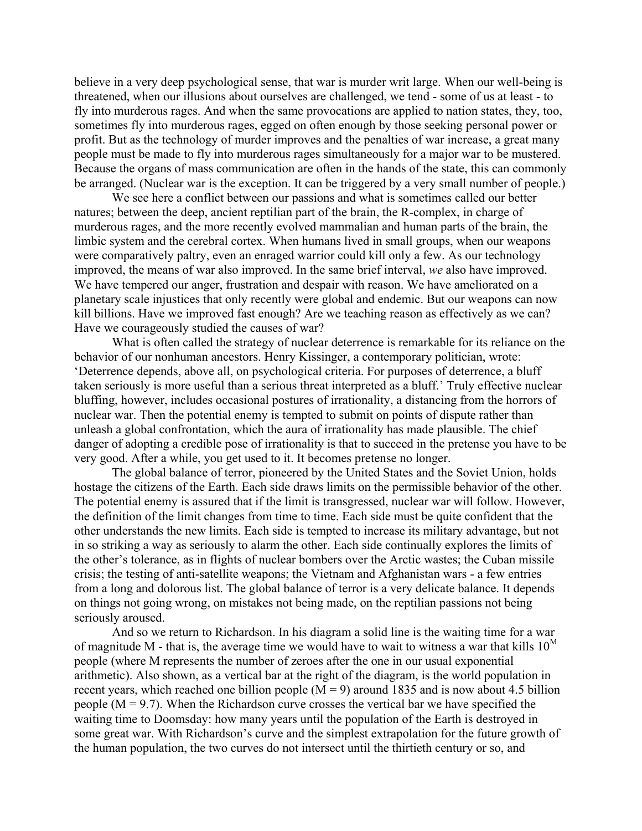believe in a very deep psychological sense, that war is murder writ large. When our well-being is threatened, when our illusions about ourselves are challenged, we tend - some of us at least - to fly into murderous rages. And when the same provocations are applied to nation states, they, too, sometimes fly into murderous rages, egged on often enough by those seeking personal power or profit. But as the technology of murder improves and the penalties of war increase, a great many people must be made to fly into murderous rages simultaneously for a major war to be mustered. Because the organs of mass communication are often in the hands of the state, this can commonly be arranged. (Nuclear war is the exception. It can be triggered by a very small number of people.)

We see here a conflict between our passions and what is sometimes called our better natures; between the deep, ancient reptilian part of the brain, the R-complex, in charge of murderous rages, and the more recently evolved mammalian and human parts of the brain, the limbic system and the cerebral cortex. When humans lived in small groups, when our weapons were comparatively paltry, even an enraged warrior could kill only a few. As our technology improved, the means of war also improved. In the same brief interval, *we* also have improved. We have tempered our anger, frustration and despair with reason. We have ameliorated on a planetary scale injustices that only recently were global and endemic. But our weapons can now kill billions. Have we improved fast enough? Are we teaching reason as effectively as we can? Have we courageously studied the causes of war?

What is often called the strategy of nuclear deterrence is remarkable for its reliance on the behavior of our nonhuman ancestors. Henry Kissinger, a contemporary politician, wrote: 'Deterrence depends, above all, on psychological criteria. For purposes of deterrence, a bluff taken seriously is more useful than a serious threat interpreted as a bluff.' Truly effective nuclear bluffing, however, includes occasional postures of irrationality, a distancing from the horrors of nuclear war. Then the potential enemy is tempted to submit on points of dispute rather than unleash a global confrontation, which the aura of irrationality has made plausible. The chief danger of adopting a credible pose of irrationality is that to succeed in the pretense you have to be very good. After a while, you get used to it. It becomes pretense no longer.

The global balance of terror, pioneered by the United States and the Soviet Union, holds hostage the citizens of the Earth. Each side draws limits on the permissible behavior of the other. The potential enemy is assured that if the limit is transgressed, nuclear war will follow. However, the definition of the limit changes from time to time. Each side must be quite confident that the other understands the new limits. Each side is tempted to increase its military advantage, but not in so striking a way as seriously to alarm the other. Each side continually explores the limits of the other's tolerance, as in flights of nuclear bombers over the Arctic wastes; the Cuban missile crisis; the testing of anti-satellite weapons; the Vietnam and Afghanistan wars - a few entries from a long and dolorous list. The global balance of terror is a very delicate balance. It depends on things not going wrong, on mistakes not being made, on the reptilian passions not being seriously aroused.

And so we return to Richardson. In his diagram a solid line is the waiting time for a war of magnitude M - that is, the average time we would have to wait to witness a war that kills  $10^M$ people (where M represents the number of zeroes after the one in our usual exponential arithmetic). Also shown, as a vertical bar at the right of the diagram, is the world population in recent years, which reached one billion people ( $M = 9$ ) around 1835 and is now about 4.5 billion people  $(M = 9.7)$ . When the Richardson curve crosses the vertical bar we have specified the waiting time to Doomsday: how many years until the population of the Earth is destroyed in some great war. With Richardson's curve and the simplest extrapolation for the future growth of the human population, the two curves do not intersect until the thirtieth century or so, and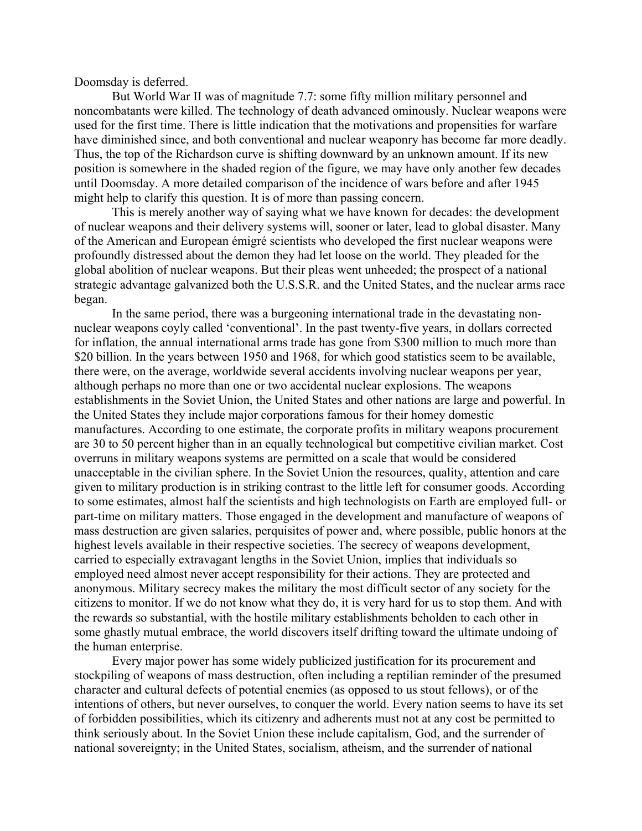Doomsday is deferred.

But World War II was of magnitude 7.7: some fifty million military personnel and noncombatants were killed. The technology of death advanced ominously. Nuclear weapons were used for the first time. There is little indication that the motivations and propensities for warfare have diminished since, and both conventional and nuclear weaponry has become far more deadly. Thus, the top of the Richardson curve is shifting downward by an unknown amount. If its new position is somewhere in the shaded region of the figure, we may have only another few decades until Doomsday. A more detailed comparison of the incidence of wars before and after 1945 might help to clarify this question. It is of more than passing concern.

This is merely another way of saying what we have known for decades: the development of nuclear weapons and their delivery systems will, sooner or later, lead to global disaster. Many of the American and European émigré scientists who developed the first nuclear weapons were profoundly distressed about the demon they had let loose on the world. They pleaded for the global abolition of nuclear weapons. But their pleas went unheeded; the prospect of a national strategic advantage galvanized both the U.S.S.R. and the United States, and the nuclear arms race began.

In the same period, there was a burgeoning international trade in the devastating nonnuclear weapons coyly called 'conventional'. In the past twenty-five years, in dollars corrected for inflation, the annual international arms trade has gone from \$300 million to much more than \$20 billion. In the years between 1950 and 1968, for which good statistics seem to be available, there were, on the average, worldwide several accidents involving nuclear weapons per year, although perhaps no more than one or two accidental nuclear explosions. The weapons establishments in the Soviet Union, the United States and other nations are large and powerful. In the United States they include major corporations famous for their homey domestic manufactures. According to one estimate, the corporate profits in military weapons procurement are 30 to 50 percent higher than in an equally technological but competitive civilian market. Cost overruns in military weapons systems are permitted on a scale that would be considered unacceptable in the civilian sphere. In the Soviet Union the resources, quality, attention and care given to military production is in striking contrast to the little left for consumer goods. According to some estimates, almost half the scientists and high technologists on Earth are employed full- or part-time on military matters. Those engaged in the development and manufacture of weapons of mass destruction are given salaries, perquisites of power and, where possible, public honors at the highest levels available in their respective societies. The secrecy of weapons development, carried to especially extravagant lengths in the Soviet Union, implies that individuals so employed need almost never accept responsibility for their actions. They are protected and anonymous. Military secrecy makes the military the most difficult sector of any society for the citizens to monitor. If we do not know what they do, it is very hard for us to stop them. And with the rewards so substantial, with the hostile military establishments beholden to each other in some ghastly mutual embrace, the world discovers itself drifting toward the ultimate undoing of the human enterprise.

Every major power has some widely publicized justification for its procurement and stockpiling of weapons of mass destruction, often including a reptilian reminder of the presumed character and cultural defects of potential enemies (as opposed to us stout fellows), or of the intentions of others, but never ourselves, to conquer the world. Every nation seems to have its set of forbidden possibilities, which its citizenry and adherents must not at any cost be permitted to think seriously about. In the Soviet Union these include capitalism, God, and the surrender of national sovereignty; in the United States, socialism, atheism, and the surrender of national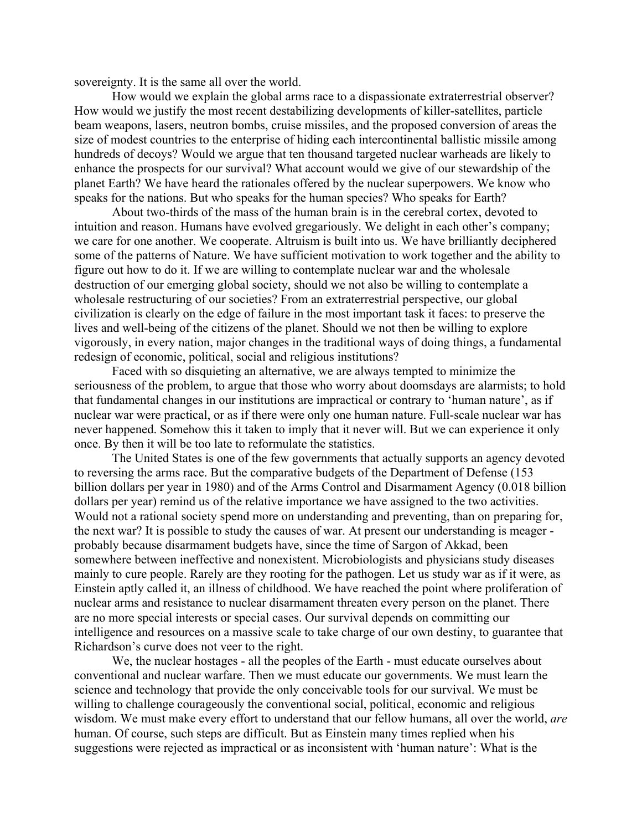sovereignty. It is the same all over the world.

How would we explain the global arms race to a dispassionate extraterrestrial observer? How would we justify the most recent destabilizing developments of killer-satellites, particle beam weapons, lasers, neutron bombs, cruise missiles, and the proposed conversion of areas the size of modest countries to the enterprise of hiding each intercontinental ballistic missile among hundreds of decoys? Would we argue that ten thousand targeted nuclear warheads are likely to enhance the prospects for our survival? What account would we give of our stewardship of the planet Earth? We have heard the rationales offered by the nuclear superpowers. We know who speaks for the nations. But who speaks for the human species? Who speaks for Earth?

About two-thirds of the mass of the human brain is in the cerebral cortex, devoted to intuition and reason. Humans have evolved gregariously. We delight in each other's company; we care for one another. We cooperate. Altruism is built into us. We have brilliantly deciphered some of the patterns of Nature. We have sufficient motivation to work together and the ability to figure out how to do it. If we are willing to contemplate nuclear war and the wholesale destruction of our emerging global society, should we not also be willing to contemplate a wholesale restructuring of our societies? From an extraterrestrial perspective, our global civilization is clearly on the edge of failure in the most important task it faces: to preserve the lives and well-being of the citizens of the planet. Should we not then be willing to explore vigorously, in every nation, major changes in the traditional ways of doing things, a fundamental redesign of economic, political, social and religious institutions?

Faced with so disquieting an alternative, we are always tempted to minimize the seriousness of the problem, to argue that those who worry about doomsdays are alarmists; to hold that fundamental changes in our institutions are impractical or contrary to 'human nature', as if nuclear war were practical, or as if there were only one human nature. Full-scale nuclear war has never happened. Somehow this it taken to imply that it never will. But we can experience it only once. By then it will be too late to reformulate the statistics.

The United States is one of the few governments that actually supports an agency devoted to reversing the arms race. But the comparative budgets of the Department of Defense (153 billion dollars per year in 1980) and of the Arms Control and Disarmament Agency (0.018 billion dollars per year) remind us of the relative importance we have assigned to the two activities. Would not a rational society spend more on understanding and preventing, than on preparing for, the next war? It is possible to study the causes of war. At present our understanding is meager probably because disarmament budgets have, since the time of Sargon of Akkad, been somewhere between ineffective and nonexistent. Microbiologists and physicians study diseases mainly to cure people. Rarely are they rooting for the pathogen. Let us study war as if it were, as Einstein aptly called it, an illness of childhood. We have reached the point where proliferation of nuclear arms and resistance to nuclear disarmament threaten every person on the planet. There are no more special interests or special cases. Our survival depends on committing our intelligence and resources on a massive scale to take charge of our own destiny, to guarantee that Richardson's curve does not veer to the right.

We, the nuclear hostages - all the peoples of the Earth - must educate ourselves about conventional and nuclear warfare. Then we must educate our governments. We must learn the science and technology that provide the only conceivable tools for our survival. We must be willing to challenge courageously the conventional social, political, economic and religious wisdom. We must make every effort to understand that our fellow humans, all over the world, *are* human. Of course, such steps are difficult. But as Einstein many times replied when his suggestions were rejected as impractical or as inconsistent with 'human nature': What is the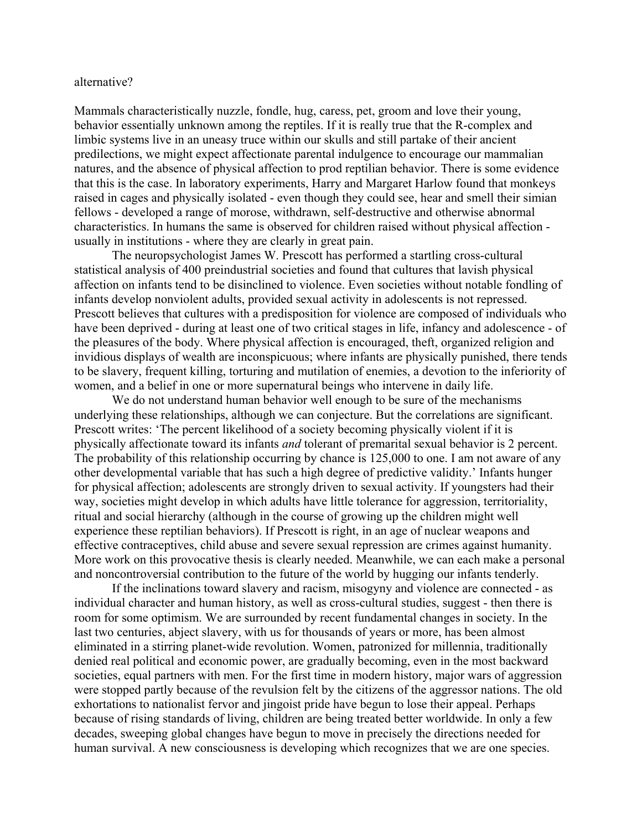### alternative?

Mammals characteristically nuzzle, fondle, hug, caress, pet, groom and love their young, behavior essentially unknown among the reptiles. If it is really true that the R-complex and limbic systems live in an uneasy truce within our skulls and still partake of their ancient predilections, we might expect affectionate parental indulgence to encourage our mammalian natures, and the absence of physical affection to prod reptilian behavior. There is some evidence that this is the case. In laboratory experiments, Harry and Margaret Harlow found that monkeys raised in cages and physically isolated - even though they could see, hear and smell their simian fellows - developed a range of morose, withdrawn, self-destructive and otherwise abnormal characteristics. In humans the same is observed for children raised without physical affection usually in institutions - where they are clearly in great pain.

The neuropsychologist James W. Prescott has performed a startling cross-cultural statistical analysis of 400 preindustrial societies and found that cultures that lavish physical affection on infants tend to be disinclined to violence. Even societies without notable fondling of infants develop nonviolent adults, provided sexual activity in adolescents is not repressed. Prescott believes that cultures with a predisposition for violence are composed of individuals who have been deprived - during at least one of two critical stages in life, infancy and adolescence - of the pleasures of the body. Where physical affection is encouraged, theft, organized religion and invidious displays of wealth are inconspicuous; where infants are physically punished, there tends to be slavery, frequent killing, torturing and mutilation of enemies, a devotion to the inferiority of women, and a belief in one or more supernatural beings who intervene in daily life.

We do not understand human behavior well enough to be sure of the mechanisms underlying these relationships, although we can conjecture. But the correlations are significant. Prescott writes: 'The percent likelihood of a society becoming physically violent if it is physically affectionate toward its infants *and* tolerant of premarital sexual behavior is 2 percent. The probability of this relationship occurring by chance is 125,000 to one. I am not aware of any other developmental variable that has such a high degree of predictive validity.' Infants hunger for physical affection; adolescents are strongly driven to sexual activity. If youngsters had their way, societies might develop in which adults have little tolerance for aggression, territoriality, ritual and social hierarchy (although in the course of growing up the children might well experience these reptilian behaviors). If Prescott is right, in an age of nuclear weapons and effective contraceptives, child abuse and severe sexual repression are crimes against humanity. More work on this provocative thesis is clearly needed. Meanwhile, we can each make a personal and noncontroversial contribution to the future of the world by hugging our infants tenderly.

If the inclinations toward slavery and racism, misogyny and violence are connected - as individual character and human history, as well as cross-cultural studies, suggest - then there is room for some optimism. We are surrounded by recent fundamental changes in society. In the last two centuries, abject slavery, with us for thousands of years or more, has been almost eliminated in a stirring planet-wide revolution. Women, patronized for millennia, traditionally denied real political and economic power, are gradually becoming, even in the most backward societies, equal partners with men. For the first time in modern history, major wars of aggression were stopped partly because of the revulsion felt by the citizens of the aggressor nations. The old exhortations to nationalist fervor and jingoist pride have begun to lose their appeal. Perhaps because of rising standards of living, children are being treated better worldwide. In only a few decades, sweeping global changes have begun to move in precisely the directions needed for human survival. A new consciousness is developing which recognizes that we are one species.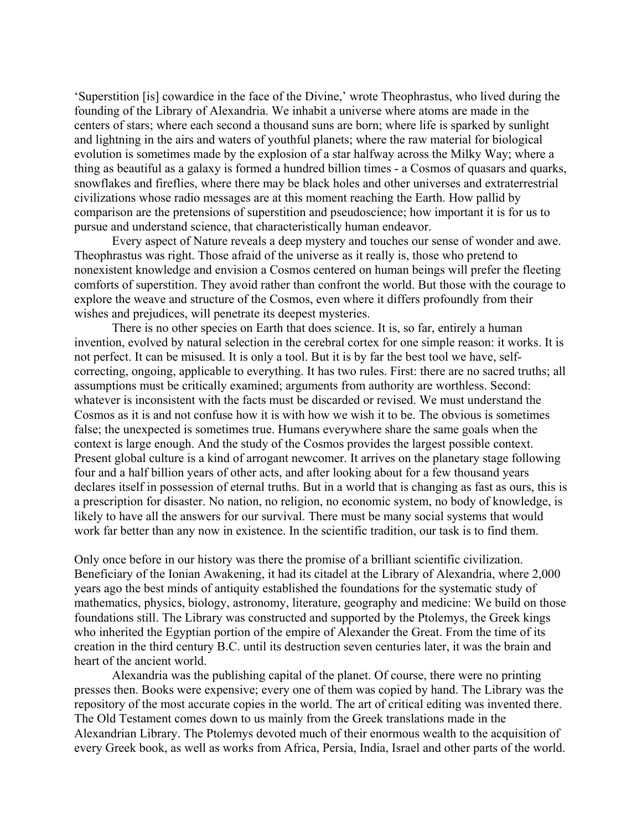'Superstition [is] cowardice in the face of the Divine,' wrote Theophrastus, who lived during the founding of the Library of Alexandria. We inhabit a universe where atoms are made in the centers of stars; where each second a thousand suns are born; where life is sparked by sunlight and lightning in the airs and waters of youthful planets; where the raw material for biological evolution is sometimes made by the explosion of a star halfway across the Milky Way; where a thing as beautiful as a galaxy is formed a hundred billion times - a Cosmos of quasars and quarks, snowflakes and fireflies, where there may be black holes and other universes and extraterrestrial civilizations whose radio messages are at this moment reaching the Earth. How pallid by comparison are the pretensions of superstition and pseudoscience; how important it is for us to pursue and understand science, that characteristically human endeavor.

Every aspect of Nature reveals a deep mystery and touches our sense of wonder and awe. Theophrastus was right. Those afraid of the universe as it really is, those who pretend to nonexistent knowledge and envision a Cosmos centered on human beings will prefer the fleeting comforts of superstition. They avoid rather than confront the world. But those with the courage to explore the weave and structure of the Cosmos, even where it differs profoundly from their wishes and prejudices, will penetrate its deepest mysteries.

There is no other species on Earth that does science. It is, so far, entirely a human invention, evolved by natural selection in the cerebral cortex for one simple reason: it works. It is not perfect. It can be misused. It is only a tool. But it is by far the best tool we have, selfcorrecting, ongoing, applicable to everything. It has two rules. First: there are no sacred truths; all assumptions must be critically examined; arguments from authority are worthless. Second: whatever is inconsistent with the facts must be discarded or revised. We must understand the Cosmos as it is and not confuse how it is with how we wish it to be. The obvious is sometimes false; the unexpected is sometimes true. Humans everywhere share the same goals when the context is large enough. And the study of the Cosmos provides the largest possible context. Present global culture is a kind of arrogant newcomer. It arrives on the planetary stage following four and a half billion years of other acts, and after looking about for a few thousand years declares itself in possession of eternal truths. But in a world that is changing as fast as ours, this is a prescription for disaster. No nation, no religion, no economic system, no body of knowledge, is likely to have all the answers for our survival. There must be many social systems that would work far better than any now in existence. In the scientific tradition, our task is to find them.

Only once before in our history was there the promise of a brilliant scientific civilization. Beneficiary of the Ionian Awakening, it had its citadel at the Library of Alexandria, where 2,000 years ago the best minds of antiquity established the foundations for the systematic study of mathematics, physics, biology, astronomy, literature, geography and medicine: We build on those foundations still. The Library was constructed and supported by the Ptolemys, the Greek kings who inherited the Egyptian portion of the empire of Alexander the Great. From the time of its creation in the third century B.C. until its destruction seven centuries later, it was the brain and heart of the ancient world.

Alexandria was the publishing capital of the planet. Of course, there were no printing presses then. Books were expensive; every one of them was copied by hand. The Library was the repository of the most accurate copies in the world. The art of critical editing was invented there. The Old Testament comes down to us mainly from the Greek translations made in the Alexandrian Library. The Ptolemys devoted much of their enormous wealth to the acquisition of every Greek book, as well as works from Africa, Persia, India, Israel and other parts of the world.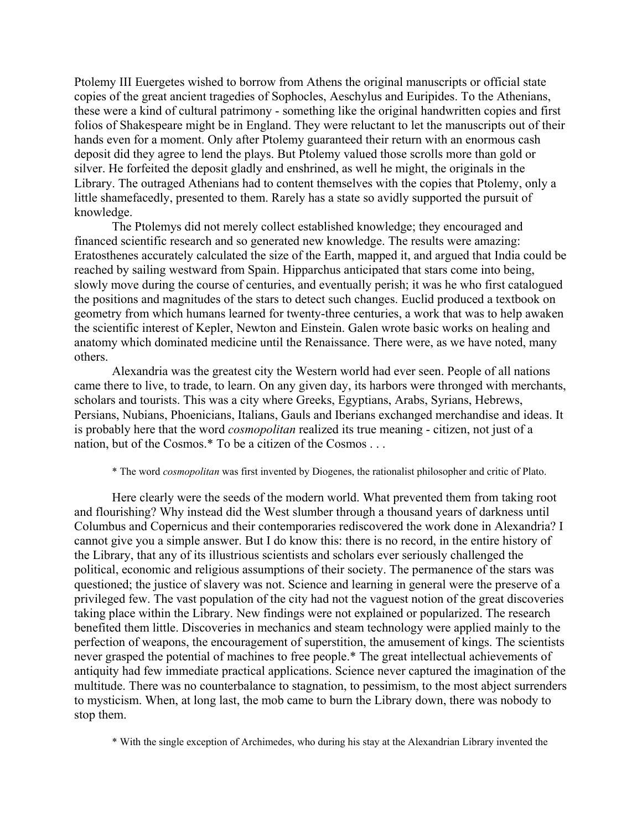Ptolemy III Euergetes wished to borrow from Athens the original manuscripts or official state copies of the great ancient tragedies of Sophocles, Aeschylus and Euripides. To the Athenians, these were a kind of cultural patrimony - something like the original handwritten copies and first folios of Shakespeare might be in England. They were reluctant to let the manuscripts out of their hands even for a moment. Only after Ptolemy guaranteed their return with an enormous cash deposit did they agree to lend the plays. But Ptolemy valued those scrolls more than gold or silver. He forfeited the deposit gladly and enshrined, as well he might, the originals in the Library. The outraged Athenians had to content themselves with the copies that Ptolemy, only a little shamefacedly, presented to them. Rarely has a state so avidly supported the pursuit of knowledge.

The Ptolemys did not merely collect established knowledge; they encouraged and financed scientific research and so generated new knowledge. The results were amazing: Eratosthenes accurately calculated the size of the Earth, mapped it, and argued that India could be reached by sailing westward from Spain. Hipparchus anticipated that stars come into being, slowly move during the course of centuries, and eventually perish; it was he who first catalogued the positions and magnitudes of the stars to detect such changes. Euclid produced a textbook on geometry from which humans learned for twenty-three centuries, a work that was to help awaken the scientific interest of Kepler, Newton and Einstein. Galen wrote basic works on healing and anatomy which dominated medicine until the Renaissance. There were, as we have noted, many others.

Alexandria was the greatest city the Western world had ever seen. People of all nations came there to live, to trade, to learn. On any given day, its harbors were thronged with merchants, scholars and tourists. This was a city where Greeks, Egyptians, Arabs, Syrians, Hebrews, Persians, Nubians, Phoenicians, Italians, Gauls and Iberians exchanged merchandise and ideas. It is probably here that the word *cosmopolitan* realized its true meaning - citizen, not just of a nation, but of the Cosmos.\* To be a citizen of the Cosmos . . .

\* The word *cosmopolitan* was first invented by Diogenes, the rationalist philosopher and critic of Plato.

Here clearly were the seeds of the modern world. What prevented them from taking root and flourishing? Why instead did the West slumber through a thousand years of darkness until Columbus and Copernicus and their contemporaries rediscovered the work done in Alexandria? I cannot give you a simple answer. But I do know this: there is no record, in the entire history of the Library, that any of its illustrious scientists and scholars ever seriously challenged the political, economic and religious assumptions of their society. The permanence of the stars was questioned; the justice of slavery was not. Science and learning in general were the preserve of a privileged few. The vast population of the city had not the vaguest notion of the great discoveries taking place within the Library. New findings were not explained or popularized. The research benefited them little. Discoveries in mechanics and steam technology were applied mainly to the perfection of weapons, the encouragement of superstition, the amusement of kings. The scientists never grasped the potential of machines to free people.\* The great intellectual achievements of antiquity had few immediate practical applications. Science never captured the imagination of the multitude. There was no counterbalance to stagnation, to pessimism, to the most abject surrenders to mysticism. When, at long last, the mob came to burn the Library down, there was nobody to stop them.

\* With the single exception of Archimedes, who during his stay at the Alexandrian Library invented the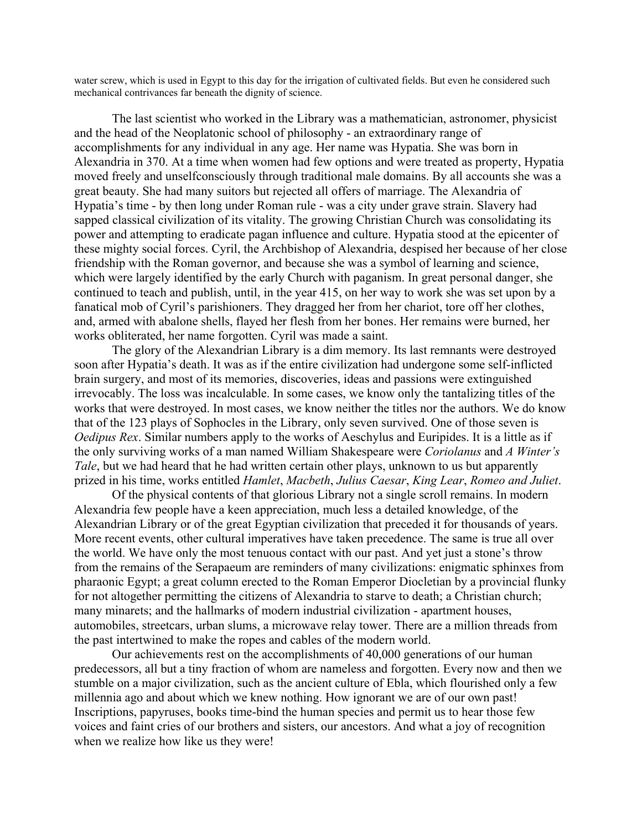water screw, which is used in Egypt to this day for the irrigation of cultivated fields. But even he considered such mechanical contrivances far beneath the dignity of science.

The last scientist who worked in the Library was a mathematician, astronomer, physicist and the head of the Neoplatonic school of philosophy - an extraordinary range of accomplishments for any individual in any age. Her name was Hypatia. She was born in Alexandria in 370. At a time when women had few options and were treated as property, Hypatia moved freely and unselfconsciously through traditional male domains. By all accounts she was a great beauty. She had many suitors but rejected all offers of marriage. The Alexandria of Hypatia's time - by then long under Roman rule - was a city under grave strain. Slavery had sapped classical civilization of its vitality. The growing Christian Church was consolidating its power and attempting to eradicate pagan influence and culture. Hypatia stood at the epicenter of these mighty social forces. Cyril, the Archbishop of Alexandria, despised her because of her close friendship with the Roman governor, and because she was a symbol of learning and science, which were largely identified by the early Church with paganism. In great personal danger, she continued to teach and publish, until, in the year 415, on her way to work she was set upon by a fanatical mob of Cyril's parishioners. They dragged her from her chariot, tore off her clothes, and, armed with abalone shells, flayed her flesh from her bones. Her remains were burned, her works obliterated, her name forgotten. Cyril was made a saint.

The glory of the Alexandrian Library is a dim memory. Its last remnants were destroyed soon after Hypatia's death. It was as if the entire civilization had undergone some self-inflicted brain surgery, and most of its memories, discoveries, ideas and passions were extinguished irrevocably. The loss was incalculable. In some cases, we know only the tantalizing titles of the works that were destroyed. In most cases, we know neither the titles nor the authors. We do know that of the 123 plays of Sophocles in the Library, only seven survived. One of those seven is *Oedipus Rex*. Similar numbers apply to the works of Aeschylus and Euripides. It is a little as if the only surviving works of a man named William Shakespeare were *Coriolanus* and *A Winter's Tale*, but we had heard that he had written certain other plays, unknown to us but apparently prized in his time, works entitled *Hamlet*, *Macbeth*, *Julius Caesar*, *King Lear*, *Romeo and Juliet*.

Of the physical contents of that glorious Library not a single scroll remains. In modern Alexandria few people have a keen appreciation, much less a detailed knowledge, of the Alexandrian Library or of the great Egyptian civilization that preceded it for thousands of years. More recent events, other cultural imperatives have taken precedence. The same is true all over the world. We have only the most tenuous contact with our past. And yet just a stone's throw from the remains of the Serapaeum are reminders of many civilizations: enigmatic sphinxes from pharaonic Egypt; a great column erected to the Roman Emperor Diocletian by a provincial flunky for not altogether permitting the citizens of Alexandria to starve to death; a Christian church; many minarets; and the hallmarks of modern industrial civilization - apartment houses, automobiles, streetcars, urban slums, a microwave relay tower. There are a million threads from the past intertwined to make the ropes and cables of the modern world.

Our achievements rest on the accomplishments of 40,000 generations of our human predecessors, all but a tiny fraction of whom are nameless and forgotten. Every now and then we stumble on a major civilization, such as the ancient culture of Ebla, which flourished only a few millennia ago and about which we knew nothing. How ignorant we are of our own past! Inscriptions, papyruses, books time-bind the human species and permit us to hear those few voices and faint cries of our brothers and sisters, our ancestors. And what a joy of recognition when we realize how like us they were!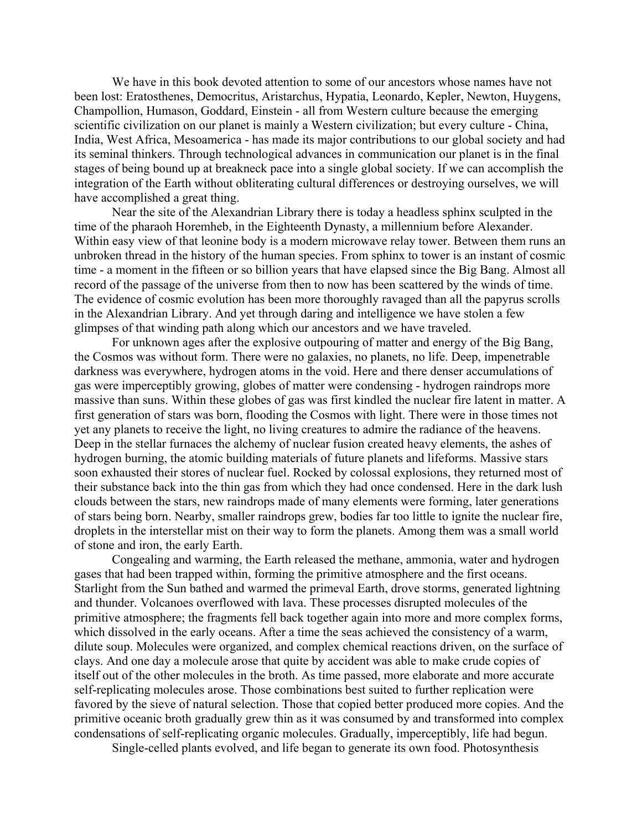We have in this book devoted attention to some of our ancestors whose names have not been lost: Eratosthenes, Democritus, Aristarchus, Hypatia, Leonardo, Kepler, Newton, Huygens, Champollion, Humason, Goddard, Einstein - all from Western culture because the emerging scientific civilization on our planet is mainly a Western civilization; but every culture - China, India, West Africa, Mesoamerica - has made its major contributions to our global society and had its seminal thinkers. Through technological advances in communication our planet is in the final stages of being bound up at breakneck pace into a single global society. If we can accomplish the integration of the Earth without obliterating cultural differences or destroying ourselves, we will have accomplished a great thing.

Near the site of the Alexandrian Library there is today a headless sphinx sculpted in the time of the pharaoh Horemheb, in the Eighteenth Dynasty, a millennium before Alexander. Within easy view of that leonine body is a modern microwave relay tower. Between them runs an unbroken thread in the history of the human species. From sphinx to tower is an instant of cosmic time - a moment in the fifteen or so billion years that have elapsed since the Big Bang. Almost all record of the passage of the universe from then to now has been scattered by the winds of time. The evidence of cosmic evolution has been more thoroughly ravaged than all the papyrus scrolls in the Alexandrian Library. And yet through daring and intelligence we have stolen a few glimpses of that winding path along which our ancestors and we have traveled.

For unknown ages after the explosive outpouring of matter and energy of the Big Bang, the Cosmos was without form. There were no galaxies, no planets, no life. Deep, impenetrable darkness was everywhere, hydrogen atoms in the void. Here and there denser accumulations of gas were imperceptibly growing, globes of matter were condensing - hydrogen raindrops more massive than suns. Within these globes of gas was first kindled the nuclear fire latent in matter. A first generation of stars was born, flooding the Cosmos with light. There were in those times not yet any planets to receive the light, no living creatures to admire the radiance of the heavens. Deep in the stellar furnaces the alchemy of nuclear fusion created heavy elements, the ashes of hydrogen burning, the atomic building materials of future planets and lifeforms. Massive stars soon exhausted their stores of nuclear fuel. Rocked by colossal explosions, they returned most of their substance back into the thin gas from which they had once condensed. Here in the dark lush clouds between the stars, new raindrops made of many elements were forming, later generations of stars being born. Nearby, smaller raindrops grew, bodies far too little to ignite the nuclear fire, droplets in the interstellar mist on their way to form the planets. Among them was a small world of stone and iron, the early Earth.

Congealing and warming, the Earth released the methane, ammonia, water and hydrogen gases that had been trapped within, forming the primitive atmosphere and the first oceans. Starlight from the Sun bathed and warmed the primeval Earth, drove storms, generated lightning and thunder. Volcanoes overflowed with lava. These processes disrupted molecules of the primitive atmosphere; the fragments fell back together again into more and more complex forms, which dissolved in the early oceans. After a time the seas achieved the consistency of a warm, dilute soup. Molecules were organized, and complex chemical reactions driven, on the surface of clays. And one day a molecule arose that quite by accident was able to make crude copies of itself out of the other molecules in the broth. As time passed, more elaborate and more accurate self-replicating molecules arose. Those combinations best suited to further replication were favored by the sieve of natural selection. Those that copied better produced more copies. And the primitive oceanic broth gradually grew thin as it was consumed by and transformed into complex condensations of self-replicating organic molecules. Gradually, imperceptibly, life had begun.

Single-celled plants evolved, and life began to generate its own food. Photosynthesis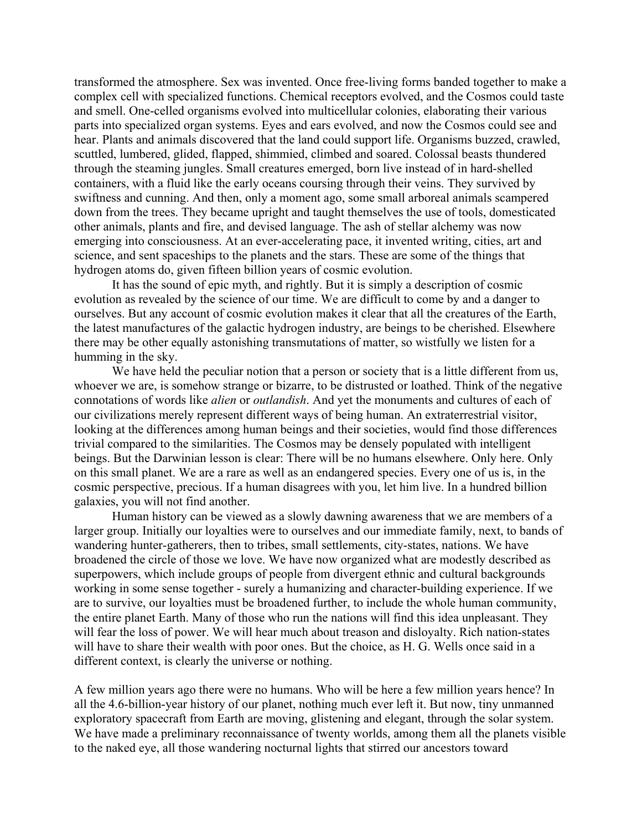transformed the atmosphere. Sex was invented. Once free-living forms banded together to make a complex cell with specialized functions. Chemical receptors evolved, and the Cosmos could taste and smell. One-celled organisms evolved into multicellular colonies, elaborating their various parts into specialized organ systems. Eyes and ears evolved, and now the Cosmos could see and hear. Plants and animals discovered that the land could support life. Organisms buzzed, crawled, scuttled, lumbered, glided, flapped, shimmied, climbed and soared. Colossal beasts thundered through the steaming jungles. Small creatures emerged, born live instead of in hard-shelled containers, with a fluid like the early oceans coursing through their veins. They survived by swiftness and cunning. And then, only a moment ago, some small arboreal animals scampered down from the trees. They became upright and taught themselves the use of tools, domesticated other animals, plants and fire, and devised language. The ash of stellar alchemy was now emerging into consciousness. At an ever-accelerating pace, it invented writing, cities, art and science, and sent spaceships to the planets and the stars. These are some of the things that hydrogen atoms do, given fifteen billion years of cosmic evolution.

It has the sound of epic myth, and rightly. But it is simply a description of cosmic evolution as revealed by the science of our time. We are difficult to come by and a danger to ourselves. But any account of cosmic evolution makes it clear that all the creatures of the Earth, the latest manufactures of the galactic hydrogen industry, are beings to be cherished. Elsewhere there may be other equally astonishing transmutations of matter, so wistfully we listen for a humming in the sky.

We have held the peculiar notion that a person or society that is a little different from us, whoever we are, is somehow strange or bizarre, to be distrusted or loathed. Think of the negative connotations of words like *alien* or *outlandish*. And yet the monuments and cultures of each of our civilizations merely represent different ways of being human. An extraterrestrial visitor, looking at the differences among human beings and their societies, would find those differences trivial compared to the similarities. The Cosmos may be densely populated with intelligent beings. But the Darwinian lesson is clear: There will be no humans elsewhere. Only here. Only on this small planet. We are a rare as well as an endangered species. Every one of us is, in the cosmic perspective, precious. If a human disagrees with you, let him live. In a hundred billion galaxies, you will not find another.

Human history can be viewed as a slowly dawning awareness that we are members of a larger group. Initially our loyalties were to ourselves and our immediate family, next, to bands of wandering hunter-gatherers, then to tribes, small settlements, city-states, nations. We have broadened the circle of those we love. We have now organized what are modestly described as superpowers, which include groups of people from divergent ethnic and cultural backgrounds working in some sense together - surely a humanizing and character-building experience. If we are to survive, our loyalties must be broadened further, to include the whole human community, the entire planet Earth. Many of those who run the nations will find this idea unpleasant. They will fear the loss of power. We will hear much about treason and disloyalty. Rich nation-states will have to share their wealth with poor ones. But the choice, as H. G. Wells once said in a different context, is clearly the universe or nothing.

A few million years ago there were no humans. Who will be here a few million years hence? In all the 4.6-billion-year history of our planet, nothing much ever left it. But now, tiny unmanned exploratory spacecraft from Earth are moving, glistening and elegant, through the solar system. We have made a preliminary reconnaissance of twenty worlds, among them all the planets visible to the naked eye, all those wandering nocturnal lights that stirred our ancestors toward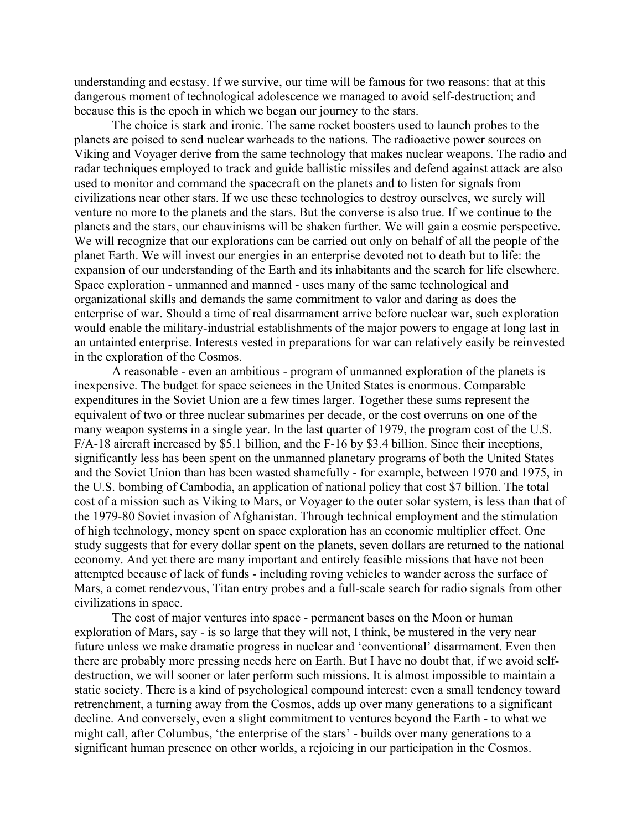understanding and ecstasy. If we survive, our time will be famous for two reasons: that at this dangerous moment of technological adolescence we managed to avoid self-destruction; and because this is the epoch in which we began our journey to the stars.

The choice is stark and ironic. The same rocket boosters used to launch probes to the planets are poised to send nuclear warheads to the nations. The radioactive power sources on Viking and Voyager derive from the same technology that makes nuclear weapons. The radio and radar techniques employed to track and guide ballistic missiles and defend against attack are also used to monitor and command the spacecraft on the planets and to listen for signals from civilizations near other stars. If we use these technologies to destroy ourselves, we surely will venture no more to the planets and the stars. But the converse is also true. If we continue to the planets and the stars, our chauvinisms will be shaken further. We will gain a cosmic perspective. We will recognize that our explorations can be carried out only on behalf of all the people of the planet Earth. We will invest our energies in an enterprise devoted not to death but to life: the expansion of our understanding of the Earth and its inhabitants and the search for life elsewhere. Space exploration - unmanned and manned - uses many of the same technological and organizational skills and demands the same commitment to valor and daring as does the enterprise of war. Should a time of real disarmament arrive before nuclear war, such exploration would enable the military-industrial establishments of the major powers to engage at long last in an untainted enterprise. Interests vested in preparations for war can relatively easily be reinvested in the exploration of the Cosmos.

A reasonable - even an ambitious - program of unmanned exploration of the planets is inexpensive. The budget for space sciences in the United States is enormous. Comparable expenditures in the Soviet Union are a few times larger. Together these sums represent the equivalent of two or three nuclear submarines per decade, or the cost overruns on one of the many weapon systems in a single year. In the last quarter of 1979, the program cost of the U.S. F/A-18 aircraft increased by \$5.1 billion, and the F-16 by \$3.4 billion. Since their inceptions, significantly less has been spent on the unmanned planetary programs of both the United States and the Soviet Union than has been wasted shamefully - for example, between 1970 and 1975, in the U.S. bombing of Cambodia, an application of national policy that cost \$7 billion. The total cost of a mission such as Viking to Mars, or Voyager to the outer solar system, is less than that of the 1979-80 Soviet invasion of Afghanistan. Through technical employment and the stimulation of high technology, money spent on space exploration has an economic multiplier effect. One study suggests that for every dollar spent on the planets, seven dollars are returned to the national economy. And yet there are many important and entirely feasible missions that have not been attempted because of lack of funds - including roving vehicles to wander across the surface of Mars, a comet rendezvous, Titan entry probes and a full-scale search for radio signals from other civilizations in space.

The cost of major ventures into space - permanent bases on the Moon or human exploration of Mars, say - is so large that they will not, I think, be mustered in the very near future unless we make dramatic progress in nuclear and 'conventional' disarmament. Even then there are probably more pressing needs here on Earth. But I have no doubt that, if we avoid selfdestruction, we will sooner or later perform such missions. It is almost impossible to maintain a static society. There is a kind of psychological compound interest: even a small tendency toward retrenchment, a turning away from the Cosmos, adds up over many generations to a significant decline. And conversely, even a slight commitment to ventures beyond the Earth - to what we might call, after Columbus, 'the enterprise of the stars' - builds over many generations to a significant human presence on other worlds, a rejoicing in our participation in the Cosmos.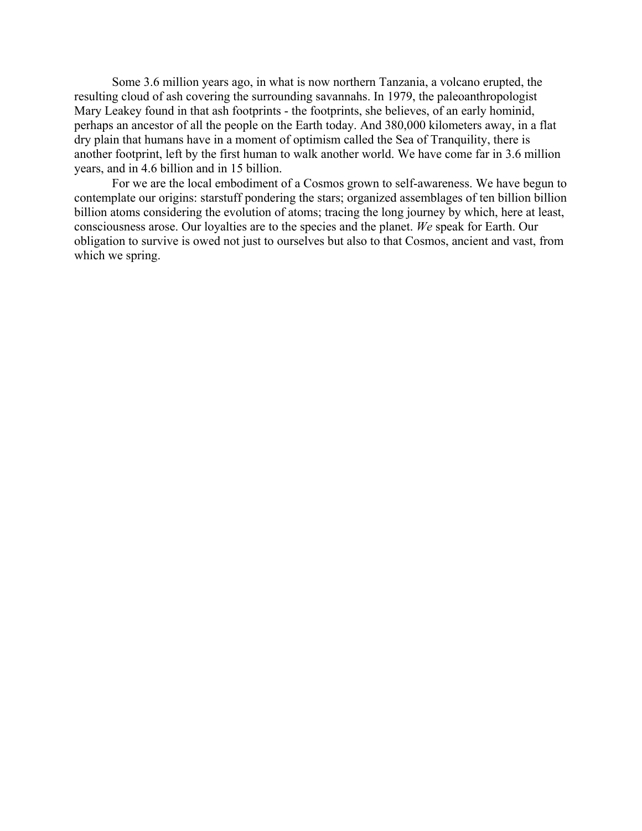Some 3.6 million years ago, in what is now northern Tanzania, a volcano erupted, the resulting cloud of ash covering the surrounding savannahs. In 1979, the paleoanthropologist Mary Leakey found in that ash footprints - the footprints, she believes, of an early hominid, perhaps an ancestor of all the people on the Earth today. And 380,000 kilometers away, in a flat dry plain that humans have in a moment of optimism called the Sea of Tranquility, there is another footprint, left by the first human to walk another world. We have come far in 3.6 million years, and in 4.6 billion and in 15 billion.

For we are the local embodiment of a Cosmos grown to self-awareness. We have begun to contemplate our origins: starstuff pondering the stars; organized assemblages of ten billion billion billion atoms considering the evolution of atoms; tracing the long journey by which, here at least, consciousness arose. Our loyalties are to the species and the planet. *We* speak for Earth. Our obligation to survive is owed not just to ourselves but also to that Cosmos, ancient and vast, from which we spring.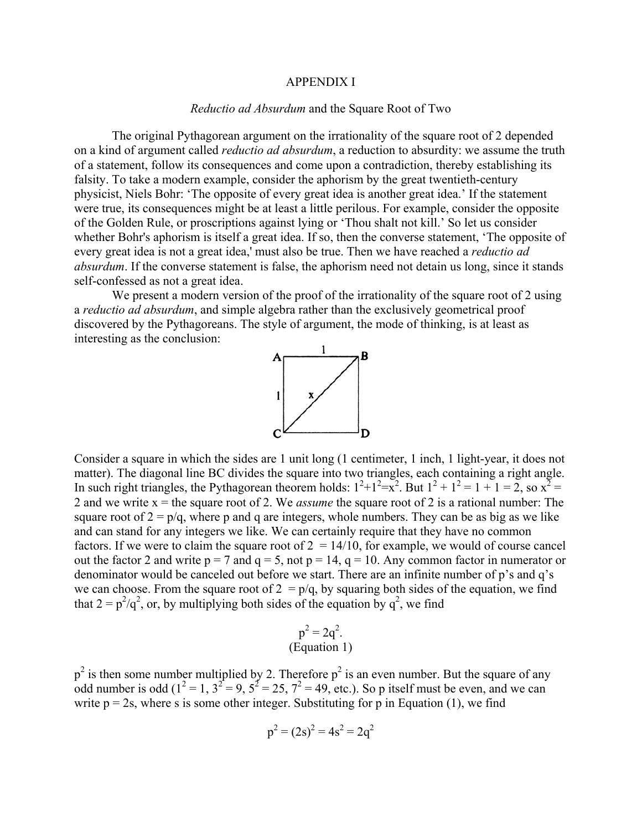### APPENDIX I

## *Reductio ad Absurdum* and the Square Root of Two

The original Pythagorean argument on the irrationality of the square root of 2 depended on a kind of argument called *reductio ad absurdum*, a reduction to absurdity: we assume the truth of a statement, follow its consequences and come upon a contradiction, thereby establishing its falsity. To take a modern example, consider the aphorism by the great twentieth-century physicist, Niels Bohr: 'The opposite of every great idea is another great idea.' If the statement were true, its consequences might be at least a little perilous. For example, consider the opposite of the Golden Rule, or proscriptions against lying or 'Thou shalt not kill.' So let us consider whether Bohr's aphorism is itself a great idea. If so, then the converse statement, 'The opposite of every great idea is not a great idea,' must also be true. Then we have reached a *reductio ad absurdum*. If the converse statement is false, the aphorism need not detain us long, since it stands self-confessed as not a great idea.

We present a modern version of the proof of the irrationality of the square root of 2 using a *reductio ad absurdum*, and simple algebra rather than the exclusively geometrical proof discovered by the Pythagoreans. The style of argument, the mode of thinking, is at least as interesting as the conclusion:



Consider a square in which the sides are 1 unit long (1 centimeter, 1 inch, 1 light-year, it does not matter). The diagonal line BC divides the square into two triangles, each containing a right angle. In such right triangles, the Pythagorean theorem holds:  $1^2+1^2=x^2$ . But  $1^2+1^2=1+1=2$ , so  $x^2=1$ 2 and we write x = the square root of 2. We *assume* the square root of 2 is a rational number: The square root of  $2 = p/q$ , where p and q are integers, whole numbers. They can be as big as we like and can stand for any integers we like. We can certainly require that they have no common factors. If we were to claim the square root of  $2 = 14/10$ , for example, we would of course cancel out the factor 2 and write  $p = 7$  and  $q = 5$ , not  $p = 14$ ,  $q = 10$ . Any common factor in numerator or denominator would be canceled out before we start. There are an infinite number of p's and q's we can choose. From the square root of  $2 = p/q$ , by squaring both sides of the equation, we find that  $2 = p^2/q^2$ , or, by multiplying both sides of the equation by  $q^2$ , we find

$$
p^2 = 2q^2.
$$
  
(Equation 1)

 $p<sup>2</sup>$  is then some number multiplied by 2. Therefore  $p<sup>2</sup>$  is an even number. But the square of any odd number is odd ( $1^2 = 1$ ,  $3^2 = 9$ ,  $5^2 = 25$ ,  $7^2 = 49$ , etc.). So p itself must be even, and we can write  $p = 2s$ , where s is some other integer. Substituting for p in Equation (1), we find

$$
p^2 = (2s)^2 = 4s^2 = 2q^2
$$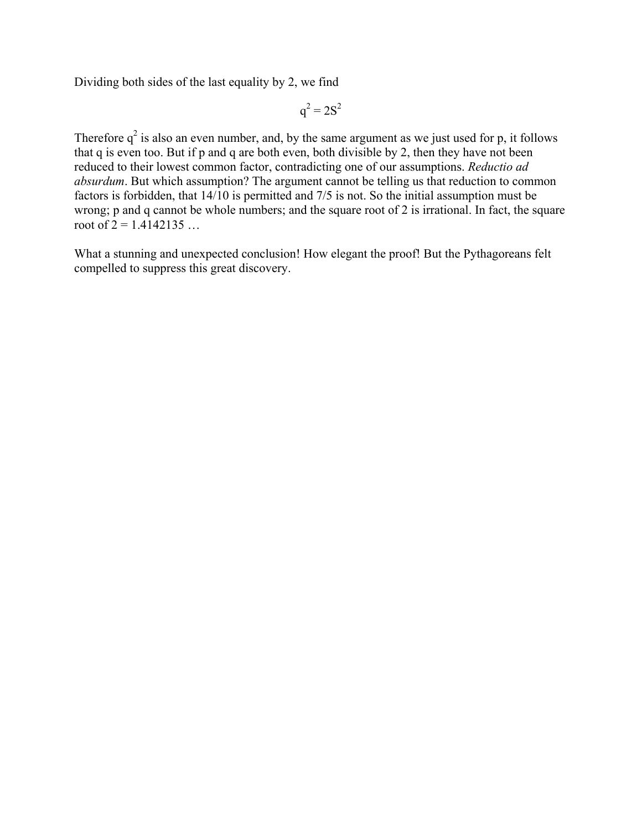Dividing both sides of the last equality by 2, we find

 $q^2 = 2S^2$ 

Therefore  $q^2$  is also an even number, and, by the same argument as we just used for p, it follows that q is even too. But if p and q are both even, both divisible by 2, then they have not been reduced to their lowest common factor, contradicting one of our assumptions. *Reductio ad absurdum*. But which assumption? The argument cannot be telling us that reduction to common factors is forbidden, that 14/10 is permitted and 7/5 is not. So the initial assumption must be wrong; p and q cannot be whole numbers; and the square root of 2 is irrational. In fact, the square root of  $2 = 1.4142135...$ 

What a stunning and unexpected conclusion! How elegant the proof! But the Pythagoreans felt compelled to suppress this great discovery.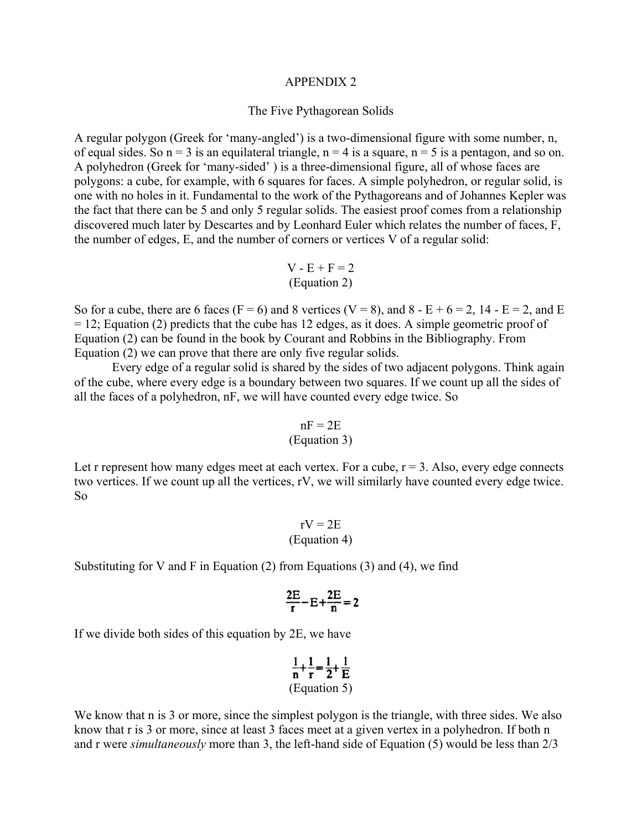### APPENDIX 2

#### The Five Pythagorean Solids

A regular polygon (Greek for 'many-angled') is a two-dimensional figure with some number, n, of equal sides. So  $n = 3$  is an equilateral triangle,  $n = 4$  is a square,  $n = 5$  is a pentagon, and so on. A polyhedron (Greek for 'many-sided' ) is a three-dimensional figure, all of whose faces are polygons: a cube, for example, with 6 squares for faces. A simple polyhedron, or regular solid, is one with no holes in it. Fundamental to the work of the Pythagoreans and of Johannes Kepler was the fact that there can be 5 and only 5 regular solids. The easiest proof comes from a relationship discovered much later by Descartes and by Leonhard Euler which relates the number of faces, F, the number of edges, E, and the number of corners or vertices V of a regular solid:

$$
V - E + F = 2
$$
  
(Equation 2)

So for a cube, there are 6 faces (F = 6) and 8 vertices (V = 8), and 8 - E + 6 = 2, 14 - E = 2, and E = 12; Equation (2) predicts that the cube has 12 edges, as it does. A simple geometric proof of Equation (2) can be found in the book by Courant and Robbins in the Bibliography. From Equation (2) we can prove that there are only five regular solids.

Every edge of a regular solid is shared by the sides of two adjacent polygons. Think again of the cube, where every edge is a boundary between two squares. If we count up all the sides of all the faces of a polyhedron, nF, we will have counted every edge twice. So

# $nF = 2E$ (Equation 3)

Let r represent how many edges meet at each vertex. For a cube,  $r = 3$ . Also, every edge connects two vertices. If we count up all the vertices, rV, we will similarly have counted every edge twice. So

> $rV = 2E$ (Equation 4)

Substituting for V and F in Equation (2) from Equations (3) and (4), we find

$$
\frac{2E}{r} - E + \frac{2E}{n} = 2
$$

If we divide both sides of this equation by 2E, we have

$$
\frac{1}{n} + \frac{1}{r} = \frac{1}{2} + \frac{1}{E}
$$
  
(Equation 5)

We know that n is 3 or more, since the simplest polygon is the triangle, with three sides. We also know that r is 3 or more, since at least 3 faces meet at a given vertex in a polyhedron. If both n and r were *simultaneously* more than 3, the left-hand side of Equation (5) would be less than 2/3